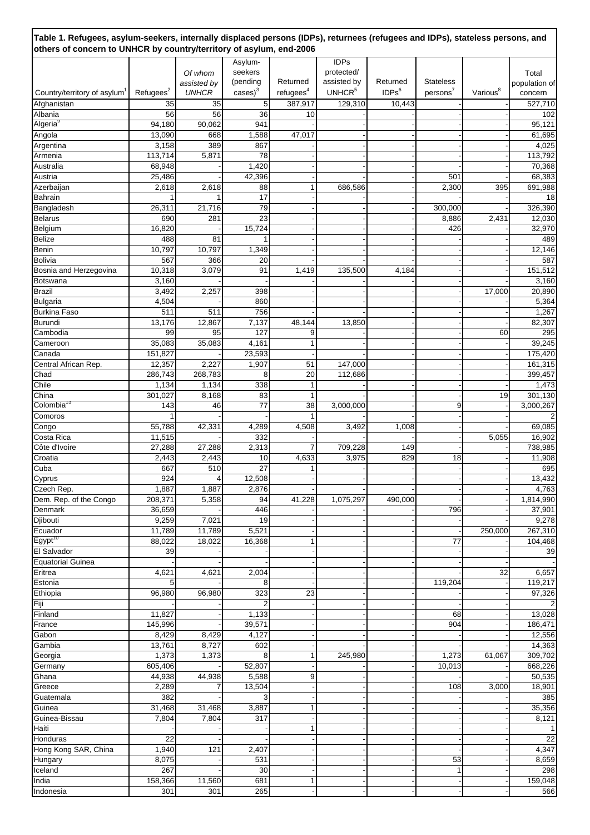|                                          |                       |                  | Asylum-         |                       | <b>IDPs</b>        |                   |                     |                      |                   |
|------------------------------------------|-----------------------|------------------|-----------------|-----------------------|--------------------|-------------------|---------------------|----------------------|-------------------|
|                                          |                       | Of whom          | seekers         |                       | protected/         |                   |                     |                      | Total             |
|                                          |                       | assisted by      | (pending        | Returned              | assisted by        | Returned          | <b>Stateless</b>    |                      | population of     |
| Country/territory of asylum <sup>1</sup> | Refugees <sup>2</sup> | <b>UNHCR</b>     | $cases^3$       | refugees <sup>4</sup> | UNHCR <sup>5</sup> | IDPs <sup>6</sup> | person <sup>7</sup> | Various <sup>8</sup> | concern           |
| Afghanistan                              | 35                    | 35               | 5               | 387,917               | 129,310            | 10,443            |                     |                      | 527,710           |
| Albania                                  | 56                    | 56               | 36              | 10                    |                    |                   |                     |                      | 102               |
| Algeria <sup>9</sup>                     | 94,180                | 90,062           | 941             |                       |                    |                   |                     |                      | 95,121            |
| Angola<br>Argentina                      | 13,090<br>3,158       | 668<br>389       | 1,588<br>867    | 47,017                |                    |                   |                     |                      | 61,695<br>4,025   |
| Armenia                                  | 113,714               | 5,871            | 78              |                       |                    |                   |                     |                      | 113,792           |
| Australia                                | 68,948                |                  | 1,420           |                       |                    |                   |                     |                      | 70,368            |
| Austria                                  | 25,486                |                  | 42,396          |                       |                    |                   | 501                 |                      | 68,383            |
| Azerbaijan                               | 2,618                 | 2,618            | 88              | 1                     | 686,586            |                   | 2,300               | 395                  | 691,988           |
| Bahrain                                  | 1                     |                  | 17              |                       |                    |                   |                     |                      | 18                |
| Bangladesh                               | 26,311                | 21,716           | 79              |                       |                    |                   | 300,000             |                      | 326,390           |
| <b>Belarus</b>                           | 690                   | 281              | 23              |                       |                    |                   | 8,886               | 2,431                | 12,030            |
| Belgium                                  | 16,820                |                  | 15,724          |                       |                    |                   | 426                 |                      | 32,970            |
| Belize                                   | 488                   | 81               |                 |                       |                    |                   |                     |                      | 489               |
| Benin                                    | 10,797                | 10,797           | 1,349           |                       |                    |                   |                     |                      | 12,146            |
| <b>Bolivia</b><br>Bosnia and Herzegovina | 567<br>10,318         | 366<br>3,079     | 20<br>91        | 1,419                 | 135,500            | 4,184             |                     |                      | 587<br>151,512    |
| Botswana                                 | 3,160                 |                  |                 |                       |                    |                   |                     |                      | 3,160             |
| Brazil                                   | 3,492                 | 2,257            | 398             |                       |                    |                   |                     | 17,000               | 20,890            |
| <b>Bulgaria</b>                          | 4,504                 |                  | 860             |                       |                    |                   |                     |                      | 5,364             |
| <b>Burkina Faso</b>                      | 511                   | 511              | 756             |                       |                    |                   |                     |                      | 1,267             |
| <b>Burundi</b>                           | 13,176                | 12,867           | 7,137           | 48,144                | 13,850             |                   |                     |                      | 82,307            |
| Cambodia                                 | 99                    | 95               | 127             | 9                     |                    |                   |                     | 60                   | 295               |
| Cameroon                                 | 35,083                | 35,083           | 4,161           | 1                     |                    |                   |                     |                      | 39,245            |
| Canada                                   | 151,827               |                  | 23,593          |                       |                    |                   |                     |                      | 175,420           |
| Central African Rep.                     | 12,357                | 2,227            | 1,907           | 51                    | 147,000            |                   |                     |                      | 161,315           |
| Chad                                     | 286,743               | 268,783          | 8               | 20                    | 112,686            |                   |                     |                      | 399,457           |
| Chile                                    | 1,134                 | 1,134            | 338             | $\mathbf{1}$          |                    |                   |                     |                      | 1,473             |
| China<br>Colombia <sup>13</sup>          | 301,027               | 8,168            | 83              | $\mathbf{1}$          |                    |                   |                     | 19                   | 301,130           |
| Comoros                                  | 143                   | 46               | 77              | 38                    | 3,000,000          |                   | 9                   |                      | 3,000,267<br>2    |
| Congo                                    | 55,788                | 42,331           | 4,289           | 4,508                 | 3,492              | 1,008             |                     |                      | 69,085            |
| Costa Rica                               | 11,515                |                  | 332             |                       |                    |                   |                     | 5,055                | 16,902            |
| Côte d'Ivoire                            | 27,288                | 27,288           | 2,313           | 7                     | 709,228            | 149               |                     |                      | 738,985           |
| Croatia                                  | 2,443                 | 2,443            | 10              | 4,633                 | 3,975              | 829               | 18                  |                      | 11,908            |
| Cuba                                     | 667                   | 510              | 27              | 1                     |                    |                   |                     |                      | 695               |
| Cyprus                                   | 924                   | $\overline{4}$   | 12,508          |                       |                    |                   |                     |                      | 13,432            |
| Czech Rep.                               | 1,887                 | 1,887            | 2,876           |                       |                    |                   |                     |                      | 4,763             |
| Dem. Rep. of the Congo                   | 208,371               | 5,358            | 94              | 41,228                | 1,075,297          | 490,000           |                     |                      | 1,814,990         |
| Denmark                                  | 36,659                |                  | 446             |                       |                    |                   | 796                 |                      | 37,901            |
| Djibouti                                 | 9,259                 | 7,021            | 19              |                       |                    |                   |                     |                      | 9,278             |
| Ecuador<br>Egypt <sup>10</sup>           | 11,789<br>88,022      | 11,789<br>18,022 | 5,521<br>16,368 | 1                     |                    |                   | 77                  | 250,000              | 267,310           |
| El Salvador                              | 39                    |                  |                 |                       |                    |                   |                     |                      | 104,468<br>39     |
| <b>Equatorial Guinea</b>                 |                       |                  |                 |                       |                    |                   |                     |                      |                   |
| Eritrea                                  | 4,621                 | 4,621            | 2,004           |                       |                    |                   |                     | 32                   | 6,657             |
| Estonia                                  | 5                     |                  | 8               |                       |                    |                   | 119,204             |                      | 119,217           |
| Ethiopia                                 | 96,980                | 96,980           | 323             | 23                    |                    |                   |                     |                      | 97,326            |
| Fiji                                     |                       |                  |                 |                       |                    |                   |                     |                      | $\overline{2}$    |
| Finland                                  | 11,827                |                  | 1,133           |                       |                    |                   | 68                  |                      | 13,028            |
| France                                   | 145,996               |                  | 39,571          |                       |                    |                   | 904                 |                      | 186,471           |
| Gabon                                    | 8,429                 | 8,429            | 4,127           |                       |                    |                   |                     |                      | 12,556            |
| Gambia                                   | 13,761                | 8,727            | 602             |                       |                    |                   |                     |                      | 14,363            |
| Georgia                                  | 1,373                 | 1,373            | 8               | 1                     | 245,980            |                   | 1,273               | 61,067               | 309,702           |
| Germany<br>Ghana                         | 605,406<br>44,938     | 44,938           | 52,807<br>5,588 | 9                     |                    |                   | 10,013              |                      | 668,226<br>50,535 |
| Greece                                   | 2,289                 | 7                | 13,504          |                       |                    |                   | 108                 | 3,000                | 18,901            |
| Guatemala                                | 382                   |                  |                 |                       |                    |                   |                     |                      | 385               |
| Guinea                                   | 31,468                | 31,468           | 3,887           | 1                     |                    |                   |                     |                      | 35,356            |
| Guinea-Bissau                            | 7,804                 | 7,804            | 317             |                       |                    |                   |                     |                      | 8,121             |
| Haiti                                    |                       |                  |                 | 1                     |                    |                   |                     |                      | 1                 |
| Honduras                                 | 22                    |                  |                 |                       |                    |                   |                     |                      | 22                |
| Hong Kong SAR, China                     | 1,940                 | 121              | 2,407           |                       |                    |                   |                     |                      | 4,347             |
| Hungary                                  | 8,075                 |                  | 531             |                       |                    |                   | 53                  |                      | 8,659             |
| Iceland                                  | 267                   |                  | 30              |                       |                    |                   |                     |                      | 298               |
| India                                    | 158,366               | 11,560           | 681             | 1                     |                    |                   |                     |                      | 159,048           |
| Indonesia                                | 301                   | 301              | 265             |                       |                    |                   |                     |                      | 566               |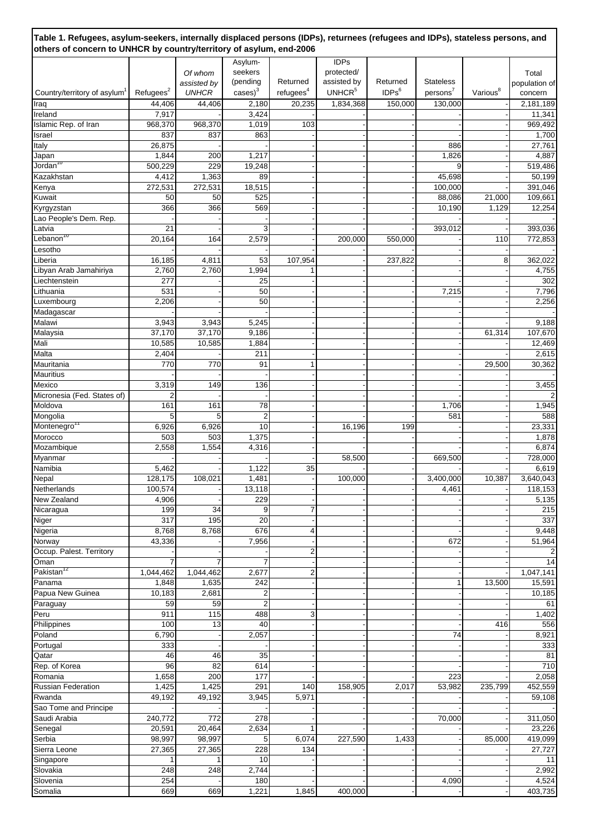| Table 1. Refugees, asylum-seekers, internally displaced persons (IDPs), returnees (refugees and IDPs), stateless persons, and<br>others of concern to UNHCR by country/territory of asylum, end-2006 |                       |                |                      |                       |                    |                   |                  |                      |                  |  |  |  |
|------------------------------------------------------------------------------------------------------------------------------------------------------------------------------------------------------|-----------------------|----------------|----------------------|-----------------------|--------------------|-------------------|------------------|----------------------|------------------|--|--|--|
|                                                                                                                                                                                                      |                       |                | Asylum-              |                       | <b>IDPs</b>        |                   |                  |                      |                  |  |  |  |
|                                                                                                                                                                                                      |                       | Of whom        | seekers              |                       | protected/         |                   |                  |                      | Total            |  |  |  |
|                                                                                                                                                                                                      |                       | assisted by    | (pending             | Returned              | assisted by        | Returned          | <b>Stateless</b> |                      | population of    |  |  |  |
| Country/territory of asylum <sup>1</sup>                                                                                                                                                             | Refugees <sup>2</sup> | <b>UNHCR</b>   | $cases$ <sup>3</sup> | refugees <sup>4</sup> | UNHCR <sup>5</sup> | IDPs <sup>6</sup> | $persons^7$      | Various <sup>8</sup> | concern          |  |  |  |
| Iraq                                                                                                                                                                                                 | 44,406                | 44,406         | 2,180                | 20,235                | 1,834,368          | 150,000           | 130,000          |                      | 2,181,189        |  |  |  |
| Ireland                                                                                                                                                                                              | 7,917                 |                | 3,424                |                       |                    |                   |                  |                      | 11,341           |  |  |  |
| Islamic Rep. of Iran                                                                                                                                                                                 | 968,370               | 968,370        | 1,019                | 103                   |                    |                   |                  |                      | 969,492          |  |  |  |
| Israel                                                                                                                                                                                               | 837                   | 837            | 863                  |                       |                    |                   |                  |                      | 1,700            |  |  |  |
| Italy                                                                                                                                                                                                | 26,875                |                |                      |                       |                    |                   | 886              |                      | 27,761           |  |  |  |
| Japan                                                                                                                                                                                                | 1,844                 | 200            | 1,217                |                       |                    |                   | 1,826            |                      | 4,887            |  |  |  |
| Jordan <sup>10</sup>                                                                                                                                                                                 | 500,229               | 229            | 19,248               |                       |                    |                   |                  |                      | 519,486          |  |  |  |
| Kazakhstan                                                                                                                                                                                           | 4,412                 | 1,363          | 89                   |                       |                    |                   | 45,698           |                      | 50,199           |  |  |  |
| Kenya                                                                                                                                                                                                | 272,531               | 272,531        | 18,515               |                       |                    |                   | 100,000          |                      | 391,046          |  |  |  |
| Kuwait                                                                                                                                                                                               | 50                    | 50             | 525                  |                       |                    |                   | 88,086           | 21,000               | 109,661          |  |  |  |
| Kyrgyzstan                                                                                                                                                                                           | 366                   | 366            | 569                  |                       |                    |                   | 10,190           | 1,129                | 12,254           |  |  |  |
| Lao People's Dem. Rep.                                                                                                                                                                               |                       |                |                      |                       |                    |                   |                  |                      |                  |  |  |  |
| Latvia                                                                                                                                                                                               | 21                    |                | 3                    |                       |                    |                   | 393,012          |                      | 393,036          |  |  |  |
| '∟ebanon <sup>10</sup>                                                                                                                                                                               | 20,164                | 164            | 2,579                |                       | 200,000            | 550,000           |                  | 110                  | 772,853          |  |  |  |
| Lesotho                                                                                                                                                                                              |                       |                |                      |                       |                    |                   |                  |                      |                  |  |  |  |
| Liberia                                                                                                                                                                                              | 16,185                | 4,811          | 53                   | 107,954               |                    | 237,822           |                  | 8                    | 362,022          |  |  |  |
| Libyan Arab Jamahiriya                                                                                                                                                                               | 2,760                 | 2,760          | 1,994                |                       |                    |                   |                  |                      | 4,755            |  |  |  |
| Liechtenstein                                                                                                                                                                                        | 277                   |                | 25                   |                       |                    |                   |                  |                      | 302              |  |  |  |
| Lithuania                                                                                                                                                                                            | 531                   |                | 50                   |                       |                    |                   | 7,215            |                      | 7,796            |  |  |  |
| Luxembourg                                                                                                                                                                                           | 2,206                 |                | 50                   |                       |                    |                   |                  |                      | 2,256            |  |  |  |
| Madagascar                                                                                                                                                                                           |                       |                |                      |                       |                    |                   |                  |                      |                  |  |  |  |
| Malawi                                                                                                                                                                                               | 3,943                 | 3,943          | 5,245                |                       |                    |                   |                  |                      | 9,188            |  |  |  |
| Malaysia                                                                                                                                                                                             | 37,170                | 37,170         | 9,186                |                       |                    |                   |                  | 61,314               | 107,670          |  |  |  |
| Mali                                                                                                                                                                                                 | 10,585                | 10,585         | 1,884                |                       |                    |                   |                  |                      | 12,469           |  |  |  |
| Malta                                                                                                                                                                                                | 2,404                 |                | 211                  |                       |                    |                   |                  |                      | 2,615            |  |  |  |
| Mauritania                                                                                                                                                                                           | 770                   | 770            | 91                   |                       |                    |                   |                  | 29,500               | 30,362           |  |  |  |
| Mauritius                                                                                                                                                                                            |                       |                |                      |                       |                    |                   |                  |                      |                  |  |  |  |
| Mexico                                                                                                                                                                                               | 3,319                 | 149            | 136                  |                       |                    |                   |                  |                      | 3,455            |  |  |  |
| Micronesia (Fed. States of)                                                                                                                                                                          |                       |                |                      |                       |                    |                   |                  |                      | $\overline{2}$   |  |  |  |
| Moldova                                                                                                                                                                                              | 161                   | 161            | 78                   |                       |                    |                   | 1,706            |                      | 1,945            |  |  |  |
| Mongolia                                                                                                                                                                                             | 5                     | 5              | $\overline{2}$       |                       |                    |                   | 581              |                      | 588              |  |  |  |
| Montenegro <sup>11</sup>                                                                                                                                                                             | 6,926                 | 6,926          | 10                   |                       | 16,196             | 199               |                  |                      | 23,331           |  |  |  |
| Morocco                                                                                                                                                                                              | 503                   | 503            | 1,375                |                       |                    |                   |                  |                      | 1,878            |  |  |  |
| Mozambique                                                                                                                                                                                           | 2,558                 | 1,554          | 4,316                |                       |                    |                   |                  |                      | 6,874            |  |  |  |
| Myanmar<br>Namibia                                                                                                                                                                                   | 5,462                 |                | 1,122                | 35                    | 58,500             |                   | 669,500          |                      | 728,000<br>6,619 |  |  |  |
| Nepal                                                                                                                                                                                                | 128,175               | 108,021        | 1,481                |                       | 100,000            |                   | 3,400,000        | 10,387               | 3,640,043        |  |  |  |
| Netherlands                                                                                                                                                                                          | 100,574               |                | 13,118               |                       |                    |                   | 4,461            |                      | 118,153          |  |  |  |
| New Zealand                                                                                                                                                                                          | 4,906                 |                | 229                  |                       |                    |                   |                  |                      | 5,135            |  |  |  |
| Nicaragua                                                                                                                                                                                            | 199                   | 34             | 9                    | 7                     |                    |                   |                  |                      | 215              |  |  |  |
| Niger                                                                                                                                                                                                | 317                   | 195            | 20                   |                       |                    |                   |                  |                      | 337              |  |  |  |
| Nigeria                                                                                                                                                                                              | 8,768                 | 8,768          | 676                  | 4                     |                    |                   |                  |                      | 9,448            |  |  |  |
| Norway                                                                                                                                                                                               | 43,336                |                | 7,956                |                       |                    |                   | 672              |                      | 51,964           |  |  |  |
| Occup. Palest. Territory                                                                                                                                                                             |                       |                |                      | $\overline{c}$        |                    |                   |                  |                      | $\overline{2}$   |  |  |  |
| Oman                                                                                                                                                                                                 | 7                     | $\overline{7}$ | 7                    |                       |                    |                   |                  |                      | 14               |  |  |  |
| Pakistan <sup>12</sup>                                                                                                                                                                               | 1,044,462             | 1,044,462      | 2,677                | 2                     |                    |                   |                  |                      | 1,047,141        |  |  |  |
| Panama                                                                                                                                                                                               | 1,848                 | 1,635          | 242                  |                       |                    |                   |                  | 13,500               | 15,591           |  |  |  |
| Papua New Guinea                                                                                                                                                                                     | 10,183                | 2,681          | $\overline{2}$       |                       |                    |                   |                  |                      | 10,185           |  |  |  |
| Paraguay                                                                                                                                                                                             | 59                    | 59             | $\overline{2}$       |                       |                    |                   |                  |                      | 61               |  |  |  |
| Peru                                                                                                                                                                                                 | 911                   | 115            | 488                  | 3                     |                    |                   |                  |                      | 1,402            |  |  |  |
| Philippines                                                                                                                                                                                          | 100                   | 13             | 40                   |                       |                    |                   |                  | 416                  | 556              |  |  |  |
| Poland                                                                                                                                                                                               | 6,790                 |                | 2,057                |                       |                    |                   | 74               |                      | 8,921            |  |  |  |
| Portugal                                                                                                                                                                                             | 333                   |                |                      |                       |                    |                   |                  |                      | 333              |  |  |  |
| Qatar                                                                                                                                                                                                | 46                    | 46             | 35                   |                       |                    |                   |                  |                      | 81               |  |  |  |
| Rep. of Korea                                                                                                                                                                                        | 96                    | 82             | 614                  |                       |                    |                   |                  |                      | 710              |  |  |  |
| Romania                                                                                                                                                                                              | 1,658                 | 200            | 177                  |                       |                    |                   | 223              |                      | 2,058            |  |  |  |
| Russian Federation                                                                                                                                                                                   | 1,425                 | 1,425          | 291                  | 140                   | 158,905            | 2,017             | 53,982           | 235,799              | 452,559          |  |  |  |
| Rwanda                                                                                                                                                                                               | 49,192                | 49,192         | 3,945                | 5,971                 |                    |                   |                  |                      | 59,108           |  |  |  |
| Sao Tome and Principe                                                                                                                                                                                |                       |                |                      |                       |                    |                   |                  |                      |                  |  |  |  |
| Saudi Arabia                                                                                                                                                                                         | 240,772               | 772            | 278                  |                       |                    |                   | 70,000           |                      | 311,050          |  |  |  |
| Senegal                                                                                                                                                                                              | 20,591                | 20,464         | 2,634                |                       |                    |                   |                  |                      | 23,226           |  |  |  |
| Serbia                                                                                                                                                                                               | 98,997                | 98,997         | 5                    | 6,074                 | 227,590            | 1,433             |                  | 85,000               | 419,099          |  |  |  |
| Sierra Leone                                                                                                                                                                                         | 27,365                | 27,365         | 228                  | 134                   |                    |                   |                  |                      | 27,727           |  |  |  |
| Singapore                                                                                                                                                                                            |                       |                | 10                   |                       |                    |                   |                  |                      | 11               |  |  |  |
| Slovakia                                                                                                                                                                                             | 248                   | 248            | 2,744                |                       |                    |                   |                  |                      | 2,992            |  |  |  |
| Slovenia                                                                                                                                                                                             | 254                   |                | 180                  |                       |                    |                   | 4,090            |                      | 4,524            |  |  |  |
| Somalia                                                                                                                                                                                              | 669                   | 669            | 1,221                | 1,845                 | 400,000            |                   |                  |                      | 403,735          |  |  |  |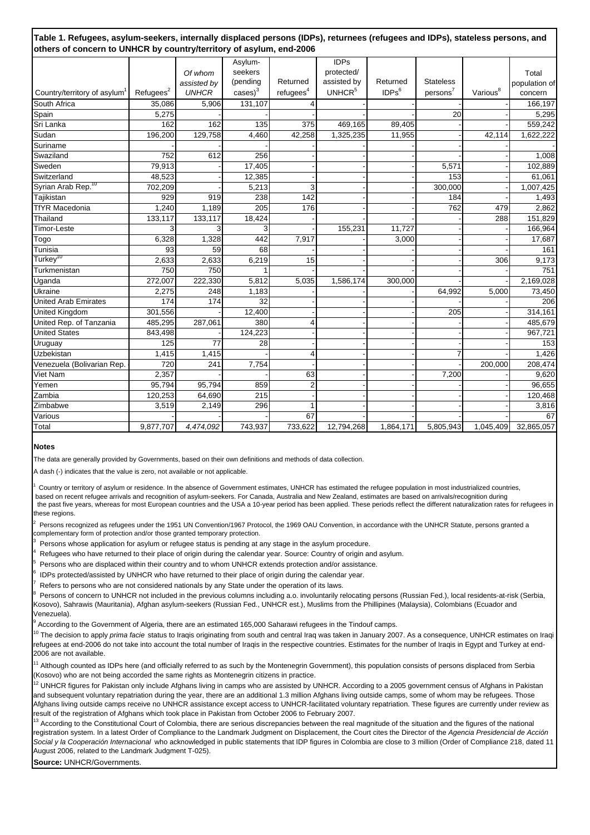|  | Table 1. Refugees, asylum-seekers, internally displaced persons (IDPs), returnees (refugees and IDPs), stateless persons, and |  |  |  |
|--|-------------------------------------------------------------------------------------------------------------------------------|--|--|--|
|  | others of concern to UNHCR by country/territory of asylum, end-2006                                                           |  |  |  |

|                                          |                      |              | Asylum-              |                       | <b>IDPs</b>        |                   |                  |                      |               |
|------------------------------------------|----------------------|--------------|----------------------|-----------------------|--------------------|-------------------|------------------|----------------------|---------------|
|                                          |                      | Of whom      | seekers              |                       | protected/         |                   |                  |                      | Total         |
|                                          |                      | assisted by  | (pending             | Returned              | assisted by        | Returned          | <b>Stateless</b> |                      | population of |
| Country/territory of asylum <sup>1</sup> | Refuges <sup>2</sup> | <b>UNHCR</b> | $cases$ <sup>3</sup> | refugees <sup>4</sup> | UNHCR <sup>5</sup> | IDPs <sup>6</sup> | $persons^7$      | Various <sup>8</sup> | concern       |
| South Africa                             | 35,086               | 5,906        | 131,107              |                       |                    |                   |                  |                      | 166,197       |
| Spain                                    | 5,275                |              |                      |                       |                    |                   | 20               |                      | 5,295         |
| Sri Lanka                                | 162                  | 162          | 135                  | 375                   | 469,165            | 89,405            |                  |                      | 559,242       |
| Sudan                                    | 196,200              | 129,758      | 4,460                | 42,258                | 1,325,235          | 11,955            |                  | 42,114               | 1,622,222     |
| Suriname                                 |                      |              |                      |                       |                    |                   |                  |                      |               |
| Swaziland                                | 752                  | 612          | 256                  |                       |                    |                   |                  |                      | 1,008         |
| Sweden                                   | 79,913               |              | 17,405               |                       |                    |                   | 5,571            |                      | 102,889       |
| Switzerland                              | 48,523               |              | 12,385               |                       |                    |                   | 153              |                      | 61,061        |
| Syrian Arab Rep. <sup>10</sup>           | 702,209              |              | 5,213                | 3                     |                    |                   | 300,000          |                      | 1,007,425     |
| Tajikistan                               | 929                  | 919          | 238                  | 142                   |                    |                   | 184              |                      | 1,493         |
| <b>TfYR Macedonia</b>                    | 1,240                | 1,189        | 205                  | 176                   |                    |                   | 762              | 479                  | 2,862         |
| Thailand                                 | 133,117              | 133,117      | 18,424               |                       |                    |                   |                  | 288                  | 151,829       |
| <b>Timor-Leste</b>                       | 3                    | 3            | 3                    |                       | 155,231            | 11,727            |                  |                      | 166,964       |
| Togo                                     | 6,328                | 1,328        | 442                  | 7,917                 |                    | 3,000             |                  |                      | 17,687        |
| Tunisia                                  | 93                   | 59           | 68                   |                       |                    |                   |                  |                      | 161           |
| Turkey <sup>10</sup>                     | 2,633                | 2,633        | 6,219                | 15                    |                    |                   |                  | 306                  | 9,173         |
| Turkmenistan                             | 750                  | 750          |                      |                       |                    |                   |                  |                      | 751           |
| Uganda                                   | 272,007              | 222,330      | 5,812                | 5,035                 | 1,586,174          | 300,000           |                  |                      | 2,169,028     |
| Ukraine                                  | 2,275                | 248          | 1,183                |                       |                    |                   | 64,992           | 5,000                | 73,450        |
| <b>United Arab Emirates</b>              | 174                  | 174          | 32                   |                       |                    |                   |                  |                      | 206           |
| <b>United Kingdom</b>                    | 301,556              |              | 12,400               |                       |                    |                   | 205              |                      | 314,161       |
| United Rep. of Tanzania                  | 485,295              | 287,061      | 380                  |                       |                    |                   |                  |                      | 485,679       |
| <b>United States</b>                     | 843,498              |              | 124,223              |                       |                    |                   |                  |                      | 967,721       |
| Uruguay                                  | 125                  | 77           | 28                   |                       |                    |                   |                  |                      | 153           |
| Uzbekistan                               | 1,415                | 1,415        |                      |                       |                    |                   |                  |                      | 1,426         |
| Venezuela (Bolivarian Rep.               | 720                  | 241          | 7,754                |                       |                    |                   |                  | 200,000              | 208,474       |
| Viet Nam                                 | 2,357                |              |                      | 63                    |                    |                   | 7,200            |                      | 9,620         |
| Yemen                                    | 95,794               | 95,794       | 859                  | $\overline{2}$        |                    |                   |                  |                      | 96,655        |
| Zambia                                   | 120,253              | 64,690       | 215                  |                       |                    |                   |                  |                      | 120,468       |
| Zimbabwe                                 | 3,519                | 2,149        | 296                  |                       |                    |                   |                  |                      | 3,816         |
| Various                                  |                      |              |                      | 67                    |                    |                   |                  |                      | 67            |
| Total                                    | 9,877,707            | 4,474,092    | 743,937              | 733,622               | 12,794,268         | 1,864,171         | 5,805,943        | 1,045,409            | 32,865,057    |
|                                          |                      |              |                      |                       |                    |                   |                  |                      |               |

#### **Notes**

The data are generally provided by Governments, based on their own definitions and methods of data collection.

A dash (-) indicates that the value is zero, not available or not applicable.

Country or territory of asylum or residence. In the absence of Government estimates, UNHCR has estimated the refugee population in most industrialized countries, based on recent refugee arrivals and recognition of asylum-seekers. For Canada, Australia and New Zealand, estimates are based on arrivals/recognition during the past five years, whereas for most European countries and the USA a 10-year period has been applied. These periods reflect the different naturalization rates for refugees in these regions.

2 Persons recognized as refugees under the 1951 UN Convention/1967 Protocol, the 1969 OAU Convention, in accordance with the UNHCR Statute, persons granted a complementary form of protection and/or those granted temporary protection.

3 Persons whose application for asylum or refugee status is pending at any stage in the asylum procedure.

4 Refugees who have returned to their place of origin during the calendar year. Source: Country of origin and asylum.

5 Persons who are displaced within their country and to whom UNHCR extends protection and/or assistance.

6 IDPs protected/assisted by UNHCR who have returned to their place of origin during the calendar year.

7 Refers to persons who are not considered nationals by any State under the operation of its laws.

8 Persons of concern to UNHCR not included in the previous columns including a.o. involuntarily relocating persons (Russian Fed.), local residents-at-risk (Serbia, Kosovo), Sahrawis (Mauritania), Afghan asylum-seekers (Russian Fed., UNHCR est.), Muslims from the Phillipines (Malaysia), Colombians (Ecuador and Venezuela).

9 According to the Government of Algeria, there are an estimated 165,000 Saharawi refugees in the Tindouf camps.

<sup>10</sup> The decision to apply *prima facie* status to Iraqis originating from south and central Iraq was taken in January 2007. As a consequence, UNHCR estimates on Iraqi refugees at end-2006 do not take into account the total number of Iraqis in the respective countries. Estimates for the number of Iraqis in Egypt and Turkey at end-2006 are not available.

 $11$  Although counted as IDPs here (and officially referred to as such by the Montenegrin Government), this population consists of persons displaced from Serbia (Kosovo) who are not being accorded the same rights as Montenegrin citizens in practice.

 $^{12}$  UNHCR figures for Pakistan only include Afghans living in camps who are assisted by UNHCR. According to a 2005 government census of Afghans in Pakistan and subsequent voluntary repatriation during the year, there are an additional 1.3 million Afghans living outside camps, some of whom may be refugees. Those Afghans living outside camps receive no UNHCR assistance except access to UNHCR-facilitated voluntary repatriation. These figures are currently under review as result of the registration of Afghans which took place in Pakistan from October 2006 to February 2007.

13 According to the Constitutional Court of Colombia, there are serious discrepancies between the real magnitude of the situation and the figures of the national registration system. In a latest Order of Compliance to the Landmark Judgment on Displacement, the Court cites the Director of the *Agencia Presidencial de Acción Social y la Cooperación Internacional* who acknowledged in public statements that IDP figures in Colombia are close to 3 million (Order of Compliance 218, dated 11 August 2006, related to the Landmark Judgment T-025).

**Source:** UNHCR/Governments.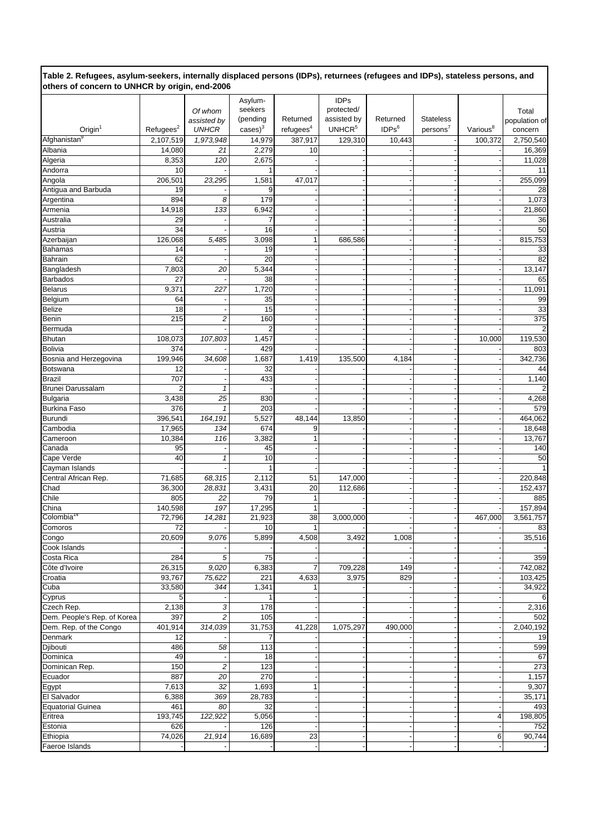**Table 2. Refugees, asylum-seekers, internally displaced persons (IDPs), returnees (refugees and IDPs), stateless persons, and others of concern to UNHCR by origin, end-2006**

|                             |                      |                         | Asylum-              |                       | <b>IDPs</b>        |                   |                      |                      |               |
|-----------------------------|----------------------|-------------------------|----------------------|-----------------------|--------------------|-------------------|----------------------|----------------------|---------------|
|                             |                      | Of whom                 | seekers              |                       | protected/         |                   |                      |                      | Total         |
|                             |                      | assisted by             | (pending             | Returned              | assisted by        | Returned          | <b>Stateless</b>     |                      | population of |
| $O$ rigin <sup>1</sup>      | Refuges <sup>2</sup> | <b>UNHCR</b>            | $cases$ <sup>3</sup> | refugees <sup>4</sup> | UNHCR <sup>5</sup> | IDPs <sup>6</sup> | persons <sup>7</sup> | Various <sup>8</sup> | concern       |
| Afghanistan <sup>9</sup>    | 2,107,519            | 1,973,948               | 14,979               | 387,917               | 129,310            | 10,443            |                      | 100,372              | 2,750,540     |
| Albania                     | 14,080               | 21                      | 2,279                | 10                    |                    |                   |                      |                      | 16,369        |
| Algeria                     | 8,353                | 120                     | 2,675                |                       |                    |                   |                      |                      | 11,028        |
| Andorra                     | 10                   |                         |                      |                       |                    |                   |                      |                      | 11            |
|                             |                      |                         |                      |                       |                    |                   |                      |                      |               |
| Angola                      | 206,501              | 23,295                  | 1,581                | 47,017                |                    |                   |                      |                      | 255,099       |
| Antigua and Barbuda         | 19                   |                         | 9                    |                       |                    |                   |                      |                      | 28            |
| Argentina                   | 894                  | 8                       | 179                  |                       |                    |                   |                      |                      | 1,073         |
| Armenia                     | 14,918               | 133                     | 6,942                |                       |                    |                   |                      |                      | 21,860        |
| Australia                   | 29                   |                         | 7                    |                       |                    |                   |                      |                      | 36            |
| Austria                     | 34                   |                         | 16                   |                       |                    |                   |                      |                      | 50            |
| Azerbaijan                  | 126,068              | 5,485                   | 3,098                |                       | 686,586            |                   |                      |                      | 815,753       |
| <b>Bahamas</b>              | 14                   |                         | 19                   |                       |                    |                   |                      |                      | 33            |
| Bahrain                     | 62                   |                         | 20                   |                       |                    |                   |                      |                      | 82            |
| Bangladesh                  | 7,803                | 20                      | 5,344                |                       |                    |                   |                      |                      | 13,147        |
| <b>Barbados</b>             | 27                   |                         | 38                   |                       |                    |                   |                      |                      | 65            |
|                             |                      |                         |                      |                       |                    |                   |                      |                      |               |
| <b>Belarus</b>              | 9,371                | 227                     | 1,720                |                       |                    |                   |                      |                      | 11,091        |
| Belgium                     | 64                   |                         | 35                   |                       |                    |                   |                      |                      | 99            |
| <b>Belize</b>               | 18                   |                         | 15                   |                       |                    |                   |                      |                      | 33            |
| Benin                       | 215                  | 2                       | 160                  |                       |                    |                   |                      |                      | 375           |
| Bermuda                     |                      |                         | $\overline{2}$       |                       |                    |                   |                      |                      | 2             |
| <b>Bhutan</b>               | 108,073              | 107,803                 | 1,457                |                       |                    |                   |                      | 10,000               | 119,530       |
| <b>Bolivia</b>              | 374                  |                         | 429                  |                       |                    |                   |                      |                      | 803           |
| Bosnia and Herzegovina      | 199,946              | 34,608                  | 1,687                | 1,419                 | 135,500            | 4,184             |                      |                      | 342,736       |
| Botswana                    | 12                   |                         | 32                   |                       |                    |                   |                      |                      | 44            |
| <b>Brazil</b>               | 707                  |                         | 433                  |                       |                    |                   |                      |                      | 1,140         |
|                             |                      |                         |                      |                       |                    |                   |                      |                      |               |
| Brunei Darussalam           | $\overline{2}$       | 1                       |                      |                       |                    |                   |                      |                      | 2             |
| <b>Bulgaria</b>             | 3,438                | 25                      | 830                  |                       |                    |                   |                      |                      | 4,268         |
| <b>Burkina Faso</b>         | 376                  | $\mathbf{1}$            | 203                  |                       |                    |                   |                      |                      | 579           |
| Burundi                     | 396,541              | 164,191                 | 5,527                | 48,144                | 13,850             |                   |                      |                      | 464,062       |
| Cambodia                    | 17,965               | 134                     | 674                  | 9                     |                    |                   |                      |                      | 18,648        |
| Cameroon                    | 10,384               | 116                     | 3,382                |                       |                    |                   |                      |                      | 13,767        |
| Canada                      | 95                   |                         | 45                   |                       |                    |                   |                      |                      | 140           |
| Cape Verde                  | 40                   | $\mathbf{1}$            | 10                   |                       |                    |                   |                      |                      | 50            |
| Cayman Islands              |                      |                         |                      |                       |                    |                   |                      |                      |               |
| Central African Rep.        | 71.685               | 68,315                  | 2,112                | 51                    | 147,000            |                   |                      |                      | 220,848       |
|                             | 36,300               | 28,831                  |                      | 20                    | 112,686            |                   |                      |                      |               |
| Chad<br>Chile               |                      |                         | 3,431                | $\mathbf{1}$          |                    |                   |                      |                      | 152,437       |
|                             | 805                  | 22                      | 79                   |                       |                    |                   |                      |                      | 885           |
| China                       | 140,598              | 197                     | 17,295               | $\mathbf{1}$          |                    |                   |                      |                      | 157,894       |
| Colombia <sup>14</sup>      | 72,796               | 14,281                  | 21,923               | 38                    | 3,000,000          |                   |                      | 467,000              | 3,561,757     |
| Comoros                     | 72                   |                         | 10                   | $\mathbf{1}$          |                    |                   |                      |                      | 83            |
| Congo                       | 20,609               | 9,076                   | 5,899                | 4,508                 | 3,492              | 1,008             |                      |                      | 35,516        |
| Cook Islands                |                      |                         |                      |                       |                    |                   |                      |                      |               |
| Costa Rica                  | 284                  | 5                       | 75                   |                       |                    |                   |                      |                      | 359           |
| Côte d'Ivoire               | 26,315               | 9,020                   | 6,383                | 7                     | 709,228            | 149               |                      |                      | 742,082       |
| Croatia                     | 93,767               | 75,622                  | 221                  | 4,633                 | 3,975              | 829               |                      |                      | 103,425       |
| Cuba                        | 33,580               | 344                     | 1,341                |                       |                    |                   |                      |                      | 34,922        |
|                             |                      |                         |                      |                       |                    |                   |                      |                      |               |
| Cyprus                      | 5                    |                         |                      |                       |                    |                   |                      |                      | 6             |
| Czech Rep.                  | 2,138                | 3                       | 178                  |                       |                    |                   |                      |                      | 2,316         |
| Dem. People's Rep. of Korea | 397                  | $\overline{c}$          | 105                  |                       |                    |                   |                      |                      | 502           |
| Dem. Rep. of the Congo      | 401,914              | 314,039                 | 31,753               | 41,228                | 1,075,297          | 490,000           |                      |                      | 2,040,192     |
| Denmark                     | 12                   |                         |                      |                       |                    |                   |                      |                      | 19            |
| Djibouti                    | 486                  | 58                      | 113                  |                       |                    |                   |                      |                      | 599           |
| Dominica                    | 49                   |                         | 18                   |                       |                    |                   |                      |                      | 67            |
| Dominican Rep.              | 150                  | $\overline{\mathbf{c}}$ | 123                  |                       |                    |                   |                      |                      | 273           |
| Ecuador                     | 887                  | 20                      | 270                  |                       |                    |                   |                      |                      | 1,157         |
| Egypt                       | 7,613                | 32                      | 1,693                | 1                     |                    |                   |                      |                      | 9,307         |
| El Salvador                 | 6,388                | 369                     | 28,783               |                       |                    |                   |                      |                      |               |
|                             |                      |                         |                      |                       |                    |                   |                      |                      | 35,171        |
| <b>Equatorial Guinea</b>    | 461                  | 80                      | 32                   |                       |                    |                   |                      |                      | 493           |
| Eritrea                     | 193,745              | 122,922                 | 5,056                |                       |                    |                   |                      | 4                    | 198,805       |
| Estonia                     | 626                  |                         | 126                  |                       |                    |                   |                      |                      | 752           |
| Ethiopia                    | 74,026               | 21,914                  | 16,689               | 23                    |                    |                   |                      | 6                    | 90,744        |
| Faeroe Islands              |                      |                         |                      |                       |                    |                   |                      |                      |               |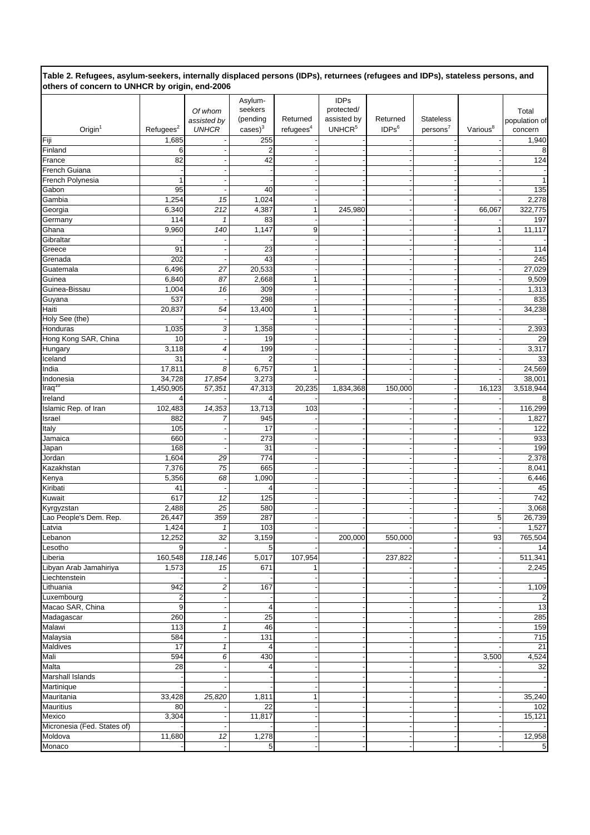|                                                | Table 2. Refugees, asylum-seekers, internally displaced persons (IDPs), returnees (refugees and IDPs), stateless persons, and |  |
|------------------------------------------------|-------------------------------------------------------------------------------------------------------------------------------|--|
| others of concern to UNHCR by origin, end-2006 |                                                                                                                               |  |

|                             |                         |                      | Asylum-              |                       | <b>IDPs</b>        |                   |                  |                      |                 |
|-----------------------------|-------------------------|----------------------|----------------------|-----------------------|--------------------|-------------------|------------------|----------------------|-----------------|
|                             |                         |                      | seekers              |                       | protected/         |                   |                  |                      |                 |
|                             |                         | Of whom              |                      |                       |                    | Returned          |                  |                      | Total           |
|                             |                         | assisted by          | (pending             | Returned              | assisted by        |                   | <b>Stateless</b> |                      | population of   |
| $O$ rigin $1$               | Refuges <sup>2</sup>    | <b>UNHCR</b>         | $cases$ <sup>3</sup> | refugees <sup>4</sup> | UNHCR <sup>5</sup> | IDPs <sup>6</sup> | $persons^7$      | Various <sup>8</sup> | concern         |
| Fiji                        | 1,685                   |                      | 255                  |                       |                    |                   |                  |                      | 1,940           |
| Finland                     | 6                       |                      | $\overline{2}$       |                       |                    |                   |                  |                      | 8               |
|                             |                         |                      |                      |                       |                    |                   |                  |                      |                 |
| France                      | 82                      |                      | 42                   |                       |                    |                   |                  |                      | 124             |
| French Guiana               |                         |                      |                      |                       |                    |                   |                  |                      |                 |
| French Polynesia            | 1                       |                      |                      |                       |                    |                   |                  |                      | 1               |
| Gabon                       | 95                      |                      | 40                   |                       |                    |                   |                  |                      | 135             |
|                             |                         |                      |                      |                       |                    |                   |                  |                      |                 |
| Gambia                      | 1,254                   | 15                   | 1,024                |                       |                    |                   |                  |                      | 2,278           |
| Georgia                     | 6,340                   | 212                  | 4,387                |                       | 245,980            |                   |                  | 66,067               | 322,775         |
| Germany                     | 114                     | $\mathbf{1}$         | 83                   |                       |                    |                   |                  |                      | 197             |
| Ghana                       | 9,960                   | 140                  | 1,147                | 9                     |                    |                   |                  | 1                    | 11,117          |
|                             |                         |                      |                      |                       |                    |                   |                  |                      |                 |
| Gibraltar                   |                         |                      |                      |                       |                    |                   |                  |                      |                 |
| Greece                      | 91                      |                      | 23                   |                       |                    |                   |                  |                      | 114             |
| Grenada                     | 202                     |                      | 43                   |                       |                    |                   |                  |                      | 245             |
| Guatemala                   | 6,496                   | 27                   | 20,533               |                       |                    |                   |                  |                      | 27,029          |
| Guinea                      | 6,840                   | 87                   | 2,668                |                       |                    |                   |                  |                      | 9,509           |
|                             |                         |                      |                      |                       |                    |                   |                  |                      |                 |
| Guinea-Bissau               | 1,004                   | 16                   | 309                  |                       |                    |                   |                  |                      | 1,313           |
| Guyana                      | 537                     |                      | 298                  |                       |                    |                   |                  |                      | 835             |
| Haiti                       | 20,837                  | 54                   | 13,400               |                       |                    |                   |                  |                      | 34,238          |
| Holy See (the)              |                         |                      |                      |                       |                    |                   |                  |                      |                 |
| Honduras                    | 1,035                   |                      |                      |                       |                    |                   |                  |                      |                 |
|                             |                         | 3                    | 1,358                |                       |                    |                   |                  |                      | 2,393           |
| Hong Kong SAR, China        | 10                      |                      | 19                   |                       |                    |                   |                  |                      | 29              |
| Hungary                     | 3,118                   | 4                    | 199                  |                       |                    |                   |                  |                      | 3,317           |
| Iceland                     | 31                      |                      | $\overline{2}$       |                       |                    |                   |                  |                      | 33              |
| India                       | 17,811                  | 8                    | 6,757                |                       |                    |                   |                  |                      | 24,569          |
|                             |                         |                      |                      |                       |                    |                   |                  |                      |                 |
| Indonesia                   | 34,728                  | 17,854               | 3,273                |                       |                    |                   |                  |                      | 38,001          |
| Iraq <sup>10</sup>          | 1,450,905               | 57,351               | 47,313               | 20,235                | 1,834,368          | 150,000           |                  | 16,123               | 3,518,944       |
| Ireland                     | 4                       |                      |                      |                       |                    |                   |                  |                      | 8               |
| Islamic Rep. of Iran        | 102,483                 | 14,353               | 13,713               | 103                   |                    |                   |                  |                      | 116,299         |
|                             |                         |                      |                      |                       |                    |                   |                  |                      |                 |
| Israel                      | 882                     | 7                    | 945                  |                       |                    |                   |                  |                      | 1,827           |
| Italy                       | 105                     |                      | 17                   |                       |                    |                   |                  |                      | 122             |
| Jamaica                     | 660                     |                      | 273                  |                       |                    |                   |                  |                      | 933             |
| Japan                       | 168                     |                      | 31                   |                       |                    |                   |                  |                      | 199             |
| Jordan                      | 1,604                   | 29                   | 774                  |                       |                    |                   |                  |                      | 2,378           |
|                             |                         |                      |                      |                       |                    |                   |                  |                      |                 |
| Kazakhstan                  | 7,376                   | 75                   | 665                  |                       |                    |                   |                  |                      | 8,041           |
| Kenya                       | 5,356                   | 68                   | 1,090                |                       |                    |                   |                  |                      | 6,446           |
| Kiribati                    | 41                      |                      |                      |                       |                    |                   |                  |                      | 45              |
| Kuwait                      | 617                     | 12                   | 125                  |                       |                    |                   |                  |                      | 742             |
|                             |                         |                      |                      |                       |                    |                   |                  |                      |                 |
| Kyrgyzstan                  | 2,488                   | 25                   | 580                  |                       |                    |                   |                  |                      | 3,068           |
| Lao People's Dem. Rep.      | 26,447                  | 359                  | 287                  |                       |                    |                   |                  | 5                    | 26,739          |
| Latvia                      | 1,424                   | 1                    | 103                  |                       |                    |                   |                  |                      | 1,527           |
| Lebanon                     | 12,252                  | 32                   | 3,159                |                       | 200,000            | 550,000           |                  | 93                   | 765,504         |
| Lesotho                     | 9                       |                      | 5                    |                       |                    |                   |                  |                      | 14              |
|                             |                         |                      |                      |                       |                    |                   |                  |                      |                 |
| Liberia                     | 160,548                 | $\overline{118,146}$ | 5,017                | 107,954               |                    | 237,822           |                  |                      | 511,341         |
| Libyan Arab Jamahiriya      | 1,573                   | 15                   | 671                  |                       |                    |                   |                  |                      | 2,245           |
| Liechtenstein               |                         |                      |                      |                       |                    |                   |                  |                      |                 |
| Lithuania                   | 942                     | 2                    | 167                  |                       |                    |                   |                  |                      | 1,109           |
|                             |                         |                      |                      |                       |                    |                   |                  |                      |                 |
| Luxembourg                  | $\overline{\mathbf{c}}$ |                      |                      |                       |                    |                   |                  |                      | 2               |
| Macao SAR, China            | $\overline{9}$          |                      | $\overline{4}$       |                       |                    |                   |                  |                      | 13              |
| Madagascar                  | 260                     |                      | 25                   |                       |                    |                   |                  |                      | 285             |
| Malawi                      | 113                     | 1                    | 46                   |                       |                    |                   |                  |                      | 159             |
|                             | 584                     |                      |                      |                       |                    |                   |                  |                      |                 |
| Malaysia                    |                         |                      | 131                  |                       |                    |                   |                  |                      | 715             |
| Maldives                    | 17                      | 1                    |                      |                       |                    |                   |                  |                      | $\overline{21}$ |
| Mali                        | 594                     | 6                    | 430                  |                       |                    |                   |                  | 3,500                | 4,524           |
| Malta                       | 28                      |                      |                      |                       |                    |                   |                  |                      | 32              |
| Marshall Islands            |                         |                      |                      |                       |                    |                   |                  |                      |                 |
|                             |                         |                      |                      |                       |                    |                   |                  |                      |                 |
| Martinique                  |                         |                      |                      |                       |                    |                   |                  |                      |                 |
| Mauritania                  | 33,428                  | 25,820               | 1,811                |                       |                    |                   |                  |                      | 35,240          |
| Mauritius                   | 80                      |                      | 22                   |                       |                    |                   |                  |                      | 102             |
| Mexico                      | 3,304                   |                      | 11,817               |                       |                    |                   |                  |                      | 15,121          |
| Micronesia (Fed. States of) |                         |                      |                      |                       |                    |                   |                  |                      |                 |
|                             |                         |                      |                      |                       |                    |                   |                  |                      |                 |
| Moldova                     | 11,680                  | 12                   | 1,278                |                       |                    |                   |                  |                      | 12,958          |
| Monaco                      |                         |                      | 5                    |                       |                    |                   |                  |                      | $5\vert$        |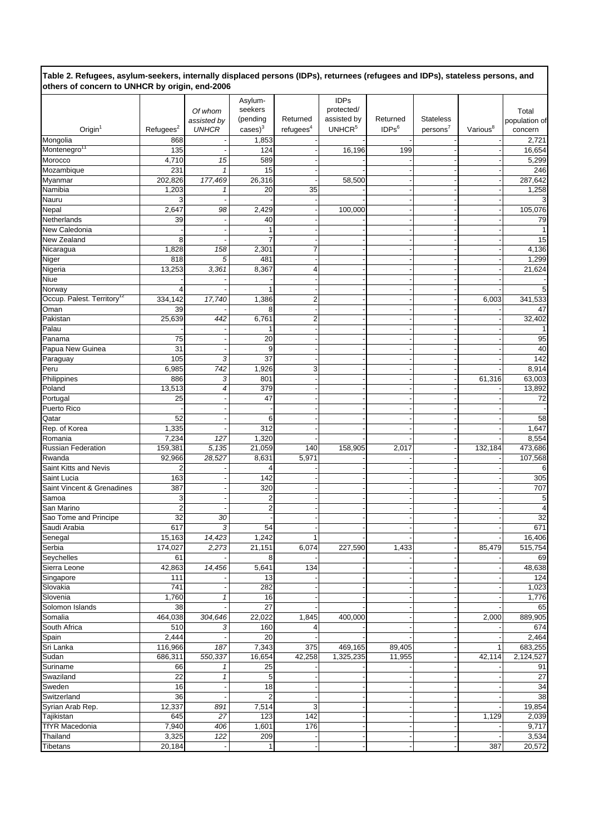|                                                | Table 2. Refugees, asylum-seekers, internally displaced persons (IDPs), returnees (refugees and IDPs), stateless persons, and |  |  |
|------------------------------------------------|-------------------------------------------------------------------------------------------------------------------------------|--|--|
| others of concern to UNHCR by origin, end-2006 |                                                                                                                               |  |  |

|                                        |                      |                         | Asylum-              |                      | <b>IDPs</b>        |                   |                      |                      |               |
|----------------------------------------|----------------------|-------------------------|----------------------|----------------------|--------------------|-------------------|----------------------|----------------------|---------------|
|                                        |                      | Of whom                 | seekers              |                      | protected/         |                   |                      |                      | Total         |
|                                        |                      | assisted by             | (pending             | Returned             | assisted by        | Returned          | <b>Stateless</b>     |                      | population of |
| $O$ rigin $1$                          | Refuges <sup>2</sup> | <b>UNHCR</b>            | $cases$ <sup>3</sup> | refuges <sup>4</sup> | UNHCR <sup>5</sup> | IDPs <sup>6</sup> | persons <sup>7</sup> | Various <sup>8</sup> | concern       |
| Mongolia                               | 868                  |                         | 1,853                |                      |                    |                   |                      |                      | 2,721         |
| Montenegro <sup>11</sup>               | 135                  |                         | 124                  |                      | 16,196             | 199               |                      |                      | 16,654        |
| Morocco                                | 4,710                | 15                      | 589                  |                      |                    |                   |                      |                      | 5,299         |
| Mozambique                             | 231                  | $\mathbf{1}$            | 15                   |                      |                    |                   |                      |                      | 246           |
| Myanmar                                | 202,826              | 177,469                 | 26,316               |                      | 58,500             |                   |                      |                      | 287,642       |
| Namibia                                | 1,203                | 1                       | 20                   | 35                   |                    |                   |                      |                      | 1,258         |
| Nauru                                  | 3                    |                         |                      |                      |                    |                   |                      |                      | 3             |
| Nepal                                  | 2,647                | 98                      | 2,429                |                      | 100,000            |                   |                      |                      | 105,076       |
|                                        | 39                   |                         | 40                   |                      |                    |                   |                      |                      | 79            |
| Netherlands                            |                      |                         |                      |                      |                    |                   |                      |                      |               |
| New Caledonia                          |                      |                         |                      |                      |                    |                   |                      |                      | $\mathbf{1}$  |
| New Zealand                            | 8                    |                         | 7                    |                      |                    |                   |                      |                      | 15            |
| Nicaragua                              | 1,828                | 158                     | 2,301                | 7                    |                    |                   |                      |                      | 4,136         |
| Niger                                  | 818                  | 5                       | 481                  |                      |                    |                   |                      |                      | 1,299         |
| Nigeria                                | 13,253               | 3,361                   | 8,367                | 4                    |                    |                   |                      |                      | 21,624        |
| <b>Niue</b>                            |                      |                         |                      |                      |                    |                   |                      |                      |               |
| Norway                                 | 4                    |                         |                      |                      |                    |                   |                      |                      | 5             |
| Occup. Palest. Territory <sup>12</sup> | 334,142              | 17,740                  | 1,386                | $\overline{2}$       |                    |                   |                      | 6,003                | 341,533       |
| Oman                                   | 39                   |                         | 8                    |                      |                    |                   |                      |                      | 47            |
| Pakistan                               | 25,639               | 442                     | 6,761                | 2                    |                    |                   |                      |                      | 32,402        |
| Palau                                  |                      |                         |                      |                      |                    |                   |                      |                      |               |
| Panama                                 | 75                   |                         | 20                   |                      |                    |                   |                      |                      | 95            |
| Papua New Guinea                       | 31                   |                         | 9                    |                      |                    |                   |                      |                      | 40            |
| Paraguay                               | 105                  | 3                       | 37                   |                      |                    |                   |                      |                      | 142           |
| Peru                                   | 6,985                | 742                     | 1,926                | 3                    |                    |                   |                      |                      | 8,914         |
|                                        |                      |                         |                      |                      |                    |                   |                      |                      |               |
| Philippines                            | 886                  | 3                       | 801                  |                      |                    |                   |                      | 61,316               | 63,003        |
| Poland                                 | 13,513               | 4                       | 379                  |                      |                    |                   |                      |                      | 13,892        |
| Portugal                               | 25                   |                         | 47                   |                      |                    |                   |                      |                      | 72            |
| Puerto Rico                            |                      |                         |                      |                      |                    |                   |                      |                      |               |
| Qatar                                  | 52                   |                         | 6                    |                      |                    |                   |                      |                      | 58            |
| Rep. of Korea                          | 1,335                |                         | 312                  |                      |                    |                   |                      |                      | 1,647         |
| Romania                                | 7,234                | 127                     | 1,320                |                      |                    |                   |                      |                      | 8,554         |
| <b>Russian Federation</b>              | 159,381              | 5,135                   | 21,059               | 140                  | 158,905            | 2,017             |                      | 132,184              | 473,686       |
| Rwanda                                 | 92,966               | 28,527                  | 8,631                | 5,971                |                    |                   |                      |                      | 107,568       |
| Saint Kitts and Nevis                  | $\overline{2}$       |                         | 4                    |                      |                    |                   |                      |                      | 6             |
| Saint Lucia                            | 163                  |                         | 142                  |                      |                    |                   |                      |                      | 305           |
| Saint Vincent & Grenadines             | 387                  |                         | 320                  |                      |                    |                   |                      |                      | 707           |
| Samoa                                  | 3                    |                         | 2                    |                      |                    |                   |                      |                      | 5             |
| San Marino                             | $\overline{c}$       |                         | $\overline{2}$       |                      |                    |                   |                      |                      | 4             |
| Sao Tome and Principe                  | 32                   | 30                      |                      |                      |                    |                   |                      |                      | 32            |
| Saudi Arabia                           |                      |                         |                      |                      |                    |                   |                      |                      |               |
|                                        | 617                  | 3                       | 54                   |                      |                    |                   |                      |                      | 671           |
| Senegal                                | 15,163               | 14,423                  | 1,242                | 1                    |                    |                   |                      |                      | 16,406        |
| Serbia                                 | 174,027              | 2,273                   | 21,151               | 6,074                | 227,590            | 1,433             |                      | 85,479               | 515,754       |
| Seychelles                             | 61                   |                         | 8                    |                      |                    |                   |                      |                      | 69            |
| Sierra Leone                           | 42,863               | 14,456                  | 5,641                | 134                  |                    |                   |                      |                      | 48,638        |
| Singapore                              | 111                  |                         | 13                   |                      |                    |                   |                      |                      | 124           |
| Slovakia                               | 741                  |                         | 282                  |                      |                    |                   |                      |                      | 1,023         |
| Slovenia                               | 1,760                |                         | 16                   |                      |                    |                   |                      |                      | 1,776         |
| Solomon Islands                        | 38                   |                         | $\overline{27}$      |                      |                    |                   |                      |                      | 65            |
| Somalia                                | 464,038              | 304,646                 | 22,022               | 1,845                | 400,000            |                   |                      | 2,000                | 889,905       |
| South Africa                           | 510                  | 3                       | 160                  | 4                    |                    |                   |                      |                      | 674           |
| Spain                                  | 2,444                |                         | 20                   |                      |                    |                   |                      |                      | 2,464         |
| Sri Lanka                              | 116,966              | 187                     | 7,343                | 375                  | 469,165            | 89,405            |                      |                      | 683,255       |
| Sudan                                  | 686,311              | 550,337                 | 16,654               | 42,258               | 1,325,235          | 11,955            |                      | 42,114               | 2,124,527     |
| Suriname                               | 66                   | $\mathbf{1}$            | 25                   |                      |                    |                   |                      |                      | 91            |
| Swaziland                              | 22                   | $\overline{\mathbf{1}}$ | 5                    |                      |                    |                   |                      |                      | 27            |
|                                        | 16                   |                         |                      |                      |                    |                   |                      |                      |               |
| Sweden                                 | 36                   |                         | 18                   |                      |                    |                   |                      |                      | 34            |
| Switzerland                            |                      |                         | $\overline{2}$       |                      |                    |                   |                      |                      | 38            |
| Syrian Arab Rep.                       | 12,337               | 891                     | 7,514                | 3                    |                    |                   |                      |                      | 19,854        |
| Tajikistan                             | 645                  | 27                      | 123                  | 142                  |                    |                   |                      | 1,129                | 2,039         |
| <b>TfYR</b> Macedonia                  | 7,940                | 406                     | 1,601                | 176                  |                    |                   |                      |                      | 9,717         |
| Thailand                               | 3,325                | 122                     | 209                  |                      |                    |                   |                      |                      | 3,534         |
| Tibetans                               | 20,184               |                         | $\mathbf{1}$         |                      |                    |                   |                      | 387                  | 20,572        |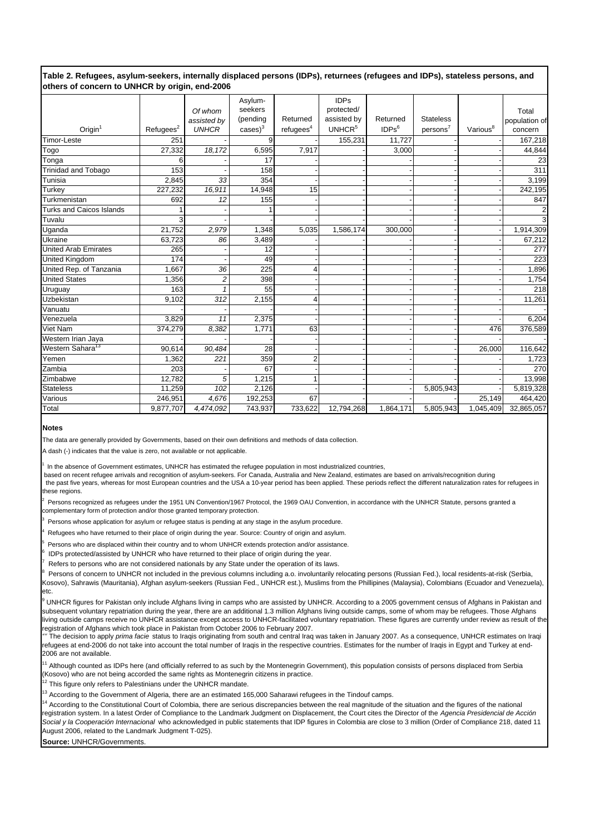#### **Table 2. Refugees, asylum-seekers, internally displaced persons (IDPs), returnees (refugees and IDPs), stateless persons, and others of concern to UNHCR by origin, end-2006**

|                              |                      |              | Asylum-               |                       | <b>IDPs</b>        |                   |                      |                      |                |
|------------------------------|----------------------|--------------|-----------------------|-----------------------|--------------------|-------------------|----------------------|----------------------|----------------|
|                              |                      | Of whom      | seekers               |                       | protected/         |                   |                      |                      | Total          |
|                              |                      | assisted by  | (pending              | Returned              | assisted by        | Returned          | <b>Stateless</b>     |                      | population of  |
| $O$ rigin $1$                | Refuges <sup>2</sup> | <b>UNHCR</b> | $\cases$ <sup>3</sup> | refugees <sup>4</sup> | UNHCR <sup>5</sup> | IDPs <sup>6</sup> | persons <sup>7</sup> | Various <sup>8</sup> | concern        |
| Timor-Leste                  | 251                  |              | 9                     |                       | 155,231            | 11,727            |                      |                      | 167,218        |
| Togo                         | 27,332               | 18,172       | 6,595                 | 7,917                 |                    | 3,000             |                      |                      | 44,844         |
| Tonga                        | 6                    |              | 17                    |                       |                    |                   |                      |                      | 23             |
| <b>Trinidad and Tobago</b>   | 153                  |              | 158                   |                       |                    |                   |                      |                      | 311            |
| Tunisia                      | 2,845                | 33           | 354                   |                       |                    |                   |                      |                      | 3,199          |
| Turkey                       | 227,232              | 16,911       | 14,948                | 15                    |                    |                   |                      |                      | 242,195        |
| Turkmenistan                 | 692                  | 12           | 155                   |                       |                    |                   |                      |                      | 847            |
| Turks and Caicos Islands     |                      |              |                       |                       |                    |                   |                      |                      | $\overline{2}$ |
| Tuvalu                       | 3                    |              |                       |                       |                    |                   |                      |                      | $\overline{3}$ |
| Uganda                       | 21,752               | 2,979        | 1,348                 | 5,035                 | 1,586,174          | 300,000           |                      |                      | 1,914,309      |
| Ukraine                      | 63,723               | 86           | 3,489                 |                       |                    |                   |                      |                      | 67,212         |
| <b>United Arab Emirates</b>  | 265                  |              | 12                    |                       |                    |                   |                      |                      | 277            |
| United Kingdom               | 174                  |              | 49                    |                       |                    |                   |                      |                      | 223            |
| United Rep. of Tanzania      | 1.667                | 36           | 225                   |                       |                    |                   |                      |                      | 1,896          |
| <b>United States</b>         | 1,356                | 2            | 398                   |                       |                    |                   |                      |                      | 1,754          |
| Uruguay                      | 163                  |              | 55                    |                       |                    |                   |                      |                      | 218            |
| Uzbekistan                   | 9,102                | 312          | 2,155                 | 4                     |                    |                   |                      |                      | 11,261         |
| Vanuatu                      |                      |              |                       |                       |                    |                   |                      |                      |                |
| Venezuela                    | 3,829                | 11           | 2,375                 |                       |                    |                   |                      |                      | 6,204          |
| Viet Nam                     | 374,279              | 8,382        | 1,771                 | 63                    |                    |                   |                      | 476                  | 376,589        |
| Western Irian Jaya           |                      |              |                       |                       |                    |                   |                      |                      |                |
| Western Sahara <sup>13</sup> | 90,614               | 90,484       | 28                    |                       |                    |                   |                      | 26,000               | 116,642        |
| Yemen                        | 1,362                | 221          | 359                   |                       |                    |                   |                      |                      | 1,723          |
| Zambia                       | 203                  |              | 67                    |                       |                    |                   |                      |                      | 270            |
| Zimbabwe                     | 12,782               | 5            | 1,215                 |                       |                    |                   |                      |                      | 13,998         |
| <b>Stateless</b>             | 11,259               | 102          | 2,126                 |                       |                    |                   | 5,805,943            |                      | 5,819,328      |
| Various                      | 246,951              | 4,676        | 192,253               | 67                    |                    |                   |                      | 25,149               | 464,420        |
| Total                        | 9,877,707            | 4,474,092    | 743,937               | 733,622               | 12,794,268         | 1,864,171         | 5,805,943            | 1,045,409            | 32,865,057     |

#### **Notes**

The data are generally provided by Governments, based on their own definitions and methods of data collection.

A dash (-) indicates that the value is zero, not available or not applicable.

In the absence of Government estimates, UNHCR has estimated the refugee population in most industrialized countries,

 based on recent refugee arrivals and recognition of asylum-seekers. For Canada, Australia and New Zealand, estimates are based on arrivals/recognition during the past five years, whereas for most European countries and the USA a 10-year period has been applied. These periods reflect the different naturalization rates for refugees in these regions.

2 Persons recognized as refugees under the 1951 UN Convention/1967 Protocol, the 1969 OAU Convention, in accordance with the UNHCR Statute, persons granted a complementary form of protection and/or those granted temporary protection.

3 Persons whose application for asylum or refugee status is pending at any stage in the asylum procedure.

4 Refugees who have returned to their place of origin during the year. Source: Country of origin and asylum.

5 Persons who are displaced within their country and to whom UNHCR extends protection and/or assistance.

6 IDPs protected/assisted by UNHCR who have returned to their place of origin during the year.

7 Refers to persons who are not considered nationals by any State under the operation of its laws.

8 Persons of concern to UNHCR not included in the previous columns including a.o. involuntarily relocating persons (Russian Fed.), local residents-at-risk (Serbia, Kosovo), Sahrawis (Mauritania), Afghan asylum-seekers (Russian Fed., UNHCR est.), Muslims from the Phillipines (Malaysia), Colombians (Ecuador and Venezuela), etc.

<sup>9</sup> UNHCR figures for Pakistan only include Afghans living in camps who are assisted by UNHCR. According to a 2005 government census of Afghans in Pakistan and subsequent voluntary repatriation during the year, there are an additional 1.3 million Afghans living outside camps, some of whom may be refugees. Those Afghans living outside camps receive no UNHCR assistance except access to UNHCR-facilitated voluntary repatriation. These figures are currently under review as result of the registration of Afghans which took place in Pakistan from October 2006 to February 2007.

The decision to apply *prima facie* status to Iraqis originating from south and central Iraq was taken in January 2007. As a consequence, UNHCR estimates on Iraqi refugees at end-2006 do not take into account the total number of Iraqis in the respective countries. Estimates for the number of Iraqis in Egypt and Turkey at end-2006 are not available.

 $^1$  Although counted as IDPs here (and officially referred to as such by the Montenegrin Government), this population consists of persons displaced from Serbia (Kosovo) who are not being accorded the same rights as Montenegrin citizens in practice.

 $\frac{1}{2}$  This figure only refers to Palestinians under the UNHCR mandate.

<sup>13</sup> According to the Government of Algeria, there are an estimated 165,000 Saharawi refugees in the Tindouf camps.

<sup>14</sup> According to the Constitutional Court of Colombia, there are serious discrepancies between the real magnitude of the situation and the figures of the national registration system. In a latest Order of Compliance to the Landmark Judgment on Displacement, the Court cites the Director of the *Agencia Presidencial de Acción Social y la Cooperación Internacional* who acknowledged in public statements that IDP figures in Colombia are close to 3 million (Order of Compliance 218, dated 11 August 2006, related to the Landmark Judgment T-025).

**Source:** UNHCR/Governments.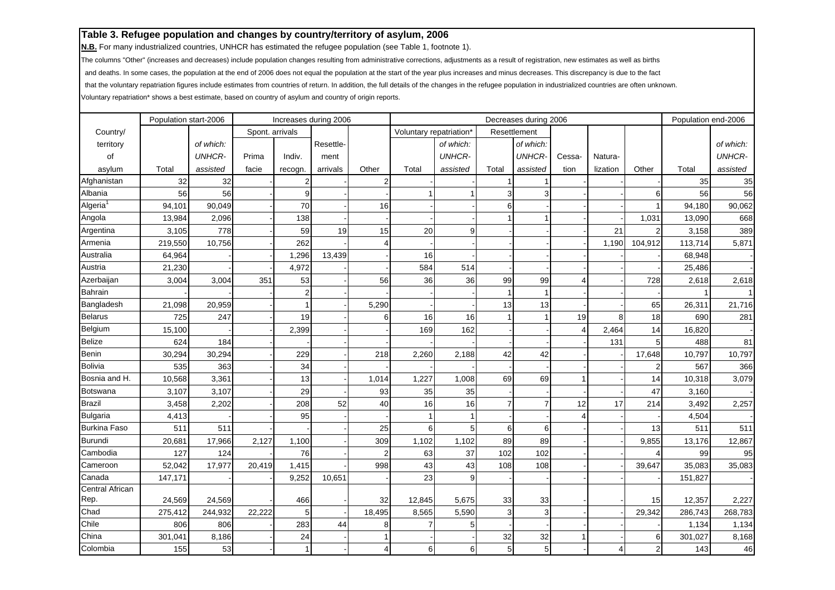**N.B.** For many industrialized countries, UNHCR has estimated the refugee population (see Table 1, footnote 1).

The columns "Other" (increases and decreases) include population changes resulting from administrative corrections, adjustments as a result of registration, new estimates as well as births

and deaths. In some cases, the population at the end of 2006 does not equal the population at the start of the year plus increases and minus decreases. This discrepancy is due to the fact

that the voluntary repatriation figures include estimates from countries of return. In addition, the full details of the changes in the refugee population in industrialized countries are often unknown.

|                      | Population start-2006 |               |                 | Increases during 2006 |           |                | Decreases during 2006   |               |                |               |        |          | Population end-2006     |         |               |
|----------------------|-----------------------|---------------|-----------------|-----------------------|-----------|----------------|-------------------------|---------------|----------------|---------------|--------|----------|-------------------------|---------|---------------|
| Country/             |                       |               | Spont. arrivals |                       |           |                | Voluntary repatriation* |               |                | Resettlement  |        |          |                         |         |               |
| territory            |                       | of which:     |                 |                       | Resettle- |                |                         | of which:     |                | of which:     |        |          |                         |         | of which:     |
| of                   |                       | <b>UNHCR-</b> | Prima           | Indiv.                | ment      |                |                         | <b>UNHCR-</b> |                | <b>UNHCR-</b> | Cessa- | Natura-  |                         |         | <b>UNHCR-</b> |
| asylum               | Total                 | assisted      | facie           | recogn.               | arrivals  | Other          | Total                   | assisted      | Total          | assisted      | tion   | lization | Other                   | Total   | assisted      |
| Afghanistan          | 32                    | 32            |                 | 2                     |           | 2              |                         |               |                |               |        |          |                         | 35      | 35            |
| Albania              | 56                    | 56            |                 | 9                     |           |                |                         |               | 3              | 3             |        |          | 6                       | 56      | 56            |
| Algeria <sup>1</sup> | 94,101                | 90,049        |                 | 70                    |           | 16             |                         |               | 6              |               |        |          |                         | 94,180  | 90,062        |
| Angola               | 13,984                | 2,096         |                 | 138                   |           |                |                         |               |                |               |        |          | 1,031                   | 13,090  | 668           |
| Argentina            | 3,105                 | 778           |                 | 59                    | 19        | 15             | 20                      | 9             |                |               |        | 21       |                         | 3,158   | 389           |
| Armenia              | 219,550               | 10,756        |                 | 262                   |           | 4              |                         |               |                |               |        | 1,190    | 104,912                 | 113,714 | 5,871         |
| Australia            | 64,964                |               |                 | 1,296                 | 13,439    |                | 16                      |               |                |               |        |          |                         | 68,948  |               |
| Austria              | 21,230                |               |                 | 4,972                 |           |                | 584                     | 514           |                |               |        |          |                         | 25,486  |               |
| Azerbaijan           | 3,004                 | 3,004         | 351             | 53                    |           | 56             | 36                      | 36            | 99             | 99            |        |          | 728                     | 2,618   | 2,618         |
| <b>Bahrain</b>       |                       |               |                 | $\overline{2}$        |           |                |                         |               |                |               |        |          |                         |         | $\mathbf{1}$  |
| Bangladesh           | 21,098                | 20,959        |                 |                       |           | 5,290          |                         |               | 13             | 13            |        |          | 65                      | 26,311  | 21,716        |
| <b>Belarus</b>       | 725                   | 247           |                 | 19                    |           | 6              | 16                      | 16            |                |               | 19     | 8        | 18                      | 690     | 281           |
| Belgium              | 15,100                |               |                 | 2,399                 |           |                | 169                     | 162           |                |               |        | 2,464    | 14                      | 16,820  |               |
| <b>Belize</b>        | 624                   | 184           |                 |                       |           |                |                         |               |                |               |        | 131      | 5                       | 488     | 81            |
| Benin                | 30,294                | 30,294        |                 | 229                   |           | 218            | 2,260                   | 2,188         | 42             | 42            |        |          | 17,648                  | 10,797  | 10,797        |
| <b>Bolivia</b>       | 535                   | 363           |                 | 34                    |           |                |                         |               |                |               |        |          |                         | 567     | 366           |
| Bosnia and H.        | 10,568                | 3,361         |                 | 13                    |           | 1,014          | 1,227                   | 1,008         | 69             | 69            |        |          | 14                      | 10,318  | 3,079         |
| Botswana             | 3,107                 | 3,107         |                 | 29                    |           | 93             | 35                      | 35            |                |               |        |          | 47                      | 3,160   |               |
| <b>Brazil</b>        | 3,458                 | 2,202         |                 | 208                   | 52        | 40             | 16                      | 16            | $\overline{7}$ |               | 12     | 17       | 214                     | 3,492   | 2,257         |
| <b>Bulgaria</b>      | 4,413                 |               |                 | 95                    |           |                |                         |               |                |               |        |          |                         | 4,504   |               |
| <b>Burkina Faso</b>  | 511                   | 511           |                 |                       |           | 25             | 6                       | 5             | 6              | 6             |        |          | 13                      | 511     | 511           |
| Burundi              | 20,681                | 17,966        | 2,127           | 1,100                 |           | 309            | 1,102                   | 1,102         | 89             | 89            |        |          | 9,855                   | 13,176  | 12,867        |
| Cambodia             | 127                   | 124           |                 | 76                    |           | $\overline{2}$ | 63                      | 37            | 102            | 102           |        |          |                         | 99      | 95            |
| Cameroon             | 52,042                | 17,977        | 20,419          | 1,415                 |           | 998            | 43                      | 43            | 108            | 108           |        |          | 39,647                  | 35,083  | 35,083        |
| Canada               | 147,171               |               |                 | 9,252                 | 10,651    |                | 23                      | 9             |                |               |        |          |                         | 151,827 |               |
| Central African      |                       |               |                 |                       |           |                |                         |               |                |               |        |          |                         |         |               |
| Rep.                 | 24,569                | 24,569        |                 | 466                   |           | 32             | 12,845                  | 5,675         | 33             | 33            |        |          | 15                      | 12,357  | 2,227         |
| Chad                 | 275,412               | 244,932       | 22,222          | 5                     |           | 18,495         | 8,565                   | 5,590         | 3              | 3             |        |          | 29,342                  | 286,743 | 268,783       |
| Chile                | 806                   | 806           |                 | 283                   | 44        | 8              | 7                       | 5             |                |               |        |          |                         | 1,134   | 1,134         |
| China                | 301,041               | 8,186         |                 | 24                    |           | $\mathbf{1}$   |                         |               | 32             | 32            |        |          | 6                       | 301,027 | 8,168         |
| Colombia             | 155                   | 53            |                 | $\mathbf{1}$          |           | 4              | 6                       | 6             | 5              | 5             |        | 4        | $\overline{\mathbf{c}}$ | 143     | $46\,$        |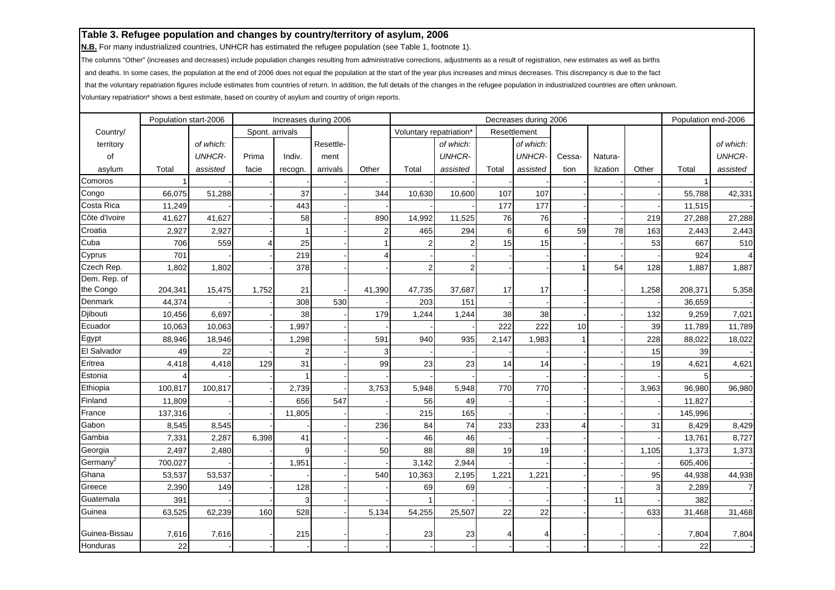**N.B.** For many industrialized countries, UNHCR has estimated the refugee population (see Table 1, footnote 1).

The columns "Other" (increases and decreases) include population changes resulting from administrative corrections, adjustments as a result of registration, new estimates as well as births

and deaths. In some cases, the population at the end of 2006 does not equal the population at the start of the year plus increases and minus decreases. This discrepancy is due to the fact

that the voluntary repatriation figures include estimates from countries of return. In addition, the full details of the changes in the refugee population in industrialized countries are often unknown.

|               | Population start-2006 |               |                 | Increases during 2006 |           |                         | Decreases during 2006   |               |       |               |        |          | Population end-2006 |         |                |
|---------------|-----------------------|---------------|-----------------|-----------------------|-----------|-------------------------|-------------------------|---------------|-------|---------------|--------|----------|---------------------|---------|----------------|
| Country/      |                       |               | Spont. arrivals |                       |           |                         | Voluntary repatriation* |               |       | Resettlement  |        |          |                     |         |                |
| territory     |                       | of which:     |                 |                       | Resettle- |                         |                         | of which:     |       | of which:     |        |          |                     |         | of which:      |
| of            |                       | <b>UNHCR-</b> | Prima           | Indiv.                | ment      |                         |                         | <b>UNHCR-</b> |       | <b>UNHCR-</b> | Cessa- | Natura-  |                     |         | <b>UNHCR-</b>  |
| asylum        | Total                 | assisted      | facie           | recogn.               | arrivals  | Other                   | Total                   | assisted      | Total | assisted      | tion   | lization | Other               | Total   | assisted       |
| Comoros       |                       |               |                 |                       |           |                         |                         |               |       |               |        |          |                     |         |                |
| Congo         | 66,075                | 51,288        |                 | 37                    |           | 344                     | 10,630                  | 10,600        | 107   | 107           |        |          |                     | 55,788  | 42,331         |
| Costa Rica    | 11,249                |               |                 | 443                   |           |                         |                         |               | 177   | 177           |        |          |                     | 11,515  |                |
| Côte d'Ivoire | 41,627                | 41,627        |                 | 58                    |           | 890                     | 14,992                  | 11,525        | 76    | 76            |        |          | 219                 | 27,288  | 27,288         |
| Croatia       | 2,927                 | 2,927         |                 | 1                     |           | $\overline{\mathbf{c}}$ | 465                     | 294           | 6     | 6             | 59     | 78       | 163                 | 2,443   | 2,443          |
| Cuba          | 706                   | 559           |                 | 25                    |           |                         |                         |               | 15    | 15            |        |          | 53                  | 667     | 510            |
| Cyprus        | 701                   |               |                 | 219                   |           | 4                       |                         |               |       |               |        |          |                     | 924     | $\overline{4}$ |
| Czech Rep.    | 1,802                 | 1,802         |                 | 378                   |           |                         | 2                       | 2             |       |               |        | 54       | 128                 | 1,887   | 1,887          |
| Dem. Rep. of  |                       |               |                 |                       |           |                         |                         |               |       |               |        |          |                     |         |                |
| the Congo     | 204,341               | 15,475        | 1,752           | 21                    |           | 41,390                  | 47,735                  | 37,687        | 17    | 17            |        |          | 1,258               | 208,371 | 5,358          |
| Denmark       | 44,374                |               |                 | 308                   | 530       |                         | 203                     | 151           |       |               |        |          |                     | 36,659  |                |
| Djibouti      | 10,456                | 6,697         |                 | 38                    |           | 179                     | 1,244                   | 1,244         | 38    | 38            |        |          | 132                 | 9,259   | 7,021          |
| Ecuador       | 10,063                | 10,063        |                 | 1,997                 |           |                         |                         |               | 222   | 222           | 10     |          | 39                  | 11,789  | 11,789         |
| Egypt         | 88,946                | 18,946        |                 | 1,298                 |           | 591                     | 940                     | 935           | 2,147 | 1,983         |        |          | 228                 | 88,022  | 18,022         |
| El Salvador   | 49                    | 22            |                 | $\overline{2}$        |           | 3                       |                         |               |       |               |        |          | 15                  | 39      |                |
| Eritrea       | 4,418                 | 4,418         | 129             | 31                    |           | 99                      | 23                      | 23            | 14    | 14            |        |          | 19                  | 4,621   | 4,621          |
| Estonia       |                       |               |                 |                       |           |                         |                         |               |       |               |        |          |                     | 5       |                |
| Ethiopia      | 100,817               | 100,817       |                 | 2,739                 |           | 3,753                   | 5,948                   | 5,948         | 770   | 770           |        |          | 3,963               | 96,980  | 96,980         |
| Finland       | 11,809                |               |                 | 656                   | 547       |                         | 56                      | 49            |       |               |        |          |                     | 11,827  |                |
| France        | 137,316               |               |                 | 11,805                |           |                         | 215                     | 165           |       |               |        |          |                     | 145,996 |                |
| Gabon         | 8,545                 | 8,545         |                 |                       |           | 236                     | 84                      | 74            | 233   | 233           | 4      |          | 31                  | 8,429   | 8,429          |
| Gambia        | 7,331                 | 2,287         | 6,398           | 41                    |           |                         | 46                      | 46            |       |               |        |          |                     | 13,761  | 8,727          |
| Georgia       | 2,497                 | 2,480         |                 | $\mathbf{Q}$          |           | 50                      | 88                      | 88            | 19    | 19            |        |          | 1,105               | 1,373   | 1,373          |
| Germany $^2$  | 700,027               |               |                 | 1,951                 |           |                         | 3,142                   | 2,944         |       |               |        |          |                     | 605,406 |                |
| Ghana         | 53,537                | 53,537        |                 |                       |           | 540                     | 10,363                  | 2,195         | 1,221 | 1,221         |        |          | 95                  | 44,938  | 44,938         |
| Greece        | 2,390                 | 149           |                 | 128                   |           |                         | 69                      | 69            |       |               |        |          | 3                   | 2,289   | $\overline{7}$ |
| Guatemala     | 391                   |               |                 | 3                     |           |                         |                         |               |       |               |        | 11       |                     | 382     |                |
| Guinea        | 63,525                | 62,239        | 160             | 528                   |           | 5,134                   | 54,255                  | 25,507        | 22    | 22            |        |          | 633                 | 31,468  | 31,468         |
| Guinea-Bissau | 7,616                 | 7,616         |                 | 215                   |           |                         | 23                      | 23            | 4     |               |        |          |                     | 7,804   | 7,804          |
| Honduras      | 22                    |               |                 |                       |           |                         |                         |               |       |               |        |          |                     | 22      |                |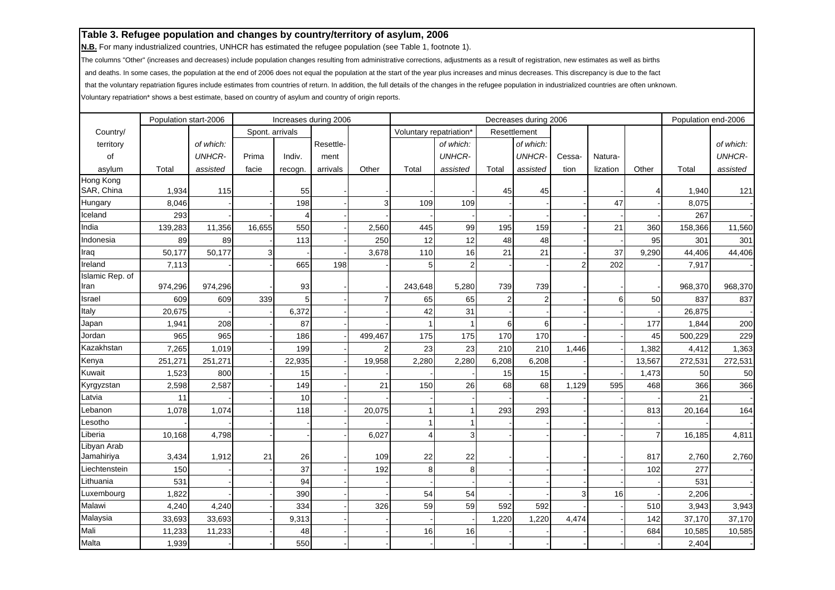**N.B.** For many industrialized countries, UNHCR has estimated the refugee population (see Table 1, footnote 1).

The columns "Other" (increases and decreases) include population changes resulting from administrative corrections, adjustments as a result of registration, new estimates as well as births

and deaths. In some cases, the population at the end of 2006 does not equal the population at the start of the year plus increases and minus decreases. This discrepancy is due to the fact

that the voluntary repatriation figures include estimates from countries of return. In addition, the full details of the changes in the refugee population in industrialized countries are often unknown.

|                 | Population start-2006 |               |                 | Increases during 2006 |           |         |                         |               |                | Decreases during 2006 |        |          |                | Population end-2006 |               |
|-----------------|-----------------------|---------------|-----------------|-----------------------|-----------|---------|-------------------------|---------------|----------------|-----------------------|--------|----------|----------------|---------------------|---------------|
| Country/        |                       |               | Spont. arrivals |                       |           |         | Voluntary repatriation* |               |                | Resettlement          |        |          |                |                     |               |
| territory       |                       | of which:     |                 |                       | Resettle- |         |                         | of which:     |                | of which:             |        |          |                |                     | of which:     |
| of              |                       | <b>UNHCR-</b> | Prima           | Indiv.                | ment      |         |                         | <b>UNHCR-</b> |                | <b>UNHCR-</b>         | Cessa- | Natura-  |                |                     | <b>UNHCR-</b> |
| asylum          | Total                 | assisted      | facie           | recogn.               | arrivals  | Other   | Total                   | assisted      | Total          | assisted              | tion   | lization | Other          | Total               | assisted      |
| Hong Kong       |                       |               |                 |                       |           |         |                         |               |                |                       |        |          |                |                     |               |
| SAR, China      | 1,934                 | 115           |                 | 55                    |           |         |                         |               | 45             | 45                    |        |          | 4              | 1,940               | 121           |
| Hungary         | 8,046                 |               |                 | 198                   |           | 3       | 109                     | 109           |                |                       |        | 47       |                | 8,075               |               |
| Iceland         | 293                   |               |                 |                       |           |         |                         |               |                |                       |        |          |                | 267                 |               |
| India           | 139,283               | 11,356        | 16,655          | 550                   |           | 2,560   | 445                     | 99            | 195            | 159                   |        | 21       | 360            | 158,366             | 11,560        |
| Indonesia       | 89                    | 89            |                 | 113                   |           | 250     | 12                      | 12            | 48             | 48                    |        |          | 95             | 301                 | 301           |
| Iraq            | 50,177                | 50,177        | 3               |                       |           | 3,678   | 110                     | 16            | 21             | 21                    |        | 37       | 9,290          | 44,406              | 44,406        |
| Ireland         | 7,113                 |               |                 | 665                   | 198       |         | 5                       | 2             |                |                       | 2      | 202      |                | 7,917               |               |
| Islamic Rep. of |                       |               |                 |                       |           |         |                         |               |                |                       |        |          |                |                     |               |
| Iran            | 974,296               | 974,296       |                 | 93                    |           |         | 243,648                 | 5,280         | 739            | 739                   |        |          |                | 968,370             | 968,370       |
| Israel          | 609                   | 609           | 339             | 5                     |           | 7       | 65                      | 65            | $\overline{2}$ | 2                     |        | 6        | 50             | 837                 | 837           |
| Italy           | 20,675                |               |                 | 6,372                 |           |         | 42                      | 31            |                |                       |        |          |                | 26,875              |               |
| Japan           | 1,941                 | 208           |                 | 87                    |           |         |                         |               | 6              | 6                     |        |          | 177            | 1,844               | 200           |
| Jordan          | 965                   | 965           |                 | 186                   |           | 499,467 | 175                     | 175           | 170            | 170                   |        |          | 45             | 500,229             | 229           |
| Kazakhstan      | 7,265                 | 1,019         |                 | 199                   |           |         | 23                      | 23            | 210            | 210                   | 1,446  |          | 1,382          | 4,412               | 1,363         |
| Kenya           | 251,271               | 251,271       |                 | 22,935                |           | 19,958  | 2,280                   | 2,280         | 6,208          | 6,208                 |        |          | 13,567         | 272,531             | 272,531       |
| Kuwait          | 1,523                 | 800           |                 | 15                    |           |         |                         |               | 15             | 15                    |        |          | 1,473          | 50                  | 50            |
| Kyrgyzstan      | 2,598                 | 2,587         |                 | 149                   |           | 21      | 150                     | 26            | 68             | 68                    | 1,129  | 595      | 468            | 366                 | 366           |
| Latvia          | 11                    |               |                 | 10                    |           |         |                         |               |                |                       |        |          |                | 21                  |               |
| Lebanon         | 1,078                 | 1,074         |                 | 118                   |           | 20,075  |                         |               | 293            | 293                   |        |          | 813            | 20,164              | 164           |
| Lesotho         |                       |               |                 |                       |           |         |                         |               |                |                       |        |          |                |                     |               |
| Liberia         | 10,168                | 4,798         |                 |                       |           | 6,027   | 4                       | 3             |                |                       |        |          | $\overline{7}$ | 16,185              | 4,811         |
| Libyan Arab     |                       |               |                 |                       |           |         |                         |               |                |                       |        |          |                |                     |               |
| Jamahiriya      | 3,434                 | 1,912         | 21              | 26                    |           | 109     | 22                      | 22            |                |                       |        |          | 817            | 2,760               | 2,760         |
| Liechtenstein   | 150                   |               |                 | 37                    |           | 192     | 8                       | 8             |                |                       |        |          | 102            | 277                 |               |
| Lithuania       | 531                   |               |                 | 94                    |           |         |                         |               |                |                       |        |          |                | 531                 |               |
| Luxembourg      | 1,822                 |               |                 | 390                   |           |         | 54                      | 54            |                |                       | 3      | 16       |                | 2,206               |               |
| Malawi          | 4,240                 | 4,240         |                 | 334                   |           | 326     | 59                      | 59            | 592            | 592                   |        |          | 510            | 3,943               | 3,943         |
| Malaysia        | 33,693                | 33,693        |                 | 9,313                 |           |         |                         |               | 1,220          | 1,220                 | 4,474  |          | 142            | 37,170              | 37,170        |
| Mali            | 11,233                | 11,233        |                 | 48                    |           |         | 16                      | 16            |                |                       |        |          | 684            | 10,585              | 10,585        |
| Malta           | 1,939                 |               |                 | 550                   |           |         |                         |               |                |                       |        |          |                | 2,404               |               |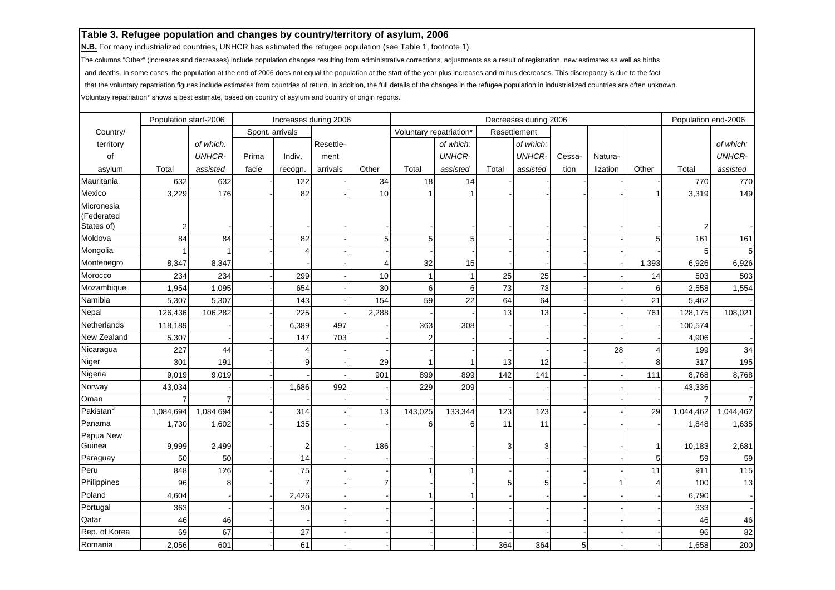**N.B.** For many industrialized countries, UNHCR has estimated the refugee population (see Table 1, footnote 1).

The columns "Other" (increases and decreases) include population changes resulting from administrative corrections, adjustments as a result of registration, new estimates as well as births

and deaths. In some cases, the population at the end of 2006 does not equal the population at the start of the year plus increases and minus decreases. This discrepancy is due to the fact

that the voluntary repatriation figures include estimates from countries of return. In addition, the full details of the changes in the refugee population in industrialized countries are often unknown.

|                          | Population start-2006<br>Increases during 2006 |               |                 |         |           |       |                         |               | Decreases during 2006 |               |        |          | Population end-2006 |                |                |
|--------------------------|------------------------------------------------|---------------|-----------------|---------|-----------|-------|-------------------------|---------------|-----------------------|---------------|--------|----------|---------------------|----------------|----------------|
| Country/                 |                                                |               | Spont. arrivals |         |           |       | Voluntary repatriation* |               |                       | Resettlement  |        |          |                     |                |                |
| territory                |                                                | of which:     |                 |         | Resettle- |       |                         | of which:     |                       | of which:     |        |          |                     |                | of which:      |
| of                       |                                                | <b>UNHCR-</b> | Prima           | Indiv.  | ment      |       |                         | <b>UNHCR-</b> |                       | <b>UNHCR-</b> | Cessa- | Natura-  |                     |                | <b>UNHCR-</b>  |
| asylum                   | Total                                          | assisted      | facie           | recogn. | arrivals  | Other | Total                   | assisted      | Total                 | assisted      | tion   | lization | Other               | Total          | assisted       |
| Mauritania               | 632                                            | 632           |                 | 122     |           | 34    | 18                      | 14            |                       |               |        |          |                     | 770            | 770            |
| Mexico                   | 3,229                                          | 176           |                 | 82      |           | 10    |                         |               |                       |               |        |          |                     | 3,319          | 149            |
| Micronesia<br>(Federated |                                                |               |                 |         |           |       |                         |               |                       |               |        |          |                     |                |                |
| States of)               | 2                                              |               |                 |         |           |       |                         |               |                       |               |        |          |                     | $\overline{2}$ |                |
| Moldova                  | 84                                             | 84            |                 | 82      |           | 5     | 5 <sub>5</sub>          | 5             |                       |               |        |          | 5                   | 161            | 161            |
| Mongolia                 |                                                | -1            |                 | Δ       |           |       |                         |               |                       |               |        |          |                     | 5              | 5 <sup>1</sup> |
| Montenegro               | 8,347                                          | 8,347         |                 |         |           | 4     | 32                      | 15            |                       |               |        |          | 1,393               | 6,926          | 6,926          |
| Morocco                  | 234                                            | 234           |                 | 299     |           | 10    |                         |               | 25                    | 25            |        |          | 14                  | 503            | 503            |
| Mozambique               | 1,954                                          | 1,095         |                 | 654     |           | 30    | 6                       | 6             | 73                    | 73            |        |          | 6                   | 2,558          | 1,554          |
| Namibia                  | 5,307                                          | 5,307         |                 | 143     |           | 154   | 59                      | 22            | 64                    | 64            |        |          | 21                  | 5,462          |                |
| Nepal                    | 126,436                                        | 106,282       |                 | 225     |           | 2,288 |                         |               | 13                    | 13            |        |          | 761                 | 128,175        | 108,021        |
| Netherlands              | 118,189                                        |               |                 | 6,389   | 497       |       | 363                     | 308           |                       |               |        |          |                     | 100,574        |                |
| New Zealand              | 5,307                                          |               |                 | 147     | 703       |       | $\overline{2}$          |               |                       |               |        |          |                     | 4,906          |                |
| Nicaragua                | 227                                            | 44            |                 |         |           |       |                         |               |                       |               |        | 28       | 4                   | 199            | 34             |
| Niger                    | 301                                            | 191           |                 | 9       |           | 29    |                         |               | 13                    | 12            |        |          | 8                   | 317            | 195            |
| Nigeria                  | 9,019                                          | 9,019         |                 |         |           | 901   | 899                     | 899           | 142                   | 141           |        |          | 111                 | 8,768          | 8,768          |
| Norway                   | 43,034                                         |               |                 | 1,686   | 992       |       | 229                     | 209           |                       |               |        |          |                     | 43,336         |                |
| Oman                     |                                                | 7             |                 |         |           |       |                         |               |                       |               |        |          |                     |                | $\overline{7}$ |
| Pakistan <sup>3</sup>    | 1,084,694                                      | 1,084,694     |                 | 314     |           | 13    | 143,025                 | 133,344       | 123                   | 123           |        |          | 29                  | 1,044,462      | 1,044,462      |
| Panama                   | 1,730                                          | 1,602         |                 | 135     |           |       | 6                       | 6             | 11                    | 11            |        |          |                     | 1,848          | 1,635          |
| Papua New<br>Guinea      | 9,999                                          | 2,499         |                 | 2       |           | 186   |                         |               | 3                     |               |        |          |                     | 10,183         | 2,681          |
| Paraguay                 | 50                                             | 50            |                 | 14      |           |       |                         |               |                       |               |        |          | 5                   | 59             | 59             |
| Peru                     | 848                                            | 126           |                 | 75      |           |       |                         |               |                       |               |        |          | 11                  | 911            | 115            |
| Philippines              | 96                                             | 8             |                 |         |           | 7     |                         |               | 5                     | 5             |        |          |                     | 100            | 13             |
| Poland                   | 4,604                                          |               |                 | 2,426   |           |       |                         |               |                       |               |        |          |                     | 6,790          |                |
| Portugal                 | 363                                            |               |                 | 30      |           |       |                         |               |                       |               |        |          |                     | 333            |                |
| Qatar                    | 46                                             | 46            |                 |         |           |       |                         |               |                       |               |        |          |                     | 46             | 46             |
| Rep. of Korea            | 69                                             | 67            |                 | 27      |           |       |                         |               |                       |               |        |          |                     | 96             | 82             |
| Romania                  | 2,056                                          | 601           |                 | 61      |           |       |                         |               | 364                   | 364           | 5      |          |                     | 1,658          | 200            |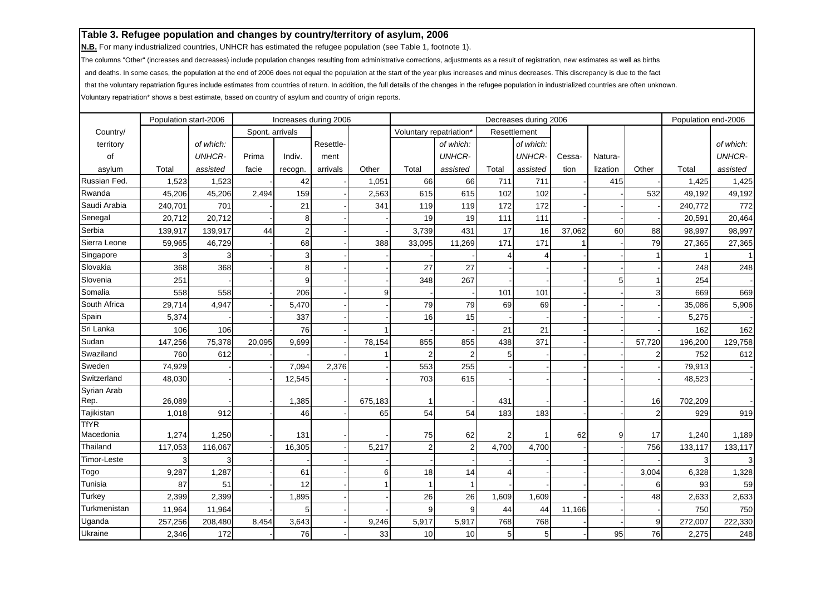**N.B.** For many industrialized countries, UNHCR has estimated the refugee population (see Table 1, footnote 1).

The columns "Other" (increases and decreases) include population changes resulting from administrative corrections, adjustments as a result of registration, new estimates as well as births

and deaths. In some cases, the population at the end of 2006 does not equal the population at the start of the year plus increases and minus decreases. This discrepancy is due to the fact

that the voluntary repatriation figures include estimates from countries of return. In addition, the full details of the changes in the refugee population in industrialized countries are often unknown.

|              |         | Population start-2006<br>Increases during 2006 |                 |                |           |         |                         |                |       | Decreases during 2006 |        |          |                | Population end-2006 |               |
|--------------|---------|------------------------------------------------|-----------------|----------------|-----------|---------|-------------------------|----------------|-------|-----------------------|--------|----------|----------------|---------------------|---------------|
| Country/     |         |                                                | Spont. arrivals |                |           |         | Voluntary repatriation* |                |       | Resettlement          |        |          |                |                     |               |
| territory    |         | of which:                                      |                 |                | Resettle- |         |                         | of which:      |       | of which:             |        |          |                |                     | of which:     |
| of           |         | <b>UNHCR-</b>                                  | Prima           | Indiv.         | ment      |         |                         | <b>UNHCR-</b>  |       | <b>UNHCR-</b>         | Cessa- | Natura-  |                |                     | <b>UNHCR-</b> |
| asylum       | Total   | assisted                                       | facie           | recogn.        | arrivals  | Other   | Total                   | assisted       | Total | assisted              | tion   | lization | Other          | Total               | assisted      |
| Russian Fed. | 1,523   | 1,523                                          |                 | 42             |           | 1,051   | 66                      | 66             | 711   | 711                   |        | 415      |                | 1,425               | 1,425         |
| Rwanda       | 45,206  | 45,206                                         | 2,494           | 159            |           | 2,563   | 615                     | 615            | 102   | 102                   |        |          | 532            | 49,192              | 49,192        |
| Saudi Arabia | 240,701 | 701                                            |                 | 21             |           | 341     | 119                     | 119            | 172   | 172                   |        |          |                | 240,772             | 772           |
| Senegal      | 20,712  | 20,712                                         |                 | 8              |           |         | 19                      | 19             | 111   | 111                   |        |          |                | 20,591              | 20,464        |
| Serbia       | 139,917 | 139,917                                        | 44              | $\overline{2}$ |           |         | 3,739                   | 431            | 17    | 16                    | 37,062 | 60       | 88             | 98,997              | 98,997        |
| Sierra Leone | 59,965  | 46,729                                         |                 | 68             |           | 388     | 33,095                  | 11,269         | 171   | 171                   |        |          | 79             | 27,365              | 27,365        |
| Singapore    |         |                                                |                 | 3              |           |         |                         |                |       |                       |        |          |                |                     |               |
| Slovakia     | 368     | 368                                            |                 | 8              |           |         | 27                      | 27             |       |                       |        |          |                | 248                 | 248           |
| Slovenia     | 251     |                                                |                 | 9              |           |         | 348                     | 267            |       |                       |        | 5        |                | 254                 |               |
| Somalia      | 558     | 558                                            |                 | 206            |           | 9       |                         |                | 101   | 101                   |        |          | 3              | 669                 | 669           |
| South Africa | 29,714  | 4,947                                          |                 | 5,470          |           |         | 79                      | 79             | 69    | 69                    |        |          |                | 35,086              | 5,906         |
| Spain        | 5,374   |                                                |                 | 337            |           |         | 16                      | 15             |       |                       |        |          |                | 5,275               |               |
| Sri Lanka    | 106     | 106                                            |                 | 76             |           |         |                         |                | 21    | 21                    |        |          |                | 162                 | 162           |
| Sudan        | 147,256 | 75,378                                         | 20,095          | 9,699          |           | 78,154  | 855                     | 855            | 438   | 371                   |        |          | 57,720         | 196,200             | 129,758       |
| Swaziland    | 760     | 612                                            |                 |                |           |         | 2                       | $\overline{2}$ | 5     |                       |        |          | $\overline{2}$ | 752                 | 612           |
| Sweden       | 74,929  |                                                |                 | 7,094          | 2,376     |         | 553                     | 255            |       |                       |        |          |                | 79,913              |               |
| Switzerland  | 48,030  |                                                |                 | 12,545         |           |         | 703                     | 615            |       |                       |        |          |                | 48,523              |               |
| Syrian Arab  |         |                                                |                 |                |           |         |                         |                |       |                       |        |          |                |                     |               |
| Rep.         | 26,089  |                                                |                 | 1,385          |           | 675,183 |                         |                | 431   |                       |        |          | 16             | 702,209             |               |
| Tajikistan   | 1,018   | 912                                            |                 | 46             |           | 65      | 54                      | 54             | 183   | 183                   |        |          | $\overline{2}$ | 929                 | 919           |
| <b>TfYR</b>  |         |                                                |                 |                |           |         |                         |                |       |                       |        |          |                |                     |               |
| Macedonia    | 1,274   | 1,250                                          |                 | 131            |           |         | 75                      | 62             |       |                       | 62     | 9        | 17             | 1,240               | 1,189         |
| Thailand     | 117,053 | 116,067                                        |                 | 16,305         |           | 5,217   | $\overline{2}$          | $\overline{2}$ | 4,700 | 4,700                 |        |          | 756            | 133,117             | 133,117       |
| Timor-Leste  | 3       | 3                                              |                 |                |           |         |                         |                |       |                       |        |          |                | 3                   | 3             |
| Togo         | 9,287   | 1,287                                          |                 | 61             |           | 6       | 18                      | 14             |       |                       |        |          | 3,004          | 6,328               | 1,328         |
| Tunisia      | 87      | 51                                             |                 | 12             |           |         |                         |                |       |                       |        |          | 6              | 93                  | 59            |
| Turkey       | 2,399   | 2,399                                          |                 | 1,895          |           |         | 26                      | 26             | 1,609 | 1,609                 |        |          | 48             | 2,633               | 2,633         |
| Turkmenistan | 11,964  | 11,964                                         |                 | 5              |           |         | 9                       | 9              | 44    | 44                    | 11,166 |          |                | 750                 | 750           |
| Uganda       | 257,256 | 208,480                                        | 8,454           | 3,643          |           | 9,246   | 5,917                   | 5,917          | 768   | 768                   |        |          | 9              | 272,007             | 222,330       |
| Ukraine      | 2,346   | 172                                            |                 | 76             |           | 33      | 10                      | 10             | 5     | 5                     |        | 95       | 76             | 2,275               | 248           |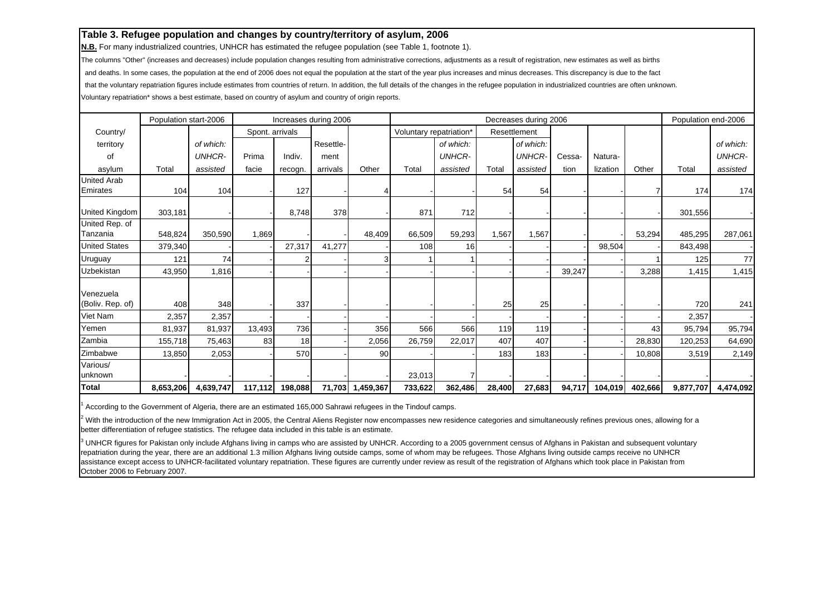**N.B.** For many industrialized countries, UNHCR has estimated the refugee population (see Table 1, footnote 1).

The columns "Other" (increases and decreases) include population changes resulting from administrative corrections, adjustments as a result of registration, new estimates as well as births

and deaths. In some cases, the population at the end of 2006 does not equal the population at the start of the year plus increases and minus decreases. This discrepancy is due to the fact

that the voluntary repatriation figures include estimates from countries of return. In addition, the full details of the changes in the refugee population in industrialized countries are often unknown.

Voluntary repatriation\* shows a best estimate, based on country of asylum and country of origin reports.

|                               | Population start-2006 |               |                 | Increases during 2006 |           |           |                         |                |        | Decreases during 2006 |        |          |         | Population end-2006 |               |
|-------------------------------|-----------------------|---------------|-----------------|-----------------------|-----------|-----------|-------------------------|----------------|--------|-----------------------|--------|----------|---------|---------------------|---------------|
| Country/                      |                       |               | Spont. arrivals |                       |           |           | Voluntary repatriation* |                |        | Resettlement          |        |          |         |                     |               |
| territory                     |                       | of which:     |                 |                       | Resettle- |           |                         | of which:      |        | of which:             |        |          |         |                     | of which:     |
| of                            |                       | <b>UNHCR-</b> | Prima           | Indiv.                | ment      |           |                         | <b>UNHCR-</b>  |        | <b>UNHCR-</b>         | Cessa- | Natura-  |         |                     | <b>UNHCR-</b> |
| asylum                        | Total                 | assisted      | facie           | recogn.               | arrivals  | Other     | Total                   | assisted       | Total  | assisted              | tion   | lization | Other   | Total               | assisted      |
| <b>United Arab</b>            |                       |               |                 |                       |           |           |                         |                |        |                       |        |          |         |                     |               |
| Emirates                      | 104                   | 104           |                 | 127                   |           |           |                         |                | 54     | 54                    |        |          |         | 174                 | 174           |
| United Kingdom                | 303,181               |               |                 | 8,748                 | 378       |           | 871                     | 712            |        |                       |        |          |         | 301,556             |               |
| United Rep. of                |                       |               |                 |                       |           |           |                         |                |        |                       |        |          |         |                     |               |
| Tanzania                      | 548,824               | 350,590       | 1,869           |                       |           | 48,409    | 66,509                  | 59,293         | 1,567  | 1,567                 |        |          | 53,294  | 485,295             | 287,061       |
| <b>United States</b>          | 379,340               |               |                 | 27,317                | 41,277    |           | 108                     | 16             |        |                       |        | 98,504   |         | 843,498             |               |
| Uruguay                       | 121                   | 74            |                 |                       |           | 3         |                         |                |        |                       |        |          |         | 125                 | 77            |
| Uzbekistan                    | 43,950                | 1,816         |                 |                       |           |           |                         |                |        |                       | 39,247 |          | 3,288   | 1,415               | 1,415         |
| Venezuela<br>(Boliv. Rep. of) | 408                   | 348           |                 | 337                   |           |           |                         |                | 25     | 25                    |        |          |         | 720                 | 241           |
| Viet Nam                      | 2,357                 | 2,357         |                 |                       |           |           |                         |                |        |                       |        |          |         | 2,357               |               |
| Yemen                         | 81,937                | 81,937        | 13,493          | 736                   |           | 356       | 566                     | 566            | 119    | 119                   |        |          | 43      | 95,794              | 95,794        |
| Zambia                        | 155,718               | 75,463        | 83              | 18                    |           | 2,056     | 26,759                  | 22,017         | 407    | 407                   |        |          | 28,830  | 120,253             | 64,690        |
| Zimbabwe                      | 13,850                | 2,053         |                 | 570                   |           | 90        |                         |                | 183    | 183                   |        |          | 10,808  | 3,519               | 2,149         |
| Various/                      |                       |               |                 |                       |           |           |                         |                |        |                       |        |          |         |                     |               |
| unknown                       |                       |               |                 |                       |           |           | 23,013                  | $\overline{7}$ |        |                       |        |          |         |                     |               |
| <b>Total</b>                  | 8,653,206             | 4,639,747     | 117,112         | 198,088               | 71,703    | 1,459,367 | 733,622                 | 362,486        | 28,400 | 27,683                | 94,717 | 104,019  | 402,666 | 9,877,707           | 4,474,092     |

1 According to the Government of Algeria, there are an estimated 165,000 Sahrawi refugees in the Tindouf camps.

<sup>2</sup> With the introduction of the new Immigration Act in 2005, the Central Aliens Register now encompasses new residence categories and simultaneously refines previous ones, allowing for a better differentiation of refugee statistics. The refugee data included in this table is an estimate.

<sup>3</sup> UNHCR figures for Pakistan only include Afghans living in camps who are assisted by UNHCR. According to a 2005 government census of Afghans in Pakistan and subsequent voluntary repatriation during the year, there are an additional 1.3 million Afghans living outside camps, some of whom may be refugees. Those Afghans living outside camps receive no UNHCR assistance except access to UNHCR-facilitated voluntary repatriation. These figures are currently under review as result of the registration of Afghans which took place in Pakistan from October 2006 to February 2007.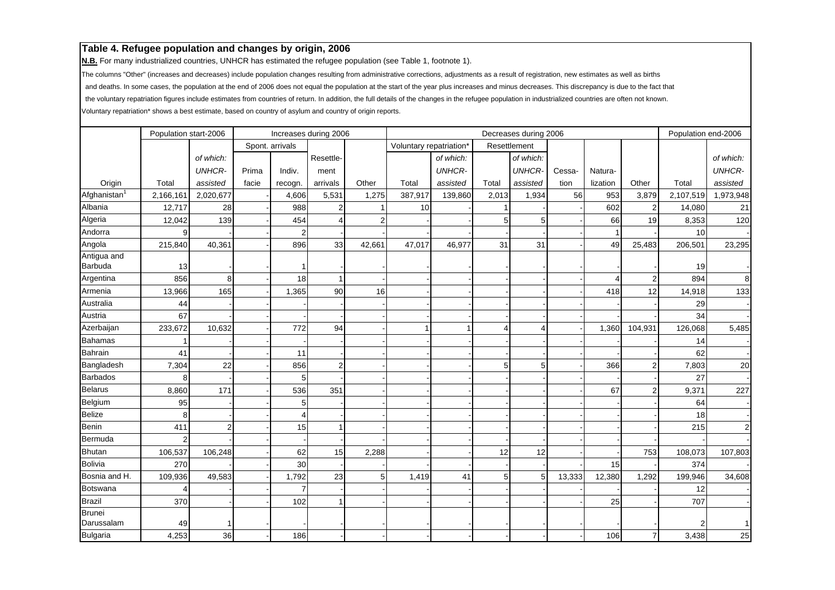**N.B.** For many industrialized countries, UNHCR has estimated the refugee population (see Table 1, footnote 1).

The columns "Other" (increases and decreases) include population changes resulting from administrative corrections, adjustments as a result of registration, new estimates as well as births

and deaths. In some cases, the population at the end of 2006 does not equal the population at the start of the year plus increases and minus decreases. This discrepancy is due to the fact that

the voluntary repatriation figures include estimates from countries of return. In addition, the full details of the changes in the refugee population in industrialized countries are often not known.

|                        | Population start-2006 |                |       |                 | Increases during 2006 |        |                         |               |       | Decreases during 2006 |        |          |                | Population end-2006 |               |
|------------------------|-----------------------|----------------|-------|-----------------|-----------------------|--------|-------------------------|---------------|-------|-----------------------|--------|----------|----------------|---------------------|---------------|
|                        |                       |                |       | Spont. arrivals |                       |        | Voluntary repatriation* |               |       | Resettlement          |        |          |                |                     |               |
|                        |                       | of which:      |       |                 | Resettle-             |        |                         | of which:     |       | of which:             |        |          |                |                     | of which:     |
|                        |                       | <b>UNHCR-</b>  | Prima | Indiv.          | ment                  |        |                         | <b>UNHCR-</b> |       | <b>UNHCR-</b>         | Cessa- | Natura-  |                |                     | <b>UNHCR-</b> |
| Origin                 | Total                 | assisted       | facie | recogn.         | arrivals              | Other  | Total                   | assisted      | Total | assisted              | tion   | lization | Other          | Total               | assisted      |
| Afghanistan            | 2,166,161             | 2,020,677      |       | 4,606           | 5,531                 | 1,275  | 387,917                 | 139,860       | 2,013 | 1,934                 | 56     | 953      | 3,879          | 2,107,519           | 1,973,948     |
| Albania                | 12,717                | 28             |       | 988             | $\overline{2}$        |        | 10                      |               |       |                       |        | 602      | $\overline{2}$ | 14,080              | 21            |
| Algeria                | 12,042                | 139            |       | 454             | $\overline{4}$        |        |                         |               | 5     | 5                     |        | 66       | 19             | 8,353               | 120           |
| Andorra                |                       |                |       | 2               |                       |        |                         |               |       |                       |        |          |                | 10                  |               |
| Angola                 | 215,840               | 40,361         |       | 896             | 33                    | 42,661 | 47,017                  | 46,977        | 31    | 31                    |        | 49       | 25,483         | 206,501             | 23,295        |
| Antigua and<br>Barbuda | 13                    |                |       |                 |                       |        |                         |               |       |                       |        |          |                | 19                  |               |
| Argentina              | 856                   | 8              |       | 18              | -1                    |        |                         |               |       |                       |        |          | $\overline{2}$ | 894                 | 8             |
| Armenia                | 13,966                | 165            |       | 1,365           | 90                    | 16     |                         |               |       |                       |        | 418      | 12             | 14,918              | 133           |
| Australia              | 44                    |                |       |                 |                       |        |                         |               |       |                       |        |          |                | 29                  |               |
| Austria                | 67                    |                |       |                 |                       |        |                         |               |       |                       |        |          |                | 34                  |               |
| Azerbaijan             | 233,672               | 10,632         |       | 772             | 94                    |        |                         |               | 4     | 4                     |        | 1,360    | 104,931        | 126,068             | 5,485         |
| <b>Bahamas</b>         |                       |                |       |                 |                       |        |                         |               |       |                       |        |          |                | 14                  |               |
| <b>Bahrain</b>         | 41                    |                |       | 11              |                       |        |                         |               |       |                       |        |          |                | 62                  |               |
| Bangladesh             | 7,304                 | 22             |       | 856             | $\overline{2}$        |        |                         |               | 5     | 5                     |        | 366      | $\overline{2}$ | 7,803               | 20            |
| <b>Barbados</b>        |                       |                |       | 5               |                       |        |                         |               |       |                       |        |          |                | 27                  |               |
| Belarus                | 8,860                 | 171            |       | 536             | 351                   |        |                         |               |       |                       |        | 67       | $\overline{2}$ | 9,371               | 227           |
| Belgium                | 95                    |                |       | 5               |                       |        |                         |               |       |                       |        |          |                | 64                  |               |
| <b>Belize</b>          |                       |                |       | Δ               |                       |        |                         |               |       |                       |        |          |                | 18                  |               |
| Benin                  | 411                   | $\overline{2}$ |       | 15              |                       |        |                         |               |       |                       |        |          |                | 215                 | $\mathbf{2}$  |
| Bermuda                |                       |                |       |                 |                       |        |                         |               |       |                       |        |          |                |                     |               |
| <b>Bhutan</b>          | 106,537               | 106,248        |       | 62              | 15                    | 2,288  |                         |               | 12    | 12                    |        |          | 753            | 108,073             | 107,803       |
| <b>Bolivia</b>         | 270                   |                |       | 30              |                       |        |                         |               |       |                       |        | 15       |                | 374                 |               |
| Bosnia and H.          | 109,936               | 49,583         |       | 1,792           | 23                    |        | 1,419                   | 41            | 5     | 5                     | 13,333 | 12,380   | 1,292          | 199,946             | 34,608        |
| <b>Botswana</b>        |                       |                |       |                 |                       |        |                         |               |       |                       |        |          |                | 12 <sup>1</sup>     |               |
| <b>Brazil</b>          | 370                   |                |       | 102             | 1                     |        |                         |               |       |                       |        | 25       |                | 707                 |               |
| <b>Brunei</b>          |                       |                |       |                 |                       |        |                         |               |       |                       |        |          |                |                     |               |
| Darussalam             | 49                    | -1             |       |                 |                       |        |                         |               |       |                       |        |          |                |                     | 11            |
| <b>Bulgaria</b>        | 4,253                 | 36             |       | 186             |                       |        |                         |               |       |                       |        | 106      | $\overline{7}$ | 3,438               | 25            |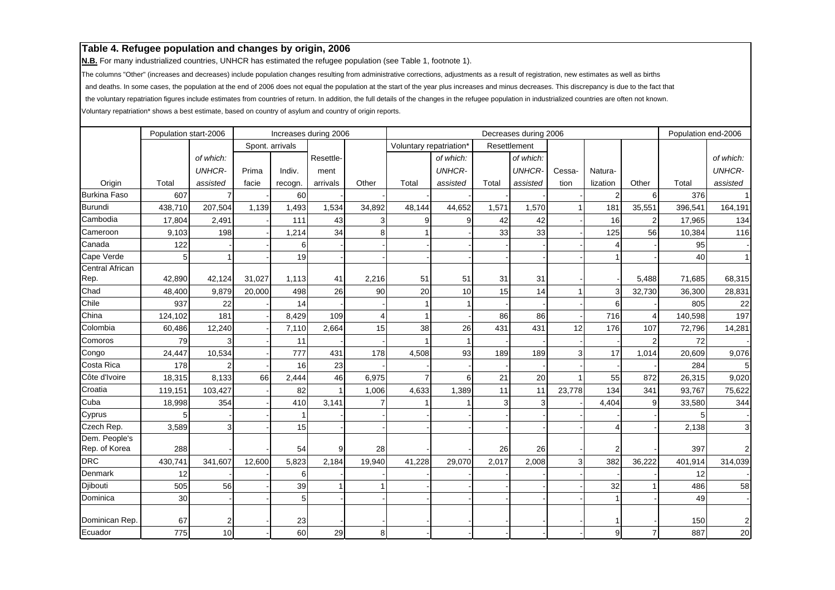**N.B.** For many industrialized countries, UNHCR has estimated the refugee population (see Table 1, footnote 1).

The columns "Other" (increases and decreases) include population changes resulting from administrative corrections, adjustments as a result of registration, new estimates as well as births

and deaths. In some cases, the population at the end of 2006 does not equal the population at the start of the year plus increases and minus decreases. This discrepancy is due to the fact that

the voluntary repatriation figures include estimates from countries of return. In addition, the full details of the changes in the refugee population in industrialized countries are often not known.

|                        | Population start-2006 |               |        |                 | Increases during 2006 |        |                         |               |       | Decreases during 2006 |              |                |                | Population end-2006 |                |
|------------------------|-----------------------|---------------|--------|-----------------|-----------------------|--------|-------------------------|---------------|-------|-----------------------|--------------|----------------|----------------|---------------------|----------------|
|                        |                       |               |        | Spont. arrivals |                       |        | Voluntary repatriation* |               |       | Resettlement          |              |                |                |                     |                |
|                        |                       | of which:     |        |                 | Resettle-             |        |                         | of which:     |       | of which:             |              |                |                |                     | of which:      |
|                        |                       | <b>UNHCR-</b> | Prima  | Indiv.          | ment                  |        |                         | <b>UNHCR-</b> |       | <b>UNHCR-</b>         | Cessa-       | Natura-        |                |                     | <b>UNHCR-</b>  |
| Origin                 | Total                 | assisted      | facie  | recogn.         | arrivals              | Other  | Total                   | assisted      | Total | assisted              | tion         | lization       | Other          | Total               | assisted       |
| <b>Burkina Faso</b>    | 607                   |               |        | 60              |                       |        |                         |               |       |                       |              | $\overline{2}$ | 6              | 376                 | $\vert$        |
| <b>Burundi</b>         | 438,710               | 207,504       | 1.139  | 1,493           | 1,534                 | 34,892 | 48,144                  | 44,652        | 1,571 | 1,570                 |              | 181            | 35,551         | 396,541             | 164,191        |
| Cambodia               | 17,804                | 2,491         |        | 111             | 43                    |        |                         | 9             | 42    | 42                    |              | 16             | $\overline{2}$ | 17,965              | 134            |
| Cameroon               | 9,103                 | 198           |        | 1,214           | 34                    |        |                         |               | 33    | 33                    |              | 125            | 56             | 10,384              | 116            |
| Canada                 | 122                   |               |        | 6               |                       |        |                         |               |       |                       |              | 4              |                | 95                  |                |
| Cape Verde             |                       |               |        | 19              |                       |        |                         |               |       |                       |              |                |                | 40                  | 1 <sup>1</sup> |
| <b>Central African</b> |                       |               |        |                 |                       |        |                         |               |       |                       |              |                |                |                     |                |
| Rep.                   | 42,890                | 42,124        | 31,027 | 1,113           | 41                    | 2,216  | 51                      | 51            | 31    | 31                    |              |                | 5,488          | 71,685              | 68,315         |
| Chad                   | 48,400                | 9,879         | 20,000 | 498             | 26                    | 90     | 20                      | 10            | 15    | 14                    |              | 3              | 32,730         | 36,300              | 28,831         |
| Chile                  | 937                   | 22            |        | 14              |                       |        |                         |               |       |                       |              | 6              |                | 805                 | 22             |
| China                  | 124,102               | 181           |        | 8,429           | 109                   | Δ      | $\overline{1}$          |               | 86    | 86                    |              | 716            | 4              | 140,598             | 197            |
| Colombia               | 60,486                | 12,240        |        | 7,110           | 2,664                 | 15     | 38                      | 26            | 431   | 431                   | 12           | 176            | 107            | 72,796              | 14,281         |
| Comoros                | 79                    |               |        | 11              |                       |        |                         |               |       |                       |              |                | $\overline{2}$ | 72                  |                |
| Congo                  | 24,447                | 10,534        |        | 777             | 431                   | 178    | 4,508                   | 93            | 189   | 189                   | 3            | 17             | 1,014          | 20,609              | 9,076          |
| Costa Rica             | 178                   |               |        | 16              | 23                    |        |                         |               |       |                       |              |                |                | 284                 | 5              |
| Côte d'Ivoire          | 18,315                | 8,133         | 66     | 2,444           | 46                    | 6,975  |                         | 6             | 21    | 20                    |              | 55             | 872            | 26,315              | 9,020          |
| Croatia                | 119,151               | 103,427       |        | 82              |                       | 1,006  | 4,633                   | 1,389         | 11    | 11                    | 23,778       | 134            | 341            | 93,767              | 75,622         |
| Cuba                   | 18,998                | 354           |        | 410             | 3,141                 |        |                         |               | 3     | 3                     |              | 4,404          | 9              | 33,580              | 344            |
| Cyprus                 |                       |               |        | 1               |                       |        |                         |               |       |                       |              |                |                |                     |                |
| Czech Rep.             | 3,589                 | 3             |        | 15              |                       |        |                         |               |       |                       |              | $\Delta$       |                | 2,138               | $\overline{3}$ |
| Dem. People's          |                       |               |        |                 |                       |        |                         |               |       |                       |              |                |                |                     |                |
| Rep. of Korea          | 288                   |               |        | 54              | 9                     | 28     |                         |               | 26    | 26                    |              |                |                | 397                 | $\mathbf{2}$   |
| <b>DRC</b>             | 430,741               | 341,607       | 12,600 | 5,823           | 2,184                 | 19,940 | 41,228                  | 29,070        | 2,017 | 2,008                 | $\mathbf{3}$ | 382            | 36,222         | 401,914             | 314,039        |
| Denmark                | 12                    |               |        | 6               |                       |        |                         |               |       |                       |              |                |                | 12                  |                |
| Djibouti               | 505                   | 56            |        | 39              |                       |        |                         |               |       |                       |              | 32             |                | 486                 | 58             |
| Dominica               | 30                    |               |        | 5 <sup>1</sup>  |                       |        |                         |               |       |                       |              |                |                | 49                  |                |
| Dominican Rep.         | 67                    | 2             |        | 23              |                       |        |                         |               |       |                       |              |                |                | 150                 | $\mathbf{2}$   |
| Ecuador                | 775                   | 10            |        | 60              | 29                    | 8      |                         |               |       |                       |              | 9              | $\overline{7}$ | 887                 | 20             |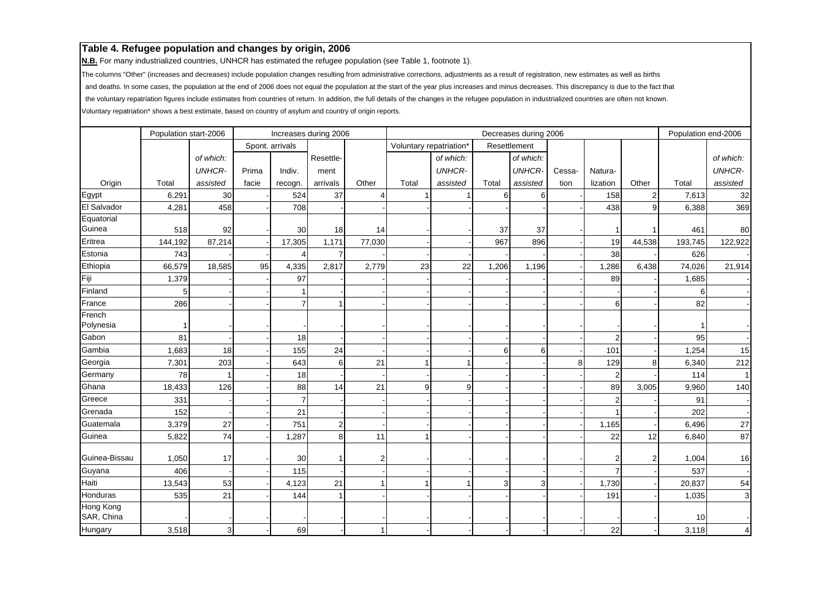**N.B.** For many industrialized countries, UNHCR has estimated the refugee population (see Table 1, footnote 1).

The columns "Other" (increases and decreases) include population changes resulting from administrative corrections, adjustments as a result of registration, new estimates as well as births

and deaths. In some cases, the population at the end of 2006 does not equal the population at the start of the year plus increases and minus decreases. This discrepancy is due to the fact that

the voluntary repatriation figures include estimates from countries of return. In addition, the full details of the changes in the refugee population in industrialized countries are often not known.

|               | Population start-2006 |               |       |                 | Increases during 2006 |        |                         |               |       | Decreases during 2006 |        |                |                | Population end-2006 |                |
|---------------|-----------------------|---------------|-------|-----------------|-----------------------|--------|-------------------------|---------------|-------|-----------------------|--------|----------------|----------------|---------------------|----------------|
|               |                       |               |       | Spont. arrivals |                       |        | Voluntary repatriation* |               |       | Resettlement          |        |                |                |                     |                |
|               |                       | of which:     |       |                 | Resettle-             |        |                         | of which:     |       | of which:             |        |                |                |                     | of which:      |
|               |                       | <b>UNHCR-</b> | Prima | Indiv.          | ment                  |        |                         | <b>UNHCR-</b> |       | <b>UNHCR-</b>         | Cessa- | Natura-        |                |                     | <b>UNHCR-</b>  |
| Origin        | Total                 | assisted      | facie | recogn.         | arrivals              | Other  | Total                   | assisted      | Total | assisted              | tion   | lization       | Other          | Total               | assisted       |
| Egypt         | 6,291                 | 30            |       | 524             | 37                    |        |                         |               | 6     | 6                     |        | 158            | $\overline{2}$ | 7,613               | 32             |
| El Salvador   | 4,281                 | 458           |       | 708             |                       |        |                         |               |       |                       |        | 438            | 9              | 6,388               | 369            |
| Equatorial    |                       |               |       |                 |                       |        |                         |               |       |                       |        |                |                |                     |                |
| Guinea        | 518                   | 92            |       | 30              | 18                    | 14     |                         |               | 37    | 37                    |        |                |                | 461                 | 80             |
| Eritrea       | 144,192               | 87,214        |       | 17,305          | 1,171                 | 77,030 |                         |               | 967   | 896                   |        | 19             | 44,538         | 193,745             | 122,922        |
| Estonia       | 743                   |               |       | 4               | $\overline{7}$        |        |                         |               |       |                       |        | 38             |                | 626                 |                |
| Ethiopia      | 66,579                | 18,585        | 95    | 4,335           | 2,817                 | 2,779  | 23                      | 22            | 1,206 | 1,196                 |        | 1,286          | 6,438          | 74,026              | 21,914         |
| Fiji          | 1,379                 |               |       | 97              |                       |        |                         |               |       |                       |        | 89             |                | 1,685               |                |
| Finland       |                       |               |       |                 |                       |        |                         |               |       |                       |        |                |                | 6                   |                |
| France        | 286                   |               |       | $\overline{7}$  | 1                     |        |                         |               |       |                       |        | $6 \mid$       |                | 82                  |                |
| French        |                       |               |       |                 |                       |        |                         |               |       |                       |        |                |                |                     |                |
| Polynesia     |                       |               |       |                 |                       |        |                         |               |       |                       |        |                |                |                     |                |
| Gabon         | 81                    |               |       | 18              |                       |        |                         |               |       |                       |        | $\overline{2}$ |                | 95                  |                |
| Gambia        | 1,683                 | 18            |       | 155             | 24                    |        |                         |               | 6     | 6                     |        | 101            |                | 1,254               | 15             |
| Georgia       | 7,301                 | 203           |       | 643             | 6                     | 21     |                         |               |       |                       | 8      | 129            | 8              | 6,340               | 212            |
| Germany       | 78                    |               |       | 18              |                       |        |                         |               |       |                       |        | $\overline{2}$ |                | 114                 | 1 <sup>1</sup> |
| Ghana         | 18,433                | 126           |       | 88              | 14                    | 21     | 9                       | 9             |       |                       |        | 89             | 3,005          | 9,960               | 140            |
| Greece        | 331                   |               |       | $\overline{7}$  |                       |        |                         |               |       |                       |        | $\overline{2}$ |                | 91                  |                |
| Grenada       | 152                   |               |       | 21              |                       |        |                         |               |       |                       |        |                |                | 202                 |                |
| Guatemala     | 3,379                 | 27            |       | 751             | $\overline{2}$        |        |                         |               |       |                       |        | 1,165          |                | 6,496               | 27             |
| Guinea        | 5,822                 | 74            |       | 1,287           | 8                     | 11     | 1                       |               |       |                       |        | 22             | 12             | 6,840               | 87             |
|               |                       |               |       |                 |                       |        |                         |               |       |                       |        |                |                |                     |                |
| Guinea-Bissau | 1,050                 | 17            |       | 30              |                       |        |                         |               |       |                       |        | $\overline{2}$ | $\overline{2}$ | 1,004               | 16             |
| Guyana        | 406                   |               |       | 115             |                       |        |                         |               |       |                       |        | $\overline{7}$ |                | 537                 |                |
| Haiti         | 13,543                | 53            |       | 4,123           | 21                    |        |                         |               | 3     | 3                     |        | 1,730          |                | 20,837              | 54             |
| Honduras      | 535                   | 21            |       | 144             | $\mathbf 1$           |        |                         |               |       |                       |        | 191            |                | 1,035               | $\overline{3}$ |
| Hong Kong     |                       |               |       |                 |                       |        |                         |               |       |                       |        |                |                |                     |                |
| SAR, China    |                       |               |       |                 |                       |        |                         |               |       |                       |        |                |                | 10                  |                |
| Hungary       | 3,518                 | 3             |       | 69              |                       |        |                         |               |       |                       |        | 22             |                | 3,118               | $\overline{4}$ |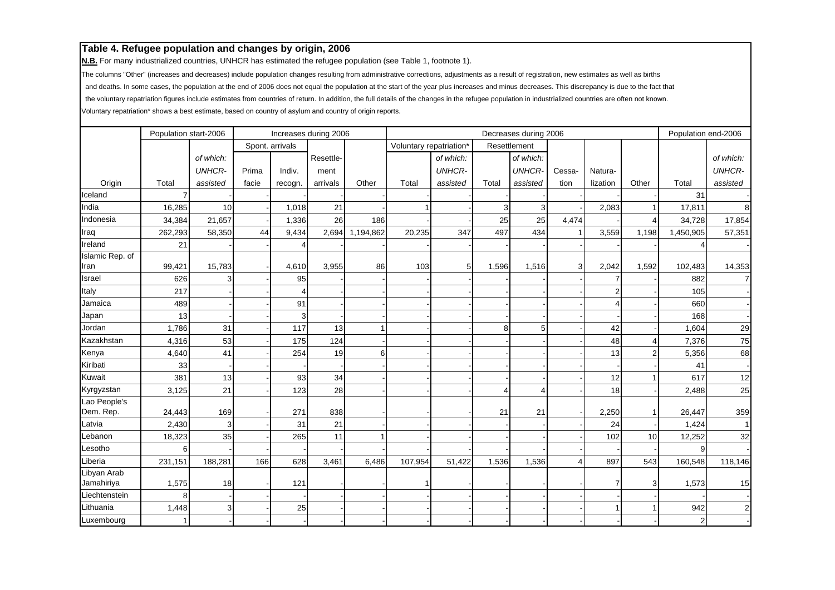**N.B.** For many industrialized countries, UNHCR has estimated the refugee population (see Table 1, footnote 1).

The columns "Other" (increases and decreases) include population changes resulting from administrative corrections, adjustments as a result of registration, new estimates as well as births

and deaths. In some cases, the population at the end of 2006 does not equal the population at the start of the year plus increases and minus decreases. This discrepancy is due to the fact that

the voluntary repatriation figures include estimates from countries of return. In addition, the full details of the changes in the refugee population in industrialized countries are often not known.

|                           | Population start-2006 |               |       |                 | Increases during 2006 |                 |                         |               |       | Decreases during 2006 |        |                |                | Population end-2006 |                |
|---------------------------|-----------------------|---------------|-------|-----------------|-----------------------|-----------------|-------------------------|---------------|-------|-----------------------|--------|----------------|----------------|---------------------|----------------|
|                           |                       |               |       | Spont. arrivals |                       |                 | Voluntary repatriation* |               |       | Resettlement          |        |                |                |                     |                |
|                           |                       | of which:     |       |                 | Resettle-             |                 |                         | of which:     |       | of which:             |        |                |                |                     | of which:      |
|                           |                       | <b>UNHCR-</b> | Prima | Indiv.          | ment                  |                 |                         | <b>UNHCR-</b> |       | <b>UNHCR-</b>         | Cessa- | Natura-        |                |                     | <b>UNHCR-</b>  |
| Origin                    | Total                 | assisted      | facie | recogn.         | arrivals              | Other           | Total                   | assisted      | Total | assisted              | tion   | lization       | Other          | Total               | assisted       |
| Iceland                   |                       |               |       |                 |                       |                 |                         |               |       |                       |        |                |                | 31                  |                |
| India                     | 16,285                | 10            |       | 1,018           | 21                    |                 |                         |               | 3     | 3                     |        | 2,083          |                | 17,811              | 8 <sup>1</sup> |
| Indonesia                 | 34,384                | 21,657        |       | 1,336           | 26                    | 186             |                         |               | 25    | 25                    | 4,474  |                | 4              | 34,728              | 17,854         |
| Iraq                      | 262,293               | 58,350        | 44    | 9,434           |                       | 2,694 1,194,862 | 20,235                  | 347           | 497   | 434                   |        | 3,559          | 1,198          | 1,450,905           | 57,351         |
| Ireland                   | 21                    |               |       |                 |                       |                 |                         |               |       |                       |        |                |                |                     |                |
| Islamic Rep. of           |                       |               |       |                 |                       |                 |                         |               |       |                       |        |                |                |                     |                |
| Iran                      | 99,421                | 15,783        |       | 4,610           | 3,955                 | 86              | 103                     | 51            | 1,596 | 1,516                 | 3      | 2,042          | 1,592          | 102,483             | 14,353         |
| Israel                    | 626                   |               |       | 95              |                       |                 |                         |               |       |                       |        | $\overline{7}$ |                | 882                 | $\overline{7}$ |
| Italy                     | 217                   |               |       | 4               |                       |                 |                         |               |       |                       |        | $\overline{2}$ |                | 105                 |                |
| Jamaica                   | 489                   |               |       | 91              |                       |                 |                         |               |       |                       |        |                |                | 660                 |                |
| Japan                     | 13                    |               |       | 3               |                       |                 |                         |               |       |                       |        |                |                | 168                 |                |
| Jordan                    | 1,786                 | 31            |       | 117             | 13                    |                 |                         |               | 8     | 5                     |        | 42             |                | 1,604               | 29             |
| Kazakhstan                | 4,316                 | 53            |       | 175             | 124                   |                 |                         |               |       |                       |        | 48             | 4              | 7,376               | 75             |
| Kenya                     | 4,640                 | 41            |       | 254             | 19                    | 61              |                         |               |       |                       |        | 13             | $\overline{2}$ | 5,356               | 68             |
| Kiribati                  | 33                    |               |       |                 |                       |                 |                         |               |       |                       |        |                |                | 41                  |                |
| Kuwait                    | 381                   | 13            |       | 93              | 34                    |                 |                         |               |       |                       |        | 12             |                | 617                 | 12             |
| Kyrgyzstan                | 3,125                 | 21            |       | 123             | 28                    |                 |                         |               | 4     | $\boldsymbol{\Delta}$ |        | 18             |                | 2,488               | 25             |
| Lao People's<br>Dem. Rep. | 24,443                | 169           |       | 271             | 838                   |                 |                         |               | 21    | 21                    |        | 2,250          | 1              | 26,447              | 359            |
| Latvia                    | 2,430                 | 3             |       | 31              | 21                    |                 |                         |               |       |                       |        | 24             |                | 1,424               | 11             |
| Lebanon                   | 18,323                | 35            |       | 265             | 11                    |                 |                         |               |       |                       |        | 102            | 10             | 12,252              | 32             |
| Lesotho                   | 6                     |               |       |                 |                       |                 |                         |               |       |                       |        |                |                | 9                   |                |
| Liberia                   | 231,151               | 188,281       | 166   | 628             | 3,461                 | 6,486           | 107,954                 | 51,422        | 1,536 | 1,536                 |        | 897            | 543            | 160,548             | 118,146        |
| Libyan Arab               |                       |               |       |                 |                       |                 |                         |               |       |                       |        |                |                |                     |                |
| Jamahiriya                | 1,575                 | 18            |       | 121             |                       |                 |                         |               |       |                       |        |                | 3              | 1,573               | 15             |
| Liechtenstein             |                       |               |       |                 |                       |                 |                         |               |       |                       |        |                |                |                     |                |
| Lithuania                 | 1,448                 | 3             |       | 25              |                       |                 |                         |               |       |                       |        |                |                | 942                 | $\mathbf{2}$   |
| Luxembourg                |                       |               |       |                 |                       |                 |                         |               |       |                       |        |                |                | $\mathbf{2}$        |                |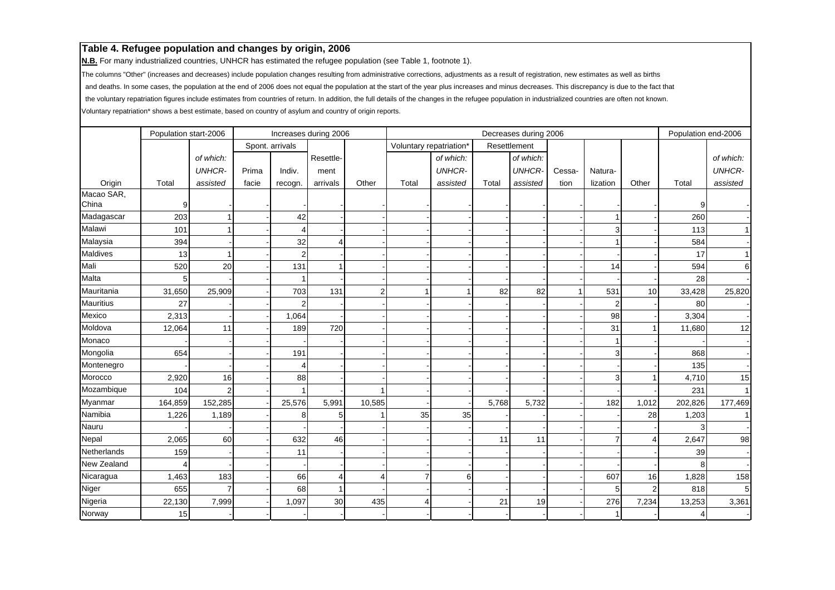**N.B.** For many industrialized countries, UNHCR has estimated the refugee population (see Table 1, footnote 1).

The columns "Other" (increases and decreases) include population changes resulting from administrative corrections, adjustments as a result of registration, new estimates as well as births

and deaths. In some cases, the population at the end of 2006 does not equal the population at the start of the year plus increases and minus decreases. This discrepancy is due to the fact that

the voluntary repatriation figures include estimates from countries of return. In addition, the full details of the changes in the refugee population in industrialized countries are often not known.

|                  | Population start-2006 |                |       |                 | Increases during 2006 |        |                         |               |       | Decreases during 2006 |        |                |                | Population end-2006 |                |
|------------------|-----------------------|----------------|-------|-----------------|-----------------------|--------|-------------------------|---------------|-------|-----------------------|--------|----------------|----------------|---------------------|----------------|
|                  |                       |                |       | Spont. arrivals |                       |        | Voluntary repatriation* |               |       | Resettlement          |        |                |                |                     |                |
|                  |                       | of which:      |       |                 | Resettle-             |        |                         | of which:     |       | of which:             |        |                |                |                     | of which:      |
|                  |                       | <b>UNHCR-</b>  | Prima | Indiv.          | ment                  |        |                         | <b>UNHCR-</b> |       | <b>UNHCR-</b>         | Cessa- | Natura-        |                |                     | <b>UNHCR-</b>  |
| Origin           | Total                 | assisted       | facie | recogn.         | arrivals              | Other  | Total                   | assisted      | Total | assisted              | tion   | lization       | Other          | Total               | assisted       |
| Macao SAR,       |                       |                |       |                 |                       |        |                         |               |       |                       |        |                |                |                     |                |
| China            | 9                     |                |       |                 |                       |        |                         |               |       |                       |        |                |                | 9                   |                |
| Madagascar       | 203                   |                |       | 42              |                       |        |                         |               |       |                       |        |                |                | 260                 |                |
| Malawi           | 101                   |                |       | Δ               |                       |        |                         |               |       |                       |        | 3              |                | 113                 | 1              |
| Malaysia         | 394                   |                |       | 32              | Δ                     |        |                         |               |       |                       |        |                |                | 584                 |                |
| <b>Maldives</b>  | 13                    |                |       | $\overline{2}$  |                       |        |                         |               |       |                       |        |                |                | 17                  | 1              |
| Mali             | 520                   | 20             |       | 131             |                       |        |                         |               |       |                       |        | 14             |                | 594                 | 6              |
| Malta            |                       |                |       |                 |                       |        |                         |               |       |                       |        |                |                | 28                  |                |
| Mauritania       | 31,650                | 25,909         |       | 703             | 131                   | 2      | 1                       |               | 82    | 82                    |        | 531            | 10             | 33,428              | 25,820         |
| <b>Mauritius</b> | 27                    |                |       | 2               |                       |        |                         |               |       |                       |        | 2              |                | 80                  |                |
| Mexico           | 2,313                 |                |       | 1,064           |                       |        |                         |               |       |                       |        | 98             |                | 3,304               |                |
| Moldova          | 12,064                | 11             |       | 189             | 720                   |        |                         |               |       |                       |        | 31             | 1              | 11,680              | 12             |
| Monaco           |                       |                |       |                 |                       |        |                         |               |       |                       |        |                |                |                     |                |
| Mongolia         | 654                   |                |       | 191             |                       |        |                         |               |       |                       |        | 3              |                | 868                 |                |
| Montenegro       |                       |                |       | Δ               |                       |        |                         |               |       |                       |        |                |                | 135                 |                |
| Morocco          | 2,920                 | 16             |       | 88              |                       |        |                         |               |       |                       |        |                |                | 4,710               | 15             |
| Mozambique       | 104                   | $\overline{2}$ |       |                 |                       |        |                         |               |       |                       |        |                |                | 231                 | $\overline{1}$ |
| Myanmar          | 164,859               | 152,285        |       | 25,576          | 5,991                 | 10,585 |                         |               | 5,768 | 5,732                 |        | 182            | 1,012          | 202,826             | 177,469        |
| Namibia          | 1,226                 | 1,189          |       | 8               | 5                     |        | 35                      | 35            |       |                       |        |                | 28             | 1,203               | 1              |
| Nauru            |                       |                |       |                 |                       |        |                         |               |       |                       |        |                |                |                     |                |
| Nepal            | 2,065                 | 60             |       | 632             | 46                    |        |                         |               | 11    | 11                    |        | $\overline{7}$ | 4              | 2,647               | 98             |
| Netherlands      | 159                   |                |       | 11              |                       |        |                         |               |       |                       |        |                |                | 39                  |                |
| New Zealand      |                       |                |       |                 |                       |        |                         |               |       |                       |        |                |                | 8                   |                |
| Nicaragua        | 1,463                 | 183            |       | 66              | $\overline{4}$        |        | $\overline{7}$          | 6             |       |                       |        | 607            | 16             | 1,828               | 158            |
| Niger            | 655                   | 7              |       | 68              |                       |        |                         |               |       |                       |        | 5              | $\overline{2}$ | 818                 | 5              |
| Nigeria          | 22,130                | 7,999          |       | 1,097           | 30                    | 435    | 4                       |               | 21    | 19                    |        | 276            | 7,234          | 13,253              | 3,361          |
| Norway           | 15                    |                |       |                 |                       |        |                         |               |       |                       |        |                |                | $\overline{4}$      |                |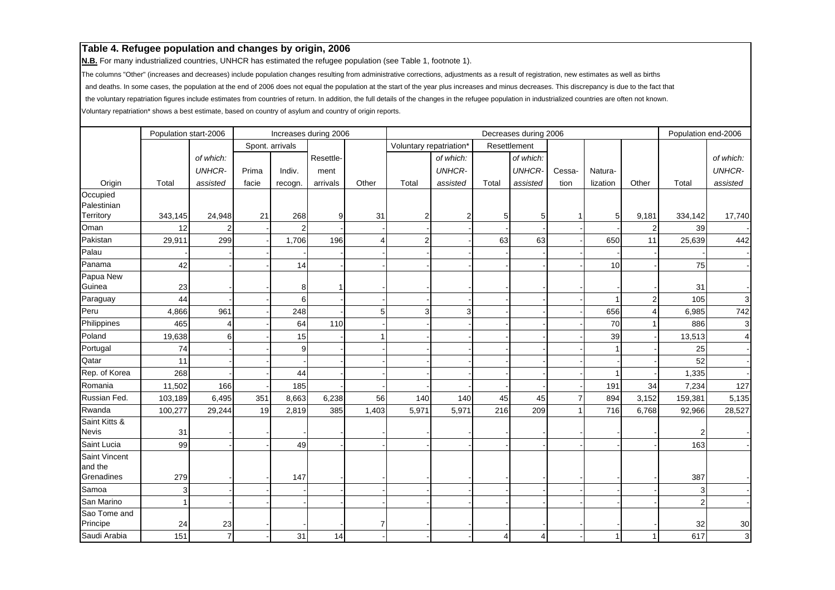**N.B.** For many industrialized countries, UNHCR has estimated the refugee population (see Table 1, footnote 1).

The columns "Other" (increases and decreases) include population changes resulting from administrative corrections, adjustments as a result of registration, new estimates as well as births

and deaths. In some cases, the population at the end of 2006 does not equal the population at the start of the year plus increases and minus decreases. This discrepancy is due to the fact that

the voluntary repatriation figures include estimates from countries of return. In addition, the full details of the changes in the refugee population in industrialized countries are often not known.

|                                        | Population start-2006 |                |       |                 | Increases during 2006 |       |                         |                |       | Decreases during 2006 |                |                |                | Population end-2006 |                |
|----------------------------------------|-----------------------|----------------|-------|-----------------|-----------------------|-------|-------------------------|----------------|-------|-----------------------|----------------|----------------|----------------|---------------------|----------------|
|                                        |                       |                |       | Spont. arrivals |                       |       | Voluntary repatriation* |                |       | Resettlement          |                |                |                |                     |                |
|                                        |                       | of which:      |       |                 | Resettle-             |       |                         | of which:      |       | of which:             |                |                |                |                     | of which:      |
|                                        |                       | <b>UNHCR-</b>  | Prima | Indiv.          | ment                  |       |                         | <b>UNHCR-</b>  |       | <b>UNHCR-</b>         | Cessa-         | Natura-        |                |                     | <b>UNHCR-</b>  |
| Origin                                 | Total                 | assisted       | facie | recogn.         | arrivals              | Other | Total                   | assisted       | Total | assisted              | tion           | lization       | Other          | Total               | assisted       |
| Occupied<br>Palestinian                |                       |                |       |                 |                       |       |                         |                |       |                       |                |                |                |                     |                |
| Territory                              | 343,145               | 24,948         | 21    | 268             | 9                     | 31    | $\overline{2}$          | $\overline{2}$ | 5     | 5                     |                | 5 <sub>l</sub> | 9,181          | 334,142             | 17,740         |
| Oman                                   | 12                    |                |       | $\overline{2}$  |                       |       |                         |                |       |                       |                |                | $\overline{2}$ | 39                  |                |
| Pakistan                               | 29,911                | 299            |       | 1,706           | 196                   |       | $\overline{2}$          |                | 63    | 63                    |                | 650            | 11             | 25,639              | 442            |
| Palau                                  |                       |                |       |                 |                       |       |                         |                |       |                       |                |                |                |                     |                |
| Panama                                 | 42                    |                |       | 14              |                       |       |                         |                |       |                       |                | 10             |                | 75                  |                |
| Papua New<br>Guinea                    | 23                    |                |       | 8               |                       |       |                         |                |       |                       |                |                |                | 31                  |                |
| Paraguay                               | 44                    |                |       | 6               |                       |       |                         |                |       |                       |                |                | $\overline{2}$ | 105                 | 3 <sup>1</sup> |
| Peru                                   | 4,866                 | 961            |       | 248             |                       | 51    | 3                       | 3              |       |                       |                | 656            | 4              | 6,985               | 742            |
| Philippines                            | 465                   | Δ              |       | 64              | 110                   |       |                         |                |       |                       |                | 70             | 1              | 886                 | $\mathbf{3}$   |
| Poland                                 | 19,638                | 6              |       | 15              |                       |       |                         |                |       |                       |                | 39             |                | 13,513              | $\overline{4}$ |
| Portugal                               | 74                    |                |       | 9               |                       |       |                         |                |       |                       |                |                |                | 25                  |                |
| Qatar                                  | 11                    |                |       |                 |                       |       |                         |                |       |                       |                |                |                | 52                  |                |
| Rep. of Korea                          | 268                   |                |       | 44              |                       |       |                         |                |       |                       |                |                |                | 1,335               |                |
| Romania                                | 11,502                | 166            |       | 185             |                       |       |                         |                |       |                       |                | 191            | 34             | 7,234               | 127            |
| Russian Fed.                           | 103,189               | 6,495          | 351   | 8,663           | 6,238                 | 56    | 140                     | 140            | 45    | 45                    | $\overline{7}$ | 894            | 3,152          | 159,381             | 5,135          |
| Rwanda                                 | 100,277               | 29,244         | 19    | 2,819           | 385                   | 1,403 | 5,971                   | 5,971          | 216   | 209                   |                | 716            | 6,768          | 92,966              | 28,527         |
| Saint Kitts &<br><b>Nevis</b>          | 31                    |                |       |                 |                       |       |                         |                |       |                       |                |                |                | $\overline{2}$      |                |
| Saint Lucia                            | 99                    |                |       | 49              |                       |       |                         |                |       |                       |                |                |                | 163                 |                |
| Saint Vincent<br>and the<br>Grenadines | 279                   |                |       | 147             |                       |       |                         |                |       |                       |                |                |                | 387                 |                |
| Samoa                                  | 3                     |                |       |                 |                       |       |                         |                |       |                       |                |                |                | 3                   |                |
| San Marino                             |                       |                |       |                 |                       |       |                         |                |       |                       |                |                |                | $\overline{2}$      |                |
| Sao Tome and<br>Principe               | 24                    | 23             |       |                 |                       |       |                         |                |       |                       |                |                |                | 32                  | 30             |
| Saudi Arabia                           | 151                   | $\overline{7}$ |       | 31              | 14                    |       |                         |                | 4     | 4                     |                |                | 1              | 617                 | $\overline{3}$ |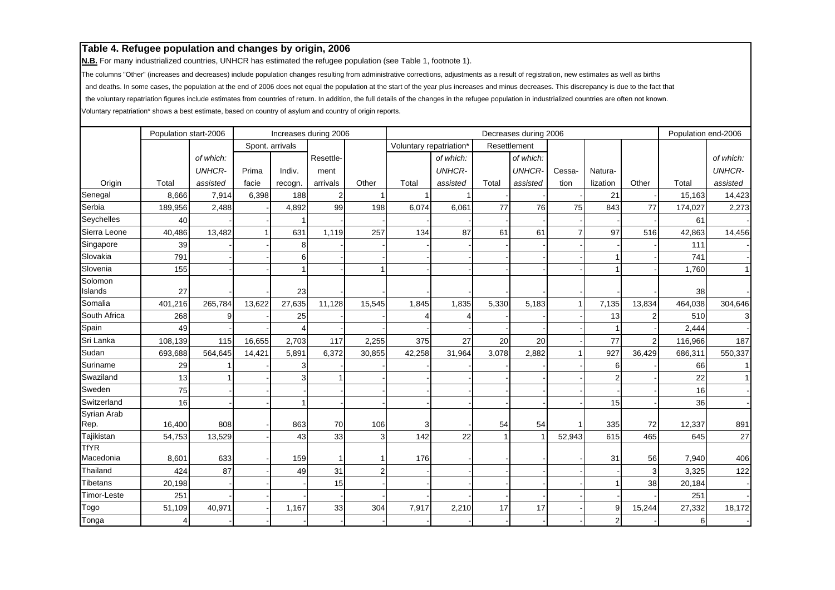**N.B.** For many industrialized countries, UNHCR has estimated the refugee population (see Table 1, footnote 1).

The columns "Other" (increases and decreases) include population changes resulting from administrative corrections, adjustments as a result of registration, new estimates as well as births

and deaths. In some cases, the population at the end of 2006 does not equal the population at the start of the year plus increases and minus decreases. This discrepancy is due to the fact that

the voluntary repatriation figures include estimates from countries of return. In addition, the full details of the changes in the refugee population in industrialized countries are often not known.

|                     | Population start-2006 |               |        |                 | Increases during 2006 |        |                         |               |              | Decreases during 2006 |                |                |                | Population end-2006 |                |
|---------------------|-----------------------|---------------|--------|-----------------|-----------------------|--------|-------------------------|---------------|--------------|-----------------------|----------------|----------------|----------------|---------------------|----------------|
|                     |                       |               |        | Spont. arrivals |                       |        | Voluntary repatriation* |               |              | Resettlement          |                |                |                |                     |                |
|                     |                       | of which:     |        |                 | Resettle-             |        |                         | of which:     |              | of which:             |                |                |                |                     | of which:      |
|                     |                       | <b>UNHCR-</b> | Prima  | Indiv.          | ment                  |        |                         | <b>UNHCR-</b> |              | <b>UNHCR-</b>         | Cessa-         | Natura-        |                |                     | <b>UNHCR-</b>  |
| Origin              | Total                 | assisted      | facie  | recogn.         | arrivals              | Other  | Total                   | assisted      | Total        | assisted              | tion           | lization       | Other          | Total               | assisted       |
| Senegal             | 8,666                 | 7,914         | 6,398  | 188             | $\overline{2}$        |        | $\overline{1}$          |               |              |                       |                | 21             |                | 15,163              | 14,423         |
| Serbia              | 189,956               | 2,488         |        | 4,892           | 99                    | 198    | 6,074                   | 6,061         | 77           | 76                    | 75             | 843            | 77             | 174,027             | 2,273          |
| Seychelles          | 40                    |               |        |                 |                       |        |                         |               |              |                       |                |                |                | 61                  |                |
| Sierra Leone        | 40,486                | 13,482        |        | 631             | 1,119                 | 257    | 134                     | 87            | 61           | 61                    | $\overline{7}$ | 97             | 516            | 42,863              | 14,456         |
| Singapore           | 39                    |               |        | 8               |                       |        |                         |               |              |                       |                |                |                | 111                 |                |
| Slovakia            | 791                   |               |        | 6               |                       |        |                         |               |              |                       |                |                |                | 741                 |                |
| Slovenia            | 155                   |               |        |                 |                       |        |                         |               |              |                       |                |                |                | 1,760               | 1 <sup>1</sup> |
| Solomon<br>Islands  | 27                    |               |        | 23              |                       |        |                         |               |              |                       |                |                |                | 38                  |                |
| Somalia             | 401,216               | 265,784       | 13,622 | 27,635          | 11,128                | 15,545 | 1,845                   | 1,835         | 5,330        | 5,183                 |                | 7,135          | 13,834         | 464,038             | 304,646        |
| South Africa        | 268                   |               |        | 25              |                       |        |                         |               |              |                       |                | 13             | 2              | 510                 | 3              |
| Spain               | 49                    |               |        | 4               |                       |        |                         |               |              |                       |                |                |                | 2,444               |                |
| Sri Lanka           | 108,139               | 115           | 16,655 | 2,703           | 117                   | 2,255  | 375                     | 27            | 20           | 20                    |                | 77             | $\overline{2}$ | 116,966             | 187            |
| Sudan               | 693,688               | 564,645       | 14,421 | 5,891           | 6,372                 | 30,855 | 42,258                  | 31,964        | 3,078        | 2,882                 |                | 927            | 36,429         | 686,311             | 550,337        |
| Suriname            | 29                    |               |        | 3               |                       |        |                         |               |              |                       |                | 6              |                | 66                  | 1 <sup>1</sup> |
| Swaziland           | 13                    |               |        | 3               |                       |        |                         |               |              |                       |                | $\overline{2}$ |                | 22                  | 1 <sup>1</sup> |
| Sweden              | 75                    |               |        |                 |                       |        |                         |               |              |                       |                |                |                | 16                  |                |
| Switzerland         | 16                    |               |        | 1               |                       |        |                         |               |              |                       |                | 15             |                | 36                  |                |
| Syrian Arab<br>Rep. | 16,400                | 808           |        | 863             | 70                    | 106    | 3                       |               | 54           | 54                    |                | 335            | 72             | 12,337              | 891            |
| Tajikistan          | 54,753                | 13,529        |        | 43              | 33                    | 3      | 142                     | 22            | $\mathbf{1}$ |                       | 52,943         | 615            | 465            | 645                 | 27             |
| <b>TfYR</b>         |                       |               |        |                 |                       |        |                         |               |              |                       |                |                |                |                     |                |
| Macedonia           | 8,601                 | 633           |        | 159             |                       |        | 176                     |               |              |                       |                | 31             | 56             | 7,940               | 406            |
| Thailand            | 424                   | 87            |        | 49              | 31                    |        |                         |               |              |                       |                |                | 3              | 3,325               | 122            |
| <b>Tibetans</b>     | 20,198                |               |        |                 | 15                    |        |                         |               |              |                       |                |                | 38             | 20,184              |                |
| Timor-Leste         | 251                   |               |        |                 |                       |        |                         |               |              |                       |                |                |                | 251                 |                |
| Togo                | 51,109                | 40,971        |        | 1,167           | 33                    | 304    | 7,917                   | 2,210         | 17           | 17                    |                | 9              | 15,244         | 27,332              | 18,172         |
| Tonga               |                       |               |        |                 |                       |        |                         |               |              |                       |                | $\overline{2}$ |                | 6                   |                |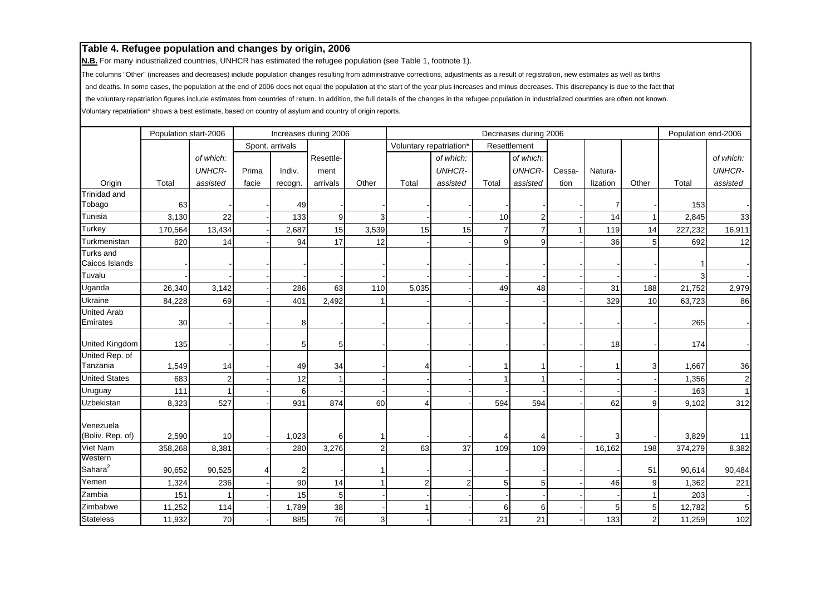**N.B.** For many industrialized countries, UNHCR has estimated the refugee population (see Table 1, footnote 1).

The columns "Other" (increases and decreases) include population changes resulting from administrative corrections, adjustments as a result of registration, new estimates as well as births

and deaths. In some cases, the population at the end of 2006 does not equal the population at the start of the year plus increases and minus decreases. This discrepancy is due to the fact that

the voluntary repatriation figures include estimates from countries of return. In addition, the full details of the changes in the refugee population in industrialized countries are often not known.

|                               | Population start-2006 |               |       |                 | Increases during 2006 |                |                         |                |                | Decreases during 2006 |        |                |              | Population end-2006 |                |
|-------------------------------|-----------------------|---------------|-------|-----------------|-----------------------|----------------|-------------------------|----------------|----------------|-----------------------|--------|----------------|--------------|---------------------|----------------|
|                               |                       |               |       | Spont. arrivals |                       |                | Voluntary repatriation* |                |                | Resettlement          |        |                |              |                     |                |
|                               |                       | of which:     |       |                 | Resettle-             |                |                         | of which:      |                | of which:             |        |                |              |                     | of which:      |
|                               |                       | <b>UNHCR-</b> | Prima | Indiv.          | ment                  |                |                         | <b>UNHCR-</b>  |                | <b>UNHCR-</b>         | Cessa- | Natura-        |              |                     | <b>UNHCR-</b>  |
| Origin                        | Total                 | assisted      | facie | recogn.         | arrivals              | Other          | Total                   | assisted       | Total          | assisted              | tion   | lization       | Other        | Total               | assisted       |
| <b>Trinidad and</b>           |                       |               |       |                 |                       |                |                         |                |                |                       |        |                |              |                     |                |
| Tobago                        | 63                    |               |       | 49              |                       |                |                         |                |                |                       |        |                |              | 153                 |                |
| Tunisia                       | 3,130                 | 22            |       | 133             | 9                     |                |                         |                | 10             | $\overline{2}$        |        | 14             |              | 2,845               | 33             |
| <b>Turkey</b>                 | 170,564               | 13,434        |       | 2,687           | 15                    | 3,539          | 15                      | 15             | $\overline{7}$ | $\overline{7}$        |        | 119            | 14           | 227,232             | 16,911         |
| Turkmenistan                  | 820                   | 14            |       | 94              | 17                    | 12             |                         |                | 9              | 9                     |        | 36             | 5            | 692                 | 12             |
| <b>Turks and</b>              |                       |               |       |                 |                       |                |                         |                |                |                       |        |                |              |                     |                |
| Caicos Islands                |                       |               |       |                 |                       |                |                         |                |                |                       |        |                |              |                     |                |
| Tuvalu                        |                       |               |       |                 |                       |                |                         |                |                |                       |        |                |              |                     |                |
| Uganda                        | 26,340                | 3,142         |       | 286             | 63                    | 110            | 5,035                   |                | 49             | 48                    |        | 31             | 188          | 21,752              | 2,979          |
| Ukraine                       | 84,228                | 69            |       | 401             | 2,492                 |                |                         |                |                |                       |        | 329            | 10           | 63,723              | 86             |
| <b>United Arab</b>            |                       |               |       |                 |                       |                |                         |                |                |                       |        |                |              |                     |                |
| Emirates                      | 30                    |               |       | 8               |                       |                |                         |                |                |                       |        |                |              | 265                 |                |
| United Kingdom                | 135                   |               |       | 5               | 5                     |                |                         |                |                |                       |        | 18             |              | 174                 |                |
| United Rep. of                |                       |               |       |                 |                       |                |                         |                |                |                       |        |                |              |                     |                |
| Tanzania                      | 1,549                 | 14            |       | 49              | 34                    |                | 4                       |                |                |                       |        |                | 3            | 1,667               | 36             |
| <b>United States</b>          | 683                   |               |       | 12              |                       |                |                         |                |                |                       |        |                |              | 1,356               | $\mathbf{2}$   |
| Uruguay                       | 111                   |               |       | 6               |                       |                |                         |                |                |                       |        |                |              | 163                 | 1 <sup>1</sup> |
| Uzbekistan                    | 8,323                 | 527           |       | 931             | 874                   | 60             | $\overline{4}$          |                | 594            | 594                   |        | 62             | 9            | 9,102               | 312            |
|                               |                       |               |       |                 |                       |                |                         |                |                |                       |        |                |              |                     |                |
| Venezuela<br>(Boliv. Rep. of) | 2,590                 | 10            |       | 1,023           | 6                     |                |                         |                |                |                       |        |                |              | 3,829               | 11             |
| Viet Nam                      | 358,268               | 8,381         |       | 280             | 3,276                 | $\overline{2}$ | 63                      | 37             | 109            | 109                   |        | 16,162         | 198          | 374,279             | 8,382          |
| Western                       |                       |               |       |                 |                       |                |                         |                |                |                       |        |                |              |                     |                |
| Sahara <sup>2</sup>           | 90,652                | 90,525        |       | 2               |                       |                |                         |                |                |                       |        |                | 51           | 90,614              | 90,484         |
| Yemen                         | 1,324                 | 236           |       | 90              | 14                    |                | $\overline{2}$          | $\overline{2}$ | 5              | 5                     |        | 46             | 9            | 1,362               | 221            |
| Zambia                        | 151                   |               |       | 15              | $\sqrt{5}$            |                |                         |                |                |                       |        |                | 1            | 203                 |                |
| Zimbabwe                      | 11,252                | 114           |       | 1,789           | 38                    |                | -1                      |                | 6              | 6                     |        | 5 <sub>1</sub> | 5            | 12,782              | 5 <sub>5</sub> |
| <b>Stateless</b>              | 11,932                | 70            |       | 885             | 76                    | 3              |                         |                | 21             | 21                    |        | 133            | $\mathbf{2}$ | 11,259              | 102            |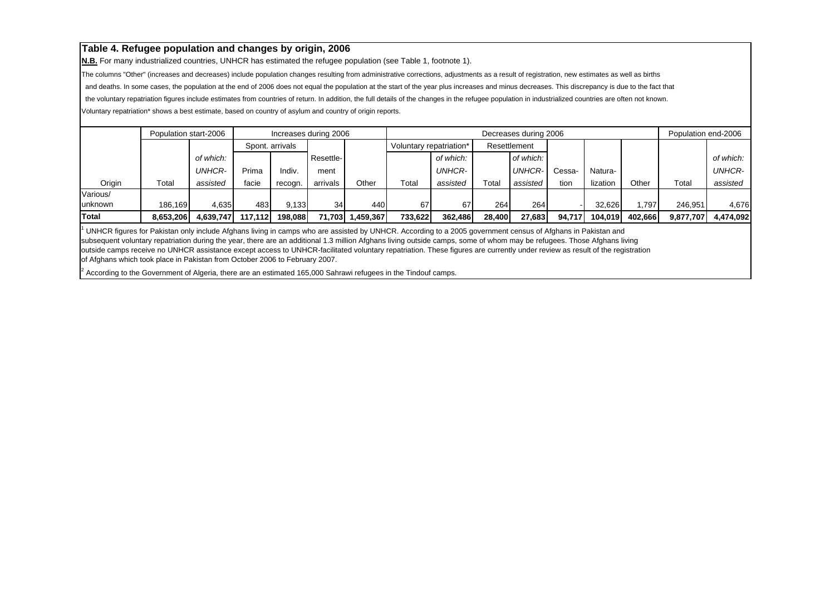**N.B.** For many industrialized countries, UNHCR has estimated the refugee population (see Table 1, footnote 1).

The columns "Other" (increases and decreases) include population changes resulting from administrative corrections, adjustments as a result of registration, new estimates as well as births

and deaths. In some cases, the population at the end of 2006 does not equal the population at the start of the year plus increases and minus decreases. This discrepancy is due to the fact that

the voluntary repatriation figures include estimates from countries of return. In addition, the full details of the changes in the refugee population in industrialized countries are often not known.

Voluntary repatriation\* shows a best estimate, based on country of asylum and country of origin reports.

|                | Population start-2006 |               |         |                 | Increases during 2006 |           |                         |           |             | Decreases during 2006 |        |          |         | Population end-2006 |               |
|----------------|-----------------------|---------------|---------|-----------------|-----------------------|-----------|-------------------------|-----------|-------------|-----------------------|--------|----------|---------|---------------------|---------------|
|                |                       |               |         | Spont, arrivals |                       |           | Voluntary repatriation* |           |             | Resettlement          |        |          |         |                     |               |
|                |                       | of which:     |         |                 | Resettle-             |           |                         | of which: |             | of which:             |        |          |         |                     | of which:     |
|                |                       | <b>UNHCR-</b> | Prima   | Indiv.          | ment                  |           |                         | UNHCR-    |             | <b>UNHCR-</b>         | Cessa- | Natura-  |         |                     | <b>UNHCR-</b> |
| Origin         | Total                 | assisted      | facie   | recogn.         | arrivals              | Other     | Total                   | assisted  | $\tau$ otal | assisted              | tion   | lization | Other   | Total               | assisted      |
| Various/       |                       |               |         |                 |                       |           |                         |           |             |                       |        |          |         |                     |               |
| <b>unknown</b> | 186.169               | 4.635         | 483     | 9.133           | 34                    | 440       | 67                      | 67        | 264         | 264                   |        | 32.626   | .797    | 246.951             | 4.676         |
| Total          | 8,653,206             | 4.639.747     | 117.112 | 198.088         | 71.703                | 1,459,367 | 733.622                 | 362.486   | 28,400      | 27.683                | 94.717 | 104.019  | 402.666 | 9,877,707           | 4,474,092     |

 $^1$  UNHCR figures for Pakistan only include Afghans living in camps who are assisted by UNHCR. According to a 2005 government census of Afghans in Pakistan and subsequent voluntary repatriation during the year, there are an additional 1.3 million Afghans living outside camps, some of whom may be refugees. Those Afghans living outside camps receive no UNHCR assistance except access to UNHCR-facilitated voluntary repatriation. These figures are currently under review as result of the registration of Afghans which took place in Pakistan from October 2006 to February 2007.

2 According to the Government of Algeria, there are an estimated 165,000 Sahrawi refugees in the Tindouf camps.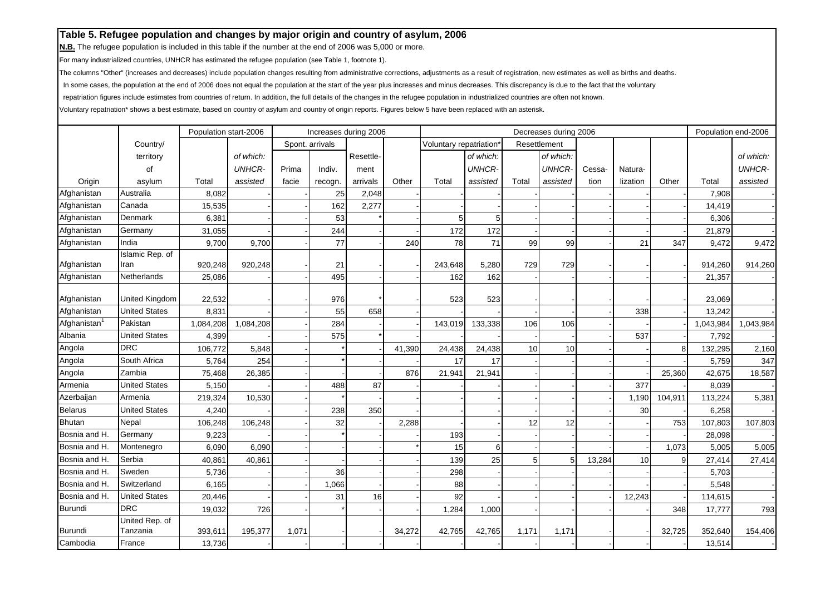**N.B.** The refugee population is included in this table if the number at the end of 2006 was 5,000 or more.

For many industrialized countries, UNHCR has estimated the refugee population (see Table 1, footnote 1).

The columns "Other" (increases and decreases) include population changes resulting from administrative corrections, adjustments as a result of registration, new estimates as well as births and deaths.

In some cases, the population at the end of 2006 does not equal the population at the start of the year plus increases and minus decreases. This discrepancy is due to the fact that the voluntary

repatriation figures include estimates from countries of return. In addition, the full details of the changes in the refugee population in industrialized countries are often not known.

|                          |                       | Population start-2006 |               |       |                 | Increases during 2006 |        |                                     |               |       | Decreases during 2006 |        |          |         | Population end-2006 |               |
|--------------------------|-----------------------|-----------------------|---------------|-------|-----------------|-----------------------|--------|-------------------------------------|---------------|-------|-----------------------|--------|----------|---------|---------------------|---------------|
|                          | Country/              |                       |               |       | Spont. arrivals |                       |        | Voluntary repatriation <sup>®</sup> |               |       | Resettlement          |        |          |         |                     |               |
|                          | territory             |                       | of which:     |       |                 | Resettle-             |        |                                     | of which:     |       | of which:             |        |          |         |                     | of which:     |
|                          | οf                    |                       | <b>UNHCR-</b> | Prima | Indiv.          | ment                  |        |                                     | <b>UNHCR-</b> |       | <b>UNHCR-</b>         | Cessa- | Natura-  |         |                     | <b>UNHCR-</b> |
| Origin                   | asylum                | Total                 | assisted      | facie | recogn.         | arrivals              | Other  | Total                               | assisted      | Total | assisted              | tion   | lization | Other   | Total               | assisted      |
| Afghanistan              | Australia             | 8,082                 |               |       | 25              | 2,048                 |        |                                     |               |       |                       |        |          |         | 7,908               |               |
| Afghanistan              | Canada                | 15,535                |               |       | 162             | 2,277                 |        |                                     |               |       |                       |        |          |         | 14,419              |               |
| Afghanistan              | Denmark               | 6,381                 |               |       | 53              |                       |        | 5                                   |               |       |                       |        |          |         | 6,306               |               |
| Afghanistan              | Germany               | 31,055                |               |       | 244             |                       |        | 172                                 | 172           |       |                       |        |          |         | 21,879              |               |
| Afghanistan              | India                 | 9,700                 | 9,700         |       | 77              |                       | 240    | 78                                  | 71            | 99    | 99                    |        | 21       | 347     | 9,472               | 9,472         |
|                          | Islamic Rep. of       |                       |               |       |                 |                       |        |                                     |               |       |                       |        |          |         |                     |               |
| Afghanistan              | Iran                  | 920,248               | 920,248       |       | 21              |                       |        | 243,648                             | 5,280         | 729   | 729                   |        |          |         | 914,260             | 914,260       |
| Afghanistan              | Netherlands           | 25,086                |               |       | 495             |                       |        | 162                                 | 162           |       |                       |        |          |         | 21,357              |               |
| Afghanistan              | <b>United Kingdom</b> | 22,532                |               |       | 976             |                       |        | 523                                 | 523           |       |                       |        |          |         | 23,069              |               |
| Afghanistan              | <b>United States</b>  | 8,831                 |               |       | 55              | 658                   |        |                                     |               |       |                       |        | 338      |         | 13,242              |               |
| Afghanistan <sup>1</sup> | Pakistan              | 1,084,208             | 1,084,208     |       | 284             |                       |        | 143,019                             | 133,338       | 106   | 106                   |        |          |         | 1,043,984           | 1,043,984     |
| Albania                  | <b>United States</b>  | 4,399                 |               |       | 575             |                       |        |                                     |               |       |                       |        | 537      |         | 7,792               |               |
| Angola                   | <b>DRC</b>            | 106,772               | 5,848         |       |                 |                       | 41,390 | 24,438                              | 24,438        | 10    | 10                    |        |          | 8       | 132,295             | 2,160         |
| Angola                   | South Africa          | 5,764                 | 254           |       |                 |                       |        | 17                                  | 17            |       |                       |        |          |         | 5,759               | 347           |
| Angola                   | Zambia                | 75,468                | 26,385        |       |                 |                       | 876    | 21,941                              | 21,941        |       |                       |        |          | 25,360  | 42,675              | 18,587        |
| Armenia                  | <b>United States</b>  | 5,150                 |               |       | 488             | 87                    |        |                                     |               |       |                       |        | 377      |         | 8,039               |               |
| Azerbaijan               | Armenia               | 219,324               | 10,530        |       |                 |                       |        |                                     |               |       |                       |        | 1,190    | 104,911 | 113,224             | 5,381         |
| <b>Belarus</b>           | <b>United States</b>  | 4,240                 |               |       | 238             | 350                   |        |                                     |               |       |                       |        | 30       |         | 6,258               |               |
| <b>Bhutan</b>            | Nepal                 | 106,248               | 106,248       |       | 32              |                       | 2,288  |                                     |               | 12    | 12                    |        |          | 753     | 107,803             | 107,803       |
| Bosnia and H.            | Germany               | 9,223                 |               |       |                 |                       |        | 193                                 |               |       |                       |        |          |         | 28,098              |               |
| Bosnia and H.            | Montenegro            | 6,090                 | 6,090         |       |                 |                       |        | 15                                  | 6             |       |                       |        |          | 1,073   | 5,005               | 5,005         |
| Bosnia and H.            | Serbia                | 40,861                | 40,861        |       |                 |                       |        | 139                                 | 25            | 5     | 5                     | 13,284 | 10       | 9       | 27,414              | 27,414        |
| Bosnia and H.            | Sweden                | 5,736                 |               |       | 36              |                       |        | 298                                 |               |       |                       |        |          |         | 5,703               |               |
| Bosnia and H.            | Switzerland           | 6,165                 |               |       | 1,066           |                       |        | 88                                  |               |       |                       |        |          |         | 5,548               |               |
| Bosnia and H.            | <b>United States</b>  | 20,446                |               |       | 31              | 16                    |        | 92                                  |               |       |                       |        | 12,243   |         | 114,615             |               |
| <b>Burundi</b>           | <b>DRC</b>            | 19,032                | 726           |       |                 |                       |        | 1,284                               | 1,000         |       |                       |        |          | 348     | 17,777              | 793           |
|                          | United Rep. of        |                       |               |       |                 |                       |        |                                     |               |       |                       |        |          |         |                     |               |
| Burundi                  | Tanzania              | 393,611               | 195,377       | 1,071 |                 |                       | 34,272 | 42,765                              | 42,765        | 1,171 | 1,171                 |        |          | 32,725  | 352,640             | 154,406       |
| Cambodia                 | France                | 13,736                |               |       |                 |                       |        |                                     |               |       |                       |        |          |         | 13,514              |               |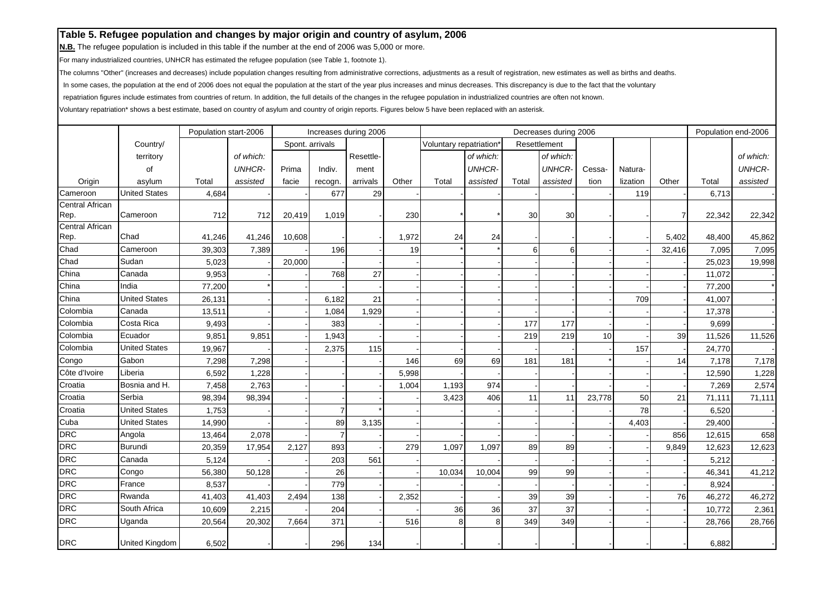**N.B.** The refugee population is included in this table if the number at the end of 2006 was 5,000 or more.

For many industrialized countries, UNHCR has estimated the refugee population (see Table 1, footnote 1).

The columns "Other" (increases and decreases) include population changes resulting from administrative corrections, adjustments as a result of registration, new estimates as well as births and deaths.

In some cases, the population at the end of 2006 does not equal the population at the start of the year plus increases and minus decreases. This discrepancy is due to the fact that the voluntary

repatriation figures include estimates from countries of return. In addition, the full details of the changes in the refugee population in industrialized countries are often not known.

|                         |                       | Population start-2006 |               |        |                 | Increases during 2006 |       |                        |               |       | Decreases during 2006 |        |          |        | Population end-2006 |               |
|-------------------------|-----------------------|-----------------------|---------------|--------|-----------------|-----------------------|-------|------------------------|---------------|-------|-----------------------|--------|----------|--------|---------------------|---------------|
|                         | Country/              |                       |               |        | Spont. arrivals |                       |       | Voluntary repatriation |               |       | Resettlement          |        |          |        |                     |               |
|                         | territory             |                       | of which:     |        |                 | Resettle-             |       |                        | of which:     |       | of which:             |        |          |        |                     | of which:     |
|                         | οf                    |                       | <b>UNHCR-</b> | Prima  | Indiv.          | ment                  |       |                        | <b>UNHCR-</b> |       | <b>UNHCR-</b>         | Cessa- | Natura-  |        |                     | <b>UNHCR-</b> |
| Origin                  | asylum                | Total                 | assisted      | facie  | recogn.         | arrivals              | Other | Total                  | assisted      | Total | assisted              | tion   | lization | Other  | Total               | assisted      |
| Cameroon                | <b>United States</b>  | 4,684                 |               |        | 677             | 29                    |       |                        |               |       |                       |        | 119      |        | 6,713               |               |
| Central African         |                       |                       |               |        |                 |                       |       |                        |               |       |                       |        |          |        |                     |               |
| Rep.                    | Cameroon              | 712                   | 712           | 20,419 | 1,019           |                       | 230   |                        |               | 30    | 30                    |        |          | 7      | 22,342              | 22,342        |
| Central African<br>Rep. | Chad                  |                       |               |        |                 |                       |       |                        |               |       |                       |        |          |        |                     |               |
| Chad                    | Cameroon              | 41,246                | 41,246        | 10,608 |                 |                       | 1,972 | 24                     | 24            | 6     |                       |        |          | 5,402  | 48,400              | 45,862        |
| Chad                    | Sudan                 | 39,303                | 7,389         |        | 196             |                       | 19    |                        |               |       | 6                     |        |          | 32,416 | 7,095               | 7,095         |
| China                   | Canada                | 5,023                 |               | 20,000 |                 |                       |       |                        |               |       |                       |        |          |        | 25,023              | 19,998        |
| China                   | India                 | 9,953                 |               |        | 768             | 27                    |       |                        |               |       |                       |        |          |        | 11,072              |               |
|                         | <b>United States</b>  | 77,200                |               |        |                 |                       |       |                        |               |       |                       |        |          |        | 77,200              |               |
| China                   |                       | 26,131                |               |        | 6,182           | 21                    |       |                        |               |       |                       |        | 709      |        | 41,007              |               |
| Colombia                | Canada                | 13,511                |               |        | 1,084           | 1,929                 |       |                        |               |       |                       |        |          |        | 17,378              |               |
| Colombia                | Costa Rica            | 9,493                 |               |        | 383             |                       |       |                        |               | 177   | 177                   |        |          |        | 9,699               |               |
| Colombia                | Ecuador               | 9,851                 | 9,851         |        | 1,943           |                       |       |                        |               | 219   | 219                   | 10     |          | 39     | 11,526              | 11,526        |
| Colombia                | <b>United States</b>  | 19,967                |               |        | 2,375           | 115                   |       |                        |               |       |                       |        | 157      |        | 24,770              |               |
| Congo                   | Gabon                 | 7,298                 | 7,298         |        |                 |                       | 146   | 69                     | 69            | 181   | 181                   |        |          | 14     | 7,178               | 7,178         |
| Côte d'Ivoire           | Liberia               | 6,592                 | 1,228         |        |                 |                       | 5,998 |                        |               |       |                       |        |          |        | 12,590              | 1,228         |
| Croatia                 | Bosnia and H.         | 7,458                 | 2,763         |        |                 |                       | 1,004 | 1,193                  | 974           |       |                       |        |          |        | 7,269               | 2,574         |
| Croatia                 | Serbia                | 98,394                | 98,394        |        |                 |                       |       | 3,423                  | 406           | 11    | 11                    | 23,778 | 50       | 21     | 71,111              | 71,111        |
| Croatia                 | <b>United States</b>  | 1,753                 |               |        | 7               |                       |       |                        |               |       |                       |        | 78       |        | 6,520               |               |
| Cuba                    | <b>United States</b>  | 14,990                |               |        | 89              | 3,135                 |       |                        |               |       |                       |        | 4,403    |        | 29,400              |               |
| <b>DRC</b>              | Angola                | 13,464                | 2,078         |        | $\overline{7}$  |                       |       |                        |               |       |                       |        |          | 856    | 12,615              | 658           |
| <b>DRC</b>              | <b>Burundi</b>        | 20,359                | 17,954        | 2,127  | 893             |                       | 279   | 1,097                  | 1,097         | 89    | 89                    |        |          | 9,849  | 12,623              | 12,623        |
| <b>DRC</b>              | Canada                | 5,124                 |               |        | 203             | 561                   |       |                        |               |       |                       |        |          |        | 5,212               |               |
| <b>DRC</b>              | Congo                 | 56,380                | 50,128        |        | 26              |                       |       | 10,034                 | 10,004        | 99    | 99                    |        |          |        | 46,341              | 41,212        |
| <b>DRC</b>              | France                | 8,537                 |               |        | 779             |                       |       |                        |               |       |                       |        |          |        | 8,924               |               |
| <b>DRC</b>              | Rwanda                | 41,403                | 41,403        | 2,494  | 138             |                       | 2,352 |                        |               | 39    | 39                    |        |          | 76     | 46,272              | 46,272        |
| <b>DRC</b>              | South Africa          | 10,609                | 2,215         |        | 204             |                       |       | 36                     | 36            | 37    | 37                    |        |          |        | 10,772              | 2,361         |
| <b>DRC</b>              | Uganda                | 20,564                | 20,302        | 7,664  | 371             |                       | 516   | 8                      | 8             | 349   | 349                   |        |          |        | 28,766              | 28,766        |
| <b>DRC</b>              | <b>United Kingdom</b> | 6,502                 |               |        | 296             | 134                   |       |                        |               |       |                       |        |          |        | 6,882               |               |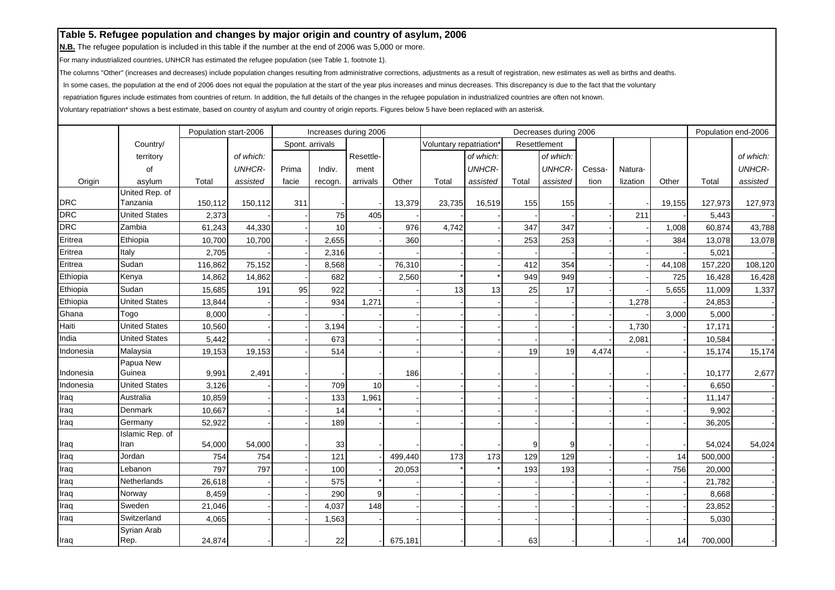**N.B.** The refugee population is included in this table if the number at the end of 2006 was 5,000 or more.

For many industrialized countries, UNHCR has estimated the refugee population (see Table 1, footnote 1).

The columns "Other" (increases and decreases) include population changes resulting from administrative corrections, adjustments as a result of registration, new estimates as well as births and deaths.

In some cases, the population at the end of 2006 does not equal the population at the start of the year plus increases and minus decreases. This discrepancy is due to the fact that the voluntary

repatriation figures include estimates from countries of return. In addition, the full details of the changes in the refugee population in industrialized countries are often not known.

|            |                      | Population start-2006 |               |       |                 | Increases during 2006 |         |                                     |               |       | Decreases during 2006 |        |          |        | Population end-2006 |               |
|------------|----------------------|-----------------------|---------------|-------|-----------------|-----------------------|---------|-------------------------------------|---------------|-------|-----------------------|--------|----------|--------|---------------------|---------------|
|            | Country/             |                       |               |       | Spont. arrivals |                       |         | Voluntary repatriation <sup>®</sup> |               |       | Resettlement          |        |          |        |                     |               |
|            | territory            |                       | of which:     |       |                 | Resettle-             |         |                                     | of which:     |       | of which:             |        |          |        |                     | of which:     |
|            | of                   |                       | <b>UNHCR-</b> | Prima | Indiv.          | ment                  |         |                                     | <b>UNHCR-</b> |       | <b>UNHCR-</b>         | Cessa- | Natura-  |        |                     | <b>UNHCR-</b> |
| Origin     | asylum               | Total                 | assisted      | facie | recogn.         | arrivals              | Other   | Total                               | assisted      | Total | assisted              | tion   | lization | Other  | Total               | assisted      |
|            | United Rep. of       |                       |               |       |                 |                       |         |                                     |               |       |                       |        |          |        |                     |               |
| <b>DRC</b> | Tanzania             | 150,112               | 150,112       | 311   |                 |                       | 13,379  | 23,735                              | 16,519        | 155   | 155                   |        |          | 19,155 | 127,973             | 127,973       |
| <b>DRC</b> | <b>United States</b> | 2,373                 |               |       | 75              | 405                   |         |                                     |               |       |                       |        | 211      |        | 5,443               |               |
| <b>DRC</b> | Zambia               | 61,243                | 44,330        |       | 10              |                       | 976     | 4,742                               |               | 347   | 347                   |        |          | 1,008  | 60,874              | 43,788        |
| Eritrea    | Ethiopia             | 10,700                | 10,700        |       | 2,655           |                       | 360     |                                     |               | 253   | 253                   |        |          | 384    | 13,078              | 13,078        |
| Eritrea    | Italy                | 2,705                 |               |       | 2,316           |                       |         |                                     |               |       |                       |        |          |        | 5,021               |               |
| Eritrea    | Sudan                | 116,862               | 75,152        |       | 8,568           |                       | 76,310  |                                     |               | 412   | 354                   |        |          | 44,108 | 157,220             | 108,120       |
| Ethiopia   | Kenya                | 14,862                | 14,862        |       | 682             |                       | 2,560   |                                     |               | 949   | 949                   |        |          | 725    | 16,428              | 16,428        |
| Ethiopia   | Sudan                | 15,685                | 191           | 95    | 922             |                       |         | 13                                  | 13            | 25    | 17                    |        |          | 5,655  | 11,009              | 1,337         |
| Ethiopia   | <b>United States</b> | 13,844                |               |       | 934             | 1,271                 |         |                                     |               |       |                       |        | 1,278    |        | 24,853              |               |
| Ghana      | Togo                 | 8,000                 |               |       |                 |                       |         |                                     |               |       |                       |        |          | 3,000  | 5,000               |               |
| Haiti      | <b>United States</b> | 10,560                |               |       | 3,194           |                       |         |                                     |               |       |                       |        | 1,730    |        | 17,171              |               |
| India      | <b>United States</b> | 5,442                 |               |       | 673             |                       |         |                                     |               |       |                       |        | 2,081    |        | 10,584              |               |
| Indonesia  | Malaysia             | 19,153                | 19,153        |       | 514             |                       |         |                                     |               | 19    | 19                    | 4,474  |          |        | 15,174              | 15,174        |
|            | Papua New            |                       |               |       |                 |                       |         |                                     |               |       |                       |        |          |        |                     |               |
| Indonesia  | Guinea               | 9,991                 | 2,491         |       |                 |                       | 186     |                                     |               |       |                       |        |          |        | 10,177              | 2,677         |
| Indonesia  | <b>United States</b> | 3,126                 |               |       | 709             | 10                    |         |                                     |               |       |                       |        |          |        | 6,650               |               |
| Iraq       | Australia            | 10,859                |               |       | 133             | 1,961                 |         |                                     |               |       |                       |        |          |        | 11,147              |               |
| Iraq       | Denmark              | 10,667                |               |       | 14              |                       |         |                                     |               |       |                       |        |          |        | 9,902               |               |
| Iraq       | Germany              | 52,922                |               |       | 189             |                       |         |                                     |               |       |                       |        |          |        | 36,205              |               |
|            | Islamic Rep. of      |                       |               |       |                 |                       |         |                                     |               |       |                       |        |          |        |                     |               |
| Iraq       | Iran                 | 54,000                | 54,000        |       | 33              |                       |         |                                     |               | 9     | 9                     |        |          |        | 54,024              | 54,024        |
| Iraq       | Jordan               | 754                   | 754           |       | 121             |                       | 499,440 | 173                                 | 173           | 129   | 129                   |        |          | 14     | 500,000             |               |
| Iraq       | Lebanon              | 797                   | 797           |       | 100             |                       | 20,053  |                                     |               | 193   | 193                   |        |          | 756    | 20,000              |               |
| Iraq       | Netherlands          | 26,618                |               |       | 575             |                       |         |                                     |               |       |                       |        |          |        | 21,782              |               |
| Iraq       | Norway               | 8,459                 |               |       | 290             | 9                     |         |                                     |               |       |                       |        |          |        | 8,668               |               |
| Iraq       | Sweden               | 21,046                |               |       | 4,037           | 148                   |         |                                     |               |       |                       |        |          |        | 23,852              |               |
| Iraq       | Switzerland          | 4,065                 |               |       | 1,563           |                       |         |                                     |               |       |                       |        |          |        | 5,030               |               |
|            | Syrian Arab          |                       |               |       |                 |                       |         |                                     |               |       |                       |        |          |        |                     |               |
| Iraq       | Rep.                 | 24,874                |               |       | 22              |                       | 675,181 |                                     |               | 63    |                       |        |          | 14     | 700,000             |               |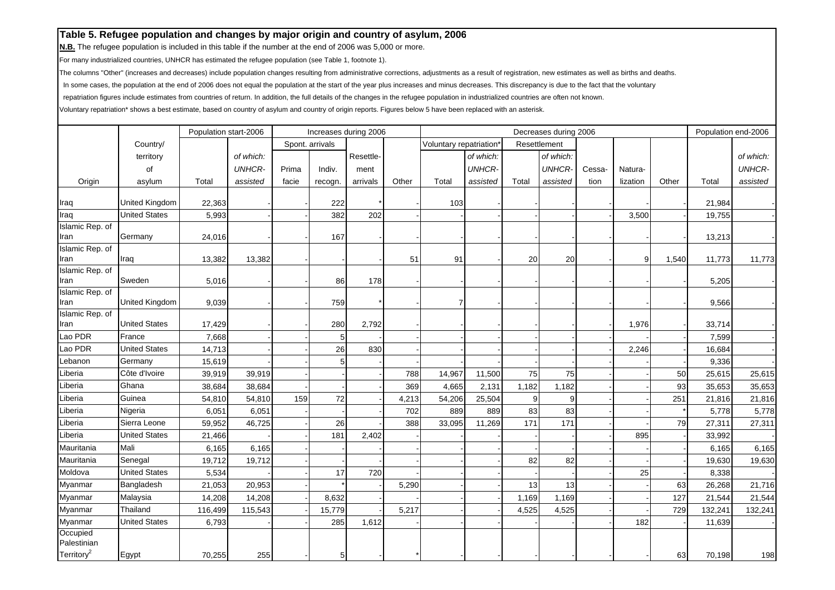**N.B.** The refugee population is included in this table if the number at the end of 2006 was 5,000 or more.

For many industrialized countries, UNHCR has estimated the refugee population (see Table 1, footnote 1).

The columns "Other" (increases and decreases) include population changes resulting from administrative corrections, adjustments as a result of registration, new estimates as well as births and deaths.

In some cases, the population at the end of 2006 does not equal the population at the start of the year plus increases and minus decreases. This discrepancy is due to the fact that the voluntary

repatriation figures include estimates from countries of return. In addition, the full details of the changes in the refugee population in industrialized countries are often not known.

|                         |                       | Population start-2006 |               |       |                 | Increases during 2006 |       |                                     |               |       | Decreases during 2006 |        |          |       | Population end-2006 |               |
|-------------------------|-----------------------|-----------------------|---------------|-------|-----------------|-----------------------|-------|-------------------------------------|---------------|-------|-----------------------|--------|----------|-------|---------------------|---------------|
|                         | Country/              |                       |               |       | Spont. arrivals |                       |       | Voluntary repatriation <sup>®</sup> |               |       | Resettlement          |        |          |       |                     |               |
|                         | territory             |                       | of which:     |       |                 | Resettle-             |       |                                     | of which:     |       | of which:             |        |          |       |                     | of which:     |
|                         | οf                    |                       | <b>UNHCR-</b> | Prima | Indiv.          | ment                  |       |                                     | <b>UNHCR-</b> |       | <b>UNHCR-</b>         | Cessa- | Natura-  |       |                     | <b>UNHCR-</b> |
| Origin                  | asylum                | Total                 | assisted      | facie | recogn.         | arrivals              | Other | Total                               | assisted      | Total | assisted              | tion   | lization | Other | Total               | assisted      |
|                         |                       |                       |               |       |                 |                       |       |                                     |               |       |                       |        |          |       |                     |               |
| Iraq                    | <b>United Kingdom</b> | 22,363                |               |       | 222             |                       |       | 103                                 |               |       |                       |        |          |       | 21,984              |               |
| Iraq                    | <b>United States</b>  | 5,993                 |               |       | 382             | 202                   |       |                                     |               |       |                       |        | 3,500    |       | 19,755              |               |
| Islamic Rep. of         |                       |                       |               |       |                 |                       |       |                                     |               |       |                       |        |          |       |                     |               |
| Iran                    | Germany               | 24,016                |               |       | 167             |                       |       |                                     |               |       |                       |        |          |       | 13,213              |               |
| Islamic Rep. of<br>Iran | Iraq                  | 13,382                | 13,382        |       |                 |                       | 51    | 91                                  |               | 20    | 20                    |        | 9        | 1,540 | 11,773              | 11,773        |
| Islamic Rep. of         |                       |                       |               |       |                 |                       |       |                                     |               |       |                       |        |          |       |                     |               |
| Iran                    | Sweden                | 5,016                 |               |       | 86              | 178                   |       |                                     |               |       |                       |        |          |       | 5,205               |               |
| Islamic Rep. of         |                       |                       |               |       |                 |                       |       |                                     |               |       |                       |        |          |       |                     |               |
| Iran                    | <b>United Kingdom</b> | 9,039                 |               |       | 759             |                       |       | 7                                   |               |       |                       |        |          |       | 9,566               |               |
| Islamic Rep. of         |                       |                       |               |       |                 |                       |       |                                     |               |       |                       |        |          |       |                     |               |
| Iran                    | <b>United States</b>  | 17,429                |               |       | 280             | 2,792                 |       |                                     |               |       |                       |        | 1,976    |       | 33,714              |               |
| Lao PDR                 | France                | 7,668                 |               |       | 5               |                       |       |                                     |               |       |                       |        |          |       | 7,599               |               |
| Lao PDR                 | <b>United States</b>  | 14,713                |               |       | 26              | 830                   |       |                                     |               |       |                       |        | 2,246    |       | 16,684              |               |
| Lebanon                 | Germany               | 15,619                |               |       | 5               |                       |       |                                     |               |       |                       |        |          |       | 9,336               |               |
| Liberia                 | Côte d'Ivoire         | 39,919                | 39,919        |       |                 |                       | 788   | 14,967                              | 11,500        | 75    | 75                    |        |          | 50    | 25,615              | 25,615        |
| Liberia                 | Ghana                 | 38,684                | 38,684        |       |                 |                       | 369   | 4,665                               | 2,131         | 1,182 | 1,182                 |        |          | 93    | 35,653              | 35,653        |
| Liberia                 | Guinea                | 54,810                | 54,810        | 159   | 72              |                       | 4,213 | 54,206                              | 25,504        | 9     | 9                     |        |          | 251   | 21,816              | 21,816        |
| Liberia                 | Nigeria               | 6,051                 | 6,051         |       |                 |                       | 702   | 889                                 | 889           | 83    | 83                    |        |          |       | 5,778               | 5,778         |
| Liberia                 | Sierra Leone          | 59,952                | 46,725        |       | 26              |                       | 388   | 33,095                              | 11,269        | 171   | 171                   |        |          | 79    | 27,311              | 27,311        |
| Liberia                 | <b>United States</b>  | 21,466                |               |       | 181             | 2,402                 |       |                                     |               |       |                       |        | 895      |       | 33,992              |               |
| Mauritania              | Mali                  | 6,165                 | 6,165         |       |                 |                       |       |                                     |               |       |                       |        |          |       | 6,165               | 6,165         |
| Mauritania              | Senegal               | 19,712                | 19,712        |       |                 |                       |       |                                     |               | 82    | 82                    |        |          |       | 19,630              | 19,630        |
| Moldova                 | <b>United States</b>  | 5,534                 |               |       | 17              | 720                   |       |                                     |               |       |                       |        | 25       |       | 8,338               |               |
| Myanmar                 | Bangladesh            | 21,053                | 20,953        |       |                 |                       | 5,290 |                                     |               | 13    | 13                    |        |          | 63    | 26,268              | 21,716        |
| Myanmar                 | Malaysia              | 14,208                | 14,208        |       | 8,632           |                       |       |                                     |               | 1,169 | 1,169                 |        |          | 127   | 21,544              | 21,544        |
| Myanmar                 | Thailand              | 116,499               | 115,543       |       | 15,779          |                       | 5,217 |                                     |               | 4,525 | 4,525                 |        |          | 729   | 132,241             | 132,241       |
| Myanmar                 | <b>United States</b>  | 6,793                 |               |       | 285             | 1,612                 |       |                                     |               |       |                       |        | 182      |       | 11,639              |               |
| Occupied<br>Palestinian |                       |                       |               |       |                 |                       |       |                                     |               |       |                       |        |          |       |                     |               |
| Territory <sup>2</sup>  | Egypt                 | 70,255                | 255           |       | 5               |                       |       |                                     |               |       |                       |        |          | 63    | 70,198              | 198           |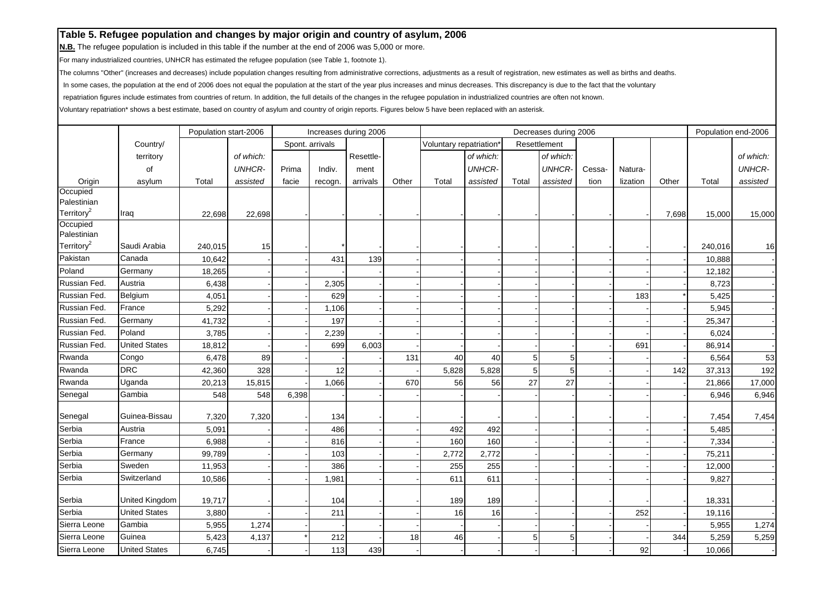**N.B.** The refugee population is included in this table if the number at the end of 2006 was 5,000 or more.

For many industrialized countries, UNHCR has estimated the refugee population (see Table 1, footnote 1).

The columns "Other" (increases and decreases) include population changes resulting from administrative corrections, adjustments as a result of registration, new estimates as well as births and deaths.

In some cases, the population at the end of 2006 does not equal the population at the start of the year plus increases and minus decreases. This discrepancy is due to the fact that the voluntary

repatriation figures include estimates from countries of return. In addition, the full details of the changes in the refugee population in industrialized countries are often not known.

| Spont. arrivals<br>Country/<br>Voluntary repatriation<br>Resettlement<br>Resettle-<br>of which:<br>of which:<br>territory<br>of which:<br><b>UNHCR-</b><br><b>UNHCR-</b><br><b>UNHCR-</b><br>of<br>Indiv.<br>Cessa-<br>Prima<br>Natura-<br>ment<br>Origin<br>asylum<br>Total<br>assisted<br>facie<br>arrivals<br>Other<br>Total<br>assisted<br>Total<br>assisted<br>tion<br>lization<br>Other<br>recogn.<br>Occupied<br>Palestinian<br>Territory <sup>2</sup><br>22,698<br>Iraq<br>22,698<br>7,698<br>Occupied<br>Palestinian<br>Territory <sup>2</sup><br>Saudi Arabia<br>240,015<br>15<br>Pakistan<br>Canada<br>431<br>139<br>10,642<br>Poland<br>Germany<br>18,265<br>Russian Fed.<br>Austria<br>2,305<br>6,438<br>Russian Fed.<br>Belgium<br>629<br>183<br>4,051<br>Russian Fed.<br>France<br>5,292<br>1,106<br>Russian Fed.<br>Germany<br>197<br>41,732 | of which:<br><b>UNHCR-</b><br>Total<br>assisted<br>15,000<br>15,000<br>240,016<br>16<br>10,888 |
|--------------------------------------------------------------------------------------------------------------------------------------------------------------------------------------------------------------------------------------------------------------------------------------------------------------------------------------------------------------------------------------------------------------------------------------------------------------------------------------------------------------------------------------------------------------------------------------------------------------------------------------------------------------------------------------------------------------------------------------------------------------------------------------------------------------------------------------------------------------|------------------------------------------------------------------------------------------------|
|                                                                                                                                                                                                                                                                                                                                                                                                                                                                                                                                                                                                                                                                                                                                                                                                                                                              |                                                                                                |
|                                                                                                                                                                                                                                                                                                                                                                                                                                                                                                                                                                                                                                                                                                                                                                                                                                                              |                                                                                                |
|                                                                                                                                                                                                                                                                                                                                                                                                                                                                                                                                                                                                                                                                                                                                                                                                                                                              |                                                                                                |
|                                                                                                                                                                                                                                                                                                                                                                                                                                                                                                                                                                                                                                                                                                                                                                                                                                                              |                                                                                                |
|                                                                                                                                                                                                                                                                                                                                                                                                                                                                                                                                                                                                                                                                                                                                                                                                                                                              |                                                                                                |
|                                                                                                                                                                                                                                                                                                                                                                                                                                                                                                                                                                                                                                                                                                                                                                                                                                                              |                                                                                                |
|                                                                                                                                                                                                                                                                                                                                                                                                                                                                                                                                                                                                                                                                                                                                                                                                                                                              |                                                                                                |
|                                                                                                                                                                                                                                                                                                                                                                                                                                                                                                                                                                                                                                                                                                                                                                                                                                                              |                                                                                                |
|                                                                                                                                                                                                                                                                                                                                                                                                                                                                                                                                                                                                                                                                                                                                                                                                                                                              |                                                                                                |
|                                                                                                                                                                                                                                                                                                                                                                                                                                                                                                                                                                                                                                                                                                                                                                                                                                                              |                                                                                                |
|                                                                                                                                                                                                                                                                                                                                                                                                                                                                                                                                                                                                                                                                                                                                                                                                                                                              | 12,182                                                                                         |
|                                                                                                                                                                                                                                                                                                                                                                                                                                                                                                                                                                                                                                                                                                                                                                                                                                                              | 8,723                                                                                          |
|                                                                                                                                                                                                                                                                                                                                                                                                                                                                                                                                                                                                                                                                                                                                                                                                                                                              | 5,425                                                                                          |
|                                                                                                                                                                                                                                                                                                                                                                                                                                                                                                                                                                                                                                                                                                                                                                                                                                                              | 5,945                                                                                          |
|                                                                                                                                                                                                                                                                                                                                                                                                                                                                                                                                                                                                                                                                                                                                                                                                                                                              | 25,347                                                                                         |
| Russian Fed.<br>Poland<br>3,785<br>2,239                                                                                                                                                                                                                                                                                                                                                                                                                                                                                                                                                                                                                                                                                                                                                                                                                     | 6,024                                                                                          |
| Russian Fed.<br><b>United States</b><br>699<br>6,003<br>691<br>18,812                                                                                                                                                                                                                                                                                                                                                                                                                                                                                                                                                                                                                                                                                                                                                                                        | 86,914                                                                                         |
| Rwanda<br>Congo<br>89<br>131<br>40<br>6,478<br>40<br>5<br>5                                                                                                                                                                                                                                                                                                                                                                                                                                                                                                                                                                                                                                                                                                                                                                                                  | 53<br>6,564                                                                                    |
| <b>DRC</b><br>328<br>5,828<br>5<br>Rwanda<br>12<br>5,828<br>5<br>142<br>42,360                                                                                                                                                                                                                                                                                                                                                                                                                                                                                                                                                                                                                                                                                                                                                                               | 192<br>37,313                                                                                  |
| 27<br>Rwanda<br>1,066<br>27<br>Uganda<br>20,213<br>15,815<br>670<br>56<br>56                                                                                                                                                                                                                                                                                                                                                                                                                                                                                                                                                                                                                                                                                                                                                                                 | 17,000                                                                                         |
| Gambia                                                                                                                                                                                                                                                                                                                                                                                                                                                                                                                                                                                                                                                                                                                                                                                                                                                       | 21,866                                                                                         |
| Senegal<br>548<br>6,398<br>548                                                                                                                                                                                                                                                                                                                                                                                                                                                                                                                                                                                                                                                                                                                                                                                                                               | 6,946<br>6,946                                                                                 |
| Guinea-Bissau<br>7,320<br>Senegal<br>7,320<br>134                                                                                                                                                                                                                                                                                                                                                                                                                                                                                                                                                                                                                                                                                                                                                                                                            | 7,454<br>7,454                                                                                 |
| Serbia<br>Austria<br>486<br>5,091<br>492<br>492                                                                                                                                                                                                                                                                                                                                                                                                                                                                                                                                                                                                                                                                                                                                                                                                              | 5,485                                                                                          |
| Serbia<br>France<br>160<br>160<br>6,988<br>816                                                                                                                                                                                                                                                                                                                                                                                                                                                                                                                                                                                                                                                                                                                                                                                                               | 7,334                                                                                          |
| Serbia<br>Germany<br>99,789<br>103<br>2,772<br>2,772                                                                                                                                                                                                                                                                                                                                                                                                                                                                                                                                                                                                                                                                                                                                                                                                         | 75,211                                                                                         |
| Serbia<br>Sweden<br>386<br>255<br>11,953<br>255                                                                                                                                                                                                                                                                                                                                                                                                                                                                                                                                                                                                                                                                                                                                                                                                              | 12,000                                                                                         |
| Serbia<br>611<br>Switzerland<br>10,586<br>1,981<br>611                                                                                                                                                                                                                                                                                                                                                                                                                                                                                                                                                                                                                                                                                                                                                                                                       | 9,827                                                                                          |
| Serbia<br>United Kingdom<br>19,717<br>104<br>189<br>189                                                                                                                                                                                                                                                                                                                                                                                                                                                                                                                                                                                                                                                                                                                                                                                                      | 18,331                                                                                         |
| <b>United States</b><br>Serbia<br>211<br>252<br>3,880<br>16<br>16                                                                                                                                                                                                                                                                                                                                                                                                                                                                                                                                                                                                                                                                                                                                                                                            | 19,116                                                                                         |
| Gambia<br>Sierra Leone<br>5,955<br>1,274                                                                                                                                                                                                                                                                                                                                                                                                                                                                                                                                                                                                                                                                                                                                                                                                                     | 5,955<br>1,274                                                                                 |
| Guinea<br>Sierra Leone<br>4,137<br>212<br>5,423<br>18<br>46<br>5<br>344<br>5                                                                                                                                                                                                                                                                                                                                                                                                                                                                                                                                                                                                                                                                                                                                                                                 |                                                                                                |
| Sierra Leone<br><b>United States</b><br>113<br>439<br>92<br>6,745                                                                                                                                                                                                                                                                                                                                                                                                                                                                                                                                                                                                                                                                                                                                                                                            | 5,259<br>5,259                                                                                 |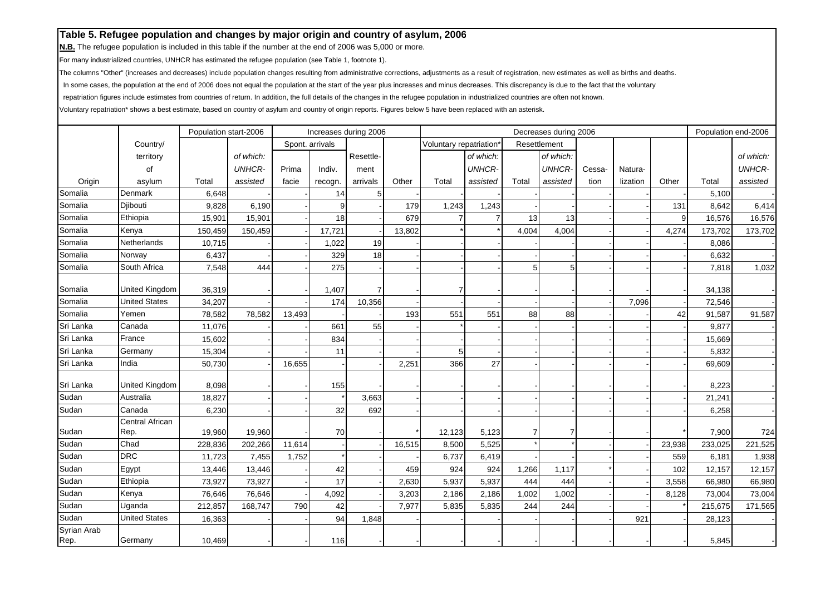**N.B.** The refugee population is included in this table if the number at the end of 2006 was 5,000 or more.

For many industrialized countries, UNHCR has estimated the refugee population (see Table 1, footnote 1).

The columns "Other" (increases and decreases) include population changes resulting from administrative corrections, adjustments as a result of registration, new estimates as well as births and deaths.

In some cases, the population at the end of 2006 does not equal the population at the start of the year plus increases and minus decreases. This discrepancy is due to the fact that the voluntary

repatriation figures include estimates from countries of return. In addition, the full details of the changes in the refugee population in industrialized countries are often not known.

|             |                         | Population start-2006 |               |        |                 | Increases during 2006 |        |                         |                |                | Decreases during 2006 |        |          |        | Population end-2006 |                |
|-------------|-------------------------|-----------------------|---------------|--------|-----------------|-----------------------|--------|-------------------------|----------------|----------------|-----------------------|--------|----------|--------|---------------------|----------------|
|             | Country/                |                       |               |        | Spont. arrivals |                       |        | Voluntary repatriation' |                |                | Resettlement          |        |          |        |                     |                |
|             | territory               |                       | of which:     |        |                 | Resettle-             |        |                         | of which:      |                | of which:             |        |          |        |                     | of which:      |
|             | οf                      |                       | <b>UNHCR-</b> | Prima  | Indiv.          | ment                  |        |                         | <b>UNHCR-</b>  |                | <b>UNHCR-</b>         | Cessa- | Natura-  |        |                     | <b>UNHCR-</b>  |
| Origin      | asylum                  | Total                 | assisted      | facie  | recogn.         | arrivals              | Other  | Total                   | assisted       | Total          | assisted              | tion   | lization | Other  | Total               | assisted       |
| Somalia     | Denmark                 | 6,648                 |               |        | 14              | 5                     |        |                         |                |                |                       |        |          |        | 5,100               |                |
| Somalia     | Djibouti                | 9,828                 | 6,190         |        | 9               |                       | 179    | 1,243                   | 1,243          |                |                       |        |          | 131    | 8,642               | 6,414          |
| Somalia     | Ethiopia                | 15,901                | 15,901        |        | 18              |                       | 679    |                         |                | 13             | 13                    |        |          | 9      | 16,576              | 16,576         |
| Somalia     | Kenya                   | 150,459               | 150,459       |        | 17,721          |                       | 13,802 |                         |                | 4,004          | 4,004                 |        |          | 4,274  | 173,702             | 173,702        |
| Somalia     | Netherlands             | 10,715                |               |        | 1,022           | 19                    |        |                         |                |                |                       |        |          |        | 8,086               |                |
| Somalia     | Norway                  | 6,437                 |               |        | 329             | 18                    |        |                         |                |                |                       |        |          |        | 6,632               |                |
| Somalia     | South Africa            | 7,548                 | 444           |        | 275             |                       |        |                         |                | 5              | 5                     |        |          |        | 7,818               | 1,032          |
| Somalia     | <b>United Kingdom</b>   | 36,319                |               |        | 1,407           | $\overline{7}$        |        |                         |                |                |                       |        |          |        | 34,138              |                |
| Somalia     | <b>United States</b>    | 34,207                |               |        | 174             | 10,356                |        |                         |                |                |                       |        | 7,096    |        | 72,546              |                |
| Somalia     | Yemen                   | 78,582                | 78,582        | 13,493 |                 |                       | 193    | 551                     | 551            | 88             | 88                    |        |          | 42     | 91,587              | 91,587         |
| Sri Lanka   | Canada                  | 11,076                |               |        | 661             | 55                    |        |                         |                |                |                       |        |          |        | 9,877               |                |
| Sri Lanka   | France                  | 15,602                |               |        | 834             |                       |        |                         |                |                |                       |        |          |        | 15,669              |                |
| Sri Lanka   | Germany                 | 15,304                |               |        | 11              |                       |        | 5                       |                |                |                       |        |          |        | 5,832               |                |
| Sri Lanka   | India                   | 50,730                |               | 16,655 |                 |                       | 2,251  | 366                     | 27             |                |                       |        |          |        | 69,609              |                |
|             |                         |                       |               |        |                 |                       |        |                         |                |                |                       |        |          |        |                     |                |
| Sri Lanka   | <b>United Kingdom</b>   | 8,098                 |               |        | 155             |                       |        |                         |                |                |                       |        |          |        | 8,223               |                |
| Sudan       | Australia               | 18,827                |               |        |                 | 3,663                 |        |                         |                |                |                       |        |          |        | 21,241              |                |
| Sudan       | Canada                  | 6,230                 |               |        | 32              | 692                   |        |                         |                |                |                       |        |          |        | 6,258               |                |
| Sudan       | Central African<br>Rep. |                       | 19,960        |        | 70              |                       |        |                         |                | $\overline{7}$ |                       |        |          |        |                     |                |
| Sudan       | Chad                    | 19,960<br>228,836     | 202,266       | 11,614 |                 |                       | 16,515 | 12,123<br>8,500         | 5,123<br>5,525 |                |                       |        |          | 23,938 | 7,900<br>233,025    | 724<br>221,525 |
| Sudan       | <b>DRC</b>              | 11,723                | 7,455         | 1,752  |                 |                       |        | 6,737                   | 6,419          |                |                       |        |          | 559    | 6,181               | 1,938          |
| Sudan       | Egypt                   | 13,446                | 13,446        |        | 42              |                       | 459    | 924                     | 924            | 1,266          | 1,117                 |        |          | 102    | 12,157              | 12,157         |
| Sudan       | Ethiopia                | 73,927                | 73,927        |        | 17              |                       | 2,630  | 5,937                   | 5,937          | 444            | 444                   |        |          | 3,558  | 66,980              | 66,980         |
| Sudan       | Kenya                   | 76,646                | 76,646        |        | 4,092           |                       | 3,203  | 2,186                   | 2,186          | 1,002          | 1,002                 |        |          | 8,128  | 73,004              | 73,004         |
| Sudan       | Uganda                  | 212,857               | 168,747       | 790    | 42              |                       | 7,977  | 5,835                   | 5,835          | 244            | 244                   |        |          |        | 215,675             | 171,565        |
| Sudan       | <b>United States</b>    | 16,363                |               |        | 94              | 1,848                 |        |                         |                |                |                       |        | 921      |        | 28,123              |                |
| Syrian Arab |                         |                       |               |        |                 |                       |        |                         |                |                |                       |        |          |        |                     |                |
| Rep.        | Germany                 | 10,469                |               |        | 116             |                       |        |                         |                |                |                       |        |          |        | 5,845               |                |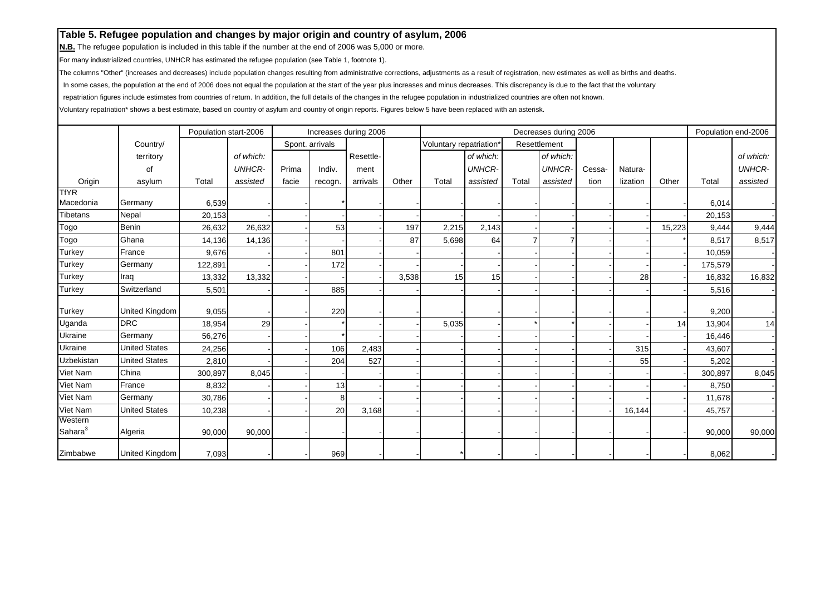**N.B.** The refugee population is included in this table if the number at the end of 2006 was 5,000 or more.

For many industrialized countries, UNHCR has estimated the refugee population (see Table 1, footnote 1).

The columns "Other" (increases and decreases) include population changes resulting from administrative corrections, adjustments as a result of registration, new estimates as well as births and deaths.

In some cases, the population at the end of 2006 does not equal the population at the start of the year plus increases and minus decreases. This discrepancy is due to the fact that the voluntary

repatriation figures include estimates from countries of return. In addition, the full details of the changes in the refugee population in industrialized countries are often not known.

|                     |                       | Population start-2006 |               |       |                 | Increases during 2006 |       |                        |               |       | Decreases during 2006 |        |          |        | Population end-2006 |               |
|---------------------|-----------------------|-----------------------|---------------|-------|-----------------|-----------------------|-------|------------------------|---------------|-------|-----------------------|--------|----------|--------|---------------------|---------------|
|                     | Country/              |                       |               |       | Spont. arrivals |                       |       | Voluntary repatriation |               |       | Resettlement          |        |          |        |                     |               |
|                     | territory             |                       | of which:     |       |                 | Resettle-             |       |                        | of which:     |       | of which:             |        |          |        |                     | of which:     |
|                     | of                    |                       | <b>UNHCR-</b> | Prima | Indiv.          | ment                  |       |                        | <b>UNHCR-</b> |       | <b>UNHCR-</b>         | Cessa- | Natura-  |        |                     | <b>UNHCR-</b> |
| Origin              | asylum                | Total                 | assisted      | facie | recogn.         | arrivals              | Other | Total                  | assisted      | Total | assisted              | tion   | lization | Other  | Total               | assisted      |
| <b>TfYR</b>         |                       |                       |               |       |                 |                       |       |                        |               |       |                       |        |          |        |                     |               |
| Macedonia           | Germany               | 6,539                 |               |       |                 |                       |       |                        |               |       |                       |        |          |        | 6,014               |               |
| <b>Tibetans</b>     | Nepal                 | 20,153                |               |       |                 |                       |       |                        |               |       |                       |        |          |        | 20,153              |               |
| Togo                | <b>Benin</b>          | 26,632                | 26,632        |       | 53              |                       | 197   | 2,215                  | 2,143         |       |                       |        |          | 15,223 | 9,444               | 9,444         |
| Togo                | Ghana                 | 14,136                | 14,136        |       |                 |                       | 87    | 5,698                  | 64            |       |                       |        |          |        | 8,517               | 8,517         |
| <b>Turkey</b>       | France                | 9,676                 |               |       | 801             |                       |       |                        |               |       |                       |        |          |        | 10,059              |               |
| Turkey              | Germany               | 122,891               |               |       | 172             |                       |       |                        |               |       |                       |        |          |        | 175,579             |               |
| Turkey              | Iraq                  | 13,332                | 13,332        |       |                 |                       | 3,538 | 15                     | 15            |       |                       |        | 28       |        | 16,832              | 16,832        |
| <b>Turkey</b>       | Switzerland           | 5,501                 |               |       | 885             |                       |       |                        |               |       |                       |        |          |        | 5,516               |               |
|                     |                       |                       |               |       |                 |                       |       |                        |               |       |                       |        |          |        |                     |               |
| Turkey              | <b>United Kingdom</b> | 9,055                 |               |       | 220             |                       |       |                        |               |       |                       |        |          |        | 9,200               |               |
| Uganda              | <b>DRC</b>            | 18,954                | 29            |       |                 |                       |       | 5,035                  |               |       |                       |        |          | 14     | 13,904              | 14            |
| Ukraine             | Germany               | 56,276                |               |       |                 |                       |       |                        |               |       |                       |        |          |        | 16,446              |               |
| Ukraine             | <b>United States</b>  | 24,256                |               |       | 106             | 2,483                 |       |                        |               |       |                       |        | 315      |        | 43,607              |               |
| Uzbekistan          | <b>United States</b>  | 2,810                 |               |       | 204             | 527                   |       |                        |               |       |                       |        | 55       |        | 5,202               |               |
| Viet Nam            | China                 | 300,897               | 8,045         |       |                 |                       |       |                        |               |       |                       |        |          |        | 300,897             | 8,045         |
| Viet Nam            | France                | 8,832                 |               |       | 13              |                       |       |                        |               |       |                       |        |          |        | 8,750               |               |
| Viet Nam            | Germany               | 30,786                |               |       | 8               |                       |       |                        |               |       |                       |        |          |        | 11,678              |               |
| Viet Nam            | <b>United States</b>  | 10,238                |               |       | 20              | 3,168                 |       |                        |               |       |                       |        | 16,144   |        | 45,757              |               |
| Western             |                       |                       |               |       |                 |                       |       |                        |               |       |                       |        |          |        |                     |               |
| Sahara <sup>3</sup> | Algeria               | 90,000                | 90,000        |       |                 |                       |       |                        |               |       |                       |        |          |        | 90,000              | 90,000        |
| Zimbabwe            | <b>United Kingdom</b> | 7,093                 |               |       | 969             |                       |       |                        |               |       |                       |        |          |        | 8,062               |               |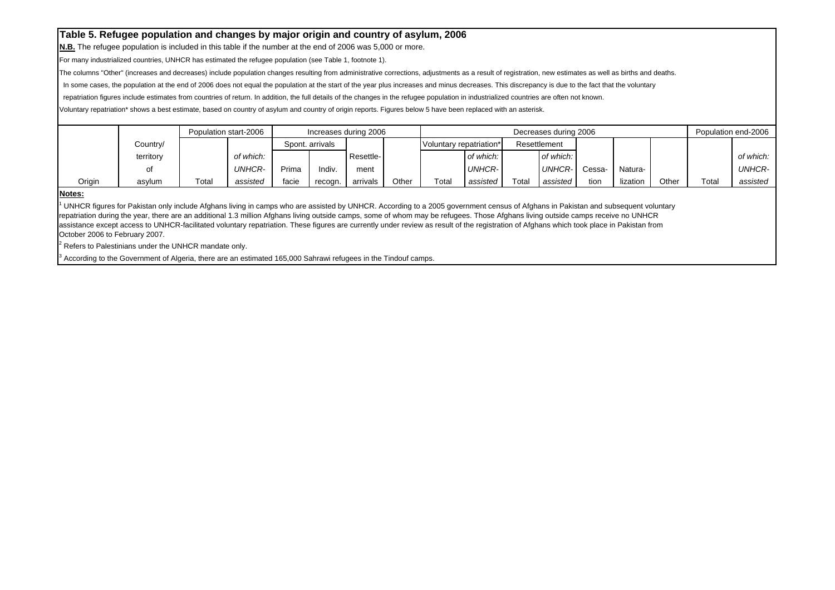**N.B.** The refugee population is included in this table if the number at the end of 2006 was 5,000 or more.

For many industrialized countries, UNHCR has estimated the refugee population (see Table 1, footnote 1).

The columns "Other" (increases and decreases) include population changes resulting from administrative corrections, adjustments as a result of registration, new estimates as well as births and deaths.

In some cases, the population at the end of 2006 does not equal the population at the start of the year plus increases and minus decreases. This discrepancy is due to the fact that the voluntary

repatriation figures include estimates from countries of return. In addition, the full details of the changes in the refugee population in industrialized countries are often not known.

Voluntary repatriation\* shows a best estimate, based on country of asylum and country of origin reports. Figures below 5 have been replaced with an asterisk.

|        |           |       | Population start-2006 |       |                 | Increases during 2006 |       |                         |               |                        | Decreases during 2006 |        |          |       |       | Population end-2006 |
|--------|-----------|-------|-----------------------|-------|-----------------|-----------------------|-------|-------------------------|---------------|------------------------|-----------------------|--------|----------|-------|-------|---------------------|
|        | Country/  |       |                       |       | Spont, arrivals |                       |       | Voluntary repatriation* |               |                        | Resettlement          |        |          |       |       |                     |
|        | territory |       | of which:             |       |                 | Resettle-             |       |                         | of which:     |                        | of which:             |        |          |       |       | of which:           |
|        | οt        |       | UNHCR-                | Prima | Indiv.          | ment                  |       |                         | <b>UNHCR-</b> |                        | UNHCR-1               | Cessa- | Natura-  |       |       | <b>UNHCR-</b>       |
| Origin | asylum    | Total | assisted              | facie | recogn.         | arrivals              | Other | Total                   | assisted      | $\tau$ <sub>otal</sub> | assisted              | tion   | lization | Other | Total | assisted            |

#### **Notes:**

<sup>1</sup> UNHCR figures for Pakistan only include Afghans living in camps who are assisted by UNHCR. According to a 2005 government census of Afghans in Pakistan and subsequent voluntary repatriation during the year, there are an additional 1.3 million Afghans living outside camps, some of whom may be refugees. Those Afghans living outside camps receive no UNHCR assistance except access to UNHCR-facilitated voluntary repatriation. These figures are currently under review as result of the registration of Afghans which took place in Pakistan from October 2006 to February 2007.

Refers to Palestinians under the UNHCR mandate only.

3 According to the Government of Algeria, there are an estimated 165,000 Sahrawi refugees in the Tindouf camps.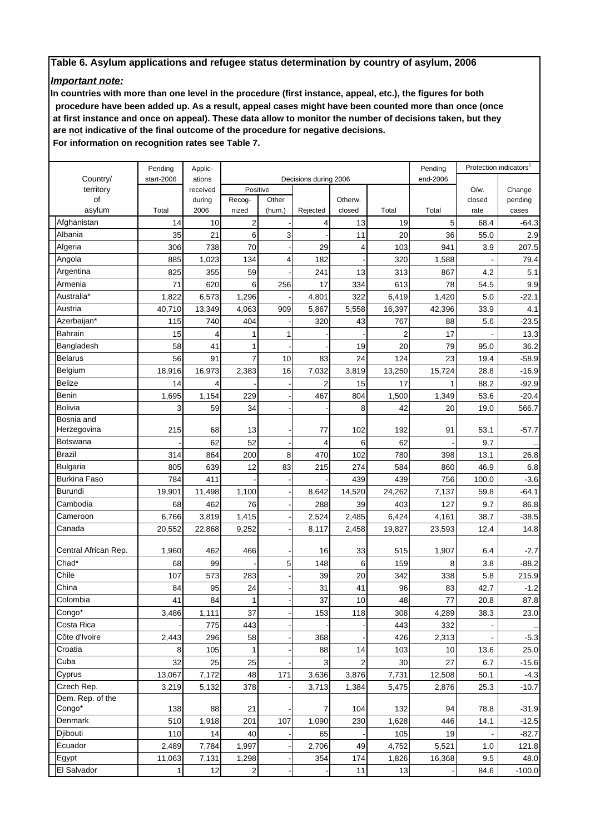# *Important note:*

**In countries with more than one level in the procedure (first instance, appeal, etc.), the figures for both procedure have been added up. As a result, appeal cases might have been counted more than once (once at first instance and once on appeal). These data allow to monitor the number of decisions taken, but they are not indicative of the final outcome of the procedure for negative decisions.**

 **For information on recognition rates see Table 7.**

|                           | Pending    | Applic-        |                 |                 |                       |                   |                | Pending  |                | Protection indicators |
|---------------------------|------------|----------------|-----------------|-----------------|-----------------------|-------------------|----------------|----------|----------------|-----------------------|
| Country/                  | start-2006 | ations         |                 |                 | Decisions during 2006 |                   |                | end-2006 |                |                       |
| territory                 |            | received       | Positive        |                 |                       |                   |                |          | O/w.           | Change                |
| of<br>asylum              | Total      | during<br>2006 | Recog-<br>nized | Other<br>(hum.) | Rejected              | Otherw.<br>closed | Total          | Total    | closed<br>rate | pending<br>cases      |
| Afghanistan               | 14         | 10             | 2               |                 | 4                     | 13                | 19             | 5        | 68.4           | $-64.3$               |
| Albania                   | 35         | 21             | 6               | 3               |                       | 11                | 20             | 36       | 55.0           | 2.9                   |
| Algeria                   | 306        | 738            | 70              |                 | 29                    | 4                 | 103            | 941      | 3.9            | 207.5                 |
| Angola                    | 885        | 1,023          | 134             | 4               | 182                   |                   | 320            | 1,588    |                | 79.4                  |
| Argentina                 | 825        | 355            | 59              |                 | 241                   | 13                | 313            | 867      | 4.2            | 5.1                   |
| Armenia                   | 71         | 620            | 6               | 256             | 17                    | 334               | 613            | 78       | 54.5           | 9.9                   |
| Australia*                | 1,822      | 6,573          | 1,296           |                 | 4,801                 | 322               | 6,419          | 1,420    | 5.0            | $-22.1$               |
| Austria                   | 40,710     | 13,349         | 4,063           | 909             | 5,867                 | 5,558             | 16,397         | 42,396   | 33.9           | 4.1                   |
| Azerbaijan*               | 115        | 740            | 404             |                 | 320                   | 43                | 767            | 88       | 5.6            | $-23.5$               |
| Bahrain                   | 15         | 4              |                 | 1               |                       |                   | $\overline{2}$ | 17       |                | 13.3                  |
|                           | 58         | 41             | 1               |                 |                       | 19                | 20             | 79       |                |                       |
| Bangladesh                |            |                |                 |                 |                       |                   |                |          | 95.0           | 36.2                  |
| Belarus                   | 56         | 91             | $\overline{7}$  | 10              | 83                    | 24                | 124            | 23       | 19.4           | $-58.9$               |
| Belgium                   | 18,916     | 16,973         | 2,383           | 16              | 7,032                 | 3,819             | 13,250         | 15,724   | 28.8           | $-16.9$               |
| Belize                    | 14         | 4              |                 |                 | 2                     | 15                | 17             | 1        | 88.2           | $-92.9$               |
| Benin                     | 1,695      | 1,154          | 229             |                 | 467                   | 804               | 1,500          | 1,349    | 53.6           | $-20.4$               |
| Bolivia                   | 3          | 59             | 34              |                 |                       | 8                 | 42             | 20       | 19.0           | 566.7                 |
| Bosnia and<br>Herzegovina | 215        | 68             | 13              |                 | 77                    | 102               | 192            | 91       | 53.1           | $-57.7$               |
| Botswana                  |            | 62             | 52              |                 | 4                     | 6                 | 62             |          | 9.7            |                       |
| Brazil                    | 314        | 864            | 200             | 8               | 470                   | 102               | 780            | 398      | 13.1           | 26.8                  |
| Bulgaria                  | 805        | 639            | 12              | 83              | 215                   | 274               | 584            | 860      | 46.9           | 6.8                   |
| <b>Burkina Faso</b>       | 784        | 411            |                 |                 |                       | 439               | 439            | 756      | 100.0          | $-3.6$                |
| Burundi                   | 19,901     | 11,498         | 1,100           |                 | 8,642                 | 14,520            | 24,262         | 7,137    | 59.8           | $-64.1$               |
| Cambodia                  | 68         | 462            | 76              |                 | 288                   | 39                | 403            | 127      | 9.7            | 86.8                  |
| Cameroon                  | 6,766      | 3,819          | 1,415           |                 | 2,524                 | 2,485             | 6,424          | 4,161    | 38.7           | $-38.5$               |
| Canada                    | 20,552     | 22,868         | 9,252           |                 | 8,117                 | 2,458             | 19,827         | 23,593   | 12.4           | 14.8                  |
|                           |            |                |                 |                 |                       |                   |                |          |                |                       |
| Central African Rep.      | 1,960      | 462            | 466             |                 | 16                    | 33                | 515            | 1,907    | 6.4            | $-2.7$                |
| Chad*                     | 68         | 99             |                 | 5               | 148                   | 6                 | 159            | 8        | 3.8            | $-88.2$               |
| Chile                     | 107        | 573            | 283             |                 | 39                    | 20                | 342            | 338      | 5.8            | 215.9                 |
| China                     | 84         | 95             | 24              |                 | 31                    | 41                | 96             | 83       | 42.7           | $-1.2$                |
| Colombia                  | 41         | 84             | $\mathbf{1}$    |                 | 37                    | 10                | 48             | 77       | 20.8           | 87.8                  |
| Congo*                    | 3,486      | 1,111          | 37              |                 | 153                   | 118               | 308            | 4,289    | 38.3           | 23.0                  |
| Costa Rica                |            | 775            | 443             |                 |                       |                   | 443            | 332      |                |                       |
| Côte d'Ivoire             | 2,443      | 296            | 58              |                 | 368                   |                   | 426            | 2,313    |                | $-5.3$                |
| Croatia                   | 8          | 105            | 1               |                 | 88                    | 14                | 103            | 10       | 13.6           | 25.0                  |
| Cuba                      | 32         | 25             | 25              |                 | 3                     | 2                 | 30             | 27       | 6.7            | $-15.6$               |
| Cyprus                    | 13,067     | 7,172          | 48              | 171             | 3,636                 | 3,876             | 7,731          | 12,508   | 50.1           | $-4.3$                |
| Czech Rep.                | 3,219      | 5,132          | 378             |                 | 3,713                 | 1,384             | 5,475          | 2,876    | 25.3           | $-10.7$               |
| Dem. Rep. of the          |            |                |                 |                 |                       |                   |                |          |                |                       |
| Congo*                    | 138        | 88             | 21              |                 | $\overline{7}$        | 104               | 132            | 94       | 78.8           | $-31.9$               |
| Denmark                   | 510        | 1,918          | 201             | 107             | 1,090                 | 230               | 1,628          | 446      | 14.1           | $-12.5$               |
| Djibouti                  | 110        | 14             | 40              |                 | 65                    |                   | 105            | 19       |                | $-82.7$               |
| Ecuador                   | 2,489      | 7,784          | 1,997           |                 | 2,706                 | 49                | 4,752          | 5,521    | 1.0            | 121.8                 |
| Egypt                     | 11,063     | 7,131          | 1,298           |                 | 354                   | 174               | 1,826          | 16,368   | 9.5            | 48.0                  |
| El Salvador               | 1          | 12             | $\mathbf{2}$    |                 |                       | 11                | 13             |          | 84.6           | $-100.0$              |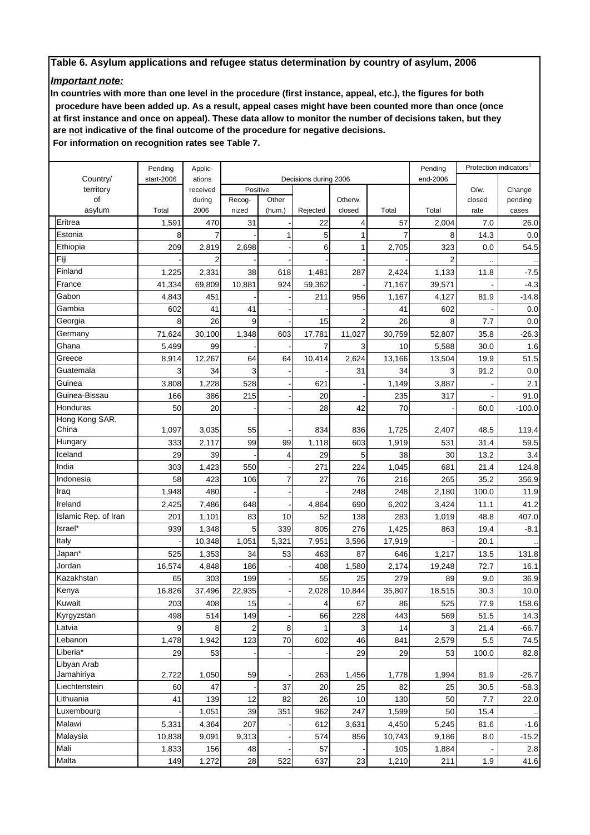# *Important note:*

**In countries with more than one level in the procedure (first instance, appeal, etc.), the figures for both procedure have been added up. As a result, appeal cases might have been counted more than once (once at first instance and once on appeal). These data allow to monitor the number of decisions taken, but they are not indicative of the final outcome of the procedure for negative decisions.**

 **For information on recognition rates see Table 7.**

|                      | Pending    | Applic-  |                |        |                       |                |                | Pending        |        | Protection indicators <sup>1</sup> |
|----------------------|------------|----------|----------------|--------|-----------------------|----------------|----------------|----------------|--------|------------------------------------|
| Country/             | start-2006 | ations   |                |        | Decisions during 2006 |                |                | end-2006       |        |                                    |
| territory            |            | received | Positive       |        |                       |                |                |                | O/w.   | Change                             |
| of                   |            | during   | Recog-         | Other  |                       | Otherw.        |                |                | closed | pending                            |
| asylum               | Total      | 2006     | nized          | (hum.) | Rejected              | closed         | Total          | Total          | rate   | cases                              |
| Eritrea              | 1,591      | 470      | 31             |        | 22                    | $\overline{4}$ | 57             | 2,004          | 7.0    | 26.0                               |
| Estonia              | 8          | 7        |                | 1      | 5                     | 1              | $\overline{7}$ | 8              | 14.3   | 0.0                                |
| Ethiopia             | 209        | 2,819    | 2,698          |        | 6                     | 1              | 2,705          | 323            | 0.0    | 54.5                               |
| Fiji                 |            | 2        |                |        |                       |                |                | $\overline{2}$ |        |                                    |
| Finland              | 1,225      | 2,331    | 38             | 618    | 1,481                 | 287            | 2,424          | 1,133          | 11.8   | $-7.5$                             |
| France               | 41,334     | 69,809   | 10,881         | 924    | 59,362                |                | 71,167         | 39,571         |        | $-4.3$                             |
| Gabon                | 4,843      | 451      |                |        | 211                   | 956            | 1,167          | 4,127          | 81.9   | $-14.8$                            |
| Gambia               | 602        | 41       | 41             |        |                       |                | 41             | 602            |        | 0.0                                |
| Georgia              | 8          | 26       | 9              |        | 15                    | $\overline{2}$ | 26             | 8              | 7.7    | 0.0                                |
| Germany              | 71,624     | 30,100   | 1,348          | 603    | 17,781                | 11,027         | 30,759         | 52,807         | 35.8   | $-26.3$                            |
| Ghana                | 5,499      | 99       |                |        | 7                     | 3              | 10             | 5,588          | 30.0   | 1.6                                |
| Greece               | 8,914      | 12,267   | 64             | 64     | 10,414                | 2,624          | 13,166         | 13,504         | 19.9   | 51.5                               |
| Guatemala            | 3          | 34       | 3              |        |                       | 31             | 34             | 3              | 91.2   | 0.0                                |
| Guinea               | 3,808      | 1,228    | 528            |        | 621                   |                | 1,149          | 3,887          |        | 2.1                                |
| Guinea-Bissau        | 166        | 386      | 215            |        | 20                    |                | 235            | 317            |        | 91.0                               |
| Honduras             | 50         | 20       |                |        | 28                    | 42             | 70             |                | 60.0   | $-100.0$                           |
| Hong Kong SAR,       |            |          |                |        |                       |                |                |                |        |                                    |
| China                | 1,097      | 3,035    | 55             |        | 834                   | 836            | 1,725          | 2,407          | 48.5   | 119.4                              |
| Hungary              | 333        | 2,117    | 99             | 99     | 1,118                 | 603            | 1,919          | 531            | 31.4   | 59.5                               |
| Iceland              | 29         | 39       |                | 4      | 29                    | 5              | 38             | 30             | 13.2   | 3.4                                |
| India                | 303        | 1,423    | 550            |        | 271                   | 224            | 1,045          | 681            | 21.4   | 124.8                              |
| Indonesia            | 58         | 423      | 106            | 7      | 27                    | 76             | 216            | 265            | 35.2   | 356.9                              |
| Iraq                 | 1,948      | 480      |                |        |                       | 248            | 248            | 2,180          | 100.0  | 11.9                               |
| Ireland              | 2,425      | 7,486    | 648            |        | 4,864                 | 690            | 6,202          | 3,424          | 11.1   | 41.2                               |
| Islamic Rep. of Iran | 201        | 1,101    | 83             | 10     | 52                    | 138            | 283            | 1,019          | 48.8   | 407.0                              |
| Israel*              | 939        | 1,348    | 5              | 339    | 805                   | 276            | 1,425          | 863            | 19.4   | $-8.1$                             |
| Italy                |            | 10,348   | 1,051          | 5,321  | 7,951                 | 3,596          | 17,919         |                | 20.1   |                                    |
| Japan*               | 525        | 1,353    | 34             | 53     | 463                   | 87             | 646            | 1,217          | 13.5   | 131.8                              |
| Jordan               | 16,574     | 4,848    | 186            |        | 408                   | 1,580          | 2,174          | 19,248         | 72.7   | 16.1                               |
| Kazakhstan           | 65         | 303      | 199            |        | 55                    | 25             | 279            | 89             | 9.0    | 36.9                               |
| Kenya                | 16,826     | 37,496   | 22,935         |        | 2,028                 | 10,844         | 35,807         | 18,515         | 30.3   | 10.0                               |
| Kuwait               | 203        | 408      | 15             |        | 4                     | 67             | 86             | 525            | 77.9   | 158.6                              |
| Kyrgyzstan           | 498        | 514      | 149            |        | 66                    | 228            | 443            | 569            | 51.5   | 14.3                               |
| Latvia               | 9          | 8        | $\overline{a}$ | 8      | 1                     | 3              | 14             | 3              | 21.4   | $-66.7$                            |
| Lebanon              |            |          |                |        |                       |                |                |                |        |                                    |
| Liberia*             | 1,478      | 1,942    | 123            | 70     | 602                   | 46             | 841            | 2,579          | 5.5    | 74.5                               |
| Libyan Arab          | 29         | 53       |                |        |                       | 29             | 29             | 53             | 100.0  | 82.8                               |
| Jamahiriya           | 2,722      | 1,050    | 59             |        | 263                   | 1,456          | 1,778          | 1,994          | 81.9   | $-26.7$                            |
| Liechtenstein        | 60         | 47       |                | 37     | 20                    | 25             | 82             | 25             | 30.5   | $-58.3$                            |
| Lithuania            | 41         | 139      | 12             | 82     | 26                    | 10             | 130            | 50             | 7.7    | 22.0                               |
| Luxembourg           |            | 1,051    | 39             | 351    | 962                   | 247            | 1,599          | 50             | 15.4   |                                    |
| Malawi               |            |          |                |        |                       |                |                |                |        |                                    |
|                      | 5,331      | 4,364    | 207            |        | 612                   | 3,631          | 4,450          | 5,245          | 81.6   | $-1.6$                             |
| Malaysia             | 10,838     | 9,091    | 9,313          |        | 574                   | 856            | 10,743         | 9,186          | 8.0    | $-15.2$                            |
| Mali                 | 1,833      | 156      | 48             |        | 57                    |                | 105            | 1,884          |        | 2.8                                |
| Malta                | 149        | 1,272    | 28             | 522    | 637                   | 23             | 1,210          | 211            | 1.9    | 41.6                               |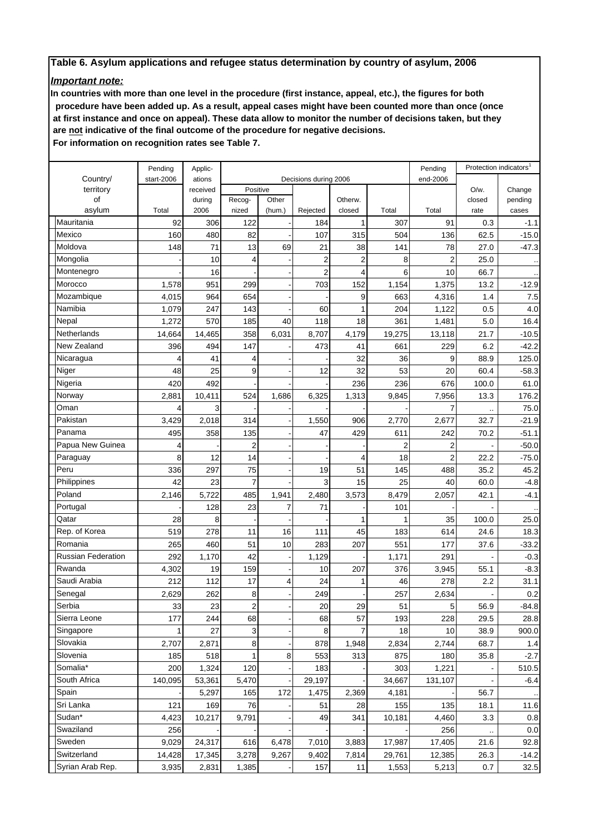# *Important note:*

**In countries with more than one level in the procedure (first instance, appeal, etc.), the figures for both procedure have been added up. As a result, appeal cases might have been counted more than once (once at first instance and once on appeal). These data allow to monitor the number of decisions taken, but they are not indicative of the final outcome of the procedure for negative decisions.**

 **For information on recognition rates see Table 7.**

|                      | Pending    | Applic-  |                         |        |                       |                |                | Pending        |        | Protection indicators' |
|----------------------|------------|----------|-------------------------|--------|-----------------------|----------------|----------------|----------------|--------|------------------------|
| Country/             | start-2006 | ations   |                         |        | Decisions during 2006 |                |                | end-2006       |        |                        |
| territory            |            | received | Positive                |        |                       |                |                |                | O/w.   | Change                 |
| of                   |            | during   | Recog-                  | Other  |                       | Otherw.        |                |                | closed | pending                |
| asylum               | Total      | 2006     | nized                   | (hum.) | Rejected              | closed         | Total          | Total          | rate   | cases                  |
| Mauritania<br>Mexico | 92         | 306      | 122                     |        | 184                   | 1              | 307            | 91             | 0.3    | $-1.1$                 |
|                      | 160        | 480      | 82                      |        | 107                   | 315            | 504            | 136            | 62.5   | $-15.0$                |
| Moldova              | 148        | 71       | 13                      | 69     | 21                    | 38             | 141            | 78             | 27.0   | $-47.3$                |
| Mongolia             |            | 10       | 4                       |        | $\overline{2}$        | $\overline{2}$ | 8              | $\overline{2}$ | 25.0   |                        |
| Montenegro           |            | 16       |                         |        | $\overline{c}$        | 4              | 6              | 10             | 66.7   |                        |
| Morocco              | 1,578      | 951      | 299                     |        | 703                   | 152            | 1,154          | 1,375          | 13.2   | $-12.9$                |
| Mozambique           | 4,015      | 964      | 654                     |        |                       | 9              | 663            | 4,316          | 1.4    | 7.5                    |
| Namibia              | 1,079      | 247      | 143                     |        | 60                    |                | 204            | 1,122          | 0.5    | 4.0                    |
| Nepal                | 1,272      | 570      | 185                     | 40     | 118                   | 18             | 361            | 1,481          | 5.0    | 16.4                   |
| Netherlands          | 14,664     | 14,465   | 358                     | 6,031  | 8,707                 | 4,179          | 19,275         | 13,118         | 21.7   | $-10.5$                |
| New Zealand          | 396        | 494      | 147                     |        | 473                   | 41             | 661            | 229            | 6.2    | $-42.2$                |
| Nicaragua            |            | 41       | 4                       |        |                       | 32             | 36             | 9              | 88.9   | 125.0                  |
| Niger                | 48         | 25       | 9                       |        | 12                    | 32             | 53             | 20             | 60.4   | $-58.3$                |
| Nigeria              | 420        | 492      |                         |        |                       | 236            | 236            | 676            | 100.0  | 61.0                   |
| Norway               | 2,881      | 10,411   | 524                     | 1,686  | 6,325                 | 1,313          | 9,845          | 7,956          | 13.3   | 176.2                  |
| Oman                 |            |          |                         |        |                       |                |                | 7              |        | 75.0                   |
| Pakistan             | 3,429      | 2,018    | 314                     |        | 1,550                 | 906            | 2,770          | 2,677          | 32.7   | $-21.9$                |
| Panama               | 495        | 358      | 135                     |        | 47                    | 429            | 611            | 242            | 70.2   | $-51.1$                |
| Papua New Guinea     | 4          |          | $\overline{2}$          |        |                       |                | $\overline{2}$ | $\overline{2}$ |        | $-50.0$                |
| Paraguay             | 8          | 12       | 14                      |        |                       | 4              | 18             | $\overline{2}$ | 22.2   | $-75.0$                |
| Peru                 | 336        | 297      | 75                      |        | 19                    | 51             | 145            | 488            | 35.2   | 45.2                   |
| Philippines          | 42         | 23       | $\overline{7}$          |        | 3                     | 15             | 25             | 40             | 60.0   | $-4.8$                 |
| Poland               | 2,146      | 5,722    | 485                     | 1,941  | 2,480                 | 3,573          | 8,479          | 2,057          | 42.1   | $-4.1$                 |
| Portugal             |            | 128      | 23                      | 7      | 71                    |                | 101            |                |        |                        |
| Qatar                | 28         | 8        |                         |        |                       |                |                | 35             | 100.0  | 25.0                   |
| Rep. of Korea        | 519        | 278      | 11                      | 16     | 111                   | 45             | 183            | 614            | 24.6   | 18.3                   |
| Romania              | 265        | 460      | 51                      | 10     | 283                   | 207            | 551            | 177            | 37.6   | $-33.2$                |
| Russian Federation   | 292        | 1,170    | 42                      |        | 1,129                 |                | 1,171          | 291            |        | $-0.3$                 |
| Rwanda               | 4,302      | 19       | 159                     |        | 10                    | 207            | 376            | 3,945          | 55.1   | $-8.3$                 |
| Saudi Arabia         | 212        | 112      | 17                      | 4      | 24                    | 1              | 46             | 278            | 2.2    | 31.1                   |
| Senegal              | 2,629      | 262      | 8                       |        | 249                   |                | 257            | 2,634          |        | 0.2                    |
| Serbia               | 33         | 23       | $\overline{\mathbf{c}}$ |        | 20                    | 29             | 51             | 5              | 56.9   | 84.8                   |
| Sierra Leone         | 177        | 244      | 68                      |        | 68                    | 57             | 193            | 228            | 29.5   | 28.8                   |
| Singapore            |            | 27       | 3                       |        | 8                     | 7              | 18             | 10             | 38.9   | 900.0                  |
| Slovakia             | 2,707      | 2,871    | 8                       |        | 878                   | 1,948          | 2,834          | 2,744          | 68.7   | 1.4                    |
| Slovenia             | 185        | 518      | 1                       | 8      | 553                   | 313            | 875            | 180            | 35.8   | $-2.7$                 |
| Somalia*             | 200        | 1,324    | 120                     |        | 183                   |                | 303            | 1,221          |        | 510.5                  |
| South Africa         | 140,095    | 53,361   | 5,470                   |        | 29,197                |                | 34,667         | 131,107        |        | $-6.4$                 |
| Spain                |            | 5,297    | 165                     | 172    | 1,475                 | 2,369          | 4,181          |                | 56.7   |                        |
| Sri Lanka            | 121        | 169      | 76                      |        | 51                    | 28             | 155            | 135            | 18.1   | 11.6                   |
| Sudan*               | 4,423      | 10,217   | 9,791                   |        | 49                    | 341            | 10,181         | 4,460          | 3.3    | 0.8                    |
| Swaziland            | 256        |          |                         |        |                       |                |                | 256            |        | 0.0                    |
| Sweden               | 9,029      | 24,317   | 616                     | 6,478  | 7,010                 | 3,883          | 17,987         | 17,405         | 21.6   | 92.8                   |
| Switzerland          | 14,428     | 17,345   | 3,278                   | 9,267  | 9,402                 | 7,814          | 29,761         | 12,385         | 26.3   | $-14.2$                |
| Syrian Arab Rep.     | 3,935      | 2,831    | 1,385                   |        | 157                   | 11             | 1,553          | 5,213          | 0.7    | 32.5                   |
|                      |            |          |                         |        |                       |                |                |                |        |                        |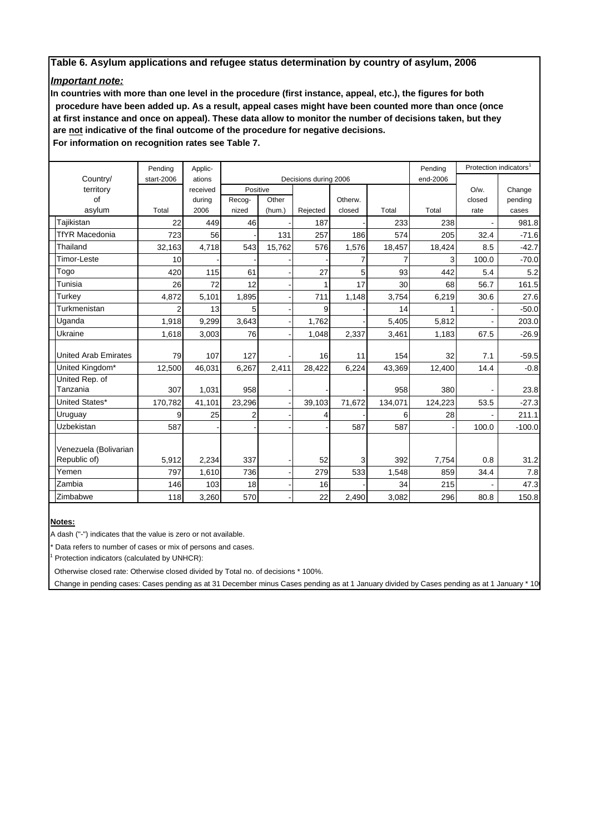# *Important note:*

**In countries with more than one level in the procedure (first instance, appeal, etc.), the figures for both procedure have been added up. As a result, appeal cases might have been counted more than once (once at first instance and once on appeal). These data allow to monitor the number of decisions taken, but they are not indicative of the final outcome of the procedure for negative decisions.**

 **For information on recognition rates see Table 7.**

|                             | Pending    | Applic-  |          |        |                       | Pending  | Protection indicators |         |         |          |
|-----------------------------|------------|----------|----------|--------|-----------------------|----------|-----------------------|---------|---------|----------|
| Country/                    | start-2006 | ations   |          |        | Decisions during 2006 | end-2006 |                       |         |         |          |
| territory                   |            | received | Positive |        |                       |          |                       |         | $O/w$ . | Change   |
| of                          |            | during   | Recog-   | Other  |                       | Otherw.  |                       |         | closed  | pending  |
| asylum                      | Total      | 2006     | nized    | (hum.) | Rejected              | closed   | Total                 | Total   | rate    | cases    |
| Tajikistan                  | 22         | 449      | 46       |        | 187                   |          | 233                   | 238     |         | 981.8    |
| <b>TfYR Macedonia</b>       | 723        | 56       |          | 131    | 257                   | 186      | 574                   | 205     | 32.4    | $-71.6$  |
| Thailand                    | 32,163     | 4,718    | 543      | 15,762 | 576                   | 1,576    | 18,457                | 18,424  | 8.5     | $-42.7$  |
| Timor-Leste                 | 10         |          |          |        |                       |          | 7                     | 3       | 100.0   | $-70.0$  |
| Togo                        | 420        | 115      | 61       |        | 27                    | 5        | 93                    | 442     | 5.4     | 5.2      |
| Tunisia                     | 26         | 72       | 12       |        | 1                     | 17       | 30                    | 68      | 56.7    | 161.5    |
| Turkey                      | 4,872      | 5,101    | 1,895    |        | 711                   | 1,148    | 3,754                 | 6,219   | 30.6    | 27.6     |
| Turkmenistan                | 2          | 13       | 5        |        | 9                     |          | 14                    |         |         | $-50.0$  |
| Uganda                      | 1,918      | 9,299    | 3,643    |        | 1,762                 |          | 5,405                 | 5,812   |         | 203.0    |
| Ukraine                     | 1,618      | 3,003    | 76       |        | 1,048                 | 2,337    | 3,461                 | 1,183   | 67.5    | $-26.9$  |
|                             |            |          |          |        |                       |          |                       |         |         |          |
| <b>United Arab Emirates</b> | 79         | 107      | 127      |        | 16                    | 11       | 154                   | 32      | 7.1     | $-59.5$  |
| United Kingdom*             | 12,500     | 46,031   | 6,267    | 2,411  | 28,422                | 6,224    | 43,369                | 12,400  | 14.4    | $-0.8$   |
| United Rep. of              |            |          |          |        |                       |          |                       |         |         |          |
| Tanzania                    | 307        | 1,031    | 958      |        |                       |          | 958                   | 380     |         | 23.8     |
| United States*              | 170,782    | 41,101   | 23,296   |        | 39,103                | 71,672   | 134,071               | 124,223 | 53.5    | $-27.3$  |
| Uruguay                     | 9          | 25       | 2        |        | 4                     |          | 6                     | 28      |         | 211.1    |
| Uzbekistan                  | 587        |          |          |        |                       | 587      | 587                   |         | 100.0   | $-100.0$ |
|                             |            |          |          |        |                       |          |                       |         |         |          |
| Venezuela (Bolivarian       |            |          |          |        |                       |          |                       |         |         |          |
| Republic of)                | 5,912      | 2,234    | 337      |        | 52                    | 3        | 392                   | 7,754   | 0.8     | 31.2     |
| Yemen                       | 797        | 1,610    | 736      |        | 279                   | 533      | 1,548                 | 859     | 34.4    | 7.8      |
| Zambia                      | 146        | 103      | 18       |        | 16                    |          | 34                    | 215     |         | 47.3     |
| Zimbabwe                    | 118        | 3,260    | 570      |        | 22                    | 2,490    | 3,082                 | 296     | 80.8    | 150.8    |

#### **Notes:**

A dash ("-") indicates that the value is zero or not available.

\* Data refers to number of cases or mix of persons and cases.

<sup>1</sup> Protection indicators (calculated by UNHCR):

Otherwise closed rate: Otherwise closed divided by Total no. of decisions \* 100%.

Change in pending cases: Cases pending as at 31 December minus Cases pending as at 1 January divided by Cases pending as at 1 January \* 10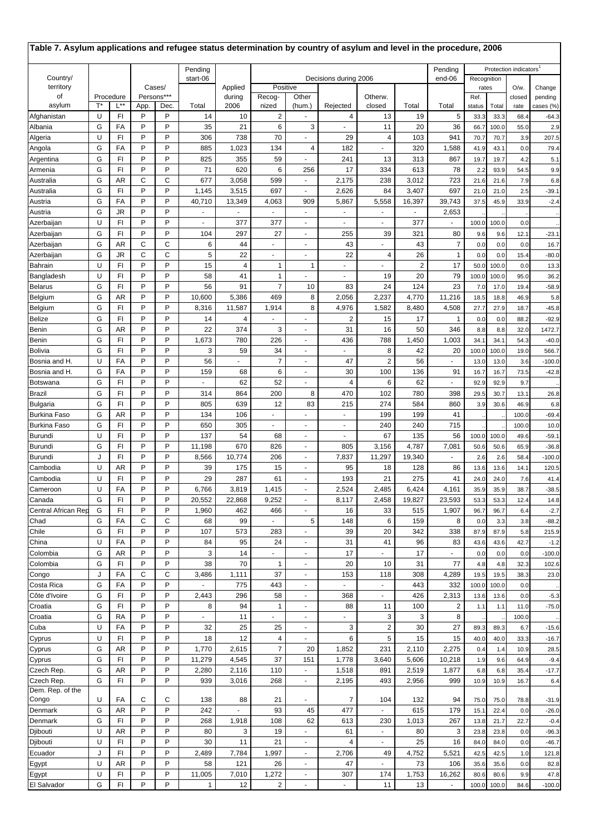| Table 7. Asylum applications and refugee status determination by country of asylum and level in the procedure, 2006 |        |           |          |            |                          |                          |                         |                          |                          |                         |                       |                       |               |              |                                    |                    |
|---------------------------------------------------------------------------------------------------------------------|--------|-----------|----------|------------|--------------------------|--------------------------|-------------------------|--------------------------|--------------------------|-------------------------|-----------------------|-----------------------|---------------|--------------|------------------------------------|--------------------|
|                                                                                                                     |        |           |          |            | Pending                  |                          |                         |                          |                          |                         |                       | Pending               |               |              | Protection indicators <sup>1</sup> |                    |
| Country/<br>territory                                                                                               | Cases/ |           | start-06 | Applied    | Positive                 |                          |                         | Decisions during 2006    |                          |                         | end-06<br>Recognition |                       | $O/w$ .       |              |                                    |                    |
| οf                                                                                                                  |        | Procedure |          | Persons*** |                          | during                   | Recog-                  | Other                    |                          | Otherw.                 |                       |                       | rates<br>Ref. |              | closed                             | Change<br>pending  |
| asylum                                                                                                              | T*     | L**       | App.     | Dec.       | Total                    | 2006                     | nized                   | (hum.)                   | Rejected                 | closed                  | Total                 | Total                 | status        | Total        | rate                               | cases (%)          |
| Afghanistan                                                                                                         | U      | FI        | P        | P          | 14                       | 10                       | $\overline{\mathbf{c}}$ |                          | 4                        | 13                      | 19                    | 5                     | 33.3          | 33.3         | 68.4                               | -64.3              |
| Albania                                                                                                             | G      | FA        | P        | P          | 35                       | 21                       | 6                       | 3                        | ٠                        | 11                      | 20                    | 36                    | 66.7          | 100.0        | 55.0                               | 2.9                |
| Algeria<br>Angola                                                                                                   | U<br>G | FI<br>FA  | P<br>P   | P<br>P     | 306<br>885               | 738<br>1,023             | 70<br>134               | 4                        | 29<br>182                | 4                       | 103<br>320            | 941<br>1,588          | 70.7<br>41.9  | 70.7<br>43.1 | 3.9<br>0.0                         | 207.5<br>79.4      |
| Argentina                                                                                                           | G      | FI        | P        | P          | 825                      | 355                      | 59                      |                          | 241                      | 13                      | 313                   | 867                   | 19.7          | 19.7         | 4.2                                | 5.1                |
| Armenia                                                                                                             | G      | FI        | P        | P          | 71                       | 620                      | 6                       | 256                      | 17                       | 334                     | 613                   | 78                    | 2.2           | 93.9         | 54.5                               | 9.9                |
| Australia                                                                                                           | G      | AR        | C        | С          | 677                      | 3,058                    | 599                     | ÷.                       | 2,175                    | 238                     | 3,012                 | 723                   | 21.6          | 21.6         | 7.9                                | 6.8                |
| Australia                                                                                                           | G      | FI        | P        | P          | 1,145                    | 3,515                    | 697                     | ٠                        | 2,626                    | 84                      | 3,407                 | 697                   | 21.0          | 21.0         | 2.5                                | $-39.1$            |
| Austria                                                                                                             | G      | FA        | P        | P          | 40,710                   | 13,349                   | 4,063                   | 909                      | 5,867                    | 5,558                   | 16,397                | 39,743                | 37.5          | 45.9         | 33.9                               | $-2.4$             |
| Austria                                                                                                             | G      | JR        | P<br>P   | P<br>P     |                          |                          |                         | ٠                        | $\overline{\phantom{a}}$ |                         |                       | 2,653                 |               |              |                                    |                    |
| Azerbaijan<br>Azerbaijan                                                                                            | U<br>G | FI<br>FI  | P        | P          | $\blacksquare$<br>104    | 377<br>297               | 377<br>27               | ÷.<br>÷.                 | $\omega$<br>255          | $\mathbf{r}$<br>39      | 377<br>321            | ä,<br>80              | 100.0<br>9.6  | 100.0<br>9.6 | 0.0<br>12.1                        | $-23.1$            |
| Azerbaijan                                                                                                          | G      | AR        | C        | С          | 6                        | 44                       | ÷,                      | $\sim$                   | 43                       |                         | 43                    | $\overline{7}$        | 0.0           | 0.0          | 0.0                                | 16.7               |
| Azerbaijan                                                                                                          | G      | JR        | C        | C          | 5                        | 22                       | ٠                       | ٠                        | 22                       | 4                       | 26                    | $\mathbf{1}$          | 0.0           | 0.0          | 15.4                               | $-80.0$            |
| Bahrain                                                                                                             | U      | FI        | P        | P          | 15                       | 4                        | 1                       | $\overline{1}$           |                          |                         | $\overline{2}$        | 17                    | 50.0          | 100.0        | 0.0                                | 13.3               |
| Bangladesh                                                                                                          | U      | FI        | P        | P          | 58                       | 41                       | 1                       | ä,                       | $\sim$                   | 19                      | 20                    | 79                    | 100.0         | 100.0        | 95.0                               | 36.2               |
| <b>Belarus</b>                                                                                                      | G      | FI        | P        | P          | 56                       | 91                       | $\overline{7}$          | 10                       | 83                       | 24                      | 124                   | 23                    | 7.0           | 17.0         | 19.4                               | $-58.9$            |
| Belgium                                                                                                             | G      | AR        | P<br>P   | P<br>P     | 10,600                   | 5,386                    | 469                     | 8                        | 2,056                    | 2,237                   | 4,770                 | 11,216                | 18.5          | 18.8         | 46.9                               | 5.8                |
| Belgium<br>Belize                                                                                                   | G<br>G | FI<br>FI  | P        | P          | 8,316<br>14              | 11,587<br>$\overline{4}$ | 1,914                   | 8<br>$\sim$              | 4,976<br>2               | 1,582<br>15             | 8,480<br>17           | 4,508<br>$\mathbf{1}$ | 27.7<br>0.0   | 27.9<br>0.0  | 18.7<br>88.2                       | $-45.8$<br>$-92.9$ |
| Benin                                                                                                               | G      | AR        | P        | P          | 22                       | 374                      | 3                       | $\blacksquare$           | 31                       | 16                      | 50                    | 346                   | 8.8           | 8.8          | 32.0                               | 1472.7             |
| Benin                                                                                                               | G      | FI        | P        | P          | 1,673                    | 780                      | 226                     | ٠                        | 436                      | 788                     | 1,450                 | 1,003                 | 34.7          | 34.1         | 54.3                               | $-40.0$            |
| Bolivia                                                                                                             | G      | FI        | P        | P          | 3                        | 59                       | 34                      | ÷                        | ÷                        | 8                       | 42                    | 20                    | 100.0         | 100.0        | 19.0                               | 566.7              |
| Bosnia and H.                                                                                                       | U      | FA        | P        | P          | 56                       |                          | $\overline{7}$          | $\sim$                   | 47                       | $\overline{2}$          | 56                    |                       | 13.0          | 13.0         | 3.6                                | $-100.0$           |
| Bosnia and H.                                                                                                       | G      | FA        | P        | P          | 159                      | 68                       | 6                       | $\blacksquare$           | 30                       | 100                     | 136                   | 91                    | 16.7          | 16.7         | 73.5                               | $-42.8$            |
| Botswana                                                                                                            | G      | FI        | P        | P          | $\ddot{\phantom{1}}$     | 62                       | 52                      | ÷.                       | 4                        | 6                       | 62                    | $\sim$                | 92.9          | 92.9         | 9.7                                |                    |
| Brazil                                                                                                              | G<br>G | FI<br>FI  | P<br>P   | P<br>P     | 314<br>805               | 864<br>639               | 200<br>12               | 8<br>83                  | 470<br>215               | 102<br>274              | 780<br>584            | 398<br>860            | 29.5<br>3.9   | 30.7<br>30.6 | 13.1<br>46.9                       | 26.8<br>6.8        |
| Bulgaria<br>Burkina Faso                                                                                            | G      | AR        | P        | P          | 134                      | 106                      | ٠                       |                          |                          | 199                     | 199                   | 41                    |               |              | 100.0                              | $-69.4$            |
| Burkina Faso                                                                                                        | G      | FI        | P        | P          | 650                      | 305                      | ä,                      | ÷,                       | ä,                       | 240                     | 240                   | 715                   |               |              | 100.0                              | 10.0               |
| Burundi                                                                                                             | U      | FI        | P        | P          | 137                      | 54                       | 68                      | $\blacksquare$           | $\sim$                   | 67                      | 135                   | 56                    | 100.0         | 100.0        | 49.6                               | $-59.1$            |
| Burundi                                                                                                             | G      | FI        | P        | P          | 11,198                   | 670                      | 826                     | ä,                       | 805                      | 3,156                   | 4,787                 | 7,081                 | 50.6          | 50.6         | 65.9                               | $-36.8$            |
| Burundi                                                                                                             | J      | FI        | P        | P          | 8,566                    | 10,774                   | 206                     | ٠                        | 7,837                    | 11,297                  | 19,340                | ÷,                    | 2.6           | 2.6          | 58.4                               | $-100.0$           |
| Cambodia                                                                                                            | U      | AR        | P<br>P   | P<br>P     | 39                       | 175                      | 15                      | $\overline{\phantom{a}}$ | 95                       | 18                      | 128                   | 86                    | 13.6          | 13.6         | 14.1                               | 120.5              |
| Cambodia<br>Cameroon                                                                                                | U<br>U | FI<br>FA  | Ρ        | P          | 29<br>6,766              | 287<br>3,819             | 61<br>1,415             | ÷.<br>$\blacksquare$     | 193<br>2,524             | 21<br>2,485             | 275<br>6,424          | 41<br>4,161           | 24.0<br>35.9  | 24.0<br>35.9 | 7.6<br>38.7                        | 41.4<br>-38.5      |
| Canada                                                                                                              | G      | FI        | P        | P          | 20,552                   | 22,868                   | 9,252                   | ÷.                       | 8,117                    | 2,458                   | 19,827                | 23,593                | 53.3          | 53.3         | 12.4                               | 14.8               |
| Central African Rep                                                                                                 | G      | FI        | P        | P          | 1,960                    | 462                      | 466                     | $\blacksquare$           | 16                       | 33                      | 515                   | 1,907                 | 96.7          | 96.7         | 6.4                                | $-2.7$             |
| Chad                                                                                                                | G      | FA        | C        | С          | 68                       | 99                       |                         | 5                        | 148                      | 6                       | 159                   | 8                     | 0.0           | 3.3          | 3.8                                | $-88.2$            |
| Chile                                                                                                               | G      | FI        | P        | P          | 107                      | 573                      | 283                     | $\blacksquare$           | 39                       | 20                      | 342                   | 338                   | 87.9          | 87.9         | 5.8                                | 215.9              |
| China                                                                                                               | U      | FA        | P        | P          | 84                       | 95                       | 24                      | $\blacksquare$           | 31                       | 41                      | 96                    | 83                    | 43.6          | 43.6         | 42.7                               | $-1.2$             |
| Colombia<br>Colombia                                                                                                | G<br>G | AR<br>FI  | P<br>P   | P<br>P     | 3<br>38                  | 14<br>70                 | ÷.<br>1                 | $\blacksquare$<br>٠      | 17<br>20                 | 10                      | 17<br>31              | $\blacksquare$<br>77  | 0.0           | 0.0<br>4.8   | 0.0<br>32.3                        | $-100.0$           |
| Congo                                                                                                               | J      | FA        | C        | С          | 3,486                    | 1,111                    | 37                      | $\blacksquare$           | 153                      | 118                     | 308                   | 4,289                 | 4.8<br>19.5   | 19.5         | 38.3                               | 102.6<br>23.0      |
| Costa Rica                                                                                                          | G      | FA        | P        | P          | $\blacksquare$           | 775                      | 443                     | $\blacksquare$           | $\blacksquare$           | $\blacksquare$          | 443                   | 332                   | 100.0         | 100.0        | 0.0                                |                    |
| Côte d'Ivoire                                                                                                       | G      | FI        | P        | P          | 2,443                    | 296                      | 58                      | $\blacksquare$           | 368                      | $\blacksquare$          | 426                   | 2,313                 | 13.6          | 13.6         | 0.0                                | $-5.3$             |
| Croatia                                                                                                             | G      | FI        | P        | P          | 8                        | 94                       | $\mathbf{1}$            | $\blacksquare$           | 88                       | 11                      | 100                   | 2                     | 1.1           | 1.1          | 11.0                               | $-75.0$            |
| Croatia                                                                                                             | G      | RA        | P        | P          | $\overline{\phantom{0}}$ | 11                       | ٠                       | $\blacksquare$           | ä,                       | 3                       | 3                     | 8                     |               |              | 100.0                              |                    |
| Cuba                                                                                                                | U      | FA        | P        | P          | 32                       | 25                       | 25                      | ÷.                       | 3                        | $\overline{\mathbf{c}}$ | 30                    | 27                    | 89.3          | 89.3         | 6.7                                | $-15.6$            |
| Cyprus<br>Cyprus                                                                                                    | U<br>G | FI<br>AR  | P<br>P   | P<br>P     | 18<br>1,770              | 12<br>2,615              | 4<br>$\overline{7}$     | $\blacksquare$<br>20     | 6<br>1,852               | 5<br>231                | 15<br>2,110           | 15<br>2,275           | 40.0<br>0.4   | 40.0<br>1.4  | 33.3<br>10.9                       | $-16.7$<br>28.5    |
| Cyprus                                                                                                              | G      | FI        | P        | P          | 11,279                   | 4,545                    | 37                      | 151                      | 1,778                    | 3,640                   | 5,606                 | 10,218                | 1.9           | 9.6          | 64.9                               | $-9.4$             |
| Czech Rep.                                                                                                          | G      | AR        | P        | P          | 2,280                    | 2,116                    | 110                     | $\blacksquare$           | 1,518                    | 891                     | 2,519                 | 1,877                 | 6.8           | 6.8          | 35.4                               | $-17.7$            |
| Czech Rep.                                                                                                          | G      | FI        | P        | P          | 939                      | 3,016                    | 268                     | $\blacksquare$           | 2,195                    | 493                     | 2,956                 | 999                   | 10.9          | 10.9         | 16.7                               | 6.4                |
| Dem. Rep. of the                                                                                                    |        |           |          |            |                          |                          |                         |                          |                          |                         |                       |                       |               |              |                                    |                    |
| Congo                                                                                                               | U<br>G | FA<br>AR  | С<br>P   | С<br>P     | 138<br>242               | 88<br>$\blacksquare$     | 21<br>93                | $\blacksquare$           | 7                        | 104<br>$\blacksquare$   | 132<br>615            | 94<br>179             | 75.0          | 75.0         | 78.8                               | $-31.9$            |
| Denmark<br>Denmark                                                                                                  | G      | FI        | P        | P          | 268                      | 1,918                    | 108                     | 45<br>62                 | 477<br>613               | 230                     | 1,013                 | 267                   | 15.1<br>13.8  | 22.4<br>21.7 | 0.0<br>22.7                        | $-26.0$<br>$-0.4$  |
| Djibouti                                                                                                            | U      | AR        | P        | P          | 80                       | 3                        | 19                      | ÷.                       | 61                       | $\blacksquare$          | 80                    | 3                     | 23.8          | 23.8         | 0.0                                | $-96.3$            |
| Djibouti                                                                                                            | U      | FI        | P        | P          | 30                       | 11                       | 21                      | $\blacksquare$           | 4                        | $\mathbf{r}$            | 25                    | 16                    | 84.0          | 84.0         | 0.0                                | $-46.7$            |
| Ecuador                                                                                                             | J      | FI        | P        | P          | 2,489                    | 7,784                    | 1,997                   | ÷.                       | 2,706                    | 49                      | 4,752                 | 5,521                 | 42.5          | 42.5         | 1.0                                | 121.8              |
| Egypt                                                                                                               | U      | AR        | P        | P          | 58                       | 121                      | 26                      | $\blacksquare$           | 47                       | $\blacksquare$          | 73                    | 106                   | 35.6          | 35.6         | 0.0                                | 82.8               |
| Egypt                                                                                                               | U      | FI        | P        | P          | 11,005                   | 7,010                    | 1,272                   | ٠                        | 307                      | 174                     | 1,753                 | 16,262                | 80.6          | 80.6         | 9.9                                | 47.8               |
| El Salvador                                                                                                         | G      | FI        | P        | P          | 1                        | 12                       | $\overline{c}$          | $\blacksquare$           | $\blacksquare$           | 11                      | 13                    | $\blacksquare$        | 100.0         | 100.0        | 84.6                               | $-100.0$           |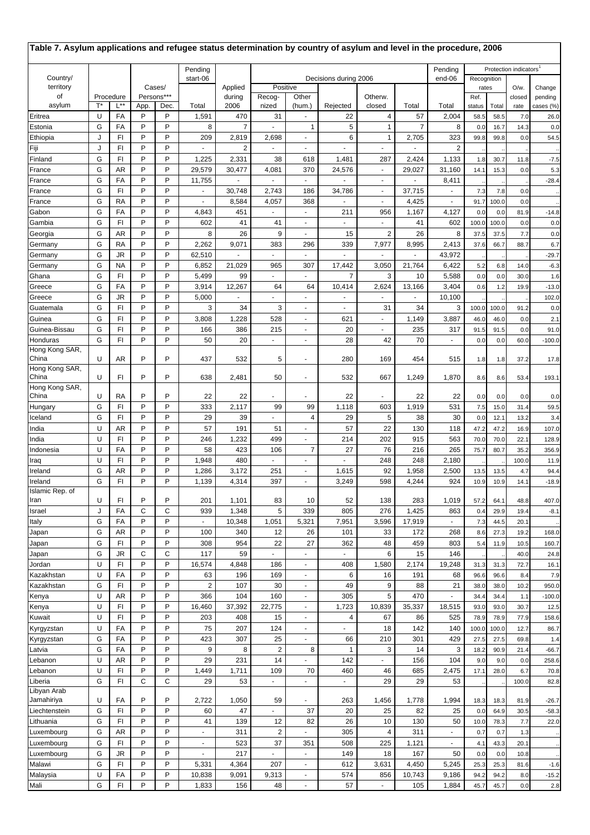| Table 7. Asylum applications and refugee status determination by country of asylum and level in the procedure, 2006 |        |                      |          |            |                                   |                          |                      |                             |                    |                                   |                         |                         |               |              |                                    |                   |
|---------------------------------------------------------------------------------------------------------------------|--------|----------------------|----------|------------|-----------------------------------|--------------------------|----------------------|-----------------------------|--------------------|-----------------------------------|-------------------------|-------------------------|---------------|--------------|------------------------------------|-------------------|
|                                                                                                                     |        |                      |          |            | Pending                           |                          |                      |                             |                    |                                   |                         | Pending                 |               |              | Protection indicators <sup>1</sup> |                   |
| Country/                                                                                                            | Cases/ |                      | start-06 |            | Decisions during 2006<br>Positive |                          |                      |                             |                    | end-06                            | Recognition             |                         |               |              |                                    |                   |
| territory<br>οf                                                                                                     |        | Procedure            |          | Persons*** |                                   | Applied<br>during        | Recog-               | Other                       |                    | Otherw.                           |                         |                         | rates<br>Ref. |              | $O/w$ .<br>closed                  | Change<br>pending |
| asylum                                                                                                              | T*     | $L^{**}$             | App.     | Dec.       | Total                             | 2006                     | nized                | (hum.)                      | Rejected           | closed                            | Total                   | Total                   | status        | Total        | rate                               | cases (%)         |
| Eritrea                                                                                                             | U      | FA                   | P        | P          | 1,591                             | 470                      | 31                   | $\mathcal{L}_{\mathcal{A}}$ | 22                 | 4                                 | 57                      | 2,004                   | 58.5          | 58.5         | 7.0                                | 26.0              |
| Estonia                                                                                                             | G      | FA                   | P        | P          | 8                                 | 7                        | ٠                    | $\mathbf{1}$                | 5                  | $\mathbf{1}$                      | $\overline{7}$          | 8                       | 0.0           | 16.7         | 14.3                               | 0.0               |
| Ethiopia                                                                                                            | J      | FI                   | P        | P          | 209                               | 2,819                    | 2,698                |                             | 6                  | $\mathbf{1}$                      | 2,705                   | 323                     | 99.8          | 99.8         | 0.0                                | 54.5              |
| Fiji<br>Finland                                                                                                     | J<br>G | FI<br>FI             | P<br>P   | P<br>P     | $\overline{\phantom{a}}$<br>1,225 | $\overline{2}$<br>2,331  | ٠<br>38              | $\blacksquare$<br>618       | ÷,<br>1,481        | $\blacksquare$<br>287             | $\blacksquare$<br>2,424 | $\overline{2}$<br>1,133 |               | 30.7         | 11.8                               | $-7.5$            |
| France                                                                                                              | G      | AR                   | P        | P          | 29,579                            | 30,477                   | 4,081                | 370                         | 24,576             | $\blacksquare$                    | 29,027                  | 31,160                  | 1.8<br>14.1   | 15.3         | 0.0                                | 5.3               |
| France                                                                                                              | G      | FA                   | P        | P          | 11,755                            |                          | ÷,                   | ÷.                          |                    | $\blacksquare$                    |                         | 8,411                   |               |              |                                    | $-28.4$           |
| France                                                                                                              | G      | FI                   | P        | P          |                                   | 30,748                   | 2,743                | 186                         | 34,786             | $\overline{\phantom{a}}$          | 37,715                  |                         | 7.3           | 7.8          | 0.0                                |                   |
| France                                                                                                              | G      | RA                   | P        | P          | $\blacksquare$                    | 8,584                    | 4,057                | 368                         | ÷,                 | $\blacksquare$                    | 4,425                   | ÷,                      | 91.7          | 100.0        | 0.0                                |                   |
| Gabon                                                                                                               | G      | FA                   | P        | P          | 4,843                             | 451                      |                      | $\sim$                      | 211                | 956                               | 1,167                   | 4,127                   | 0.0           | 0.0          | 81.9                               | $-14.8$           |
| Gambia                                                                                                              | G      | FI                   | P        | P          | 602                               | 41                       | 41                   | $\blacksquare$              | $\omega$           | $\sim$                            | 41                      | 602                     | 100.0         | 100.0        | 0.0                                | 0.0               |
| Georgia                                                                                                             | G      | AR                   | P        | P          | 8                                 | 26                       | 9                    | $\blacksquare$              | 15                 | $\overline{2}$                    | 26                      | 8                       | 37.5          | 37.5         | 7.7                                | 0.0               |
| Germany                                                                                                             | G<br>G | RA<br>JR             | P<br>P   | P<br>P     | 2,262                             | 9,071                    | 383                  | 296                         | 339<br>ä,          | 7,977                             | 8,995<br>$\blacksquare$ | 2,413                   | 37.6          | 66.7         | 88.7                               | 6.7               |
| Germany<br>Germany                                                                                                  | G      | <b>NA</b>            | P        | P          | 62,510<br>6,852                   | $\blacksquare$<br>21,029 | ٠<br>965             | $\blacksquare$<br>307       | 17,442             | $\overline{\phantom{a}}$<br>3,050 | 21,764                  | 43,972<br>6,422         | 5.2           | 6.8          | 14.0                               | $-29.7$<br>$-6.3$ |
| Ghana                                                                                                               | G      | F1                   | P        | P          | 5,499                             | 99                       | ÷                    | $\omega$                    | $\overline{7}$     | 3                                 | 10                      | 5,588                   | 0.0           | 0.0          | 30.0                               | 1.6               |
| Greece                                                                                                              | G      | FA                   | P        | P          | 3,914                             | 12,267                   | 64                   | 64                          | 10,414             | 2,624                             | 13,166                  | 3,404                   | 0.6           | 1.2          | 19.9                               | $-13.0$           |
| Greece                                                                                                              | G      | JR                   | P        | P          | 5,000                             |                          | ٠                    |                             | ÷,                 |                                   |                         | 10,100                  |               |              |                                    | 102.0             |
| Guatemala                                                                                                           | G      | FI                   | P        | P          | 3                                 | 34                       | 3                    |                             | ä,                 | 31                                | 34                      | 3                       | 100.0         | 100.0        | 91.2                               | 0.0               |
| Guinea                                                                                                              | G      | FI                   | P        | P          | 3,808                             | 1,228                    | 528                  | $\blacksquare$              | 621                | ¥.                                | 1,149                   | 3,887                   | 46.0          | 46.0         | 0.0                                | 2.1               |
| Guinea-Bissau                                                                                                       | G      | FI                   | P        | P          | 166                               | 386                      | 215                  | $\sim$                      | 20                 | $\overline{\phantom{a}}$          | 235                     | 317                     | 91.5          | 91.5         | 0.0                                | 91.0              |
| Honduras<br>Hong Kong SAR,                                                                                          | G      | FI                   | P        | P          | 50                                | 20                       | ٠                    | $\overline{\phantom{a}}$    | 28                 | 42                                | 70                      | $\sim$                  | 0.0           | 0.0          | 60.0                               | $-100.0$          |
| China                                                                                                               | U      | AR                   | P        | P          | 437                               | 532                      | 5                    | $\blacksquare$              | 280                | 169                               | 454                     | 515                     | 1.8           | 1.8          | 37.2                               | 17.8              |
| Hong Kong SAR,                                                                                                      |        |                      |          |            |                                   |                          |                      |                             |                    |                                   |                         |                         |               |              |                                    |                   |
| China                                                                                                               | U      | FI                   | P        | P          | 638                               | 2,481                    | 50                   | $\blacksquare$              | 532                | 667                               | 1,249                   | 1,870                   | 8.6           | 8.6          | 53.4                               | 193.1             |
| Hong Kong SAR,<br>China                                                                                             | U      | RA                   | P        | P          | 22                                | 22                       |                      |                             | 22                 |                                   | 22                      | 22                      | 0.0           | 0.0          | 0.0                                | 0.0               |
| Hungary                                                                                                             | G      | F1                   | P        | P          | 333                               | 2,117                    | 99                   | 99                          | 1,118              | 603                               | 1,919                   | 531                     | 7.5           | 15.0         | 31.4                               | 59.5              |
| Iceland                                                                                                             | G      | FI                   | P        | P          | 29                                | 39                       | ÷,                   | 4                           | 29                 | 5                                 | 38                      | 30                      | 0.0           | 12.1         | 13.2                               | 3.4               |
| India                                                                                                               | U      | AR                   | P        | P          | 57                                | 191                      | 51                   | $\blacksquare$              | 57                 | 22                                | 130                     | 118                     | 47.2          | 47.2         | 16.9                               | 107.0             |
| India                                                                                                               | U      | FI                   | P        | P          | 246                               | 1,232                    | 499                  |                             | 214                | 202                               | 915                     | 563                     | 70.0          | 70.0         | 22.1                               | 128.9             |
| Indonesia                                                                                                           | U      | FA                   | P        | P          | 58                                | 423                      | 106                  | $\overline{7}$              | 27                 | 76                                | 216                     | 265                     | 75.7          | 80.7         | 35.2                               | 356.9             |
| Iraq                                                                                                                | U      | F1                   | P        | P          | 1,948                             | 480                      | ä,                   | $\sim$                      | ٠                  | 248                               | 248                     | 2,180                   |               |              | 100.0                              | 11.9              |
| Ireland<br>Ireland                                                                                                  | G<br>G | AR<br>F1             | P<br>P   | P<br>P     | 1,286<br>1,139                    | 3,172<br>4,314           | 251<br>397           |                             | 1,615<br>3,249     | 92<br>598                         | 1,958<br>4,244          | 2,500<br>924            | 13.5<br>10.9  | 13.5<br>10.9 | 4.7<br>14.1                        | 94.4<br>$-18.9$   |
| Islamic Rep. of                                                                                                     |        |                      |          |            |                                   |                          |                      |                             |                    |                                   |                         |                         |               |              |                                    |                   |
| Iran                                                                                                                | U      | FI                   | P        | P          | 201                               | 1,101                    | 83                   | 10                          | 52                 | 138                               | 283                     | 1,019                   | 57.2          | 64.1         | 48.8                               | 407.0             |
| Israel                                                                                                              | J      | FA                   | C        | C          | 939                               | 1,348                    | 5                    | 339                         | 805                | 276                               | 1,425                   | 863                     | 0.4           | 29.9         | 19.4                               | $-8.1$            |
| Italy                                                                                                               | G      | FA                   | P        | P          |                                   | 10,348                   | 1,051                | 5,321                       | 7,951              | 3,596                             | 17,919                  |                         | 7.3           | 44.5         | 20.1                               |                   |
| Japan                                                                                                               | G      | AR                   | P        | P          | 100                               | 340                      | 12                   | 26                          | 101                | 33                                | 172                     | 268                     | 8.6           | 27.3         | 19.2                               | 168.0             |
| Japan<br>Japan                                                                                                      | G<br>G | F <sub>1</sub><br>JR | P<br>C   | P<br>C     | 308<br>117                        | 954<br>59                | 22<br>ä,             | 27<br>$\omega$              | 362<br>L.          | 48<br>6                           | 459<br>15               | 803<br>146              | 5.4           | 11.9         | 10.5<br>40.0                       | 160.7<br>24.8     |
| Jordan                                                                                                              | U      | F1                   | P        | P          | 16,574                            | 4,848                    | 186                  | $\blacksquare$              | 408                | 1,580                             | 2,174                   | 19,248                  | 31.3          | 31.3         | 72.7                               | 16.1              |
| Kazakhstan                                                                                                          | U      | FA                   | P        | P          | 63                                | 196                      | 169                  | $\blacksquare$              | 6                  | 16                                | 191                     | 68                      | 96.6          | 96.6         | 8.4                                | 7.9               |
| Kazakhstan                                                                                                          | G      | F <sub>1</sub>       | P        | P          | $\overline{\mathbf{c}}$           | 107                      | 30                   | $\blacksquare$              | 49                 | 9                                 | 88                      | 21                      | 38.0          | 38.0         | 10.2                               | 950.0             |
| Kenya                                                                                                               | U      | AR                   | P        | P          | 366                               | 104                      | 160                  | $\blacksquare$              | 305                | 5                                 | 470                     | $\blacksquare$          | 34.4          | 34.4         | 1.1                                | $-100.0$          |
| Kenya                                                                                                               | U      | F <sub>1</sub>       | P        | P          | 16,460                            | 37,392                   | 22,775               | $\blacksquare$              | 1,723              | 10,839                            | 35,337                  | 18,515                  | 93.0          | 93.0         | 30.7                               | 12.5              |
| Kuwait                                                                                                              | U      | FI                   | P        | P          | 203                               | 408                      | 15                   | $\blacksquare$              | $\overline{4}$     | 67                                | 86                      | 525                     | 78.9          | 78.9         | 77.9                               | 158.6             |
| Kyrgyzstan                                                                                                          | U      | FA                   | P<br>P   | P<br>P     | 75                                | 207                      | 124                  | $\blacksquare$              | ä,                 | 18                                | 142                     | 140                     | 100.0         | 100.0        | 12.7                               | 86.7              |
| Kyrgyzstan<br>Latvia                                                                                                | G<br>G | FA<br>FA             | P        | P          | 423<br>9                          | 307<br>8                 | 25<br>$\overline{2}$ | $\blacksquare$<br>8         | 66<br>$\mathbf{1}$ | 210<br>3                          | 301<br>14               | 429<br>3                | 27.5<br>18.2  | 27.5<br>90.9 | 69.8<br>21.4                       | 1.4<br>$-66.7$    |
| Lebanon                                                                                                             | U      | AR                   | P        | P          | 29                                | 231                      | 14                   | $\mathcal{L}_{\mathcal{A}}$ | 142                | $\sim$                            | 156                     | 104                     | 9.0           | 9.0          | 0.0                                | 258.6             |
| Lebanon                                                                                                             | U      | F1                   | P        | P          | 1,449                             | 1,711                    | 109                  | 70                          | 460                | 46                                | 685                     | 2,475                   | 17.1          | 28.0         | 6.7                                | 70.8              |
| Liberia                                                                                                             | G      | F1                   | C        | C          | 29                                | 53                       | ä,                   | $\Box$                      | $\blacksquare$     | 29                                | 29                      | 53                      |               |              | 100.0                              | 82.8              |
| Libyan Arab                                                                                                         |        |                      |          |            |                                   |                          |                      |                             |                    |                                   |                         |                         |               |              |                                    |                   |
| Jamahiriya                                                                                                          | U      | FA                   | P        | P          | 2,722                             | 1,050                    | 59                   |                             | 263                | 1,456                             | 1,778                   | 1,994                   | 18.3          | 18.3         | 81.9                               | $-26.7$           |
| Liechtenstein                                                                                                       | G<br>G | F <sub>1</sub><br>FI | P<br>P   | P<br>P     | 60<br>41                          | 47                       | ä,                   | 37<br>82                    | 20<br>26           | 25                                | 82<br>130               | 25<br>50                | 0.0           | 64.9         | 30.5                               | $-58.3$           |
| Lithuania<br>Luxembourg                                                                                             | G      | AR                   | P        | P          | $\overline{\phantom{a}}$          | 139<br>311               | 12<br>$\overline{2}$ | $\mathcal{L}_{\mathcal{A}}$ | 305                | 10<br>$\overline{4}$              | 311                     | $\blacksquare$          | 10.0<br>0.7   | 78.3<br>0.7  | 7.7<br>1.3                         | 22.0              |
| Luxembourg                                                                                                          | G      | F1                   | P        | P          | $\blacksquare$                    | 523                      | 37                   | 351                         | 508                | 225                               | 1,121                   | $\blacksquare$          | 4.1           | 43.3         | 20.1                               |                   |
| Luxembourg                                                                                                          | G      | JR                   | P        | P          |                                   | 217                      |                      | $\blacksquare$              | 149                | 18                                | 167                     | 50                      | 0.0           | 0.0          | 10.8                               |                   |
| Malawi                                                                                                              | G      | F1                   | P        | P          | 5,331                             | 4,364                    | 207                  | $\blacksquare$              | 612                | 3,631                             | 4,450                   | 5,245                   | 25.3          | 25.3         | 81.6                               | $-1.6$            |
| Malaysia                                                                                                            | U      | FA                   | P        | P          | 10,838                            | 9,091                    | 9,313                | $\blacksquare$              | 574                | 856                               | 10,743                  | 9,186                   | 94.2          | 94.2         | 8.0                                | $-15.2$           |
| Mali                                                                                                                | G      | F1                   | P        | P          | 1,833                             | 156                      | 48                   | $\blacksquare$              | 57                 | $\blacksquare$                    | 105                     | 1,884                   | 45.7          | 45.7         | 0.0                                | $2.8$             |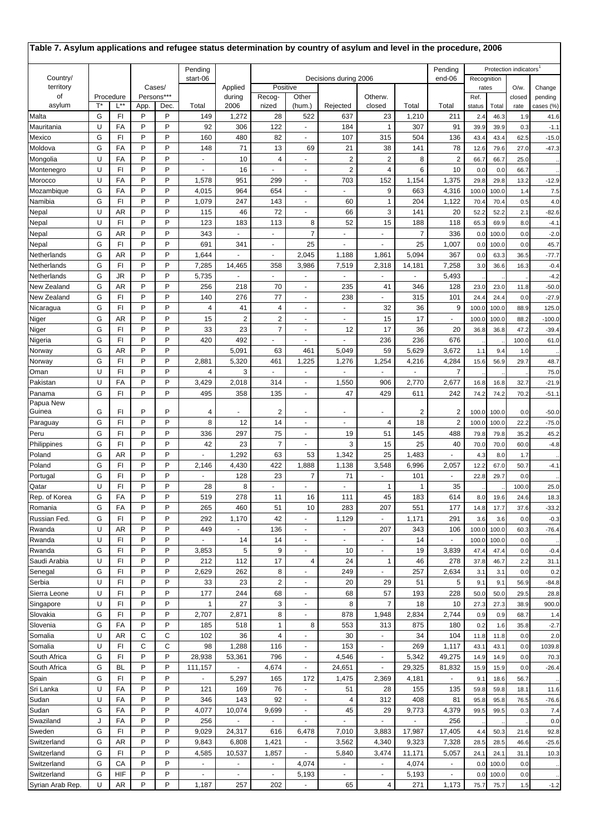| Table 7. Asylum applications and refugee status determination by country of asylum and level in the procedure, 2006 |        |                      |        |                    |                          |                                 |                         |                                  |                          |                          |                          |                         |                |              |                                    |                      |
|---------------------------------------------------------------------------------------------------------------------|--------|----------------------|--------|--------------------|--------------------------|---------------------------------|-------------------------|----------------------------------|--------------------------|--------------------------|--------------------------|-------------------------|----------------|--------------|------------------------------------|----------------------|
|                                                                                                                     |        |                      |        |                    | Pending                  |                                 |                         |                                  |                          |                          |                          | Pendina                 |                |              | Protection indicators <sup>1</sup> |                      |
| Country/                                                                                                            |        |                      |        |                    | start-06                 | end-06<br>Decisions during 2006 |                         |                                  |                          |                          |                          |                         |                | Recognition  |                                    |                      |
| territory<br>οf                                                                                                     |        |                      |        | Cases/             |                          | Applied                         | Positive                |                                  |                          |                          |                          |                         | rates          |              | O/w.                               | Change               |
| asylum                                                                                                              | T*     | Procedure<br>L**     | App.   | Persons***<br>Dec. | Total                    | during<br>2006                  | Recog-<br>nized         | Other<br>(hum.)                  | Rejected                 | Otherw.<br>closed        | Total                    | Total                   | Ref.<br>status | Total        | closed<br>rate                     | pending<br>cases (%) |
| Malta                                                                                                               | G      | FI                   | P      | P                  | 149                      | 1,272                           | 28                      | 522                              | 637                      | 23                       | 1,210                    | 211                     | 2.4            | 46.3         | 1.9                                | 41.6                 |
| Mauritania                                                                                                          | U      | FA                   | P      | P                  | 92                       | 306                             | 122                     | $\blacksquare$                   | 184                      | 1                        | 307                      | 91                      | 39.9           | 39.9         | 0.3                                | $-1.1$               |
| Mexico                                                                                                              | G      | FI                   | P      | P                  | 160                      | 480                             | 82                      | $\mathcal{L}_{\mathcal{A}}$      | 107                      | 315                      | 504                      | 136                     | 43.4           | 43.4         | 62.5                               | $-15.0$              |
| Moldova                                                                                                             | G      | FA                   | P      | P                  | 148                      | 71                              | 13                      | 69                               | 21                       | 38                       | 141                      | 78                      | 12.6           | 79.6         | 27.0                               | $-47.3$              |
| Mongolia                                                                                                            | U      | FA                   | P      | P                  |                          | 10                              | $\overline{4}$          | ÷.                               | $\boldsymbol{2}$         | $\overline{2}$           | 8                        | $\overline{2}$          | 66.7           | 66.7         | 25.0                               |                      |
| Montenegro                                                                                                          | U      | FI                   | P      | P                  | ٠                        | 16                              | $\blacksquare$          | $\blacksquare$                   | $\overline{2}$           | 4                        | 6                        | 10                      | 0.0            | 0.0          | 66.7                               |                      |
| Morocco                                                                                                             | U      | FA                   | P      | P                  | 1,578                    | 951                             | 299                     | $\blacksquare$                   | 703                      | 152                      | 1,154                    | 1,375                   | 29.8           | 29.8         | 13.2                               | $-12.9$              |
| Mozambique                                                                                                          | G      | FA                   | P      | P                  | 4,015                    | 964                             | 654                     | $\sim$                           |                          | 9                        | 663                      | 4,316                   | 100.0          | 100.0        | 1.4                                | 7.5                  |
| Namibia                                                                                                             | G      | FI                   | P      | P                  | 1,079                    | 247                             | 143                     | ÷.                               | 60                       | 1                        | 204                      | 1,122                   | 70.4           | 70.4         | 0.5                                | 4.0                  |
| Nepal                                                                                                               | U      | AR                   | P      | P                  | 115                      | 46                              | 72                      | ÷.                               | 66                       | 3                        | 141                      | 20                      | 52.2           | 52.2         | 2.1                                | $-82.6$              |
| Nepal                                                                                                               | U      | F1                   | P      | P                  | 123                      | 183                             | 113                     | 8                                | 52                       | 15                       | 188                      | 118                     | 65.3           | 69.9         | 8.0                                | $-4.1$               |
| Nepal                                                                                                               | G      | AR                   | P      | P                  | 343                      |                                 | $\blacksquare$          | $\overline{7}$                   | $\overline{a}$           |                          | $\overline{7}$           | 336                     | 0.0            | 100.0        | 0.0                                | $-2.0$               |
| Nepal                                                                                                               | G      | FI                   | P      | P                  | 691                      | 341                             | $\blacksquare$          | 25                               | $\sim$                   |                          | 25                       | 1,007                   | 0.0            | 100.0        | 0.0                                | 45.7                 |
| Netherlands                                                                                                         | G      | AR                   | P      | P                  | 1,644                    |                                 | ä,                      | 2,045                            | 1,188                    | 1,861                    | 5,094                    | 367                     | 0.0            | 63.3         | 36.5                               | -77.7                |
| Netherlands                                                                                                         | G      | FI                   | P      | P                  | 7,285                    | 14,465                          | 358                     | 3,986                            | 7,519                    | 2,318                    | 14,181                   | 7,258                   | 3.0            | 36.6         | 16.3                               | $-0.4$               |
| Netherlands                                                                                                         | G      | JR                   | P      | P                  | 5,735                    | ÷.                              |                         | ÷.                               | $\sim$                   | $\mathbf{r}$             | $\blacksquare$           | 5,493                   |                |              |                                    | $-4.2$               |
| New Zealand                                                                                                         | G      | AR                   | P      | P                  | 256                      | 218                             | 70                      | $\blacksquare$                   | 235                      | 41                       | 346                      | 128                     | 23.0           | 23.0         | 11.8                               | $-50.0$              |
| New Zealand                                                                                                         | G      | FI                   | P      | P                  | 140                      | 276                             | 77                      | $\blacksquare$                   | 238                      | $\blacksquare$           | 315                      | 101                     | 24.4           | 24.4         | 0.0                                | $-27.9$              |
| Nicaragua                                                                                                           | G      | FI                   | P      | P                  | 4                        | 41                              | 4                       | $\sim$                           |                          | 32                       | 36                       | 9                       | 100.0          | 100.0        | 88.9                               | 125.0                |
| Niger                                                                                                               | G      | AR                   | P      | P                  | 15                       | $\overline{2}$                  | $\overline{c}$          | $\mathcal{L}_{\mathcal{A}}$      | $\overline{\phantom{a}}$ | 15                       | 17                       | $\blacksquare$          | 100.0          | 100.0        | 88.2                               | $-100.0$             |
| Niger                                                                                                               | G<br>G | F1                   | P<br>P | P<br>P             | 33                       | 23                              | $\overline{7}$          | $\blacksquare$                   | 12                       | 17                       | 36                       | 20                      | 36.8           | 36.8         | 47.2                               | $-39.4$              |
| Nigeria                                                                                                             | G      | FI<br>AR             | P      | P                  | 420                      | 492<br>5,091                    | 63                      | 461                              |                          | 236<br>59                | 236<br>5,629             | 676<br>3,672            |                | 9.4          | 100.0                              | 61.0                 |
| Norway                                                                                                              | G      | FI                   | P      | P                  | 2,881                    | 5,320                           | 461                     | 1,225                            | 5,049<br>1,276           | 1,254                    | 4,216                    | 4,284                   | 1.1<br>15.6    | 56.9         | 1.0<br>29.7                        | 48.7                 |
| Norway<br>Oman                                                                                                      | U      | FI                   | P      | P                  | 4                        | 3                               | $\blacksquare$          | $\blacksquare$                   | $\sim$                   | $\sim$                   | $\overline{\phantom{a}}$ | 7                       |                |              |                                    | 75.0                 |
| Pakistan                                                                                                            | U      | FA                   | P      | P                  | 3,429                    | 2,018                           | 314                     | $\blacksquare$                   | 1,550                    | 906                      | 2,770                    | 2,677                   | 16.8           | 16.8         | 32.7                               | $-21.9$              |
| Panama                                                                                                              | G      | FI                   | P      | P                  | 495                      | 358                             | 135                     |                                  | 47                       | 429                      | 611                      | 242                     | 74.2           | 74.2         | 70.2                               | $-51.1$              |
| Papua New                                                                                                           |        |                      |        |                    |                          |                                 |                         |                                  |                          |                          |                          |                         |                |              |                                    |                      |
| Guinea                                                                                                              | G      | FI                   | P      | P                  | 4                        |                                 | 2                       | $\overline{a}$                   | $\blacksquare$           | ٠                        | 2                        | $\overline{\mathbf{c}}$ | 100.0          | 100.0        | 0.0                                | $-50.0$              |
| Paraguay                                                                                                            | G      | FI                   | P      | P                  | 8                        | 12                              | 14                      | $\sim$                           | ÷,                       | 4                        | 18                       | $\overline{2}$          | 100.0          | 100.0        | 22.2                               | $-75.0$              |
| Peru                                                                                                                | G      | FI                   | P      | P                  | 336                      | 297                             | 75                      | $\sim$                           | 19                       | 51                       | 145                      | 488                     | 79.8           | 79.8         | 35.2                               | 45.2                 |
| Philippines                                                                                                         | G      | FI                   | P      | P                  | 42                       | 23                              | $\overline{7}$          | $\mathcal{L}_{\mathcal{A}}$      | 3                        | 15                       | 25                       | 40                      | 70.0           | 70.0         | 60.0                               | $-4.8$               |
| Poland                                                                                                              | G      | AR                   | P      | P                  | ٠                        | 1,292                           | 63                      | 53                               | 1,342                    | 25                       | 1,483                    | $\sim$                  | 4.3            | 8.0          | 1.7                                |                      |
| Poland                                                                                                              | G      | FI                   | P      | P                  | 2,146                    | 4,430                           | 422                     | 1,888                            | 1,138                    | 3,548                    | 6,996                    | 2,057                   | 12.2           | 67.0         | 50.7                               | $-4.1$               |
| Portugal                                                                                                            | G      | FI                   | P      | P                  | $\blacksquare$           | 128                             | 23                      | $\overline{7}$                   | 71                       | $\sim$                   | 101                      | $\sim$                  | 22.8           | 29.7         | 0.0                                |                      |
| Qatar                                                                                                               | U      | $\mathsf{FI}$        | P      | P                  | 28                       | 8                               |                         |                                  |                          | 1                        |                          | 35                      |                |              | 100.0                              | 25.0                 |
| Rep. of Korea                                                                                                       | G      | FA                   | P      | P                  | 519                      | 278                             | 11                      | 16                               | 111                      | 45                       | 183                      | 614                     | 8.0            | 19.6         | 24.6                               | 18.3                 |
| Romania                                                                                                             | G      | FA                   | P      | P                  | 265                      | 460                             | 51                      | 10                               | 283                      | 207                      | 551                      | 177                     | 14.8           | 17.7         | 37.6                               | $-33.2$              |
| Russian Fed.                                                                                                        | G      | FI                   | P      | P                  | 292                      | 1,170                           | 42                      | $\blacksquare$                   | 1,129                    | $\blacksquare$           | 1,171                    | 291                     | 3.6            | 3.6          | 0.0                                | $-0.3$               |
| Rwanda                                                                                                              | U      | AR                   | P      | P                  | 449                      | $\sim$                          | 136                     | $\sim$                           | $\blacksquare$           | 207                      | 343                      | 106                     | 100.0          | 100.0        | 60.3                               | $-76.4$              |
| Rwanda                                                                                                              | U      | FI                   | P      | P                  |                          | 14                              | 14                      | $\blacksquare$                   | $\blacksquare$           |                          | 14                       |                         | 100.0          | 100.0        | 0.0                                |                      |
| Rwanda                                                                                                              | G      | FI                   | P      | P                  | 3,853                    | 5                               | 9                       | $\blacksquare$                   | 10                       | $\blacksquare$           | 19                       | 3,839                   | 47.4           | 47.4         | 0.0                                | $-0.4$               |
| Saudi Arabia                                                                                                        | U      | FI                   | P      | P                  | 212                      | 112                             | 17                      | 4                                | 24                       | $\mathbf{1}$             | 46                       | 278                     | 37.8           | 46.7         | 2.2                                | 31.1                 |
| Senegal                                                                                                             | G      | F <sub>1</sub>       | P      | P                  | 2,629                    | 262                             | 8                       | $\mathcal{L}_{\mathcal{A}}$      | 249                      | $\blacksquare$           | 257                      | 2,634                   | 3.1            | 3.1          | 0.0                                | 0.2                  |
| Serbia                                                                                                              | U      | FI                   | P      | P                  | 33                       | 23                              | $\overline{\mathbf{c}}$ | $\blacksquare$                   | 20                       | 29                       | 51                       | 5                       | 9.1            | 9.1          | 56.9                               | $-84.8$              |
| Sierra Leone<br>Singapore                                                                                           | U<br>U | F1<br>F <sub>1</sub> | P<br>P | P<br>P             | 177<br>$\mathbf{1}$      | 244<br>27                       | 68<br>3                 | $\blacksquare$<br>$\blacksquare$ | 68<br>8                  | 57<br>$\overline{7}$     | 193<br>18                | 228<br>10               | 50.0<br>27.3   | 50.0<br>27.3 | 29.5<br>38.9                       | 28.8<br>900.0        |
| Slovakia                                                                                                            | G      | FI                   | P      | P                  | 2,707                    | 2,871                           | 8                       | $\blacksquare$                   | 878                      | 1,948                    | 2,834                    | 2,744                   |                |              |                                    |                      |
| Slovenia                                                                                                            | G      | FA                   | P      | P                  | 185                      | 518                             | 1                       | 8                                | 553                      | 313                      | 875                      | 180                     | 0.9<br>0.2     | 0.9<br>1.6   | 68.7<br>35.8                       | 1.4<br>$-2.7$        |
| Somalia                                                                                                             | U      | AR                   | C      | C                  | 102                      | 36                              | 4                       | $\sim$                           | 30                       | $\sim$                   | 34                       | 104                     | 11.8           | 11.8         | 0.0                                | 2.0                  |
| Somalia                                                                                                             | U      | F1                   | C      | C                  | 98                       | 1,288                           | 116                     | $\blacksquare$                   | 153                      | $\blacksquare$           | 269                      | 1,117                   | 43.1           | 43.1         | 0.0                                | 1039.8               |
| South Africa                                                                                                        | G      | F1                   | P      | P                  | 28,938                   | 53,361                          | 796                     | $\blacksquare$                   | 4,546                    | $\sim$                   | 5,342                    | 49,275                  | 14.9           | 14.9         | 0.0                                | 70.3                 |
| South Africa                                                                                                        | G      | BL                   | P      | P                  | 111,157                  | $\blacksquare$                  | 4,674                   | $\blacksquare$                   | 24,651                   | $\blacksquare$           | 29,325                   | 81,832                  | 15.9           | 15.9         | 0.0                                | $-26.4$              |
| Spain                                                                                                               | G      | FI                   | P      | P                  | $\overline{\phantom{a}}$ | 5,297                           | 165                     | 172                              | 1,475                    | 2,369                    | 4,181                    | $\blacksquare$          | 9.1            | 18.6         | 56.7                               |                      |
| Sri Lanka                                                                                                           | U      | FA                   | P      | P                  | 121                      | 169                             | 76                      | $\blacksquare$                   | 51                       | 28                       | 155                      | 135                     | 59.8           | 59.8         | 18.1                               | 11.6                 |
| Sudan                                                                                                               | U      | FA                   | P      | P                  | 346                      | 143                             | 92                      | $\blacksquare$                   | 4                        | 312                      | 408                      | 81                      | 95.8           | 95.8         | 76.5                               | $-76.6$              |
| Sudan                                                                                                               | G      | FA                   | P      | P                  | 4,077                    | 10,074                          | 9,699                   | $\blacksquare$                   | 45                       | 29                       | 9,773                    | 4,379                   | 99.5           | 99.5         | 0.3                                | 7.4                  |
| Swaziland                                                                                                           | J      | FA                   | P      | P                  | 256                      |                                 | $\blacksquare$          | $\blacksquare$                   | $\blacksquare$           |                          | $\overline{a}$           | 256                     |                |              |                                    | 0.0                  |
| Sweden                                                                                                              | G      | FI                   | P      | P                  | 9,029                    | 24,317                          | 616                     | 6,478                            | 7,010                    | 3,883                    | 17,987                   | 17,405                  | 4.4            | 50.3         | 21.6                               | 92.8                 |
| Switzerland                                                                                                         | G      | AR                   | P      | P                  | 9,843                    | 6,808                           | 1,421                   |                                  | 3,562                    | 4,340                    | 9,323                    | 7,328                   | 28.5           | 28.5         | 46.6                               | $-25.6$              |
| Switzerland                                                                                                         | G      | FI                   | P      | P                  | 4,585                    | 10,537                          | 1,857                   | $\overline{\phantom{a}}$         | 5,840                    | 3,474                    | 11,171                   | 5,057                   | 24.1           | 24.1         | 31.1                               | 10.3                 |
| Switzerland                                                                                                         | G      | CA                   | P      | P                  | $\blacksquare$           | $\sim$                          | $\blacksquare$          | 4,074                            | $\blacksquare$           | $\blacksquare$           | 4,074                    | $\blacksquare$          | 0.0            | 100.0        | 0.0                                |                      |
| Switzerland                                                                                                         | G      | HIF                  | P      | P                  | $\blacksquare$           | $\blacksquare$                  | $\blacksquare$          | 5,193                            | $\blacksquare$           | $\overline{\phantom{a}}$ | 5,193                    | $\blacksquare$          | 0.0            | 100.0        | 0.0                                |                      |
| Syrian Arab Rep.                                                                                                    | U      | AR                   | P      | P                  | 1,187                    | 257                             | 202                     | $\blacksquare$                   | 65                       | 4                        | 271                      | 1,173                   | 75.7           | 75.7         | 1.5                                | $-1.2$               |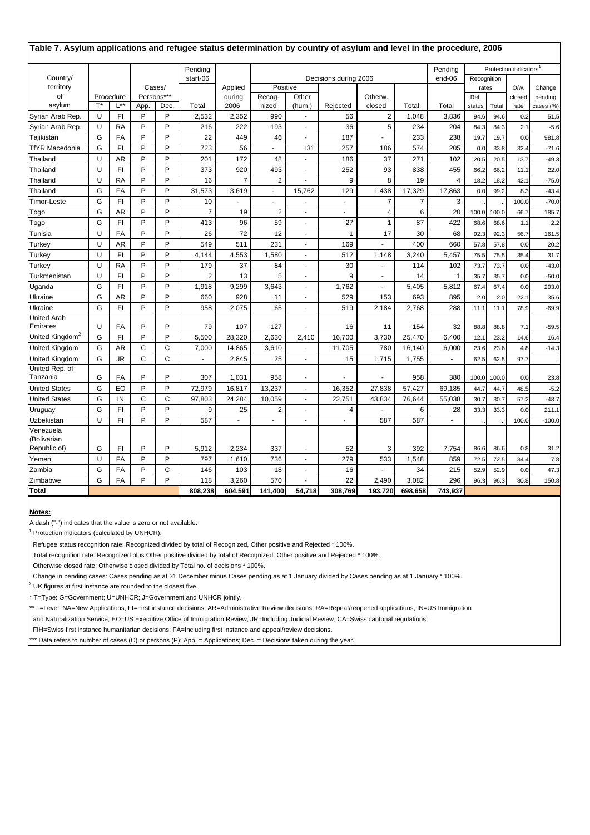| Table 7. Asylum applications and refugee status determination by country of asylum and level in the procedure, 2006 |    |                       |      |                    |                |                |                          |                          |                          |                   |                |         |                |       |                                    |                      |
|---------------------------------------------------------------------------------------------------------------------|----|-----------------------|------|--------------------|----------------|----------------|--------------------------|--------------------------|--------------------------|-------------------|----------------|---------|----------------|-------|------------------------------------|----------------------|
|                                                                                                                     |    |                       |      |                    | Pending        |                |                          |                          |                          |                   |                | Pending |                |       | Protection indicators <sup>1</sup> |                      |
| Country/                                                                                                            |    |                       |      |                    | start-06       |                |                          |                          | Decisions during 2006    |                   |                | end-06  | Recognition    |       |                                    |                      |
| territory                                                                                                           |    |                       |      | Cases/             |                | Applied        | Positive                 |                          |                          |                   |                |         |                | rates | $O/w$ .                            | Change               |
| of<br>asylum                                                                                                        | T* | Procedure<br>$L^{**}$ | App. | Persons***<br>Dec. | Total          | during<br>2006 | Recog-<br>nized          | Other<br>(hum.)          | Rejected                 | Otherw.<br>closed | Total          | Total   | Ref.<br>status | Total | closed<br>rate                     | pending<br>cases (%) |
| Syrian Arab Rep.                                                                                                    | U  | FI                    | P    | P                  | 2,532          | 2,352          | 990                      | $\blacksquare$           | 56                       | $\overline{2}$    | 1,048          | 3,836   | 94.6           | 94.6  | 0.2                                | 51.5                 |
| Syrian Arab Rep.                                                                                                    | U  | <b>RA</b>             | P    | P                  | 216            | 222            | 193                      | $\omega$                 | 36                       | 5                 | 234            | 204     | 84.3           | 84.3  | 2.1                                | $-5.6$               |
| Tajikistan                                                                                                          | G  | FA                    | P    | P                  | 22             | 449            | 46                       | $\omega$                 | 187                      | $\blacksquare$    | 233            | 238     | 19.7           | 19.7  | 0.0                                | 981.8                |
| <b>TfYR Macedonia</b>                                                                                               | G  | FI.                   | P    | P                  | 723            | 56             | $\sim$                   | 131                      | 257                      | 186               | 574            | 205     | 0.0            | 33.8  | 32.4                               | $-71.6$              |
| Thailand                                                                                                            | U  | AR                    | P    | P                  | 201            | 172            | 48                       | $\sim$                   | 186                      | 37                | 271            | 102     | 20.5           | 20.5  | 13.7                               | $-49.3$              |
| Thailand                                                                                                            | U  | F1                    | P    | P                  | 373            | 920            | 493                      | $\blacksquare$           | 252                      | 93                | 838            | 455     | 66.2           | 66.2  | 11.1                               | 22.0                 |
| Thailand                                                                                                            | U  | <b>RA</b>             | P    | P                  | 16             | $\overline{7}$ | $\overline{2}$           | ÷,                       | 9                        | 8                 | 19             | 4       | 18.2           | 18.2  | 42.1                               | $-75.0$              |
| Thailand                                                                                                            | G  | FA                    | P    | P                  | 31,573         | 3,619          | $\overline{\phantom{a}}$ | 15,762                   | 129                      | 1,438             | 17,329         | 17,863  | 0.0            | 99.2  | 8.3                                | $-43.4$              |
| <b>Timor-Leste</b>                                                                                                  | G  | FI                    | P    | P                  | 10             | ÷.             | $\sim$                   | ÷.                       | $\overline{\phantom{a}}$ | $\overline{7}$    | $\overline{7}$ | 3       |                |       | 100.0                              | $-70.0$              |
| Togo                                                                                                                | G  | AR                    | P    | P                  | $\overline{7}$ | 19             | $\overline{2}$           | $\sim$                   | $\sim$                   | 4                 | 6              | 20      | 100.0          | 100.0 | 66.7                               | 185.7                |
| Togo                                                                                                                | G  | FI                    | P    | P                  | 413            | 96             | 59                       | $\omega$                 | 27                       | 1                 | 87             | 422     | 68.6           | 68.6  | 1.1                                | 2.2                  |
| Tunisia                                                                                                             | U  | FA                    | P    | P                  | 26             | 72             | 12                       | $\sim$                   | $\overline{1}$           | 17                | 30             | 68      | 92.3           | 92.3  | 56.7                               | 161.5                |
| Turkey                                                                                                              | U  | AR                    | P    | P                  | 549            | 511            | 231                      | $\sim$                   | 169                      | $\blacksquare$    | 400            | 660     | 57.8           | 57.8  | 0.0                                | 20.2                 |
| Turkey                                                                                                              | U  | F1                    | P    | P                  | 4,144          | 4,553          | 1,580                    | $\sim$                   | 512                      | 1,148             | 3,240          | 5,457   | 75.5           | 75.5  | 35.4                               | 31.7                 |
| Turkey                                                                                                              | U  | <b>RA</b>             | P    | P                  | 179            | 37             | 84                       | $\omega$                 | 30                       | $\sim$            | 114            | 102     | 73.7           | 73.7  | 0.0                                | $-43.0$              |
| Turkmenistan                                                                                                        | U  | FI                    | P    | P                  | $\overline{2}$ | 13             | 5                        | $\sim$                   | 9                        | $\blacksquare$    | 14             | 1       | 35.7           | 35.7  | 0.0                                | $-50.0$              |
| Uganda                                                                                                              | G  | FI.                   | P    | P                  | 1,918          | 9,299          | 3,643                    | $\sim$                   | 1,762                    | $\mathbf{r}$      | 5,405          | 5,812   | 67.4           | 67.4  | 0.0                                | 203.0                |
| Ukraine                                                                                                             | G  | AR.                   | P    | P                  | 660            | 928            | 11                       | $\sim$                   | 529                      | 153               | 693            | 895     | 2.0            | 2.0   | 22.1                               | 35.6                 |
| Ukraine                                                                                                             | G  | FI.                   | P    | P                  | 958            | 2,075          | 65                       | $\blacksquare$           | 519                      | 2,184             | 2,768          | 288     | 11.1           | 11.1  | 78.9                               | $-69.9$              |
| <b>United Arab</b>                                                                                                  |    |                       |      |                    |                |                |                          |                          |                          |                   |                |         |                |       |                                    |                      |
| Emirates                                                                                                            | U  | FA                    | P    | P                  | 79             | 107            | 127                      |                          | 16                       | 11                | 154            | 32      | 88.8           | 88.8  | 7.1                                | $-59.5$              |
| United Kingdom <sup>2</sup>                                                                                         | G  | FI                    | P    | P                  | 5,500          | 28,320         | 2,630                    | 2,410                    | 16,700                   | 3,730             | 25,470         | 6,400   | 12.1           | 23.2  | 14.6                               | 16.4                 |
| United Kingdom                                                                                                      | G  | AR                    | C    | C                  | 7,000          | 14,865         | 3,610                    | $\blacksquare$           | 11,705                   | 780               | 16,140         | 6,000   | 23.6           | 23.6  | 4.8                                | $-14.3$              |
| United Kingdom                                                                                                      | G  | <b>JR</b>             | C    | C                  |                | 2,845          | 25                       | $\blacksquare$           | 15                       | 1,715             | 1,755          |         | 62.5           | 62.5  | 97.7                               |                      |
| United Rep. of<br>Tanzania                                                                                          | G  | FA                    | P    | P                  | 307            | 1,031          | 958                      | $\sim$                   |                          |                   | 958            | 380     | 100.0          | 100.0 | 0.0                                | 23.8                 |
| <b>United States</b>                                                                                                | G  | EO                    | P    | P                  | 72,979         | 16,817         | 13,237                   | $\omega$                 | 16,352                   | 27,838            | 57,427         | 69,185  | 44.7           | 44.7  | 48.5                               | $-5.2$               |
| <b>United States</b>                                                                                                | G  | IN                    | C    | C                  | 97,803         | 24,284         | 10,059                   | $\blacksquare$           | 22,751                   | 43,834            | 76,644         | 55,038  | 30.7           | 30.7  | 57.2                               | $-43.7$              |
| Uruguay                                                                                                             | G  | F1                    | P    | P                  | 9              | 25             | 2                        | $\sim$                   | 4                        | $\mathbf{r}$      | 6              | 28      | 33.3           | 33.3  | 0.0                                | 211.1                |
| Uzbekistan                                                                                                          | U  | FI.                   | P    | P                  | 587            |                |                          | $\sim$                   |                          | 587               | 587            |         |                |       | 100.0                              | $-100.0$             |
| Venezuela                                                                                                           |    |                       |      |                    |                |                |                          |                          |                          |                   |                |         |                |       |                                    |                      |
| (Bolivarian                                                                                                         |    |                       |      |                    |                |                |                          |                          |                          |                   |                |         |                |       |                                    |                      |
| Republic of)                                                                                                        | G  | FI                    | P    | P                  | 5,912          | 2,234          | 337                      | $\overline{\phantom{a}}$ | 52                       | 3                 | 392            | 7,754   | 86.6           | 86.6  | 0.8                                | 31.2                 |
| Yemen                                                                                                               | U  | FA                    | P    | P                  | 797            | 1,610          | 736                      | $\omega$                 | 279                      | 533               | 1,548          | 859     | 72.5           | 72.5  | 34.4                               | 7.8                  |
| Zambia                                                                                                              | G  | FA                    | P    | C                  | 146            | 103            | 18                       | $\sim$                   | 16                       | ÷.                | 34             | 215     | 52.9           | 52.9  | 0.0                                | 47.3                 |
| Zimbabwe                                                                                                            | G  | FA                    | P    | P                  | 118            | 3,260          | 570                      | ÷.                       | 22                       | 2,490             | 3,082          | 296     | 96.3           | 96.3  | 80.8                               | 150.8                |
| <b>Total</b>                                                                                                        |    |                       |      |                    | 808,238        | 604,591        | 141,400                  | 54,718                   | 308,769                  | 193,720           | 698,658        | 743,937 |                |       |                                    |                      |

#### **Notes:**

A dash ("-") indicates that the value is zero or not available.

<sup>1</sup> Protection indicators (calculated by UNHCR):

Refugee status recognition rate: Recognized divided by total of Recognized, Other positive and Rejected \* 100%.

Total recognition rate: Recognized plus Other positive divided by total of Recognized, Other positive and Rejected \* 100%.

Otherwise closed rate: Otherwise closed divided by Total no. of decisions \* 100%.

Change in pending cases: Cases pending as at 31 December minus Cases pending as at 1 January divided by Cases pending as at 1 January \* 100%.

2 UK figures at first instance are rounded to the closest five.

T=Type: G=Government; U=UNHCR; J=Government and UNHCR jointly.

\*\* L=Level: NA=New Applications; FI=First instance decisions; AR=Administrative Review decisions; RA=Repeat/reopened applications; IN=US Immigration

and Naturalization Service; EO=US Executive Office of Immigration Review; JR=Including Judicial Review; CA=Swiss cantonal regulations;

FIH=Swiss first instance humanitarian decisions; FA=Including first instance and appeal/review decisions.

\*\*\* Data refers to number of cases (C) or persons (P): App. = Applications; Dec. = Decisions taken during the year.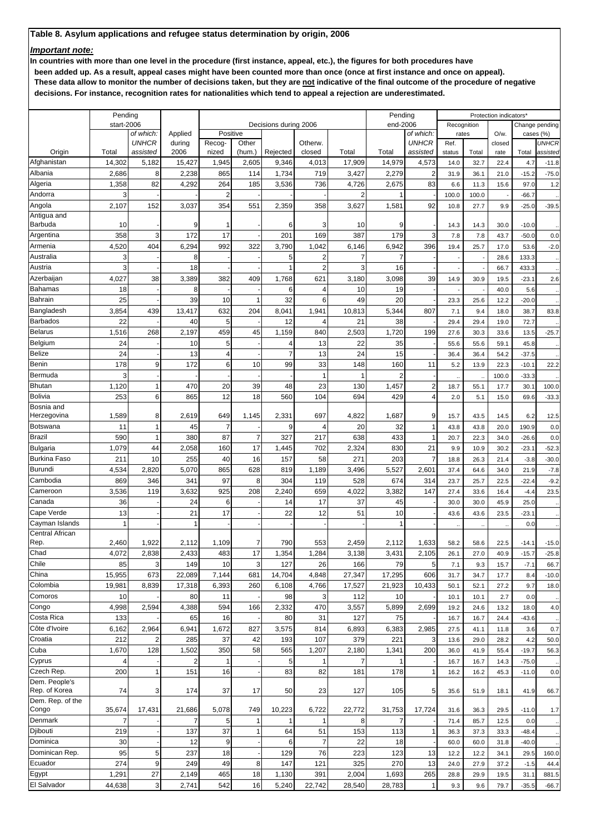## *Important note:*

**In countries with more than one level in the procedure (first instance, appeal, etc.), the figures for both procedures have**

 **been added up. As a result, appeal cases might have been counted more than once (once at first instance and once on appeal). These data allow to monitor the number of decisions taken, but they are not indicative of the final outcome of the procedure of negative decisions. For instance, recognition rates for nationalities which tend to appeal a rejection are underestimated.**

|                             | Pending    |                           |                   |                    |                |                       |                |                | Pending        |                           |               |       | Protection indicators* |           |                |
|-----------------------------|------------|---------------------------|-------------------|--------------------|----------------|-----------------------|----------------|----------------|----------------|---------------------------|---------------|-------|------------------------|-----------|----------------|
|                             | start-2006 |                           |                   |                    |                | Decisions during 2006 |                |                | end-2006       |                           | Recognition   |       |                        |           | Change pending |
|                             |            | of which:<br><b>UNHCR</b> | Applied<br>during | Positive<br>Recog- | Other          |                       | Otherw.        |                |                | of which:<br><b>UNHCR</b> | rates<br>Ref. |       | O/w.<br>closed         | cases (%) | <b>UNHCR</b>   |
| Origin                      | Total      | assisted                  | 2006              | nized              | (hum.)         | Rejected              | closed         | Total          | Total          | assisted                  | status        | Total | rate                   | Total     | assisted       |
| Afghanistan                 | 14,302     | 5,182                     | 15,427            | 1,945              | 2,605          | 9,346                 | 4,013          | 17,909         | 14,979         | 4,573                     | 14.0          | 32.7  | 22.4                   | 4.7       | $-11.8$        |
| Albania                     | 2,686      | 8                         | 2,238             | 865                | 114            | 1,734                 | 719            | 3,427          | 2,279          | 2                         | 31.9          | 36.1  | 21.0                   | $-15.2$   | $-75.0$        |
| Algeria                     | 1,358      | 82                        | 4,292             | 264                | 185            | 3,536                 | 736            | 4,726          | 2,675          | 83                        | 6.6           | 11.3  | 15.6                   | 97.0      | 1.2            |
| Andorra                     | 3          |                           |                   | $\overline{2}$     |                |                       |                | $\overline{2}$ |                |                           | 100.0         | 100.0 |                        | $-66.7$   |                |
| Angola                      | 2,107      | 152                       | 3,037             | 354                | 551            | 2,359                 | 358            | 3,627          | 1,581          | 92                        | 10.8          | 27.7  | 9.9                    | $-25.0$   | $-39.5$        |
| Antigua and                 |            |                           |                   |                    |                |                       |                |                |                |                           |               |       |                        |           |                |
| Barbuda                     | 10         |                           | 9                 | 1                  |                | 6                     | 3              | 10             | 9              |                           | 14.3          | 14.3  | 30.0                   | $-10.0$   |                |
| Argentina                   | 358        | 3                         | 172               | 17                 |                | 201                   | 169            | 387            | 179            | 3                         | 7.8           | 7.8   | 43.7                   | $-50.0$   | 0.0            |
| Armenia                     | 4,520      | 404                       | 6,294             | 992                | 322            | 3,790                 | 1,042          | 6,146          | 6,942          | 396                       | 19.4          | 25.7  | 17.0                   | 53.6      | $-2.0$         |
| Australia                   | 3          |                           | 8                 |                    |                | 5                     | 2              |                | $\overline{7}$ |                           |               |       | 28.6                   | 133.3     |                |
| Austria                     | 3          |                           | 18                |                    |                |                       | 2              | 3              | 16             |                           |               |       | 66.7                   | 433.3     |                |
| Azerbaijan                  | 4,027      | 38                        | 3,389             | 382                | 409            | 1,768                 | 621            | 3,180          | 3,098          | 39                        | 14.9          | 30.9  | 19.5                   | $-23.1$   | 2.6            |
| Bahamas                     | 18         |                           | 8                 |                    |                | 6                     | 4              | 10             | 19             |                           |               |       | 40.0                   | 5.6       |                |
| Bahrain                     | 25         |                           | 39                | 10                 | 1              | 32                    | 6              | 49             | 20             |                           | 23.3          | 25.6  | 12.2                   | $-20.0$   |                |
| Bangladesh                  | 3,854      | 439                       | 13,417            | 632                | 204            | 8,041                 | 1,941          | 10,813         | 5,344          | 807                       | 7.1           | 9.4   | 18.0                   | 38.7      | 83.8           |
| Barbados                    | 22         |                           | 40                | 5                  |                | 12                    | 4              | 21             | 38             |                           | 29.4          | 29.4  | 19.0                   | 72.7      |                |
| <b>Belarus</b>              | 1,516      | 268                       | 2,197             | 459                | 45             | 1,159                 | 840            | 2,503          | 1,720          | 199                       | 27.6          | 30.3  | 33.6                   | 13.5      | $-25.7$        |
| Belgium                     | 24         |                           | 10                | 5                  |                | 4                     | 13             | 22             | 35             |                           | 55.6          | 55.6  | 59.1                   | 45.8      |                |
| Belize                      | 24         |                           | 13                | 4                  |                | 7                     | 13             | 24             | 15             |                           | 36.4          | 36.4  | 54.2                   | $-37.5$   |                |
| Benin                       | 178        | 9                         | 172               | 6                  | 10             | 99                    | 33             | 148            | 160            | 11                        | 5.2           | 13.9  | 22.3                   | $-10.1$   | 22.2           |
| Bermuda                     | 3          |                           |                   |                    |                |                       |                | 1              | $\overline{2}$ |                           |               |       | 100.0                  | $-33.3$   |                |
| Bhutan                      | 1,120      | 1                         | 470               | 20                 | 39             | 48                    | 23             | 130            | 1,457          | $\overline{c}$            | 18.7          | 55.1  | 17.7                   | 30.1      | 100.0          |
| <b>Bolivia</b>              | 253        | 6                         | 865               | 12                 | 18             | 560                   | 104            | 694            | 429            | 4                         | 2.0           | 5.1   | 15.0                   | 69.6      | $-33.3$        |
| Bosnia and<br>Herzegovina   | 1,589      | 8                         | 2,619             | 649                | 1,145          | 2,331                 | 697            | 4,822          | 1,687          | 9                         | 15.7          | 43.5  | 14.5                   | 6.2       | 12.5           |
| Botswana                    | 11         | 1                         | 45                | 7                  |                | 9                     | 4              | 20             | 32             | 1                         | 43.8          | 43.8  | 20.0                   | 190.9     | 0.0            |
| Brazil                      | 590        | 1                         | 380               | 87                 | $\overline{7}$ | 327                   | 217            | 638            | 433            | 1                         | 20.7          | 22.3  | 34.0                   | $-26.6$   | 0.0            |
| Bulgaria                    | 1,079      | 44                        | 2,058             | 160                | 17             | 1,445                 | 702            | 2,324          | 830            | 21                        | 9.9           | 10.9  | 30.2                   | $-23.1$   | $-52.3$        |
| Burkina Faso                | 211        | 10                        | 255               | 40                 | 16             | 157                   | 58             | 271            | 203            | 7                         | 18.8          | 26.3  | 21.4                   | $-3.8$    | $-30.0$        |
| Burundi                     | 4,534      | 2,820                     | 5,070             | 865                | 628            | 819                   | 1,189          | 3,496          | 5,527          | 2,601                     | 37.4          | 64.6  | 34.0                   | 21.9      | $-7.8$         |
| Cambodia                    | 869        | 346                       | 341               | 97                 | 8              | 304                   | 119            | 528            | 674            | 314                       | 23.7          | 25.7  | 22.5                   | $-22.4$   | $-9.2$         |
| Cameroon                    | 3,536      | 119                       | 3,632             | 925                | 208            | 2,240                 | 659            | 4,022          | 3,382          | 147                       | 27.4          | 33.6  | 16.4                   | $-4.4$    | 23.5           |
| Canada                      | 36         |                           | 24                | 6                  |                | 14                    | 17             | 37             | 45             |                           | 30.0          | 30.0  | 45.9                   | 25.0      |                |
| Cape Verde                  | 13         |                           | 21                | 17                 |                | 22                    | 12             | 51             | 10             |                           | 43.6          | 43.6  | 23.5                   | $-23.1$   |                |
| Cayman Islands              | 1          |                           | 1                 |                    |                |                       |                |                | 1              |                           |               |       |                        | 0.0       |                |
| Central African             |            |                           |                   |                    |                |                       |                |                |                |                           |               |       |                        |           |                |
| Rep.                        | 2,460      | 1,922                     | 2,112             | 1,109              | $\overline{7}$ | 790                   | 553            | 2,459          | 2,112          | 1,633                     | 58.2          | 58.6  | 22.5                   | $-14.1$   | $-15.0$        |
| Chad                        | 4,072      | 2,838                     | 2,433             | 483                | 17             | 1,354                 | 1,284          | 3,138          | 3,431          | 2,105                     | 26.1          | 27.0  | 40.9                   | $-15.7$   | $-25.8$        |
| Chile                       | 85         | 3                         | 149               | 10                 | 3 <sup>1</sup> | 127                   | 26             | 166            | 79             | 5                         | 7.1           | 9.3   | 15.7                   | $-7.1$    | 66.7           |
| China                       | 15,955     | 673                       | 22,089            | 7,144              | 681            | 14,704                | 4,848          | 27,347         | 17,295         | 606                       | 31.7          | 34.7  | 17.7                   | 8.4       | $-10.0$        |
| Colombia                    | 19,981     | 8,839                     | 17,318            | 6,393              | 260            | 6,108                 | 4,766          | 17,527         | 21,923         | 10,433                    | 50.1          | 52.1  | 27.2                   | 9.7       | 18.0           |
| Comoros                     | 10         |                           | 80                | 11                 |                | 98                    | 3              | 112            | 10             |                           | 10.1          | 10.1  | 2.7                    | 0.0       |                |
| Congo                       | 4,998      | 2,594                     | 4,388             | 594                | 166            | 2,332                 | 470            | 3,557          | 5,899          | 2,699                     | 19.2          | 24.6  | 13.2                   | 18.0      | 4.0            |
| Costa Rica                  | 133        |                           | 65                | 16                 |                | 80                    | 31             | 127            | 75             |                           | 16.7          | 16.7  | 24.4                   | $-43.6$   |                |
| Côte d'Ivoire               | 6,162      | 2,964                     | 6,941             | 1,672              | 827            | 3,575                 | 814            | 6,893          | 6,383          | 2,985                     | 27.5          | 41.1  | 11.8                   | 3.6       | 0.7            |
| Croatia                     | 212        | $\overline{2}$            | 285               | 37                 | 42             | 193                   | 107            | 379            | 221            | 3                         | 13.6          | 29.0  | 28.2                   | 4.2       | 50.0           |
| Cuba                        | 1,670      | 128                       | 1,502             | 350                | 58             | 565                   | 1,207          | 2,180          | 1,341          | 200                       | 36.0          | 41.9  | 55.4                   | $-19.7$   | 56.3           |
| Cyprus                      |            |                           | 2                 | 1                  |                | 5                     |                | 7              |                |                           | 16.7          | 16.7  | 14.3                   | $-75.0$   |                |
| Czech Rep.<br>Dem. People's | 200        | 1                         | 151               | 16                 |                | 83                    | 82             | 181            | 178            | 1                         | 16.2          | 16.2  | 45.3                   | $-11.0$   | 0.0            |
| Rep. of Korea               | 74         | 3                         | 174               | 37                 | 17             | 50                    | 23             | 127            | 105            | 5                         | 35.6          | 51.9  | 18.1                   | 41.9      | 66.7           |
| Dem. Rep. of the            |            |                           |                   |                    |                |                       |                |                |                |                           |               |       |                        |           |                |
| Congo                       | 35,674     | 17,431                    | 21,686            | 5,078              | 749            | 10,223                | 6,722          | 22,772         | 31,753         | 17,724                    | 31.6          | 36.3  | 29.5                   | $-11.0$   | 1.7            |
| Denmark                     | 7          |                           | 7                 | 5                  | 1              |                       |                | 8              | 7              |                           | 71.4          | 85.7  | 12.5                   | 0.0       |                |
| Djibouti                    | 219        |                           | 137               | 37                 | $\mathbf{1}$   | 64                    | 51             | 153            | 113            | 1                         | 36.3          | 37.3  | 33.3                   | $-48.4$   |                |
| Dominica                    | 30         |                           | 12                | 9                  |                | 6                     | $\overline{7}$ | 22             | 18             |                           | 60.0          | 60.0  | 31.8                   | $-40.0$   |                |
| Dominican Rep.              | 95         | 5                         | 237               | 18                 |                | 129                   | 76             | 223            | 123            | 13                        | 12.2          | 12.2  | 34.1                   | 29.5      | 160.0          |
| Ecuador                     | 274        | 9                         | 249               | 49                 | 8              | 147                   | 121            | 325            | 270            | 13                        | 24.0          | 27.9  | 37.2                   | $-1.5$    | 44.4           |
| Egypt                       | 1,291      | 27                        | 2,149             | 465                | 18             | 1,130                 | 391            | 2,004          | 1,693          | 265                       | 28.8          | 29.9  | 19.5                   | 31.1      | 881.5          |
| El Salvador                 | 44,638     | $\mathbf{3}$              | 2,741             | 542                | 16             | 5,240                 | 22,742         | 28,540         | 28,783         | $\mathbf{1}$              | 9.3           | 9.6   | 79.7                   | $-35.5$   | $-66.7$        |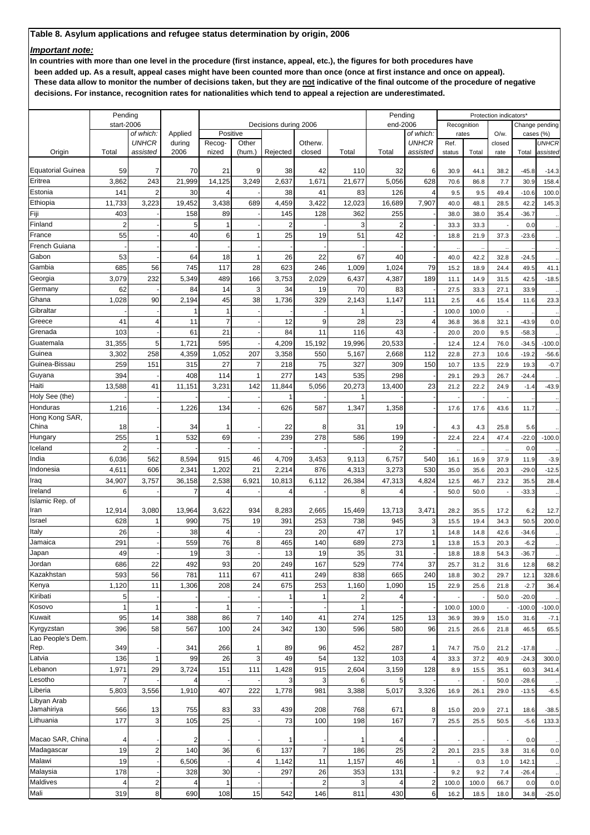## *Important note:*

**In countries with more than one level in the procedure (first instance, appeal, etc.), the figures for both procedures have**

 **been added up. As a result, appeal cases might have been counted more than once (once at first instance and once on appeal). These data allow to monitor the number of decisions taken, but they are not indicative of the final outcome of the procedure of negative**

 **decisions. For instance, recognition rates for nationalities which tend to appeal a rejection are underestimated.**

|                            | Pending<br>start-2006 |                           |                   |                    |                |                       |                |              | Pending        |                           |               |              | Protection indicators* |                    |                      |
|----------------------------|-----------------------|---------------------------|-------------------|--------------------|----------------|-----------------------|----------------|--------------|----------------|---------------------------|---------------|--------------|------------------------|--------------------|----------------------|
|                            |                       |                           |                   |                    |                | Decisions during 2006 |                |              | end-2006       |                           | Recognition   |              |                        |                    | Change pending       |
|                            |                       | of which:<br><b>UNHCR</b> | Applied<br>during | Positive<br>Recog- | Other          |                       | Otherw.        |              |                | of which:<br><b>UNHCR</b> | rates<br>Ref. |              | O/w.<br>closed         | cases (%)          | <b>UNHCR</b>         |
| Origin                     | Total                 | assisted                  | 2006              | nized              | (hum.)         | Rejected              | closed         | Total        | Total          | assisted                  | status        | Total        | rate                   | Total              | assisted             |
|                            |                       |                           |                   |                    |                |                       |                |              |                |                           |               |              |                        |                    |                      |
| <b>Equatorial Guinea</b>   | 59                    | 7                         | 70                | 21                 | 9              | 38                    | 42             | 110          | 32             | 6                         | 30.9          | 44.1         | 38.2                   | $-45.8$            | $-14.3$              |
| Eritrea                    | 3,862                 | 243                       | 21,999            | 14,125             | 3,249          | 2,637                 | 1,671          | 21,677       | 5,056          | 628                       | 70.6          | 86.8         | 7.7                    | 30.9               | 158.4                |
| Estonia                    | 141                   | $\overline{2}$            | 30                | 4                  |                | 38                    | 41             | 83           | 126            | 4                         | 9.5           | 9.5          | 49.4                   | $-10.6$            | 100.0                |
| Ethiopia                   | 11,733                | 3,223                     | 19,452            | 3,438              | 689            | 4,459                 | 3,422          | 12,023       | 16,689         | 7,907                     | 40.0          | 48.1         | 28.5                   | 42.2               | 145.3                |
| Fiji                       | 403                   |                           | 158               | 89                 |                | 145                   | 128            | 362          | 255            |                           | 38.0          | 38.0         | 35.4                   | $-36.7$            |                      |
| Finland                    | $\overline{2}$        |                           | 5                 | 1                  |                | 2                     |                | 3            | 2              |                           | 33.3          | 33.3         |                        | 0.0                |                      |
| France                     | 55                    |                           | 40                | 6                  |                | 25                    | 19             | 51           | 42             |                           | 18.8          | 21.9         | 37.3                   | $-23.6$            |                      |
| French Guiana              |                       |                           |                   |                    |                |                       |                |              |                |                           |               |              |                        |                    |                      |
| Gabon                      | 53                    |                           | 64                | 18                 |                | 26                    | 22             | 67           | 40             |                           | 40.0          | 42.2         | 32.8                   | $-24.5$            |                      |
| Gambia                     | 685                   | 56                        | 745               | 117                | 28             | 623                   | 246            | 1,009        | 1,024          | 79                        | 15.2          | 18.9         | 24.4                   | 49.5               | 41.1                 |
| Georgia                    | 3,079                 | 232                       | 5,349             | 489                | 166            | 3,753                 | 2,029          | 6,437        | 4,387          | 189                       | 11.1          | 14.9         | 31.5                   | 42.5               | $-18.5$              |
| Germany                    | 62                    |                           | 84                | 14                 | 3              | 34                    | 19             | 70           | 83             |                           | 27.5          | 33.3         | 27.1                   | 33.9               |                      |
| Ghana                      | 1,028                 | 90                        | 2,194             | 45                 | 38             | 1,736                 | 329            | 2,143        | 1,147          | 111                       | 2.5           | 4.6          | 15.4                   | 11.6               | 23.3                 |
| Gibraltar                  |                       |                           | 1                 | 1                  |                |                       |                |              |                |                           | 100.0         | 100.0        |                        |                    |                      |
| Greece                     | 41                    | 4                         | 11                | $\overline{7}$     |                | 12                    | 9              | 28           | 23             | $\overline{\mathbf{A}}$   | 36.8          | 36.8         | 32.1                   | $-43.9$            | 0.0                  |
| Grenada                    | 103                   |                           | 61                | 21                 |                | 84                    | 11             | 116          | 43             |                           | 20.0          | 20.0         | 9.5                    | $-58.3$            |                      |
| Guatemala                  | 31,355                | 5                         | 1,721             | 595                |                | 4,209                 | 15,192         | 19,996       | 20,533         |                           | 12.4          | 12.4         | 76.0                   | $-34.5$            | $-100.0$             |
| Guinea                     | 3,302                 | 258                       | 4,359             | 1,052              | 207            | 3,358                 | 550            | 5,167        | 2,668          | 112                       | 22.8          | 27.3         | 10.6                   | $-19.2$            | $-56.6$              |
| Guinea-Bissau              | 259                   | 151                       | 315               | 27                 | $\overline{7}$ | 218                   | 75             | 327          | 309            | 150                       | 10.7          | 13.5         | 22.9                   | 19.3               | $-0.7$               |
| Guyana                     | 394                   |                           | 408               | 114                |                | 277                   | 143            | 535          | 298            |                           | 29.1          | 29.3         | 26.7                   | $-24.4$            |                      |
| Haiti                      | 13,588                | 41                        | 11,151            | 3,231              | 142            | 11,844                | 5,056          | 20,273       | 13,400         | 23                        | 21.2          | 22.2         | 24.9                   | $-1.4$             | $-43.9$              |
| Holy See (the)<br>Honduras |                       |                           |                   |                    |                |                       |                |              |                |                           |               |              |                        |                    |                      |
| Hong Kong SAR,             | 1,216                 |                           | 1,226             | 134                |                | 626                   | 587            | 1,347        | 1,358          |                           | 17.6          | 17.6         | 43.6                   | 11.7               |                      |
| China                      | 18                    |                           | 34                | 1                  |                | 22                    | 8              | 31           | 19             |                           | 4.3           | 4.3          | 25.8                   | 5.6                |                      |
| Hungary                    | 255                   | 1                         | 532               | 69                 |                | 239                   | 278            | 586          | 199            |                           | 22.4          | 22.4         | 47.4                   | $-22.0$            | $-100.0$             |
| Iceland                    | $\overline{2}$        |                           |                   |                    |                |                       |                |              | $\overline{2}$ |                           |               |              |                        | 0.0                |                      |
| India                      | 6,036                 | 562                       | 8,594             | 915                | 46             | 4,709                 | 3,453          | 9,113        | 6,757          | 540                       | 16.1          | 16.9         | 37.9                   | 11.9               | $-3.9$               |
| Indonesia                  | 4,611                 | 606                       | 2,341             | 1,202              | 21             | 2,214                 | 876            | 4,313        | 3,273          | 530                       | 35.0          | 35.6         | 20.3                   | $-29.0$            | $-12.5$              |
| Iraq                       | 34,907                | 3,757                     | 36,158            | 2,538              | 6,921          | 10,813                | 6,112          | 26,384       | 47,313         | 4,824                     | 12.5          | 46.7         | 23.2                   | 35.5               | 28.4                 |
| Ireland                    | 6                     |                           | $\overline{7}$    | 4                  |                | 4                     |                | 8            | 4              |                           | 50.0          | 50.0         |                        | $-33.3$            |                      |
| Islamic Rep. of            |                       |                           |                   |                    |                |                       |                |              |                |                           |               |              |                        |                    |                      |
| Iran                       | 12,914                | 3,080                     | 13,964            | 3,622              | 934            | 8,283                 | 2,665          | 15,469       | 13.713         | 3,471                     | 28.2          | 35.5         | 17.2                   | 6.2                | 12.7                 |
| Israel                     | 628                   |                           | 990               | 75                 | 19             | 391                   | 253            | 738          | 945            | 3                         | 15.5          | 19.4         | 34.3                   | 50.5               | 200.0                |
| Italy                      | 26                    |                           | 38                | 4                  |                | 23                    | 20             | 47           | 17             | 1                         | 14.8          | 14.8         | 42.6                   | $-34.6$            |                      |
| Jamaica                    | 291                   |                           | 559               | 76                 | 8              | 465                   | 140            | 689          | 273            | 1                         | 13.8          | 15.3         | 20.3                   | $-6.2$             |                      |
| Japan                      | 49                    |                           | 19                | 3                  |                | 13                    | 19             | 35           | 31             |                           | 18.8          | 18.8         | 54.3                   | $-36.7$            |                      |
| Jordan                     | 686                   | 22                        | 492               | 93                 | 20             | 249                   | 167            | 529          | 774            | 37                        | 25.7          | 31.2         | 31.6                   | 12.8               | 68.2                 |
| Kazakhstan                 | 593                   | 56                        | 781               | 111                | 67             | 411                   | 249            | 838          | 665            | 240                       | 18.8          | 30.2         | 29.7                   | 12.1               | 328.6                |
| Kenya                      | 1,120                 | 11                        | 1,306             | 208                | 24             | 675                   | 253            | 1,160        | 1,090          | 15                        | 22.9          | 25.6         | 21.8                   | $-2.7$             | 36.4                 |
| Kiribati                   | 5                     |                           |                   |                    |                |                       |                |              | 4              |                           |               |              | 50.0                   | $-20.0$            |                      |
| Kosovo                     | 1                     | 1                         |                   | 1                  |                |                       |                | $\mathbf{1}$ |                |                           | 100.0         | 100.0        |                        | $-100.0$           | $-100.0$             |
| Kuwait                     | 95                    | 14                        | 388               | 86                 | $\overline{7}$ | 140                   | 41             | 274          | 125            | 13                        | 36.9          | 39.9         | 15.0                   | 31.6               | $-7.1$               |
| Kyrgyzstan                 | 396                   | 58                        | 567               | 100                | 24             | 342                   | 130            | 596          | 580            | 96                        | 21.5          | 26.6         | 21.8                   | 46.5               | 65.5                 |
| Lao People's Dem.<br>Rep.  | 349                   |                           |                   |                    | 1              | 89                    |                | 452          | 287            | 1                         |               |              |                        |                    |                      |
| Latvia                     | 136                   |                           | 341<br>99         | 266<br>26          | 3              | 49                    | 96<br>54       | 132          | 103            | 4                         | 74.7<br>33.3  | 75.0<br>37.2 | 21.2<br>40.9           | $-17.8$<br>$-24.3$ | 300.0                |
| Lebanon                    | 1,971                 | 29                        | 3,724             | 151                | 111            | 1,428                 | 915            | 2,604        | 3,159          | 128                       | 8.9           | 15.5         | 35.1                   | 60.3               | 341.4                |
| Lesotho                    | $\overline{7}$        |                           |                   |                    |                |                       | 3              | 6            | 5              |                           |               |              | 50.0                   | $-28.6$            |                      |
| Liberia                    | 5,803                 | 3,556                     | 1,910             | 407                | 222            | 1,778                 | 981            | 3,388        | 5,017          | 3,326                     | 16.9          | 26.1         | 29.0                   | $-13.5$            | $-6.5$               |
| Libyan Arab                |                       |                           |                   |                    |                |                       |                |              |                |                           |               |              |                        |                    |                      |
| Jamahiriya                 | 566                   | 13                        | 755               | 83                 | 33             | 439                   | 208            | 768          | 671            | 8                         | 15.0          | 20.9         | 27.1                   | 18.6               | $-38.5$              |
| Lithuania                  | 177                   | 3                         | 105               | 25                 |                | 73                    | 100            | 198          | 167            | $\overline{7}$            | 25.5          | 25.5         | 50.5                   | $-5.6$             | 133.3                |
|                            |                       |                           |                   |                    |                |                       |                |              |                |                           |               |              |                        |                    |                      |
| Macao SAR, China           | 4                     |                           | 2                 |                    |                | 1                     |                | 1            | 4              |                           |               |              |                        | 0.0                |                      |
| Madagascar                 | 19                    | $\overline{\mathbf{c}}$   | 140               | 36                 | 6              | 137                   | $\overline{7}$ | 186          | 25             | $\boldsymbol{2}$          | 20.1          | 23.5         | 3.8                    | 31.6               | 0.0                  |
| Malawi                     | 19                    |                           | 6,506             |                    | 4              | 1,142                 | 11             | 1,157        | 46             | 1                         |               | 0.3          | 1.0                    | 142.1              | $\cdot$              |
| Malaysia                   | 178                   |                           | 328               | 30                 |                | 297                   | 26             | 353          | 131            |                           | 9.2           | 9.2          | 7.4                    | $-26.4$            | $\ddot{\phantom{1}}$ |
| Maldives                   | 4                     | 2                         | 4                 | 1                  |                |                       | $\overline{c}$ | 3            | 4              | 2                         | 100.0         | 100.0        | 66.7                   | 0.0                | 0.0                  |
| Mali                       | 319                   | 8                         | 690               | 108                | 15             | 542                   | 146            | 811          | 430            | 6                         | 16.2          | 18.5         | 18.0                   | 34.8               | $-25.0$              |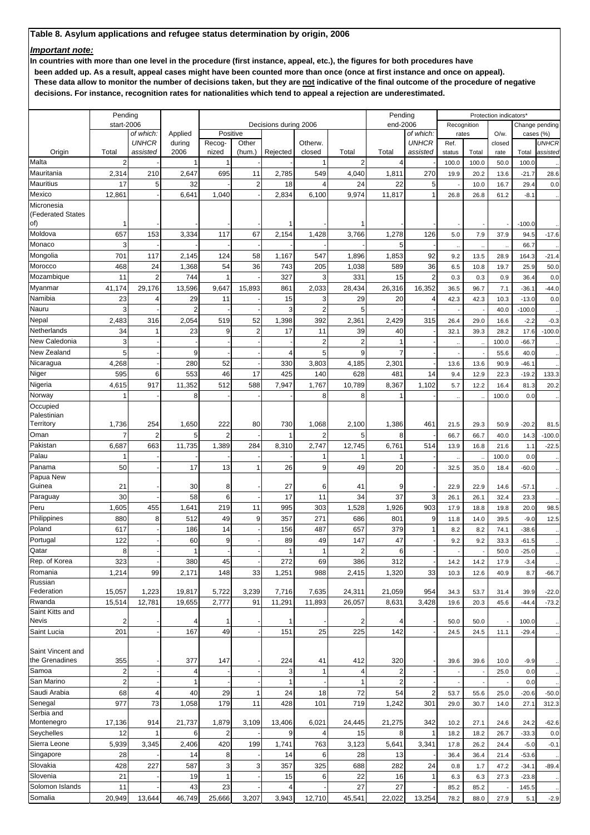## *Important note:*

**In countries with more than one level in the procedure (first instance, appeal, etc.), the figures for both procedures have**

 **been added up. As a result, appeal cases might have been counted more than once (once at first instance and once on appeal). These data allow to monitor the number of decisions taken, but they are not indicative of the final outcome of the procedure of negative decisions. For instance, recognition rates for nationalities which tend to appeal a rejection are underestimated.**

|                                 | Pending        |                           |                   |                 |                |                       |                |                | Pending        |                           |        |             | Protection indicators* |          |                                 |
|---------------------------------|----------------|---------------------------|-------------------|-----------------|----------------|-----------------------|----------------|----------------|----------------|---------------------------|--------|-------------|------------------------|----------|---------------------------------|
|                                 | start-2006     |                           |                   |                 |                | Decisions during 2006 |                |                | end-2006       |                           |        | Recognition |                        |          | Change pending                  |
|                                 |                | of which:<br><b>UNHCR</b> | Applied<br>during | Positive        | Other          |                       | Otherw.        |                |                | of which:<br><b>UNHCR</b> | Ref.   | rates       | O/w.                   |          | cases (%)<br>UNHCR              |
| Origin                          | Total          | assisted                  | 2006              | Recog-<br>nized | (hum.)         | Rejected              | closed         | Total          | Total          | assisted                  | status | Total       | closed<br>rate         | Total    | assisted                        |
| Malta                           | $\overline{2}$ |                           | 1                 |                 |                |                       |                | $\overline{2}$ | 4              |                           | 100.0  | 100.0       | 50.0                   | 100.0    |                                 |
| Mauritania                      | 2,314          | 210                       | 2,647             | 695             | 11             | 2,785                 | 549            | 4,040          | 1,811          | 270                       | 19.9   | 20.2        | 13.6                   | $-21.7$  | 28.6                            |
| Mauritius                       | 17             | 5                         | 32                |                 | $\overline{2}$ | 18                    | $\Delta$       | 24             | 22             | 5                         |        | 10.0        | 16.7                   | 29.4     | 0.0                             |
| Mexico                          | 12,861         |                           | 6,641             | 1,040           |                | 2,834                 | 6,100          | 9,974          | 11,817         | 1                         | 26.8   | 26.8        |                        | $-8.1$   |                                 |
|                                 |                |                           |                   |                 |                |                       |                |                |                |                           |        |             | 61.2                   |          | $\ddot{\phantom{1}}$            |
| Micronesia<br>(Federated States |                |                           |                   |                 |                |                       |                |                |                |                           |        |             |                        |          |                                 |
| of)                             |                |                           |                   |                 |                |                       |                |                |                |                           |        |             |                        | $-100.0$ |                                 |
| Moldova                         | 657            | 153                       | 3,334             | 117             | 67             | 2,154                 | 1,428          | 3,766          | 1,278          | 126                       | 5.0    | 7.9         | 37.9                   | 94.5     | $-17.6$                         |
| Monaco                          | 3              |                           |                   |                 |                |                       |                |                | 5              |                           |        |             |                        | 66.7     |                                 |
| Mongolia                        | 701            | 117                       | 2,145             | 124             | 58             | 1,167                 | 547            | 1,896          | 1,853          | 92                        | 9.2    | 13.5        | 28.9                   | 164.3    | $\ddotsc$<br>$-21.4$            |
| Morocco                         | 468            | 24                        | 1,368             | 54              | 36             | 743                   | 205            | 1,038          | 589            | 36                        | 6.5    | 10.8        | 19.7                   | 25.9     | 50.0                            |
| Mozambique                      | 11             | $\overline{2}$            | 744               |                 |                | 327                   | 3              | 331            | 15             | $\overline{2}$            | 0.3    | 0.3         | 0.9                    | 36.4     | 0.0                             |
| Myanmar                         | 41,174         | 29,176                    | 13,596            | 9,647           | 15,893         | 861                   | 2,033          | 28,434         | 26,316         | 16,352                    | 36.5   | 96.7        | 7.1                    |          |                                 |
| Namibia                         |                | 4                         |                   |                 |                |                       |                |                |                |                           |        |             |                        | $-36.1$  | $-44.0$                         |
|                                 | 23             |                           | 29                | 11              |                | 15                    | 3              | 29             | 20             | 4                         | 42.3   | 42.3        | 10.3                   | $-13.0$  | 0.0                             |
| Nauru                           | 3              |                           | $\overline{2}$    |                 |                | 3                     | $\overline{2}$ | 5              |                |                           |        |             | 40.0                   | $-100.0$ |                                 |
| Nepal                           | 2,483          | 316                       | 2,054             | 519             | 52             | 1,398                 | 392            | 2,361          | 2,429          | 315                       | 26.4   | 29.0        | 16.6                   | $-2.2$   | $-0.3$                          |
| Netherlands                     | 34             |                           | 23                | 9               | $\overline{2}$ | 17                    | 11             | 39             | 40             |                           | 32.1   | 39.3        | 28.2                   | 17.6     | $-100.0$                        |
| New Caledonia                   | 3              |                           |                   |                 |                |                       | $\overline{2}$ | $\overline{2}$ | 1              |                           | k,     |             | 100.0                  | $-66.7$  |                                 |
| New Zealand                     | 5              |                           | 9                 |                 |                |                       | 5              | 9              | 7              |                           |        |             | 55.6                   | 40.0     | $\ddotsc$                       |
| Nicaragua                       | 4,268          |                           | 280               | 52              |                | 330                   | 3,803          | 4,185          | 2,301          |                           | 13.6   | 13.6        | 90.9                   | $-46.1$  | $\ddot{\phantom{0}}$            |
| Niger                           | 595            | 6                         | 553               | 46              | 17             | 425                   | 140            | 628            | 481            | 14                        | 9.4    | 12.9        | 22.3                   | $-19.2$  | 133.3                           |
| Nigeria                         | 4,615          | 917                       | 11,352            | 512             | 588            | 7,947                 | 1,767          | 10,789         | 8,367          | 1,102                     | 5.7    | 12.2        | 16.4                   | 81.3     | 20.2                            |
| Norway                          | 1              |                           | 8                 |                 |                |                       | 8              | 8              | 1              |                           |        |             | 100.0                  | 0.0      | $\ddot{\phantom{0}}$            |
| Occupied                        |                |                           |                   |                 |                |                       |                |                |                |                           |        |             |                        |          |                                 |
| Palestinian                     |                |                           |                   |                 |                |                       |                |                |                |                           |        |             |                        |          |                                 |
| Territory                       | 1,736          | 254                       | 1,650             | 222             | 80             | 730                   | 1,068          | 2,100          | 1,386          | 461                       | 21.5   | 29.3        | 50.9                   | $-20.2$  | 81.5                            |
| Oman                            | 7              | $\overline{2}$            | 5                 | $\overline{2}$  |                |                       | 2              | 5              | 8              |                           | 66.7   | 66.7        | 40.0                   | 14.3     | $-100.0$                        |
| Pakistan                        | 6,687          | 663                       | 11,735            | 1,389           | 284            | 8,310                 | 2,747          | 12,745         | 6,761          | 514                       | 13.9   | 16.8        | 21.6                   | 1.1      | $-22.5$                         |
| Palau                           |                |                           |                   |                 |                |                       |                |                | 1              |                           |        |             | 100.0                  | 0.0      | $\ddot{\phantom{0}}$            |
| Panama                          | 50             |                           | 17                | 13              | $\mathbf{1}$   | 26                    | 9              | 49             | 20             |                           | 32.5   | 35.0        | 18.4                   | $-60.0$  | $\ddot{\phantom{0}}$            |
| Papua New                       |                |                           |                   |                 |                |                       |                |                |                |                           |        |             |                        |          |                                 |
| Guinea                          | 21             |                           | 30                | 8               |                | 27                    | 6              | 41             | 9              |                           | 22.9   | 22.9        | 14.6                   | $-57.1$  | $\ddot{\phantom{0}}$            |
| Paraguay                        | 30             |                           | 58                | 6               |                | 17                    | 11             | 34             | 37             | 3                         | 26.1   | 26.1        | 32.4                   | 23.3     | $\ddot{\phantom{0}}$            |
| Peru                            | 1,605          | 455                       | 1,641             | 219             | 11             | 995                   | 303            | 1,528          | 1,926          | 903                       | 17.9   | 18.8        | 19.8                   | 20.0     | 98.5                            |
| Philippines                     | 880            | 8                         | 512               | 49              | 9              | 357                   | 271            | 686            | 801            | 9                         | 11.8   | 14.0        | 39.5                   | $-9.0$   | 12.5                            |
| Poland                          | 617            |                           | 186               | 14              |                | 156                   | 487            | 657            | 379            | 1                         | 8.2    | 8.2         | 74.1                   | $-38.6$  |                                 |
| Portugal                        | 122            |                           | 60                | 9               |                | 89                    | 49             | 147            | 47             |                           | 9.2    | 9.2         | 33.3                   | $-61.5$  | $\ddot{\phantom{0}}$            |
| Qatar                           | 8              |                           | $\mathbf{1}$      |                 |                | 1                     | 1              | 2              | 6              |                           |        |             | 50.0                   | $-25.0$  |                                 |
| Rep. of Korea                   | 323            |                           | 380               | 45              |                | 272                   | 69             | 386            | 312            |                           | 14.2   | 14.2        | 17.9                   | $-3.4$   | $\ddot{\phantom{1}}$            |
| Romania                         | 1,214          | 99                        | 2,171             | 148             | 33             | 1,251                 | 988            | 2,415          | 1,320          | 33                        | 10.3   | 12.6        | 40.9                   | 8.7      | $-66.7$                         |
| Russian                         |                |                           |                   |                 |                |                       |                |                |                |                           |        |             |                        |          |                                 |
| Federation                      | 15,057         | 1,223                     | 19,817            | 5,722           | 3,239          | 7,716                 | 7,635          | 24,311         | 21,059         | 954                       | 34.3   | 53.7        | 31.4                   | 39.9     | $-22.0$                         |
| Rwanda                          | 15,514         | 12,781                    | 19,655            | 2,777           | 91             | 11,291                | 11,893         | 26,057         | 8,631          | 3,428                     | 19.6   | 20.3        | 45.6                   | $-44.4$  | $-73.2$                         |
| Saint Kitts and<br>Nevis        | 2              |                           | 4                 | 1               |                |                       |                | 2              | 4              |                           | 50.0   | 50.0        |                        | 100.0    |                                 |
| Saint Lucia                     | 201            |                           | 167               | 49              |                | 151                   | 25             | 225            | 142            |                           | 24.5   | 24.5        | 11.1                   | $-29.4$  | $\ddot{\phantom{0}}$            |
|                                 |                |                           |                   |                 |                |                       |                |                |                |                           |        |             |                        |          | $\ddot{\phantom{1}}$            |
| Saint Vincent and               |                |                           |                   |                 |                |                       |                |                |                |                           |        |             |                        |          |                                 |
| the Grenadines                  | 355            |                           | 377               | 147             |                | 224                   | 41             | 412            | 320            |                           | 39.6   | 39.6        | 10.0                   | $-9.9$   | $\cdot$                         |
| Samoa                           | $\overline{a}$ |                           | 4                 |                 |                | 3                     |                | 4              | 2              |                           |        |             | 25.0                   | 0.0      | $\ddot{\phantom{0}}$            |
| San Marino                      | $\overline{2}$ |                           | 1                 |                 |                | 1                     |                | $\mathbf{1}$   | $\overline{2}$ |                           |        |             |                        | 0.0      | $\ddot{\phantom{1}}$            |
| Saudi Arabia                    | 68             | $\overline{4}$            | 40                | 29              | $\mathbf{1}$   | 24                    | 18             | 72             | 54             | $\overline{c}$            | 53.7   | 55.6        | 25.0                   | $-20.6$  | $-50.0$                         |
| Senegal                         | 977            | 73                        | 1,058             | 179             | 11             | 428                   | 101            | 719            | 1,242          | 301                       | 29.0   | 30.7        | 14.0                   | 27.1     | 312.3                           |
| Serbia and                      |                |                           |                   |                 |                |                       |                |                |                |                           |        |             |                        |          |                                 |
| Montenegro                      | 17,136         | 914                       | 21,737            | 1,879           | 3,109          | 13,406                | 6,021          | 24,445         | 21,275         | 342                       | 10.2   | 27.1        | 24.6                   | 24.2     | $-62.6$                         |
| Seychelles                      | 12             |                           | 6                 | $\overline{2}$  |                | 9                     |                | 15             | 8              |                           | 18.2   | 18.2        | 26.7                   | $-33.3$  | 0.0                             |
| Sierra Leone                    | 5,939          | 3,345                     | 2,406             | 420             | 199            | 1,741                 | 763            | 3,123          | 5,641          | 3,341                     | 17.8   | 26.2        | 24.4                   | $-5.0$   | $-0.1$                          |
| Singapore                       | 28             |                           | 14                | 8               |                | 14                    | 6              | 28             | 13             |                           | 36.4   | 36.4        | 21.4                   | $-53.6$  |                                 |
| Slovakia                        | 428            | 227                       | 587               | 3               | 3              | 357                   | 325            | 688            | 282            | 24                        | 0.8    | 1.7         | 47.2                   | $-34.1$  | $\ddot{\phantom{0}}$<br>$-89.4$ |
| Slovenia                        |                |                           | 19                | 1               |                |                       | 6              | 22             |                |                           |        |             |                        |          |                                 |
|                                 | 21             |                           |                   |                 |                | 15                    |                | 27             | 16<br>27       | 1                         | 6.3    | 6.3         | 27.3                   | $-23.8$  | $\ddot{\phantom{0}}$            |
| Solomon Islands                 | 11             |                           | 43                | 23              |                |                       |                |                |                |                           | 85.2   | 85.2        |                        | 145.5    | $\ddot{\phantom{0}}$            |
| Somalia                         | 20,949         | 13,644                    | 46,749            | 25,666          | 3,207          | 3,943                 | 12,710         | 45,541         | 22,022         | 13,254                    | 78.2   | 88.0        | 27.9                   | 5.1      | $-2.9$                          |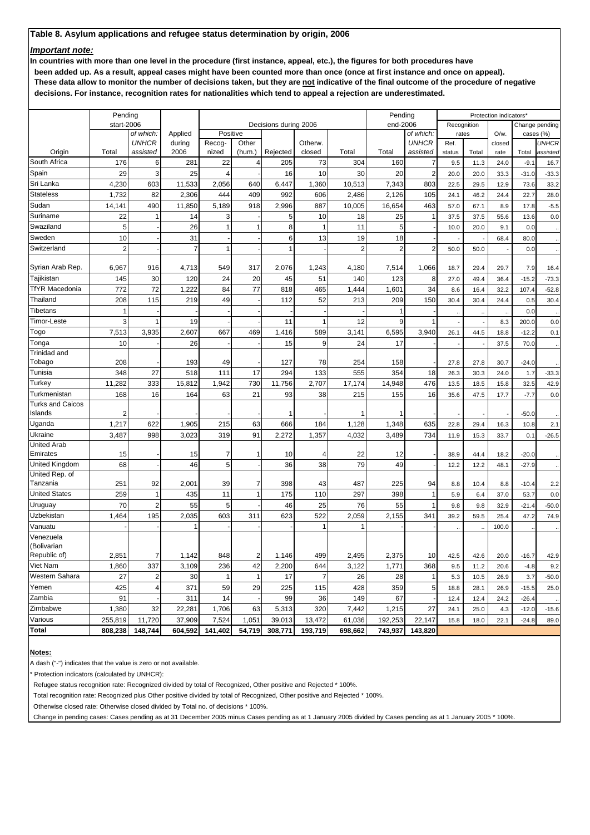### *Important note:*

**In countries with more than one level in the procedure (first instance, appeal, etc.), the figures for both procedures have**

 **been added up. As a result, appeal cases might have been counted more than once (once at first instance and once on appeal). These data allow to monitor the number of decisions taken, but they are not indicative of the final outcome of the procedure of negative decisions. For instance, recognition rates for nationalities which tend to appeal a rejection are underestimated.**

| start-2006<br>end-2006<br>Decisions during 2006<br>Recognition<br>Change pending<br>Applied<br>Positive<br>of which:<br>O/w.<br>cases (%)<br>of which:<br>rates<br><b>UNHCR</b><br>during<br>Other<br>Otherw.<br><b>UNHCR</b><br><b>UNHCR</b><br>Recog-<br>Ref.<br>closed<br>Origin<br>Total<br>2006<br>nized<br>Rejected<br>closed<br>Total<br>Total<br>assisted<br>assisted<br>(hum.)<br>status<br>Total<br>Total<br>assisted<br>rate<br>South Africa<br>176<br>6<br>281<br>22<br>73<br>304<br>160<br>205<br>7<br>9.5<br>24.0<br>$-9.1$<br>4<br>11.3<br>16.7<br>3<br>29<br>25<br>10<br>30<br>20<br>Spain<br>16<br>2<br>20.0<br>$\overline{4}$<br>20.0<br>33.3<br>$-31.0$<br>$-33.3$<br>Sri Lanka<br>4,230<br>603<br>11,533<br>2,056<br>6,447<br>1,360<br>10,513<br>7,343<br>803<br>640<br>22.5<br>29.5<br>12.9<br>73.6<br><b>Stateless</b><br>1,732<br>82<br>2,306<br>444<br>409<br>992<br>606<br>2,486<br>2,126<br>105<br>24.1<br>46.2<br>24.4<br>22.7<br>887<br>Sudan<br>490<br>11,850<br>5,189<br>918<br>2,996<br>10,005<br>16,654<br>463<br>14,141<br>57.0<br>67.1<br>8.9<br>17.8<br>22<br>14<br>10<br>18<br>25<br>Suriname<br>3<br>37.5<br>37.5<br>55.6<br>13.6<br>1<br>5<br>1<br>5<br>26<br>11<br>Swaziland<br>$\mathbf{1}$<br>8<br>5<br>$\mathbf{1}$<br>10.0<br>20.0<br>9.1<br>0.0<br>1<br>31<br>19<br>Sweden<br>10<br>13<br>18<br>6<br>68.4<br>80.0<br>$\overline{2}$<br>$\overline{7}$<br>Switzerland<br>2<br>$\overline{2}$<br>2<br>1<br>50.0<br>50.0<br>0.0<br>Syrian Arab Rep.<br>6,967<br>916<br>4,713<br>549<br>317<br>2,076<br>1,243<br>4,180<br>7,514<br>1,066<br>18.7<br>29.4<br>29.7<br>7.9<br>Tajikistan<br>145<br>30<br>120<br>24<br>20<br>45<br>51<br>123<br>8<br>140<br>27.0<br>$-15.2$<br>49.4<br>36.4<br>72<br>77<br><b>TfYR Macedonia</b><br>772<br>1,222<br>84<br>465<br>34<br>1,444<br>1,601<br>818<br>8.6<br>16.4<br>32.2<br>107.4<br>49<br>52<br>209<br>150<br>Thailand<br>208<br>115<br>219<br>213<br>112<br>30.4<br>30.4<br>24.4<br>0.5<br>Tibetans<br>$\mathbf{1}$<br>0.0<br>$\mathbf{1}$<br>$\ddot{\phantom{0}}$<br>3<br>19<br>9<br>Timor-Leste<br>11<br>12<br>8.3<br>200.0<br>7,513<br>3,935<br>2,607<br>667<br>589<br>6,595<br>Гоgo<br>469<br>1,416<br>3,141<br>3,940<br>18.8<br>26.1<br>44.5<br>$-12.2$<br>26<br>9<br>24<br>17<br>Tonga<br>10<br>15<br>37.5<br>70.0<br>Trinidad and<br>78<br>Tobago<br>208<br>193<br>49<br>127<br>254<br>158<br>27.8<br>27.8<br>30.7<br>$-24.0$<br>27<br>354<br>Tunisia<br>348<br>518<br>111<br>17<br>294<br>133<br>555<br>18<br>26.3<br>30.3<br>24.0<br>1.7<br>11,282<br>333<br>15,812<br>1,942<br>730<br>11,756<br>2,707<br>17,174<br>14,948<br>476<br>Turkey<br>13.5<br>18.5<br>15.8<br>32.5<br>16<br>63<br>21<br>38<br>155<br>Turkmenistan<br>168<br>164<br>93<br>215<br>16<br>35.6<br>47.5<br>17.7<br>$-7.7$<br>Turks and Caicos<br>Islands<br>$-50.0$<br>2<br>1<br>Uganda<br>1,217<br>622<br>1,905<br>215<br>63<br>666<br>184<br>1,128<br>1,348<br>635<br>22.8<br>16.3<br>10.8<br>29.4<br>Ukraine<br>734<br>3,487<br>998<br>3,023<br>319<br>91<br>2,272<br>1,357<br>4,032<br>3,489<br>11.9<br>33.7<br>0.1<br>15.3<br><b>United Arab</b><br>Emirates<br>22<br>15<br>15<br>7<br>12<br>$-20.0$<br>1<br>10<br>38.9<br>44.4<br>18.2<br>46<br>5<br>79<br>68<br>38<br>49<br>36<br>United Kingdom<br>12.2<br>48.1<br>12.2<br>$-27.9$<br>United Rep. of<br>Tanzania<br>251<br>92<br>2,001<br>39<br>$\overline{7}$<br>398<br>225<br>94<br>43<br>487<br>8.8<br>10.4<br>8.8<br>$-10.4$<br>2.2<br>259<br>435<br>398<br>United States<br>11<br>$\mathbf{1}$<br>110<br>297<br>1<br>175<br>1<br>5.9<br>37.0<br>0.0<br>6.4<br>53.7<br>70<br>$\overline{2}$<br>55<br>55<br>5<br>25<br>76<br>Uruguay<br>46<br>1<br>9.8<br>9.8<br>32.9<br>$-21.4$<br>$-50.0$<br>Uzbekistan<br>1,464<br>195<br>2,035<br>603<br>311<br>522<br>2,059<br>2,155<br>341<br>623<br>39.2<br>59.5<br>25.4<br>47.2<br>74.9<br>Vanuatu<br>100.0<br>1<br>Venezuela<br>(Bolivarian<br>Republic of)<br>2,851<br>7<br>1,142<br>848<br>$\mathbf{2}$<br>1,146<br>499<br>2,495<br>2,375<br>10<br>42.5<br>42.6<br>20.0<br>$-16.7$<br>42.9<br>Viet Nam<br>337<br>236<br>42<br>644<br>1,771<br>1,860<br>3,109<br>2,200<br>3,122<br>368<br>9.5<br>11.2<br>20.6<br>$-4.8$<br>9.2<br>Western Sahara<br>$\overline{c}$<br>27<br>30<br>$\mathbf{1}$<br>17<br>$\overline{7}$<br>26<br>28<br>$\mathbf{1}$<br>5.3<br>10.5<br>26.9<br>3.7<br>1<br>$-50.0$<br>5<br>Yemen<br>425<br>4<br>371<br>59<br>29<br>225<br>428<br>359<br>115<br>18.8<br>28.1<br>26.9<br>$-15.5$<br>25.0<br>Zambia<br>91<br>99<br>36<br>67<br>311<br>14<br>149<br>12.4<br>12.4<br>24.2<br>$-26.4$<br>27<br>Zimbabwe<br>32<br>22,281<br>1,706<br>320<br>7,442<br>1,215<br>1,380<br>63<br>5,313<br>4.3<br>24.1<br>25.0<br>$-12.0$<br>$-15.6$<br>Various<br>11,720<br>37,909<br>7,524<br>1,051<br>13,472<br>192,253<br>22,147<br>255,819<br>39,013<br>61,036<br>15.8<br>22.1<br>$-24.8$<br>18.0<br>89.0<br>Total<br>808,238<br>148,744<br>604,592<br>141,402<br>54,719<br>308,771<br>193,719<br>698,662<br>743,937<br>143,820 | Pending |  |  |  | Pending |  | Protection indicators* |         |
|-----------------------------------------------------------------------------------------------------------------------------------------------------------------------------------------------------------------------------------------------------------------------------------------------------------------------------------------------------------------------------------------------------------------------------------------------------------------------------------------------------------------------------------------------------------------------------------------------------------------------------------------------------------------------------------------------------------------------------------------------------------------------------------------------------------------------------------------------------------------------------------------------------------------------------------------------------------------------------------------------------------------------------------------------------------------------------------------------------------------------------------------------------------------------------------------------------------------------------------------------------------------------------------------------------------------------------------------------------------------------------------------------------------------------------------------------------------------------------------------------------------------------------------------------------------------------------------------------------------------------------------------------------------------------------------------------------------------------------------------------------------------------------------------------------------------------------------------------------------------------------------------------------------------------------------------------------------------------------------------------------------------------------------------------------------------------------------------------------------------------------------------------------------------------------------------------------------------------------------------------------------------------------------------------------------------------------------------------------------------------------------------------------------------------------------------------------------------------------------------------------------------------------------------------------------------------------------------------------------------------------------------------------------------------------------------------------------------------------------------------------------------------------------------------------------------------------------------------------------------------------------------------------------------------------------------------------------------------------------------------------------------------------------------------------------------------------------------------------------------------------------------------------------------------------------------------------------------------------------------------------------------------------------------------------------------------------------------------------------------------------------------------------------------------------------------------------------------------------------------------------------------------------------------------------------------------------------------------------------------------------------------------------------------------------------------------------------------------------------------------------------------------------------------------------------------------------------------------------------------------------------------------------------------------------------------------------------------------------------------------------------------------------------------------------------------------------------------------------------------------------------------------------------------------------------------------------------------------------------------------------------------------------------------------------------------------------------------------------------------------------------------------------------------------------------------------------------------------------------------------------------------------------------------------------------------------------------------------------------------------------------------------------------------------------------------------------------------------------------------------------------------------------------------------------------------------------------------------------------------------------------------------------------------------------------------------------------------------------------------------------------|---------|--|--|--|---------|--|------------------------|---------|
|                                                                                                                                                                                                                                                                                                                                                                                                                                                                                                                                                                                                                                                                                                                                                                                                                                                                                                                                                                                                                                                                                                                                                                                                                                                                                                                                                                                                                                                                                                                                                                                                                                                                                                                                                                                                                                                                                                                                                                                                                                                                                                                                                                                                                                                                                                                                                                                                                                                                                                                                                                                                                                                                                                                                                                                                                                                                                                                                                                                                                                                                                                                                                                                                                                                                                                                                                                                                                                                                                                                                                                                                                                                                                                                                                                                                                                                                                                                                                                                                                                                                                                                                                                                                                                                                                                                                                                                                                                                                                                                                                                                                                                                                                                                                                                                                                                                                                                                                                                                                           |         |  |  |  |         |  |                        |         |
|                                                                                                                                                                                                                                                                                                                                                                                                                                                                                                                                                                                                                                                                                                                                                                                                                                                                                                                                                                                                                                                                                                                                                                                                                                                                                                                                                                                                                                                                                                                                                                                                                                                                                                                                                                                                                                                                                                                                                                                                                                                                                                                                                                                                                                                                                                                                                                                                                                                                                                                                                                                                                                                                                                                                                                                                                                                                                                                                                                                                                                                                                                                                                                                                                                                                                                                                                                                                                                                                                                                                                                                                                                                                                                                                                                                                                                                                                                                                                                                                                                                                                                                                                                                                                                                                                                                                                                                                                                                                                                                                                                                                                                                                                                                                                                                                                                                                                                                                                                                                           |         |  |  |  |         |  |                        |         |
|                                                                                                                                                                                                                                                                                                                                                                                                                                                                                                                                                                                                                                                                                                                                                                                                                                                                                                                                                                                                                                                                                                                                                                                                                                                                                                                                                                                                                                                                                                                                                                                                                                                                                                                                                                                                                                                                                                                                                                                                                                                                                                                                                                                                                                                                                                                                                                                                                                                                                                                                                                                                                                                                                                                                                                                                                                                                                                                                                                                                                                                                                                                                                                                                                                                                                                                                                                                                                                                                                                                                                                                                                                                                                                                                                                                                                                                                                                                                                                                                                                                                                                                                                                                                                                                                                                                                                                                                                                                                                                                                                                                                                                                                                                                                                                                                                                                                                                                                                                                                           |         |  |  |  |         |  |                        |         |
|                                                                                                                                                                                                                                                                                                                                                                                                                                                                                                                                                                                                                                                                                                                                                                                                                                                                                                                                                                                                                                                                                                                                                                                                                                                                                                                                                                                                                                                                                                                                                                                                                                                                                                                                                                                                                                                                                                                                                                                                                                                                                                                                                                                                                                                                                                                                                                                                                                                                                                                                                                                                                                                                                                                                                                                                                                                                                                                                                                                                                                                                                                                                                                                                                                                                                                                                                                                                                                                                                                                                                                                                                                                                                                                                                                                                                                                                                                                                                                                                                                                                                                                                                                                                                                                                                                                                                                                                                                                                                                                                                                                                                                                                                                                                                                                                                                                                                                                                                                                                           |         |  |  |  |         |  |                        |         |
|                                                                                                                                                                                                                                                                                                                                                                                                                                                                                                                                                                                                                                                                                                                                                                                                                                                                                                                                                                                                                                                                                                                                                                                                                                                                                                                                                                                                                                                                                                                                                                                                                                                                                                                                                                                                                                                                                                                                                                                                                                                                                                                                                                                                                                                                                                                                                                                                                                                                                                                                                                                                                                                                                                                                                                                                                                                                                                                                                                                                                                                                                                                                                                                                                                                                                                                                                                                                                                                                                                                                                                                                                                                                                                                                                                                                                                                                                                                                                                                                                                                                                                                                                                                                                                                                                                                                                                                                                                                                                                                                                                                                                                                                                                                                                                                                                                                                                                                                                                                                           |         |  |  |  |         |  |                        |         |
|                                                                                                                                                                                                                                                                                                                                                                                                                                                                                                                                                                                                                                                                                                                                                                                                                                                                                                                                                                                                                                                                                                                                                                                                                                                                                                                                                                                                                                                                                                                                                                                                                                                                                                                                                                                                                                                                                                                                                                                                                                                                                                                                                                                                                                                                                                                                                                                                                                                                                                                                                                                                                                                                                                                                                                                                                                                                                                                                                                                                                                                                                                                                                                                                                                                                                                                                                                                                                                                                                                                                                                                                                                                                                                                                                                                                                                                                                                                                                                                                                                                                                                                                                                                                                                                                                                                                                                                                                                                                                                                                                                                                                                                                                                                                                                                                                                                                                                                                                                                                           |         |  |  |  |         |  |                        |         |
|                                                                                                                                                                                                                                                                                                                                                                                                                                                                                                                                                                                                                                                                                                                                                                                                                                                                                                                                                                                                                                                                                                                                                                                                                                                                                                                                                                                                                                                                                                                                                                                                                                                                                                                                                                                                                                                                                                                                                                                                                                                                                                                                                                                                                                                                                                                                                                                                                                                                                                                                                                                                                                                                                                                                                                                                                                                                                                                                                                                                                                                                                                                                                                                                                                                                                                                                                                                                                                                                                                                                                                                                                                                                                                                                                                                                                                                                                                                                                                                                                                                                                                                                                                                                                                                                                                                                                                                                                                                                                                                                                                                                                                                                                                                                                                                                                                                                                                                                                                                                           |         |  |  |  |         |  |                        | 33.2    |
|                                                                                                                                                                                                                                                                                                                                                                                                                                                                                                                                                                                                                                                                                                                                                                                                                                                                                                                                                                                                                                                                                                                                                                                                                                                                                                                                                                                                                                                                                                                                                                                                                                                                                                                                                                                                                                                                                                                                                                                                                                                                                                                                                                                                                                                                                                                                                                                                                                                                                                                                                                                                                                                                                                                                                                                                                                                                                                                                                                                                                                                                                                                                                                                                                                                                                                                                                                                                                                                                                                                                                                                                                                                                                                                                                                                                                                                                                                                                                                                                                                                                                                                                                                                                                                                                                                                                                                                                                                                                                                                                                                                                                                                                                                                                                                                                                                                                                                                                                                                                           |         |  |  |  |         |  |                        | 28.0    |
|                                                                                                                                                                                                                                                                                                                                                                                                                                                                                                                                                                                                                                                                                                                                                                                                                                                                                                                                                                                                                                                                                                                                                                                                                                                                                                                                                                                                                                                                                                                                                                                                                                                                                                                                                                                                                                                                                                                                                                                                                                                                                                                                                                                                                                                                                                                                                                                                                                                                                                                                                                                                                                                                                                                                                                                                                                                                                                                                                                                                                                                                                                                                                                                                                                                                                                                                                                                                                                                                                                                                                                                                                                                                                                                                                                                                                                                                                                                                                                                                                                                                                                                                                                                                                                                                                                                                                                                                                                                                                                                                                                                                                                                                                                                                                                                                                                                                                                                                                                                                           |         |  |  |  |         |  |                        | $-5.5$  |
|                                                                                                                                                                                                                                                                                                                                                                                                                                                                                                                                                                                                                                                                                                                                                                                                                                                                                                                                                                                                                                                                                                                                                                                                                                                                                                                                                                                                                                                                                                                                                                                                                                                                                                                                                                                                                                                                                                                                                                                                                                                                                                                                                                                                                                                                                                                                                                                                                                                                                                                                                                                                                                                                                                                                                                                                                                                                                                                                                                                                                                                                                                                                                                                                                                                                                                                                                                                                                                                                                                                                                                                                                                                                                                                                                                                                                                                                                                                                                                                                                                                                                                                                                                                                                                                                                                                                                                                                                                                                                                                                                                                                                                                                                                                                                                                                                                                                                                                                                                                                           |         |  |  |  |         |  |                        | 0.0     |
|                                                                                                                                                                                                                                                                                                                                                                                                                                                                                                                                                                                                                                                                                                                                                                                                                                                                                                                                                                                                                                                                                                                                                                                                                                                                                                                                                                                                                                                                                                                                                                                                                                                                                                                                                                                                                                                                                                                                                                                                                                                                                                                                                                                                                                                                                                                                                                                                                                                                                                                                                                                                                                                                                                                                                                                                                                                                                                                                                                                                                                                                                                                                                                                                                                                                                                                                                                                                                                                                                                                                                                                                                                                                                                                                                                                                                                                                                                                                                                                                                                                                                                                                                                                                                                                                                                                                                                                                                                                                                                                                                                                                                                                                                                                                                                                                                                                                                                                                                                                                           |         |  |  |  |         |  |                        |         |
|                                                                                                                                                                                                                                                                                                                                                                                                                                                                                                                                                                                                                                                                                                                                                                                                                                                                                                                                                                                                                                                                                                                                                                                                                                                                                                                                                                                                                                                                                                                                                                                                                                                                                                                                                                                                                                                                                                                                                                                                                                                                                                                                                                                                                                                                                                                                                                                                                                                                                                                                                                                                                                                                                                                                                                                                                                                                                                                                                                                                                                                                                                                                                                                                                                                                                                                                                                                                                                                                                                                                                                                                                                                                                                                                                                                                                                                                                                                                                                                                                                                                                                                                                                                                                                                                                                                                                                                                                                                                                                                                                                                                                                                                                                                                                                                                                                                                                                                                                                                                           |         |  |  |  |         |  |                        |         |
|                                                                                                                                                                                                                                                                                                                                                                                                                                                                                                                                                                                                                                                                                                                                                                                                                                                                                                                                                                                                                                                                                                                                                                                                                                                                                                                                                                                                                                                                                                                                                                                                                                                                                                                                                                                                                                                                                                                                                                                                                                                                                                                                                                                                                                                                                                                                                                                                                                                                                                                                                                                                                                                                                                                                                                                                                                                                                                                                                                                                                                                                                                                                                                                                                                                                                                                                                                                                                                                                                                                                                                                                                                                                                                                                                                                                                                                                                                                                                                                                                                                                                                                                                                                                                                                                                                                                                                                                                                                                                                                                                                                                                                                                                                                                                                                                                                                                                                                                                                                                           |         |  |  |  |         |  |                        |         |
|                                                                                                                                                                                                                                                                                                                                                                                                                                                                                                                                                                                                                                                                                                                                                                                                                                                                                                                                                                                                                                                                                                                                                                                                                                                                                                                                                                                                                                                                                                                                                                                                                                                                                                                                                                                                                                                                                                                                                                                                                                                                                                                                                                                                                                                                                                                                                                                                                                                                                                                                                                                                                                                                                                                                                                                                                                                                                                                                                                                                                                                                                                                                                                                                                                                                                                                                                                                                                                                                                                                                                                                                                                                                                                                                                                                                                                                                                                                                                                                                                                                                                                                                                                                                                                                                                                                                                                                                                                                                                                                                                                                                                                                                                                                                                                                                                                                                                                                                                                                                           |         |  |  |  |         |  |                        |         |
|                                                                                                                                                                                                                                                                                                                                                                                                                                                                                                                                                                                                                                                                                                                                                                                                                                                                                                                                                                                                                                                                                                                                                                                                                                                                                                                                                                                                                                                                                                                                                                                                                                                                                                                                                                                                                                                                                                                                                                                                                                                                                                                                                                                                                                                                                                                                                                                                                                                                                                                                                                                                                                                                                                                                                                                                                                                                                                                                                                                                                                                                                                                                                                                                                                                                                                                                                                                                                                                                                                                                                                                                                                                                                                                                                                                                                                                                                                                                                                                                                                                                                                                                                                                                                                                                                                                                                                                                                                                                                                                                                                                                                                                                                                                                                                                                                                                                                                                                                                                                           |         |  |  |  |         |  |                        | 16.4    |
|                                                                                                                                                                                                                                                                                                                                                                                                                                                                                                                                                                                                                                                                                                                                                                                                                                                                                                                                                                                                                                                                                                                                                                                                                                                                                                                                                                                                                                                                                                                                                                                                                                                                                                                                                                                                                                                                                                                                                                                                                                                                                                                                                                                                                                                                                                                                                                                                                                                                                                                                                                                                                                                                                                                                                                                                                                                                                                                                                                                                                                                                                                                                                                                                                                                                                                                                                                                                                                                                                                                                                                                                                                                                                                                                                                                                                                                                                                                                                                                                                                                                                                                                                                                                                                                                                                                                                                                                                                                                                                                                                                                                                                                                                                                                                                                                                                                                                                                                                                                                           |         |  |  |  |         |  |                        | $-73.3$ |
|                                                                                                                                                                                                                                                                                                                                                                                                                                                                                                                                                                                                                                                                                                                                                                                                                                                                                                                                                                                                                                                                                                                                                                                                                                                                                                                                                                                                                                                                                                                                                                                                                                                                                                                                                                                                                                                                                                                                                                                                                                                                                                                                                                                                                                                                                                                                                                                                                                                                                                                                                                                                                                                                                                                                                                                                                                                                                                                                                                                                                                                                                                                                                                                                                                                                                                                                                                                                                                                                                                                                                                                                                                                                                                                                                                                                                                                                                                                                                                                                                                                                                                                                                                                                                                                                                                                                                                                                                                                                                                                                                                                                                                                                                                                                                                                                                                                                                                                                                                                                           |         |  |  |  |         |  |                        | $-52.8$ |
|                                                                                                                                                                                                                                                                                                                                                                                                                                                                                                                                                                                                                                                                                                                                                                                                                                                                                                                                                                                                                                                                                                                                                                                                                                                                                                                                                                                                                                                                                                                                                                                                                                                                                                                                                                                                                                                                                                                                                                                                                                                                                                                                                                                                                                                                                                                                                                                                                                                                                                                                                                                                                                                                                                                                                                                                                                                                                                                                                                                                                                                                                                                                                                                                                                                                                                                                                                                                                                                                                                                                                                                                                                                                                                                                                                                                                                                                                                                                                                                                                                                                                                                                                                                                                                                                                                                                                                                                                                                                                                                                                                                                                                                                                                                                                                                                                                                                                                                                                                                                           |         |  |  |  |         |  |                        | 30.4    |
|                                                                                                                                                                                                                                                                                                                                                                                                                                                                                                                                                                                                                                                                                                                                                                                                                                                                                                                                                                                                                                                                                                                                                                                                                                                                                                                                                                                                                                                                                                                                                                                                                                                                                                                                                                                                                                                                                                                                                                                                                                                                                                                                                                                                                                                                                                                                                                                                                                                                                                                                                                                                                                                                                                                                                                                                                                                                                                                                                                                                                                                                                                                                                                                                                                                                                                                                                                                                                                                                                                                                                                                                                                                                                                                                                                                                                                                                                                                                                                                                                                                                                                                                                                                                                                                                                                                                                                                                                                                                                                                                                                                                                                                                                                                                                                                                                                                                                                                                                                                                           |         |  |  |  |         |  |                        |         |
|                                                                                                                                                                                                                                                                                                                                                                                                                                                                                                                                                                                                                                                                                                                                                                                                                                                                                                                                                                                                                                                                                                                                                                                                                                                                                                                                                                                                                                                                                                                                                                                                                                                                                                                                                                                                                                                                                                                                                                                                                                                                                                                                                                                                                                                                                                                                                                                                                                                                                                                                                                                                                                                                                                                                                                                                                                                                                                                                                                                                                                                                                                                                                                                                                                                                                                                                                                                                                                                                                                                                                                                                                                                                                                                                                                                                                                                                                                                                                                                                                                                                                                                                                                                                                                                                                                                                                                                                                                                                                                                                                                                                                                                                                                                                                                                                                                                                                                                                                                                                           |         |  |  |  |         |  |                        | 0.0     |
|                                                                                                                                                                                                                                                                                                                                                                                                                                                                                                                                                                                                                                                                                                                                                                                                                                                                                                                                                                                                                                                                                                                                                                                                                                                                                                                                                                                                                                                                                                                                                                                                                                                                                                                                                                                                                                                                                                                                                                                                                                                                                                                                                                                                                                                                                                                                                                                                                                                                                                                                                                                                                                                                                                                                                                                                                                                                                                                                                                                                                                                                                                                                                                                                                                                                                                                                                                                                                                                                                                                                                                                                                                                                                                                                                                                                                                                                                                                                                                                                                                                                                                                                                                                                                                                                                                                                                                                                                                                                                                                                                                                                                                                                                                                                                                                                                                                                                                                                                                                                           |         |  |  |  |         |  |                        | 0.1     |
|                                                                                                                                                                                                                                                                                                                                                                                                                                                                                                                                                                                                                                                                                                                                                                                                                                                                                                                                                                                                                                                                                                                                                                                                                                                                                                                                                                                                                                                                                                                                                                                                                                                                                                                                                                                                                                                                                                                                                                                                                                                                                                                                                                                                                                                                                                                                                                                                                                                                                                                                                                                                                                                                                                                                                                                                                                                                                                                                                                                                                                                                                                                                                                                                                                                                                                                                                                                                                                                                                                                                                                                                                                                                                                                                                                                                                                                                                                                                                                                                                                                                                                                                                                                                                                                                                                                                                                                                                                                                                                                                                                                                                                                                                                                                                                                                                                                                                                                                                                                                           |         |  |  |  |         |  |                        |         |
|                                                                                                                                                                                                                                                                                                                                                                                                                                                                                                                                                                                                                                                                                                                                                                                                                                                                                                                                                                                                                                                                                                                                                                                                                                                                                                                                                                                                                                                                                                                                                                                                                                                                                                                                                                                                                                                                                                                                                                                                                                                                                                                                                                                                                                                                                                                                                                                                                                                                                                                                                                                                                                                                                                                                                                                                                                                                                                                                                                                                                                                                                                                                                                                                                                                                                                                                                                                                                                                                                                                                                                                                                                                                                                                                                                                                                                                                                                                                                                                                                                                                                                                                                                                                                                                                                                                                                                                                                                                                                                                                                                                                                                                                                                                                                                                                                                                                                                                                                                                                           |         |  |  |  |         |  |                        |         |
|                                                                                                                                                                                                                                                                                                                                                                                                                                                                                                                                                                                                                                                                                                                                                                                                                                                                                                                                                                                                                                                                                                                                                                                                                                                                                                                                                                                                                                                                                                                                                                                                                                                                                                                                                                                                                                                                                                                                                                                                                                                                                                                                                                                                                                                                                                                                                                                                                                                                                                                                                                                                                                                                                                                                                                                                                                                                                                                                                                                                                                                                                                                                                                                                                                                                                                                                                                                                                                                                                                                                                                                                                                                                                                                                                                                                                                                                                                                                                                                                                                                                                                                                                                                                                                                                                                                                                                                                                                                                                                                                                                                                                                                                                                                                                                                                                                                                                                                                                                                                           |         |  |  |  |         |  |                        |         |
|                                                                                                                                                                                                                                                                                                                                                                                                                                                                                                                                                                                                                                                                                                                                                                                                                                                                                                                                                                                                                                                                                                                                                                                                                                                                                                                                                                                                                                                                                                                                                                                                                                                                                                                                                                                                                                                                                                                                                                                                                                                                                                                                                                                                                                                                                                                                                                                                                                                                                                                                                                                                                                                                                                                                                                                                                                                                                                                                                                                                                                                                                                                                                                                                                                                                                                                                                                                                                                                                                                                                                                                                                                                                                                                                                                                                                                                                                                                                                                                                                                                                                                                                                                                                                                                                                                                                                                                                                                                                                                                                                                                                                                                                                                                                                                                                                                                                                                                                                                                                           |         |  |  |  |         |  |                        | $-33.3$ |
|                                                                                                                                                                                                                                                                                                                                                                                                                                                                                                                                                                                                                                                                                                                                                                                                                                                                                                                                                                                                                                                                                                                                                                                                                                                                                                                                                                                                                                                                                                                                                                                                                                                                                                                                                                                                                                                                                                                                                                                                                                                                                                                                                                                                                                                                                                                                                                                                                                                                                                                                                                                                                                                                                                                                                                                                                                                                                                                                                                                                                                                                                                                                                                                                                                                                                                                                                                                                                                                                                                                                                                                                                                                                                                                                                                                                                                                                                                                                                                                                                                                                                                                                                                                                                                                                                                                                                                                                                                                                                                                                                                                                                                                                                                                                                                                                                                                                                                                                                                                                           |         |  |  |  |         |  |                        | 42.9    |
|                                                                                                                                                                                                                                                                                                                                                                                                                                                                                                                                                                                                                                                                                                                                                                                                                                                                                                                                                                                                                                                                                                                                                                                                                                                                                                                                                                                                                                                                                                                                                                                                                                                                                                                                                                                                                                                                                                                                                                                                                                                                                                                                                                                                                                                                                                                                                                                                                                                                                                                                                                                                                                                                                                                                                                                                                                                                                                                                                                                                                                                                                                                                                                                                                                                                                                                                                                                                                                                                                                                                                                                                                                                                                                                                                                                                                                                                                                                                                                                                                                                                                                                                                                                                                                                                                                                                                                                                                                                                                                                                                                                                                                                                                                                                                                                                                                                                                                                                                                                                           |         |  |  |  |         |  |                        | 0.0     |
|                                                                                                                                                                                                                                                                                                                                                                                                                                                                                                                                                                                                                                                                                                                                                                                                                                                                                                                                                                                                                                                                                                                                                                                                                                                                                                                                                                                                                                                                                                                                                                                                                                                                                                                                                                                                                                                                                                                                                                                                                                                                                                                                                                                                                                                                                                                                                                                                                                                                                                                                                                                                                                                                                                                                                                                                                                                                                                                                                                                                                                                                                                                                                                                                                                                                                                                                                                                                                                                                                                                                                                                                                                                                                                                                                                                                                                                                                                                                                                                                                                                                                                                                                                                                                                                                                                                                                                                                                                                                                                                                                                                                                                                                                                                                                                                                                                                                                                                                                                                                           |         |  |  |  |         |  |                        |         |
|                                                                                                                                                                                                                                                                                                                                                                                                                                                                                                                                                                                                                                                                                                                                                                                                                                                                                                                                                                                                                                                                                                                                                                                                                                                                                                                                                                                                                                                                                                                                                                                                                                                                                                                                                                                                                                                                                                                                                                                                                                                                                                                                                                                                                                                                                                                                                                                                                                                                                                                                                                                                                                                                                                                                                                                                                                                                                                                                                                                                                                                                                                                                                                                                                                                                                                                                                                                                                                                                                                                                                                                                                                                                                                                                                                                                                                                                                                                                                                                                                                                                                                                                                                                                                                                                                                                                                                                                                                                                                                                                                                                                                                                                                                                                                                                                                                                                                                                                                                                                           |         |  |  |  |         |  |                        |         |
|                                                                                                                                                                                                                                                                                                                                                                                                                                                                                                                                                                                                                                                                                                                                                                                                                                                                                                                                                                                                                                                                                                                                                                                                                                                                                                                                                                                                                                                                                                                                                                                                                                                                                                                                                                                                                                                                                                                                                                                                                                                                                                                                                                                                                                                                                                                                                                                                                                                                                                                                                                                                                                                                                                                                                                                                                                                                                                                                                                                                                                                                                                                                                                                                                                                                                                                                                                                                                                                                                                                                                                                                                                                                                                                                                                                                                                                                                                                                                                                                                                                                                                                                                                                                                                                                                                                                                                                                                                                                                                                                                                                                                                                                                                                                                                                                                                                                                                                                                                                                           |         |  |  |  |         |  |                        | 2.1     |
|                                                                                                                                                                                                                                                                                                                                                                                                                                                                                                                                                                                                                                                                                                                                                                                                                                                                                                                                                                                                                                                                                                                                                                                                                                                                                                                                                                                                                                                                                                                                                                                                                                                                                                                                                                                                                                                                                                                                                                                                                                                                                                                                                                                                                                                                                                                                                                                                                                                                                                                                                                                                                                                                                                                                                                                                                                                                                                                                                                                                                                                                                                                                                                                                                                                                                                                                                                                                                                                                                                                                                                                                                                                                                                                                                                                                                                                                                                                                                                                                                                                                                                                                                                                                                                                                                                                                                                                                                                                                                                                                                                                                                                                                                                                                                                                                                                                                                                                                                                                                           |         |  |  |  |         |  |                        | $-26.5$ |
|                                                                                                                                                                                                                                                                                                                                                                                                                                                                                                                                                                                                                                                                                                                                                                                                                                                                                                                                                                                                                                                                                                                                                                                                                                                                                                                                                                                                                                                                                                                                                                                                                                                                                                                                                                                                                                                                                                                                                                                                                                                                                                                                                                                                                                                                                                                                                                                                                                                                                                                                                                                                                                                                                                                                                                                                                                                                                                                                                                                                                                                                                                                                                                                                                                                                                                                                                                                                                                                                                                                                                                                                                                                                                                                                                                                                                                                                                                                                                                                                                                                                                                                                                                                                                                                                                                                                                                                                                                                                                                                                                                                                                                                                                                                                                                                                                                                                                                                                                                                                           |         |  |  |  |         |  |                        |         |
|                                                                                                                                                                                                                                                                                                                                                                                                                                                                                                                                                                                                                                                                                                                                                                                                                                                                                                                                                                                                                                                                                                                                                                                                                                                                                                                                                                                                                                                                                                                                                                                                                                                                                                                                                                                                                                                                                                                                                                                                                                                                                                                                                                                                                                                                                                                                                                                                                                                                                                                                                                                                                                                                                                                                                                                                                                                                                                                                                                                                                                                                                                                                                                                                                                                                                                                                                                                                                                                                                                                                                                                                                                                                                                                                                                                                                                                                                                                                                                                                                                                                                                                                                                                                                                                                                                                                                                                                                                                                                                                                                                                                                                                                                                                                                                                                                                                                                                                                                                                                           |         |  |  |  |         |  |                        |         |
|                                                                                                                                                                                                                                                                                                                                                                                                                                                                                                                                                                                                                                                                                                                                                                                                                                                                                                                                                                                                                                                                                                                                                                                                                                                                                                                                                                                                                                                                                                                                                                                                                                                                                                                                                                                                                                                                                                                                                                                                                                                                                                                                                                                                                                                                                                                                                                                                                                                                                                                                                                                                                                                                                                                                                                                                                                                                                                                                                                                                                                                                                                                                                                                                                                                                                                                                                                                                                                                                                                                                                                                                                                                                                                                                                                                                                                                                                                                                                                                                                                                                                                                                                                                                                                                                                                                                                                                                                                                                                                                                                                                                                                                                                                                                                                                                                                                                                                                                                                                                           |         |  |  |  |         |  |                        |         |
|                                                                                                                                                                                                                                                                                                                                                                                                                                                                                                                                                                                                                                                                                                                                                                                                                                                                                                                                                                                                                                                                                                                                                                                                                                                                                                                                                                                                                                                                                                                                                                                                                                                                                                                                                                                                                                                                                                                                                                                                                                                                                                                                                                                                                                                                                                                                                                                                                                                                                                                                                                                                                                                                                                                                                                                                                                                                                                                                                                                                                                                                                                                                                                                                                                                                                                                                                                                                                                                                                                                                                                                                                                                                                                                                                                                                                                                                                                                                                                                                                                                                                                                                                                                                                                                                                                                                                                                                                                                                                                                                                                                                                                                                                                                                                                                                                                                                                                                                                                                                           |         |  |  |  |         |  |                        |         |
|                                                                                                                                                                                                                                                                                                                                                                                                                                                                                                                                                                                                                                                                                                                                                                                                                                                                                                                                                                                                                                                                                                                                                                                                                                                                                                                                                                                                                                                                                                                                                                                                                                                                                                                                                                                                                                                                                                                                                                                                                                                                                                                                                                                                                                                                                                                                                                                                                                                                                                                                                                                                                                                                                                                                                                                                                                                                                                                                                                                                                                                                                                                                                                                                                                                                                                                                                                                                                                                                                                                                                                                                                                                                                                                                                                                                                                                                                                                                                                                                                                                                                                                                                                                                                                                                                                                                                                                                                                                                                                                                                                                                                                                                                                                                                                                                                                                                                                                                                                                                           |         |  |  |  |         |  |                        |         |
|                                                                                                                                                                                                                                                                                                                                                                                                                                                                                                                                                                                                                                                                                                                                                                                                                                                                                                                                                                                                                                                                                                                                                                                                                                                                                                                                                                                                                                                                                                                                                                                                                                                                                                                                                                                                                                                                                                                                                                                                                                                                                                                                                                                                                                                                                                                                                                                                                                                                                                                                                                                                                                                                                                                                                                                                                                                                                                                                                                                                                                                                                                                                                                                                                                                                                                                                                                                                                                                                                                                                                                                                                                                                                                                                                                                                                                                                                                                                                                                                                                                                                                                                                                                                                                                                                                                                                                                                                                                                                                                                                                                                                                                                                                                                                                                                                                                                                                                                                                                                           |         |  |  |  |         |  |                        |         |
|                                                                                                                                                                                                                                                                                                                                                                                                                                                                                                                                                                                                                                                                                                                                                                                                                                                                                                                                                                                                                                                                                                                                                                                                                                                                                                                                                                                                                                                                                                                                                                                                                                                                                                                                                                                                                                                                                                                                                                                                                                                                                                                                                                                                                                                                                                                                                                                                                                                                                                                                                                                                                                                                                                                                                                                                                                                                                                                                                                                                                                                                                                                                                                                                                                                                                                                                                                                                                                                                                                                                                                                                                                                                                                                                                                                                                                                                                                                                                                                                                                                                                                                                                                                                                                                                                                                                                                                                                                                                                                                                                                                                                                                                                                                                                                                                                                                                                                                                                                                                           |         |  |  |  |         |  |                        |         |
|                                                                                                                                                                                                                                                                                                                                                                                                                                                                                                                                                                                                                                                                                                                                                                                                                                                                                                                                                                                                                                                                                                                                                                                                                                                                                                                                                                                                                                                                                                                                                                                                                                                                                                                                                                                                                                                                                                                                                                                                                                                                                                                                                                                                                                                                                                                                                                                                                                                                                                                                                                                                                                                                                                                                                                                                                                                                                                                                                                                                                                                                                                                                                                                                                                                                                                                                                                                                                                                                                                                                                                                                                                                                                                                                                                                                                                                                                                                                                                                                                                                                                                                                                                                                                                                                                                                                                                                                                                                                                                                                                                                                                                                                                                                                                                                                                                                                                                                                                                                                           |         |  |  |  |         |  |                        |         |
|                                                                                                                                                                                                                                                                                                                                                                                                                                                                                                                                                                                                                                                                                                                                                                                                                                                                                                                                                                                                                                                                                                                                                                                                                                                                                                                                                                                                                                                                                                                                                                                                                                                                                                                                                                                                                                                                                                                                                                                                                                                                                                                                                                                                                                                                                                                                                                                                                                                                                                                                                                                                                                                                                                                                                                                                                                                                                                                                                                                                                                                                                                                                                                                                                                                                                                                                                                                                                                                                                                                                                                                                                                                                                                                                                                                                                                                                                                                                                                                                                                                                                                                                                                                                                                                                                                                                                                                                                                                                                                                                                                                                                                                                                                                                                                                                                                                                                                                                                                                                           |         |  |  |  |         |  |                        |         |
|                                                                                                                                                                                                                                                                                                                                                                                                                                                                                                                                                                                                                                                                                                                                                                                                                                                                                                                                                                                                                                                                                                                                                                                                                                                                                                                                                                                                                                                                                                                                                                                                                                                                                                                                                                                                                                                                                                                                                                                                                                                                                                                                                                                                                                                                                                                                                                                                                                                                                                                                                                                                                                                                                                                                                                                                                                                                                                                                                                                                                                                                                                                                                                                                                                                                                                                                                                                                                                                                                                                                                                                                                                                                                                                                                                                                                                                                                                                                                                                                                                                                                                                                                                                                                                                                                                                                                                                                                                                                                                                                                                                                                                                                                                                                                                                                                                                                                                                                                                                                           |         |  |  |  |         |  |                        |         |
|                                                                                                                                                                                                                                                                                                                                                                                                                                                                                                                                                                                                                                                                                                                                                                                                                                                                                                                                                                                                                                                                                                                                                                                                                                                                                                                                                                                                                                                                                                                                                                                                                                                                                                                                                                                                                                                                                                                                                                                                                                                                                                                                                                                                                                                                                                                                                                                                                                                                                                                                                                                                                                                                                                                                                                                                                                                                                                                                                                                                                                                                                                                                                                                                                                                                                                                                                                                                                                                                                                                                                                                                                                                                                                                                                                                                                                                                                                                                                                                                                                                                                                                                                                                                                                                                                                                                                                                                                                                                                                                                                                                                                                                                                                                                                                                                                                                                                                                                                                                                           |         |  |  |  |         |  |                        |         |
|                                                                                                                                                                                                                                                                                                                                                                                                                                                                                                                                                                                                                                                                                                                                                                                                                                                                                                                                                                                                                                                                                                                                                                                                                                                                                                                                                                                                                                                                                                                                                                                                                                                                                                                                                                                                                                                                                                                                                                                                                                                                                                                                                                                                                                                                                                                                                                                                                                                                                                                                                                                                                                                                                                                                                                                                                                                                                                                                                                                                                                                                                                                                                                                                                                                                                                                                                                                                                                                                                                                                                                                                                                                                                                                                                                                                                                                                                                                                                                                                                                                                                                                                                                                                                                                                                                                                                                                                                                                                                                                                                                                                                                                                                                                                                                                                                                                                                                                                                                                                           |         |  |  |  |         |  |                        |         |
|                                                                                                                                                                                                                                                                                                                                                                                                                                                                                                                                                                                                                                                                                                                                                                                                                                                                                                                                                                                                                                                                                                                                                                                                                                                                                                                                                                                                                                                                                                                                                                                                                                                                                                                                                                                                                                                                                                                                                                                                                                                                                                                                                                                                                                                                                                                                                                                                                                                                                                                                                                                                                                                                                                                                                                                                                                                                                                                                                                                                                                                                                                                                                                                                                                                                                                                                                                                                                                                                                                                                                                                                                                                                                                                                                                                                                                                                                                                                                                                                                                                                                                                                                                                                                                                                                                                                                                                                                                                                                                                                                                                                                                                                                                                                                                                                                                                                                                                                                                                                           |         |  |  |  |         |  |                        |         |
|                                                                                                                                                                                                                                                                                                                                                                                                                                                                                                                                                                                                                                                                                                                                                                                                                                                                                                                                                                                                                                                                                                                                                                                                                                                                                                                                                                                                                                                                                                                                                                                                                                                                                                                                                                                                                                                                                                                                                                                                                                                                                                                                                                                                                                                                                                                                                                                                                                                                                                                                                                                                                                                                                                                                                                                                                                                                                                                                                                                                                                                                                                                                                                                                                                                                                                                                                                                                                                                                                                                                                                                                                                                                                                                                                                                                                                                                                                                                                                                                                                                                                                                                                                                                                                                                                                                                                                                                                                                                                                                                                                                                                                                                                                                                                                                                                                                                                                                                                                                                           |         |  |  |  |         |  |                        |         |
|                                                                                                                                                                                                                                                                                                                                                                                                                                                                                                                                                                                                                                                                                                                                                                                                                                                                                                                                                                                                                                                                                                                                                                                                                                                                                                                                                                                                                                                                                                                                                                                                                                                                                                                                                                                                                                                                                                                                                                                                                                                                                                                                                                                                                                                                                                                                                                                                                                                                                                                                                                                                                                                                                                                                                                                                                                                                                                                                                                                                                                                                                                                                                                                                                                                                                                                                                                                                                                                                                                                                                                                                                                                                                                                                                                                                                                                                                                                                                                                                                                                                                                                                                                                                                                                                                                                                                                                                                                                                                                                                                                                                                                                                                                                                                                                                                                                                                                                                                                                                           |         |  |  |  |         |  |                        |         |
|                                                                                                                                                                                                                                                                                                                                                                                                                                                                                                                                                                                                                                                                                                                                                                                                                                                                                                                                                                                                                                                                                                                                                                                                                                                                                                                                                                                                                                                                                                                                                                                                                                                                                                                                                                                                                                                                                                                                                                                                                                                                                                                                                                                                                                                                                                                                                                                                                                                                                                                                                                                                                                                                                                                                                                                                                                                                                                                                                                                                                                                                                                                                                                                                                                                                                                                                                                                                                                                                                                                                                                                                                                                                                                                                                                                                                                                                                                                                                                                                                                                                                                                                                                                                                                                                                                                                                                                                                                                                                                                                                                                                                                                                                                                                                                                                                                                                                                                                                                                                           |         |  |  |  |         |  |                        |         |
|                                                                                                                                                                                                                                                                                                                                                                                                                                                                                                                                                                                                                                                                                                                                                                                                                                                                                                                                                                                                                                                                                                                                                                                                                                                                                                                                                                                                                                                                                                                                                                                                                                                                                                                                                                                                                                                                                                                                                                                                                                                                                                                                                                                                                                                                                                                                                                                                                                                                                                                                                                                                                                                                                                                                                                                                                                                                                                                                                                                                                                                                                                                                                                                                                                                                                                                                                                                                                                                                                                                                                                                                                                                                                                                                                                                                                                                                                                                                                                                                                                                                                                                                                                                                                                                                                                                                                                                                                                                                                                                                                                                                                                                                                                                                                                                                                                                                                                                                                                                                           |         |  |  |  |         |  |                        |         |
|                                                                                                                                                                                                                                                                                                                                                                                                                                                                                                                                                                                                                                                                                                                                                                                                                                                                                                                                                                                                                                                                                                                                                                                                                                                                                                                                                                                                                                                                                                                                                                                                                                                                                                                                                                                                                                                                                                                                                                                                                                                                                                                                                                                                                                                                                                                                                                                                                                                                                                                                                                                                                                                                                                                                                                                                                                                                                                                                                                                                                                                                                                                                                                                                                                                                                                                                                                                                                                                                                                                                                                                                                                                                                                                                                                                                                                                                                                                                                                                                                                                                                                                                                                                                                                                                                                                                                                                                                                                                                                                                                                                                                                                                                                                                                                                                                                                                                                                                                                                                           |         |  |  |  |         |  |                        |         |

**Notes:**

A dash ("-") indicates that the value is zero or not available.

Protection indicators (calculated by UNHCR):

Refugee status recognition rate: Recognized divided by total of Recognized, Other positive and Rejected \* 100%.

Total recognition rate: Recognized plus Other positive divided by total of Recognized, Other positive and Rejected \* 100%.

Otherwise closed rate: Otherwise closed divided by Total no. of decisions \* 100%.

Change in pending cases: Cases pending as at 31 December 2005 minus Cases pending as at 1 January 2005 divided by Cases pending as at 1 January 2005 \* 100%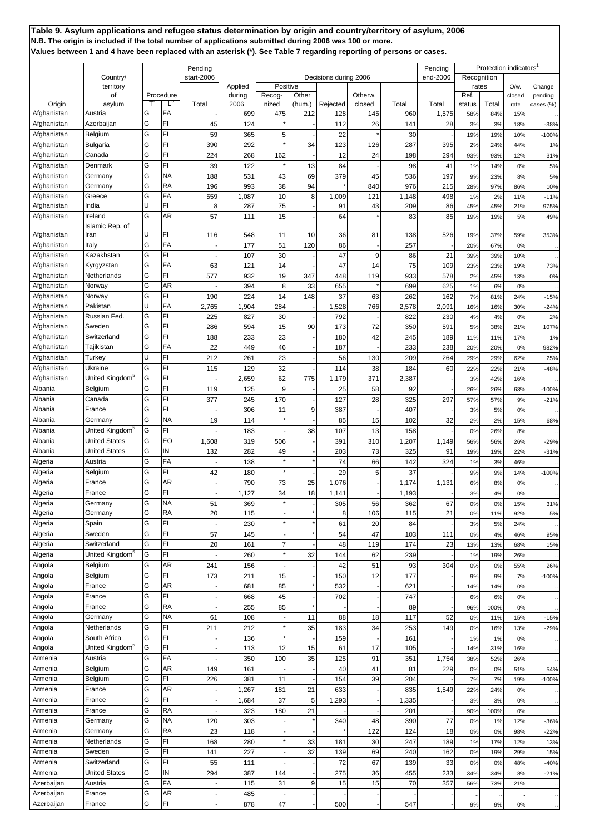|             |                             |   |           | Pending    |                   |          |        |                       |         |            | Pending  |               | Protection indicators |                   |                   |
|-------------|-----------------------------|---|-----------|------------|-------------------|----------|--------|-----------------------|---------|------------|----------|---------------|-----------------------|-------------------|-------------------|
|             | Country/                    |   |           | start-2006 |                   | Positive |        | Decisions during 2006 |         |            | end-2006 | Recognition   |                       |                   |                   |
|             | territory<br>οf             |   | Procedure |            | Applied<br>during | Recog-   | Other  |                       | Otherw. |            |          | rates<br>Ref. |                       | $O/w$ .<br>closed | Change<br>pending |
| Origin      | asylum                      |   | L,        | Total      | 2006              | nized    | (hum.) | Rejected              | closed  | Total      | Total    | status        | Total                 | rate              | cases (%)         |
| Afghanistan | Austria                     | G | FA        |            | 699               | 475      | 212    | 128                   | 145     | <b>960</b> | 1,575    | 58%           | 84%                   | 15%               |                   |
| Afghanistan | Azerbaijan                  | G | FI        | 45         | 124               |          |        | 112                   | 26      | 141        | 28       | 3%            | 3%                    | 18%               | $-38%$            |
| Afghanistan | Belgium                     | G | FI        | 59         | 365               | 5        |        | 22                    |         | 30         |          | 19%           | 19%                   | 10%               | $-100%$           |
| Afghanistan | <b>Bulgaria</b>             | G | FI        | 390        | 292               |          | 34     | 123                   | 126     | 287        | 395      | 2%            | 24%                   | 44%               | 1%                |
| Afghanistan | Canada                      | G | FI        | 224        | 268               | 162      |        | 12                    | 24      | 198        | 294      | 93%           | 93%                   | 12%               | 31%               |
| Afghanistan | Denmark                     | G | FI        | 39         | 122               |          | 13     | 84                    |         | 98         | 41       | 1%            | 14%                   | 0%                | 5%                |
| Afghanistan | Germany                     | G | NA        | 188        | 531               | 43       | 69     | 379                   | 45      | 536        | 197      | 9%            | 23%                   | 8%                | 5%                |
| Afghanistan | Germany                     | G | RA        | 196        | 993               | 38       | 94     |                       | 840     | 976        | 215      | 28%           | 97%                   | 86%               | 10%               |
| Afghanistan | Greece                      | G | FA        | 559        | 1,087             | 10       | 8      | 1,009                 | 121     | 1,148      | 498      | 1%            | 2%                    | 11%               | $-11%$            |
| Afghanistan | India                       | U | FI        | 8          | 287               | 75       |        | 91                    | 43      | 209        | 86       | 45%           | 45%                   | 21%               | 975%              |
| Afghanistan | Ireland                     | G | AR        | 57         | 111               | 15       |        | 64                    |         | 83         | 85       | 19%           | 19%                   | 5%                | 49%               |
|             | Islamic Rep. of             |   |           |            |                   |          |        |                       |         |            |          |               |                       |                   |                   |
| Afghanistan | Iran                        | U | FI        | 116        | 548               | 11       | 10     | 36                    | 81      | 138        | 526      | 19%           | 37%                   | 59%               | 353%              |
| Afghanistan | Italy                       | G | FA        |            | 177               | 51       | 120    | 86                    |         | 257        |          | 20%           | 67%                   | 0%                |                   |
| Afghanistan | Kazakhstan                  | G | FI        |            | 107               | 30       |        | 47                    | 9       | 86         | 21       | 39%           | 39%                   | 10%               |                   |
| Afghanistan | Kyrgyzstan                  | G | FA        | 63         | 121               | 14       |        | 47                    | 14      | 75         | 109      | 23%           | 23%                   | 19%               | 73%               |
| Afghanistan | Netherlands                 | G | FI        | 577        | 932               | 19       | 347    | 448                   | 119     | 933        | 578      | 2%            | 45%                   | 13%               | 0%                |
| Afghanistan | Norway                      | G | AR        |            | 394               | 8        | 33     | 655                   |         | 699        | 625      | 1%            | 6%                    | 0%                |                   |
| Afghanistan | Norway                      | G | FI        | 190        | 224               | 14       | 148    | 37                    | 63      | 262        | 162      | 7%            | 81%                   | 24%               | $-15%$            |
| Afghanistan | Pakistan                    | U | FA        | 2,765      | 1,904             | 284      |        | 1,528                 | 766     | 2,578      | 2,091    | 16%           | 16%                   | 30%               | $-24%$            |
| Afghanistan | Russian Fed.                | G | FI        | 225        | 827               | 30       |        | 792                   |         | 822        | 230      | 4%            | 4%                    | 0%                | 2%                |
| Afghanistan | Sweden                      | G | FI        | 286        | 594               | 15       | 90     | 173                   | 72      | 350        | 591      | 5%            | 38%                   | 21%               | 107%              |
| Afghanistan | Switzerland                 | G | FI        | 188        | 233               | 23       |        | 180                   | 42      | 245        | 189      | 11%           | 11%                   | 17%               | 1%                |
| Afghanistan | Tajikistan                  | G | FA        | 22         | 449               | 46       |        | 187                   |         | 233        | 238      | 20%           | 20%                   | 0%                | 982%              |
| Afghanistan | Turkey                      | Ù | FI        | 212        | 261               | 23       |        | 56                    |         | 209        | 264      |               |                       |                   |                   |
|             | Ukraine                     | G | FI        |            |                   |          |        |                       | 130     |            |          | 29%           | 29%                   | 62%               | 25%               |
| Afghanistan |                             |   |           | 115        | 129               | 32       |        | 114                   | 38      | 184        | 60       | 22%           | 22%                   | 21%               | $-48%$            |
| Afghanistan | United Kingdom <sup>3</sup> | G | FI        |            | 2,659             | 62       | 775    | 1,179                 | 371     | 2,387      |          | 3%            | 42%                   | 16%               |                   |
| Albania     | Belgium                     | G | FI        | 119        | 125               | 9        |        | 25                    | 58      | 92         |          | 26%           | 26%                   | 63%               | $-100%$           |
| Albania     | Canada                      | G | FI        | 377        | 245               | 170      |        | 127                   | 28      | 325        | 297      | 57%           | 57%                   | 9%                | $-21%$            |
| Albania     | France                      | G | FI        |            | 306               | 11       | 9      | 387                   |         | 407        |          | 3%            | 5%                    | 0%                |                   |
| Albania     | Germany                     | G | NA        | 19         | 114               |          |        | 85                    | 15      | 102        | 32       | 2%            | 2%                    | 15%               | 68%               |
| Albania     | United Kingdom <sup>5</sup> | G | FI        |            | 183               |          | 38     | 107                   | 13      | 158        |          | 0%            | 26%                   | 8%                |                   |
| Albania     | <b>United States</b>        | G | EO        | 1,608      | 319               | 506      |        | 391                   | 310     | 1,207      | 1,149    | 56%           | 56%                   | 26%               | $-29%$            |
| Albania     | <b>United States</b>        | G | ΙN        | 132        | 282               | 49       |        | 203                   | 73      | 325        | 91       | 19%           | 19%                   | 22%               | $-31%$            |
| Algeria     | Austria                     | G | FA        |            | 138               |          |        | 74                    | 66      | 142        | 324      | 1%            | 3%                    | 46%               |                   |
| Algeria     | Belgium                     | G | FI        | 42         | 180               |          |        | 29                    | 5       | 37         |          | 9%            | 9%                    | 14%               | $-100%$           |
| Algeria     | France                      | G | AR        |            | 790               | 73       | 25     | 1,076                 |         | 1,174      | 1,131    | 6%            | 8%                    | 0%                |                   |
| Algeria     | France                      | G | FI        |            | 1,127             | 34       | 18     | 1,141                 |         | 1,193      |          | 3%            | 4%                    | 0%                |                   |
| Algeria     | Germany                     | G | NA,       | 51         | 369               |          |        | 305                   | 56      | 362        | 67       | 0%            | 0%                    | 15%               | 31%               |
| Algeria     | Germany                     | G | RA        | 20         | 115               |          |        | 8                     | 106     | 115        | 21       | 0%            | 11%                   | 92%               | 5%                |
| Algeria     | Spain                       | G | FI        |            | 230               |          |        | 61                    | 20      | 84         |          | 3%            | 5%                    | 24%               |                   |
| Algeria     | Sweden                      | G | FI        | 57         | 145               |          |        | 54                    | 47      | 103        | 111      | 0%            | 4%                    | 46%               | 95%               |
| Algeria     | Switzerland                 | G | FI        | 20         | 161               | 7        |        | 48                    | 119     | 174        | 23       | 13%           | 13%                   | 68%               | 15%               |
| Algeria     | United Kingdom <sup>5</sup> | G | FI        |            | 260               |          | 32     | 144                   | 62      | 239        |          | 1%            | 19%                   | 26%               |                   |
| Angola      | Belgium                     | G | AR        | 241        | 156               |          |        | 42                    | 51      | 93         | 304      | 0%            | 0%                    | 55%               | 26%               |
| Angola      | Belgium                     | G | FI        | 173        | 211               | 15       |        | 150                   | 12      | 177        |          | 9%            | 9%                    | 7%                | $-100%$           |
| Angola      | France                      | G | AR        |            | 681               | 85       |        | 532                   |         | 621        |          | 14%           | 14%                   | 0%                |                   |
| Angola      | France                      | G | FI        |            | 668               | 45       |        | 702                   |         | 747        |          | 6%            | 6%                    | 0%                |                   |
| Angola      | France                      | G | RA        |            | 255               | 85       |        |                       |         | 89         |          | 96%           | 100%                  | 0%                |                   |
| Angola      | Germany                     | G | ΝA        | 61         | 108               |          | 11     | 88                    | 18      | 117        | 52       | 0%            | 11%                   | 15%               | $-15%$            |
| Angola      | Netherlands                 | G | FI        | 211        | 212               |          | 35     | 183                   | 34      | 253        | 149      | 0%            | 16%                   | 13%               | $-29%$            |
| Angola      | South Africa                | G | FI        |            | 136               |          |        | 159                   |         | 161        |          | 1%            | 1%                    | 0%                |                   |
| Angola      | United Kingdom <sup>5</sup> | G | FI        |            | 113               | 12       | 15     | 61                    | 17      | 105        |          | 14%           | 31%                   | 16%               |                   |
| Armenia     | Austria                     | G | FA        |            | 350               | 100      | 35     | 125                   | 91      | 351        | 1,754    | 38%           | 52%                   | 26%               |                   |
|             | Belgium                     | G | AR        |            |                   |          |        |                       | 41      | 81         | 229      |               |                       |                   |                   |
| Armenia     |                             | G | FI        | 149        | 161               |          |        | 40                    |         |            |          | 0%            | 0%                    | 51%               | 54%               |
| Armenia     | Belgium                     |   |           | 226        | 381               | 11       |        | 154                   | 39      | 204        |          | 7%            | 7%                    | 19%               | $-100%$           |
| Armenia     | France                      | G | AR        |            | 1,267             | 181      | 21     | 633                   |         | 835        | 1,549    | 22%           | 24%                   | 0%                |                   |
| Armenia     | France                      | G | FI        |            | 1,684             | 37       | 5      | 1,293                 |         | 1,335      |          | 3%            | 3%                    | 0%                |                   |
| Armenia     | France                      | G | RA        |            | 323               | 180      | 21     |                       |         | 201        |          | 90%           | 100%                  | 0%                |                   |
| Armenia     | Germany                     | G | ΝA        | 120        | 303               |          |        | 340                   | 48      | 390        | 77       | 0%            | 1%                    | 12%               | $-36%$            |
| Armenia     | Germany                     | G | RA        | 23         | 118               |          |        |                       | 122     | 124        | 18       | 0%            | 0%                    | 98%               | $-22%$            |
| Armenia     | Netherlands                 | G | FI        | 168        | 280               |          | 33     | 181                   | 30      | 247        | 189      | 1%            | 17%                   | 12%               | 13%               |
| Armenia     | Sweden                      | G | FI        | 141        | 227               |          | 32     | 139                   | 69      | 240        | 162      | 0%            | 19%                   | 29%               | 15%               |
| Armenia     | Switzerland                 | G | FI        | 55         | 111               |          |        | 72                    | 67      | 139        | 33       | 0%            | 0%                    | 48%               | $-40%$            |
| Armenia     | <b>United States</b>        | G | IN        | 294        | 387               | 144      |        | 275                   | 36      | 455        | 233      | 34%           | 34%                   | 8%                | $-21%$            |
| Azerbaijan  | Austria                     | G | FA        |            | 115               | 31       | 9      | 15                    | 15      | 70         | 357      | 56%           | 73%                   | 21%               |                   |
| Azerbaijan  | France                      | G | AR        |            | 485               |          |        |                       |         |            |          |               |                       |                   |                   |
| Azerbaijan  | France                      | G | FI        |            | 878               | 47       |        | 500                   |         | 547        |          | 9%            | 9%                    | 0%                |                   |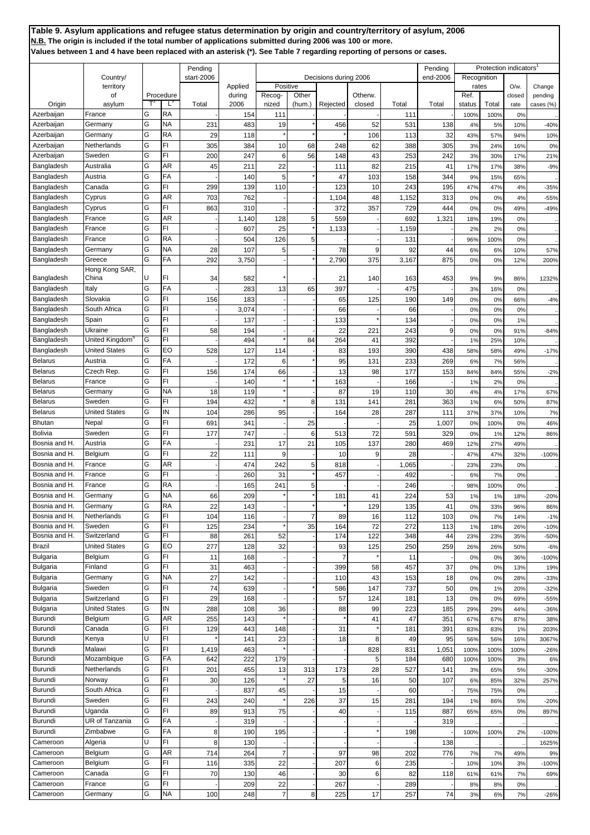|                                    |                                        |        |                | Pending    |                        |                      |                 |                       |                   |             | Pending      |                | Protection indicators |                |                      |
|------------------------------------|----------------------------------------|--------|----------------|------------|------------------------|----------------------|-----------------|-----------------------|-------------------|-------------|--------------|----------------|-----------------------|----------------|----------------------|
|                                    | Country/                               |        |                | start-2006 |                        |                      |                 | Decisions during 2006 |                   |             | end-2006     | Recognition    |                       |                |                      |
|                                    | territory                              |        |                |            | Applied                | Positive             |                 |                       |                   |             |              | rates          |                       | O/w            | Change               |
| Origin                             | οf<br>asylum                           |        | Procedure<br>Ľ | Total      | during<br>2006         | Recog-<br>nized      | Other<br>(hum.) | Rejected              | Otherw.<br>closed | Total       | Total        | Ref.<br>status | Total                 | closed<br>rate | pending<br>cases (%) |
| Azerbaijan                         | France                                 | G      | RA             |            | 154                    | 111                  |                 |                       |                   | 111         |              | 100%           | 100%                  | 0%             |                      |
| Azerbaijan                         | Germany                                | G      | ΝA             | 231        | 483                    | 19                   |                 | 456                   | 52                | 531         | 138          | 4%             | 5%                    | 10%            | $-40%$               |
| Azerbaijan                         | Germany                                | G      | RA             | 29         | 118                    |                      |                 |                       | 106               | 113         | 32           | 43%            | 57%                   | 94%            | 10%                  |
| Azerbaijan                         | Netherlands                            | G      | FI             | 305        | 384                    | 10                   | 68              | 248                   | 62                | 388         | 305          | 3%             | 24%                   | 16%            | 0%                   |
| Azerbaijan                         | Sweden<br>Australia                    | G<br>G | FI<br>AR       | 200        | 247                    | 6                    | 56              | 148                   | 43                | 253         | 242          | 3%             | 30%                   | 17%            | 21%                  |
| Bangladesh<br>Bangladesh           | Austria                                | G      | FA             | 45         | 211<br>140             | 22<br>5              |                 | 111<br>47             | 82<br>103         | 215<br>158  | 41<br>344    | 17%<br>9%      | 17%<br>15%            | 38%<br>65%     | $-9%$                |
| Bangladesh                         | Canada                                 | G      | FI             | 299        | 139                    | 110                  |                 | 123                   | 10                | 243         | 195          | 47%            | 47%                   | 4%             | $-35%$               |
| Bangladesh                         | Cyprus                                 | G      | AR             | 703        | 762                    |                      |                 | 1,104                 | 48                | 1,152       | 313          | 0%             | 0%                    | 4%             | $-55%$               |
| Bangladesh                         | Cyprus                                 | G      | FI.            | 863        | 310                    |                      |                 | 372                   | 357               | 729         | 444          | 0%             | 0%                    | 49%            | $-49%$               |
| Bangladesh                         | France                                 | G      | AR             |            | 1,140                  | 128                  | 5               | 559                   |                   | 692         | 1,321        | 18%            | 19%                   | 0%             |                      |
| Bangladesh                         | France                                 | G      | FI             |            | 607                    | 25                   |                 | 1,133                 |                   | 1,159       |              | 2%             | 2%                    | 0%             |                      |
| Bangladesh                         | France                                 | G      | <b>RA</b>      |            | 504                    | 126                  | 5               |                       |                   | 131         |              | 96%            | 100%                  | 0%             |                      |
| Bangladesh<br>Bangladesh           | Germany<br>Greece                      | G<br>G | NA<br>FA       | 28<br>292  | 107                    | 5                    |                 | 78<br>2,790           | 9<br>375          | 92<br>3,167 | 44<br>875    | 6%             | 6%                    | 10%            | 57%                  |
|                                    | Hong Kong SAR,                         |        |                |            | 3,750                  |                      |                 |                       |                   |             |              | 0%             | 0%                    | 12%            | 200%                 |
| Bangladesh                         | China                                  | U      | FI             | 34         | 582                    |                      |                 | 21                    | 140               | 163         | 453          | 9%             | 9%                    | 86%            | 1232%                |
| Bangladesh                         | Italy                                  | G      | FA             |            | 283                    | 13                   | 65              | 397                   |                   | 475         |              | 3%             | 16%                   | 0%             |                      |
| Bangladesh                         | Slovakia                               | G      | FI             | 156        | 183                    |                      |                 | 65                    | 125               | 190         | 149          | 0%             | 0%                    | 66%            | $-4%$                |
| Bangladesh                         | South Africa                           | G      | FI             |            | 3,074                  |                      |                 | 66                    |                   | 66          |              | 0%             | 0%                    | 0%             |                      |
| Bangladesh                         | Spain                                  | G      | FI<br>FI       |            | 137                    |                      |                 | 133                   |                   | 134         |              | 0%             | 0%                    | 1%             |                      |
| Bangladesh<br>Bangladesh           | Ukraine<br>United Kingdom <sup>5</sup> | G<br>G | FI             | 58         | 194<br>494             |                      | 84              | 22<br>264             | 221<br>41         | 243<br>392  | 9            | 0%<br>1%       | 0%<br>25%             | 91%<br>10%     | $-84%$               |
| Bangladesh                         | <b>United States</b>                   | G      | EO             | 528        | 127                    | 114                  |                 | 83                    | 193               | 390         | 438          | 58%            | 58%                   | 49%            | $-17%$               |
| <b>Belarus</b>                     | Austria                                | G      | FA             |            | 172                    | 6                    |                 | 95                    | 131               | 233         | 269          | 6%             | 7%                    | 56%            |                      |
| <b>Belarus</b>                     | Czech Rep.                             | G      | FI             | 156        | 174                    | 66                   |                 | 13                    | 98                | 177         | 153          | 84%            | 84%                   | 55%            | $-2%$                |
| <b>Belarus</b>                     | France                                 | G      | FI             |            | 140                    |                      |                 | 163                   |                   | 166         |              | 1%             | 2%                    | 0%             |                      |
| <b>Belarus</b>                     | Germany                                | G      | NA             | 18         | 119                    |                      |                 | 87                    | 19                | 110         | 30           | 4%             | 4%                    | 17%            | 67%                  |
| <b>Belarus</b>                     | Sweden                                 | G      | FI             | 194        | 432                    |                      | 8               | 131                   | 141               | 281         | 363          | 1%             | 6%                    | 50%            | 87%                  |
| <b>Belarus</b><br><b>Bhutan</b>    | <b>United States</b><br>Nepal          | G<br>G | IN<br>FI       | 104<br>691 | 286<br>34 <sup>′</sup> | 95                   | 25              | 164                   | 28                | 287<br>25   | 111<br>1,007 | 37%<br>0%      | 37%<br>100%           | 10%<br>0%      | 7%<br>46%            |
| Bolivia                            | Sweden                                 | G      | FI             | 177        | 747                    |                      | 6               | 513                   | 72                | 591         | 329          | 0%             | 1%                    | 12%            | 86%                  |
| Bosnia and H.                      | Austria                                | G      | FA             |            | 231                    | 17                   | 21              | 105                   | 137               | 280         | 469          | 12%            | 27%                   | 49%            |                      |
| Bosnia and H.                      | Belgium                                | G      | FI             | 22         | 111                    | 9                    |                 | 10                    | 9                 | 28          |              | 47%            | 47%                   | 32%            | $-100%$              |
| Bosnia and H.                      | France                                 | G      | AR             |            | 474                    | 242                  | 5               | 818                   |                   | 1,065       |              | 23%            | 23%                   | 0%             |                      |
| Bosnia and H.                      | France                                 | G      | FI             |            | 260                    | 31                   |                 | 457                   |                   | 492         |              | 6%             | 7%                    | 0%             |                      |
| Bosnia and H.                      | France                                 | G      | RA             |            | 165                    | 241                  | 5               |                       |                   | 246         |              | 98%            | 100%                  | 0%             |                      |
| Bosnia and H.                      | Germany                                | Ġ      | NA             | 66         | 209                    |                      |                 | 181                   | 41                | 224         | 53           | 1%             | 1%                    | 18%            | $-20%$               |
| Bosnia and H.<br>Bosnia and H.     | Germany<br>Netherlands                 | G<br>G | RA<br>FI       | 22<br>104  | 143<br>116             |                      | $\overline{7}$  | 89                    | 129<br>16         | 135<br>112  | 41<br>103    | 0%             | 33%                   | 96%            | 86%                  |
| Bosnia and H.                      | Sweden                                 | G      | FI             | 125        | 234                    |                      | 35              | 164                   | 72                | 272         | 113          | 0%<br>1%       | 7%<br>18%             | 14%<br>26%     | $-1%$<br>$-10%$      |
| Bosnia and H.                      | Switzerland                            | G      | FI             | 88         | 261                    | 52                   |                 | 174                   | 122               | 348         | 44           | 23%            | 23%                   | 35%            | $-50%$               |
| <b>Brazil</b>                      | <b>United States</b>                   | G      | EO             | 277        | 128                    | 32                   |                 | 93                    | 125               | 250         | 259          | 26%            | 26%                   | 50%            | $-6%$                |
| <b>Bulgaria</b>                    | Belgium                                | G      | FI             | 11         | 168                    |                      |                 | 7                     |                   | 11          |              | 0%             | 0%                    | 36%            | $-100%$              |
| <b>Bulgaria</b>                    | Finland                                | G      | FI             | 31         | 463                    |                      |                 | 399                   | 58                | 457         | 37           | 0%             | 0%                    | 13%            | 19%                  |
| <b>Bulgaria</b>                    | Germany                                | G      | <b>NA</b>      | 27         | 142                    |                      |                 | 110                   | 43                | 153         | 18           | 0%             | 0%                    | 28%            | $-33%$               |
| <b>Bulgaria</b><br><b>Bulgaria</b> | Sweden<br>Switzerland                  | G<br>G | FI<br>FI       | 74<br>29   | 639<br>168             |                      |                 | 586<br>57             | 147<br>124        | 737<br>181  | 50<br>13     | 0%<br>0%       | 1%<br>0%              | 20%<br>69%     | $-32%$               |
| <b>Bulgaria</b>                    | <b>United States</b>                   | G      | IN             | 288        | 108                    | 36                   |                 | 88                    | 99                | 223         | 185          | 29%            | 29%                   | 44%            | $-55%$<br>$-36%$     |
| Burundi                            | Belgium                                | G      | AR             | 255        | 143                    |                      |                 |                       | 41                | 47          | 351          | 67%            | 67%                   | 87%            | 38%                  |
| Burundi                            | Canada                                 | G      | FI             | 129        | 443                    | 148                  |                 | 31                    |                   | 181         | 391          | 83%            | 83%                   | 1%             | 203%                 |
| Burundi                            | Kenya                                  | U      | FI             |            | 141                    | 23                   |                 | 18                    | 8                 | 49          | 95           | 56%            | 56%                   | 16%            | 3067%                |
| Burundi                            | Malawi                                 | G      | FI             | 1,419      | 463                    |                      |                 |                       | 828               | 831         | 1,051        | 100%           | 100%                  | 100%           | $-26%$               |
| Burundi<br>Burundi                 | Mozambique<br>Netherlands              | G<br>G | FA<br>FI       | 642<br>201 | 222<br>455             | 179<br>13            | 313             | 173                   | 5<br>28           | 184<br>527  | 680<br>141   | 100%<br>3%     | 100%<br>65%           | 3%<br>5%       | 6%<br>$-30%$         |
| Burundi                            | Norway                                 | G      | FI.            | 30         | 126                    |                      | 27              | 5                     | 16                | 50          | 107          | 6%             | 85%                   | 32%            | 257%                 |
| Burundi                            | South Africa                           | G      | FI             |            | 837                    | 45                   |                 | 15                    |                   | 60          |              | 75%            | 75%                   | 0%             |                      |
| Burundi                            | Sweden                                 | G      | FI             | 243        | 240                    |                      | 226             | 37                    | 15                | 281         | 194          | 1%             | 86%                   | 5%             | $-20%$               |
| Burundi                            | Uganda                                 | G      | FI             | 89         | 913                    | 75                   |                 | 40                    |                   | 115         | 887          | 65%            | 65%                   | 0%             | 897%                 |
| Burundi                            | UR of Tanzania                         | G      | FA             |            | 319                    |                      |                 |                       |                   |             | 319          |                |                       |                |                      |
| Burundi                            | Zimbabwe                               | G      | FA             | 8          | 190                    | 195                  |                 |                       |                   | 198         |              | 100%           | 100%                  | 2%             | $-100%$              |
| Cameroon                           | Algeria                                | U      | FI             | 8          | 130                    |                      |                 |                       |                   |             | 138          |                |                       |                | 1625%                |
| Cameroon<br>Cameroon               | Belgium<br>Belgium                     | G<br>G | AR<br>FI       | 714        | 264<br>335             | $\overline{7}$<br>22 |                 | 97<br>207             | 98                | 202         | 776          | 7%<br>10%      | 7%                    | 49%            | 9%                   |
| Cameroon                           | Canada                                 | G      | FI             | 116<br>70  | 130                    | 46                   |                 | 30                    | 6<br>6            | 235<br>82   | 118          | 61%            | 10%<br>61%            | 3%<br>7%       | $-100%$<br>69%       |
| Cameroon                           | France                                 | G      | FI             |            | 209                    | 22                   |                 | 267                   |                   | 289         |              | 8%             | 8%                    | 0%             |                      |
| Cameroon                           | Germany                                | G      | <b>NA</b>      | 100        | 248                    | $\overline{7}$       | 8               | 225                   | 17                | 257         | 74           | 3%             | 6%                    | 7%             | $-26%$               |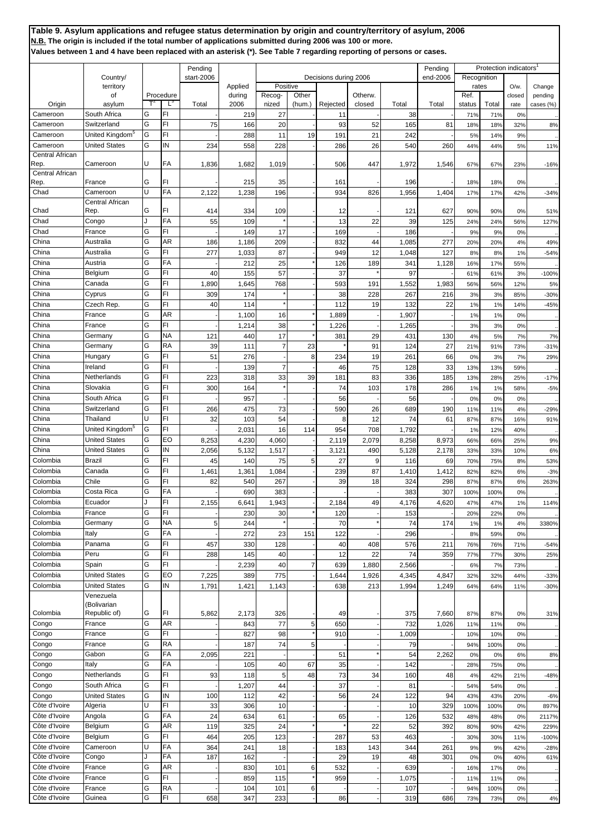|                         |                                                     |         |                | Pending        |                |                 |                 |                       |                   |                       | Pending        |                | Protection indicators |                |                      |
|-------------------------|-----------------------------------------------------|---------|----------------|----------------|----------------|-----------------|-----------------|-----------------------|-------------------|-----------------------|----------------|----------------|-----------------------|----------------|----------------------|
|                         | Country/                                            |         |                | start-2006     |                |                 |                 | Decisions during 2006 |                   |                       | end-2006       | Recognition    |                       |                |                      |
|                         | territory                                           |         |                |                | Applied        | Positive        |                 |                       |                   |                       |                | rates          |                       | $O/w$ .        | Change               |
| Origin                  | of<br>asylum                                        |         | Procedure<br>Ľ | Total          | during<br>2006 | Recog-<br>nized | Other<br>(hum.) | Rejected              | Otherw.<br>closed | Total                 | Total          | Ref.<br>status | Total                 | closed<br>rate | pending<br>cases (%) |
| Cameroon                | South Africa                                        | G       | FI             |                | 219            | 27              |                 | 11                    |                   | 38                    |                | 71%            | 71%                   | 0%             |                      |
| Cameroon                | Switzerland                                         | G       | FI.            | 75             | 166            | 20              |                 | 93                    | 52                | 165                   | 81             | 18%            | 18%                   | 32%            | 8%                   |
| Cameroon                | United Kingdom <sup>5</sup>                         | G       | FI             |                | 288            | 11              | 19              | 191                   | 21                | 242                   |                | 5%             | 14%                   | 9%             |                      |
| Cameroon                | <b>United States</b>                                | G       | ΙN             | 234            | 558            | 228             |                 | 286                   | 26                | 540                   | 260            | 44%            | 44%                   | 5%             | 11%                  |
| Central African         |                                                     |         |                |                |                |                 |                 |                       |                   |                       |                |                |                       |                |                      |
| Rep.                    | Cameroon                                            | U       | FA             | 1,836          | 1,682          | 1,019           |                 | 506                   | 447               | 1,972                 | 1,546          | 67%            | 67%                   | 23%            | $-16%$               |
| Central African<br>Rep. | France                                              | G       | FI             |                | 215            | 35              |                 | 161                   |                   | 196                   |                | 18%            | 18%                   | 0%             |                      |
| Chad                    | Cameroon                                            | U       | FA             | 2,122          | 1,238          | 196             |                 | 934                   | 826               | 1,956                 | 1,404          | 17%            | 17%                   | 42%            | $-34%$               |
|                         | Central African                                     |         |                |                |                |                 |                 |                       |                   |                       |                |                |                       |                |                      |
| Chad                    | Rep.                                                | G       | FI             | 414            | 334            | 109             |                 | 12                    |                   | 121                   | 627            | 90%            | 90%                   | 0%             | 51%                  |
| Chad                    | Congo                                               | $\cdot$ | FA             | 55             | 109            |                 |                 | 13                    | 22                | 39                    | 125            | 24%            | 24%                   | 56%            | 127%                 |
| Chad                    | France                                              | G       | FI             |                | 149            | 17              |                 | 169                   |                   | 186                   |                | 9%             | 9%                    | 0%             |                      |
| China                   | Australia                                           | G       | AR             | 186            | 1,186          | 209             |                 | 832                   | 44                | 1,085                 | 277            | 20%            | 20%                   | 4%             | 49%                  |
| China                   | Australia                                           | G<br>G  | FI.<br>FA      | 277            | 1,033          | 87              |                 | 949                   | 12                | 1,048                 | 127            | 8%             | 8%                    | 1%             | $-54%$               |
| China<br>China          | Austria<br>Belgium                                  | G       | FI             | 40             | 212<br>155     | 25<br>57        |                 | 126<br>37             | 189               | 34 <sup>′</sup><br>97 | 1,128          | 16%<br>61%     | 17%<br>61%            | 55%<br>3%      | $-100%$              |
| China                   | Canada                                              | G       | FI             | 1,890          | 1,645          | 768             |                 | 593                   | 191               | 1,552                 | 1,983          | 56%            | 56%                   | 12%            | 5%                   |
| China                   | Cyprus                                              | G       | FI.            | 309            | 174            |                 |                 | 38                    | 228               | 267                   | 216            | 3%             | 3%                    | 85%            | $-30%$               |
| China                   | Czech Rep.                                          | G       | FI             | 40             | 114            |                 |                 | 112                   | 19                | 132                   | 22             | 1%             | 1%                    | 14%            | $-45%$               |
| China                   | France                                              | G       | AR             |                | 1,100          | 16              |                 | 1,889                 |                   | 1,907                 |                | 1%             | 1%                    | 0%             |                      |
| China                   | France                                              | G       | FI             |                | 1,214          | 38              |                 | 1,226                 |                   | 1,265                 |                | 3%             | 3%                    | 0%             |                      |
| China                   | Germany                                             | G       | NΑ             | 121            | 440            | 17              |                 | 381                   | 29                | 431                   | 130            | 4%             | 5%                    | 7%             | 7%                   |
| China                   | Germany                                             | G       | RA             | 39             | 111            | $\overline{7}$  | 23              |                       | 91                | 124                   | 27             | 21%            | 91%                   | 73%            | $-31%$               |
| China                   | Hungary                                             | G       | FI.            | 51             | 276            |                 | 8               | 234                   | 19                | 261                   | 66             | 0%             | 3%                    | 7%             | 29%                  |
| China                   | Ireland                                             | G       | FI             |                | 139            | $\overline{7}$  |                 | 46                    | 75                | 128                   | 33             | 13%            | 13%                   | 59%            |                      |
| China                   | Netherlands                                         | G       | FI.            | 223            | 318            | 33              | 39              | 181                   | 83                | 336                   | 185            | 13%            | 28%                   | 25%            | $-17%$               |
| China                   | Slovakia                                            | G       | FI             | 300            | 164            |                 |                 | 74                    | 103               | 178                   | 286            | 1%             | 1%                    | 58%            | $-5%$                |
| China                   | South Africa                                        | G       | FI             |                | 957            |                 |                 | 56                    |                   | 56                    |                | 0%             | 0%                    | 0%             |                      |
| China                   | Switzerland                                         | G       | FI             | 266            | 475            | 73              |                 | 590                   | 26                | 689                   | 190            | 11%            | 11%                   | 4%             | $-29%$               |
| China                   | Thailand                                            | U       | FI.            | 32             | 103            | 54              |                 | 8                     | 12                | 74                    | 61             | 87%            | 87%                   | 16%            | 91%                  |
| China<br>China          | United Kingdom <sup>5</sup><br><b>United States</b> | G<br>G  | FI<br>EO       |                | 2,031          | 16              | 114             | 954                   | 708               | 1,792                 |                | 1%             | 12%                   | 40%            |                      |
| China                   | <b>United States</b>                                | G       | ΙN             | 8,253<br>2,056 | 4,230<br>5,132 | 4,060<br>1,517  |                 | 2,119<br>3,121        | 2,079<br>490      | 8,258<br>5,128        | 8,973<br>2,178 | 66%<br>33%     | 66%<br>33%            | 25%<br>10%     | 9%<br>6%             |
| Colombia                | Brazil                                              | G       | FI.            | 45             | 140            | 75              | 5               | 27                    | 9                 | 116                   | 69             | 70%            | 75%                   | 8%             | 53%                  |
| Colombia                | Canada                                              | G       | FI             | 1,461          | 1,361          | 1,084           |                 | 239                   | 87                | 1,410                 | 1,412          | 82%            | 82%                   | 6%             | $-3%$                |
| Colombia                | Chile                                               | G       | FI             | 82             | 540            | 267             |                 | 39                    | 18                | 324                   | 298            | 87%            | 87%                   | 6%             | 263%                 |
| Colombia                | Costa Rica                                          | G       | FA             |                | 690            | 383             |                 |                       |                   | 383                   | 307            | 100%           | 100%                  | 0%             |                      |
| Colombia                | Ecuador                                             |         | FI.            | 2,155          | 6,641          | 1.943           |                 | 2,184                 | 49                | 4,176                 | 4.620          | 47%            | 47%                   | 1%             | 114%                 |
| Colombia                | France                                              | G       | FI             |                | 230            | 30              |                 | 120                   |                   | 153                   |                | 20%            | 22%                   | 0%             |                      |
| Colombia                | Germany                                             | G       | NΑ             | 5              | 244            |                 |                 | 70                    |                   | 74                    | 174            | 1%             | 1%                    | 4%             | 3380%                |
| Colombia                | Italy                                               | G       | FA             |                | 272            | 23              | 151             | 122                   |                   | 296                   |                | 8%             | 59%                   | 0%             |                      |
| Colombia                | Panama                                              | G       | FI             | 457            | 330            | 128             |                 | 40                    | 408               | 576                   | 211            | 76%            | 76%                   | 71%            | $-54%$               |
| Colombia                | Peru                                                | G       | FI             | 288            | 145            | 40              |                 | 12                    | 22                | 74                    | 359            | 77%            | 77%                   | 30%            | 25%                  |
| Colombia                | Spain                                               | G       | FI             |                | 2,239          | 40              |                 | 639                   | 1,880             | 2,566                 |                | 6%             | 7%                    | 73%            |                      |
| Colombia                | <b>United States</b>                                | G       | EO             | 7,225          | 389            | 775             |                 | 1,644                 | 1,926             | 4,345                 | 4,847          | 32%            | 32%                   | 44%            | $-33%$               |
| Colombia                | <b>United States</b>                                | G       | ΙN             | 1,791          | 1,421          | 1,143           |                 | 638                   | 213               | 1,994                 | 1,249          | 64%            | 64%                   | 11%            | $-30%$               |
|                         | Venezuela<br>(Bolivarian                            |         |                |                |                |                 |                 |                       |                   |                       |                |                |                       |                |                      |
| Colombia                | Republic of)                                        | G       | FI             | 5,862          | 2,173          | 326             |                 | 49                    |                   | 375                   | 7,660          | 87%            | 87%                   | 0%             | 31%                  |
| Congo                   | France                                              | G       | AR             |                | 843            | 77              | 5               | 650                   |                   | 732                   | 1,026          | 11%            | 11%                   | 0%             |                      |
| Congo                   | France                                              | G       | FI             |                | 827            | 98              |                 | 910                   |                   | 1,009                 |                | 10%            | 10%                   | 0%             |                      |
| Congo                   | France                                              | G       | RA             |                | 187            | 74              | 5               |                       |                   | 79                    |                | 94%            | 100%                  | 0%             |                      |
| Congo                   | Gabon                                               | G       | FA             | 2,095          | 221            |                 |                 | 51                    |                   | 54                    | 2,262          | 0%             | 0%                    | 6%             | 8%                   |
| Congo                   | Italy                                               | G       | FA             |                | 105            | 40              | 67              | 35                    |                   | 142                   |                | 28%            | 75%                   | 0%             |                      |
| Congo                   | Netherlands                                         | G       | FI             | 93             | 118            | 5               | 48              | 73                    | 34                | 160                   | 48             | 4%             | 42%                   | 21%            | $-48%$               |
| Congo<br>Congo          | South Africa<br><b>United States</b>                | G<br>G  | FI<br>ΙN       | 100            | 1,207<br>112   | 44<br>42        |                 | 37<br>56              | 24                | 81<br>122             | 94             | 54%<br>43%     | 54%<br>43%            | 0%<br>20%      |                      |
| Côte d'Ivoire           | Algeria                                             | U       | FI             | 33             | 306            | 10              |                 |                       |                   | 10                    | 329            | 100%           | 100%                  | 0%             | $-6%$<br>897%        |
| Côte d'Ivoire           | Angola                                              | G       | FA             | 24             | 634            | 61              |                 | 65                    |                   | 126                   | 532            | 48%            | 48%                   | 0%             | 2117%                |
| Côte d'Ivoire           | Belgium                                             | G       | AR             | 119            | 325            | 24              |                 |                       | 22                | 52                    | 392            | 80%            | 90%                   | 42%            | 229%                 |
| Côte d'Ivoire           | Belgium                                             | G       | FI             | 464            | 205            | 123             |                 | 287                   | 53                | 463                   |                | 30%            | 30%                   | 11%            | $-100%$              |
| Côte d'Ivoire           | Cameroon                                            | U       | FA             | 364            | 241            | 18              |                 | 183                   | 143               | 344                   | 261            | 9%             | 9%                    | 42%            | $-28%$               |
| Côte d'Ivoire           | Congo                                               | J       | FA             | 187            | 162            |                 |                 | 29                    | 19                | 48                    | 301            | 0%             | 0%                    | 40%            | 61%                  |
| Côte d'Ivoire           | France                                              | G       | AR             |                | 830            | 101             | 6               | 532                   |                   | 639                   |                | 16%            | 17%                   | 0%             |                      |
| Côte d'Ivoire           | France                                              | G       | FI             |                | 859            | 115             |                 | 959                   |                   | 1,075                 |                | 11%            | 11%                   | 0%             |                      |
| Côte d'Ivoire           | France                                              | G       | RA             |                | 104            | 101             | 6               |                       |                   | 107                   |                | 94%            | 100%                  | 0%             |                      |
| Côte d'Ivoire           | Guinea                                              | G       | FI             | 658            | 347            | 233             |                 | 86                    |                   | 319                   | 686            | 73%            | 73%                   | 0%             | 4%                   |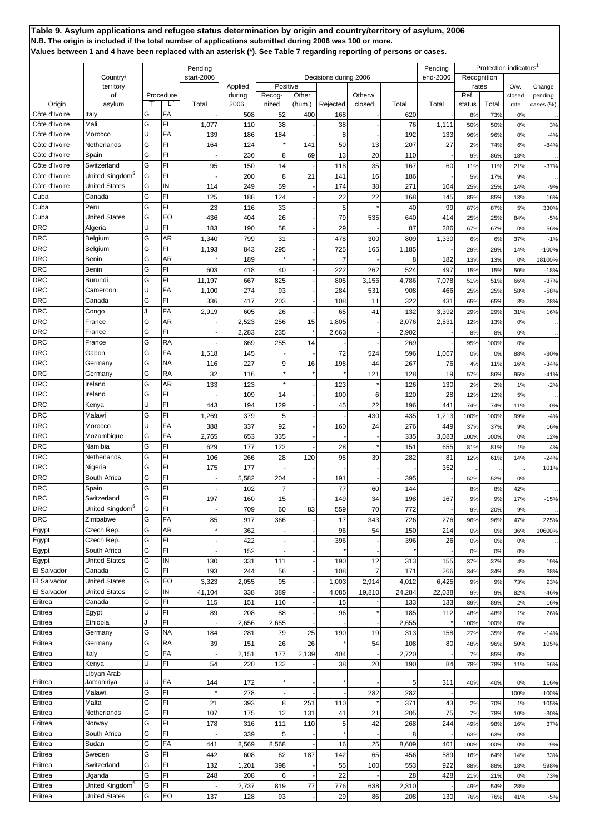|                                |                                            |        |                        | Pending         |                   |                    |          |                       |              |              | Pending      |               | Protection indicators |                   |                   |
|--------------------------------|--------------------------------------------|--------|------------------------|-----------------|-------------------|--------------------|----------|-----------------------|--------------|--------------|--------------|---------------|-----------------------|-------------------|-------------------|
|                                | Country/                                   |        |                        | start-2006      |                   |                    |          | Decisions during 2006 |              |              | end-2006     | Recognition   |                       |                   |                   |
|                                | territory<br>οf                            |        | Procedure              |                 | Applied<br>during | Positive<br>Recog- | Other    |                       | Otherw.      |              |              | rates<br>Ref. |                       | $O/w$ .<br>closed | Change<br>pending |
| Origin                         | asylum                                     |        | Ľ                      | Total           | 2006              | nized              | (hum.)   | Rejected              | closed       | Total        | Total        | status        | Total                 | rate              | cases (%)         |
| Côte d'Ivoire                  | Italy                                      | G      | FA                     |                 | 508               | 52                 | 400      | 168                   |              | 620          |              | 8%            | 73%                   | 0%                |                   |
| Côte d'Ivoire<br>Côte d'Ivoire | Mali<br>Morocco                            | G<br>U | FI<br>FA               | 1,077           | 110               | 38                 |          | 38                    |              | 76           | 1,111        | 50%           | 50%                   | 0%                | 3%                |
| Côte d'Ivoire                  | Netherlands                                | G      | FI                     | 139<br>164      | 186<br>124        | 184                | 141      | 8<br>50               | 13           | 192<br>207   | 133<br>27    | 96%<br>2%     | 96%<br>74%            | 0%<br>6%          | $-4%$<br>$-84%$   |
| Côte d'Ivoire                  | Spain                                      | G      | FI                     |                 | 236               | 8                  | 69       | 13                    | 20           | 110          |              | 9%            | 86%                   | 18%               |                   |
| Côte d'Ivoire                  | Switzerland                                | G      | FI                     | 95              | 150               | 14                 |          | 118                   | 35           | 167          | 60           | 11%           | 11%                   | 21%               | $-37%$            |
| Côte d'Ivoire                  | United Kingdom <sup>5</sup>                | G      | FI                     |                 | 200               | 8                  | 21       | 141                   | 16           | 186          |              | 5%            | 17%                   | 9%                |                   |
| Côte d'Ivoire                  | <b>United States</b>                       | G      | IN                     | 114             | 249               | 59                 |          | 174                   | 38           | 271          | 104          | 25%           | 25%                   | 14%               | $-9%$             |
| Cuba<br>Cuba                   | Canada<br>Peru                             | G<br>G | FI<br>FI               | 125<br>23       | 188               | 124<br>33          |          | 22<br>5               | 22           | 168          | 145<br>99    | 85%           | 85%                   | 13%               | 16%               |
| Cuba                           | <b>United States</b>                       | G      | EO                     | 436             | 116<br>404        | 26                 |          | 79                    | 535          | 40<br>640    | 414          | 87%<br>25%    | 87%<br>25%            | 5%<br>84%         | 330%<br>$-5%$     |
| <b>DRC</b>                     | Algeria                                    | U      | FI                     | 183             | 190               | 58                 |          | 29                    |              | 87           | 286          | 67%           | 67%                   | 0%                | 56%               |
| <b>DRC</b>                     | Belgium                                    | G      | AR                     | 1,340           | 799               | 31                 |          | 478                   | 300          | 809          | 1,330        | 6%            | 6%                    | 37%               | $-1%$             |
| <b>DRC</b>                     | Belgium                                    | G      | FI                     | 1,193           | 843               | 295                |          | 725                   | 165          | 1,185        |              | 29%           | 29%                   | 14%               | $-100%$           |
| <b>DRC</b>                     | Benin                                      | G      | AR                     |                 | 189               |                    |          | 7                     |              | 8            | 182          | 13%           | 13%                   | 0%                | 18100%            |
| <b>DRC</b><br><b>DRC</b>       | Benin<br>Burundi                           | G<br>G | FI<br>FI               | 603             | 418               | 40                 |          | 222                   | 262          | 524          | 497          | 15%           | 15%                   | 50%               | $-18%$            |
| <b>DRC</b>                     | Cameroon                                   | U      | FA                     | 11,197<br>1,100 | 667<br>274        | 825<br>93          |          | 805<br>284            | 3,156<br>531 | 4,786<br>908 | 7,078<br>466 | 51%<br>25%    | 51%<br>25%            | 66%<br>58%        | $-37%$<br>$-58%$  |
| <b>DRC</b>                     | Canada                                     | G      | FI                     | 336             | 417               | 203                |          | 108                   | 11           | 322          | 431          | 65%           | 65%                   | 3%                | 28%               |
| <b>DRC</b>                     | Congo                                      |        | FA                     | 2,919           | 605               | 26                 |          | 65                    | 41           | 132          | 3,392        | 29%           | 29%                   | 31%               | 16%               |
| <b>DRC</b>                     | France                                     | G      | AR                     |                 | 2,523             | 256                | 15       | 1,805                 |              | 2,076        | 2,531        | 12%           | 13%                   | 0%                |                   |
| <b>DRC</b>                     | France                                     | G      | FI.                    |                 | 2,283             | 235                |          | 2,663                 |              | 2,902        |              | 8%            | 8%                    | 0%                |                   |
| <b>DRC</b>                     | France                                     | G<br>G | RA                     |                 | 869               | 255                | 14       |                       |              | 269          |              | 95%           | 100%                  | 0%                |                   |
| <b>DRC</b><br><b>DRC</b>       | Gabon<br>Germany                           | G      | FA<br>NΑ               | 1,518<br>116    | 145<br>227        | 9                  | 16       | 72<br>198             | 524<br>44    | 596<br>267   | 1,067<br>76  | 0%<br>4%      | 0%<br>11%             | 88%<br>16%        | $-30%$<br>$-34%$  |
| <b>DRC</b>                     | Germany                                    | G      | RA                     | 32              | 116               |                    |          |                       | 121          | 128          | 19           | 57%           | 86%                   | 95%               | $-41%$            |
| <b>DRC</b>                     | Ireland                                    | G      | AR                     | 133             | 123               |                    |          | 123                   |              | 126          | 130          | 2%            | 2%                    | 1%                | $-2%$             |
| <b>DRC</b>                     | Ireland                                    | G      | FI                     |                 | 109               | 14                 |          | 100                   | 6            | 120          | 28           | 12%           | 12%                   | 5%                |                   |
| <b>DRC</b>                     | Kenya                                      | U      | FI                     | 443             | 194               | 129                |          | 45                    | 22           | 196          | 441          | 74%           | 74%                   | 11%               | 0%                |
| <b>DRC</b>                     | Malawi                                     | G      | FI                     | 1,269           | 379               | 5                  |          |                       | 430          | 435          | 1,213        | 100%          | 100%                  | 99%               | $-4%$             |
| <b>DRC</b><br><b>DRC</b>       | Morocco<br>Mozambique                      | U<br>G | FA<br>FA               | 388<br>2,765    | 337<br>653        | 92<br>335          |          | 160                   | 24           | 276<br>335   | 449<br>3,083 | 37%<br>100%   | 37%<br>100%           | 9%<br>0%          | 16%<br>12%        |
| <b>DRC</b>                     | Namibia                                    | G      | FI                     | 629             | 177               | 122                |          | 28                    |              | 151          | 655          | 81%           | 81%                   | 1%                | 4%                |
| <b>DRC</b>                     | Netherlands                                | G      | FI                     | 106             | 266               | 28                 | 120      | 95                    | 39           | 282          | 81           | 12%           | 61%                   | 14%               | $-24%$            |
| <b>DRC</b>                     | Nigeria                                    | G      | FI                     | 175             | 177               |                    |          |                       |              |              | 352          |               |                       |                   | 101%              |
| <b>DRC</b>                     | South Africa                               | G      | FI                     |                 | 5,582             | 204                |          | 191                   |              | 395          |              | 52%           | 52%                   | 0%                |                   |
| <b>DRC</b>                     | Spain                                      | G      | FI                     |                 | 102               | 7                  |          | 77                    | 60           | 144          |              | 8%            | 8%                    | 42%               |                   |
| <b>DRC</b><br><b>DRC</b>       | Switzerland<br>United Kingdom <sup>5</sup> | G<br>G | FI<br>FI               | 197             | 160<br>709        | 15<br>60           | 83       | 149<br>559            | 34<br>70     | 198<br>772   | 167          | 9%<br>9%      | 9%                    | 17%<br>9%         | $-15%$            |
| <b>DRC</b>                     | Zimbabwe                                   | G      | FA                     | 85              | 917               | 366                |          | 17                    | 343          | 726          | 276          | 96%           | 20%<br>96%            | 47%               | 225%              |
| Egypt                          | Czech Rep.                                 | G      | AR                     |                 | 362               |                    |          | 96                    | 54           | 150          | 214          | 0%            | 0%                    | 36%               | 10600%            |
| Egypt                          | Czech Rep.                                 | G      | FI                     |                 | 422               |                    |          | 396                   |              | 396          | 26           | 0%            | 0%                    | 0%                |                   |
| Egypt                          | South Africa                               | G      | FI                     |                 | 152               |                    |          |                       |              |              |              | 0%            | 0%                    | 0%                |                   |
| Egypt<br>El Salvador           | <b>United States</b><br>Canada             | G<br>G | IN<br>FI               | 130             | 331               | 111                |          | 190<br>108            | 12           | 313          | 155<br>266   | 37%           | 37%                   | 4%                | 19%               |
| El Salvador                    | <b>United States</b>                       | G      | EO                     | 193<br>3,323    | 244<br>2,055      | 56<br>95           |          | 1,003                 | 2,914        | 171<br>4,012 | 6,425        | 34%<br>9%     | 34%<br>9%             | 4%<br>73%         | 38%<br>93%        |
| El Salvador                    | <b>United States</b>                       | G      | IN                     | 41,104          | 338               | 389                |          | 4,085                 | 19,810       | 24,284       | 22,038       | 9%            | 9%                    | 82%               | $-46%$            |
| Eritrea                        | Canada                                     | G      | FI                     | 115             | 151               | 116                |          | 15                    |              | 133          | 133          | 89%           | 89%                   | 2%                | 16%               |
| Eritrea                        | Egypt                                      | U      | FI                     | 89              | 208               | 88                 |          | 96                    |              | 185          | 112          | 48%           | 48%                   | 1%                | 26%               |
| Eritrea                        | Ethiopia                                   | J      | FI                     |                 | 2,656             | 2,655              |          |                       |              | 2,655        |              | 100%          | 100%                  | 0%                |                   |
| Eritrea<br>Eritrea             | Germany<br>Germany                         | G<br>G | <b>NA</b><br><b>RA</b> | 184<br>39       | 281<br>151        | 79<br>26           | 25<br>26 | 190                   | 19<br>54     | 313<br>108   | 158<br>80    | 27%<br>48%    | 35%<br>96%            | 6%<br>50%         | $-14%$<br>105%    |
| Eritrea                        | Italy                                      | G      | FA                     |                 | 2,151             | 177                | 2,139    | 404                   |              | 2,720        |              | 7%            | 85%                   | 0%                |                   |
| Eritrea                        | Kenya                                      | U      | FI                     | 54              | 220               | 132                |          | 38                    | 20           | 190          | 84           | 78%           | 78%                   | 11%               | 56%               |
|                                | Libyan Arab                                |        |                        |                 |                   |                    |          |                       |              |              |              |               |                       |                   |                   |
| Eritrea                        | Jamahiriya                                 | U<br>G | FA<br>FI               | 144             | 172               |                    |          |                       |              | 5            | 311          | 40%           | 40%                   | 0%                | 116%              |
| Eritrea<br>Eritrea             | Malawi<br>Malta                            | G      | FI                     | 21              | 278<br>393        | 8                  | 251      | 110                   | 282          | 282<br>371   | 43           | 2%            | 70%                   | 100%<br>1%        | $-100%$<br>105%   |
| Eritrea                        | Netherlands                                | G      | FI                     | 107             | 175               | 12                 | 131      | 41                    | 21           | 205          | 75           | 7%            | 78%                   | 10%               | $-30%$            |
| Eritrea                        | Norway                                     | G      | FI                     | 178             | 316               | 111                | 110      | 5                     | 42           | 268          | 244          | 49%           | 98%                   | 16%               | 37%               |
| Eritrea                        | South Africa                               | G      | FI                     |                 | 339               | 5                  |          |                       |              | 8            |              | 63%           | 63%                   | 0%                |                   |
| Eritrea                        | Sudan                                      | G      | FA                     | 441             | 8,569             | 8,568              |          | 16                    | 25           | 8,609        | 401          | 100%          | 100%                  | 0%                | $-9%$             |
| Eritrea<br>Eritrea             | Sweden<br>Switzerland                      | G<br>G | FI<br>FI               | 442             | 608               | 62<br>398          | 187      | 142                   | 65<br>100    | 456          | 589<br>922   | 16%           | 64%                   | 14%               | 33%               |
| Eritrea                        | Uganda                                     | G      | FI                     | 132<br>248      | 1,201<br>208      | 6                  |          | 55<br>22              |              | 553<br>28    | 428          | 88%<br>21%    | 88%<br>21%            | 18%<br>0%         | 598%<br>73%       |
| Eritrea                        | United Kingdom <sup>5</sup>                | G      | FI                     |                 | 2,737             | 819                | 77       | 776                   | 638          | 2,310        |              | 49%           | 54%                   | 28%               |                   |
| Eritrea                        | <b>United States</b>                       | G      | EO                     | 137             | 128               | 93                 |          | 29                    | 86           | 208          | 130          | 76%           | 76%                   | 41%               | -5%               |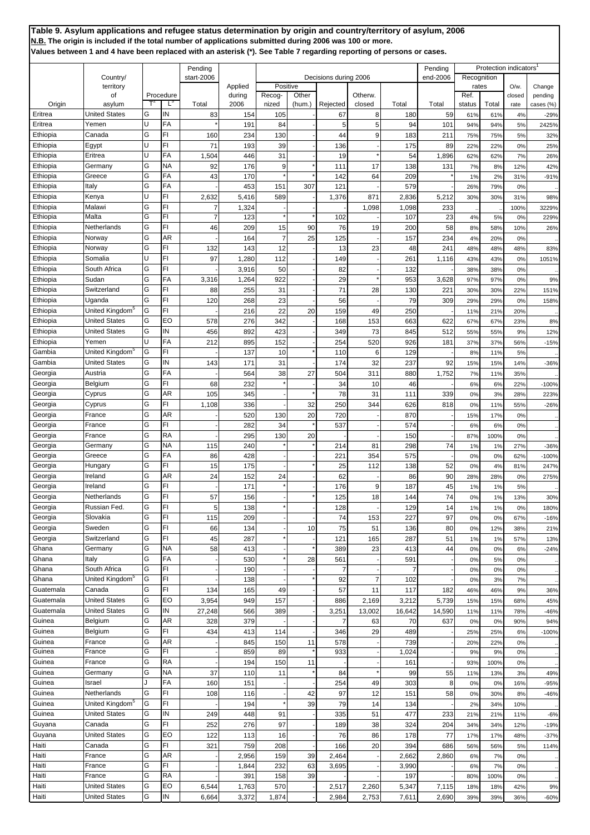|                      |                               |        |           | Pending                 |                   |            |        |                       |                |              | Pending      |               | Protection indicators |                   |                   |
|----------------------|-------------------------------|--------|-----------|-------------------------|-------------------|------------|--------|-----------------------|----------------|--------------|--------------|---------------|-----------------------|-------------------|-------------------|
|                      | Country/                      |        |           | start-2006              |                   | Positive   |        | Decisions during 2006 |                |              | end-2006     | Recognition   |                       |                   |                   |
|                      | territory<br>of               |        | Procedure |                         | Applied<br>during | Recog-     | Other  |                       | Otherw.        |              |              | rates<br>Ref. |                       | $O/w$ .<br>closed | Change<br>pending |
| Origin               | asylum                        |        | Ľ         | Total                   | 2006              | nized      | (hum.) | Rejected              | closed         | Total        | Total        | status        | Total                 | rate              | cases (%)         |
| Eritrea<br>Eritrea   | <b>United States</b><br>Yemen | G<br>U | IN<br>FA  | 83                      | 154<br>191        | 105<br>84  |        | 67<br>5               | 8<br>5         | 180<br>94    | 59<br>101    | 61%<br>94%    | 61%<br>94%            | 4%<br>5%          | $-29%$<br>2425%   |
| Ethiopia             | Canada                        | G      | FI        | 160                     | 234               | 130        |        | 44                    | 9              | 183          | 211          | 75%           | 75%                   | 5%                | 32%               |
| Ethiopia             | Egypt                         | Ü      | FI        | 71                      | 193               | 39         |        | 136                   |                | 175          | 89           | 22%           | 22%                   | 0%                | 25%               |
| Ethiopia             | Eritrea                       | Ù      | FA        | 1,504                   | 446               | 31         |        | 19                    |                | 54           | 1,896        | 62%           | 62%                   | 7%                | 26%               |
| Ethiopia             | Germany                       | G      | ΝA        | 92                      | 176               | 9          |        | 111                   | 17             | 138          | 131          | 7%            | 8%                    | 12%               | 42%               |
| Ethiopia             | Greece                        | G      | FA        | 43                      | 170               |            |        | 142                   | 64             | 209          |              | 1%            | 2%                    | 31%               | $-91%$            |
| Ethiopia             | Italy                         | G      | FA        |                         | 453               | 151        | 307    | 121                   |                | 579          |              | 26%           | 79%                   | 0%                |                   |
| Ethiopia<br>Ethiopia | Kenya<br>Malawi               | U<br>G | FI<br>FI  | 2,632<br>$\overline{7}$ | 5,416             | 589        |        | 1,376                 | 871            | 2,836        | 5,212        | 30%           | 30%                   | 31%               | 98%               |
| Ethiopia             | Malta                         | G      | FI        | $\overline{1}$          | 1,324<br>123      |            |        | 102                   | 1,098          | 1,098<br>107 | 233<br>23    | 4%            | 5%                    | 100%<br>0%        | 3229%<br>229%     |
| Ethiopia             | Netherlands                   | G      | FI        | 46                      | 209               | 15         | 90     | 76                    | 19             | 200          | 58           | 8%            | 58%                   | 10%               | 26%               |
| Ethiopia             | Norway                        | G      | AR        |                         | 164               | 7          | 25     | 125                   |                | 157          | 234          | 4%            | 20%                   | 0%                |                   |
| Ethiopia             | Norway                        | G      | FI        | 132                     | 143               | 12         |        | 13                    | 23             | 48           | 241          | 48%           | 48%                   | 48%               | 83%               |
| Ethiopia             | Somalia                       | U      | FI        | 97                      | 1,280             | 112        |        | 149                   |                | 261          | 1,116        | 43%           | 43%                   | 0%                | 1051%             |
| Ethiopia             | South Africa                  | G      | FI        |                         | 3,916             | 50         |        | 82                    |                | 132          |              | 38%           | 38%                   | 0%                |                   |
| Ethiopia             | Sudan                         | G<br>G | FA<br>FI  | 3,316                   | 1,264             | 922        |        | 29<br>71              |                | 953          | 3,628        | 97%           | 97%                   | 0%                | 9%                |
| Ethiopia<br>Ethiopia | Switzerland<br>Uganda         | G      | FI        | 88<br>120               | 255<br>268        | 31<br>23   |        | 56                    | 28             | 130<br>79    | 221<br>309   | 30%<br>29%    | 30%<br>29%            | 22%<br>0%         | 151%<br>158%      |
| Ethiopia             | United Kingdom <sup>3</sup>   | G      | FI        |                         | 216               | 22         | 20     | 159                   | 49             | 250          |              | 11%           | 21%                   | 20%               |                   |
| Ethiopia             | <b>United States</b>          | G      | EO        | 578                     | 276               | 342        |        | 168                   | 153            | 663          | 622          | 67%           | 67%                   | 23%               | 8%                |
| Ethiopia             | <b>United States</b>          | G      | IN        | 456                     | 892               | 423        |        | 349                   | 73             | 845          | 512          | 55%           | 55%                   | 9%                | 12%               |
| Ethiopia             | Yemen                         | Ū      | FA        | 212                     | 895               | 152        |        | 254                   | 520            | 926          | 181          | 37%           | 37%                   | 56%               | $-15%$            |
| Gambia               | United Kingdom <sup>5</sup>   | G      | FI        |                         | 137               | 10         |        | 110                   | 6              | 129          |              | 8%            | 11%                   | 5%                |                   |
| Gambia               | <b>United States</b>          | G      | IN        | 143                     | 171               | 31         |        | 174                   | 32             | 237          | 92           | 15%           | 15%                   | 14%               | $-36%$            |
| Georgia              | Austria                       | G      | FA        |                         | 564               | 38         | 27     | 504                   | 311            | 880          | 1,752        | 7%            | 11%                   | 35%               |                   |
| Georgia<br>Georgia   | Belgium<br>Cyprus             | G<br>G | FI<br>AR  | 68<br>105               | 232<br>345        |            |        | 34<br>78              | 10<br>31       | 46<br>111    | 339          | 6%<br>0%      | 6%<br>3%              | 22%<br>28%        | $-100%$<br>223%   |
| Georgia              | Cyprus                        | G      | FI        | 1,108                   | 336               |            | 32     | 250                   | 344            | 626          | 818          | 0%            | 11%                   | 55%               | $-26%$            |
| Georgia              | France                        | G      | AR        |                         | 520               | 130        | 20     | 720                   |                | 870          |              | 15%           | 17%                   | 0%                |                   |
| Georgia              | France                        | G      | FI        |                         | 282               | 34         |        | 537                   |                | 574          |              | 6%            | 6%                    | 0%                |                   |
| Georgia              | France                        | G      | RA        |                         | 295               | 130        | 20     |                       |                | 150          |              | 87%           | 100%                  | 0%                |                   |
| Georgia              | Germany                       | G      | ΝA        | 115                     | 240               |            |        | 214                   | 81             | 298          | 74           | 1%            | 1%                    | 27%               | $-36%$            |
| Georgia              | Greece                        | G      | FA        | 86                      | 428               |            |        | 22 <sup>1</sup>       | 354            | 575          |              | 0%            | 0%                    | 62%               | $-100%$           |
| Georgia<br>Georgia   | Hungary<br>Ireland            | G<br>G | FI<br>AR  | 15<br>24                | 175               |            |        | 25                    | 112            | 138          | 52<br>90     | 0%            | 4%                    | 81%               | 247%              |
| Georgia              | Ireland                       | G      | FI        |                         | 152<br>171        | 24         |        | 62<br>176             | 9              | 86<br>187    | 45           | 28%<br>1%     | 28%<br>1%             | 0%<br>5%          | 275%              |
| Georgia              | Netherlands                   | G      | FI        | 57                      | 156               |            |        | 125                   | 18             | 144          | 74           | 0%            | 1%                    | 13%               | 30%               |
| Georgia              | Russian Fed.                  | G      | FI        | 5                       | 138               |            |        | 128                   |                | 129          | 14           | 1%            | 1%                    | 0%                | 180%              |
| Georgia              | Slovakia                      | G      | FI        | 115                     | 209               |            |        | 74                    | 153            | 227          | 97           | 0%            | 0%                    | 67%               | $-16%$            |
| Georgia              | Sweden                        | G      | FI        | 66                      | 134               |            | 10     | 75                    | 51             | 136          | 80           | 0%            | 12%                   | 38%               | 21%               |
| Georgia              | Switzerland                   | G      | FI        | 45                      | 287               |            |        | 121                   | 165            | 287          | 51           | 1%            | 1%                    | 57%               | 13%               |
| Ghana                | Germany                       | G      | <b>NA</b> | 58                      | 413               |            |        | 389                   | 23             | 413          | 44           | 0%            | 0%                    | 6%                | $-24%$            |
| Ghana<br>Ghana       | Italy<br>South Africa         | G<br>G | FA<br>FI  |                         | 530<br>190        |            | 28     | 561<br>$\overline{7}$ |                | 591          |              | 0%<br>0%      | 5%<br>0%              | 0%<br>0%          |                   |
| Ghana                | United Kingdom <sup>5</sup>   | G      | FI        |                         | 138               |            |        | 92                    | $\overline{7}$ | 102          |              | 0%            | 3%                    | 7%                |                   |
| Guatemala            | Canada                        | G      | FI        | 134                     | 165               | 49         |        | 57                    | 11             | 117          | 182          | 46%           | 46%                   | 9%                | 36%               |
| Guatemala            | <b>United States</b>          | G      | EO        | 3,954                   | 949               | 157        |        | 886                   | 2,169          | 3,212        | 5,739        | 15%           | 15%                   | 68%               | 45%               |
| Guatemala            | <b>United States</b>          | G      | IN        | 27,248                  | 566               | 389        |        | 3,251                 | 13,002         | 16,642       | 14,590       | 11%           | 11%                   | 78%               | $-46%$            |
| Guinea               | Belgium                       | G      | AR        | 328                     | 379               |            |        | 7                     | 63             | 70           | 637          | 0%            | 0%                    | 90%               | 94%               |
| Guinea               | Belgium                       | G      | FI        | 434                     | 413               | 114        |        | 346                   | 29             | 489          |              | 25%           | 25%                   | 6%                | $-100%$           |
| Guinea               | France                        | G<br>G | AR<br>FI  |                         | 845               | 150        | 11     | 578<br>933            |                | 739          |              | 20%           | 22%                   | 0%                |                   |
| Guinea<br>Guinea     | France<br>France              | G      | RA        |                         | 859<br>194        | 89<br>150  | 11     |                       |                | 1,024<br>161 |              | 9%<br>93%     | 9%<br>100%            | 0%<br>0%          |                   |
| Guinea               | Germany                       | G      | ΝA        | 37                      | 110               | 11         |        | 84                    |                | 99           | 55           | 11%           | 13%                   | 3%                | 49%               |
| Guinea               | Israel                        | J      | FA        | 160                     | 151               |            |        | 254                   | 49             | 303          | 8            | 0%            | 0%                    | 16%               | $-95%$            |
| Guinea               | Netherlands                   | G      | FI        | 108                     | 116               |            | 42     | 97                    | 12             | 151          | 58           | 0%            | 30%                   | 8%                | $-46%$            |
| Guinea               | United Kingdom <sup>5</sup>   | G      | FI        |                         | 194               |            | 39     | 79                    | 14             | 134          |              | 2%            | 34%                   | 10%               |                   |
| Guinea               | <b>United States</b>          | G      | IN        | 249                     | 448               | 91         |        | 335                   | 51             | 477          | 233          | 21%           | 21%                   | 11%               | $-6%$             |
| Guyana               | Canada                        | G      | FI        | 252                     | 276               | 97         |        | 189                   | 38             | 324          | 204          | 34%           | 34%                   | 12%               | $-19%$            |
| Guyana               | <b>United States</b>          | G<br>G | EO        | 122                     | 113               | 16         |        | 76                    | 86             | 178          | 77           | 17%           | 17%                   | 48%               | $-37%$            |
| Haiti<br>Haiti       | Canada<br>France              | G      | FI<br>AR  | 321                     | 759<br>2,956      | 208<br>159 | 39     | 166<br>2,464          | 20             | 394<br>2,662 | 686<br>2,860 | 56%<br>6%     | 56%<br>7%             | 5%<br>0%          | 114%              |
| Haiti                | France                        | G      | FI        |                         | 1,844             | 232        | 63     | 3,695                 |                | 3,990        |              | 6%            | <b>7%</b>             | 0%                |                   |
| Haiti                | France                        | G      | RA        |                         | 391               | 158        | 39     |                       |                | 197          |              | 80%           | 100%                  | 0%                |                   |
| Haiti                | <b>United States</b>          | G      | EO        | 6,544                   | 1,763             | 570        |        | 2,517                 | 2,260          | 5,347        | 7,115        | 18%           | 18%                   | 42%               | 9%                |
| Haiti                | <b>United States</b>          | G      | IN        | 6,664                   | 3,372             | 1,874      |        | 2,984                 | 2,753          | 7,611        | 2,690        | 39%           | 39%                   | 36%               | $-60%$            |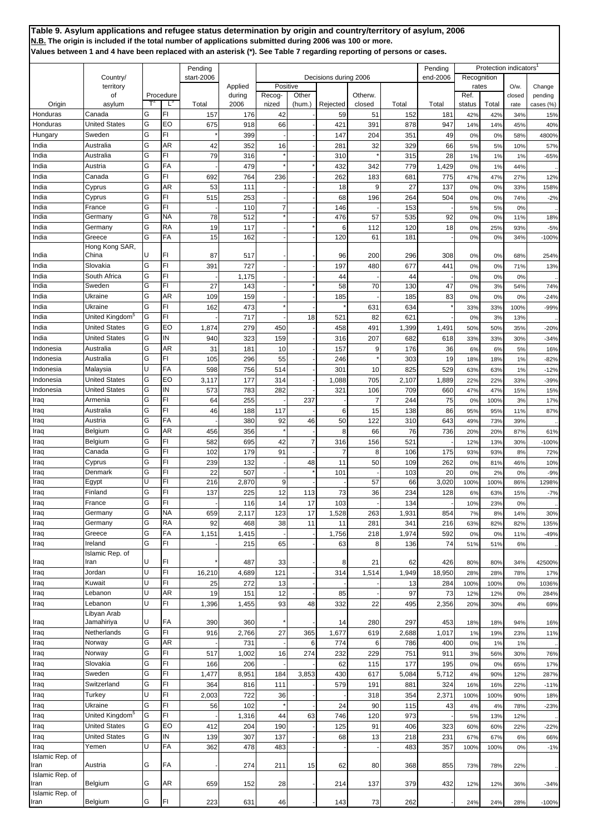|                 |                             |   |           | Pending    |         |                |                |                       |                |                 | Pending  |             | Protection indicators |        |           |
|-----------------|-----------------------------|---|-----------|------------|---------|----------------|----------------|-----------------------|----------------|-----------------|----------|-------------|-----------------------|--------|-----------|
|                 | Country/                    |   |           | start-2006 |         |                |                | Decisions during 2006 |                |                 | end-2006 | Recognition |                       |        |           |
|                 | territory                   |   |           |            | Applied | Positive       |                |                       |                |                 |          | rates       |                       | O/w    | Change    |
|                 | of                          |   | Procedure |            | during  | Recog-         | Other          |                       | Otherw.        |                 |          | Ref.        |                       | closed | pending   |
| Origin          | asylum                      |   | L,        | Total      | 2006    | nized          | (hum.)         | Rejected              | closed         | Total           | Total    | status      | Total                 | rate   | cases (%) |
| Honduras        | Canada                      | G | FI        | 157        | 176     | 42             |                | 59                    | 51             | 152             | 181      | 42%         | 42%                   | 34%    | 15%       |
| Honduras        | <b>United States</b>        | G | EO        | 675        | 918     | 66             |                | 421                   | 391            | 878             | 947      | 14%         | 14%                   | 45%    | 40%       |
| Hungary         | Sweden                      | G | FI        |            | 399     |                |                | 147                   | 204            | 35 <sup>′</sup> | 49       | 0%          | 0%                    | 58%    | 4800%     |
| India           | Australia                   | G | AR        | 42         | 352     | 16             |                | 281                   | 32             | 329             | 66       | 5%          | 5%                    | 10%    | 57%       |
| India           | Australia                   | G | FI        | 79         | 316     |                |                | 310                   |                | 315             | 28       | 1%          | 1%                    | 1%     | $-65%$    |
| India           | Austria                     | G | FA        |            | 479     |                |                | 432                   | 342            | 779             | 1,429    | 0%          | 1%                    | 44%    |           |
| India           | Canada                      | G | FI        | 692        | 764     | 236            |                | 262                   | 183            | 68'             | 775      | 47%         | 47%                   | 27%    | 12%       |
| India           | Cyprus                      | G | AR        | 53         | 111     |                |                | 18                    |                | 27              | 137      |             |                       |        |           |
|                 |                             | G | FI        |            |         |                |                |                       | 9              |                 |          | 0%          | 0%                    | 33%    | 158%      |
| India           | Cyprus                      |   |           | 515        | 253     |                |                | 68                    | 196            | 264             | 504      | 0%          | 0%                    | 74%    | $-2%$     |
| India           | France                      | G | FI        |            | 110     | $\overline{7}$ |                | 146                   |                | 153             |          | 5%          | 5%                    | 0%     |           |
| India           | Germany                     | G | NA        | 78         | 512     |                |                | 476                   | 57             | 535             | 92       | 0%          | 0%                    | 11%    | 18%       |
| India           | Germany                     | G | RA        | 19         | 117     |                |                | 6                     | 112            | 120             | 18       | 0%          | 25%                   | 93%    | $-5%$     |
| India           | Greece                      | G | FA        | 15         | 162     |                |                | 120                   | 61             | 181             |          | 0%          | 0%                    | 34%    | $-100%$   |
|                 | Hong Kong SAR,              |   |           |            |         |                |                |                       |                |                 |          |             |                       |        |           |
| India           | China                       | U | FI        | 87         | 517     |                |                | 96                    | 200            | 296             | 308      | 0%          | 0%                    | 68%    | 254%      |
| India           | Slovakia                    | G | FI        | 391        | 727     |                |                | 197                   | 480            | 677             | 441      | 0%          | 0%                    | 71%    | 13%       |
| India           | South Africa                | G | FI        |            | 1,175   |                |                | 44                    |                | 44              |          | 0%          | 0%                    | 0%     |           |
| India           | Sweden                      | G | FI        | 27         | 143     |                |                | 58                    | 70             | 130             | 47       | 0%          | 3%                    | 54%    | 74%       |
| India           | Ukraine                     | G | AR        | 109        | 159     |                |                | 185                   |                | 185             | 83       | 0%          | 0%                    | 0%     | $-24%$    |
| India           | Ukraine                     | G | FI        | 162        | 473     |                |                |                       | 631            | 634             |          | 33%         | 33%                   | 100%   | $-99%$    |
| India           | United Kingdom <sup>5</sup> | G | FI        |            | 717     |                | 18             | 521                   | 82             | 621             |          | 0%          | 3%                    | 13%    |           |
|                 |                             |   |           |            |         |                |                |                       |                |                 |          |             |                       |        |           |
| India           | <b>United States</b>        | G | EO        | 1,874      | 279     | 450            |                | 458                   | 491            | 1,399           | 1,491    | 50%         | 50%                   | 35%    | $-20%$    |
| India           | <b>United States</b>        | G | IN        | 940        | 323     | 159            |                | 316                   | 207            | 682             | 618      | 33%         | 33%                   | 30%    | -34%      |
| Indonesia       | Australia                   | G | AR        | 31         | 181     | 10             |                | 157                   | 9              | 176             | 36       | 6%          | 6%                    | 5%     | 16%       |
| Indonesia       | Australia                   | G | FI        | 105        | 296     | 55             |                | 246                   |                | 303             | 19       | 18%         | 18%                   | 1%     | $-82%$    |
| Indonesia       | Malaysia                    | U | FA        | 598        | 756     | 514            |                | 301                   | 10             | 825             | 529      | 63%         | 63%                   | 1%     | $-12%$    |
| Indonesia       | <b>United States</b>        | G | EO        | 3,117      | 177     | 314            |                | 1,088                 | 705            | 2,107           | 1,889    | 22%         | 22%                   | 33%    | $-39%$    |
| Indonesia       | <b>United States</b>        | G | IN        | 573        | 783     | 282            |                | 321                   | 106            | 709             | 660      | 47%         | 47%                   | 15%    | 15%       |
| Iraq            | Armenia                     | G | FI        | 64         | 255     |                | 237            |                       | $\overline{7}$ | 244             | 75       | 0%          | 100%                  | 3%     |           |
|                 |                             |   |           |            |         |                |                |                       |                |                 |          |             |                       |        | 17%       |
| Iraq            | Australia                   | G | FI        | 46         | 188     | 117            |                | 6                     | 15             | 138             | 86       | 95%         | 95%                   | 11%    | 87%       |
| Iraq            | Austria                     | G | FA        |            | 380     | 92             | 46             | 50                    | 122            | 310             | 643      | 49%         | 73%                   | 39%    |           |
| Iraq            | Belgium                     | G | AR        | 456        | 356     |                |                | 8                     | 66             | 76              | 736      | 20%         | 20%                   | 87%    | 61%       |
| Iraq            | Belgium                     | G | FI        | 582        | 695     | 42             | $\overline{7}$ | 316                   | 156            | 52'             |          | 12%         | 13%                   | 30%    | $-100%$   |
| Iraq            | Canada                      | G | FI        | 102        | 179     | 91             |                | 7                     | 8              | 106             | 175      | 93%         | 93%                   | 8%     | 72%       |
| Iraq            | Cyprus                      | G | FI        | 239        | 132     |                | 48             | 11                    | 50             | 109             | 262      | 0%          | 81%                   | 46%    | 10%       |
| Iraq            | Denmark                     | G | FI        | 22         | 507     |                |                | 101                   |                | 103             | 20       | 0%          | 2%                    | 0%     | $-9%$     |
| Iraq            | Egypt                       | U | FI        | 216        | 2,870   | 9              |                |                       | 57             | 66              | 3,020    | 100%        | 100%                  | 86%    | 1298%     |
| Iraq            | Finland                     | G | FI        | 137        | 225     | 12             | 113            | 73                    | 36             | 234             | 128      |             |                       |        |           |
|                 |                             |   |           |            |         |                |                |                       |                |                 |          | 6%          | 63%                   | 15%    | $-7%$     |
| Iraq            | ⊢rance                      | G | FI        |            | 116     | 14             | 17             | 103                   |                | 134             |          | 10%         | 23%                   | 0%     |           |
| Iraq            | Germany                     | G | <b>NA</b> | 659        | 2,117   | 123            | 17             | 1,528                 | 263            | 1,931           | 854      | 7%          | 8%                    | 14%    | 30%       |
| Iraq            | Germany                     | G | RA        | 92         | 468     | 38             | 11             | 11                    | 281            | 341             | 216      | 63%         | 82%                   | 82%    | 135%      |
| Iraq            | Greece                      | G | FA        | 1,151      | 1,415   |                |                | 1,756                 | 218            | 1,974           | 592      | 0%          | 0%                    | 11%    | -49%      |
| Iraq            | Ireland                     | G | FI        |            | 215     | 65             |                | 63                    | 8              | 136             | 74       | 51%         | 51%                   | 6%     |           |
|                 | Islamic Rep. of             |   |           |            |         |                |                |                       |                |                 |          |             |                       |        |           |
| Iraq            | Iran                        | U | FI        |            | 487     | 33             |                | 8                     | 21             | 62              | 426      | 80%         | 80%                   | 34%    | 42500%    |
| Iraq            | Jordan                      | U | FI        | 16,210     | 4,689   | 121            |                | 314                   | 1,514          | 1,949           | 18,950   | 28%         | 28%                   | 78%    | 17%       |
| Iraq            | Kuwait                      | U | FI        | 25         | 272     | 13             |                |                       |                | 13              | 284      | 100%        | 100%                  | 0%     | 1036%     |
| Iraq            | Lebanon                     | U | AR        | 19         | 151     | 12             |                | 85                    |                | 97              | 73       | 12%         | 12%                   | 0%     | 284%      |
|                 | Lebanon                     | U | FI        |            |         | 93             | 48             | 332                   | 22             | 495             |          |             |                       |        |           |
| Iraq            | Libyan Arab                 |   |           | 1,396      | 1,455   |                |                |                       |                |                 | 2,356    | 20%         | 30%                   | 4%     | 69%       |
|                 | Jamahiriya                  | U | FA        |            |         |                |                |                       |                |                 |          |             |                       |        |           |
| Iraq            |                             |   |           | 390        | 360     |                |                | 14                    | 280            | 297             | 453      | 18%         | 18%                   | 94%    | 16%       |
| Iraq            | Netherlands                 | G | FI        | 916        | 2,766   | 27             | 365            | 1,677                 | 619            | 2,688           | 1,017    | 1%          | 19%                   | 23%    | 11%       |
| Iraq            | Norway                      | G | AR        |            | 731     |                | 6              | 774                   | 6              | 786             | 400      | 0%          | 1%                    | 1%     |           |
| Iraq            | Norway                      | G | FI        | 517        | 1,002   | 16             | 274            | 232                   | 229            | 751             | 911      | 3%          | 56%                   | 30%    | 76%       |
| Iraq            | Slovakia                    | G | FI        | 166        | 206     |                |                | 62                    | 115            | 177             | 195      | 0%          | 0%                    | 65%    | 17%       |
| Iraq            | Sweden                      | G | FI        | 1,477      | 8,951   | 184            | 3,853          | 430                   | 617            | 5,084           | 5,712    | 4%          | 90%                   | 12%    | 287%      |
| Iraq            | Switzerland                 | G | FI        | 364        | 816     | 111            |                | 579                   | 191            | 881             | 324      | 16%         | 16%                   | 22%    | $-11%$    |
| Iraq            | Turkey                      | U | FI        | 2,003      | 722     | 36             |                |                       | 318            | 354             | 2,371    | 100%        | 100%                  | 90%    |           |
| Iraq            | Ukraine                     | G | FI        |            |         |                |                | 24                    |                |                 |          |             |                       |        | 18%       |
|                 |                             |   |           | 56         | 102     |                |                |                       | 90             | 115             | 43       | 4%          | 4%                    | 78%    | $-23%$    |
| Iraq            | United Kingdom <sup>5</sup> | G | FI        |            | 1,316   | 44             | 63             | 746                   | 120            | 973             |          | 5%          | 13%                   | 12%    |           |
| Iraq            | <b>United States</b>        | G | EO        | 412        | 204     | 190            |                | 125                   | 91             | 406             | 323      | 60%         | 60%                   | 22%    | $-22%$    |
| Iraq            | <b>United States</b>        | G | IN        | 139        | 307     | 137            |                | 68                    | 13             | 218             | 231      | 67%         | 67%                   | 6%     | 66%       |
| Iraq            | Yemen                       | U | FA        | 362        | 478     | 483            |                |                       |                | 483             | 357      | 100%        | 100%                  | 0%     | $-1%$     |
| Islamic Rep. of |                             |   |           |            |         |                |                |                       |                |                 |          |             |                       |        |           |
| Iran            | Austria                     | G | FA        |            | 274     | 211            | 15             | 62                    | 80             | 368             | 855      | 73%         | 78%                   | 22%    |           |
| Islamic Rep. of |                             |   |           |            |         |                |                |                       |                |                 |          |             |                       |        |           |
| Iran            | Belgium                     | G | AR        | 659        | 152     | 28             |                | 214                   | 137            | 379             | 432      | 12%         | 12%                   | 36%    | $-34%$    |
| Islamic Rep. of |                             |   |           |            |         |                |                |                       |                |                 |          |             |                       |        |           |
| Iran            | Belgium                     | G | FI        | 223        | 631     | 46             |                | 143                   | 73             | 262             |          | 24%         | 24%                   | 28%    | $-100%$   |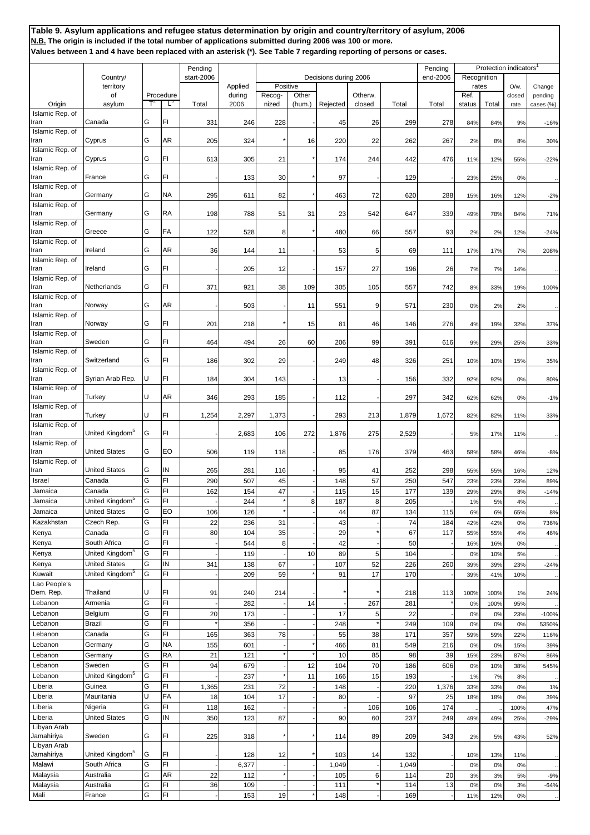|                         |                             |    |           | Pending    |         | Decisions during 2006 |        |          |         |       | Pending  |                      |       | Protection indicators <sup>1</sup> |           |
|-------------------------|-----------------------------|----|-----------|------------|---------|-----------------------|--------|----------|---------|-------|----------|----------------------|-------|------------------------------------|-----------|
|                         | Country/<br>territory       |    |           | start-2006 | Applied | Positive              |        |          |         |       | end-2006 | Recognition<br>rates |       | O/w.                               | Change    |
|                         | of                          |    | Procedure |            | during  | Recog-                | Other  |          | Otherw. |       |          | Ref.                 |       | closed                             | pending   |
| Origin                  | asylum                      |    | Ľ         | Total      | 2006    | nized                 | (hum.) | Rejected | closed  | Total | Total    | status               | Total | rate                               | cases (%) |
| Islamic Rep. of         |                             |    |           |            |         |                       |        |          |         |       |          |                      |       |                                    |           |
| Iran                    | Canada                      | G  | FI        | 331        | 246     | 228                   |        | 45       | 26      | 299   | 278      | 84%                  | 84%   | 9%                                 | $-16%$    |
| Islamic Rep. of         |                             |    |           |            |         |                       |        |          |         |       |          |                      |       |                                    |           |
| ran                     | Cyprus                      | G  | AR        | 205        | 324     |                       | 16     | 220      | 22      | 262   | 267      | 2%                   | 8%    | 8%                                 | 30%       |
| Islamic Rep. of         |                             |    |           |            |         |                       |        |          |         |       |          |                      |       |                                    |           |
| ran                     | Cyprus                      | G  | FI        | 613        | 305     | 21                    |        | 174      | 244     | 442   | 476      | 11%                  | 12%   | 55%                                | $-22%$    |
| Islamic Rep. of<br>ran  | France                      | G  | FI        |            | 133     | 30                    |        | 97       |         | 129   |          | 23%                  | 25%   | 0%                                 |           |
| Islamic Rep. of         |                             |    |           |            |         |                       |        |          |         |       |          |                      |       |                                    |           |
| Iran                    | Germany                     | G  | <b>NA</b> | 295        | 611     | 82                    |        | 463      | 72      | 620   | 288      | 15%                  | 16%   | 12%                                | $-2%$     |
| Islamic Rep. of         |                             |    |           |            |         |                       |        |          |         |       |          |                      |       |                                    |           |
| Iran                    | Germany                     | G  | RA        | 198        | 788     | 51                    | 31     | 23       | 542     | 647   | 339      | 49%                  | 78%   | 84%                                | 71%       |
| Islamic Rep. of         |                             |    |           |            |         |                       |        |          |         |       |          |                      |       |                                    |           |
| Iran                    | Greece                      | G  | FA        | 122        | 528     | 8                     |        | 480      | 66      | 557   | 93       | 2%                   | 2%    | 12%                                | $-24%$    |
| Islamic Rep. of<br>ran  | Ireland                     | G  | AR        | 36         | 144     | 11                    |        | 53       | 5       | 69    | 111      | 17%                  | 17%   | 7%                                 | 208%      |
| Islamic Rep. of         |                             |    |           |            |         |                       |        |          |         |       |          |                      |       |                                    |           |
| ran                     | Ireland                     | G  | FI        |            | 205     | 12                    |        | 157      | 27      | 196   | 26       | 7%                   | 7%    | 14%                                |           |
| Islamic Rep. of         |                             |    |           |            |         |                       |        |          |         |       |          |                      |       |                                    |           |
| ran                     | Netherlands                 | G  | FI        | 371        | 921     | 38                    | 109    | 305      | 105     | 557   | 742      | 8%                   | 33%   | 19%                                | 100%      |
| Islamic Rep. of         |                             |    |           |            |         |                       |        |          |         |       |          |                      |       |                                    |           |
| ran                     | Norway                      | G  | AR        |            | 503     |                       | 11     | 551      | 9       | 571   | 230      | 0%                   | 2%    | 2%                                 |           |
| Islamic Rep. of         |                             |    |           |            |         |                       |        |          |         |       |          |                      |       |                                    |           |
| ran                     | Norway                      | G  | FI        | 201        | 218     |                       | 15     | 81       | 46      | 146   | 276      | 4%                   | 19%   | 32%                                | 37%       |
| Islamic Rep. of<br>ran  | Sweden                      | G  | FI        | 464        | 494     | 26                    | 60     | 206      | 99      | 391   | 616      | 9%                   | 29%   | 25%                                | 33%       |
| Islamic Rep. of         |                             |    |           |            |         |                       |        |          |         |       |          |                      |       |                                    |           |
| ran                     | Switzerland                 | G  | FI        | 186        | 302     | 29                    |        | 249      | 48      | 326   | 251      | 10%                  | 10%   | 15%                                | 35%       |
| Islamic Rep. of         |                             |    |           |            |         |                       |        |          |         |       |          |                      |       |                                    |           |
| ran                     | Syrian Arab Rep.            | IJ | FI        | 184        | 304     | 143                   |        | 13       |         | 156   | 332      | 92%                  | 92%   | 0%                                 | 80%       |
| Islamic Rep. of         |                             |    |           |            |         |                       |        |          |         |       |          |                      |       |                                    |           |
| ran                     | Turkey                      | U  | AR        | 346        | 293     | 185                   |        | 112      |         | 297   | 342      | 62%                  | 62%   | 0%                                 | $-1%$     |
| Islamic Rep. of         |                             |    |           |            |         |                       |        |          |         |       |          |                      |       |                                    |           |
| Iran                    | Turkey                      | U  | FI        | 1,254      | 2,297   | 1,373                 |        | 293      | 213     | 1,879 | 1,672    | 82%                  | 82%   | 11%                                | 33%       |
| Islamic Rep. of<br>Iran | United Kingdom <sup>5</sup> | G  | FI        |            |         |                       |        |          |         |       |          |                      |       |                                    |           |
| Islamic Rep. of         |                             |    |           |            | 2,683   | 106                   | 272    | 1,876    | 275     | 2,529 |          | 5%                   | 17%   | 11%                                |           |
| ran                     | <b>United States</b>        | G  | EO        | 506        | 119     | 118                   |        | 85       | 176     | 379   | 463      | 58%                  | 58%   | 46%                                | $-8%$     |
| Islamic Rep. of         |                             |    |           |            |         |                       |        |          |         |       |          |                      |       |                                    |           |
| ran                     | <b>United States</b>        | G  | IN        | 265        | 281     | 116                   |        | 95       | 41      | 252   | 298      | 55%                  | 55%   | 16%                                | 12%       |
| Israel                  | Canada                      | G  | FI        | 290        | 507     | 45                    |        | 148      | 57      | 250   | 547      | 23%                  | 23%   | 23%                                | 89%       |
| Jamaica                 | Canada                      | G  | FI        | 162        | 154     | 47                    |        | 115      | 15      | 177   | 139      | 29%                  | 29%   | 8%                                 | $-14%$    |
| Jamaica                 | United Kingdom <sup>5</sup> | lG | FI        |            | 244     |                       | 8      | 187      | 8       | 205   |          | 1%                   | 5%    | 4%                                 |           |
| Jamaica                 | <b>United States</b>        | G  | EO        | 106        | 126     |                       |        | 44       | 87      | 134   | 115      | 6%                   | 6%    | 65%                                | 8%        |
| Kazakhstan              | Czech Rep.                  | G  | FI        | 22         | 236     | 31                    |        | 43       |         | 74    | 184      | 42%                  | 42%   | 0%                                 | 736%      |
| Kenya                   | Canada                      | G  | FI        | 80         | 104     | 35                    |        | 29       |         | 67    | 117      | 55%                  | 55%   | 4%                                 | 46%       |
| Kenya                   | South Africa                | G  | FI        |            | 544     | 8                     |        | 42       |         | 50    |          | 16%                  | 16%   | 0%                                 |           |
| Kenya                   | United Kingdom <sup>5</sup> | G  | FI        |            | 119     |                       | 10     | 89       | 5       | 104   |          | 0%                   | 10%   | 5%                                 |           |
| Kenya                   | <b>United States</b>        | G  | IN        | 341        | 138     | 67                    |        | 107      | 52      | 226   | 260      | 39%                  | 39%   | 23%                                | $-24%$    |
| Kuwait                  | United Kingdom <sup>5</sup> | G  | FI        |            | 209     | 59                    |        | 91       | 17      | 170   |          | 39%                  | 41%   | 10%                                |           |
| Lao People's            |                             |    |           |            |         |                       |        |          |         |       |          |                      |       |                                    |           |
| Dem. Rep.               | Thailand                    | U  | FI        | 91         | 240     | 214                   |        |          |         | 218   | 113      | 100%                 | 100%  | 1%                                 | 24%       |
| Lebanon                 | Armenia                     | G  | FI        |            | 282     |                       | 14     |          | 267     | 281   |          | 0%                   | 100%  | 95%                                |           |
| Lebanon                 | Belgium                     | G  | FI        | 20         | 173     |                       |        | 17       | 5       | 22    |          | 0%                   | 0%    | 23%                                | $-100%$   |
| Lebanon                 | Brazil                      | G  | FI        |            | 356     |                       |        | 248      |         | 249   | 109      | 0%                   | 0%    | 0%                                 | 5350%     |
| Lebanon                 | Canada                      | G  | FI        | 165        | 363     | 78                    |        | 55       | 38      | 171   | 357      | 59%                  | 59%   | 22%                                | 116%      |
| Lebanon                 | Germany                     | G  | <b>NA</b> | 155        | 601     |                       |        | 466      | 81      | 549   | 216      | 0%                   | 0%    | 15%                                | 39%       |
| Lebanon                 | Germany                     | G  | RA        | 21         | 121     |                       |        | 10       | 85      | 98    | 39       | 15%                  | 23%   | 87%                                | 86%       |
| Lebanon                 | Sweden                      | G  | FI        | 94         | 679     |                       | 12     | 104      | 70      | 186   | 606      | 0%                   | 10%   | 38%                                | 545%      |
| Lebanon                 | United Kingdom <sup>5</sup> | G  | FI        |            | 237     |                       | 11     | 166      | 15      | 193   |          | 1%                   | 7%    | 8%                                 |           |
| Liberia                 | Guinea                      | G  | FI        | 1,365      | 231     | 72                    |        | 148      |         | 220   | 1,376    | 33%                  | 33%   | 0%                                 | 1%        |
| Liberia                 | Mauritania                  | U  | FA        | 18         | 104     | 17                    |        | 80       |         | 97    | 25       | 18%                  | 18%   | 0%                                 | 39%       |
| Liberia                 | Nigeria                     | G  | FI        | 118        | 162     |                       |        |          | 106     | 106   | 174      |                      |       | 100%                               | 47%       |
| Liberia                 | <b>United States</b>        | G  | IN        | 350        | 123     | 87                    |        | 90       | 60      | 237   | 249      | 49%                  | 49%   | 25%                                | $-29%$    |
| Libyan Arab             |                             |    |           |            |         |                       |        |          |         |       |          |                      |       |                                    |           |
| Jamahiriya              | Sweden                      | G  | FI        | 225        | 318     |                       |        | 114      | 89      | 209   | 343      | 2%                   | 5%    | 43%                                | 52%       |
| Libyan Arab             |                             |    |           |            |         |                       |        |          |         |       |          |                      |       |                                    |           |
| Jamahiriya              | United Kingdom <sup>5</sup> | G  | FI        |            | 128     | 12                    |        | 103      | 14      | 132   |          | 10%                  | 13%   | 11%                                |           |
| Malawi                  | South Africa                | G  | FI        |            | 6,377   |                       |        | 1,049    |         | 1,049 |          | 0%                   | 0%    | 0%                                 |           |
| Malaysia                | Australia                   | G  | AR        | 22         | 112     |                       |        | 105      | 6       | 114   | 20       | 3%                   | 3%    | 5%                                 | $-9%$     |
| Malaysia                | Australia                   | G  | FI        | 36         | 109     |                       |        | 111      |         | 114   | 13       | 0%                   | 0%    | 3%                                 | $-64%$    |
| Mali                    | France                      | G  | FI        |            | 153     | 19                    |        | 148      |         | 169   |          | 11%                  | 12%   | 0%                                 |           |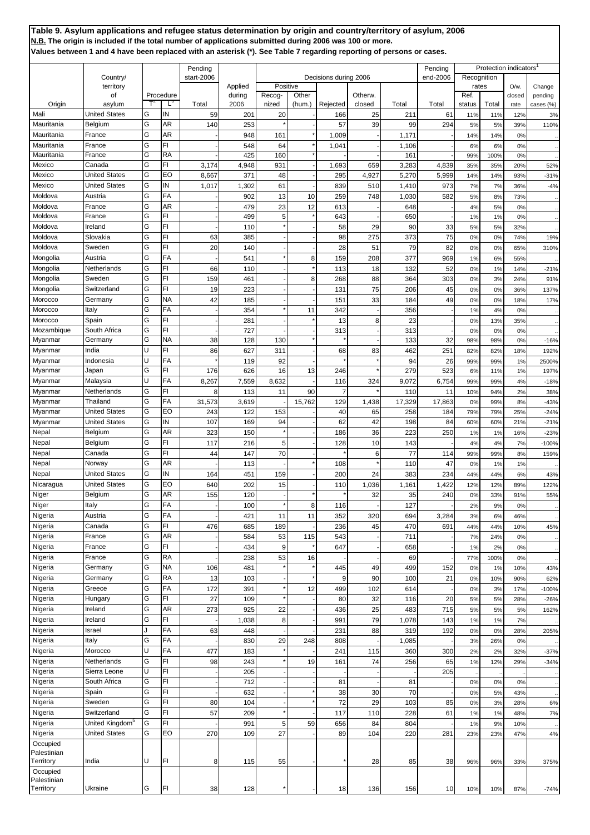|             |                             |   |           | Pending    |         |          |        |                       |         |        | Pending  |             | Protection indicators |        |           |
|-------------|-----------------------------|---|-----------|------------|---------|----------|--------|-----------------------|---------|--------|----------|-------------|-----------------------|--------|-----------|
|             | Country/                    |   |           | start-2006 |         |          |        | Decisions during 2006 |         |        | end-2006 | Recognition |                       |        |           |
|             | territory                   |   |           |            | Applied | Positive |        |                       |         |        |          | rates       |                       | O/w.   | Change    |
|             | οf                          |   | Procedure |            | during  | Recog-   | Other  |                       | Otherw. |        |          | Ref.        |                       | closed | pending   |
| Origin      | asylum                      |   | L,        | Total      | 2006    | nized    | (hum.) | Rejected              | closed  | Total  | Total    | status      | Total                 | rate   | cases (%) |
| Mali        | <b>United States</b>        | G | IN        | 59         | 201     | 20       |        | 166                   | 25      | 211    | 61       | 11%         | 11%                   | 12%    | 3%        |
| Mauritania  | Belgium                     | G | AR        | 140        | 253     |          |        | 57                    | 39      | 99     | 294      | 5%          | 5%                    | 39%    | 110%      |
| Mauritania  | France                      | G | AR        |            | 948     | 161      |        | 1,009                 |         | 1,171  |          | 14%         | 14%                   | 0%     |           |
| Mauritania  | France                      | G | FI        |            | 548     | 64       |        | 1,041                 |         | 1,106  |          | 6%          | 6%                    | 0%     |           |
| Mauritania  | France                      | G | <b>RA</b> |            | 425     | 160      |        |                       |         | 161    |          | 99%         | 100%                  | 0%     |           |
| Mexico      | Canada                      | G | FI        | 3,174      | 4,948   | 931      |        | 1,693                 | 659     | 3,283  | 4,839    | 35%         | 35%                   | 20%    | 52%       |
| Mexico      | <b>United States</b>        | G | EO        | 8,667      | 371     | 48       |        | 295                   | 4,927   | 5,270  | 5,999    | 14%         | 14%                   | 93%    | $-31%$    |
| Mexico      | <b>United States</b>        | G | ΙN        | 1,017      | 1,302   | 61       |        | 839                   | 510     | 1,410  | 973      | 7%          | 7%                    | 36%    | $-4%$     |
|             |                             | G | FA        |            |         |          |        |                       |         |        |          |             |                       |        |           |
| Moldova     | Austria                     |   |           |            | 902     | 13       | 10     | 259                   | 748     | 1,030  | 582      | 5%          | 8%                    | 73%    |           |
| Moldova     | France                      | G | AR        |            | 479     | 23       | 12     | 613                   |         | 648    |          | 4%          | 5%                    | 0%     |           |
| Moldova     | France                      | G | FI        |            | 499     | 5        |        | 643                   |         | 650    |          | 1%          | 1%                    | 0%     |           |
| Moldova     | Ireland                     | G | FI        |            | 110     |          |        | 58                    | 29      | 90     | 33       | 5%          | 5%                    | 32%    |           |
| Moldova     | Slovakia                    | G | FI        | 63         | 385     |          |        | 98                    | 275     | 373    | 75       | 0%          | 0%                    | 74%    | 19%       |
| Moldova     | Sweden                      | G | FI        | 20         | 140     |          |        | 28                    | 51      | 79     | 82       | 0%          | 0%                    | 65%    | 310%      |
| Mongolia    | Austria                     | G | FA        |            | 541     |          | 8      | 159                   | 208     | 377    | 969      | 1%          | 6%                    | 55%    |           |
| Mongolia    | Netherlands                 | G | FI        | 66         | 110     |          |        | 113                   | 18      | 132    | 52       | 0%          | 1%                    | 14%    | $-21%$    |
| Mongolia    | Sweden                      | G | FI        | 159        | 46'     |          | 8      | 268                   | 88      | 364    | 303      | 0%          | 3%                    | 24%    | 91%       |
| Mongolia    | Switzerland                 | G | FI        | 19         | 223     |          |        | 131                   | 75      | 206    | 45       | 0%          | 0%                    | 36%    | 137%      |
| Morocco     | Germany                     | G | NA        | 42         | 185     |          |        | 151                   | 33      | 184    | 49       |             | 0%                    |        |           |
|             |                             |   |           |            |         |          |        |                       |         |        |          | 0%          |                       | 18%    | 17%       |
| Morocco     | Italy                       | G | FA        |            | 354     |          | 11     | 342                   |         | 356    |          | 1%          | 4%                    | 0%     |           |
| Morocco     | Spain                       | G | FI        |            | 281     |          |        | 13                    | 8       | 23     |          | 0%          | 13%                   | 35%    |           |
| Mozambique  | South Africa                | G | FI        |            | 727     |          |        | 313                   |         | 313    |          | 0%          | 0%                    | 0%     |           |
| Myanmar     | Germany                     | G | NA        | 38         | 128     | 130      |        |                       |         | 133    | 32       | 98%         | 98%                   | 0%     | $-16%$    |
| Myanmar     | India                       | U | FI        | 86         | 627     | 311      |        | 68                    | 83      | 462    | 251      | 82%         | 82%                   | 18%    | 192%      |
| Myanmar     | Indonesia                   | U | FA        |            | 119     | 92       |        |                       |         | 94     | 26       | 99%         | 99%                   | 1%     | 2500%     |
| Myanmar     | Japan                       | G | FI        | 176        | 626     | 16       | 13     | 246                   |         | 279    | 523      | 6%          | 11%                   | 1%     | 197%      |
| Myanmar     | Malaysia                    | U | FA        | 8,267      | 7,559   | 8,632    |        | 116                   | 324     | 9,072  | 6,754    | 99%         | 99%                   | 4%     | $-18%$    |
| Myanmar     | Netherlands                 | G | FI        | 8          | 113     | 11       | 90     | 7                     |         | 110    | 11       | 10%         | 94%                   | 2%     | 38%       |
| Myanmar     | Thailand                    | G | FA        | 31,573     | 3,619   |          | 15,762 | 129                   | 1,438   | 17,329 | 17,863   | 0%          | 99%                   | 8%     | $-43%$    |
| Myanmar     | <b>United States</b>        | G | EO        | 243        | 122     | 153      |        | 40                    | 65      | 258    | 184      | 79%         | 79%                   | 25%    |           |
|             |                             |   |           |            |         |          |        |                       |         |        |          |             |                       |        | $-24%$    |
| Myanmar     | <b>United States</b>        | G | ΙN        | 107        | 169     | 94       |        | 62                    | 42      | 198    | 84       | 60%         | 60%                   | 21%    | $-21%$    |
| Nepal       | Belgium                     | G | AR        | 323        | 150     |          |        | 186                   | 36      | 223    | 250      | 1%          | 1%                    | 16%    | $-23%$    |
| Nepal       | Belgium                     | G | FI        | 117        | 216     | 5        |        | 128                   | 10      | 143    |          | 4%          | 4%                    | 7%     | $-100%$   |
| Nepal       | Canada                      | G | FI        | 44         | 147     | 70       |        |                       | 6       | 77     | 114      | 99%         | 99%                   | 8%     | 159%      |
| Nepal       | Norway                      | G | AR        |            | 113     |          |        | 108                   |         | 110    | 47       | 0%          | 1%                    | 1%     |           |
| Nepal       | <b>United States</b>        | G | IN        | 164        | 45'     | 159      |        | 200                   | 24      | 383    | 234      | 44%         | 44%                   | 6%     | 43%       |
| Nicaragua   | <b>United States</b>        | G | EO        | 640        | 202     | 15       |        | 110                   | 1,036   | 1,161  | 1,422    | 12%         | 12%                   | 89%    | 122%      |
| Niger       | Belgium                     | Ġ | AR        | 155        | 120     |          |        |                       | 32      | 35     | 240      | 0%          | 33%                   | 91%    | 55%       |
| Niger       | Italy                       | G | FA        |            | 100     |          | 8      |                       |         | 127    |          |             | 9%                    |        |           |
|             |                             |   |           |            |         |          |        | 116                   |         |        |          | 2%          |                       | 0%     |           |
| Nigeria     | Austria                     | G | FA        |            | 421     | 11       | 11     | 352                   | 320     | 694    | 3,284    | 3%          | 6%                    | 46%    |           |
| Nigeria     | Canada                      | G | FI        | 476        | 685     | 189      |        | 236                   | 45      | 470    | 691      | 44%         | 44%                   | 10%    | 45%       |
| Nigeria     | France                      | G | AR        |            | 584     | 53       | 115    | 543                   |         | 711    |          | 7%          | 24%                   | 0%     |           |
| Nigeria     | France                      | G | FI        |            | 434     | 9        |        | 647                   |         | 658    |          | 1%          | 2%                    | 0%     |           |
| Nigeria     | France                      | G | RA        |            | 238     | 53       | 16     |                       |         | 69     |          | 77%         | 100%                  | 0%     |           |
| Nigeria     | Germany                     | G | NA        | 106        | 481     |          |        | 445                   | 49      | 499    | 152      | 0%          | 1%                    | 10%    | 43%       |
| Nigeria     | Germany                     | G | RA        | 13         | 103     |          |        | 9                     | 90      | 100    | 21       | 0%          | 10%                   | 90%    | 62%       |
| Nigeria     | Greece                      | G | FA        | 172        | 391     |          | 12     | 499                   | 102     | 614    |          | 0%          | 3%                    | 17%    | $-100%$   |
|             | Hungary                     | G | FI        |            |         |          |        |                       |         |        |          |             |                       |        |           |
| Nigeria     |                             | G |           | 27         | 109     |          |        | 80                    | 32      | 116    | 20       | 5%          | 5%                    | 28%    | $-26%$    |
| Nigeria     | Ireland                     |   | AR        | 273        | 925     | 22       |        | 436                   | 25      | 483    | 715      | 5%          | 5%                    | 5%     | 162%      |
| Nigeria     | Ireland                     | G | FI        |            | 1,038   | 8        |        | 991                   | 79      | 1,078  | 143      | 1%          | 1%                    | 7%     |           |
| Nigeria     | Israel                      | J | FA        | 63         | 448     |          |        | 231                   | 88      | 319    | 192      | 0%          | 0%                    | 28%    | 205%      |
| Nigeria     | Italy                       | G | FA        |            | 830     | 29       | 248    | 808                   |         | 1,085  |          | 3%          | 26%                   | 0%     |           |
| Nigeria     | Morocco                     | U | FA        | 477        | 183     |          |        | 241                   | 115     | 360    | 300      | 2%          | 2%                    | 32%    | $-37%$    |
| Nigeria     | Netherlands                 | G | FI        | 98         | 243     |          | 19     | 161                   | 74      | 256    | 65       | 1%          | 12%                   | 29%    | $-34%$    |
| Nigeria     | Sierra Leone                | U | FI        |            | 205     |          |        |                       |         |        | 205      |             |                       |        |           |
| Nigeria     | South Africa                | G | FI        |            | 712     |          |        | 81                    |         | 81     |          | 0%          | 0%                    | 0%     |           |
| Nigeria     | Spain                       | G | FI        |            | 632     |          |        | 38                    | 30      | 70     |          | 0%          | 5%                    | 43%    |           |
|             |                             | G |           |            |         |          |        |                       |         |        |          |             |                       |        |           |
| Nigeria     | Sweden                      |   | FI        | 80         | 104     |          |        | 72                    | 29      | 103    | 85       | 0%          | 3%                    | 28%    | 6%        |
| Nigeria     | Switzerland                 | G | FI        | 57         | 209     |          |        | 117                   | 110     | 228    | 61       | 1%          | 1%                    | 48%    | 7%        |
| Nigeria     | United Kingdom <sup>5</sup> | G | FI        |            | 991     | 5        | 59     | 656                   | 84      | 804    |          | 1%          | 9%                    | 10%    |           |
| Nigeria     | <b>United States</b>        | G | EO        | 270        | 109     | 27       |        | 89                    | 104     | 220    | 281      | 23%         | 23%                   | 47%    | 4%        |
| Occupied    |                             |   |           |            |         |          |        |                       |         |        |          |             |                       |        |           |
| Palestinian |                             |   |           |            |         |          |        |                       |         |        |          |             |                       |        |           |
| Territory   | India                       | U | FI        | 8          | 115     | 55       |        |                       | 28      | 85     | 38       | 96%         | 96%                   | 33%    | 375%      |
| Occupied    |                             |   |           |            |         |          |        |                       |         |        |          |             |                       |        |           |
| Palestinian |                             |   |           |            |         |          |        |                       |         |        |          |             |                       |        |           |
| Territory   | Ukraine                     | G | FI        | 38         | 128     |          |        | 18                    | 136     | 156    | 10       | 10%         | 10%                   | 87%    | $-74%$    |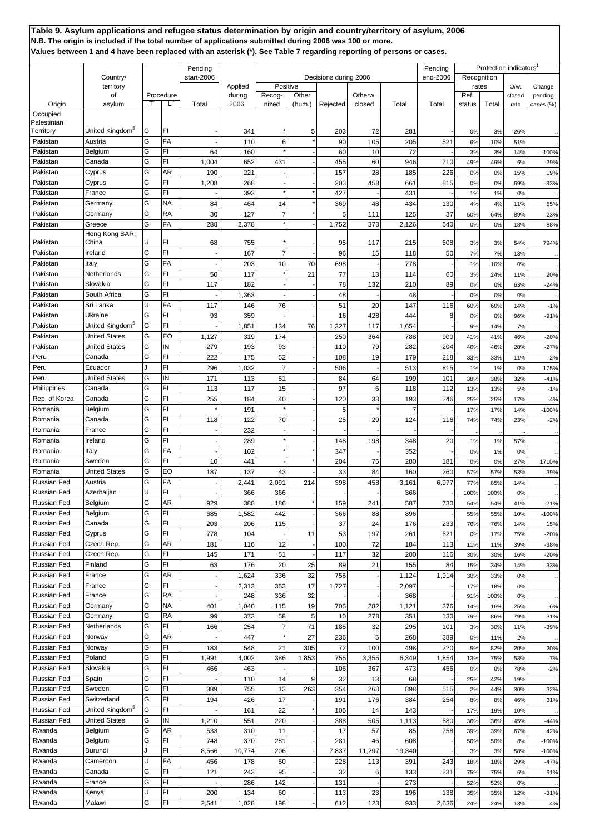**Table 9. Asylum applications and refugee status determination by origin and country/territory of asylum, 2006 N.B. The origin is included if the total number of applications submitted during 2006 was 100 or more. Values between 1 and 4 have been replaced with an asterisk (\*). See Table 7 regarding reporting of persons or cases.** Pending Protection indicators<br>
Pending Protection indicators<br>
Pending Protection indicators<br>
Pending Protection indicators<br>
Pending Protection indicators Country/ start-2006 becisions during 2006 end-2006 end-2006 end-2006 end-2006 applied Decisions during 2006 end-2006 territory **Applied Positive Reserve Reserve Reserve Reserve Reserve Reserve Reserve Reserve Reserve Reserve Re** of Procedure | during Recog- Other | Otherw. | Ref. Ref. | closed pending Origin asylum T<sup>2</sup> L<sup>3</sup> Total 2006 nized (hum.) Rejected closed Total Total status Total rate cases (%) **Occupied** Palestinian Territory United Kingdom<sup>5</sup> G FI - 341 \* 5 203 72 281 - 0% 3% 26% .. Pakistan | Austria | G | FA | - | 110 | 6 \* | 90 | 105 | 205 | 521 | 6% 10% | 51% | .. Pakistan Belgium |G FI | 64 160 \* - 60 10 72 - 3% 3% 14% -100% Pakistan Canada | G FI | 1,004 652 431 - 455 60 946 710 49% 49% 6% -29% Pakistan Cyprus |G AR | 190 221 - - 157 28 185 226 0% 0% 15% 19% Pakistan Cyprus |G FI | 1,208 268 - - - 203 458 661 815 0% 0% 69% -33% Pakistan France |G FI | - | 393 \* | \* | 427 - | 431 - | 1% 1% 0% .. Pakistan Germany |G |NA | 84 464 14 \* 369 48 434 130 4% 4% 11% 55% Pakistan Germany |G RA | 30 127 7 \* 5 111 125 37 50% 64% 89% 23% Pakistan Greece G FA 288 2,378 \* - 1,752 373 2,126 540 0% 0% 18% 88% Pakistan Hong Kong SAR, China U FI 68 755 \* - 95 117 215 608 3% 3% 54% 794% Pakistan |Ireland |G FI | - 167 7 - 96 15 118 50 7% 7% 13% .. Pakistan Italy G FA - 203 10 70 698 - 778 - 1% 10% 0% .. Pakistan Netherlands G FI 50 117 \* 21 77 13 114 60 3% 24% 11% 20% Pakistan Slovakia G FI 117 182 - 1 17 78 132 210 89 0% 0% 63% -24% Pakistan South Africa G FI | - | 1,363 - - | -1 48 - | 48 - 0% 0% 0% .. Pakistan Sri Lanka U FA 117 146 76 - 51 20 147 116 60% 60% 14% -1% Pakistan | Ukraine | G | FI | 93 | 359 - - | 16 428 444 8 0% 0% 96% 96% -91% Pakistan | United Kingdom<sup>5</sup> | G | FI | - | 1,851 | 134 76 | 1,327 | 117 | 1,654 | - | 9% | 14% 7% ... Pakistan | United States | G | EO | 1,127 | 319 | 174 | - | 250 | 364 | 788 | 900 | 41% | 41% | 46% | -20% Pakistan | United States | G | IN | 279 | 193 | 93 | - | 110 | 79 | 282 | 204 | 46% | 46% | 28% | -27% Peru **Canada G FI | 222** 175 52 - 108 19 179 218 33% 33% 11% -2% Peru | Ecuador | J | FI | 296 | 1,032 | 7 | - | 506 | - | 513 | 815 | 1% | 1% | 0% | 175% Peru | United States | G | IN | 171 | 113 | 51 | - | 84 | 64 | 199 | 101 | 38% | 38% | 32% | -41% Philippines Canada G FI 113 117 15 - 97 6 118 112 13% 13% 5% -1% Rep. of Korea Canada C C FI 255 184 40 - 120 33 193 246 25% 25% 17% -4% Romania Belgium C FI \* 191 \* - 5 \* 7 7 - 17% 17% 14% -100% Romania Canada G FI 118 122 70 - 25 29 124 116 74% 74% 23% -2% Romania France G FI - 232 - - - - - - .. .. .. .. Romania | Ireland | G | FI | - | 289 | 148 | 198 | 348 | 20 | 1% | 1% | 57% | ... Romania Italy G FA - 102 \* \* 347 - 352 - 0% 1% 0% .. Romania Sweden G FI 10 441 - \* 204 75 280 181 0% 0% 27% 1710% Romania | United States | G | EO | 187 | 137 | 43 | - | 33 | 84 | 160 | 260 | 57% | 57% | 53% | 39% Russian Fed. Austria G FA - 2,441 2,091 214 398 458 3,161 6,977 77% 85% 14% .. Russian Fed. |Azerbaijan | U | FI | - -| 366 | -| -| -| 366 | -| 100% | 100% | 0% | ... Russian Fed. Belgium (G. AR | 929 | 388 186 \* 159 241 587 730 54% 54% 41% -21% Russian Fed. Belgium (G FI | 685 1,582 442 - 366 88 896 - 55% 55% 10% -100% Russian Fed. Canada (G FI | 203 | 206 115 - 1 37 24 176 233 76% 76% 14% 15% Russian Fed. Cyprus (G FI | 778 104 - 11 53 197 261 621 0% 17% 75% -20% Russian Fed. Czech Rep. 6 | G | AR | 181 | 116 | 12 | 100 | 72 | 184 | 113 | 11% 11% 39% -38% Russian Fed. Czech Rep. G FI 145 171 51 - 117 32 200 116 30% 30% 16% -20% Russian Fed. Finland G FI 63 176 20 25 89 21 155 84 15% 34% 14% 33% Russian Fed. France G AR - 1 1,624 336 32 756 - 1,124 1,914 30% 33% 0% ... Russian Fed. France G FI - 2,313 353 17 1,727 - 2,097 - 17% 18% 0% .. Russian Fed. France G RA - 248 336 32 - - 368 - 91% 100% 0% .. Russian Fed. Germany G NA | 401 1,040 115 19 705 282 1,121 376 14% 16% 25% -6% Russian Fed. Germany (G RA | 99 373 58 5 10 278 351 130 79% 86% 79% 31% Russian Fed. Netherlands G FI 166 254 7 71 185 32 295 101 3% 30% 11% -39% Russian Fed. Norway (G | AR | - 447 \* 27 236 5 268 389 0% 11% 2% ... Russian Fed. Norway (G FI | 183 548 21 305 72 100 498 220 5% 82% 20% 20% Russian Fed. Poland G FI 1,991 4,002 386 1,853 755 3,355 6,349 1,854 13% 75% 53% -7% Russian Fed. Slovakia (G FI | 466 | 463 - 1 - 106 367 | 473 | 456 0% 0% 78% -2% Russian Fed. Spain (G FI | - | 110 14 9 32 13 68 - 25% 42% 19% ... Russian Fed. Sweden G FI 389 755 13 263 354 268 898 515 2% 44% 30% 32% Russian Fed. Switzerland G FI 194 426 17 - 191 176 384 254 8% 8% 46% 31% Russian Fed. United Kingdom<sup>5</sup> G FI | 161 22 \* 105 14 143 - 17% 19% 10% .. Russian Fed. | United States | G | IN | 1,210 | 551 | 220 | - | 388 | 505 | 1,113 | 680 | 36% 36% | 45% | -44% Rwanda Belgium C AR 533 310 11 - 17 57 85 758 39% 39% 67% 42% Rwanda Belgium C FI 748 370 281 - 281 46 608 - 50% 50% 8% -100% Rwanda Burundi J FI 8,566 10,774 206 - 7,837 11,297 19,340 - 3% 3% 58% -100% Rwanda Cameroon U FA 456 178 50 - 228 113 391 243 18% 18% 29% -47% Rwanda Canada C G FI 121 243 95 - 32 6 133 231 75% 75% 5% 91% Rwanda | France | G | FI | - | 286 | 142 - | 131 | - | 273 | - | 52% | 52% | 0% | .. Rwanda Kenya U FI 200 134 60 - 113 23 196 138 35% 35% 12% -31% Rwanda Malawi G FI 2,541 1,028 198 - 612 123 933 2,636 24% 24% 13% 4%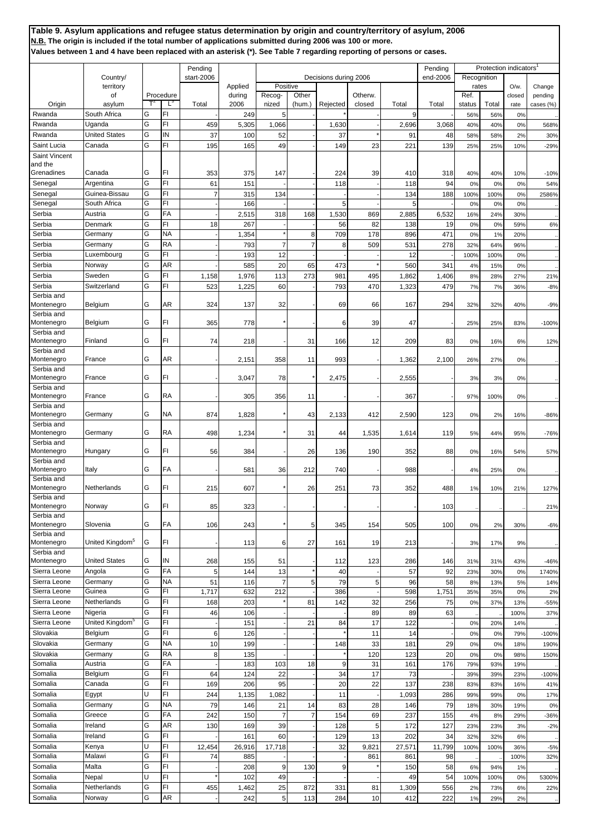|               |                             |   |           |                       |         |                       |                |          |         |        |                     |             | <b>Protection indicators</b> |         |           |
|---------------|-----------------------------|---|-----------|-----------------------|---------|-----------------------|----------------|----------|---------|--------|---------------------|-------------|------------------------------|---------|-----------|
|               | Country/                    |   |           | Pending<br>start-2006 |         | Decisions during 2006 |                |          |         |        | Pending<br>end-2006 | Recognition |                              |         |           |
|               | territory                   |   |           |                       | Applied | Positive              |                |          |         |        |                     | rates       |                              | $O/w$ . | Change    |
|               | of                          |   | Procedure |                       | during  | Recog-                | Other          |          | Otherw. |        |                     | Ref.        |                              | closed  | pending   |
| Origin        | asylum                      |   | Ľ         | Total                 | 2006    | nized                 | (hum.)         | Rejected | closed  | Total  | Total               | status      | Total                        | rate    | cases (%) |
| Rwanda        | South Africa                | G | FI        |                       | 249     | 5                     |                |          |         | 9      |                     | 56%         | 56%                          | 0%      |           |
| Rwanda        | Uganda                      | G | FI        | 459                   |         | 1,066                 |                | 1,630    |         |        | 3,068               | 40%         |                              | 0%      |           |
|               | <b>United States</b>        |   | IN        |                       | 5,305   |                       |                |          |         | 2,696  |                     |             | 40%                          |         | 568%      |
| Rwanda        |                             | G |           | 37                    | 100     | 52                    |                | 37       |         | 91     | 48                  | 58%         | 58%                          | 2%      | 30%       |
| Saint Lucia   | Canada                      | G | FI        | 195                   | 165     | 49                    |                | 149      | 23      | 221    | 139                 | 25%         | 25%                          | 10%     | $-29%$    |
| Saint Vincent |                             |   |           |                       |         |                       |                |          |         |        |                     |             |                              |         |           |
| and the       |                             |   |           |                       |         |                       |                |          |         |        |                     |             |                              |         |           |
| Grenadines    | Canada                      | G | FI        | 353                   | 375     | 147                   |                | 224      | 39      | 410    | 318                 | 40%         | 40%                          | 10%     | $-10%$    |
| Senegal       | Argentina                   | G | FI        | 61                    | 151     |                       |                | 118      |         | 118    | 94                  | 0%          | 0%                           | 0%      | 54%       |
| Senegal       | Guinea-Bissau               | G | FI        |                       | 315     | 134                   |                |          |         | 134    | 188                 | 100%        | 100%                         | 0%      | 2586%     |
| Senegal       | South Africa                | G | FI        |                       | 166     |                       |                | 5        |         | 5      |                     | 0%          | 0%                           | 0%      |           |
| Serbia        | Austria                     | G | FA        |                       | 2,515   | 318                   | 168            | 1,530    | 869     | 2,885  | 6,532               | 16%         | 24%                          | 30%     |           |
| Serbia        | Denmark                     | G | FI        | 18                    | 267     |                       |                | 56       | 82      | 138    | 19                  | 0%          | 0%                           | 59%     | 6%        |
| Serbia        | Germany                     | G | NA        |                       | 1,354   |                       | 8              | 709      | 178     | 896    | 471                 | 0%          | 1%                           | 20%     |           |
| Serbia        | Germany                     | G | RA        |                       | 793     | $\overline{7}$        | $\overline{7}$ | 8        | 509     | 531    | 278                 | 32%         | 64%                          | 96%     |           |
| Serbia        | Luxembourg                  | G | FI        |                       | 193     | 12                    |                |          |         | 12     |                     | 100%        | 100%                         | 0%      |           |
|               |                             | Ġ |           |                       |         |                       |                |          |         |        |                     |             |                              |         |           |
| Serbia        | Norway                      |   | AR        |                       | 585     | 20                    | 65             | 473      |         | 560    | 341                 | 4%          | 15%                          | 0%      |           |
| Serbia        | Sweden                      | G | FI        | 1,158                 | 1,976   | 113                   | 273            | 981      | 495     | 1,862  | 1,406               | 8%          | 28%                          | 27%     | 21%       |
| Serbia        | Switzerland                 | G | FI        | 523                   | 1,225   | 60                    |                | 793      | 470     | 1,323  | 479                 | 7%          | 7%                           | 36%     | $-8%$     |
| Serbia and    |                             |   |           |                       |         |                       |                |          |         |        |                     |             |                              |         |           |
| Montenegro    | Belgium                     | G | AR        | 324                   | 137     | 32                    |                | 69       | 66      | 167    | 294                 | 32%         | 32%                          | 40%     | $-9%$     |
| Serbia and    |                             |   |           |                       |         |                       |                |          |         |        |                     |             |                              |         |           |
| Montenegro    | Belgium                     | G | FI        | 365                   | 778     |                       |                | 6        | 39      | 47     |                     | 25%         | 25%                          | 83%     | $-100%$   |
| Serbia and    |                             |   |           |                       |         |                       |                |          |         |        |                     |             |                              |         |           |
| Montenegro    | Finland                     | G | FI        | 74                    | 218     |                       | 31             | 166      | 12      | 209    | 83                  | 0%          | 16%                          | 6%      | 12%       |
| Serbia and    |                             |   |           |                       |         |                       |                |          |         |        |                     |             |                              |         |           |
| Montenegro    | France                      | G | AR        |                       | 2,151   | 358                   | 11             | 993      |         | 1,362  | 2,100               | 26%         | 27%                          | 0%      |           |
| Serbia and    |                             |   |           |                       |         |                       |                |          |         |        |                     |             |                              |         |           |
| Montenegro    | France                      | G | FI.       |                       | 3,047   | 78                    |                | 2,475    |         | 2,555  |                     | 3%          | 3%                           | 0%      |           |
| Serbia and    |                             |   |           |                       |         |                       |                |          |         |        |                     |             |                              |         |           |
| Montenegro    | France                      | G | RA        |                       | 305     | 356                   | 11             |          |         | 367    |                     | 97%         | 100%                         | 0%      |           |
| Serbia and    |                             |   |           |                       |         |                       |                |          |         |        |                     |             |                              |         |           |
| Montenegro    | Germany                     | G | ΝA        | 874                   | 1,828   |                       | 43             | 2,133    | 412     | 2,590  | 123                 | 0%          | 2%                           | 16%     | $-86%$    |
| Serbia and    |                             |   |           |                       |         |                       |                |          |         |        |                     |             |                              |         |           |
| Montenegro    | Germany                     | G | RA        | 498                   | 1,234   |                       | 31             | 44       | 1,535   | 1,614  | 119                 | 5%          | 44%                          | 95%     | $-76%$    |
| Serbia and    |                             |   |           |                       |         |                       |                |          |         |        |                     |             |                              |         |           |
| Montenegro    | Hungary                     | G | FI        | 56                    | 384     |                       | 26             | 136      | 190     | 352    | 88                  | 0%          | 16%                          | 54%     | 57%       |
| Serbia and    |                             |   |           |                       |         |                       |                |          |         |        |                     |             |                              |         |           |
| Montenegro    | Italy                       | G | FA        |                       | 581     | 36                    | 212            | 740      |         | 988    |                     | 4%          | 25%                          | 0%      |           |
| Serbia and    |                             |   |           |                       |         |                       |                |          |         |        |                     |             |                              |         |           |
| Montenegro    | Netherlands                 | G | FI        | 215                   | 607     |                       | 26             | 251      | 73      | 352    | 488                 | 1%          | 10%                          | 21%     | 127%      |
| Serbia and    |                             |   |           |                       |         |                       |                |          |         |        |                     |             |                              |         |           |
| Montenegro    | Norway                      | G | FI        | 85                    | 323     |                       |                |          |         |        | 103                 |             |                              |         | 21%       |
| Serbia and    |                             |   |           |                       |         |                       |                |          |         |        |                     |             |                              |         |           |
| Montenegro    | Slovenia                    | G | FA        | 106                   | 243     |                       | 5              | 345      | 154     | 505    | 100                 | 0%          | 2%                           | 30%     | $-6%$     |
| Serbia and    |                             |   |           |                       |         |                       |                |          |         |        |                     |             |                              |         |           |
| Montenegro    | United Kingdom <sup>5</sup> | G | FI        |                       | 113     | 6                     | 27             | 161      | 19      | 213    |                     | 3%          | 17%                          | 9%      |           |
| Serbia and    |                             |   |           |                       |         |                       |                |          |         |        |                     |             |                              |         |           |
| Montenegro    | <b>United States</b>        | G | IN        | 268                   | 155     | 51                    |                | 112      | 123     | 286    | 146                 | 31%         | 31%                          | 43%     | $-46%$    |
| Sierra Leone  | Angola                      | G | FA        | 5                     | 144     | 13                    |                | 40       |         | 57     | 92                  | 23%         | 30%                          | 0%      | 1740%     |
| Sierra Leone  | Germany                     | G | NA        | 51                    | 116     | $\overline{7}$        | 5              | 79       | 5       | 96     | 58                  | 8%          | 13%                          | 5%      | 14%       |
| Sierra Leone  | Guinea                      | G | FI        | 1,717                 | 632     | 212                   |                | 386      |         | 598    | 1,751               | 35%         | 35%                          | 0%      | 2%        |
| Sierra Leone  | Netherlands                 | G | FI        | 168                   | 203     |                       | 81             | 142      | 32      | 256    | 75                  | 0%          | 37%                          | 13%     | $-55%$    |
| Sierra Leone  | Nigeria                     | G | FI        | 46                    | 106     |                       |                |          | 89      | 89     | 63                  |             |                              | 100%    | 37%       |
| Sierra Leone  | United Kingdom <sup>5</sup> | G | FI        |                       |         |                       | 21             | 84       |         | 122    |                     |             |                              |         |           |
|               |                             |   |           |                       | 151     |                       |                |          | 17      |        |                     | 0%          | 20%                          | 14%     |           |
| Slovakia      | Belgium                     | G | FI        | 6                     | 126     |                       |                |          | 11      | 14     |                     | 0%          | 0%                           | 79%     | $-100%$   |
| Slovakia      | Germany                     | G | ΝA        | 10                    | 199     |                       |                | 148      | 33      | 181    | 29                  | 0%          | 0%                           | 18%     | 190%      |
| Slovakia      | Germany                     | G | RA        | 8                     | 135     |                       |                |          | 120     | 123    | 20                  | 0%          | 0%                           | 98%     | 150%      |
| Somalia       | Austria                     | G | FA        |                       | 183     | 103                   | 18             | 9        | 31      | 161    | 176                 | 79%         | 93%                          | 19%     |           |
| Somalia       | Belgium                     | G | FI        | 64                    | 124     | 22                    |                | 34       | 17      | 73     |                     | 39%         | 39%                          | 23%     | $-100%$   |
| Somalia       | Canada                      | G | FI        | 169                   | 206     | 95                    |                | 20       | 22      | 137    | 238                 | 83%         | 83%                          | 16%     | 41%       |
| Somalia       | Egypt                       | U | FI        | 244                   | 1,135   | 1,082                 |                | 11       |         | 1,093  | 286                 | 99%         | 99%                          | 0%      | 17%       |
| Somalia       | Germany                     | G | ΝA        | 79                    | 146     | 21                    | 14             | 83       | 28      | 146    | 79                  | 18%         | 30%                          | 19%     | 0%        |
| Somalia       | Greece                      | G | FA        |                       | 150     | $\overline{7}$        | 7              |          |         |        |                     |             |                              |         |           |
|               |                             |   |           | 242                   |         |                       |                | 154      | 69      | 237    | 155                 | 4%          | 8%                           | 29%     | $-36%$    |
| Somalia       | Ireland                     | G | AR        | 130                   | 169     | 39                    |                | 128      | 5       | 172    | 127                 | 23%         | 23%                          | 3%      | $-2%$     |
| Somalia       | Ireland                     | G | FI        |                       | 161     | 60                    |                | 129      | 13      | 202    | 34                  | 32%         | 32%                          | 6%      |           |
| Somalia       | Kenya                       | Ù | FI        | 12,454                | 26,916  | 17,718                |                | 32       | 9,821   | 27,571 | 11,799              | 100%        | 100%                         | 36%     | $-5%$     |
| Somalia       | Malawi                      | G | FI        | 74                    | 885     |                       |                |          | 861     | 861    | 98                  |             |                              | 100%    | 32%       |
| Somalia       | Malta                       | G | FI        |                       | 208     | 9                     | 130            | 9        |         | 150    | 58                  | 6%          | 94%                          | 1%      |           |
| Somalia       | Nepal                       | Ù | FI        |                       | 102     | 49                    |                |          |         | 49     | 54                  | 100%        | 100%                         | 0%      | 5300%     |
| Somalia       | Netherlands                 | G | FI        | 455                   | 1,462   | 25                    | 872            | 331      | 81      | 1,309  | 556                 | 2%          | 73%                          | 6%      | 22%       |
| Somalia       | Norway                      | G | AR        |                       | 242     | 5 <sub>5</sub>        | 113            | 284      | 10      | 412    | 222                 | 1%          |                              |         |           |
|               |                             |   |           |                       |         |                       |                |          |         |        |                     |             | 29%                          | 2%      |           |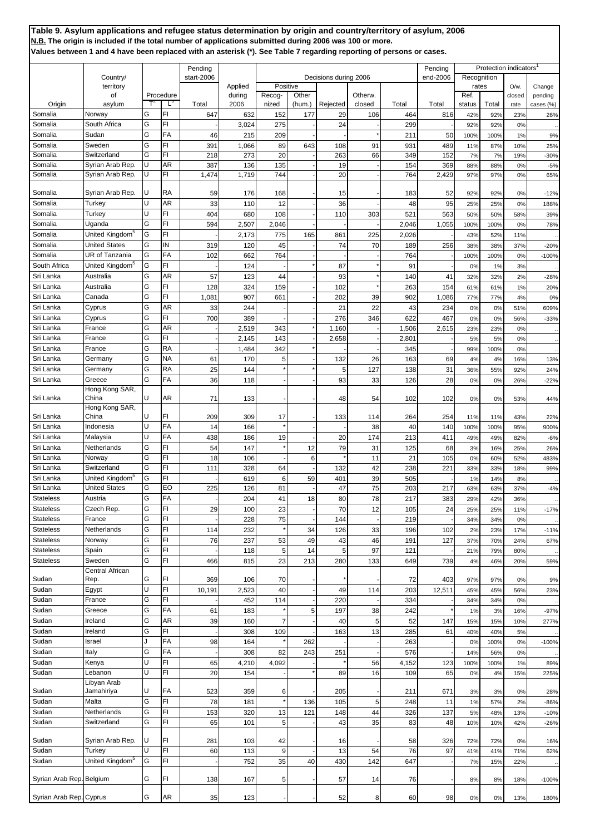|                          |                             |     |           | Pending    |         |                |        |                       |         |       | Pending  |                      | Protection indicators' |         |           |
|--------------------------|-----------------------------|-----|-----------|------------|---------|----------------|--------|-----------------------|---------|-------|----------|----------------------|------------------------|---------|-----------|
|                          | Country/<br>territory       |     |           | start-2006 | Applied | Positive       |        | Decisions during 2006 |         |       | end-2006 | Recognition<br>rates |                        | $O/w$ . | Change    |
|                          | of                          |     | Procedure |            | during  | Recog-         | Other  |                       | Otherw. |       |          | Ref.                 |                        | closed  | pending   |
| Origin                   | asylum                      |     | L.        | Total      | 2006    | nized          | (hum.) | Rejected              | closed  | Total | Total    | status               | Total                  | rate    | cases (%) |
| Somalia                  | Norway                      | G   | FI        | 647        | 632     | 152            | 177    | 29                    | 106     | 464   | 816      | 42%                  | 92%                    | 23%     | 26%       |
| Somalia                  | South Africa                | G   | FI        |            | 3,024   | 275            |        | 24                    |         | 299   |          | 92%                  | 92%                    | 0%      |           |
| Somalia                  | Sudan                       | G   | FA        | 46         | 215     | 209            |        |                       |         | 211   | 50       | 100%                 | 100%                   | 1%      | 9%        |
| Somalia                  | Sweden                      | G   | FI        | 391        | 1,066   | 89             | 643    | 108                   | 91      | 931   | 489      | 11%                  | 87%                    | 10%     | 25%       |
| Somalia                  | Switzerland                 | G   | FI        | 218        | 273     | 20             |        | 263                   | 66      | 349   | 152      | 7%                   | <b>7%</b>              | 19%     | $-30%$    |
| Somalia                  | Syrian Arab Rep.            | U   | AR        | 387        | 136     | 135            |        | 19                    |         | 154   | 369      | 88%                  | 88%                    | 0%      | $-5%$     |
| Somalia                  | Syrian Arab Rep.            | U   | FI        | 1,474      | 1,719   | 744            |        | 20                    |         | 764   | 2,429    | 97%                  | 97%                    | 0%      | 65%       |
|                          |                             |     |           |            |         |                |        |                       |         |       |          |                      |                        |         |           |
| Somalia                  | Syrian Arab Rep.            | IU. | <b>RA</b> | 59         | 176     | 168            |        | 15                    |         | 183   | 52       | 92%                  | 92%                    | 0%      | $-12%$    |
| Somalia                  | Turkey                      | U   | AR        | 33         | 110     | 12             |        | 36                    |         | 48    | 95       | 25%                  | 25%                    | 0%      | 188%      |
| Somalia                  | Turkey                      | U   | FI        | 404        | 680     | 108            |        | 110                   | 303     | 521   | 563      | 50%                  | 50%                    | 58%     | 39%       |
| Somalia                  | Uganda                      | G   | FI        | 594        | 2,507   | 2,046          |        |                       |         | 2,046 | 1,055    | 100%                 | 100%                   | 0%      | 78%       |
| Somalia                  | United Kingdom <sup>5</sup> | G   | FI        |            | 2,173   | 775            | 165    | 861                   | 225     | 2,026 |          | 43%                  | 52%                    | 11%     |           |
| Somalia                  | <b>United States</b>        | G   | IN        | 319        | 120     | 45             |        | 74                    | 70      | 189   | 256      | 38%                  | 38%                    | 37%     | $-20%$    |
| Somalia                  | <b>UR of Tanzania</b>       | G   | FA        | 102        | 662     | 764            |        |                       |         | 764   |          |                      | 100%                   | 0%      |           |
| South Africa             | United Kingdom <sup>5</sup> | G   | FI        |            |         |                |        |                       |         |       |          | 100%                 |                        |         | $-100%$   |
| Sri Lanka                | Australia                   | G   | AR        |            | 124     |                |        | 87                    |         | 91    |          | 0%                   | 1%                     | 3%      |           |
|                          |                             |     |           | 57         | 123     | 44             |        | 93                    |         | 140   | 41       | 32%                  | 32%                    | 2%      | $-28%$    |
| Sri Lanka                | Australia                   | G   | FI        | 128        | 324     | 159            |        | 102                   |         | 263   | 154      | 61%                  | 61%                    | 1%      | 20%       |
| Sri Lanka                | Canada                      | G   | FI        | 1,08'      | 907     | 661            |        | 202                   | 39      | 902   | 1,086    | 77%                  | <b>77%</b>             | 4%      | 0%        |
| Sri Lanka                | Cyprus                      | G   | AR        | 33         | 244     |                |        | 21                    | 22      | 43    | 234      | 0%                   | 0%                     | 51%     | 609%      |
| Sri Lanka                | Cyprus                      | G   | FI        | 700        | 389     |                |        | 276                   | 346     | 622   | 467      | 0%                   | 0%                     | 56%     | $-33%$    |
| Sri Lanka                | France                      | G   | AR        |            | 2,519   | 343            |        | 1,160                 |         | 1,506 | 2,615    | 23%                  | 23%                    | 0%      |           |
| Sri Lanka                | France                      | G   | FI        |            | 2,145   | 143            |        | 2,658                 |         | 2,801 |          | 5%                   | 5%                     | 0%      |           |
| Sri Lanka                | France                      | G   | <b>RA</b> |            | 1,484   | 342            |        |                       |         | 345   |          | 99%                  | 100%                   | 0%      |           |
| Sri Lanka                | Germany                     | G   | ΝA        | 61         | 170     | 5              |        | 132                   | 26      | 163   | 69       | 4%                   | 4%                     | 16%     | 13%       |
| Sri Lanka                | Germany                     | G   | RA        | 25         | 144     |                |        | 5                     | 127     | 138   | 31       | 36%                  | 55%                    | 92%     | 24%       |
| Sri Lanka                | Greece                      | G   | FA        | 36         | 118     |                |        | 93                    | 33      | 126   | 28       | 0%                   | 0%                     | 26%     | $-22%$    |
|                          | Hong Kong SAR,              |     |           |            |         |                |        |                       |         |       |          |                      |                        |         |           |
| Sri Lanka                | China                       | lU. | AR        | 71         | 133     |                |        | 48                    | 54      | 102   | 102      | 0%                   | 0%                     | 53%     | 44%       |
|                          | Hong Kong SAR,              |     |           |            |         |                |        |                       |         |       |          |                      |                        |         |           |
| Sri Lanka                | China                       | U   | FI        | 209        | 309     | 17             |        | 133                   | 114     | 264   | 254      | 11%                  | 11%                    | 43%     | 22%       |
| Sri Lanka                | Indonesia                   | U   | FA        | 14         | 166     |                |        |                       | 38      | 40    | 140      | 100%                 | 100%                   | 95%     | 900%      |
| Sri Lanka                | Malaysia                    | U   | FA        | 438        | 186     | 19             |        | 20                    | 174     | 213   | 411      | 49%                  | 49%                    | 82%     | $-6%$     |
| Sri Lanka                | Netherlands                 | G   | FI        | 54         | 147     |                | 12     | 79                    | 31      | 125   | 68       | 3%                   | 16%                    | 25%     | 26%       |
| Sri Lanka                | Norway                      | G   | FI        | 18         | 106     |                | 6      |                       | 11      | 21    | 105      | 0%                   | 60%                    | 52%     | 483%      |
| Sri Lanka                | Switzerland                 | G   | FI        | 111        | 328     | 64             |        | 132                   | 42      | 238   | 221      | 33%                  | 33%                    | 18%     | 99%       |
| Sri Lanka                | United Kingdom <sup>5</sup> | G   | FI        |            | 619     | 6              | 59     | 401                   | 39      | 505   |          | 1%                   | 14%                    | 8%      |           |
| Sri Lanka                | <b>United States</b>        | G   | EO        | 225        | 126     | 81             |        | 47                    | 75      | 203   | 217      | 63%                  | 63%                    | 37%     | $-4%$     |
| <b>Stateless</b>         | Austria                     | G   | FA        |            | 204     | 41             | 18     | 80                    | 78      | 217   | 383      | 29%                  | 42%                    | 36%     |           |
| <b>Stateless</b>         | Czech Rep.                  | G   | FI        | 29         | 100     | 23             |        | 70                    | 12      | 105   | 24       | 25%                  | 25%                    | 11%     | $-17%$    |
| <b>Stateless</b>         | France                      | G   | FI        |            | 228     | 75             |        | 144                   |         | 219   |          | 34%                  | 34%                    | 0%      |           |
| <b>Stateless</b>         | Netherlands                 | G   | FI        | 114        | 232     |                | 34     | 126                   | 33      | 196   | 102      | 2%                   | 23%                    | 17%     | $-11%$    |
| <b>Stateless</b>         | Norway                      | G   | FI        | 76         | 237     | 53             | 49     | 43                    | 46      | 191   | 127      | 37%                  | 70%                    | 24%     | 67%       |
| <b>Stateless</b>         | Spain                       | G   | FI        |            | 118     | 5              | 14     | 5                     | 97      | 121   |          | 21%                  | 79%                    | 80%     |           |
| <b>Stateless</b>         | Sweden                      | G   | FI        | 466        | 815     | 23             | 213    | 280                   | 133     | 649   | 739      | 4%                   | 46%                    | 20%     | 59%       |
|                          | Central African             |     |           |            |         |                |        |                       |         |       |          |                      |                        |         |           |
| Sudan                    | Rep.                        | G   | FI        | 369        | 106     | 70             |        |                       |         | 72    | 403      | 97%                  | 97%                    | 0%      | 9%        |
| Sudan                    | Egypt                       | U   | FI        | 10,191     | 2,523   | 40             |        | 49                    | 114     | 203   | 12,511   | 45%                  | 45%                    | 56%     | 23%       |
| Sudan                    | France                      | G   | FI        |            | 452     | 114            |        | 220                   |         | 334   |          | 34%                  | 34%                    | 0%      |           |
| Sudan                    | Greece                      | G   | FA        | 61         | 183     |                | 5      | 197                   | 38      | 242   |          | 1%                   | 3%                     | 16%     | $-97%$    |
| Sudan                    | Ireland                     | G   | AR        | 39         | 160     | $\overline{7}$ |        | 40                    | 5       | 52    | 147      | 15%                  | 15%                    | 10%     | 277%      |
| Sudan                    | Ireland                     | G   | FI        |            | 308     | 109            |        | 163                   | 13      | 285   | 61       | 40%                  | 40%                    | 5%      |           |
| Sudan                    | Israel                      | J   | FA        | 98         | 164     |                | 262    |                       |         | 263   |          | 0%                   | 100%                   | 0%      | $-100%$   |
| Sudan                    | Italy                       | G   | FA        |            | 308     | 82             | 243    | 251                   |         | 576   |          | 14%                  | 56%                    | 0%      |           |
| Sudan                    | Kenya                       | U   | FI        | 65         | 4,210   | 4,092          |        |                       | 56      | 4,152 | 123      | 100%                 | 100%                   | 1%      | 89%       |
| Sudan                    | Lebanon                     | U   | FI        | 20         | 154     |                |        | 89                    | 16      | 109   | 65       | 0%                   | 4%                     | 15%     | 225%      |
|                          | Libyan Arab                 |     |           |            |         |                |        |                       |         |       |          |                      |                        |         |           |
| Sudan                    | Jamahiriya                  | lU. | FA        | 523        | 359     | 6              |        | 205                   |         | 211   | 671      | 3%                   | 3%                     | 0%      | 28%       |
| Sudan                    | Malta                       | G   | FI        | 78         | 181     |                | 136    | 105                   | 5       | 248   | 11       | 1%                   | 57%                    | 2%      | $-86%$    |
| Sudan                    | Netherlands                 | G   | FI        | 153        | 320     | 13             | 121    | 148                   | 44      | 326   | 137      | 5%                   | 48%                    | 13%     | $-10%$    |
| Sudan                    | Switzerland                 | G   | FI        | 65         | 101     | 5              |        | 43                    | 35      | 83    | 48       | 10%                  | 10%                    | 42%     | $-26%$    |
|                          |                             |     |           |            |         |                |        |                       |         |       |          |                      |                        |         |           |
| Sudan                    | Syrian Arab Rep.            | lU  | FI        | 281        | 103     | 42             |        | 16                    |         | 58    | 326      | 72%                  | <b>72%</b>             | 0%      | 16%       |
| Sudan                    | Turkey                      | U   | FI        | 60         | 113     | $9\,$          |        | 13                    | 54      | 76    | 97       | 41%                  | 41%                    | 71%     | 62%       |
| Sudan                    | United Kingdom <sup>5</sup> | G   | FI        |            | 752     | 35             | 40     | 430                   | 142     | 647   |          | 7%                   | 15%                    | 22%     |           |
|                          |                             |     |           |            |         |                |        |                       |         |       |          |                      |                        |         |           |
| Syrian Arab Rep. Belgium |                             | G   | FI        | 138        | 167     | 5              |        | 57                    | 14      | 76    |          | 8%                   | 8%                     | 18%     | $-100%$   |
|                          |                             |     |           |            |         |                |        |                       |         |       |          |                      |                        |         |           |
| Syrian Arab Rep. Cyprus  |                             | G   | AR        | 35         | 123     |                |        | 52                    | 8       | 60    | 98       | 0%                   | 0%                     | 13%     | 180%      |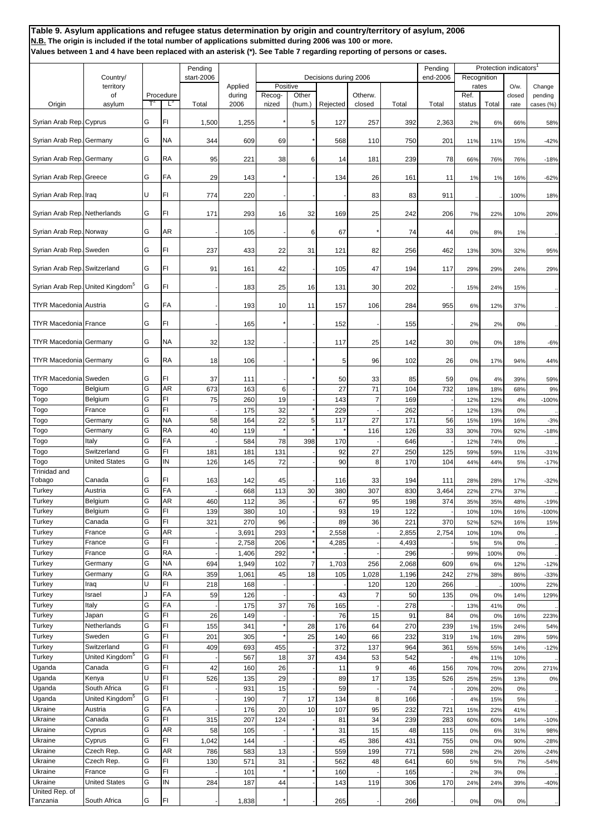**Table 9. Asylum applications and refugee status determination by origin and country/territory of asylum, 2006 N.B. The origin is included if the total number of applications submitted during 2006 was 100 or more. Values between 1 and 4 have been replaced with an asterisk (\*). See Table 7 regarding reporting of persons or cases.** Pending Protection indicators<br>
Pending Protection indicators<br>
Pending Protection indicators<br>
Pending Protection indicators<br>
Pending Protection indicators Country/ start-2006 becisions during 2006 end-2006 end-2006 end-2006 end-2006 applied Decisions during 2006 end-2006 territory **Applied Positive Reserve Reserve Reserve Reserve Reserve Reserve Reserve Reserve Reserve Reserve Re** of Procedure | during Recog- Other | Otherw. | Ref. Ref. | closed pending Origin asylum T<sup>2</sup> L<sup>3</sup> Total 2006 nized (hum.) Rejected closed Total Total status Total rate cases (%) Syrian Arab Rep. Cyprus G G FI 1 1,500 1,255 \* 5 127 257 392 2,363 2% 6% 66% 58% Syrian Arab Rep. Germany G NA 344 609 69 \* 568 110 750 201 11% 11% 15% -42% Syrian Arab Rep. Germany |G RA 95 221 38 6 14 181 239 78 66% 76% -18% Syrian Arab Rep. Greece G FA 29 143 \* - 134 26 161 11 1% 1% 16% -62% Syrian Arab Rep. Iraq U FI 774 220 - - - 83 83 911 .. .. 100% 18% Syrian Arab Rep. Netherlands G FI | 171 293 16 32 169 25 242 206 7% 22% 10% 20% Syrian Arab Rep. Norway  $\begin{vmatrix} G & |AR & -1 \\ 1 & 105 & -1 \end{vmatrix}$  6 67 \* 74 44 0% 8% 1% ... Syrian Arab Rep. Sweden G FI 237 433 22 31 121 82 256 462 13% 30% 32% 95 Syrian Arab Rep. Switzerland G FI 91 161 42 - 105 47 194 117 29% 29% 24% 29% Syrian Arab Rep. United Kingdom<sup>5</sup> G FI | 183 183 25 16 131 30 202 - 15% 24% 15% . TfYR Macedonia Austria (G FA | - 193 10 11 157 106 284 955 6% 12% 37% ... TfYR Macedonia France G FI - 165 \* - 152 - 155 - 2% 2% 0% .. TfYR Macedonia Germany G NA | 32 132 - 1 17 25 142 30 0% 0% 18% -6% TfYR Macedonia Germany G RA | 18 106 - \* 1 5 96 102 26 0% 17% 94% 44% TfYR Macedonia Sweden G FI 37 111 - \* 50 33 85 59 0% 4% 39% 59% Togo Belgium |G |AR | 673 | 163 | 6 - | 27 | 71 | 104 | 732 | 18% | 18% | 9% Togo Belgium G FI 75 260 19 - 143 7 169 - 12% 12% 4% -100% Togo Prance GPI - 175 32 \* 229 - 262 - 12% 13% 0% . Togo (Germany |G |NA | 58| 164| 22| 5| 117| 27| 171| 56| 15% 19% 16% -3% Togo Germany GRA 40 119 \* \* \* 116 126 33 30% 70% 92% -18% Togo Italy |G FA | - | 584 78 398 170 - 646 - 12% 74% 0% .. Togo Switzerland G FI 181 181 131 - 92 27 250 125 59% 59% 11% -31% Togo United States G IN 126 145 72 - 90 8 170 104 44% 44% 5% -17% Trinidad and Tobago Canada G FI 163 142 45 - 116 33 194 111 28% 28% 17% -32% Turkey Austria G FA - 668 113 30 380 307 830 3,464 22% 27% 37% .. Turkey Belgium C AR 460 112 36 - 67 95 198 374 35% 35% 48% -19% Turkey Belgium G FI 139 380 10 - 93 19 122 - 10% 10% 16% -100% Turkey Canada G FI 321 270 96 - 89 36 221 370 52% 52% 16% 15% Turkey France G AR - 3,691 293 \* 2,558 - 2,855 2,754 10% 10% 0% .. Turkey | France | G | FI | 2,758 | 206 \* | 4,285 - | 4,493 | - | 5% | 5% | 0% | ... Turkey France G RA - 1,406 292 \* - - 296 - 99% 100% 0% .. Turkey Cermany C NA 694 1,949 102 7 1,703 256 2,068 609 6% 6% 12% -12% Turkey Germany G RA 359 1,061 45 18 105 1,028 1,196 242 27% 38% 86% -33% Turkey |Iraq |U |FI | 218 | 168 - - 1 - 120 120 266 ... ...| 100% 22% Turkey |Israel |J |FA | 59 126 - 1 - 143 7 50 135 0% 0% 14% 129% Turkey ||taly |G ||FA || - || 175 || 37 || 76 || 165 || - || 278 || - || 13% 41% || 0% || - .. Turkey Japan G FI 26 149 - 76 15 91 84 0% 0% 16% 223% Turkey Netherlands G FI 155 341 \* 28 176 64 270 239 1% 15% 24% 54% Turkey Sweden G FI 201 305 \* 25 140 66 232 319 1% 16% 28% 59% Turkey Switzerland G FI 409 693 455 - 372 137 964 361 55% 55% 14% -12% Turkey United Kingdom<sup>5</sup> |G |FI | - -| 567 | 18 37 | 434 | 53 | 542 | -| 4% 11% 10% ... Uganda **Canada G FI 42 160 26 - 11 9 46 156** 70% 70% 20% 271% Uganda | Kenya | U FI | 526 | 135 | 29 - | 89 | 17 | 135 | 526 25% 25% 13% | 0% Uganda South Africa G FI | - 931 15 - 59 - 74 - 20% 20% 0% .. Uganda United Kingdom<sup>5</sup> G FI - 190 7 17 134 8 166 - 4% 15% 5% .. Ukraine | Austria | G | FA | - | 176 | 20 | 10 | 107 | 95 | 232 | 721 | 15% 22% | 41% ... Ukraine Canada G FI 315 207 124 - 81 34 239 283 60% 60% 14% -10% Ukraine Cyprus G AR 58 105 - \* 31 15 48 115 0% 6% 31% 98% Ukraine Cyprus G FI 1,042 144 - - 45 386 431 755 0% 0% 90% -28% Ukraine Czech Rep. G AR 786 583 13 - 559 199 771 598 2% 2% 26% -24% Ukraine Czech Rep. G FI 130 571 31 - 562 48 641 60 5% 5% 7% -54% Ukraine | France | G | FI | - | 101 \* | 160 - | 165 - | 2% 3% | 0% | ... Ukraine | United States | G | IN | 284 | 187 | 44 | - | 143 | 119 | 306 | 170 | 24% 24% | 39% | -40% United Rep. of Tanzania South Africa G FI - 1,838 \* - 265 - 266 - 0% 0% 0% ..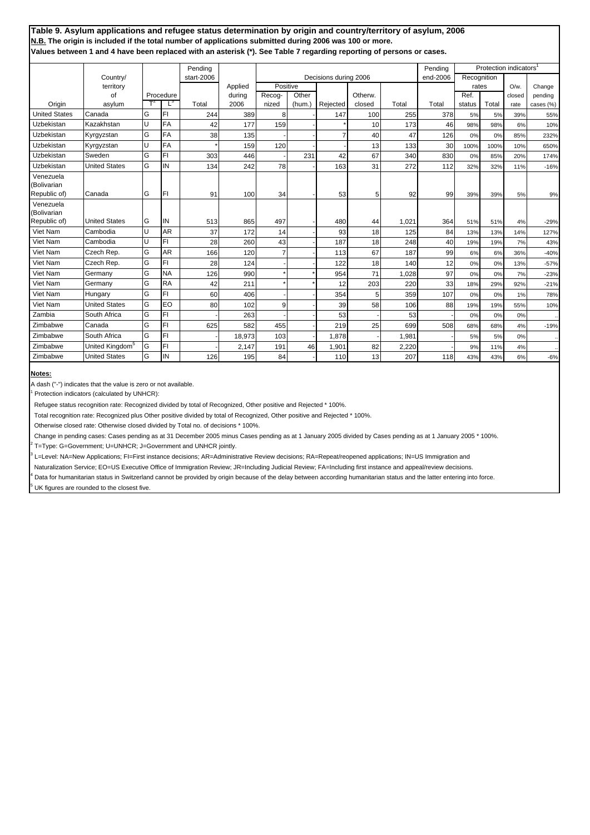|                                          |                             |         |                | Pending    |                |                |        |                       |         |       | Pending  |             | Protection indicators <sup>1</sup> |         |           |
|------------------------------------------|-----------------------------|---------|----------------|------------|----------------|----------------|--------|-----------------------|---------|-------|----------|-------------|------------------------------------|---------|-----------|
|                                          | Country/                    |         |                | start-2006 |                |                |        | Decisions during 2006 |         |       | end-2006 | Recognition |                                    |         |           |
|                                          | territory                   |         |                |            | Applied        | Positive       |        |                       |         |       |          | rates       |                                    | $O/w$ . | Change    |
|                                          | of                          |         | Procedure<br>Ľ | Total      | during<br>2006 | Recog-         | Other  |                       | Otherw. | Total | Total    | Ref.        | Total                              | closed  | pending   |
| Origin<br><b>United States</b>           | asylum<br>Canada            |         | FI             |            |                | nized          | (hum.) | Rejected              | closed  |       |          | status      |                                    | rate    | cases (%) |
|                                          |                             | G<br>lυ |                | 244        | 389            | 8              |        | 147                   | 100     | 255   | 378      | 5%          | 5%                                 | 39%     | 55%       |
| Uzbekistan                               | Kazakhstan                  |         | <b>FA</b>      | 42         | 177            | 159            |        |                       | 10      | 173   | 46       | 98%         | 98%                                | 6%      | 10%       |
| Uzbekistan                               | Kyrgyzstan                  | G       | <b>FA</b>      | 38         | 135            |                |        | $\overline{7}$        | 40      | 47    | 126      | 0%          | 0%                                 | 85%     | 232%      |
| Uzbekistan                               | Kyrgyzstan                  | IJ      | <b>FA</b>      |            | 159            | 120            |        |                       | 13      | 133   | 30       | 100%        | 100%                               | 10%     | 650%      |
| Uzbekistan                               | Sweden                      | G       | FI             | 303        | 446            |                | 231    | 42                    | 67      | 340   | 830      | 0%          | 85%                                | 20%     | 174%      |
| Uzbekistan                               | <b>United States</b>        | G       | IN             | 134        | 242            | 78             |        | 163                   | 31      | 272   | 112      | 32%         | 32%                                | 11%     | $-16%$    |
| Venezuela<br>(Bolivarian<br>Republic of) | Canada                      | G       | FI             | 91         | 100            | 34             |        | 53                    | 5       | 92    | 99       | 39%         | 39%                                | 5%      | 9%        |
| Venezuela<br>(Bolivarian<br>Republic of) | <b>United States</b>        | lG      | IN             | 513        | 865            | 497            |        | 480                   | 44      | 1,021 | 364      | 51%         | 51%                                | 4%      |           |
| Viet Nam                                 | Cambodia                    | IJ      | <b>AR</b>      |            | 172            |                |        |                       |         |       | 84       |             |                                    |         | $-29%$    |
| Viet Nam                                 |                             | IJ      | FI             | 37         |                | 14             |        | 93                    | 18      | 125   |          | 13%         | 13%                                | 14%     | 127%      |
|                                          | Cambodia                    |         |                | 28         | 260            | 43             |        | 187                   | 18      | 248   | 40       | 19%         | 19%                                | 7%      | 43%       |
| Viet Nam                                 | Czech Rep.                  | G       | <b>AR</b>      | 166        | 120            | $\overline{7}$ |        | 113                   | 67      | 187   | 99       | 6%          | 6%                                 | 36%     | $-40%$    |
| Viet Nam                                 | Czech Rep.                  | G       | FI             | 28         | 124            |                |        | 122                   | 18      | 140   | 12       | 0%          | 0%                                 | 13%     | $-57%$    |
| Viet Nam                                 | Germany                     | G       | <b>NA</b>      | 126        | 990            |                |        | 954                   | 71      | 1,028 | 97       | 0%          | 0%                                 | 7%      | $-23%$    |
| Viet Nam                                 | Germany                     | G       | <b>RA</b>      | 42         | 211            |                |        | 12                    | 203     | 220   | 33       | 18%         | 29%                                | 92%     | $-21%$    |
| Viet Nam                                 | Hungary                     | G       | FI             | 60         | 406            |                |        | 354                   | 5       | 359   | 107      | 0%          | 0%                                 | 1%      | 78%       |
| Viet Nam                                 | <b>United States</b>        | G       | EO             | 80         | 102            | 9              |        | 39                    | 58      | 106   | 88       | 19%         | 19%                                | 55%     | 10%       |
| Zambia                                   | South Africa                | G       | FI             |            | 263            |                |        | 53                    |         | 53    |          | 0%          | 0%                                 | 0%      |           |
| Zimbabwe                                 | Canada                      | G       | FI             | 625        | 582            | 455            |        | 219                   | 25      | 699   | 508      | 68%         | 68%                                | 4%      | $-19%$    |
| Zimbabwe                                 | South Africa                | G       | FI             |            | 18,973         | 103            |        | 1,878                 |         | 1,981 |          | 5%          | 5%                                 | 0%      | $\ddotsc$ |
| Zimbabwe                                 | United Kingdom <sup>5</sup> | G       | FI             |            | 2,147          | 191            | 46     | 1,901                 | 82      | 2,220 |          | 9%          | 11%                                | 4%      |           |
| Zimbabwe                                 | <b>United States</b>        | G       | IN             | 126        | 195            | 84             |        | 110                   | 13      | 207   | 118      | 43%         | 43%                                | 6%      | $-6%$     |

#### **Notes:**

A dash ("-") indicates that the value is zero or not available.

1 Protection indicators (calculated by UNHCR):

Refugee status recognition rate: Recognized divided by total of Recognized, Other positive and Rejected \* 100%.

Total recognition rate: Recognized plus Other positive divided by total of Recognized, Other positive and Rejected \* 100%.

Otherwise closed rate: Otherwise closed divided by Total no. of decisions \* 100%.

Change in pending cases: Cases pending as at 31 December 2005 minus Cases pending as at 1 January 2005 divided by Cases pending as at 1 January 2005 \* 100%.

2 T=Type: G=Government; U=UNHCR; J=Government and UNHCR jointly.

3 L=Level: NA=New Applications; FI=First instance decisions; AR=Administrative Review decisions; RA=Repeat/reopened applications; IN=US Immigration and

Naturalization Service; EO=US Executive Office of Immigration Review; JR=Including Judicial Review; FA=Including first instance and appeal/review decisions.

4 Data for humanitarian status in Switzerland cannot be provided by origin because of the delay between according humanitarian status and the latter entering into force. 5

UK figures are rounded to the closest five.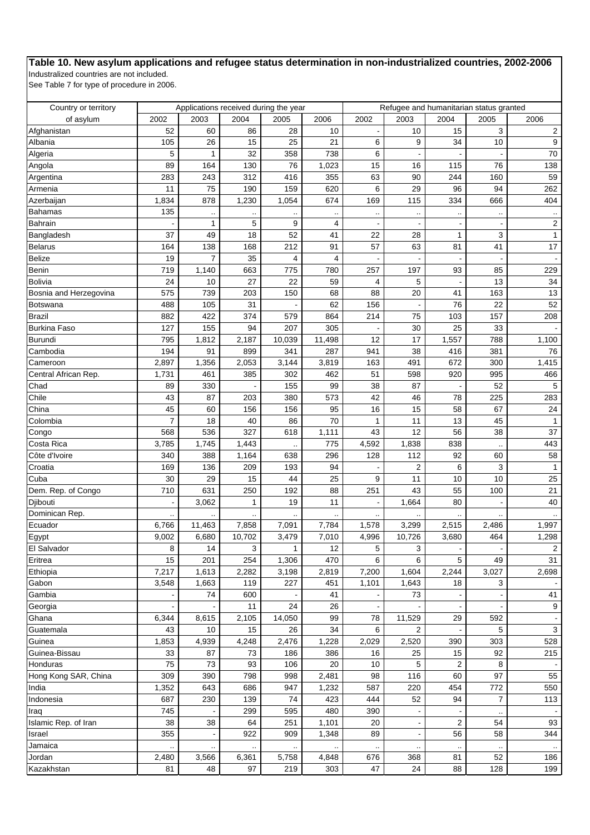# **Table 10. New asylum applications and refugee status determination in non-industrialized countries, 2002-2006**

Industralized countries are not included.

See Table 7 for type of procedure in 2006.

| Country or territory           |                          |                                      |        | Applications received during the year |                                        |       | Refugee and humanitarian status granted |                      |                            |                         |
|--------------------------------|--------------------------|--------------------------------------|--------|---------------------------------------|----------------------------------------|-------|-----------------------------------------|----------------------|----------------------------|-------------------------|
| of asylum                      | 2002                     | 2003                                 | 2004   | 2005                                  | 2006                                   | 2002  | 2003                                    | 2004                 | 2005                       | 2006                    |
| Afghanistan                    | 52                       | 60                                   | 86     | 28                                    | 10                                     |       | 10                                      | 15                   | 3                          | $\overline{2}$          |
| Albania                        | 105                      | 26                                   | 15     | 25                                    | 21                                     | 6     | 9                                       | 34                   | 10                         | 9                       |
| Algeria                        | 5                        | $\mathbf{1}$                         | 32     | 358                                   | 738                                    | 6     |                                         |                      |                            | $70\,$                  |
| Angola                         | 89                       | 164                                  | 130    | 76                                    | 1,023                                  | 15    | 16                                      | 115                  | 76                         | 138                     |
| Argentina                      | 283                      | 243                                  | 312    | 416                                   | 355                                    | 63    | 90                                      | 244                  | 160                        | 59                      |
| Armenia                        | 11                       | 75                                   | 190    | 159                                   | 620                                    | 6     | 29                                      | 96                   | 94                         | 262                     |
| Azerbaijan                     | 1,834                    | 878                                  | 1,230  | 1,054                                 | 674                                    | 169   | 115                                     | 334                  | 666                        | 404                     |
| <b>Bahamas</b>                 | 135                      |                                      |        |                                       |                                        |       |                                         |                      |                            |                         |
| Bahrain                        |                          | $\ddot{\phantom{0}}$<br>$\mathbf{1}$ | 5      | 9                                     | $\ddot{\phantom{0}}$<br>$\overline{4}$ | .,    |                                         | $\ddot{\phantom{0}}$ | $\ddotsc$                  | $\overline{\mathbf{c}}$ |
|                                | 37                       | 49                                   | 18     | 52                                    | 41                                     | 22    | 28                                      | $\mathbf{1}$         | 3                          | $\mathbf{1}$            |
| Bangladesh                     |                          | 138                                  | 168    | 212                                   | 91                                     | 57    |                                         | 81                   | 41                         |                         |
| Belarus                        | 164                      |                                      |        |                                       |                                        |       | 63                                      |                      |                            | 17                      |
| Belize                         | 19                       | $\overline{7}$                       | 35     | 4                                     | 4                                      |       |                                         |                      |                            |                         |
| Benin                          | 719                      | 1,140                                | 663    | 775                                   | 780                                    | 257   | 197                                     | 93                   | 85                         | 229                     |
| Bolivia                        | 24                       | 10                                   | 27     | 22                                    | 59                                     | 4     | 5                                       |                      | 13                         | 34                      |
| Bosnia and Herzegovina         | 575                      | 739                                  | 203    | 150                                   | 68                                     | 88    | 20                                      | 41                   | 163                        | 13                      |
| Botswana                       | 488                      | 105                                  | 31     |                                       | 62                                     | 156   |                                         | 76                   | 22                         | 52                      |
| <b>Brazil</b>                  | 882                      | 422                                  | 374    | 579                                   | 864                                    | 214   | 75                                      | 103                  | 157                        | 208                     |
| <b>Burkina Faso</b>            | 127                      | 155                                  | 94     | 207                                   | 305                                    |       | 30                                      | 25                   | 33                         |                         |
| <b>Burundi</b>                 | 795                      | 1,812                                | 2,187  | 10,039                                | 11,498                                 | 12    | 17                                      | 1,557                | 788                        | 1,100                   |
| Cambodia                       | 194                      | 91                                   | 899    | 341                                   | 287                                    | 941   | 38                                      | 416                  | 381                        | 76                      |
| Cameroon                       | 2,897                    | 1,356                                | 2,053  | 3,144                                 | 3,819                                  | 163   | 491                                     | 672                  | 300                        | 1,415                   |
| Central African Rep.           | 1,731                    | 461                                  | 385    | 302                                   | 462                                    | 51    | 598                                     | 920                  | 995                        | 466                     |
| Chad                           | 89                       | 330                                  |        | 155                                   | 99                                     | 38    | 87                                      |                      | 52                         | $\sqrt{5}$              |
| Chile                          | 43                       | 87                                   | 203    | 380                                   | 573                                    | 42    | 46                                      | 78                   | 225                        | 283                     |
| China                          | 45                       | 60                                   | 156    | 156                                   | 95                                     | 16    | 15                                      | 58                   | 67                         | 24                      |
| Colombia                       | $\overline{7}$           | 18                                   | 40     | 86                                    | 70                                     | 1     | 11                                      | 13                   | 45                         | $\mathbf{1}$            |
| Congo                          | 568                      | 536                                  | 327    | 618                                   | 1,111                                  | 43    | 12                                      | 56                   | 38                         | 37                      |
| Costa Rica                     | 3,785                    | 1,745                                | 1,443  |                                       | 775                                    | 4,592 | 1,838                                   | 838                  |                            | 443                     |
| Côte d'Ivoire                  | 340                      | 388                                  | 1,164  | 638                                   | 296                                    | 128   | 112                                     | 92                   | $\ddot{\phantom{a}}$<br>60 | 58                      |
| Croatia                        | 169                      | 136                                  | 209    | 193                                   | 94                                     |       | $\overline{2}$                          | 6                    | 3                          | $\mathbf{1}$            |
| Cuba                           | 30                       | 29                                   | 15     | 44                                    | 25                                     | 9     | 11                                      | 10                   | 10                         | 25                      |
|                                | 710                      | 631                                  |        | 192                                   | 88                                     |       | 43                                      | 55                   | 100                        | 21                      |
| Dem. Rep. of Congo<br>Diibouti |                          |                                      | 250    | 19                                    | 11                                     | 251   |                                         | 80                   |                            | 40                      |
|                                | $\overline{\phantom{a}}$ | 3,062                                | 1      |                                       |                                        |       | 1,664                                   |                      |                            |                         |
| Dominican Rep.                 | $\ddotsc$                |                                      |        |                                       |                                        |       |                                         |                      |                            |                         |
| Ecuador                        | 6,766                    | 11,463                               | 7,858  | 7,091                                 | 7,784                                  | 1,578 | 3,299                                   | 2,515                | 2,486                      | 1,997                   |
| Egypt                          | 9,002                    | 6,680                                | 10,702 | 3,479                                 | 7,010                                  | 4,996 | 10,726                                  | 3,680                | 464                        | 1,298                   |
| El Salvador                    | 8                        | 14                                   | 3      | $\mathbf{1}$                          | 12                                     | 5     | 3                                       |                      |                            | $\mathcal{P}$           |
| Eritrea                        | 15                       | 201                                  | 254    | 1,306                                 | 470                                    | 6     | 6                                       | 5                    | 49                         | 31                      |
| Ethiopia                       | 7,217                    | 1,613                                | 2,282  | 3,198                                 | 2,819                                  | 7,200 | 1,604                                   | 2,244                | 3,027                      | 2,698                   |
| Gabon                          | 3,548                    | 1,663                                | 119    | 227                                   | 451                                    | 1,101 | 1,643                                   | 18                   | 3                          |                         |
| Gambia                         |                          | 74                                   | 600    |                                       | 41                                     |       | 73                                      |                      |                            | 41                      |
| Georgia                        |                          |                                      | 11     | 24                                    | 26                                     |       |                                         |                      |                            | 9                       |
| Ghana                          | 6,344                    | 8,615                                | 2,105  | 14,050                                | 99                                     | 78    | 11,529                                  | 29                   | 592                        |                         |
| Guatemala                      | 43                       | 10                                   | 15     | 26                                    | 34                                     | 6     | 2                                       |                      | 5                          | $\sqrt{3}$              |
| Guinea                         | 1,853                    | 4,939                                | 4,248  | 2,476                                 | 1,228                                  | 2,029 | 2,520                                   | 390                  | 303                        | 528                     |
| Guinea-Bissau                  | 33                       | 87                                   | 73     | 186                                   | 386                                    | 16    | 25                                      | 15                   | 92                         | 215                     |
| Honduras                       | 75                       | 73                                   | 93     | 106                                   | 20                                     | 10    | 5                                       | 2                    | 8                          |                         |
| Hong Kong SAR, China           | 309                      | 390                                  | 798    | 998                                   | 2,481                                  | 98    | 116                                     | 60                   | 97                         | 55                      |
| India                          | 1,352                    | 643                                  | 686    | 947                                   | 1,232                                  | 587   | 220                                     | 454                  | 772                        | 550                     |
| Indonesia                      | 687                      | 230                                  | 139    | 74                                    | 423                                    | 444   | 52                                      | 94                   | $\overline{7}$             | 113                     |
| Iraq                           | 745                      |                                      | 299    | 595                                   | 480                                    | 390   |                                         |                      |                            |                         |
| Islamic Rep. of Iran           | 38                       | 38                                   | 64     | 251                                   | 1,101                                  | 20    |                                         | $\overline{2}$       | 54                         | 93                      |
| Israel                         | 355                      |                                      | 922    | 909                                   | 1,348                                  | 89    |                                         | 56                   | 58                         | 344                     |
| Jamaica                        |                          |                                      |        |                                       |                                        |       |                                         |                      |                            |                         |
| Jordan                         | $\ddotsc$<br>2,480       | 3,566                                | 6,361  | 5,758                                 | 4,848                                  | 676   | 368                                     | 81                   | 52                         | 186                     |
| Kazakhstan                     | 81                       | 48                                   | 97     | 219                                   | 303                                    | 47    | 24                                      | 88                   | 128                        | 199                     |
|                                |                          |                                      |        |                                       |                                        |       |                                         |                      |                            |                         |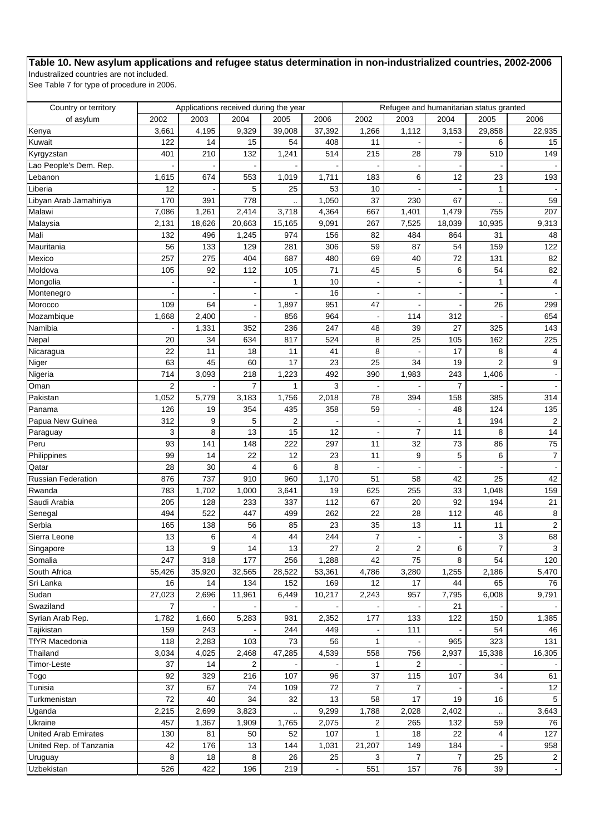# **Table 10. New asylum applications and refugee status determination in non-industrialized countries, 2002-2006**

Industralized countries are not included.

See Table 7 for type of procedure in 2006.

| Country or territory        |                          |        | Applications received during the year |        |        |                |                | Refugee and humanitarian status granted |                      |                |
|-----------------------------|--------------------------|--------|---------------------------------------|--------|--------|----------------|----------------|-----------------------------------------|----------------------|----------------|
| of asylum                   | 2002                     | 2003   | 2004                                  | 2005   | 2006   | 2002           | 2003           | 2004                                    | 2005                 | 2006           |
| Kenya                       | 3,661                    | 4,195  | 9,329                                 | 39,008 | 37,392 | 1,266          | 1,112          | 3,153                                   | 29,858               | 22,935         |
| Kuwait                      | 122                      | 14     | 15                                    | 54     | 408    | 11             |                |                                         | 6                    | 15             |
| Kyrgyzstan                  | 401                      | 210    | 132                                   | 1,241  | 514    | 215            | 28             | 79                                      | 510                  | 149            |
| Lao People's Dem. Rep.      |                          |        |                                       |        |        |                |                |                                         |                      |                |
| Lebanon                     | 1,615                    | 674    | 553                                   | 1,019  | 1,711  | 183            | 6              | 12                                      | 23                   | 193            |
| Liberia                     | 12                       |        | 5                                     | 25     | 53     | 10             |                |                                         | $\mathbf{1}$         |                |
| Libyan Arab Jamahiriya      | 170                      | 391    | 778                                   |        | 1,050  | 37             | 230            | 67                                      |                      | 59             |
| Malawi                      | 7,086                    | 1,261  | 2,414                                 | 3,718  | 4,364  | 667            | 1,401          | 1,479                                   | 755                  | 207            |
| Malaysia                    | 2,131                    | 18,626 | 20,663                                | 15,165 | 9,091  | 267            | 7,525          | 18,039                                  | 10,935               | 9,313          |
| Mali                        | 132                      | 496    | 1,245                                 | 974    | 156    | 82             | 484            | 864                                     | 31                   | 48             |
| Mauritania                  | 56                       | 133    | 129                                   | 281    | 306    | 59             | 87             | 54                                      | 159                  | 122            |
| Mexico                      | 257                      | 275    | 404                                   | 687    | 480    | 69             | 40             | 72                                      | 131                  | 82             |
| Moldova                     | 105                      | 92     | 112                                   | 105    | 71     | 45             | 5              | 6                                       | 54                   | 82             |
| Mongolia                    |                          |        |                                       | 1      | 10     |                |                |                                         | 1                    | 4              |
| Montenegro                  |                          |        |                                       |        | 16     |                |                |                                         |                      |                |
| Morocco                     | 109                      | 64     |                                       | 1,897  | 951    | 47             |                |                                         | 26                   | 299            |
| Mozambique                  | 1,668                    | 2,400  |                                       | 856    | 964    |                | 114            | 312                                     |                      | 654            |
| Namibia                     |                          | 1,331  | 352                                   | 236    | 247    | 48             | 39             | 27                                      | 325                  | 143            |
| Nepal                       | 20                       | 34     | 634                                   | 817    | 524    | 8              | 25             | 105                                     | 162                  | 225            |
| Nicaragua                   | 22                       | 11     | 18                                    | 11     | 41     | 8              |                | 17                                      | 8                    | 4              |
| Niger                       | 63                       | 45     | 60                                    | 17     | 23     | 25             | 34             | 19                                      | $\overline{2}$       | 9              |
| Nigeria                     | 714                      | 3,093  | 218                                   | 1,223  | 492    | 390            | 1,983          | 243                                     | 1,406                | $\blacksquare$ |
| Oman                        | $\overline{2}$           |        | 7                                     | 1      | 3      |                |                | $\overline{7}$                          |                      |                |
| Pakistan                    | 1,052                    | 5,779  | 3,183                                 | 1,756  | 2,018  | 78             | 394            | 158                                     | 385                  | 314            |
| Panama                      | 126                      | 19     | 354                                   | 435    | 358    | 59             |                | 48                                      | 124                  | 135            |
| Papua New Guinea            | 312                      | 9      | 5                                     | 2      |        |                |                | $\mathbf{1}$                            | 194                  | $\overline{2}$ |
| Paraguay                    | 3                        | 8      | 13                                    | 15     | 12     |                | $\overline{7}$ | 11                                      | 8                    | 14             |
| Peru                        | 93                       | 141    | 148                                   | 222    | 297    | 11             | 32             | 73                                      | 86                   | 75             |
| Philippines                 | 99                       | 14     | 22                                    | 12     | 23     | 11             | 9              | 5                                       | 6                    | $\overline{7}$ |
| Qatar                       | 28                       | 30     | 4                                     | 6      | 8      |                |                |                                         |                      |                |
| Russian Federation          | 876                      | 737    | 910                                   | 960    | 1,170  | 51             | 58             | 42                                      | 25                   | 42             |
| Rwanda                      | 783                      | 1,702  | 1,000                                 | 3,641  | 19     | 625            | 255            | 33                                      | 1,048                | 159            |
| Saudi Arabia                | 205                      | 128    | 233                                   | 337    | 112    | 67             | 20             | 92                                      | 194                  | 21             |
| Senegal                     | 494                      | 522    | 447                                   | 499    | 262    | 22             | 28             | 112                                     | 46                   | 8              |
| Serbia                      | 165                      | 138    | 56                                    | 85     | 23     | 35             | 13             | 11                                      | 11                   | $\overline{2}$ |
| Sierra Leone                | 13                       | 6      | 4                                     | 44     | 244    | $\overline{7}$ |                |                                         | 3                    | 68             |
| Singapore                   | 13                       | 9      | 14                                    | 13     | 27     | $\sqrt{2}$     | $\sqrt{2}$     | 6                                       | $\overline{7}$       | $\mathbf{3}$   |
| Somalia                     | 247                      | 318    | 177                                   | 256    | 1,288  | 42             | 75             | 8                                       | 54                   | 120            |
| South Africa                | 55,426                   | 35,920 | 32,565                                | 28,522 | 53,361 | 4,786          | 3,280          | 1,255                                   | 2,186                | 5,470          |
| Sri Lanka                   | 16                       | 14     | 134                                   | 152    | 169    | 12             | 17             | 44                                      | 65                   | 76             |
|                             |                          |        |                                       |        |        |                |                |                                         |                      |                |
| Sudan                       | 27,023<br>$\overline{7}$ | 2,696  | 11,961                                | 6,449  | 10,217 | 2,243          | 957            | 7,795                                   | 6,008                | 9,791          |
| Swaziland                   |                          |        |                                       |        |        |                |                | 21                                      |                      |                |
| Syrian Arab Rep.            | 1,782                    | 1,660  | 5,283                                 | 931    | 2,352  | 177            | 133            | 122                                     | 150<br>54            | 1,385          |
| Tajikistan                  | 159                      | 243    |                                       | 244    | 449    |                | 111            |                                         |                      | 46             |
| <b>TfYR Macedonia</b>       | 118                      | 2,283  | 103                                   | 73     | 56     | 1              |                | 965                                     | 323                  | 131            |
| Thailand                    | 3,034                    | 4,025  | 2,468                                 | 47,285 | 4,539  | 558            | 756            | 2,937                                   | 15,338               | 16,305         |
| Timor-Leste                 | 37                       | 14     | 2                                     |        |        | 1              | 2              |                                         |                      |                |
| Togo                        | 92                       | 329    | 216                                   | 107    | 96     | 37             | 115            | 107                                     | 34                   | 61             |
| Tunisia                     | 37                       | 67     | 74                                    | 109    | 72     | $\overline{7}$ | $\overline{7}$ |                                         |                      | 12             |
| Turkmenistan                | 72                       | 40     | 34                                    | 32     | 13     | 58             | 17             | 19                                      | 16                   | 5              |
| Uganda                      | 2,215                    | 2,699  | 3,823                                 |        | 9,299  | 1,788          | 2,028          | 2,402                                   | $\ddot{\phantom{0}}$ | 3,643          |
| Ukraine                     | 457                      | 1,367  | 1,909                                 | 1,765  | 2,075  | $\overline{2}$ | 265            | 132                                     | 59                   | 76             |
| <b>United Arab Emirates</b> | 130                      | 81     | 50                                    | 52     | 107    | 1              | 18             | 22                                      | 4                    | 127            |
| United Rep. of Tanzania     | 42                       | 176    | 13                                    | 144    | 1,031  | 21,207         | 149            | 184                                     |                      | 958            |
| Uruguay                     | 8                        | 18     | 8                                     | 26     | 25     | 3              | $\overline{7}$ | $\overline{7}$                          | 25                   | $\overline{a}$ |
| Uzbekistan                  | 526                      | 422    | 196                                   | 219    |        | 551            | 157            | 76                                      | 39                   |                |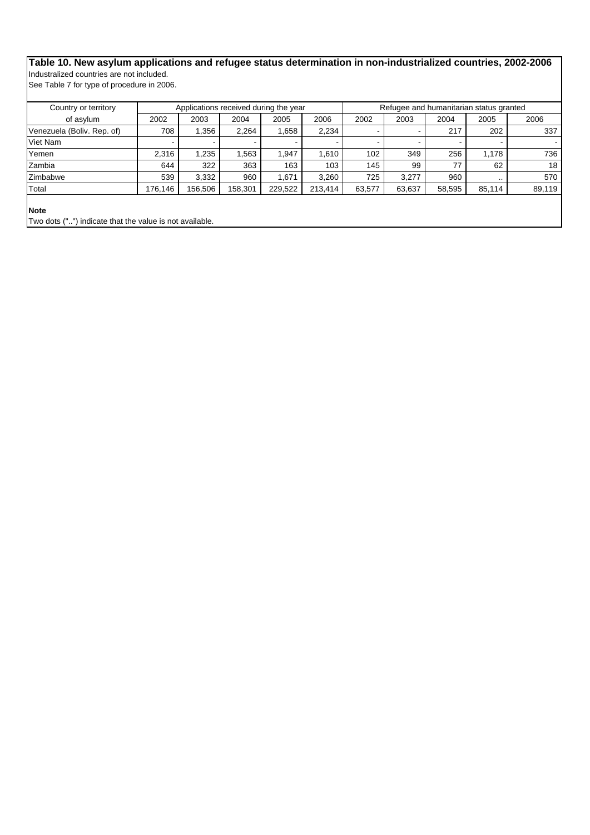# **Table 10. New asylum applications and refugee status determination in non-industrialized countries, 2002-2006** Industralized countries are not included.

See Table 7 for type of procedure in 2006.

| Country or territory                                                   |         |         |         | Applications received during the year |         |        |        |        | Refugee and humanitarian status granted |        |
|------------------------------------------------------------------------|---------|---------|---------|---------------------------------------|---------|--------|--------|--------|-----------------------------------------|--------|
| of asylum                                                              | 2002    | 2003    | 2004    | 2005                                  | 2006    | 2002   | 2003   | 2004   | 2005                                    | 2006   |
| Venezuela (Boliv. Rep. of)                                             | 708     | 356. ا  | 2,264   | 1.658                                 | 2,234   |        |        | 217    | 202                                     | 337    |
| Viet Nam                                                               |         |         |         |                                       |         |        |        |        |                                         |        |
| Yemen                                                                  | 2.316   | 1.235   | .563    | .947                                  | 1.610   | 102    | 349    | 256    | 1.178                                   | 736    |
| Zambia                                                                 | 644     | 322     | 363     | 163                                   | 103     | 145    | 99     | 77     | 62                                      | 18     |
| Zimbabwe                                                               | 539     | 3,332   | 960     | .671                                  | 3.260   | 725    | 3.277  | 960    | $\cdots$                                | 570    |
| Total                                                                  | 176.146 | 156,506 | 158,301 | 229,522                               | 213,414 | 63,577 | 63,637 | 58,595 | 85,114                                  | 89,119 |
| <b>Note</b><br>Two dots ("") indicate that the value is not available. |         |         |         |                                       |         |        |        |        |                                         |        |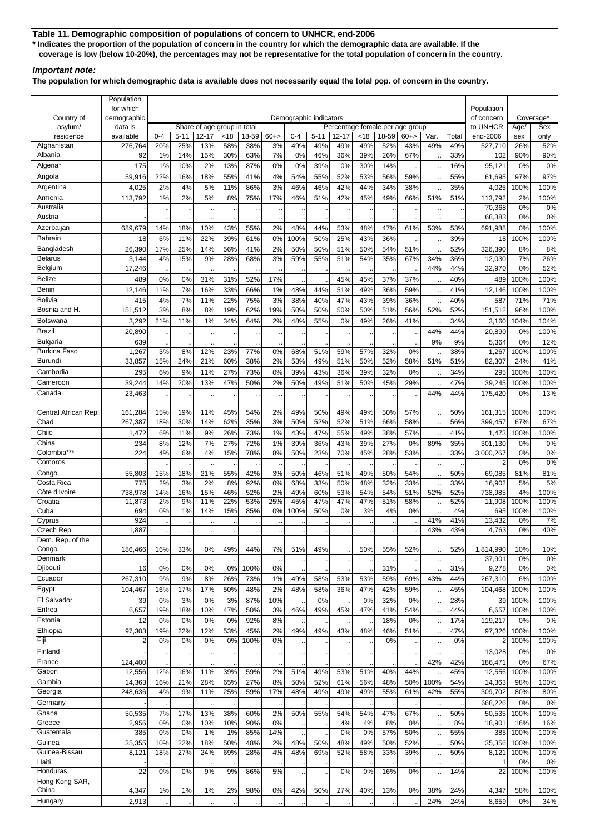**Table 11. Demographic composition of populations of concern to UNHCR, end-2006 \* Indicates the proportion of the population of concern in the country for which the demographic data are available. If the coverage is low (below 10-20%), the percentages may not be representative for the total population of concern in the country.**

## *Important note:*

**The population for which demographic data is available does not necessarily equal the total pop. of concern in the country.**

|                                        | Population<br>for which |                |                 |                             |            | Demographic indicators |             |                |                 |                   |            |              |                                 |             |              |                          |             |             |
|----------------------------------------|-------------------------|----------------|-----------------|-----------------------------|------------|------------------------|-------------|----------------|-----------------|-------------------|------------|--------------|---------------------------------|-------------|--------------|--------------------------|-------------|-------------|
| Country of                             | demographic             |                |                 |                             |            |                        |             |                |                 |                   |            |              |                                 |             |              | Population<br>of concern |             | Coverage*   |
| asylum/                                | data is                 |                |                 | Share of age group in total |            |                        |             |                |                 |                   |            |              | Percentage female per age group |             |              | to UNHCR                 | Age/        | Sex         |
| residence<br>Afghanistan               | available<br>276,764    | $0 - 4$<br>20% | $5 - 11$<br>25% | $12 - 17$<br>13%            | <18<br>58% | 18-59<br>38%           | $60+$<br>3% | $0 - 4$<br>49% | $5 - 11$<br>49% | $12 - 17$<br>49%  | <18<br>49% | 18-59<br>52% | $60+$<br>43%                    | Var.<br>49% | Total<br>49% | end-2006<br>527,710      | sex<br>26%  | only<br>52% |
| Albania                                | 92                      | 1%             | 14%             | 15%                         | 30%        | 63%                    | 7%          | 0%             | 46%             | 36%               | 39%        | 26%          | 67%                             |             | 33%          | 102                      | 90%         | 90%         |
| Algeria <sup>®</sup>                   | 175                     | 1%             | 10%             | 2%                          | 13%        | 87%                    | 0%          | 0%             | 39%             | 0%                | 30%        | 14%          |                                 |             | 16%          | 95,121                   | 0%          | 0%          |
| Angola                                 | 59,916                  | 22%            | 16%             | 18%                         | 55%        | 41%                    | 4%          | 54%            | 55%             | 52%               | 53%        | 56%          | 59%                             |             | 55%          | 61,695                   | 97%         | 97%         |
| Argentina                              | 4,025                   | 2%             | 4%              | 5%                          | 11%        | 86%                    | 3%          | 46%            | 46%             | 42%               | 44%        | 34%          | 38%                             |             | 35%          | 4,025                    | 100%        | 100%        |
| Armenia                                | 113,792                 | 1%             | 2%              | 5%                          | 8%         | 75%                    | 17%         | 46%            | 51%             | 42%               | 45%        | 49%          | 66%                             | 51%         | 51%          | 113,792                  | 2%          | 100%        |
| Australia                              |                         |                |                 |                             |            |                        |             |                |                 |                   |            |              |                                 |             |              | 70,368                   | 0%          | 0%          |
| Austria                                |                         |                |                 |                             |            |                        |             |                |                 |                   |            |              |                                 |             |              | 68,383                   | 0%          | 0%          |
| Azerbaijan                             | 689,679                 | 14%            | 18%             | 10%                         | 43%        | 55%                    | 2%          | 48%            | 44%             | 53%               | 48%        | 47%          | 61%                             | 53%         | 53%          | 691,988                  | 0%          | 100%        |
| Bahrain<br>Bangladesh                  | 18<br>26,390            | 6%<br>17%      | 11%<br>25%      | 22%<br>14%                  | 39%<br>56% | 61%<br>41%             | 0%<br>2%    | 100%<br>50%    | 50%<br>50%      | 25%<br>51%        | 43%<br>50% | 36%<br>54%   | 51%                             |             | 39%<br>52%   | 18<br>326,390            | 100%<br>8%  | 100%<br>8%  |
| <b>Belarus</b>                         | 3,144                   | 4%             | 15%             | 9%                          | 28%        | 68%                    | 3%          | 59%            | 55%             | 51%               | 54%        | 35%          | 67%                             | 34%         | 36%          | 12,030                   | 7%          | 26%         |
| Belgium                                | 17,246                  |                |                 |                             |            |                        |             |                |                 |                   |            |              |                                 | 44%         | 44%          | 32,970                   | 0%          | 52%         |
| <b>Belize</b>                          | 489                     | 0%             | 0%              | 31%                         | 31%        | 52%                    | 17%         |                |                 | 45%               | 45%        | 37%          | 37%                             |             | 40%          | 489                      | 100%        | 100%        |
| Benin                                  | 12,146                  | 11%            | 7%              | 16%                         | 33%        | 66%                    | 1%          | 48%            | 44%             | 51%               | 49%        | 36%          | 59%                             |             | 41%          | 12,146                   | 100%        | 100%        |
| Bolivia                                | 415                     | 4%             | 7%              | 11%                         | 22%        | 75%                    | 3%          | 38%            | 40%             | 47%               | 43%        | 39%          | 36%                             |             | 40%          | 587                      | 71%         | 71%         |
| Bosnia and H.                          | 151,512                 | 3%             | 8%              | 8%                          | 19%        | 62%                    | 19%         | 50%            | 50%             | 50%               | 50%        | 51%          | 56%                             | 52%         | 52%          | 151,512                  | 96%         | 100%        |
| Botswana                               | 3,292                   | 21%            | 11%             | 1%                          | 34%        | 64%                    | 2%          | 48%            | 55%             | 0%                | 49%        | 26%          | 41%                             |             | 34%          | 3,160                    | 104%        | 104%        |
| <b>Brazil</b>                          | 20,890                  |                |                 |                             |            |                        |             |                |                 |                   |            |              |                                 | 44%         | 44%          | 20,890                   | 0%          | 100%        |
| <b>Bulgaria</b><br><b>Burkina Faso</b> | 639                     | 3%             |                 |                             |            |                        | 0%          |                |                 |                   |            |              | 0%                              | 9%          | 9%           | 5,364                    | 0%          | 12%<br>100% |
| <b>Burundi</b>                         | 1,267<br>33,857         | 15%            | 8%<br>24%       | 12%<br>21%                  | 23%<br>60% | 77%<br>38%             | 2%          | 68%<br>53%     | 51%<br>49%      | 59%<br>51%        | 57%<br>50% | 32%<br>52%   | 58%                             | 51%         | 38%<br>51%   | 1,267<br>82,307          | 100%<br>24% | 41%         |
| Cambodia                               | 295                     | 6%             | 9%              | 11%                         | 27%        | 73%                    | 0%          | 39%            | 43%             | 36%               | 39%        | 32%          | 0%                              |             | 34%          | 295                      | 100%        | 100%        |
| Cameroon                               | 39,244                  | 14%            | 20%             | 13%                         | 47%        | 50%                    | 2%          | 50%            | 49%             | 51%               | 50%        | 45%          | 29%                             |             | 47%          | 39,245                   | 100%        | 100%        |
| Canada                                 | 23,463                  |                |                 |                             |            |                        |             |                |                 |                   |            |              |                                 | 44%         | 44%          | 175,420                  | 0%          | 13%         |
|                                        |                         |                |                 |                             |            |                        |             |                |                 |                   |            |              |                                 |             |              |                          |             |             |
| Central African Rep.                   | 161,284                 | 15%            | 19%             | 11%                         | 45%        | 54%                    | 2%          | 49%            | 50%             | 49%               | 49%        | 50%          | 57%                             |             | 50%          | 161,315                  | 100%        | 100%        |
| Chad                                   | 267,387                 | 18%            | 30%             | 14%                         | 62%        | 35%                    | 3%          | 50%            | 52%             | 52%               | 51%        | 66%          | 58%                             |             | 56%          | 399,457                  | 67%         | 67%         |
| Chile                                  | 1,472                   | 6%             | 11%             | 9%                          | 26%        | 73%                    | 1%          | 43%            | 47%             | 55%               | 49%        | 38%          | 57%                             |             | 41%          | 1,473                    | 100%        | 100%        |
| China<br>Colombia***                   | 234<br>224              | 8%<br>4%       | 12%<br>6%       | 7%<br>4%                    | 27%<br>15% | 72%<br>78%             | 1%<br>8%    | 39%<br>50%     | 36%<br>23%      | 43%<br><b>70%</b> | 39%<br>45% | 27%<br>28%   | 0%<br>53%                       | 89%         | 35%<br>33%   | 301,130<br>3,000,267     | 0%<br>0%    | 0%<br>0%    |
| Comoros                                |                         |                |                 |                             |            |                        |             |                |                 |                   |            |              |                                 |             |              | $\overline{2}$           | 0%          | 0%          |
| Congo                                  | 55,803                  | 15%            | 18%             | 21%                         | 55%        | 42%                    | 3%          | 50%            | 46%             | 51%               | 49%        | 50%          | 54%                             |             | 50%          | 69,085                   | 81%         | 81%         |
| Costa Rica                             | 775                     | 2%             | 3%              | 2%                          | 8%         | 92%                    | 0%          | 68%            | 33%             | 50%               | 48%        | 32%          | 33%                             |             | 33%          | 16,902                   | 5%          | 5%          |
| Côte d'Ivoire                          | 738,978                 | 14%            | 16%             | 15%                         | 46%        | 52%                    | 2%          | 49%            | 60%             | 53%               | 54%        | 54%          | 51%                             | 52%         | 52%          | 738,985                  | 4%          | 100%        |
| Croatia<br>Cuba                        | 11,873                  | 2%             | 9%              | 11%                         | 22%        | 53%                    | 25%         | 45%            | 47%             | 47%               | 47%        | 51%          | 58%                             |             | 52%          | 11,908                   | 100%        | 100%        |
| Cyprus                                 | 694<br>924              | 0%             | 1%              | 14%                         | 15%        | 85%                    | 0%          | 100%           | 50%             | 0%                | 3%         | 4%           | 0%                              | 41%         | 4%<br>41%    | 695<br>13,432            | 100%<br>0%  | 100%<br>7%  |
| Czech Rep.                             | 1,887                   |                |                 |                             |            |                        |             |                |                 |                   |            |              |                                 | 43%         | 43%          | 4,763                    | 0%          | 40%         |
| Dem. Rep. of the                       |                         |                |                 |                             |            |                        |             |                |                 |                   |            |              |                                 |             |              |                          |             |             |
| Congo                                  | 186,466                 | 16%            | 33%             | 0%                          | 49%        | 44%                    | 7%          | 51%            | 49%             |                   | 50%        | 55%          | 52%                             |             | 52%          | 1,814,990                | 10%         | 10%         |
| Denmark<br>Djibouti                    | 16                      | 0%             | 0%              | 0%                          | 0%         | 100%                   | 0%          |                |                 |                   |            | 31%          |                                 |             | 31%          | 37,901                   | 0%<br>0%    | 0%          |
| Ecuador                                | 267,310                 | 9%             | 9%              | 8%                          | 26%        | 73%                    | 1%          | 49%            | 58%             | 53%               | 53%        | 59%          | 69%                             | 43%         | 44%          | 9,278<br>267,310         | 6%          | 0%<br>100%  |
| Egypt                                  | 104,467                 | 16%            | 17%             | 17%                         | 50%        | 48%                    | 2%          | 48%            | 58%             | 36%               | 47%        | 42%          | 59%                             |             | 45%          | 104,468                  | 100%        | 100%        |
| El Salvador                            | 39                      | 0%             | 3%              | 0%                          | 3%         | 87%                    | 10%         |                | 0%              |                   | 0%         | 32%          | 0%                              |             | 28%          | 39                       | 100%        | 100%        |
| Eritrea                                | 6,657                   | 19%            | 18%             | 10%                         | 47%        | 50%                    | 3%          | 46%            | 49%             | 45%               | 47%        | 41%          | 54%                             |             | 44%          | 6,657                    | 100%        | 100%        |
| Estonia                                | 12                      | 0%             | 0%              | 0%                          | 0%         | 92%                    | 8%          |                |                 |                   |            | 18%          | 0%                              |             | 17%          | 119,217                  | 0%          | 0%          |
| Ethiopia                               | 97,303                  | 19%            | 22%             | 12%                         | 53%        | 45%                    | 2%          | 49%            | 49%             | 43%               | 48%        | 46%          | 51%                             |             | 47%          | 97,326                   | 100%        | 100%        |
| Fiji                                   |                         | 0%             | 0%              | 0%                          | 0%         | 100%                   | 0%          |                |                 |                   |            | 0%           |                                 |             | 0%           | 2                        | 100%        | 100%        |
| Finland                                |                         |                |                 |                             |            |                        |             |                |                 |                   |            |              |                                 |             |              | 13,028                   | 0%          | 0%          |
| France                                 | 124,400                 |                |                 |                             |            |                        |             |                |                 |                   |            |              |                                 | 42%         | 42%          | 186,471                  | 0%          | 67%         |
| Gabon                                  | 12,556                  | 12%            | 16%             | 11%                         | 39%        | 59%                    | 2%          | 51%            | 49%             | 53%               | 51%        | 40%          | 44%                             |             | 45%          | 12,556                   | 100%        | 100%        |
| Gambia<br>Georgia                      | 14,363<br>248,636       | 16%<br>4%      | 21%<br>9%       | 28%<br>11%                  | 65%<br>25% | 27%<br>59%             | 8%<br>17%   | 50%<br>48%     | 52%<br>49%      | 61%<br>49%        | 56%<br>49% | 48%<br>55%   | 50%<br>61%                      | 100%<br>42% | 54%<br>55%   | 14,363<br>309,702        | 98%<br>80%  | 100%<br>80% |
| Germany                                |                         |                |                 |                             |            |                        |             |                |                 |                   |            |              |                                 |             |              | 668,226                  | 0%          | $0\%$       |
| Ghana                                  | 50,535                  | 7%             | 17%             | 13%                         | 38%        | 60%                    | 2%          | 50%            | 55%             | 54%               | 54%        | 47%          | 67%                             |             | 50%          | 50,535                   | 100%        | 100%        |
| Greece                                 | 2,956                   | 0%             | 0%              | 10%                         | 10%        | 90%                    | 0%          |                |                 | 4%                | 4%         | 8%           | 0%                              |             | 8%           | 18,901                   | 16%         | 16%         |
| Guatemala                              | 385                     | 0%             | 0%              | 1%                          | 1%         | 85%                    | 14%         |                |                 | 0%                | 0%         | 57%          | 50%                             |             | 55%          | 385                      | 100%        | 100%        |
| Guinea                                 | 35,355                  | 10%            | 22%             | 18%                         | 50%        | 48%                    | 2%          | 48%            | 50%             | 48%               | 49%        | 50%          | 52%                             |             | 50%          | 35,356                   | 100%        | 100%        |
| Guinea-Bissau                          | 8,121                   | 18%            | 27%             | 24%                         | 69%        | 28%                    | 4%          | 48%            | 69%             | 52%               | 58%        | 33%          | 39%                             |             | 50%          | 8,121                    | 100%        | 100%        |
| Haiti<br>Honduras                      | 22                      | 0%             | 0%              | 9%                          | 9%         | 86%                    | 5%          |                |                 | 0%                | 0%         | 16%          | 0%                              |             | 14%          | 22                       | 0%<br>100%  | $0\%$       |
| Hong Kong SAR,                         |                         |                |                 |                             |            |                        |             |                |                 |                   |            |              |                                 |             |              |                          |             | 100%        |
| China                                  | 4,347                   | 1%             | 1%              | 1%                          | 2%         | 98%                    | 0%          | 42%            | 50%             | 27%               | 40%        | 13%          | 0%                              | 38%         | 24%          | 4,347                    | 58%         | 100%        |
| Hungary                                | 2,913                   |                |                 |                             |            |                        |             |                |                 |                   |            |              |                                 | 24%         | 24%          | 8,659                    | 0%          | 34%         |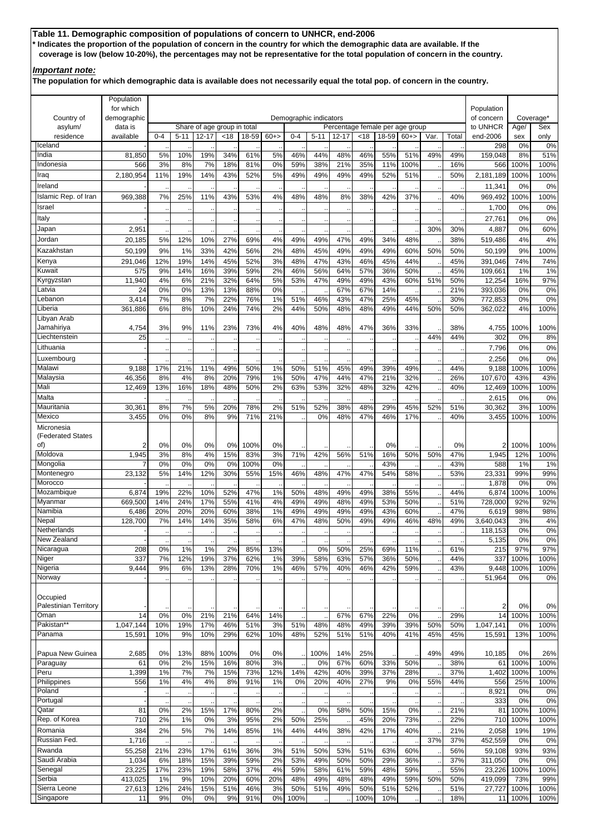# **Table 11. Demographic composition of populations of concern to UNHCR, end-2006 \* Indicates the proportion of the population of concern in the country for which the demographic data are available. If the coverage is low (below 10-20%), the percentages may not be representative for the total population of concern in the country.**

### *Important note:*

**The population for which demographic data is available does not necessarily equal the total pop. of concern in the country.**

|                              | Population               |            |            |                             |            |             |           |                        |            |            |                                 |            |            |      |            |                          |              |              |
|------------------------------|--------------------------|------------|------------|-----------------------------|------------|-------------|-----------|------------------------|------------|------------|---------------------------------|------------|------------|------|------------|--------------------------|--------------|--------------|
| Country of                   | for which<br>demographic |            |            |                             |            |             |           | Demographic indicators |            |            |                                 |            |            |      |            | Population<br>of concern |              | Coverage*    |
| asylum/                      | data is                  |            |            | Share of age group in total |            |             |           |                        |            |            | Percentage female per age group |            |            |      |            | to UNHCR                 | Age/         | Sex          |
| residence                    | available                | $0 - 4$    | $5 - 11$   | $12 - 17$                   | < 18       | 18-59       | $60+$     | $0 - 4$                | $5 - 11$   | $12 - 17$  | <18                             | 18-59      | $60+$      | Var. | Total      | end-2006                 | sex          | only         |
| Iceland<br>India             |                          |            |            | 19%                         | 34%        | 61%         |           | 46%                    |            | 48%        |                                 | 55%        | 51%        | 49%  |            | 298                      | 0%<br>8%     | 0%<br>51%    |
| Indonesia                    | 81,850<br>566            | 5%<br>3%   | 10%<br>8%  | 7%                          | 18%        | 81%         | 5%<br>0%  | 59%                    | 44%<br>38% | 21%        | 46%<br>35%                      | 11%        | 100%       |      | 49%<br>16% | 159,048<br>566           | 100%         | 100%         |
| Iraq                         | 2,180,954                | 11%        | 19%        | 14%                         | 43%        | 52%         | 5%        | 49%                    | 49%        | 49%        | 49%                             | 52%        | 51%        |      | 50%        | 2,181,189                | 100%         | 100%         |
| Ireland                      |                          |            |            |                             |            |             |           |                        |            |            |                                 |            |            |      |            | 11,341                   | 0%           | 0%           |
| Islamic Rep. of Iran         | 969,388                  | 7%         | 25%        | 11%                         | 43%        | 53%         | 4%        | 48%                    | 48%        | 8%         | 38%                             | 42%        | 37%        |      | 40%        | 969,492                  | 100%         | 100%         |
| Israel                       |                          |            |            |                             |            |             |           |                        |            |            |                                 |            |            |      |            | 1,700                    | 0%           | 0%           |
| Italy                        |                          |            |            |                             |            |             |           |                        |            |            |                                 |            |            |      |            | 27,761                   | 0%           | 0%           |
| Japan                        | 2,951                    |            |            |                             |            |             |           |                        |            |            |                                 |            |            | 30%  | 30%        | 4,887                    | 0%           | 60%          |
| Jordan                       | 20,185                   | 5%         | 12%        | 10%                         | 27%        | 69%         | 4%        | 49%                    | 49%        | 47%        | 49%                             | 34%        | 48%        |      | 38%        | 519,486                  | 4%           | 4%           |
| Kazakhstan<br>Kenya          | 50,199<br>291,046        | 9%<br>12%  | 1%<br>19%  | 33%<br>14%                  | 42%<br>45% | 56%<br>52%  | 2%<br>3%  | 48%<br>48%             | 45%<br>47% | 49%<br>43% | 49%<br>46%                      | 49%<br>45% | 60%<br>44% | 50%  | 50%<br>45% | 50,199<br>391,046        | 9%<br>74%    | 100%<br>74%  |
| Kuwait                       | 575                      | 9%         | 14%        | 16%                         | 39%        | 59%         | 2%        | 46%                    | 56%        | 64%        | 57%                             | 36%        | 50%        |      | 45%        | 109,661                  | 1%           | 1%           |
| Kyrgyzstan                   | 11,940                   | 4%         | 6%         | 21%                         | 32%        | 64%         | 5%        | 53%                    | 47%        | 49%        | 49%                             | 43%        | 60%        | 51%  | 50%        | 12,254                   | 16%          | 97%          |
| Latvia                       | 24                       | 0%         | 0%         | 13%                         | 13%        | 88%         | 0%        |                        |            | 67%        | 67%                             | 14%        |            |      | 21%        | 393,036                  | 0%           | 0%           |
| Lebanon                      | 3,414                    | 7%         | 8%         | 7%                          | 22%        | 76%         | 1%        | 51%                    | 46%        | 43%        | 47%                             | 25%        | 45%        |      | 30%        | 772,853                  | 0%           | 0%           |
| Liberia<br>Libyan Arab       | 361,886                  | 6%         | 8%         | 10%                         | 24%        | 74%         | 2%        | 44%                    | 50%        | 48%        | 48%                             | 49%        | 44%        | 50%  | 50%        | 362,022                  | 4%           | 100%         |
| Jamahiriya                   | 4,754                    | 3%         | 9%         | 11%                         | 23%        | 73%         | 4%        | 40%                    | 48%        | 48%        | 47%                             | 36%        | 33%        |      | 38%        | 4,755                    | 100%         | 100%         |
| Liechtenstein                | 25                       |            |            |                             |            |             |           |                        |            |            |                                 |            |            | 44%  | 44%        | 302                      | 0%           | 8%           |
| Lithuania                    |                          |            |            |                             |            |             |           |                        |            |            |                                 |            |            |      |            | 7,796                    | 0%           | 0%           |
| Luxembourg                   |                          |            |            |                             |            |             |           |                        |            |            |                                 |            |            |      |            | 2,256                    | 0%           | 0%           |
| Malawi                       | 9,188                    | 17%        | 21%        | 11%                         | 49%        | 50%         | 1%        | 50%                    | 51%        | 45%        | 49%                             | 39%        | 49%        |      | 44%        | 9,188                    | 100%         | 100%         |
| Malaysia                     | 46,356                   | 8%         | 4%         | 8%                          | 20%        | 79%         | 1%        | 50%                    | 47%        | 44%        | 47%                             | 21%        | 32%        |      | 26%        | 107,670                  | 43%          | 43%          |
| Mali<br>Malta                | 12,469                   | 13%        | 16%        | 18%                         | 48%        | 50%         | 2%        | 63%                    | 53%        | 32%        | 48%                             | 32%        | 42%        |      | 40%        | 12,469<br>2,615          | 100%<br>0%   | 100%<br>0%   |
| Mauritania                   | 30,361                   | 8%         | 7%         | 5%                          | 20%        | 78%         | 2%        | 51%                    | 52%        | 38%        | 48%                             | 29%        | 45%        | 52%  | 51%        | 30,362                   | 3%           | 100%         |
| Mexico                       | 3,455                    | 0%         | 0%         | 8%                          | 9%         | 71%         | 21%       |                        | 0%         | 48%        | 47%                             | 46%        | 17%        |      | 40%        | 3,455                    | 100%         | 100%         |
| Micronesia                   |                          |            |            |                             |            |             |           |                        |            |            |                                 |            |            |      |            |                          |              |              |
| (Federated States            |                          |            |            |                             |            |             |           |                        |            |            |                                 |            |            |      |            |                          |              |              |
| of)<br>Moldova               | 2<br>1,945               | 0%<br>3%   | 0%<br>8%   | 0%<br>4%                    | 0%<br>15%  | 100%<br>83% | 0%<br>3%  | 71%                    | 42%        | 56%        | 51%                             | 0%<br>16%  | 50%        | 50%  | 0%<br>47%  | 2<br>1,945               | 100%<br>12%  | 100%<br>100% |
| Mongolia                     |                          | 0%         | 0%         | 0%                          | 0%         | 100%        | 0%        |                        |            |            |                                 | 43%        |            |      | 43%        | 588                      | 1%           | 1%           |
| Montenegro                   | 23,132                   | 5%         | 14%        | 12%                         | 30%        | 55%         | 15%       | 46%                    | 48%        | 47%        | 47%                             | 54%        | 58%        |      | 53%        | 23,331                   | 99%          | 99%          |
| Morocco                      |                          |            |            |                             |            |             |           |                        |            |            |                                 |            |            |      |            | 1,878                    | 0%           | 0%           |
| Mozambique                   | 6,874                    | 19%        | 22%        | 10%                         | 52%        | 47%         | 1%        | 50%                    | 48%        | 49%        | 49%                             | 38%        | 55%        |      | 44%        | 6,874                    | 100%         | 100%         |
| Myanmar<br>Namibia           | 669,500<br>6,486         | 14%<br>20% | 24%<br>20% | 17%<br>20%                  | 55%<br>60% | 41%<br>38%  | 4%<br>1%  | 49%<br>49%             | 49%<br>49% | 48%<br>49% | 49%<br>49%                      | 53%<br>43% | 50%<br>60% |      | 51%<br>47% | 728,000<br>6,619         | 92%<br>98%   | 92%<br>98%   |
| Nepal                        | 128,700                  | 7%         | 14%        | 14%                         | 35%        | 58%         | 6%        | 47%                    | 48%        | 50%        | 49%                             | 49%        | 46%        | 48%  | 49%        | 3,640,043                | 3%           | 4%           |
| Netherlands                  |                          |            |            |                             |            |             |           |                        |            |            |                                 |            |            |      |            | 118,153                  | 0%           | 0%           |
| New Zealand                  |                          |            |            |                             |            |             |           |                        |            |            |                                 |            |            |      |            | 5,135                    | $0\%$        | $0\%$        |
| Nicaragua                    | 208                      | 0%         | 1%         | 1%                          | 2%         | 85%         | 13%       |                        | 0%         | 50%        | 25%                             | 69%        | 11%        |      | 61%        | 215                      | 97%          | 97%          |
| Niger<br>Nigeria             | 337<br>9,444             | 7%<br>9%   | 12%<br>6%  | 19%<br>13%                  | 37%<br>28% | 62%<br>70%  | 1%<br>1%  | 39%<br>46%             | 58%<br>57% | 63%<br>40% | 57%<br>46%                      | 36%<br>42% | 50%<br>59% |      | 44%<br>43% | 337<br>9,448             | 100%<br>100% | 100%<br>100% |
| Norway                       |                          |            |            |                             |            |             |           |                        |            |            |                                 |            |            |      |            | 51,964                   | 0%           | $0\%$        |
|                              |                          |            |            |                             |            |             |           |                        |            |            |                                 |            |            |      |            |                          |              |              |
| Occupied                     |                          |            |            |                             |            |             |           |                        |            |            |                                 |            |            |      |            |                          |              |              |
| <b>Palestinian Territory</b> |                          |            |            |                             |            |             |           |                        |            |            |                                 |            |            |      |            | 2                        | 0%           | 0%           |
| Oman<br>Pakistan**           | 14<br>1,047,144          | 0%<br>10%  | 0%<br>19%  | 21%<br>17%                  | 21%<br>46% | 64%<br>51%  | 14%<br>3% | 51%                    | 48%        | 67%<br>48% | 67%<br>49%                      | 22%<br>39% | 0%<br>39%  | 50%  | 29%<br>50% | 14<br>1,047,141          | 100%<br>0%   | 100%<br>100% |
| Panama                       | 15,591                   | 10%        | 9%         | 10%                         | 29%        | 62%         | 10%       | 48%                    | 52%        | 51%        | 51%                             | 40%        | 41%        | 45%  | 45%        | 15,591                   | 13%          | 100%         |
|                              |                          |            |            |                             |            |             |           |                        |            |            |                                 |            |            |      |            |                          |              |              |
| Papua New Guinea             | 2,685                    | 0%         | 13%        | 88%                         | 100%       | 0%          | 0%        |                        | 100%       | 14%        | 25%                             |            |            | 49%  | 49%        | 10,185                   | 0%           | 26%          |
| Paraguay                     | 61                       | 0%         | 2%         | 15%                         | 16%        | 80%         | 3%        |                        | 0%         | 67%        | 60%                             | 33%        | 50%        |      | 38%        | 61                       | 100%         | 100%         |
| Peru<br>Philippines          | 1,399                    | 1%         | 7%         | 7%                          | 15%        | 73%         | 12%       | 14%                    | 42%        | 40%        | 39%                             | 37%        | 28%        |      | 37%        | 1,402                    | 100%         | 100%         |
| Poland                       | 556                      | 1%         | 4%         | 4%                          | 8%         | 91%         | 1%        | 0%                     | 20%        | 40%        | 27%                             | 9%         | 0%         | 55%  | 44%        | 556<br>8,921             | 25%<br>0%    | 100%<br>0%   |
| Portugal                     |                          |            |            |                             |            |             |           |                        |            |            |                                 |            |            |      |            | 333                      | 0%           | 0%           |
| Qatar                        | 81                       | 0%         | 2%         | 15%                         | 17%        | 80%         | 2%        |                        | 0%         | 58%        | 50%                             | 15%        | 0%         |      | 21%        | 81                       | 100%         | 100%         |
| Rep. of Korea                | 710                      | 2%         | 1%         | 0%                          | 3%         | 95%         | 2%        | 50%                    | 25%        |            | 45%                             | 20%        | 73%        |      | 22%        | 710                      | 100%         | 100%         |
| Romania                      | 384                      | 2%         | 5%         | 7%                          | 14%        | 85%         | 1%        | 44%                    | 44%        | 38%        | 42%                             | 17%        | 40%        |      | 21%        | 2,058                    | 19%          | 19%          |
| Russian Fed.                 | 1,716                    |            |            |                             |            |             |           |                        |            |            |                                 |            |            | 37%  | 37%        | 452,559                  | 0%           | 0%           |
| Rwanda<br>Saudi Arabia       | 55,258<br>1,034          | 21%<br>6%  | 23%<br>18% | 17%<br>15%                  | 61%<br>39% | 36%<br>59%  | 3%<br>2%  | 51%<br>53%             | 50%<br>49% | 53%<br>50% | 51%<br>50%                      | 63%<br>29% | 60%<br>36% |      | 56%<br>37% | 59,108<br>311,050        | 93%<br>0%    | 93%<br>$0\%$ |
| Senegal                      | 23,225                   | 17%        | 23%        | 19%                         | 58%        | 37%         | 4%        | 59%                    | 58%        | 61%        | 59%                             | 48%        | 59%        |      | 55%        | 23,226                   | 100%         | 100%         |
| Serbia                       | 413,025                  | 1%         | 9%         | 10%                         | 20%        | 60%         | 20%       | 48%                    | 49%        | 48%        | 48%                             | 49%        | 59%        | 50%  | 50%        | 419,099                  | 73%          | 99%          |
| Sierra Leone                 | 27,613                   | 12%        | 24%        | 15%                         | 51%        | 46%         | 3%        | 50%                    | 51%        | 49%        | 50%                             | 51%        | 52%        |      | 51%        | 27,727                   | 100%         | 100%         |
| Singapore                    | 11                       | 9%         | 0%         | 0%                          | 9%         | 91%         | 0%        | 100%                   |            |            | 100%                            | 10%        |            |      | 18%        | 11                       | 100%         | 100%         |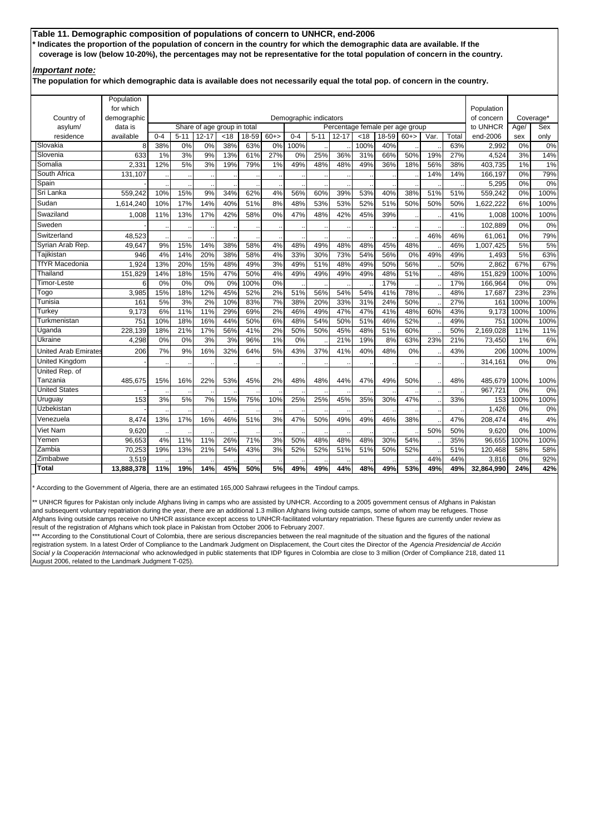# **Table 11. Demographic composition of populations of concern to UNHCR, end-2006 \* Indicates the proportion of the population of concern in the country for which the demographic data are available. If the coverage is low (below 10-20%), the percentages may not be representative for the total population of concern in the country.**

### *Important note:*

**The population for which demographic data is available does not necessarily equal the total pop. of concern in the country.**

|                       | Population<br>for which |         |                                                                                |                                          |      |       |       |                        |          |                                              |      |       |        |      |       | Population             |             |                  |
|-----------------------|-------------------------|---------|--------------------------------------------------------------------------------|------------------------------------------|------|-------|-------|------------------------|----------|----------------------------------------------|------|-------|--------|------|-------|------------------------|-------------|------------------|
| Country of            |                         |         |                                                                                |                                          |      |       |       |                        |          |                                              |      |       |        |      |       |                        |             |                  |
|                       | demographic<br>data is  |         |                                                                                |                                          |      |       |       | Demographic indicators |          |                                              |      |       |        |      |       | of concern<br>to UNHCR |             | Coverage*<br>Sex |
| asylum/<br>residence  | available               | $0 - 4$ | $5 - 11$                                                                       | Share of age group in total<br>$12 - 17$ | < 18 | 18-59 | $60+$ | $0 - 4$                | $5 - 11$ | Percentage female per age group<br>$12 - 17$ | < 18 | 18-59 | $60+>$ | Var. | Total | end-2006               | Age/<br>sex | only             |
| Slovakia              | 8                       | 38%     | 0%                                                                             | 0%                                       | 38%  | 63%   | 0%    | 100%                   |          |                                              | 100% | 40%   |        |      | 63%   | 2.992                  | 0%          | 0%               |
| Slovenia              | 633                     | 1%      | 3%                                                                             | 9%                                       | 13%  | 61%   | 27%   | 0%                     | 25%      | 36%                                          | 31%  | 66%   | 50%    | 19%  | 27%   | 4,524                  | 3%          | 14%              |
| Somalia               | 2,331                   | 12%     | 5%                                                                             | 3%                                       | 19%  | 79%   | 1%    | 49%                    | 48%      | 48%                                          | 49%  | 36%   | 18%    | 56%  | 38%   | 403,735                | 1%          | 1%               |
| South Africa          | 131,107                 |         |                                                                                |                                          |      |       |       |                        |          |                                              |      |       |        | 14%  | 14%   | 166,197                | 0%          | 79%              |
| Spain                 |                         |         |                                                                                |                                          |      |       |       |                        |          |                                              |      |       |        |      |       | 5,295                  | 0%          | 0%               |
| Sri Lanka             | 559.242                 | 10%     | 15%                                                                            | 9%                                       | 34%  | 62%   | 4%    | 56%                    | 60%      | 39%                                          | 53%  | 40%   | 38%    | 51%  | 51%   | 559.242                | 0%          | 100%             |
| Sudan                 | 1,614,240               | 10%     | 17%                                                                            | 14%                                      | 40%  | 51%   | 8%    | 48%                    | 53%      | 53%                                          | 52%  | 51%   | 50%    | 50%  | 50%   | 1,622,222              | 6%          | 100%             |
| Swaziland             | 1,008                   | 11%     | 13%                                                                            | 17%                                      | 42%  | 58%   | 0%    | 47%                    | 48%      | 42%                                          | 45%  | 39%   |        |      | 41%   | 1,008                  | 100%        | 100%             |
| Sweden                |                         |         |                                                                                |                                          |      |       |       |                        |          |                                              |      |       |        |      |       | 102,889                | 0%          | 0%               |
| Switzerland           | 48.523                  |         | 46%                                                                            |                                          |      |       |       |                        |          |                                              |      |       |        |      |       | 61.061                 | 0%          | 79%              |
| Syrian Arab Rep.      | 49.647                  | 9%      | 48%<br>15%<br>14%<br>58%<br>4%<br>48%<br>45%<br>38%<br>49%<br>48%<br>48%       |                                          |      |       |       |                        |          |                                              |      |       |        |      |       | 1,007,425              | 5%          | 5%               |
| Tajikistan            | 946                     | 4%      | 14%<br>20%<br>38%<br>58%<br>4%<br>33%<br>30%<br>73%<br>56%<br>0%<br>49%<br>54% |                                          |      |       |       |                        |          |                                              |      |       |        |      |       | 1,493                  | 5%          | 63%              |
| <b>TfYR Macedonia</b> | 1,924                   | 13%     | 20%                                                                            | 15%                                      | 48%  | 50%   | 2,862 | 67%                    | 67%      |                                              |      |       |        |      |       |                        |             |                  |
| Thailand              | 151,829                 | 14%     | 18%                                                                            | 15%                                      | 47%  | 50%   | 4%    | 49%                    | 49%      | 49%                                          | 49%  | 48%   | 51%    |      | 48%   | 151,829                | 100%        | 100%             |
| Timor-Leste           | 6                       | 0%      | 0%                                                                             | 0%                                       | 0%   | 100%  | 0%    |                        |          |                                              |      | 17%   |        |      | 17%   | 166,964                | 0%          | 0%               |
| Togo                  | 3,985                   | 15%     | 18%                                                                            | 12%                                      | 45%  | 52%   | 2%    | 51%                    | 56%      | 54%                                          | 54%  | 41%   | 78%    |      | 48%   | 17,687                 | 23%         | 23%              |
| Tunisia               | 161                     | 5%      | 3%                                                                             | 2%                                       | 10%  | 83%   | 7%    | 38%                    | 20%      | 33%                                          | 31%  | 24%   | 50%    |      | 27%   | 161                    | 100%        | 100%             |
| Turkev                | 9,173                   | 6%      | 11%                                                                            | 11%                                      | 29%  | 69%   | 2%    | 46%                    | 49%      | 47%                                          | 47%  | 41%   | 48%    | 60%  | 43%   | 9,173                  | 100%        | 100%             |
| Turkmenistan          | 751                     | 10%     | 18%                                                                            | 16%                                      | 44%  | 50%   | 6%    | 48%                    | 54%      | 50%                                          | 51%  | 46%   | 52%    |      | 49%   | 751                    | 100%        | 100%             |
| Uganda                | 228.139                 | 18%     | 21%                                                                            | 17%                                      | 56%  | 41%   | 2%    | 50%                    | 50%      | 45%                                          | 48%  | 51%   | 60%    |      | 50%   | 2.169.028              | 11%         | 11%              |
| Ukraine               | 4.298                   | 0%      | 0%                                                                             | 3%                                       | 3%   | 96%   | 1%    | 0%                     |          | 21%                                          | 19%  | 8%    | 63%    | 23%  | 21%   | 73.450                 | 1%          | 6%               |
| United Arab Emirates  | 206                     | 7%      | 9%                                                                             | 16%                                      | 32%  | 64%   | 5%    | 43%                    | 37%      | 41%                                          | 40%  | 48%   | 0%     |      | 43%   | 206                    | 100%        | 100%             |
| United Kingdom        |                         |         |                                                                                |                                          |      |       |       |                        |          |                                              |      |       |        |      |       | 314,161                | 0%          | 0%               |
| United Rep. of        |                         |         |                                                                                |                                          |      |       |       |                        |          |                                              |      |       |        |      |       |                        |             |                  |
| Tanzania              | 485,675                 | 15%     | 16%                                                                            | 22%                                      | 53%  | 45%   | 2%    | 48%                    | 48%      | 44%                                          | 47%  | 49%   | 50%    |      | 48%   | 485,679                | 100%        | 100%             |
| <b>United States</b>  |                         |         |                                                                                |                                          |      |       |       |                        |          |                                              |      |       |        |      |       | 967,721                | 0%          | 0%               |
| Uruguay               | 153                     | 3%      | 5%                                                                             | 7%                                       | 15%  | 75%   | 10%   | 25%                    | 25%      | 45%                                          | 35%  | 30%   | 47%    |      | 33%   | 153                    | 100%        | 100%             |
| Uzbekistan            |                         |         |                                                                                |                                          |      |       |       |                        |          |                                              |      |       |        |      |       | 1.426                  | 0%          | 0%               |
| Venezuela             | 8,474                   | 13%     | 17%                                                                            | 16%                                      | 46%  | 51%   | 3%    | 47%                    | 50%      | 49%                                          | 49%  | 46%   | 38%    |      | 47%   | 208,474                | 4%          | 4%               |
| Viet Nam              | 9,620                   |         |                                                                                |                                          |      |       |       |                        |          |                                              |      |       |        | 50%  | 50%   | 9.620                  | 0%          | 100%             |
| Yemen                 | 96.653                  | 4%      | 11%                                                                            | 11%                                      | 26%  | 71%   | 3%    | 50%                    | 48%      | 48%                                          | 48%  | 30%   | 54%    |      | 35%   | 96.655                 | 100%        | 100%             |
| Zambia                | 70,253                  | 19%     | 13%                                                                            | 21%                                      | 54%  | 43%   | 3%    | 52%                    | 52%      | 51%                                          | 51%  | 50%   | 52%    |      | 51%   | 120,468                | 58%         | 58%              |
| Zimbabwe              | 3,519                   |         |                                                                                |                                          |      |       |       |                        |          |                                              |      |       |        | 44%  | 44%   | 3,816                  | 0%          | 92%              |
| Total                 | 13,888,378              | 11%     | 19%                                                                            | 14%                                      | 45%  | 50%   | 5%    | 49%                    | 49%      | 44%                                          | 48%  | 49%   | 53%    | 49%  | 49%   | 32,864,990             | 24%         | 42%              |

\* According to the Government of Algeria, there are an estimated 165,000 Sahrawi refugees in the Tindouf camps.

\*\* UNHCR figures for Pakistan only include Afghans living in camps who are assisted by UNHCR. According to a 2005 government census of Afghans in Pakistan and subsequent voluntary repatriation during the year, there are an additional 1.3 million Afghans living outside camps, some of whom may be refugees. Those Afghans living outside camps receive no UNHCR assistance except access to UNHCR-facilitated voluntary repatriation. These figures are currently under review as result of the registration of Afghans which took place in Pakistan from October 2006 to February 2007.

\*\* According to the Constitutional Court of Colombia, there are serious discrepancies between the real magnitude of the situation and the figures of the national registration system. In a latest Order of Compliance to the Landmark Judgment on Displacement, the Court cites the Director of the *Agencia Presidencial de Acción Social y la Cooperación Internacional* who acknowledged in public statements that IDP figures in Colombia are close to 3 million (Order of Compliance 218, dated 11 August 2006, related to the Landmark Judgment T-025).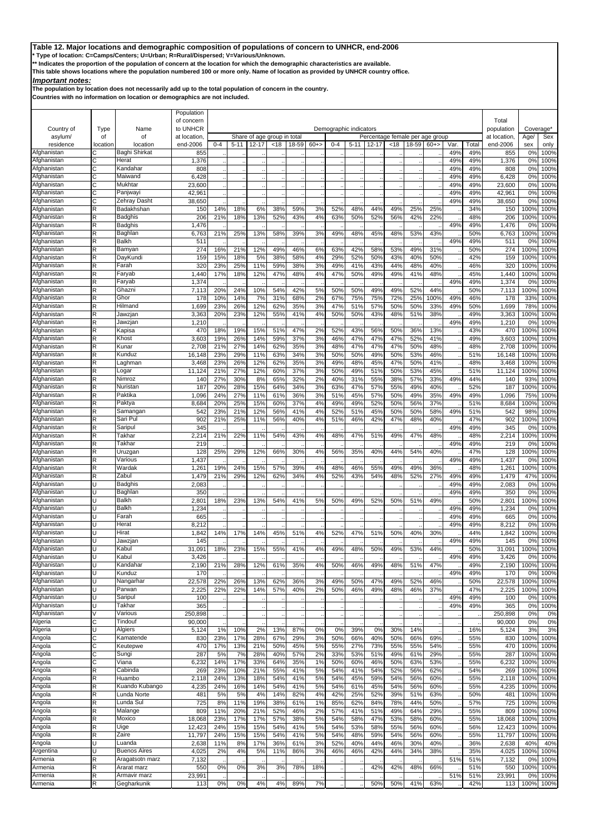**\* Type of location: C=Camps/Centers; U=Urban; R=Rural/Dispersed; V=Various/Unknown.**

**\*\* Indicates the proportion of the population of concern at the location for which the demographic characteristics are available.** 

**This table shows locations where the population numbered 100 or more only. Name of location as provided by UNHCR country office.**

# *Important notes:*

**The population by location does not necessarily add up to the total population of concern in the country.**

|                            |          |                                | Population             |            |            |            |                             |            |          |            |                        |                                 |            |            |            |            |            |                     |                        |              |
|----------------------------|----------|--------------------------------|------------------------|------------|------------|------------|-----------------------------|------------|----------|------------|------------------------|---------------------------------|------------|------------|------------|------------|------------|---------------------|------------------------|--------------|
| Country of                 | Type     | Name                           | of concern<br>to UNHCR |            |            |            |                             |            |          |            | Demographic indicators |                                 |            |            |            |            |            | Total<br>population | Coverage <sup>*</sup>  |              |
| asylum/                    | of       | of                             | at location            |            |            |            | Share of age group in total |            |          |            |                        | Percentage female per age group |            |            |            |            |            | at location         | Age/                   | Sex          |
| residence                  | location | location                       | end-2006               | $0 - 4$    | $5 - 11$   | $12 - 17$  | < 18                        | 18-59      | $60+$    | $0 - 4$    | $5 - 11$               | 12-17                           | <18        | 18-59      | $60+$      | Var.       | Total      | end-2006            | sex                    | only         |
| Afghanistan                | C        | Baghi Shirkat                  | 855                    |            |            |            |                             |            |          |            |                        |                                 |            |            |            | 49%        | 49%        | 855                 | 0%                     | 100%         |
| Afghanistan<br>Afghanistan | C<br>С   | Herat<br>Kandahar              | 1,376<br>808           |            |            |            |                             |            |          |            |                        |                                 |            |            |            | 49%<br>49% | 49%<br>49% | 1,376<br>808        | 0%<br>0 <sup>9</sup>   | 100%<br>100% |
| Afghanistan                | C        | Maiwand                        | 6.428                  |            |            |            |                             |            |          |            |                        |                                 |            |            |            | 49%        | 49%        | 6,428               | 0 <sup>9</sup>         | 100%         |
| Afghanistan                | С        | Mukhtar                        | 23,600                 |            |            |            |                             |            |          |            |                        |                                 |            |            |            | 49%        | 49%        | 23,600              | 0 <sup>9</sup>         | 100%         |
| Afghanistan                | C        | Panjwayi                       | 42,961                 |            |            |            |                             |            |          |            |                        |                                 |            |            |            | 49%        | 49%        | 42,961              | 0 <sup>9</sup>         | 100%         |
| Afghanistan<br>Afghanistan | С<br>R   | Zehray Dasht<br>Badakhshan     | 38,650<br>150          | 14%        | 18%        | 6%         | 38%                         | 59%        | 3%       | 52%        | 48%                    | 44%                             | 49%        | 25%        | 25%        | 49%        | 49%<br>34% | 38,650<br>150       | 0 <sup>9</sup><br>100% | 100%<br>100% |
| Afghanistan                | R        | Badghis                        | 206                    | 21%        | 18%        | 13%        | 52%                         | 43%        | 4%       | 63%        | 50%                    | 52%                             | 56%        | 42%        | 22%        |            | 48%        | 206                 | 100%                   | 100%         |
| Afghanistan                | R        | Badghis                        | 1,476                  |            |            |            |                             |            |          |            |                        |                                 |            |            |            | 49%        | 49%        | 1,476               | 0 <sup>9</sup>         | 100%         |
| Afghanistan                | R        | Baghlan                        | 6,763                  | 21%        | 25%        | 13%        | 58%                         | 39%        | 3%       | 49%        | 48%                    | 45%                             | 48%        | 53%        | 43%        |            | 50%        | 6,763               | 100%                   | 100%         |
| Afghanistan<br>Afghanistan | R<br>R   | Balkh<br>Bamyan                | 511<br>274             | 16%        | 21%        | 12%        | 49%                         | 46%        | 6%       | 63%        | 42%                    | 58%                             | 53%        | 49%        | 31%        | 49%        | 49%<br>50% | 511<br>274          | 0 <sup>9</sup><br>100% | 100%<br>100% |
| Afghanistan                | R        | DayKundi                       | 159                    | 15%        | 18%        | 5%         | 38%                         | 58%        | 4%       | 29%        | 52%                    | 50%                             | 43%        | 40%        | 50%        |            | 42%        | 159                 | 100%                   | 100%         |
| Afghanistan                | R        | Farah                          | 320                    | 23%        | 25%        | 11%        | 59%                         | 38%        | 3%       | 49%        | 41%                    | 43%                             | 44%        | 48%        | 40%        |            | 46%        | 320                 | 100                    | 100%         |
| Afghanistan                | R        | Faryab                         | 1,440                  | 17%        | 18%        | 12%        | 47%                         | 48%        | 4%       | 47%        | 50%                    | 49%                             | 49%        | 41%        | 48%        |            | 45%        | 1,440               | 100%                   | 100%         |
| Afghanistan<br>Afghanistan | R<br>R   | Faryab<br>Ghazni               | 1,374<br>7,113         | 20%        | 24%        | 10%        | 54%                         | 42%        | 5%       | 50%        | 50%                    | 49%                             | 49%        | 52%        | 44%        | 49%        | 49%<br>50% | 1,374<br>7,113      | 0 <sup>9</sup><br>100% | 100%<br>100% |
| Afghanistan                | R        | Ghor                           | 178                    | 10%        | 14%        | 7%         | 31%                         | 68%        | 2%       | 67%        | 75%                    | 75%                             | 72%        | 25%        | 100%       | 49%        | 46%        | 178                 | 339                    | 100%         |
| Afghanistan                | R        | Hilmand                        | 1,699                  | 23%        | 26%        | 12%        | 62%                         | 35%        | 3%       | 47%        | 51%                    | 57%                             | 50%        | 50%        | 33%        | 49%        | 50%        | 1,699               | <b>78%</b>             | 100%         |
| Afghanistan                | R        | Jawzjan                        | 3,363                  | 20%        | 23%        | 12%        | 55%                         | 41%        | 4%       | 50%        | 50%                    | 43%                             | 48%        | 51%        | 38%        |            | 49%        | 3,363               | 100%                   | 100%         |
| Afghanistan<br>Afghanistan | R        | Jawzjan                        | 1,210                  |            |            |            |                             |            |          |            |                        |                                 |            |            |            | 49%        | 49%        | 1,210               | 0%                     | 100%         |
| Afghanistan                | R<br>R   | Kapisa<br>Khost                | 470<br>3,603           | 18%<br>19% | 19%<br>26% | 15%<br>14% | 51%<br>59%                  | 47%<br>37% | 2%<br>3% | 52%<br>46% | 43%<br>47%             | 56%<br>47%                      | 50%<br>47% | 36%<br>52% | 13%<br>41% |            | 43%<br>49% | 470<br>3,603        | 100%<br>100%           | 100%<br>100% |
| Afghanistan                | R        | Kunar                          | 2,708                  | 21%        | 27%        | 14%        | 62%                         | 35%        | 3%       | 48%        | 47%                    | 47%                             | 47%        | 50%        | 48%        |            | 48%        | 2,708               | 100%                   | 100%         |
| Afghanistan                | R        | Kunduz                         | 16,148                 | 23%        | 29%        | 11%        | 63%                         | 34%        | 3%       | 50%        | 50%                    | 49%                             | 50%        | 53%        | 46%        |            | 51%        | 16,148              | 100                    | 100%         |
| Afghanistan                | R        | aghman.                        | 3,468                  | 23%        | 26%        | 12%        | 62%                         | 35%        | 3%       | 49%        | 48%                    | 45%                             | 47%        | 50%        | 41%        |            | 48%        | 3,468               | 100%                   | 100%         |
| Afghanistan<br>Afghanistan | R<br>R   | _ogar<br>Nimroz                | 11,124<br>140          | 21%<br>27% | 27%<br>30% | 12%<br>8%  | 60%<br>65%                  | 37%<br>32% | 3%<br>2% | 50%<br>40% | 49%<br>31%             | 51%<br>55%                      | 50%<br>38% | 53%<br>57% | 45%<br>33% | 49%        | 51%<br>44% | 11,124<br>140       | 100%<br>93%            | 100%<br>100% |
| Afghanistan                | R        | Nuristan                       | 187                    | 20%        | 28%        | 15%        | 64%                         | 34%        | 3%       | 63%        | 47%                    | 57%                             | 55%        | 49%        | 40%        |            | 52%        | 187                 | 100%                   | 100%         |
| Afghanistan                | R        | Paktika                        | 1,096                  | 24%        | 27%        | 11%        | 61%                         | 36%        | 3%       | 51%        | 45%                    | 57%                             | 50%        | 49%        | 35%        | 49%        | 49%        | 1,096               | 75%                    | 100%         |
| Afghanistan                | R        | Paktya                         | 8,684                  | 20%        | 25%        | 15%        | 60%                         | 37%        | 4%       | 49%        | 49%                    | 52%                             | 50%        | 56%        | 37%        |            | 51%        | 8,684               | 100%                   | 100%         |
| Afghanistan<br>Afghanistan | R<br>R   | Samangan<br>Sari Pul           | 542<br>902             | 23%<br>21% | 21%<br>25% | 12%<br>11% | 56%<br>56%                  | 41%<br>40% | 4%<br>4% | 52%<br>51% | 51%<br>46%             | 45%<br>42%                      | 50%<br>47% | 50%<br>48% | 58%<br>40% | 49%        | 51%<br>47% | 542<br>902          | 98%<br>100%            | 100%<br>100% |
| Afghanistan                | R        | Saripul                        | 345                    |            |            |            |                             |            |          |            |                        |                                 |            |            |            | 49%        | 49%        | 345                 | 0 <sup>9</sup>         | 100%         |
| Afghanistan                | R        | Takhar                         | 2,214                  | 21%        | 22%        | 11%        | 54%                         | 43%        | 4%       | 48%        | 47%                    | 51%                             | 49%        | 47%        | 48%        |            | 48%        | 2,214               | 100%                   | 100%         |
| Afghanistan                | R        | Takhar                         | 219                    |            |            |            |                             |            |          |            |                        |                                 |            |            |            | 49%        | 49%        | 219                 | 0 <sup>9</sup>         | 100%         |
| Afghanistan<br>Afghanistan | R<br>R   | Jruzgan<br>Various             | 128<br>1,437           | 25%        | 29%        | 12%        | 66%                         | 30%        | 4%       | 56%        | 35%                    | 40%                             | 44%        | 54%        | 40%        | 49%        | 47%<br>49% | 128<br>1,437        | 100%<br>0%             | 100%<br>100% |
| Afghanistan                | R        | Wardak                         | 1,261                  | 19%        | 24%        | 15%        | 57%                         | 39%        | 4%       | 48%        | 46%                    | 55%                             | 49%        | 49%        | 36%        |            | 48%        | 1,261               | 100%                   | 100%         |
| Afghanistan                | R        | Zabul                          | 1,479                  | 21%        | 29%        | 12%        | 62%                         | 34%        | 4%       | 52%        | 43%                    | 54%                             | 48%        | 52%        | 27%        | 49%        | 49%        | 1,479               | 47%                    | 100%         |
| Afghanistan                | U        | Badghis                        | 2,083                  |            |            |            |                             |            |          |            |                        |                                 |            |            |            | 49%        | 49%        | 2,083               | 0 <sup>9</sup>         | 100%         |
| Afghanistan<br>Afghanistan | U<br>Ū   | Baghlan<br>Balkh               | 350                    |            |            |            |                             |            |          |            |                        | 52%                             |            |            |            | 49%        | 49%        | 350                 | 0 <sup>9</sup>         | 100%         |
| Afghanistan                | U        | <b>Balkh</b>                   | 2,801<br>1,234         | 18%        | 23%        | 13%        | 54%                         | 41%        | 5%       | 50%        | 49%                    |                                 | 50%        | 51%        | 49%        | 49%        | 50%<br>49% | 2,801<br>1,234      | 100%<br>0 <sup>9</sup> | 100%<br>100% |
| Afghanistan                | U        | Farah                          | 665                    |            |            |            |                             |            |          |            |                        |                                 |            |            |            | 49%        | 49%        | 665                 | 0 <sup>9</sup>         | 100%         |
| Afghanistan                | IJ       | Herat                          | 8,212                  |            |            |            |                             |            |          |            |                        |                                 |            |            |            | 49%        | 49%        | 8,212               | 0 <sup>9</sup>         | 100%         |
| Afghanistan                | п<br>Ū   | Hirat                          | 1,842                  | 14%        | 17%        | 14%        | 45%                         | 51%        | 4%       | 52%        | 47%                    | 51%                             | 50%        | 40%        | 30%        |            | 44%        | 1,842               | 100%                   | 100%         |
| Afghanistan<br>Afghanistan | U        | Jawzjan<br>Kabul               | 145<br>31,091          | 18%        | 23%        | 15%        | 55%                         | 41%        | 4%       | 49%        | 48%                    | 50%                             | 49%        | 53%        | 44%        | 49%        | 49%<br>50% | 145<br>31,091       | 0%<br>100%             | 100%<br>100% |
| Afghanistan                | U        | Kabul                          | 3,426                  |            |            |            |                             |            |          |            |                        |                                 |            |            |            | 49%        | 49%        | 3,426               | 0%                     | 100%         |
| Afghanistan                | U        | Kandahar                       | 2,190                  | 21%        | 28%        | 12%        | 61%                         | 35%        | 4%       | 50%        | 46%                    | 49%                             | 48%        | 51%        | 47%        |            | 49%        | 2,190               | 100%                   | 100%         |
| Afghanistan                | U        | Kunduz                         | 170                    |            |            |            |                             |            |          |            |                        |                                 |            |            |            | 49%        | 49%        | 170                 | 0%                     | 100%         |
| Afghanistan<br>Afghanistan | Ū<br>U   | Nangarhar<br>Parwan            | 22,578<br>2,225        | 22%<br>22% | 26%<br>22% | 13%<br>14% | 62%<br>57%                  | 36%<br>40% | 3%<br>2% | 49%<br>50% | 50%<br>46%             | 47%<br>49%                      | 49%<br>48% | 52%<br>46% | 46%<br>37% |            | 50%<br>47% | 22,578<br>2,225     | 100%<br>100%           | 100%<br>100% |
| Afghanistan                | U        | Saripul                        | 100                    |            |            |            |                             |            |          |            |                        |                                 |            |            |            | 49%        | 49%        | 100                 | 0%                     | 100%         |
| Afghanistan                | U        | Takhar                         | 365                    |            |            |            |                             |            |          |            |                        |                                 |            |            |            | 49%        | 49%        | 365                 | 0%                     | 100%         |
| Afghanistan                | V        | Various                        | 250,898                |            |            |            |                             |            |          |            |                        |                                 |            |            |            |            |            | 250,898             | 0%                     | 0%           |
| Algeria<br>Algeria         | С<br>U   | Tindouf<br>Algiers             | 90,000                 | 1%         | 10%        | 2%         | 13%                         | 87%        | 0%       | 0%         | 39%                    | 0%                              | 30%        | 14%        |            |            | 16%        | 90,000<br>5,124     | 0%<br>3%               | 0%<br>3%     |
| Angola                     | С        | Kamatende                      | 5,124<br>830           | 23%        | 17%        | 28%        | 67%                         | 29%        | 3%       | 50%        | 66%                    | 40%                             | 50%        | 66%        | 69%        |            | 55%        | 830                 | 100%                   | 100%         |
| Angola                     | С        | Keutepwe                       | 470                    | 17%        | 13%        | 21%        | 50%                         | 45%        | 5%       | 55%        | 27%                    | 73%                             | 55%        | 55%        | 54%        |            | 55%        | 470                 | 100%                   | 100%         |
| Angola                     | С        | Sungi                          | 287                    | 5%         | 7%         | 28%        | 40%                         | 57%        | 2%       | 33%        | 53%                    | 51%                             | 49%        | 61%        | 29%        |            | 55%        | 287                 | 100%                   | 100%         |
| Angola                     | С        | Viana                          | 6,232                  | 14%        | 17%        | 33%        | 64%                         | 35%        | 1%       | 50%        | 60%                    | 46%                             | 50%        | 63%        | 53%        |            | 55%        | 6,232               | 100%                   | 100%         |
| Angola<br>Angola           | R<br>R   | Cabinda<br>Huambo              | 269<br>2,118           | 23%<br>24% | 10%<br>13% | 21%<br>18% | 55%<br>54%                  | 41%<br>41% | 5%<br>5% | 54%<br>54% | 41%<br>45%             | 54%<br>59%                      | 52%<br>54% | 56%<br>56% | 62%<br>60% |            | 54%<br>55% | 269<br>2,118        | 100%<br>100%           | 100%<br>100% |
| Angola                     | R        | Kuando Kubango                 | 4,235                  | 24%        | 16%        | 14%        | 54%                         | 41%        | 5%       | 54%        | 61%                    | 45%                             | 54%        | 56%        | 60%        |            | 55%        | 4,235               | 100%                   | 100%         |
| Angola                     | R        | Lunda Norte                    | 481                    | 5%         | 5%         | 4%         | 14%                         | 82%        | 4%       | 42%        | 25%                    | 52%                             | 39%        | 51%        | 63%        |            | 50%        | 481                 | 100%                   | 100%         |
| Angola                     | R        | Lunda Sul                      | 725                    | 8%         | 11%        | 19%        | 38%                         | 61%        | 1%       | 85%        | 62%                    | 84%                             | 78%        | 44%        | 50%        |            | 57%        | 725                 | 100%                   | 100%         |
| Angola                     | R        | Malange                        | 809                    | 11%        | 20%        | 21%        | 52%                         | 46%        | 2%       | 57%        | 41%                    | 51%                             | 49%        | 64%        | 29%        |            | 55%        | 809                 | 100%                   | 100%         |
| Angola<br>Angola           | R<br>R   | Moxico<br>Uige                 | 18,068<br>12,423       | 23%<br>24% | 17%<br>15% | 17%<br>15% | 57%<br>54%                  | 38%<br>41% | 5%<br>5% | 54%<br>54% | 58%<br>53%             | 47%<br>58%                      | 53%<br>55% | 58%<br>56% | 60%<br>60% |            | 55%<br>56% | 18,068<br>12,423    | 100%<br>100%           | 100%<br>100% |
| Angola                     | R        | Zaire                          | 11,797                 | 24%        | 15%        | 15%        | 54%                         | 41%        | 5%       | 54%        | 48%                    | 59%                             | 54%        | 56%        | 60%        |            | 55%        | 11,797              | 100%                   | 100%         |
| Angola                     | U        | Luanda                         | 2,638                  | 11%        | 8%         | 17%        | 36%                         | 61%        | 3%       | 52%        | 40%                    | 44%                             | 46%        | 30%        | 40%        |            | 36%        | 2,638               | 40%                    | 40%          |
| Argentina                  | U        | <b>Buenos Aires</b>            | 4,025                  | 2%         | 4%         | 5%         | 11%                         | 86%        | 3%       | 46%        | 46%                    | 42%                             | 44%        | 34%        | 38%        |            | 35%        | 4,025               | 100%                   | 100%         |
| Armenia<br>Armenia         | R<br>R   | Aragatsotn marz<br>Ararat marz | 7,132<br>550           | 0%         | 0%         | 3%         | 3%                          | 78%        | 18%      |            |                        | 42%                             | 42%        | 48%        | 66%        | 51%        | 51%<br>51% | 7,132<br>550        | 0 <sup>9</sup><br>100% | 100%<br>100% |
| Armenia                    | R        | Armavir marz                   | 23,991                 |            |            |            |                             |            |          |            |                        |                                 |            |            |            | 51%        | 51%        | 23,991              | 0%                     | 100%         |
| Armenia                    | R        | Gegharkunik                    | 113                    | 0%         | 0%         | 4%         | 4%                          | 89%        | 7%       |            |                        | 50%                             | 50%        | 41%        | 63%        |            | 42%        | 113                 | 100%                   | 100%         |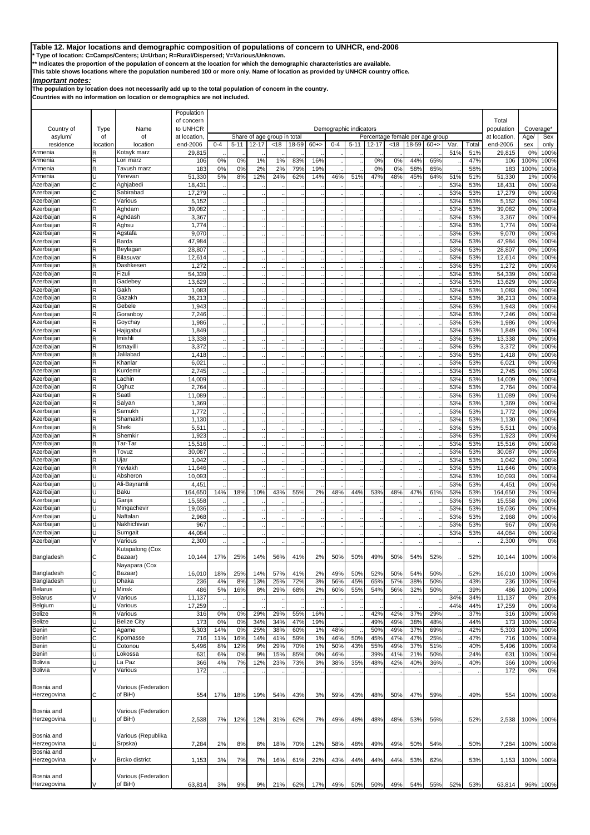**\* Type of location: C=Camps/Centers; U=Urban; R=Rural/Dispersed; V=Various/Unknown.**

**\*\* Indicates the proportion of the population of concern at the location for which the demographic characteristics are available.** 

**This table shows locations where the population numbered 100 or more only. Name of location as provided by UNHCR country office.**

## *Important notes:*

**The population by location does not necessarily add up to the total population of concern in the country.**

|                           |          |                         | Population         |         |          |       |                             |       |        |         |                        |                                 |      |       |       |             |            |                    |                                  |              |
|---------------------------|----------|-------------------------|--------------------|---------|----------|-------|-----------------------------|-------|--------|---------|------------------------|---------------------------------|------|-------|-------|-------------|------------|--------------------|----------------------------------|--------------|
|                           |          |                         | of concern         |         |          |       |                             |       |        |         |                        |                                 |      |       |       |             |            | Total              |                                  |              |
| Country of                | Type     | Name                    | to UNHCR           |         |          |       |                             |       |        |         | Demographic indicators |                                 |      |       |       |             |            | population         | Coverage*                        |              |
| asylum/                   | of       | of                      | at location.       |         |          |       | Share of age group in total |       |        |         |                        | Percentage female per age group |      |       |       |             |            | at location        | Age/                             | Sex          |
| residence<br>Armenia      | location | location<br>Kotayk marz | end-2006<br>29,815 | $0 - 4$ | $5 - 11$ | 12-17 | < 18                        | 18-59 | $60+>$ | $0 - 4$ | $5 - 11$               | 12-17                           | < 18 | 18-59 | $60+$ | Var.<br>51% | Total      | end-2006<br>29,815 | sex<br>0 <sup>9</sup>            | only<br>100% |
| Armenia                   | R<br>R   | Lori marz               | 106                | 0%      | 0%       | 1%    | 1%                          | 83%   | 16%    |         |                        | 0%                              | 0%   | 44%   | 65%   |             | 51%<br>47% | 106                | 100%                             | 100%         |
| Armenia                   | R        | Tavush marz             | 183                | 0%      | 0%       | 2%    | 2%                          | 79%   | 19%    |         |                        | 0%                              | 0%   | 58%   | 65%   |             | 58%        | 183                | 100%                             | 100%         |
| Armenia                   | Ū        | Yerevan                 | 51,330             | 5%      | 8%       | 12%   | 24%                         | 62%   | 14%    | 46%     | 51%                    | 47%                             | 48%  | 45%   | 64%   | 51%         | 51%        | 51,330             | 1%                               | 100%         |
| Azerbaijan                | С        | Aghjabedi               | 18,431             |         |          |       |                             |       |        |         |                        |                                 |      |       |       | 53%         | 53%        | 18,431             | 0 <sup>9</sup>                   | 100%         |
| Azerbaijan                | C        | Sabirabad               | 17,279             |         |          |       |                             |       |        |         |                        |                                 |      |       |       | 53%         | 53%        | 17,279             | 0 <sup>9</sup>                   | 100%         |
| Azerbaijan                | С        | Various                 | 5,152              |         |          |       |                             |       |        |         |                        |                                 |      |       |       | 53%         | 53%        | 5,152              | 0%                               | 100%         |
| Azerbaijan                | R        | Aghdam                  | 39,082             |         |          |       |                             |       |        |         |                        |                                 |      |       |       | 53%         | 53%        | 39,082             | 0%                               | 100%         |
| Azerbaijan                | R        | Aghdash                 | 3,367              |         |          |       |                             |       |        |         |                        |                                 |      |       |       | 53%         | 53%        | 3,367              | 0%                               | 100%         |
| Azerbaijan                | R        | Aghsu                   | 1,774              |         |          |       |                             |       |        |         |                        |                                 |      |       |       | 53%         | 53%        | 1,774              | 0 <sup>9</sup>                   | 100%         |
| Azerbaijan                | R        | Agstafa                 | 9,070              |         |          |       |                             |       |        |         |                        |                                 |      |       |       | 53%         | 53%        | 9,070              | 0 <sup>9</sup>                   | 100%         |
| Azerbaijan                | R        | Barda                   | 47,984             |         |          |       |                             |       |        |         |                        |                                 |      |       |       | 53%         | 53%        | 47,984             | 0%                               | 100%         |
| Azerbaijan                | R        | Beylagan                | 28,807             |         |          |       |                             |       |        |         |                        |                                 |      |       |       | 53%         | 53%        | 28,807             | 0%                               | 100%         |
| Azerbaijan                | R<br>R   | Bilasuvar               | 12,614             |         |          |       |                             |       |        |         |                        |                                 |      |       |       | 53%         | 53%        | 12,614             | 0%                               | 100%         |
| Azerbaijan<br>Azerbaijan  | R        | Dashkesen<br>Fizuli     | 1,272<br>54,339    |         |          |       |                             |       |        |         |                        |                                 |      |       |       | 53%         | 53%        | 1,272              | 0%<br>0%                         | 100%         |
| Azerbaijan                | R        | Gadebey                 | 13,629             |         |          |       |                             |       |        |         |                        |                                 |      |       |       | 53%<br>53%  | 53%<br>53% | 54,339<br>13,629   | 0 <sup>9</sup>                   | 100%<br>100% |
| Azerbaijan                | R        | Gakh                    | 1,083              |         |          |       |                             |       |        |         |                        |                                 |      |       |       | 53%         | 53%        | 1,083              | 0 <sup>9</sup>                   | 100%         |
| Azerbaijan                | R        | Gazakh                  | 36,213             |         |          |       |                             |       |        |         |                        |                                 |      |       |       | 53%         | 53%        | 36,213             | 0%                               | 100%         |
| Azerbaijan                | R        | Gebele                  | 1,943              |         |          |       |                             |       |        |         |                        |                                 |      |       |       | 53%         | 53%        | 1,943              | 0 <sup>9</sup>                   | 100%         |
| Azerbaijan                | R        | Goranboy                | 7,246              |         |          |       |                             |       |        |         |                        |                                 |      |       |       | 53%         | 53%        | 7,246              | 0 <sup>9</sup>                   | 100%         |
| Azerbaijan                | R        | Goychay                 | 1,986              |         |          |       |                             |       |        |         |                        |                                 |      |       |       | 53%         | 53%        | 1,986              | 0%                               | 100%         |
| Azerbaijan                | R        | Hajigabul               | 1,849              |         |          |       |                             |       |        |         |                        |                                 |      |       |       | 53%         | 53%        | 1,849              | 0%                               | 100%         |
| Azerbaijan                | R        | Imishli                 | 13,338             |         |          |       |                             |       |        |         |                        |                                 |      |       |       | 53%         | 53%        | 13,338             | 0%                               | 100%         |
| Azerbaijan                | R        | Ismayilli               | 3,372              |         |          |       |                             |       |        |         |                        |                                 |      |       |       | 53%         | 53%        | 3,372              | 0 <sup>9</sup>                   | 100%         |
| Azerbaijan                | R        | Jalilabad               | 1,418              |         |          |       |                             |       |        |         |                        |                                 |      |       |       | 53%         | 53%        | 1,418              | 0%                               | 100%         |
| Azerbaijan                | R        | Khanlar                 | 6,021              |         |          |       |                             |       |        |         |                        |                                 |      |       |       | 53%         | 53%        | 6,021              | 0%                               | 100%         |
| Azerbaijan                | R        | Kurdemir                | 2,745              |         |          |       |                             |       |        |         |                        |                                 |      |       |       | 53%         | 53%        | 2,745              | 0 <sup>9</sup>                   | 100%         |
| Azerbaijan                | R        | Lachin                  | 14,009             |         |          |       |                             |       |        |         |                        |                                 |      |       |       | 53%         | 53%        | 14,009             | 0 <sup>9</sup>                   | 100%         |
| Azerbaijan                | R        | Oghuz                   | 2,764              |         |          |       |                             |       |        |         |                        |                                 |      |       |       | 53%         | 53%        | 2,764              | 0%                               | 100%         |
| Azerbaijan                | R        | Saatli                  | 11,089             |         |          |       |                             |       |        |         |                        |                                 |      |       |       | 53%         | 53%        | 11,089             | 0%                               | 100%         |
| Azerbaijan                | R        | Salyan                  | 1,369              |         |          |       |                             |       |        |         |                        |                                 |      |       |       | 53%         | 53%        | 1,369              | 0%                               | 100%         |
| Azerbaijan                | R        | Samukh                  | 1,772              |         |          |       |                             |       |        |         |                        |                                 |      |       |       | 53%         | 53%        | 1,772              | 0%                               | 100%         |
| Azerbaijan                | R        | Shamakhi                | 1,130              |         |          |       |                             |       |        |         |                        |                                 |      |       |       | 53%         | 53%        | 1,130              | 0%                               | 100%         |
| Azerbaijan                | R        | Sheki                   | 5,511              |         |          |       |                             |       |        |         |                        |                                 |      |       |       | 53%         | 53%        | 5,511              | 0%                               | 100%         |
| Azerbaijan                | R        | Shemkir                 | 1,923              |         |          |       |                             |       |        |         |                        |                                 |      |       |       | 53%         | 53%        | 1,923              | 0%                               | 100%         |
| Azerbaijan                | R        | Tar-Tar                 | 15,516             |         |          |       |                             |       |        |         |                        |                                 |      |       |       | 53%         | 53%        | 15,516             | 0%                               | 100%         |
| Azerbaijan                | R        | Tovuz                   | 30,087             |         |          |       |                             |       |        |         |                        |                                 |      |       |       | 53%         | 53%        | 30,087             | 0%                               | 100%         |
| Azerbaijan                | R        | Ujar                    | 1,042              |         |          |       |                             |       |        |         |                        |                                 |      |       |       | 53%         | 53%        | 1,042              | 0%                               | 100%         |
| Azerbaijan                | R        | revlakh                 | 11,646             |         |          |       |                             |       |        |         |                        |                                 |      |       |       | 53%         | 53%        | 11,646             | 0%                               | 100%         |
| Azerbaijan                |          | Absheron                | 10,093             |         |          |       |                             |       |        |         |                        |                                 |      |       |       | 53%         | 53%        | 10,093             | 0%                               | 100%         |
| Azerbaijan                | п        | Ali-Bayramli            | 4,451              |         |          |       |                             |       |        |         |                        |                                 |      |       |       | 53%         | 53%        | 4,451              | 0%                               | 100%         |
| Azerbaijan                | U        | Baku                    | 164,650            | 14%     | 18%      | 10%   | 43%                         | 55%   | 2%     | 48%     | 44%                    | 53%                             | 48%  | 47%   | 61%   | 53%         | 53%        | 164,650            | 2%                               | 100%         |
| Azerbaijan<br>Azerbaiian  | U        | Ganja                   | 15,558             |         |          |       |                             |       |        |         |                        |                                 |      |       |       | 53%         | 53%        | 15,558             | 0%                               | 100%         |
| Azerbaijan                | п        | Mingachevir             | 19,036             |         |          |       |                             |       |        |         |                        |                                 |      |       |       | 53%         | 53%        | 19,036             | 0 <sup>9</sup>                   | 100%         |
| Azerbaijan                |          | Naftalan<br>Nakhichivan | 2,968<br>967       |         |          |       |                             |       |        |         |                        |                                 |      |       |       | 53%<br>53%  | 53%<br>53% | 2,968<br>967       | 0 <sup>9</sup><br>0 <sup>9</sup> | 100%<br>100% |
| Azerbaijan                |          | Sumgait                 | 44,084             |         |          |       |                             |       |        |         |                        |                                 |      |       |       | 53%         | 53%        | 44,084             | 0 <sup>9</sup>                   | 100%         |
| Azerbaijan                |          | Various                 | 2,300              |         |          |       |                             |       |        |         |                        |                                 |      |       |       |             |            | 2,300              | 0%                               | 0%           |
|                           |          | Kutapalong (Cox         |                    |         |          |       |                             |       |        |         |                        |                                 |      |       |       |             |            |                    |                                  |              |
| Bangladesh                | C        | Bazaar)                 | 10,144             | 17%     | 25%      | 14%   | 56%                         | 41%   | 2%     | 50%     | 50%                    | 49%                             | 50%  | 54%   | 52%   |             | 52%        | 10,144             | 100%                             | 100%         |
|                           |          | Nayapara (Cox           |                    |         |          |       |                             |       |        |         |                        |                                 |      |       |       |             |            |                    |                                  |              |
| Bangladesh                | C        | Bazaar)                 | 16,010             | 18%     | 25%      | 14%   | 57%                         | 41%   | 2%     | 49%     | 50%                    | 52%                             | 50%  | 54%   | 50%   |             | 52%        | 16,010             | 100%                             | 100%         |
| Bangladesh                | U        | Dhaka                   | 236                | 4%      | 8%       | 13%   | 25%                         | 72%   | 3%     | 56%     | 45%                    | 65%                             | 57%  | 38%   | 50%   |             | 43%        | 236                | 100%                             | 100%         |
| Belarus                   | U        | Minsk                   | 486                | 5%      | 16%      | 8%    | 29%                         | 68%   | 2%     | 60%     | 55%                    | 54%                             | 56%  | 32%   | 50%   |             | 39%        | 486                | 100%                             | 100%         |
| <b>Belarus</b>            |          | Various                 | 11,137             |         |          |       |                             |       |        |         |                        |                                 |      |       |       | 34%         | 34%        | 11,137             | 0%                               | 20%          |
| Belgium                   | Ū        | Various                 | 17,259             |         |          |       |                             |       |        |         |                        |                                 |      |       |       | 44%         | 44%        | 17,259             | 0%                               | 100%         |
| Belize                    | R        | Various                 | 316                | 0%      | 0%       | 29%   | 29%                         | 55%   | 16%    |         |                        | 42%                             | 42%  | 37%   | 29%   |             | 37%        | 316                | 100%                             | 100%         |
| Belize                    |          | <b>Belize City</b>      | 173                | 0%      | 0%       | 34%   | 34%                         | 47%   | 19%    |         |                        | 49%                             | 49%  | 38%   | 48%   |             | 44%        | 173                | 100%                             | 100%         |
| Benin                     | С        | Agame                   | 5,303              | 14%     | 0%       | 25%   | 38%                         | 60%   | 1%     | 48%     |                        | 50%                             | 49%  | 37%   | 69%   |             | 42%        | 5,303              | 100%                             | 100%         |
| Benin                     | C        | Kpomasse                | 716                | 11%     | 16%      | 14%   | 41%                         | 59%   | 1%     | 46%     | 50%                    | 45%                             | 47%  | 47%   | 25%   |             | 47%        | 716                | 100%                             | 100%         |
| Benin                     | Ū        | Cotonou                 | 5,496              | 8%      | 12%      | 9%    | 29%                         | 70%   | 1%     | 50%     | 43%                    | 55%                             | 49%  | 37%   | 51%   |             | 40%        | 5,496              | 100%                             | 100%         |
| Benin                     | Ū        | Lokossa                 | 631                | 6%      | 0%       | 9%    | 15%                         | 85%   | 0%     | 46%     |                        | 39%                             | 41%  | 21%   | 50%   |             | 24%        | 631                | 100%                             | 100%         |
| <b>Bolivia</b>            | п        | La Paz                  | 366                | 4%      | 7%       | 12%   | 23%                         | 73%   | 3%     | 38%     | 35%                    | 48%                             | 42%  | 40%   | 36%   |             | 40%        | 366                | 100%                             | 100%         |
| <b>Bolivia</b>            | V        | Various                 | 172                |         |          |       |                             |       |        |         |                        |                                 |      |       |       |             |            | 172                | 0%                               | 0%           |
|                           |          |                         |                    |         |          |       |                             |       |        |         |                        |                                 |      |       |       |             |            |                    |                                  |              |
| Bosnia and                |          | Various (Federation     |                    |         |          |       |                             |       |        |         |                        |                                 |      |       |       |             |            |                    |                                  |              |
| Herzegovina               | С        | of BiH)                 | 554                | 17%     | 18%      | 19%   | 54%                         | 43%   | 3%     | 59%     | 43%                    | 48%                             | 50%  | 47%   | 59%   |             | 49%        | 554                | 100%                             | 100%         |
|                           |          |                         |                    |         |          |       |                             |       |        |         |                        |                                 |      |       |       |             |            |                    |                                  |              |
| Bosnia and                |          | Various (Federation     |                    |         |          |       |                             |       |        |         |                        |                                 |      |       |       |             |            |                    |                                  |              |
| Herzegovina               |          | of BiH)                 | 2,538              | 7%      | 12%      | 12%   | 31%                         | 62%   | 7%     | 49%     | 48%                    | 48%                             | 48%  | 53%   | 56%   |             | 52%        | 2,538              | 100%                             | 100%         |
|                           |          |                         |                    |         |          |       |                             |       |        |         |                        |                                 |      |       |       |             |            |                    |                                  |              |
| Bosnia and                |          | Various (Republika      |                    |         |          |       |                             |       |        |         |                        |                                 |      |       |       |             |            |                    |                                  |              |
| Herzegovina               |          | Srpska)                 | 7,284              | 2%      | 8%       | 8%    | 18%                         | 70%   | 12%    | 58%     | 48%                    | 49%                             | 49%  | 50%   | 54%   |             | 50%        | 7,284              | 100%                             | 100%         |
| Bosnia and<br>Herzegovina | V        | <b>Brcko</b> district   |                    |         |          |       |                             | 61%   |        | 43%     | 44%                    | 44%                             | 44%  |       | 62%   |             | 53%        |                    |                                  |              |
|                           |          |                         | 1,153              | 3%      | 7%       | 7%    | 16%                         |       | 22%    |         |                        |                                 |      | 53%   |       |             |            | 1,153              | 100%                             | 100%         |
| Bosnia and                |          | Various (Federation     |                    |         |          |       |                             |       |        |         |                        |                                 |      |       |       |             |            |                    |                                  |              |
| Herzegovina               |          | of BiH)                 | 63,814             | 3%      | 9%       | 9%    | 21%                         | 62%   | 17%    | 49%     | 50%                    | 50%                             | 49%  | 54%   | 55%   | 52%         | 53%        | 63,814             | 96%                              | 100%         |
|                           |          |                         |                    |         |          |       |                             |       |        |         |                        |                                 |      |       |       |             |            |                    |                                  |              |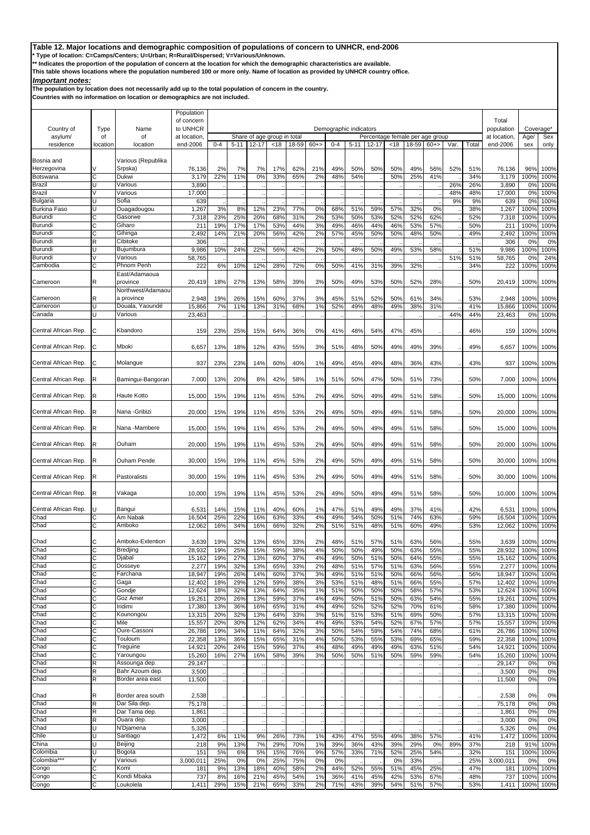**\* Type of location: C=Camps/Centers; U=Urban; R=Rural/Dispersed; V=Various/Unknown.**

**\*\* Indicates the proportion of the population of concern at the location for which the demographic characteristics are available.** 

**This table shows locations where the population numbered 100 or more only. Name of location as provided by UNHCR country office.**

## *Important notes:*

**The population by location does not necessarily add up to the total population of concern in the country.**

|                                        |             |                               | Population             |            |            |            |                             |            |          |            |                        |                                 |            |            |            |      |            |                     |              |              |
|----------------------------------------|-------------|-------------------------------|------------------------|------------|------------|------------|-----------------------------|------------|----------|------------|------------------------|---------------------------------|------------|------------|------------|------|------------|---------------------|--------------|--------------|
| Country of                             | Type        | Name                          | of concern<br>to UNHCR |            |            |            |                             |            |          |            | Demographic indicators |                                 |            |            |            |      |            | Total<br>population | Coverage*    |              |
| asylum/                                | of          | of                            | at location            |            |            |            | Share of age group in total |            |          |            |                        | Percentage female per age group |            |            |            |      |            | at location.        | Age/         | Sex          |
| residence                              | location    | location                      | end-2006               | $0 - 4$    | $5 - 11$   | $12 - 17$  | < 18                        | 18-59      | $60 + >$ | $0 - 4$    | $5 - 11$               | 12-17                           | <18        | 18-59      | $60+$      | Var. | Total      | end-2006            | sex          | only         |
|                                        |             |                               |                        |            |            |            |                             |            |          |            |                        |                                 |            |            |            |      |            |                     |              |              |
| Bosnia and<br>Herzegovina              |             | Various (Republika<br>Srpska` | 76,136                 | 2%         | 7%         | 7%         | 17%                         | 62%        | 21%      | 49%        | 50%                    | 50%                             | 50%        | 49%        | 56%        | 52%  | 51%        | 76,136              | 96%          | 100%         |
| Botswana                               | C           | Dukwi                         | 3,179                  | 22%        | 11%        | 0%         | 33%                         | 65%        | 2%       | 48%        | 54%                    |                                 | 50%        | 25%        | 41%        |      | 34%        | 3,179               | 100%         | 100%         |
| Brazil                                 | U           | Various                       | 3,890                  |            |            |            |                             |            |          |            |                        |                                 |            |            |            | 26%  | 26%        | 3,890               | 0%           | 100%         |
| <b>Brazil</b>                          |             | Various                       | 17,000                 |            |            |            |                             |            |          |            |                        |                                 |            |            |            | 48%  | 48%        | 17,000              | 0%           | 100%         |
| <b>Bulgaria</b><br><b>Burkina Faso</b> | U           | Sofia<br>Ouagadougou          | 639<br>1,267           | 3%         | 8%         | 12%        | 23%                         | <b>77%</b> | 0%       | 68%        | 51%                    | 59%                             | 57%        | 32%        | 0%         | 9%   | 9%<br>38%  | 639<br>1,267        | 0%<br>100%   | 100%<br>100% |
| Burundi                                |             | Gasorwe                       | 7,318                  | 23%        | 25%        | 20%        | 68%                         | 31%        | 2%       | 53%        | 50%                    | 53%                             | 52%        | 52%        | 62%        |      | 52%        | 7,318               | 100%         | 100%         |
| Burundi                                | C           | Giharo                        | 211                    | 19%        | 17%        | 17%        | 53%                         | 44%        | 3%       | 49%        | 46%                    | 44%                             | 46%        | 53%        | 57%        |      | 50%        | 211                 | 100%         | 100%         |
| <b>Burundi</b>                         | C           | Gihinga                       | 2,492                  | 14%        | 21%        | 20%        | 56%                         | 42%        | 2%       | 57%        | 45%                    | 50%                             | 50%        | 48%        | 50%        |      | 49%        | 2,492               | 100%         | 100%         |
| Burundi                                | $\mathsf R$ | Cibitoke                      | 306                    |            |            |            |                             |            |          |            |                        |                                 |            |            |            |      |            | 306                 | 0%           | 0%           |
| Burundi<br>Burundi                     | Ü           | Bujumbura<br>Various          | 9,986<br>58,765        | 10%        | 24%        | 22%        | 56%                         | 42%        | 2%       | 50%        | 48%                    | 50%                             | 49%        | 53%        | 58%        | 51%  | 51%<br>51% | 9,986<br>58,765     | 100%<br>0%   | 100%<br>24%  |
| Cambodia                               | C           | Phnom Penh                    | 222                    | 6%         | 10%        | 12%        | 28%                         | <b>72%</b> | 0%       | 50%        | 41%                    | 31%                             | 39%        | 32%        |            |      | 34%        | 222                 | 100%         | 100%         |
|                                        |             | East/Adamaoua                 |                        |            |            |            |                             |            |          |            |                        |                                 |            |            |            |      |            |                     |              |              |
| Cameroon                               | R           | province                      | 20,419                 | 18%        | 27%        | 13%        | 58%                         | 39%        | 3%       | 50%        | 49%                    | 53%                             | 50%        | 52%        | 28%        |      | 50%        | 20,419              | 100%         | 100%         |
|                                        |             | Northwest/Adamaou             |                        |            |            |            |                             |            |          |            |                        |                                 |            |            |            |      |            |                     |              |              |
| Cameroon                               | R           | a province<br>Douala, Yaoundé | 2,948<br>15,866        | 19%<br>7%  | 26%<br>11% | 15%        | 60%                         | 37%        | 3%<br>1% | 45%<br>52% | 51%<br>49%             | 52%<br>48%                      | 50%<br>49% | 61%<br>38% | 34%<br>31% |      | 53%<br>41% | 2,948               | 100%<br>100% | 100%<br>100% |
| Cameroon<br>Canada                     | U           | Various                       | 23,463                 |            |            | 13%        | 31%                         | 68%        |          |            |                        |                                 |            |            |            | 44%  | 44%        | 15,866<br>23,463    | 0%           | 100%         |
|                                        |             |                               |                        |            |            |            |                             |            |          |            |                        |                                 |            |            |            |      |            |                     |              |              |
| Central African Rep.                   | C           | Kbandoro                      | 159                    | 23%        | 25%        | 15%        | 64%                         | 36%        | 0%       | 41%        | 48%                    | 54%                             | 47%        | 45%        |            |      | 46%        | 159                 | 100%         | 100%         |
|                                        |             |                               |                        |            |            |            |                             |            |          |            |                        |                                 |            |            |            |      |            |                     |              |              |
| Central African Rep.                   | С           | Mboki                         | 6,657                  | 13%        | 18%        | 12%        | 43%                         | 55%        | 3%       | 51%        | 48%                    | 50%                             | 49%        | 49%        | 39%        |      | 49%        | 6,657               | 100%         | 100%         |
| Central African Rep.                   |             |                               | 937                    |            |            | 14%        | 60%                         |            |          | 49%        | 45%                    | 49%                             | 48%        | 36%        | 43%        |      | 43%        |                     |              | 100%         |
|                                        | С           | Molangue                      |                        | 23%        | 23%        |            |                             | 40%        | 1%       |            |                        |                                 |            |            |            |      |            | 937                 | 100%         |              |
| Central African Rep.                   |             | Bamingui-Bangoran             | 7,000                  | 13%        | 20%        | 8%         | 42%                         | 58%        | 1%       | 51%        | 50%                    | 47%                             | 50%        | 51%        | 73%        |      | 50%        | 7,000               | 100%         | 100%         |
|                                        |             |                               |                        |            |            |            |                             |            |          |            |                        |                                 |            |            |            |      |            |                     |              |              |
| Central African Rep.                   | R           | Haute Kotto                   | 15,000                 | 15%        | 19%        | 11%        | 45%                         | 53%        | 2%       | 49%        | 50%                    | 49%                             | 49%        | 51%        | 58%        |      | 50%        | 15,000              | 100%         | 100%         |
|                                        |             |                               |                        |            |            |            |                             |            |          |            |                        |                                 |            |            |            |      |            |                     |              |              |
| Central African Rep.                   | R           | Nana - Gribizi                | 20,000                 | 15%        | 19%        | 11%        | 45%                         | 53%        | 2%       | 49%        | 50%                    | 49%                             | 49%        | 51%        | 58%        |      | 50%        | 20,000              | 100%         | 100%         |
| Central African Rep.                   | R           | Nana -Mambere                 | 15,000                 | 15%        | 19%        | 11%        | 45%                         | 53%        | 2%       | 49%        | 50%                    | 49%                             | 49%        | 51%        | 58%        |      | 50%        | 15,000              | 100%         | 100%         |
|                                        |             |                               |                        |            |            |            |                             |            |          |            |                        |                                 |            |            |            |      |            |                     |              |              |
| Central African Rep.                   | R           | Ouham                         | 20,000                 | 15%        | 19%        | 11%        | 45%                         | 53%        | 2%       | 49%        | 50%                    | 49%                             | 49%        | 51%        | 58%        |      | 50%        | 20,000              | 100%         | 100%         |
|                                        |             |                               |                        |            |            |            |                             |            |          |            |                        |                                 |            |            |            |      |            |                     |              |              |
| Central African Rep.                   | R           | Ouham Pende                   | 30,000                 | 15%        | 19%        | 11%        | 45%                         | 53%        | 2%       | 49%        | 50%                    | 49%                             | 49%        | 51%        | 58%        |      | 50%        | 30,000              | 100%         | 100%         |
| Central African Rep.                   | R           | Pastoralists                  | 30,000                 | 15%        | 19%        | 11%        | 45%                         | 53%        | 2%       | 49%        | 50%                    | 49%                             | 49%        | 51%        | 58%        |      | 50%        | 30,000              | 100%         | 100%         |
|                                        |             |                               |                        |            |            |            |                             |            |          |            |                        |                                 |            |            |            |      |            |                     |              |              |
| Central African Rep.                   | R           | Vakaga                        | 10,000                 | 15%        | 19%        | 11%        | 45%                         | 53%        | 2%       | 49%        | 50%                    | 49%                             | 49%        | 51%        | 58%        |      | 50%        | 10,000              | 100%         | 100%         |
|                                        |             |                               |                        |            |            |            |                             |            |          |            |                        |                                 |            |            |            |      |            |                     |              |              |
| Central African Rep.                   |             | Bangui                        | 6,531                  | 14%        | 15%        | 11%        | 40%                         | 60%        | 1%       | 47%        | 51%                    | 49%                             | 49%        | 37%        | 41%        |      | 42%        | 6,531               | 100%         | 100%         |
| Chad<br>Chad                           | С<br>С      | Am Nabak<br>Amboko            | 16,504<br>12,062       | 25%<br>16% | 22%<br>34% | 16%<br>16% | 63%<br>66%                  | 33%<br>32% | 4%<br>2% | 49%<br>51% | 54%<br>51%             | 50%<br>48%                      | 51%<br>51% | 74%<br>60% | 63%<br>49% |      | 59%<br>53% | 16,504<br>12,062    | 100%<br>100% | 100%<br>100% |
|                                        |             |                               |                        |            |            |            |                             |            |          |            |                        |                                 |            |            |            |      |            |                     |              |              |
| Chad                                   | С           | Amboko-Extention              | 3,639                  | 19%        | 32%        | 13%        | 65%                         | 33%        | 2%       | 48%        | 51%                    | 57%                             | 51%        | 63%        | 56%        |      | 55%        | 3,639               | 100%         | 100%         |
| Chad                                   | $\cap$      | Bredjing                      | 28.932                 | 19%        | 25%        | 15%        | 59%                         | 38%        | 4%       | 50%        | 50%                    | 49%                             | 50%        | 63%        | 55%        |      | 55%        | 28,932              | 100%         | 100%         |
| Chad                                   | C           | Djabal                        | 15,162                 | 19%        | 27%        | 13%        | 60%                         | 37%        | 4%       | 49%        | 50%                    | 51%                             | 50%        | 64%        | 55%        |      | 55%        | 15,162              | 100%         | 100%         |
| Chad<br>Chad                           | С<br>C      | Dosseye                       | 2,277                  | 19%        | 32%        | 13%        | 65%                         | 33%        | 2%       | 48%        | 51%                    | 57%                             | 51%        | 63%        | 56%        |      | 55%        | 2,277               | 100%         | 100%         |
| Chad                                   | С           | Farchana<br>Gaga              | 18,947<br>12,402       | 19%<br>18% | 26%<br>29% | 14%<br>12% | 60%<br>59%                  | 37%<br>38% | 3%<br>3% | 49%<br>53% | 51%<br>51%             | 51%<br>48%                      | 50%<br>51% | 66%<br>66% | 56%<br>55% |      | 56%<br>57% | 18,947<br>12,402    | 100%<br>100% | 100%<br>100% |
| Chad                                   | С           | Gondje                        | 12,624                 | 18%        | 32%        | 13%        | 64%                         | 35%        | 1%       | 51%        | 50%                    | 50%                             | 50%        | 58%        | 57%        |      | 53%        | 12,624              | 100%         | 100%         |
| Chad                                   | C           | Goz Amer                      | 19,261                 | 20%        | 26%        | 13%        | 59%                         | 37%        | 4%       | 49%        | 50%                    | 51%                             | 50%        | 63%        | 54%        |      | 55%        | 19,261              | 100%         | 100%         |
| Chad                                   | С           | Iridimi                       | 17,380                 | 13%        | 36%        | 16%        | 65%                         | 31%        | 4%       | 49%        | 52%                    | 52%                             | 52%        | 70%        | 61%        |      | 58%        | 17,380              | 100%         | 100%         |
| Chad                                   | C           | Kounongou                     | 13,315                 | 20%        | 32%        | 13%        | 64%                         | 33%        | 3%       | 51%        | 51%                    | 53%                             | 51%        | 69%        | 50%        |      | 57%        | 13,315              | 100%         | 100%         |
| Chad<br>Chad                           | C<br>С      | Mile<br>Oure-Cassoni          | 15,557<br>26,786       | 20%<br>19% | 30%<br>34% | 12%<br>11% | 62%<br>64%                  | 34%<br>32% | 4%<br>3% | 49%<br>50% | 53%<br>54%             | 54%<br>59%                      | 52%<br>54% | 67%<br>74% | 57%<br>68% |      | 57%<br>61% | 15,557<br>26,786    | 100%<br>100% | 100%<br>100% |
| Chad                                   | C           | Touloum                       | 22,358                 | 13%        | 36%        | 15%        | 65%                         | 31%        | 4%       | 50%        | 53%                    | 55%                             | 53%        | 69%        | 65%        |      | 59%        | 22,358              | 100%         | 100%         |
| Chad                                   |             | Treguine                      | 14,921                 | 20%        | 24%        | 15%        | 59%                         | 37%        | 4%       | 48%        | 49%                    | 49%                             | 49%        | 63%        | 51%        |      | 54%        | 14,921              | 100%         | 100%         |
| Chad                                   | C           | Yaroungou                     | 15,260                 | 16%        | 27%        | 16%        | 58%                         | 39%        | 3%       | 50%        | 50%                    | 51%                             | 50%        | 59%        | 59%        |      | 54%        | 15,260              | 100%         | 100%         |
| Chad                                   | $\mathsf R$ | Assounga dep.                 | 29,147                 |            |            |            |                             |            |          |            |                        |                                 |            |            |            |      |            | 29,147              | 0%           | 0%           |
| Chad                                   | R           | Bahr Azoum dep.               | 3,500                  |            |            |            |                             |            |          |            |                        |                                 |            |            |            |      |            | 3,500               | 0%           | 0%           |
| Chad                                   | $\mathsf R$ | Border area east              | 11,500                 |            |            |            |                             |            |          |            |                        |                                 |            |            |            |      |            | 11,500              | 0%           | 0%           |
| Chad                                   | R           | Border area south             | 2,538                  |            |            |            |                             |            |          |            |                        |                                 |            |            |            |      |            | 2,538               | 0%           | 0%           |
| Chad                                   | R           | Dar Sila dep.                 | 75,178                 |            |            |            |                             |            |          |            |                        |                                 |            |            |            |      |            | 75,178              | 0%           | 0%           |
| Chad                                   | $\mathsf R$ | Dar Tama dep.                 | 1,861                  |            |            |            |                             |            |          |            |                        |                                 |            |            |            |      |            | 1,861               | 0%           | 0%           |
| Chad                                   | $\mathsf R$ | Ouara dep.                    | 3,000                  |            |            |            |                             |            |          |            |                        |                                 |            |            |            |      |            | 3,000               | 0%           | 0%           |
| Chad                                   | U           | N'Djamena                     | 5,326                  |            |            |            |                             |            |          |            |                        |                                 |            |            |            |      |            | 5,326               | 0%           | 0%           |
| Chile<br>China                         | U<br>U      | Santiago<br>Beijing           | 1,472<br>218           | 6%<br>9%   | 11%<br>13% | 9%<br>7%   | 26%<br>29%                  | 73%<br>70% | 1%<br>1% | 43%<br>39% | 47%<br>36%             | 55%<br>43%                      | 49%<br>39% | 38%<br>29% | 57%<br>0%  | 89%  | 41%<br>37% | 1,472<br>218        | 100%<br>91%  | 100%<br>100% |
| Colombia                               | Ü           | Bogota                        | 151                    | 5%         | 6%         | 5%         | 15%                         | 76%        | 9%       | 57%        | 33%                    | 71%                             | 52%        | 25%        | 54%        |      | 32%        | 151                 | 100%         | 100%         |
| Colombia***                            | V           | Various                       | 3,000,011              | 25%        | 0%         | 0%         | 25%                         | 75%        | 0%       | 0%         |                        |                                 | 0%         | 33%        |            |      | 25%        | 3,000,011           | 0%           | 0%           |
| Congo                                  | С           | Komi                          | 181                    | 9%         | 13%        | 18%        | 40%                         | 58%        | 2%       | 44%        | 52%                    | 55%                             | 51%        | 45%        | 25%        |      | 47%        | 181                 | 100%         | 100%         |
| Congo                                  | С           | Kondi Mbaka                   | 737                    | 8%         | 16%        | 21%        | 45%                         | 54%        | 1%       | 36%        | 41%                    | 45%                             | 42%        | 53%        | 67%        |      | 48%        | 737                 | 100%         | 100%         |
| Congo                                  | С           | Loukolela                     | 1,411                  | 29%        | 15%        | 21%        | 65%                         | 33%        | 2%       | 71%        | 43%                    | 39%                             | 54%        | 51%        | 57%        |      | 53%        | 1,411               | 100%         | 100%         |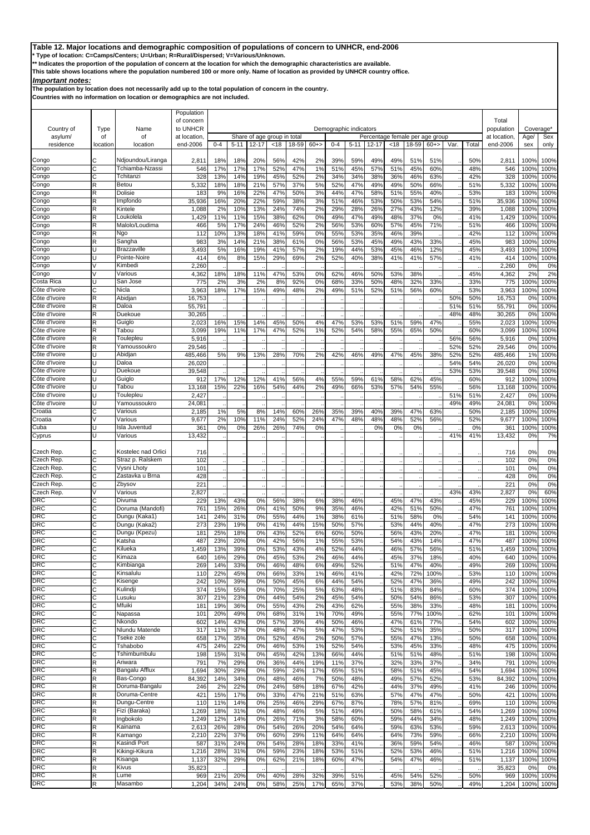**\* Type of location: C=Camps/Centers; U=Urban; R=Rural/Dispersed; V=Various/Unknown.**

**\*\* Indicates the proportion of the population of concern at the location for which the demographic characteristics are available.** 

**This table shows locations where the population numbered 100 or more only. Name of location as provided by UNHCR country office.**

## *Important notes:*

**The population by location does not necessarily add up to the total population of concern in the country.**

|                                |          |                             | Population<br>of concern |            |            |            |                             |            |           |            |                        |                                 |            |            |            |         |            | Total           |                |              |
|--------------------------------|----------|-----------------------------|--------------------------|------------|------------|------------|-----------------------------|------------|-----------|------------|------------------------|---------------------------------|------------|------------|------------|---------|------------|-----------------|----------------|--------------|
| Country of                     | Type     | Name                        | to UNHCR                 |            |            |            |                             |            |           |            | Demographic indicators |                                 |            |            |            |         |            | population      | Coverage'      |              |
| asylum/                        | of       | of                          | at location              |            |            |            | Share of age group in total |            |           |            |                        | Percentage female per age group |            |            |            |         |            | at location     | Age/           | Sex          |
| residence                      | location | location                    | end-2006                 | $0 - 4$    | $5 - 11$   | $12 - 17$  | <18                         | 18-59      | $60 + >$  | $0 - 4$    | $5 - 11$               | $12 - 17$                       | <18        | 18-59      | $60+$      | Var.    | Total      | end-2006        | sex            | only         |
| Congo                          | С        | Ndjoundou/Liranga           | 2,811                    | 18%        | 18%        | 20%        | 56%                         | 42%        | 2%        | 39%        | 59%                    | 49%                             | 49%        | 51%        | 51%        |         | 50%        | 2,811           | 100%           | 100%         |
| Congo                          | Ć        | Tchiamba-Nzassi             | 546                      | 17%        | 17%        | 17%        | 52%                         | 47%        | 1%        | 51%        | 45%                    | 57%                             | 51%        | 45%        | 60%        |         | 48%        | 546             | 100%           | 100%         |
| Congo                          | С        | Tchitanzi                   | 328                      | 13%        | 14%        | 19%        | 45%                         | 52%        | 2%        | 34%        | 34%                    | 38%                             | 36%        | 46%        | 63%        |         | 42%        | 328             | 100%           | 100%         |
| Congo                          | R        | Betou                       | 5,332                    | 18%        | 18%        | 21%        | 57%                         | 37%        | 5%        | 52%        | 47%                    | 49%                             | 49%        | 50%        | 66%        |         | 51%        | 5,332           | 100%           | 100%         |
| Congo                          | R        | Dolisie                     | 183                      | 9%         | 16%        | 22%        | 47%                         | 50%        | 3%        | 44%        | 47%                    | 58%                             | 51%        | 55%        | 40%        |         | 53%        | 183             | 100%           | 100%         |
| Congo                          | R        | Impfondo                    | 35,936                   | 16%        | 20%        | 22%        | 59%                         | 38%        | 3%        | 51%        | 46%                    | 53%                             | 50%        | 53%        | 54%        |         | 51%        | 35,936          | 100%           | 100%         |
| Congo                          | R        | Kintele                     | 1,088                    | 2%         | 10%        | 13%        | 24%                         | 74%        | 2%        | 29%        | 28%                    | 26%                             | 27%        | 43%        | 12%        |         | 39%        | 1,088           | 100%           | 100%         |
| Congo                          | R<br>R   | Loukolela<br>Malolo/Loudima | 1,429<br>466             | 11%<br>5%  | 11%<br>17% | 15%<br>24% | 38%<br>46%                  | 62%        | 0%<br>2%  | 49%<br>56% | 47%<br>53%             | 49%<br>60%                      | 48%        | 37%        | 0%<br>71%  |         | 41%        | 1,429<br>466    | 100%<br>100%   | 100%<br>100% |
| Congo<br>Congo                 | R        | Ngo                         | 112                      | 10%        | 13%        | 18%        | 41%                         | 52%<br>59% | 0%        | 55%        | 53%                    | 35%                             | 57%<br>46% | 45%<br>39% |            |         | 51%<br>42% | 112             | 100%           | 100%         |
| Congo                          | R        | Sangha                      | 983                      | 3%         | 14%        | 21%        | 38%                         | 61%        | 0%        | 56%        | 53%                    | 45%                             | 49%        | 43%        | 33%        |         | 45%        | 983             | 100%           | 100%         |
| Congo                          | п        | <b>Brazzaville</b>          | 3,493                    | 5%         | 16%        | 19%        | 41%                         | 57%        | 2%        | 19%        | 44%                    | 53%                             | 45%        | 46%        | 12%        |         | 45%        | 3,493           | 100%           | 100%         |
| Congo                          | U        | Pointe-Noire                | 414                      | 6%         | 8%         | 15%        | 29%                         | 69%        | 2%        | 52%        | 40%                    | 38%                             | 41%        | 41%        | 57%        |         | 41%        | 414             | 100%           | 100%         |
| Congo                          |          | Kimbedi                     | 2,260                    |            |            |            |                             |            |           |            |                        |                                 |            |            |            |         |            | 2,260           | 0%             | 0%           |
| Congo                          |          | Various                     | 4,362                    | 18%        | 18%        | 11%        | 47%                         | 53%        | 0%        | 62%        | 46%                    | 50%                             | 53%        | 38%        |            |         | 45%        | 4,362           | 2%             | 2%           |
| Costa Rica                     | п        | San Jose                    | 775                      | 2%         | 3%         | 2%         | 8%                          | 92%        | 0%        | 68%        | 33%                    | 50%                             | 48%        | 32%        | 33%        |         | 33%        | 775             | 100%           | 100%         |
| Côte d'Ivoire                  | С        | Nicla                       | 3,963                    | 18%        | 17%        | 15%        | 49%                         | 48%        | 2%        | 49%        | 51%                    | 52%                             | 51%        | 56%        | 60%        |         | 53%        | 3,963           | 100%           | 100%         |
| Côte d'Ivoire                  | R        | Abidjan                     | 16,753                   |            |            |            |                             |            |           |            |                        |                                 |            |            |            | 50%     | 50%        | 16,753          | 0%             | 100%         |
| Côte d'Ivoire                  | R        | Daloa                       | 55,791                   |            |            |            |                             |            |           |            |                        |                                 |            |            |            | 51%     | 51%        | 55,791          | 0%             | 100%         |
| Côte d'Ivoire<br>Côte d'Ivoire | R<br>R   | Duekoue<br>Guiglo           | 30,265<br>2,023          | 16%        | 15%        | 14%        | 45%                         | 50%        | 4%        | 47%        | 53%                    | 53%                             | 51%        | 59%        | 47%        | 48%     | 48%<br>55% | 30,265<br>2,023 | 0%<br>100%     | 100%<br>100% |
| Côte d'Ivoire                  | R        | Tabou                       | 3,099                    | 19%        | 11%        | 17%        | 47%                         | 52%        | 1%        | 52%        | 54%                    | 58%                             | 55%        | 65%        | 50%        |         | 60%        | 3,099           | 100%           | 100%         |
| Côte d'Ivoire                  | R        | Toulepleu                   | 5,916                    |            |            |            |                             |            |           |            |                        |                                 |            |            |            | 56%     | 56%        | 5,916           | 0%             | 100%         |
| Côte d'Ivoire                  | R        | Yamoussoukro                | 29,546                   |            |            |            |                             |            |           |            |                        |                                 |            |            |            | 52%     | 52%        | 29,546          | 0%             | 100%         |
| Côte d'Ivoire                  |          | Abidjan                     | 485,466                  | 5%         | 9%         | 13%        | 28%                         | 70%        | 2%        | 42%        | 46%                    | 49%                             | 47%        | 45%        | 38%        | 52%     | 52%        | 485,466         | 1%             | 100%         |
| Côte d'Ivoire                  | п        | Daloa                       | 26,020                   |            |            |            |                             |            |           |            |                        |                                 |            |            |            | 54%     | 54%        | 26,020          | 0%             | 100%         |
| Côte d'Ivoire                  | U        | Duekoue                     | 39,548                   |            |            |            |                             |            |           |            |                        |                                 |            |            |            | 53%     | 53%        | 39,548          | 0%             | 100%         |
| Côte d'Ivoire                  |          | Guiglo                      | 912                      | 17%        | 12%        | 12%        | 41%                         | 56%        | 4%        | 55%        | 59%                    | 61%                             | 58%        | 62%        | 45%        |         | 60%        | 912             | 100%           | 100%         |
| Côte d'Ivoire                  |          | Tabou                       | 13,168                   | 15%        | 22%        | 16%        | 54%                         | 44%        | 2%        | 49%        | 66%                    | 53%                             | 57%        | 54%        | 55%        |         | 56%        | 13,168          | 100%           | 100%         |
| Côte d'Ivoire                  | п        | Toulepleu                   | 2,427                    |            |            |            |                             |            |           |            |                        |                                 |            |            |            | 51%     | 51%        | 2,427           | 0 <sup>9</sup> | 100%         |
| Côte d'Ivoire                  |          | Yamoussoukro                | 24,081                   |            |            |            |                             |            |           |            |                        |                                 |            |            |            | 49%     | 49%        | 24,081          | 0%             | 100%         |
| Croatia                        | C        | Various                     | 2,185                    | 1%         | 5%         | 8%         | 14%                         | 60%        | 26%       | 35%        | 39%                    | 40%                             | 39%        | 47%        | 63%        |         | 50%        | 2,185           | 100%           | 100%         |
| Croatia                        |          | Various                     | 9,677                    | 2%         | 10%        | 11%        | 24%                         | 52%        | 24%       | 47%        | 48%                    | 48%                             | 48%        | 52%        | 56%        |         | 52%        | 9,677           | 100%           | 100%         |
| Cuba                           | U<br>U   | Isla Juventud<br>Various    | 361<br>13,432            | 0%         | 0%         | 26%        | 26%                         | 74%        | 0%        |            |                        | 0%                              | 0%         | 0%         |            | 41%     | 0%<br>41%  | 361<br>13,432   | 100%<br>0%     | 100%<br>7%   |
| Cyprus                         |          |                             |                          |            |            |            |                             |            |           |            |                        |                                 |            |            |            |         |            |                 |                |              |
| Czech Rep                      | С        | Kostelec nad Orlici         | 716                      |            |            |            |                             |            |           |            |                        |                                 |            |            |            |         |            | 716             | 0%             | 0%           |
| Czech Rep.                     | C        | Straz p. Ralskem            | 102                      |            |            |            |                             |            |           |            |                        |                                 |            |            |            |         |            | 102             | 0%             | 0%           |
| Czech Rep.                     | C        | Vysni Lhoty                 | 101                      |            |            |            |                             |            |           |            |                        |                                 |            |            |            |         |            | 101             | 0%             | 0%           |
| Czech Rep                      | C        | Zastavka u Brna             | 428                      |            |            |            |                             |            |           |            |                        |                                 |            |            |            |         |            | 428             | 0%             | 0%           |
| Czech Rep.                     | C        | Zbysov                      | 221                      |            |            |            |                             |            |           |            |                        |                                 |            |            |            |         |            | 221             | 0%             | 0%           |
| Czech Rep.                     | V        | Various                     | 2,827                    |            |            |            |                             |            |           |            |                        |                                 |            |            |            | 43%     | 43%        | 2,827           | 0%             | 60%          |
| <b>DRC</b>                     | Ć        | Divuma                      | 229                      | 13%        | 43%        | 0%         | 56%                         | 38%        | 6%        | 38%        | 46%                    |                                 | 45%        | 47%        | 43%        |         | 45%        | 229             | 100%           | 100%         |
| <b>DRC</b>                     | C        | Doruma (Mandofi)            | 76'                      | 15%        | 26%        | 0%         | 41%                         | 50%        | 9%        | 35%        | 46%                    |                                 | 42%        | 51%        | 50%        |         | 47%        | 761             | 100%           | 100%         |
| <b>DRC</b>                     | C        | Dungu (Kaka1)               | 14 <sup>′</sup>          | 24%        | 31%        | 0%         | 55%                         | 44%        | 1%        | 38%        | 61%                    |                                 | 51%        | 58%        | 0%         |         | 54%        | 141             | 100%           | 100%         |
| <b>DRC</b><br><b>DRC</b>       | С<br>Ć   | Dungu (Kaka2)               | 273                      | 23%<br>25% | 19%        | 0%<br>0%   | 41%<br>43%                  | 44%        | 15%       | 50%        | 57%<br>50%             |                                 | 53%        | 44%        | 40%<br>20% |         | 47%<br>47% | 273<br>181      | 100%           | 100%<br>100% |
| <b>DRC</b>                     | C        | Dungu (Kpezu)<br>Katsha     | 18 <sup>7</sup><br>487   | 23%        | 18%<br>20% | 0%         | 42%                         | 52%<br>56% | 6%<br>1%  | 60%<br>55% | 53%                    |                                 | 56%<br>54% | 43%<br>43% | 14%        |         | 47%        | 487             | 100%<br>100%   | 100%         |
| <b>DRC</b>                     | C        | Kilueka                     | 459                      | 13%        | 39%        | 0%         | 53%                         | 43%        | 4%        | 52%        | 44%                    |                                 | 46%        | 57%        | 56%        |         | 51%        | .459            | 100%           | 100%         |
| <b>DRC</b>                     | С        | Kimaza                      | 640                      | 16%        | 29%        | 0%         | 45%                         | 53%        | 2%        | 46%        | 44%                    |                                 | 45%        | 37%        | 18%        |         | 40%        | 640             | 100%           | 100%         |
| <b>DRC</b>                     | С        | Kimbianga                   | 269                      | 14%        | 33%        | 0%         | 46%                         | 48%        | 6%        | 49%        | 52%                    |                                 | 51%        | 47%        | 40%        |         | 49%        | 269             | 100%           | 100%         |
| <b>DRC</b>                     | C        | Kinsalulu                   | 110                      | 22%        | 45%        | 0%         | 66%                         | 33%        | 1%        | 46%        | 41%                    |                                 | 42%        | 72%        | 100%       |         | 53%        | 110             | 100%           | 100%         |
| <b>DRC</b>                     | C        | Kisenge                     | 242                      | 10%        | 39%        | 0%         | 50%                         | 45%        | 6%        | 44%        | 54%                    |                                 | 52%        | 47%        | 36%        |         | 49%        | 242             | 100%           | 100%         |
| <b>DRC</b>                     | C        | Kulindji                    | 374                      | 15%        | 55%        | 0%         | 70%                         | 25%        | 5%        | 63%        | 48%                    |                                 | 51%        | 83%        | 84%        |         | 60%        | 374             | 100%           | 100%         |
| <b>DRC</b>                     | С        | Lusuku                      | 307                      | 21%        | 23%        | 0%         | 44%                         | 54%        | 2%        | 45%        | 54%                    |                                 | 50%        | 54%        | 86%        |         | 53%        | 307             | 100%           | 100%         |
| <b>DRC</b>                     | Ċ        | Mfuiki                      | 181                      | 19%        | 36%        | 0%         | 55%                         | 43%        | 2%        | 43%        | 62%                    |                                 | 55%        | 38%        | 33%        |         | 48%        | 181             | 100%           | 100%         |
| <b>DRC</b>                     | С        | Napassa                     | 101                      | 20%        | 49%        | 0%         | 68%                         | 31%        | 1%        | 70%        | 49%                    |                                 | 55%        | <b>77%</b> | 100%       |         | 62%        | 101             | 100%           | 100%         |
| <b>DRC</b>                     | С        | Nkondo                      | 602                      | 14%        | 43%        | 0%         | 57%                         | 39%        | 4%        | 50%        | 46%                    |                                 | 47%        | 61%        | 77%        |         | 54%        | 602             | 100%           | 100%         |
| <b>DRC</b>                     | С        | Nlundu Matende              | 317                      | 11%        | 37%        | 0%         | 48%                         | 47%        | 5%        | 47%        | 53%                    |                                 | 52%        | 51%        | 35%        |         | 50%        | 317             | 100%           | 100%         |
| <b>DRC</b><br><b>DRC</b>       | С<br>С   | Tseke zole<br>Tshabobo      | 658<br>475               | 17%<br>24% | 35%<br>22% | 0%<br>0%   | 52%<br>46%                  | 45%<br>53% | 2%<br>1%  | 50%<br>52% | 57%<br>54%             |                                 | 55%<br>53% | 47%<br>45% | 13%<br>33% |         | 50%<br>48% | 658<br>475      | 100%<br>100%   | 100%<br>100% |
| <b>DRC</b>                     | С        | Tshimbumbulu                | 198                      | 15%        | 31%        | 0%         | 45%                         | 42%        | 13%       | 66%        | 44%                    |                                 | 51%        | 51%        | 48%        |         | 51%        | 198             | 100%           | 100%         |
| <b>DRC</b>                     | R        | Ariwara                     | 791                      | 7%         | 29%        | 0%         | 36%                         | 44%        | 19%       | 11%        | 37%                    |                                 | 32%        | 33%        | 37%        |         | 34%        | 791             | 100%           | 100%         |
| <b>DRC</b>                     | R        | <b>Bangalu Afflux</b>       | 1,694                    | 30%        | 29%        | 0%         | 59%                         | 24%        | 17%       | 65%        | 51%                    |                                 | 58%        | 51%        | 45%        |         | 54%        | 1,694           | 100%           | 100%         |
| <b>DRC</b>                     | R        | Bas-Congo                   | 84,392                   | 14%        | 34%        | 0%         | 48%                         | 46%        | <b>7%</b> | 50%        | 48%                    |                                 | 49%        | 57%        | 52%        |         | 53%        | 84,392          | 100%           | 100%         |
| <b>DRC</b>                     | R        | Doruma-Bangalu              | 246                      | 2%         | 22%        | 0%         | 24%                         | 58%        | 18%       | 67%        | 42%                    |                                 | 44%        | 37%        | 49%        |         | 41%        | 246             | 100%           | 100%         |
| <b>DRC</b>                     | R        | Doruma-Centre               | 421                      | 15%        | 17%        | 0%         | 33%                         | 47%        | 21%       | 51%        | 63%                    |                                 | 57%        | 47%        | 47%        |         | 50%        | 421             | 100%           | 100%         |
| <b>DRC</b>                     | R        | Dungu-Centre                | 110                      | 11%        | 14%        | 0%         | 25%                         | 46%        | 29%       | 67%        | 87%                    |                                 | 78%        | 57%        | 81%        |         | 69%        | 110             | 100%           | 100%         |
| <b>DRC</b>                     | R        | Fizi (Baraka)               | 1,269                    | 18%        | 31%        | 0%         | 48%                         | 46%        | 5%        | 51%        | 49%                    |                                 | 50%        | 58%        | 61%        | $\cdot$ | 54%        | 1,269           | 100%           | 100%         |
| <b>DRC</b>                     | R        | Ingbokolo                   | 1,249                    | 12%        | 14%        | 0%         | 26%                         | 71%        | 3%        | 58%        | 60%                    |                                 | 59%        | 44%        | 34%        |         | 48%        | 1,249           | 100%           | 100%         |
| <b>DRC</b>                     | R        | Kainama                     | 2,613                    | 26%        | 28%        | 0%         | 54%                         | 26%        | 20%       | 54%        | 64%                    |                                 | 59%        | 63%        | 53%        |         | 59%        | 2,613           | 100%           | 100%         |
| <b>DRC</b>                     | R        | Kamango                     | 2,210                    | 22%        | 37%        | 0%         | 60%                         | 29%        | 11%       | 64%        | 64%                    |                                 | 64%        | 73%        | 59%        |         | 66%        | 2,210           | 100%           | 100%         |
| <b>DRC</b>                     | R        | Kasindi Port                | 587                      | 31%        | 24%        | 0%         | 54%                         | 28%        | 18%       | 33%        | 41%                    |                                 | 36%        | 59%        | 54%        |         | 46%        | 587             | 100%           | 100%         |
| <b>DRC</b><br><b>DRC</b>       | R<br>R   | Kikingi-Kikura              | 1,216                    | 28%        | 31%        | 0%         | 59%                         | 23%        | 18%       | 53%        | 51%                    |                                 | 52%        | 53%        | 46%        |         | 51%        | 1,216           | 100%           | 100%         |
| <b>DRC</b>                     | R        | Kisanga<br>Kivus            | 1,137<br>35,823          | 32%        | 29%        | 0%         | 62%                         | 21%        | 18%       | 60%        | 47%                    |                                 | 54%        | 47%        | 46%        |         | 51%        | 1,137<br>35,823 | 100%<br>0%     | 100%<br>0%   |
| <b>DRC</b>                     | R        | Lume                        | 969                      | 21%        | 20%        | 0%         | 40%                         | 28%        | 32%       | 39%        | 51%                    |                                 | 45%        | 54%        | 52%        |         | 50%        | 969             | 100%           | 100%         |
| <b>DRC</b>                     | R        | Masambo                     | 1,204                    | 34%        | 24%        | 0%         | 58%                         | 25%        | 17%       | 65%        | 37%                    |                                 | 53%        | 38%        | 50%        |         | 49%        | 1,204           | 100%           | 100%         |
|                                |          |                             |                          |            |            |            |                             |            |           |            |                        |                                 |            |            |            |         |            |                 |                |              |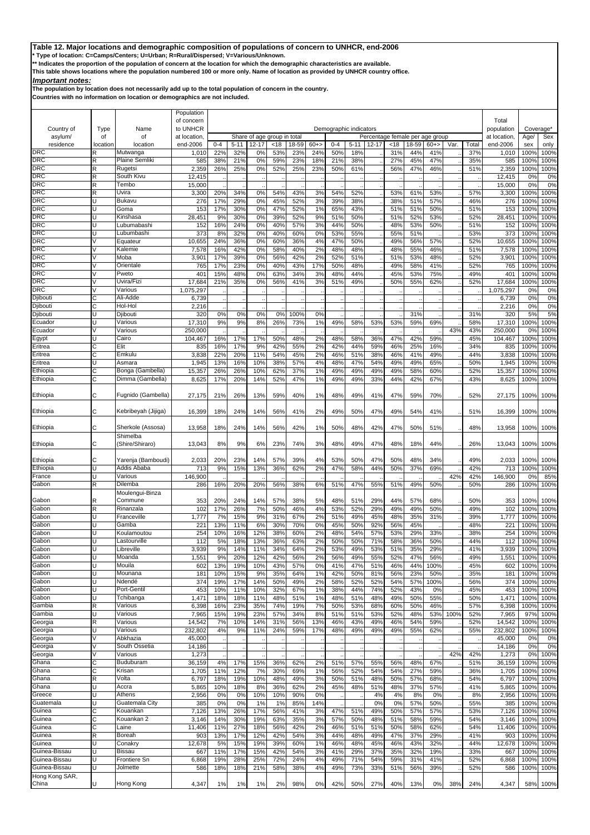**\* Type of location: C=Camps/Centers; U=Urban; R=Rural/Dispersed; V=Various/Unknown.**

**\*\* Indicates the proportion of the population of concern at the location for which the demographic characteristics are available.** 

**This table shows locations where the population numbered 100 or more only. Name of location as provided by UNHCR country office.**

## *Important notes:*

**The population by location does not necessarily add up to the total population of concern in the country.**

|                          |               |                             | Population<br>of concern |                |                 |             |                             |             |              |                |                        |            |                                 |                 |                 |         |              | Total             |                          |              |
|--------------------------|---------------|-----------------------------|--------------------------|----------------|-----------------|-------------|-----------------------------|-------------|--------------|----------------|------------------------|------------|---------------------------------|-----------------|-----------------|---------|--------------|-------------------|--------------------------|--------------|
| Country of               | Type          | Name                        | to UNHCR                 |                |                 |             |                             |             |              |                | Demographic indicators |            |                                 |                 |                 |         |              | population        | Coverage <sup>*</sup>    |              |
| asylum/                  | οf            | of                          | at location              |                |                 |             | Share of age group in total |             |              |                |                        |            | Percentage female per age group |                 |                 |         |              | at location.      | Age/                     | Sex          |
| residence<br><b>DRC</b>  | location<br>R | location<br>Mutwanga        | end-2006<br>1,010        | $0 - 4$<br>22% | $5 - 11$<br>32% | 12-17<br>0% | <18<br>53%                  | 8-59<br>23% | $60+$<br>24% | $0 - 4$<br>50% | $5 - 11$<br>18%        | 12-17      | <18<br>31%                      | $8 - 59$<br>44% | $60 + >$<br>41% | Var.    | Total<br>37% | end-2006<br>1,010 | sex<br>100%              | only<br>100% |
| <b>DRC</b>               | R             | <b>Plaine Semliki</b>       | 585                      | 38%            | 21%             | 0%          | 59%                         | 23%         | 18%          | 21%            | 38%                    |            | 27%                             | 45%             | 47%             |         | 35%          | 585               | 100%                     | 100%         |
| <b>DRC</b>               | R             | Rugetsi                     | 2,359                    | 26%            | 25%             | 0%          | 52%                         | 25%         | 23%          | 50%            | 61%                    |            | 56%                             | 47%             | 46%             |         | 51%          | 2,359             | 100%                     | 100%         |
| <b>DRC</b><br><b>DRC</b> | R             | South Kivu<br>Tembo         | 12.415                   |                |                 |             |                             |             |              |                |                        |            |                                 |                 |                 |         |              | 12,415            | 0%                       | 0%           |
| <b>DRC</b>               | R<br>R        | Uvira                       | 15,000<br>3,300          | 20%            | 34%             | 0%          | 54%                         | 43%         | 3%           | 54%            | 52%                    |            | 53%                             | 61%             | 53%             |         | 57%          | 15,000<br>3,300   | 0%<br>100%               | 0%<br>100%   |
| <b>DRC</b>               |               | Bukavu                      | 276                      | 17%            | 29%             | 0%          | 45%                         | 52%         | 3%           | 39%            | 38%                    |            | 38%                             | 51%             | 57%             |         | 46%          | 276               | 100%                     | 100%         |
| <b>DRC</b>               |               | Goma                        | 153                      | 17%            | 30%             | 0%          | 47%                         | 52%         | 1%           | 65%            | 43%                    |            | 51%                             | 51%             | 50%             |         | 51%          | 153               | 100%                     | 100%         |
| <b>DRC</b>               | U             | Kinshasa                    | 28,45'                   | 9%             | 30%             | 0%          | 39%                         | 52%         | 9%           | 51%            | 50%                    |            | 51%                             | 52%             | 53%             |         | 52%          | 28,451            | 100%                     | 100%         |
| <b>DRC</b><br><b>DRC</b> | U             | Lubumabashi<br>Lubumbashi   | 152<br>373               | 16%<br>8%      | 24%<br>32%      | 0%<br>0%    | 40%<br>40%                  | 57%<br>60%  | 3%<br>0%     | 44%<br>53%     | 50%<br>55%             |            | 48%<br>55%                      | 53%<br>51%      | 50%             |         | 51%<br>53%   | 152<br>373        | 100%<br>100%             | 100%<br>100% |
| <b>DRC</b>               | V             | Equateur                    | 10,655                   | 24%            | 36%             | 0%          | 60%                         | 36%         | 4%           | 47%            | 50%                    |            | 49%                             | 56%             | 57%             |         | 52%          | 10,655            | 100%                     | 100%         |
| <b>DRC</b>               | V             | Kalemie                     | 7,578                    | 16%            | 42%             | 0%          | 58%                         | 40%         | 2%           | 48%            | 48%                    |            | 48%                             | 55%             | 46%             |         | 51%          | 7,578             | 100%                     | 100%         |
| <b>DRC</b>               |               | Moba                        | 3,901                    | 17%            | 39%             | 0%          | 56%                         | 42%         | 2%           | 52%            | 51%                    |            | 51%                             | 53%             | 48%             |         | 52%          | 3,901             | 100%                     | 100%         |
| <b>DRC</b><br><b>DRC</b> | V             | Orientale<br>Pweto          | 765<br>40 <sup>°</sup>   | 17%            | 23%<br>48%      | 0%          | 40%<br>63%                  | 43%<br>34%  | 17%<br>3%    | 50%            | 48%<br>44%             |            | 49%                             | 58%<br>53%      | 41%             |         | 52%<br>49%   | 765<br>401        | 100%                     | 100%         |
| <b>DRC</b>               |               | Uvira/Fizi                  | 17,684                   | 15%<br>21%     | 35%             | 0%<br>0%    | 56%                         | 41%         | 3%           | 48%<br>51%     | 49%                    |            | 45%<br>50%                      | 55%             | 75%<br>62%      |         | 52%          | 17,684            | 100%<br>100%             | 100%<br>100% |
| <b>DRC</b>               |               | Various                     | 1,075,297                |                |                 |             |                             |             |              |                |                        |            |                                 |                 |                 |         |              | 1,075,297         | 0%                       | 0%           |
| Djibout                  | C             | Ali-Adde                    | 6,739                    |                |                 |             |                             |             |              |                |                        |            |                                 |                 |                 |         |              | 6,739             | 0%                       | 0%           |
| Djibout                  | C             | Hol-Hol                     | 2,216                    |                |                 |             |                             |             |              |                |                        |            |                                 |                 |                 |         |              | 2,216             | 0%                       | 0%           |
| Djibouti                 | U             | Djibouti                    | 32C                      | 0%             | 0%              | 0%          | 0%                          | 100%        | 0%           |                |                        |            |                                 | 31%             |                 |         | 31%          | 320               | 5%                       | 5%           |
| Ecuador<br>Ecuador       |               | Various<br>Various          | 17,310<br>250,000        | 9%             | 9%              | 8%          | 26%                         | 73%         | 1%           | 49%            | 58%                    | 53%        | 53%                             | 59%             | 69%             | 43%     | 58%<br>43%   | 17,310<br>250,000 | 100%<br>0 <sup>9</sup>   | 100%<br>100% |
| Egypt                    | U             | Cairo                       | 104,467                  | 16%            | 17%             | 17%         | 50%                         | 48%         | 2%           | 48%            | 58%                    | 36%        | 47%                             | 42%             | 59%             |         | 45%          | 104.467           | 100%                     | 100%         |
| Eritrea                  | Ć             | Elit                        | 835                      | 16%            | 17%             | 9%          | 42%                         | 55%         | 2%           | 42%            | 44%                    | 59%        | 46%                             | 25%             | 16%             |         | 34%          | 835               | 100%                     | 100%         |
| Eritrea                  | С             | Emkulu                      | 3,838                    | 22%            | 20%             | 11%         | 54%                         | 45%         | 2%           | 46%            | 51%                    | 38%        | 46%                             | 41%             | 49%             |         | 44%          | 3,838             | 100%                     | 100%         |
| Eritrea                  | U             | Asmara                      | 1,945                    | 13%            | 16%             | 10%         | 38%                         | 57%         | 4%           | 48%            | 47%                    | 54%        | 49%                             | 49%             | 65%             |         | 50%          | 1,945             | 100%                     | 100%         |
| Ethiopia                 | C             | Bonga (Gambella)            | 15,357                   | 26%            | 26%             | 10%         | 62%                         | 37%         | 1%           | 49%            | 49%                    | 49%        | 49%                             | 58%             | 60%             |         | 52%          | 15,357            | 100%                     | 100%         |
| Ethiopia                 | C             | Dimma (Gambella`            | 8,625                    | 17%            | 20%             | 14%         | 52%                         | 47%         | 1%           | 49%            | 49%                    | 33%        | 44%                             | 42%             | 67%             |         | 43%          | 8,625             | 100%                     | 100%         |
| Ethiopia                 | С             | Fugnido (Gambella)          | 27,175                   | 21%            | 26%             | 13%         | 59%                         | 40%         | 1%           | 48%            | 49%                    | 41%        | 47%                             | 59%             | 70%             |         | 52%          | 27,175            | 100%                     | 100%         |
|                          |               |                             |                          |                |                 |             |                             |             |              |                |                        |            |                                 |                 |                 |         |              |                   |                          |              |
| Ethiopia                 | С             | Kebribeyah (Jijiga)         | 16,399                   | 18%            | 24%             | 14%         | 56%                         | 41%         | 2%           | 49%            | 50%                    | 47%        | 49%                             | 54%             | 41%             |         | 51%          | 16,399            | 100%                     | 100%         |
| Ethiopia                 | С             | Sherkole (Assosa)           | 13,958                   | 18%            | 24%             | 14%         | 56%                         | 42%         | 1%           | 50%            | 48%                    | 42%        | 47%                             | 50%             | 51%             |         | 48%          | 13,958            | 100%                     | 100%         |
| Ethiopia                 | C             | Shimelba<br>(Shire/Shiraro) | 13,043                   | 8%             | 9%              | 6%          | 23%                         | <b>74%</b>  | 3%           | 48%            | 49%                    | 47%        | 48%                             | 18%             | 44%             |         | 26%          | 13,043            | 100%                     | 100%         |
|                          |               |                             |                          |                |                 |             |                             |             |              |                |                        |            |                                 |                 |                 |         |              |                   |                          |              |
| Ethiopia                 | С             | Yarenja (Bamboudi)          | 2,033                    | 20%            | 23%             | 14%         | 57%                         | 39%         | 4%           | 53%            | 50%                    | 47%        | 50%                             | 48%             | 34%             |         | 49%          | 2,033             | 100%                     | 100%         |
| Ethiopia                 |               | Addis Ababa                 | 713                      | 9%             | 15%             | 13%         | 36%                         | 62%         | 2%           | 47%            | 58%                    | 44%        | 50%                             | 37%             | 69%             |         | 42%          | 713               | 100%                     | 100%         |
| France<br>Gabon          | R             | Various<br>Dilemba          | 146,900<br>286           | 16%            | 20%             | 20%         | 56%                         | 38%         | 6%           | 51%            | 47%                    | 55%        | 51%                             | 49%             | 50%             | 42%     | 42%<br>50%   | 146,900<br>286    | 0 <sup>9</sup><br>100%   | 85%<br>100%  |
|                          |               | Moulengui-Binza             |                          |                |                 |             |                             |             |              |                |                        |            |                                 |                 |                 |         |              |                   |                          |              |
| Gabon                    |               | Commune                     | 353                      | 20%            | 24%             | 14%         | 57%                         | 38%         | 5%           | 48%            | 51%                    | 29%        | 44%                             | 57%             | 68%             |         | 50%          | 353               | 100%                     | 100%         |
| Gabon                    | R             | Rinanzala                   | 102                      | 17%            | 26%             | 7%          | 50%                         | 46%         | 4%           | 53%            | 52%                    | 29%        | 49%                             | 49%             | 50%             |         | 49%          | 102               | 100%                     | 100%         |
| Gabon                    | U             | Franceville                 | 1,777                    | 7%             | 15%             | 9%          | 31%                         | 67%         | 2%           | 51%            | 49%                    | 45%        | 48%                             | 35%             | 31%             |         | 39%          | 1,777             | 100%                     | 100%         |
| Gabon<br>Gabon           | п             | Gamba<br>Koulamoutou        | 22'<br>254               | 13%<br>10%     | 11%<br>16%      | 6%<br>12%   | 30%<br>38%                  | 70%<br>60%  | 0%<br>2%     | 45%<br>48%     | 50%<br>54%             | 92%<br>57% | 56%<br>53%                      | 45%<br>29%      | 33%             |         | 48%<br>38%   | 221<br>254        | 100%<br>100 <sup>c</sup> | 100%<br>100% |
| Gabon                    | U             | Lastourville                | 112                      | 5%             | 18%             | 13%         | 36%                         | 63%         | 2%           | 50%            | 50%                    | 71%        | 58%                             | 36%             | 50%             |         | 44%          | 112               | 100%                     | 100%         |
| Gabon                    | U             | Libreville                  | 3,939                    | 9%             | 14%             | 11%         | 34%                         | 64%         | 2%           | 53%            | 49%                    | 53%        | 51%                             | 35%             | 29%             |         | 41%          | 3,939             | 100%                     | 100%         |
| Gabon                    |               | Moanda                      | 1,551                    | 9%             | 20%             | 12%         | 42%                         | 56%         | 2%           | 56%            | 49%                    | 55%        | 52%                             | 47%             | 56%             |         | 49%          | 1,551             | 100%                     | 100%         |
| Gabon                    | U             | Mouila                      | 602                      | 13%            | 19%             | 10%         | 43%                         | 57%         | 0%           | 41%            | 47%                    | 51%        | 46%                             | 44%             | 100%            |         | 45%          | 602               | 100%                     | 100%         |
| Gabon<br>Gabon           | U<br>U        | Mounana<br>Ndendé           | 181<br>374               | 10%<br>19%     | 15%<br>17%      | 9%<br>14%   | 35%<br>50%                  | 64%<br>49%  | 1%<br>2%     | 42%<br>58%     | 50%<br>52%             | 81%<br>52% | 56%<br>54%                      | 23%<br>57%      | 50%<br>100%     |         | 35%<br>56%   | 181<br>374        | 100%<br>100%             | 100%<br>100% |
| Gabon                    | Ū             | Port-Gentil                 | 453                      | 10%            | 11%             | 10%         | 32%                         | 67%         | 1%           | 38%            | 44%                    | 74%        | 52%                             | 43%             | 0%              |         | 45%          | 453               | 100%                     | 100%         |
| Gabon                    | U             | Tchibanga                   | 1,471                    | 18%            | 18%             | 11%         | 48%                         | 51%         | 1%           | 48%            | 51%                    | 48%        | 49%                             | 50%             | 55%             |         | 50%          | 1,471             | 100%                     | 100%         |
| Gambia                   | R             | Various                     | 6,398                    | 16%            | 23%             | 35%         | <b>74%</b>                  | 19%         | 7%           | 50%            | 53%                    | 68%        | 60%                             | 50%             | 46%             |         | 57%          | 6,398             | 100%                     | 100%         |
| Gambia                   |               | Various                     | 7,965                    | 15%            | 19%             | 23%         | 57%                         | 34%         | 8%           | 51%            | 51%                    | 53%        | 52%                             | 48%             | 53%             | 100%    | 52%          | 7,965             | 97%                      | 100%         |
| Georgia<br>Georgia       | R<br>U        | Various<br>Various          | 14,542<br>232,802        | 7%<br>4%       | 10%<br>9%       | 14%<br>11%  | 31%<br>24%                  | 56%<br>59%  | 13%<br>17%   | 46%<br>48%     | 43%<br>49%             | 49%<br>49% | 46%<br>49%                      | 54%<br>55%      | 59%<br>62%      |         | 52%<br>55%   | 14,542<br>232,802 | 100%<br>100%             | 100%<br>100% |
| Georgia                  |               | Abkhazia                    | 45,000                   |                |                 |             |                             |             |              |                |                        |            |                                 |                 |                 |         |              | 45,000            | 0%                       | 0%           |
| Georgia                  | V             | South Ossetia               | 14,186                   |                |                 |             |                             |             |              |                |                        |            |                                 |                 |                 |         |              | 14,186            | 0%                       | 0%           |
| Georgia                  | V             | Various                     | 1,273                    |                |                 |             |                             |             |              |                |                        |            |                                 |                 |                 | 42%     | 42%          | 1,273             | 0%                       | 100%         |
| Ghana                    | C             | Buduburam                   | 36,159                   | 4%             | 17%             | 15%         | 36%                         | 62%         | 2%           | 51%            | 57%                    | 55%        | 56%                             | 48%             | 67%             |         | 51%          | 36,159            | 100%                     | 100%         |
| Ghana                    | С             | Krisan                      | 1,705                    | 11%            | 12%             | 7%          | 30%                         | 69%         | 1%           | 56%            | 52%                    | 54%        | 54%                             | 27%             | 59%             |         | 36%          | 1,705             | 100%                     | 100%         |
| Ghana<br>Ghana           | R<br>U        | Volta<br>Accra              | 6,797<br>5,865           | 18%<br>10%     | 19%<br>18%      | 10%<br>8%   | 48%<br>36%                  | 49%<br>62%  | 3%<br>2%     | 50%<br>45%     | 51%<br>48%             | 48%<br>51% | 50%<br>48%                      | 57%<br>37%      | 68%<br>57%      |         | 54%<br>41%   | 6,797<br>5,865    | 100%<br>100%             | 100%<br>100% |
| Greece                   | U             | Athens                      | 2,956                    | 0%             | 0%              | 10%         | 10%                         | 90%         | 0%           |                |                        | 4%         | 4%                              | 8%              | 0%              |         | 8%           | 2,956             | 100%                     | 100%         |
| Guatemala                | U             | Guatemala City              | 385                      | 0%             | 0%              | 1%          | 1%                          | 85%         | 14%          |                |                        | 0%         | 0%                              | 57%             | 50%             |         | 55%          | 385               | 100%                     | 100%         |
| Guinea                   | С             | Kouankan                    | 7,126                    | 13%            | 26%             | 17%         | 56%                         | 41%         | 3%           | 47%            | 51%                    | 49%        | 50%                             | 57%             | 57%             |         | 53%          | 7,126             | 100%                     | 100%         |
| Guinea                   | С             | Kouankan 2                  | 3,146                    | 14%            | 30%             | 19%         | 63%                         | 35%         | 3%           | 57%            | 50%                    | 48%        | 51%                             | 58%             | 59%             |         | 54%          | 3,146             | 100%                     | 100%         |
| Guinea<br>Guinea         | С<br>R        | Laine<br>Boreah             | 11,406<br>903            | 11%<br>13%     | 27%<br>17%      | 18%<br>12%  | 56%<br>42%                  | 42%<br>54%  | 2%<br>3%     | 46%<br>44%     | 51%<br>48%             | 51%<br>49% | 50%<br>47%                      | 58%<br>37%      | 62%<br>29%      |         | 54%<br>41%   | 11,406<br>903     | 100%<br>100%             | 100%<br>100% |
| Guinea                   | U             | Conakry                     | 12,678                   | 5%             | 15%             | 19%         | 39%                         | 60%         | 1%           | 46%            | 48%                    | 45%        | 46%                             | 43%             | 32%             | $\cdot$ | 44%          | 12,678            | 100%                     | 100%         |
| Guinea-Bissau            | U             | <b>Bissau</b>               | 667                      | 11%            | 17%             | 15%         | 42%                         | 54%         | 3%           | 41%            | 29%                    | 37%        | 35%                             | 32%             | 19%             |         | 33%          | 667               | 100%                     | 100%         |
| Guinea-Bissau            | U             | Frontiere Sn                | 6,868                    | 19%            | 28%             | 25%         | 72%                         | 24%         | 4%           | 49%            | 71%                    | 54%        | 59%                             | 31%             | 41%             |         | 52%          | 6,868             | 100%                     | 100%         |
| Guinea-Bissau            | U             | Jolmette                    | 586                      | 18%            | 18%             | 21%         | 58%                         | 38%         | 4%           | 49%            | 73%                    | 33%        | 51%                             | 56%             | 39%             |         | 52%          | 586               | 100%                     | 100%         |
| Hong Kong SAR,<br>China  |               | Hong Kong                   | 4,347                    | 1%             | 1%              | 1%          | 2%                          | 98%         | 0%           | 42%            | 50%                    | 27%        | 40%                             | 13%             | 0%              | 38%     | 24%          | 4,347             | 58%                      | 100%         |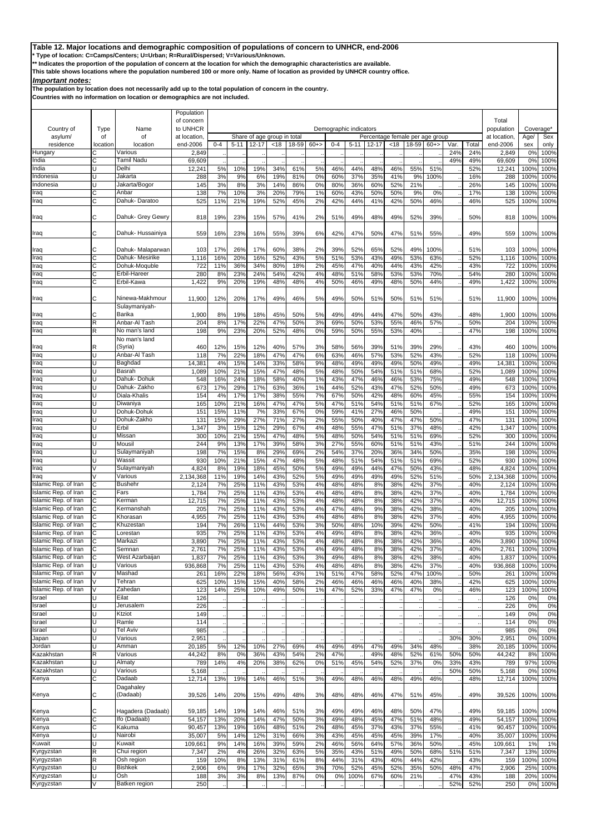**\* Type of location: C=Camps/Centers; U=Urban; R=Rural/Dispersed; V=Various/Unknown.**

**\*\* Indicates the proportion of the population of concern at the location for which the demographic characteristics are available.** 

**This table shows locations where the population numbered 100 or more only. Name of location as provided by UNHCR country office.**

# *Important notes:*

**The population by location does not necessarily add up to the total population of concern in the country.**

|                                              |            |                           | Population             |           |            |            |                             |            |          |            |                        |            |            |                                 |             |      |            |                     |              |              |
|----------------------------------------------|------------|---------------------------|------------------------|-----------|------------|------------|-----------------------------|------------|----------|------------|------------------------|------------|------------|---------------------------------|-------------|------|------------|---------------------|--------------|--------------|
| Country of                                   |            | Name                      | of concern<br>to UNHCR |           |            |            |                             |            |          |            |                        |            |            |                                 |             |      |            | Total<br>population | Coverage*    |              |
| asylum/                                      | Type<br>οf | of                        | at location            |           |            |            | Share of age group in total |            |          |            | Demographic indicators |            |            | Percentage female per age group |             |      |            | at location.        | Age/         | Sex          |
| residence                                    | location   | location                  | end-2006               | 0-4       | $5 - 11$   | $12 - 17$  | <18                         | 18-59      | $60 + >$ | $0 - 4$    | $5 - 11$               | $12 - 17$  | <18        | 18-59                           | $60+$       | Var. | Total      | end-2006            | sex          | only         |
| Hungary                                      |            | Various                   | 2,849                  |           |            |            |                             |            |          |            |                        |            |            |                                 |             | 24%  | 24%        | 2,849               | 0%           | 100%         |
| India                                        | C          | Tamil Nadu                | 69,609                 |           |            |            |                             |            |          |            |                        |            |            |                                 |             | 49%  | 49%        | 69,609              | 0%           | 100%         |
| India<br>Indonesia                           | U          | Delhi<br>Jakarta          | 12,241<br>288          | 5%<br>3%  | 10%<br>9%  | 19%<br>6%  | 34%<br>19%                  | 61%<br>81% | 5%<br>0% | 46%<br>60% | 44%<br>37%             | 48%<br>35% | 46%<br>41% | 55%<br>9%                       | 51%<br>100% |      | 52%<br>16% | 12,241<br>288       | 100%<br>100% | 100%<br>100% |
| Indonesia                                    | U          | Jakarta/Bogor             | 145                    | 3%        | 8%         | 3%         | 14%                         | 86%        | 0%       | 80%        | 36%                    | 60%        | 52%        | 21%                             |             |      | 26%        | 145                 | 100%         | 100%         |
| Iraq                                         | C          | Anbar                     | 138                    | 7%        | 10%        | 3%         | 20%                         | 79%        | 1%       | 60%        | 43%                    | 50%        | 50%        | 9%                              | 0%          |      | 17%        | 138                 | 100%         | 100%         |
| Iraq                                         | С          | Dahuk-Daratoo             | 525                    | 11%       | 21%        | 19%        | 52%                         | 45%        | 2%       | 42%        | 44%                    | 41%        | 42%        | 50%                             | 46%         |      | 46%        | 525                 | 100%         | 100%         |
| Iraq                                         | С          | Dahuk- Grey Gewry         | 818                    | 19%       | 23%        | 15%        | 57%                         | 41%        | 2%       | 51%        | 49%                    | 48%        | 49%        | 52%                             | 39%         |      | 50%        | 818                 | 100%         | 100%         |
| Iraq                                         | С          | Dahuk- Hussainiya         | 559                    | 16%       | 23%        | 16%        | 55%                         | 39%        | 6%       | 42%        | 47%                    | 50%        | 47%        | 51%                             | 55%         |      | 49%        | 559                 | 100%         | 100%         |
| Iraq                                         | C          | Dahuk- Malaparwan         | 103                    | 17%       | 26%        | 17%        | 60%                         | 38%        | 2%       | 39%        | 52%                    | 65%        | 52%        | 49%                             | 100%        |      | 51%        | 103                 | 100%         | 100%         |
| Iraq                                         | C          | Dahuk- Mesirike           | 1,116                  | 16%       | 20%        | 16%        | 52%                         | 43%        | 5%       | 51%        | 53%                    | 43%        | 49%        | 53%                             | 63%         |      | 52%        | 1,116               | 100%         | 100%         |
| Iraq                                         | C          | Dohuk-Moquble             | 722                    | 11%       | 36%        | 34%        | 80%                         | 18%        | 2%       | 45%        | 47%                    | 40%        | 44%        | 43%                             | 42%         |      | 43%        | 722                 | 100%         | 100%         |
| Iraq                                         | С          | Erbil-Hareer              | 280                    | 8%        | 23%        | 24%        | 54%                         | 42%        | 4%       | 48%        | 51%                    | 58%        | 53%        | 53%                             | 70%         |      | 54%        | 280                 | 100%         | 100%         |
| Iraq                                         | C          | Erbil-Kawa                | 1,422                  | 9%        | 20%        | 19%        | 48%                         | 48%        | 4%       | 50%        | 46%                    | 49%        | 48%        | 50%                             | 44%         |      | 49%        | 1,422               | 100%         | 100%         |
| Iraq                                         | С          | Ninewa-Makhmour           | 11,900                 | 12%       | 20%        | 17%        | 49%                         | 46%        | 5%       | 49%        | 50%                    | 51%        | 50%        | 51%                             | 51%         |      | 51%        | 11,900              | 100%         | 100%         |
|                                              | С          | Sulaymaniyah-<br>Barika   |                        |           | 19%        |            | 45%                         |            |          | 49%        | 49%                    |            | 47%        | 50%                             | 43%         |      | 48%        |                     | 100%         | 100%         |
| Iraq<br>Iraq                                 | R          | Anbar-Al Tash             | 1,900<br>204           | 8%<br>8%  | 17%        | 18%<br>22% | 47%                         | 50%<br>50% | 5%<br>3% | 69%        | 50%                    | 44%<br>53% | 55%        | 46%                             | 57%         |      | 50%        | 1,900<br>204        | 100%         | 100%         |
| Iraq                                         | R          | No man's land             | 198                    | 9%        | 23%        | 20%        | 52%                         | 48%        | 0%       | 59%        | 50%                    | 55%        | 53%        | 40%                             |             |      | 47%        | 198                 | 100%         | 100%         |
|                                              |            | No man's land             |                        |           |            |            |                             |            |          |            |                        |            |            |                                 |             |      |            |                     |              |              |
| Iraq                                         | R          | (Syria)                   | 460                    | 12%       | 15%        | 12%        | 40%                         | 57%        | 3%       | 58%        | 56%                    | 39%        | 51%        | 39%                             | 29%         |      | 43%        | 460                 | 100%         | 100%         |
| Iraq                                         | U          | Anbar-Al Tash             | 118                    | 7%        | 22%        | 18%        | 47%                         | 47%        | 6%       | 63%        | 46%                    | 57%        | 53%        | 52%                             | 43%         |      | 52%        | 118                 | 100%         | 100%         |
| Iraq<br>Iraq                                 | U<br>U     | Baghdad<br>Basrah         | 14,381<br>1,089        | 4%<br>10% | 15%<br>21% | 14%<br>15% | 33%<br>47%                  | 58%<br>48% | 9%<br>5% | 48%<br>48% | 49%<br>50%             | 49%<br>54% | 49%<br>51% | 50%<br>51%                      | 49%<br>68%  |      | 49%<br>52% | 14,381<br>1,089     | 100%<br>100% | 100%<br>100% |
| Iraq                                         | Ū          | Dahuk- Dohuk              | 548                    | 16%       | 24%        | 18%        | 58%                         | 40%        | 1%       | 43%        | 47%                    | 46%        | 46%        | 53%                             | 75%         |      | 49%        | 548                 | 100%         | 100%         |
| Iraq                                         | U          | Dahuk- Zakho              | 673                    | 17%       | 29%        | 17%        | 63%                         | 36%        | 1%       | 44%        | 52%                    | 43%        | 47%        | 52%                             | 50%         |      | 49%        | 673                 | 100%         | 100%         |
| Iraq                                         | п          | Diala-Khalis              | 154                    | 4%        | 17%        | 17%        | 38%                         | 55%        | 7%       | 67%        | 50%                    | 42%        | 48%        | 60%                             | 45%         |      | 55%        | 154                 | 100%         | 100%         |
| Iraq                                         | Ū          | Diwaniya                  | 165                    | 10%       | 21%        | 16%        | 47%                         | 47%        | 5%       | 47%        | 51%                    | 54%        | 51%        | 51%                             | 67%         |      | 52%        | 165                 | 100%         | 100%         |
| Iraq                                         |            | Dohuk-Dohuk               | 151                    | 15%       | 11%        | 7%         | 33%                         | 67%        | 0%       | 59%        | 41%                    | 27%        | 46%        | 50%                             |             |      | 49%        | 151                 | 100%         | 100%         |
| Iraq<br>Iraq                                 | U          | Dohuk-Zakho<br>Erbil      | 131<br>1,347           | 15%<br>3% | 29%<br>15% | 27%<br>12% | 71%<br>29%                  | 27%<br>67% | 2%<br>4% | 55%<br>48% | 50%<br>55%             | 40%<br>47% | 47%<br>51% | 47%<br>37%                      | 50%<br>48%  |      | 47%<br>42% | 131<br>1,347        | 100%<br>100% | 100%<br>100% |
| Iraq                                         | Ū          | Missan                    | 300                    | 10%       | 21%        | 15%        | 47%                         | 48%        | 5%       | 48%        | 50%                    | 54%        | 51%        | 51%                             | 69%         |      | 52%        | 300                 | 100%         | 100%         |
| Iraq                                         |            | Mousil                    | 244                    | 9%        | 13%        | 17%        | 39%                         | 58%        | 3%       | 27%        | 55%                    | 60%        | 51%        | 51%                             | 43%         |      | 51%        | 244                 | 100%         | 100%         |
| Iraq                                         | U          | Sulaymaniyah              | 198                    | 7%        | 15%        | 8%         | 29%                         | 69%        | 2%       | 54%        | 37%                    | 20%        | 36%        | 34%                             | 50%         |      | 35%        | 198                 | 100%         | 100%         |
| Iraq                                         | U          | Wassit                    | 930                    | 10%       | 21%        | 15%        | 47%                         | 48%        | 5%       | 48%        | 51%                    | 54%        | 51%        | 51%                             | 69%         |      | 52%        | 930                 | 100%         | 100%         |
| Iraq                                         |            | Sulaymaniyah              | 4,824                  | 8%        | 19%        | 18%        | 45%                         | 50%        | 5%       | 49%        | 49%                    | 44%        | 47%        | 50%                             | 43%         |      | 48%        | 4,824               | 100%         | 100%         |
| Iraq<br>Islamic Rep. of Iran                 | C          | Various<br><b>Bushehr</b> | 2,134,368<br>2,124     | 11%<br>7% | 19%<br>25% | 14%<br>11% | 43%<br>43%                  | 52%<br>53% | 5%<br>4% | 49%<br>48% | 49%<br>48%             | 49%<br>8%  | 49%<br>38% | 52%<br>42%                      | 51%<br>37%  |      | 50%<br>40% | 2,134,368<br>2,124  | 100%<br>100% | 100%<br>100% |
| Islamic Rep. of Iran                         | С          | Fars                      | 1,784                  | 7%        | 25%        | 11%        | 43%                         | 53%        | 4%       | 48%        | 48%                    | 8%         | 38%        | 42%                             | 37%         |      | 40%        | 1,784               | 100%         | 100%         |
| Islamic Rep. of Iran                         | Ć          | Kerman                    | 12,715                 | 7%        | 25%        | 11%        | 43%                         | 53%        | 4%       | 48%        | 48%                    | 8%         | 38%        | 42%                             | 37%         |      | 40%        | 12,715              | 100%         | 100%         |
| Islamic Rep. of Iran                         | C          | Kermanshah                | 205                    | 7%        | 25%        | 11%        | 43%                         | 53%        | 4%       | 47%        | 48%                    | 9%         | 38%        | 42%                             | 38%         |      | 40%        | 205                 | 100%         | 100%         |
| Islamic Rep. of Iran                         | С          | Khorasan                  | 4,955                  | 7%        | 25%        | 11%        | 43%                         | 53%        | 4%       | 48%        | 48%                    | 8%         | 38%        | 42%                             | 37%         |      | 40%        | 4,955               | 100%         | 100%         |
| Islamic Rep. of Iran<br>Islamic Rep. of Iran | С          | Khuzestan<br>Lorestan     | 194<br>935             | 7%<br>7%  | 26%<br>25% | 11%<br>11% | 44%<br>43%                  | 53%<br>53% | 3%<br>4% | 50%<br>49% | 48%<br>48%             | 10%<br>8%  | 39%<br>38% | 42%<br>42%                      | 50%<br>36%  |      | 41%<br>40% | 194<br>935          | 100%<br>100% | 100%<br>100% |
| Islamic Rep. of Iran                         | C          | Markazi                   | 3,890                  | 7%        | 25%        | 11%        | 43%                         | 53%        | 4%       | 48%        | 48%                    | 8%         | 38%        | 42%                             | 36%         |      | 40%        | 3,890               | 100%         | 100%         |
| Islamic Rep. of Iran                         |            | Semnan                    | 2.761                  | 7%        | 25%        | 11%        | 43%                         | 53%        | 4%       | 49%        | 48%                    | 8%         | 38%        | 42%                             | 37%         |      | 40%        | 2.761               | 100%         | 100%         |
| Islamic Rep. of Iran                         | C          | West Azarbaijan           | 1,837                  | 7%        | 25%        | 11%        | 43%                         | 53%        | 3%       | 49%        | 48%                    | 8%         | 38%        | 42%                             | 38%         |      | 40%        | 1,837               | 100%         | 100%         |
| Islamic Rep. of Iran                         | U          | Various                   | 936,868                | 7%        | 25%        | 11%        | 43%                         | 53%        | 4%       | 48%        | 48%                    | 8%         | 38%        | 42%                             | 37%         |      | 40%        | 936,868             | 100%         | 100%         |
| Islamic Rep. of Iran                         |            | Mashad                    | 261                    | 16%       | 22%        | 18%        | 56%                         | 43%        | 1%       | 51%        | 47%                    | 58%        | 52%        | 47%                             | 100%        |      | 50%        | 261                 | 100%         | 100%         |
| Islamic Rep. of Iran                         |            | Tehran                    | 625                    | 10%       | 15%        | 15%        | 40%                         | 58%        | 2%       | 46%        | 46%                    | 46%        | 46%        | 40%                             | 38%         |      | 42%        | 625                 | 100%         | 100%         |
| Islamic Rep. of Iran<br>Israel               |            | Zahedan<br>Eilat          | 123<br>126             | 14%       | 25%        | 10%        | 49%                         | 50%        | 1%       | 47%        | 52%                    | 33%        | 47%        | 47%                             | 0%          |      | 46%        | 123<br>126          | 100%<br>0%   | 100%<br>0%   |
| Israel                                       | Ū          | Jerusalem                 | 226                    |           |            |            |                             |            |          |            |                        |            |            |                                 |             |      |            | 226                 | 0%           | 0%           |
| Israel                                       |            | Ktziot                    | 149                    |           |            |            |                             |            |          |            |                        |            |            |                                 |             |      |            | 149                 | 0%           | 0%           |
| Israel                                       |            | Ramle                     | 114                    |           |            |            |                             |            |          |            |                        |            |            |                                 |             |      |            | 114                 | 0%           | 0%           |
| Israel                                       | U          | Tel Aviv                  | 985                    |           |            |            |                             |            |          |            |                        |            |            |                                 |             |      |            | 985                 | 0%           | 0%           |
| Japan                                        | U          | Various                   | 2,951                  |           |            |            |                             |            |          |            |                        |            |            |                                 |             | 30%  | 30%        | 2,951               | 0%           | 100%         |
| Jordan<br>Kazakhstan                         | R          | Amman<br>Various          | 20,185<br>44,242       | 5%<br>8%  | 12%<br>0%  | 10%<br>36% | 27%<br>43%                  | 69%<br>54% | 4%<br>2% | 49%<br>47% | 49%                    | 47%<br>49% | 49%<br>48% | 34%<br>52%                      | 48%<br>61%  | 50%  | 38%<br>50% | 20,185<br>44,242    | 100%<br>8%   | 100%<br>100% |
| Kazakhstan                                   | U          | Almaty                    | 789                    | 14%       | 4%         | 20%        | 38%                         | 62%        | 0%       | 51%        | 45%                    | 54%        | 52%        | 37%                             | 0%          | 33%  | 43%        | 789                 | 97%          | 100%         |
| Kazakhstan                                   | U          | Various                   | 5,168                  |           |            |            |                             |            |          |            |                        |            |            |                                 |             | 50%  | 50%        | 5,168               | 0%           | 100%         |
| Kenya                                        | C          | Dadaab                    | 12,714                 | 13%       | 19%        | 14%        | 46%                         | 51%        | 3%       | 49%        | 48%                    | 46%        | 48%        | 49%                             | 46%         |      | 48%        | 12,714              | 100%         | 100%         |
| Kenya                                        | С          | Dagahaley<br>(Dadaab)     | 39,526                 | 14%       | 20%        | 15%        | 49%                         | 48%        | 3%       | 48%        | 48%                    | 46%        | 47%        | 51%                             | 45%         |      | 49%        | 39,526              | 100%         | 100%         |
| Kenya                                        | С          | Hagadera (Dadaab)         | 59,185                 | 14%       | 19%        | 14%        | 46%                         | 51%        | 3%       | 49%        | 49%                    | 46%        | 48%        | 50%                             | 47%         |      | 49%        | 59,185              | 100%         | 100%         |
| Kenya                                        | C          | Ifo (Dadaab)              | 54,157                 | 13%       | 20%        | 14%        | 47%                         | 50%        | 3%       | 49%        | 48%                    | 45%        | 47%        | 51%                             | 48%         |      | 49%        | 54,157              | 100%         | 100%         |
| Kenya                                        | С          | Kakuma                    | 90,457                 | 13%       | 19%        | 16%        | 48%                         | 51%        | 2%       | 48%        | 45%                    | 37%        | 43%        | 37%                             | 55%         |      | 41%        | 90,457              | 100%         | 100%         |
| Kenya<br>Kuwait                              | U          | Nairobi<br>Kuwait         | 35,007                 | 5%        | 14%        | 12%        | 31%                         | 66%        | 3%       | 43%        | 45%                    | 45%        | 45%        | 39%                             | 17%         |      | 40%        | 35,007              | 100%         | 100%         |
| Kyrgyzstan                                   | R          | Chui region               | 109,661<br>7,347       | 9%<br>2%  | 14%<br>4%  | 16%<br>26% | 39%<br>32%                  | 59%<br>63% | 2%<br>5% | 46%<br>35% | 56%<br>43%             | 64%<br>51% | 57%<br>49% | 36%<br>50%                      | 50%<br>68%  | 51%  | 45%<br>51% | 109,661<br>7,347    | 1%<br>13%    | 1%<br>100%   |
| Kyrgyzstan                                   | R          | Osh region                | 159                    | 10%       | 8%         | 13%        | 31%                         | 61%        | 8%       | 44%        | 31%                    | 43%        | 40%        | 44%                             | 42%         |      | 43%        | 159                 | 100%         | 100%         |
| Kyrgyzstan                                   | Ū          | <b>Bishkek</b>            | 2,906                  | 6%        | 9%         | 17%        | 32%                         | 65%        | 3%       | 70%        | 52%                    | 45%        | 52%        | 35%                             | 50%         | 48%  | 47%        | 2,906               | 25%          | 100%         |
| Kyrgyzstan                                   | U          | Osh                       | 188                    | 3%        | 3%         | 8%         | 13%                         | 87%        | 0%       | 0%         | 100%                   | 67%        | 60%        | 21%                             |             | 47%  | 43%        | 188                 | 20%          | 100%         |
| Kyrgyzstan                                   | V          | Batken region             | 250                    |           |            |            |                             |            |          |            |                        |            |            |                                 |             | 52%  | 52%        | 250                 | 0%           | 100%         |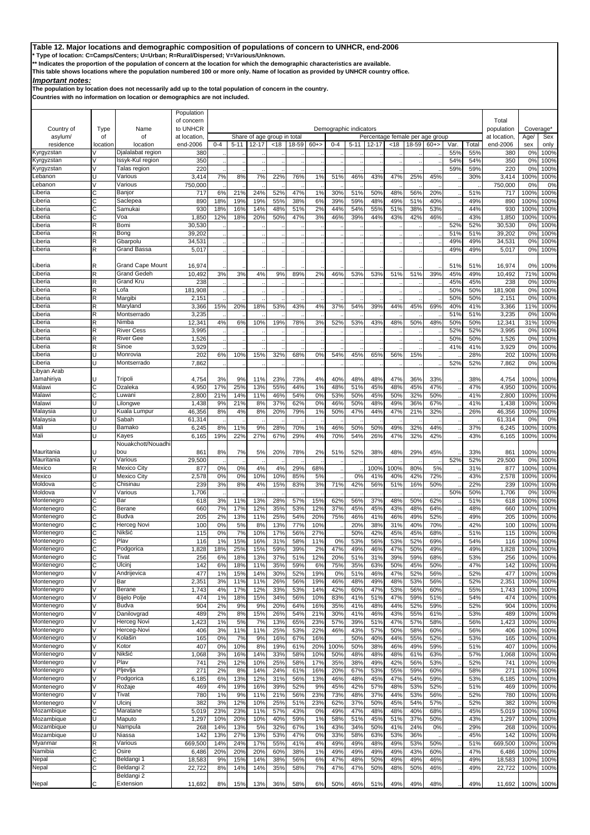**\* Type of location: C=Camps/Centers; U=Urban; R=Rural/Dispersed; V=Various/Unknown.**

**\*\* Indicates the proportion of the population of concern at the location for which the demographic characteristics are available.** 

**This table shows locations where the population numbered 100 or more only. Name of location as provided by UNHCR country office.**

## *Important notes:*

**The population by location does not necessarily add up to the total population of concern in the country.**

|                          |                |                                  | Population             |            |            |            |                             |            |            |             |                        |            |            |                                 |            |            |            |                     |                        |              |
|--------------------------|----------------|----------------------------------|------------------------|------------|------------|------------|-----------------------------|------------|------------|-------------|------------------------|------------|------------|---------------------------------|------------|------------|------------|---------------------|------------------------|--------------|
| Country of               | Type           | Name                             | of concern<br>to UNHCR |            |            |            |                             |            |            |             | Demographic indicators |            |            |                                 |            |            |            | Total<br>population | Coverage <sup>*</sup>  |              |
| asylum/                  | οf             | of                               | at location            |            |            |            | Share of age group in total |            |            |             |                        |            |            | Percentage female per age group |            |            |            | at location.        | Age/                   | Sex          |
| residence                | location       | location                         | end-2006               | $0 - 4$    | $5 - 11$   | $12 - 17$  | <18                         | 18-59      | $60 + >$   | $0 - 4$     | $5 - 11$               | $12 - 17$  | $<$ 18     | 18-59                           | $60+$      | Var.       | Total      | end-2006            | sex                    | only         |
| Kyrgyzstan               |                | Djalalabat region                | 380                    |            |            |            |                             |            |            |             |                        |            |            |                                 |            | 55%        | 55%        | 380                 | 0 <sup>9</sup>         | 100%         |
| Kyrgyzstan<br>Kyrgyzstan |                | lssyk-Kul region<br>Talas region | 350<br>220             |            |            |            |                             |            |            |             |                        |            |            |                                 |            | 54%<br>59% | 54%<br>59% | 350<br>220          | 0%<br>0 <sup>9</sup>   | 100%<br>100% |
| .ebanon                  |                | Various                          | 3,414                  | 7%         | 8%         | 7%         | 22%                         | 76%        | 1%         | 51%         | 46%                    | 43%        | 47%        | 25%                             | 45%        |            | 30%        | 3,414               | 100%                   | 100%         |
| .ebanon                  |                | Various                          | 750,000                |            |            |            |                             |            |            |             |                        |            |            |                                 |            |            |            | 750,000             | 0 <sup>9</sup>         | 0%           |
| .iberia                  | Ć              | Banjor                           | 717                    | 6%         | 21%        | 24%        | 52%                         | 47%        | 1%         | 30%         | 51%                    | 50%        | 48%        | 56%                             | 20%        |            | 51%        | 717                 | 100%                   | 100%         |
| iberia                   | Ć              | Saclepea                         | 890                    | 18%        | 19%        | 19%        | 55%                         | 38%        | 6%         | 39%         | 59%                    | 48%        | 49%        | 51%                             | 40%        |            | 49%        | 890                 | 100%                   | 100%         |
| .iberia<br>iberia        | C<br>C         | Samukai<br>Voa                   | 930<br>1,850           | 18%<br>12% | 16%<br>18% | 14%<br>20% | 48%<br>50%                  | 51%<br>47% | 2%<br>3%   | 44%<br>46%  | 54%<br>39%             | 55%<br>44% | 51%<br>43% | 38%<br>42%                      | 53%<br>46% |            | 44%<br>43% | 930<br>1,850        | 100%<br>100%           | 100%<br>100% |
| iberia                   | R              | Bomi                             | 30,530                 |            |            |            |                             |            |            |             |                        |            |            |                                 |            | 52%        | 52%        | 30,530              | 0 <sup>9</sup>         | 100%         |
| .iberia                  | R              | Bong                             | 39,202                 |            |            |            |                             |            |            |             |                        |            |            |                                 |            | 51%        | 51%        | 39,202              | 0 <sup>9</sup>         | 100%         |
| .iberia                  | R              | Gbarpolu                         | 34,531                 |            |            |            |                             |            |            |             |                        |            |            |                                 |            | 49%        | 49%        | 34,531              | 0%                     | 100%         |
| .iberia                  | R              | Grand Bassa                      | 5,017                  |            |            |            |                             |            |            |             |                        |            |            |                                 |            | 49%        | 49%        | 5,017               | 0%                     | 100%         |
| .iberia                  | R              | <b>Grand Cape Mount</b>          | 16,974                 |            |            |            |                             |            |            |             |                        |            |            |                                 |            | 51%        | 51%        | 16,974              | 0%                     | 100%         |
| .iberia                  | R              | Grand Gedeh                      | 10,492                 | 3%         | 3%         | 4%         | 9%                          | 89%        | 2%         | 46%         | 53%                    | 53%        | 51%        | 51%                             | 39%        | 45%        | 49%        | 10,492              | 71%                    | 100%         |
| .iberia                  | R              | Grand Kru                        | 238                    |            |            |            |                             |            |            |             |                        |            |            |                                 |            | 45%        | 45%        | 238                 | 0%                     | 100%         |
| iberia                   | R              | Lofa                             | 181,908                |            |            |            |                             |            |            |             |                        |            |            |                                 |            | 50%        | 50%        | 181,908             | 0%                     | 100%         |
| .iberia                  | R              | Margibi                          | 2,151                  |            |            |            |                             |            |            |             |                        |            |            |                                 |            | 50%        | 50%        | 2,151               | 0%                     | 100%         |
| iberia<br>.iberia        | R<br>R         | Maryland<br>Montserrado          | 3,366<br>3,235         | 15%        | 20%        | 18%        | 53%                         | 43%        | 4%         | 37%         | 54%                    | 39%        | 44%        | 45%                             | 69%        | 40%<br>51% | 41%<br>51% | 3,366<br>3,235      | 11%<br>0%              | 100%<br>100% |
| .iberia                  | R              | Nimba                            | 12,341                 | 4%         | 6%         | 10%        | 19%                         | 78%        | 3%         | 52%         | 53%                    | 43%        | 48%        | 50%                             | 48%        | 50%        | 50%        | 12,341              | 31%                    | 100%         |
| .iberia                  | R              | River Cess                       | 3,995                  |            |            |            |                             |            |            |             |                        |            |            |                                 |            | 52%        | 52%        | 3,995               | 0 <sup>9</sup>         | 100%         |
| .iberia                  | R              | River Gee                        | 1,526                  |            |            |            |                             |            |            |             |                        |            |            |                                 |            | 50%        | 50%        | 1,526               | 0%                     | 100%         |
| iberia                   | R              | Sinoe                            | 3,929                  |            |            |            |                             |            |            |             |                        |            |            |                                 |            | 41%        | 41%        | 3,929               | 0 <sup>9</sup>         | 100%         |
| .iberia<br>.iberia       | U              | Monrovia<br>Montserrado          | 202<br>7,862           | 6%         | 10%        | 15%        | 32%                         | 68%        | 0%         | 54%         | 45%                    | 65%        | 56%        | 15%                             |            | 52%        | 28%<br>52% | 202<br>7,862        | 100%<br>0%             | 100%<br>100% |
| Libyan Arab              |                |                                  |                        |            |            |            |                             |            |            |             |                        |            |            |                                 |            |            |            |                     |                        |              |
| Jamahiriya               |                | Tripoli                          | 4,754                  | 3%         | 9%         | 11%        | 23%                         | 73%        | 4%         | 40%         | 48%                    | 48%        | 47%        | 36%                             | 33%        |            | 38%        | 4,754               | 100%                   | 100%         |
| Malawi                   | C              | Dzaleka                          | 4,950                  | 17%        | 25%        | 13%        | 55%                         | 44%        | 1%         | 48%         | 51%                    | 45%        | 48%        | 45%                             | 47%        |            | 47%        | 4,950               | 100%                   | 100%         |
| Malawi                   | C              | Luwani                           | 2,800                  | 21%        | 14%        | 11%        | 46%                         | 54%        | 0%         | 53%         | 50%                    | 45%        | 50%        | 32%                             | 50%        |            | 41%        | 2,800               | 100%                   | 100%         |
| Malawi<br>Malaysia       | п<br>п         | Lilongwe<br>Kuala Lumpur         | 1,438<br>46,356        | 9%<br>8%   | 21%<br>4%  | 8%<br>8%   | 37%<br>20%                  | 62%<br>79% | 0%<br>1%   | 46%<br>50%  | 50%<br>47%             | 48%<br>44% | 49%<br>47% | 36%<br>21%                      | 67%<br>32% |            | 41%<br>26% | 1,438<br>46,356     | 100%<br>100%           | 100%<br>100% |
| Malaysia                 |                | Sabah                            | 61,314                 |            |            |            |                             |            |            |             |                        |            |            |                                 |            |            |            | 61,314              | 0 <sup>9</sup>         | 0%           |
| Mali                     | U              | Bamako                           | 6,245                  | 8%         | 11%        | 9%         | 28%                         | 70%        | 1%         | 46%         | 50%                    | 50%        | 49%        | 32%                             | 44%        |            | 37%        | 6,245               | 100%                   | 100%         |
| Mali                     |                | Kayes                            | 6,165                  | 19%        | 22%        | 27%        | 67%                         | 29%        | 4%         | 70%         | 54%                    | 26%        | 47%        | 32%                             | 42%        |            | 43%        | 6,165               | 100%                   | 100%         |
|                          |                | Nouakchott/Nouadhi               |                        |            |            |            |                             |            |            |             |                        |            |            |                                 |            |            |            |                     |                        |              |
| Mauritania<br>Mauritania |                | bou<br>Various                   | 861<br>29,500          | 8%         | 7%         | 5%         | 20%                         | 78%        | 2%         | 51%         | 52%                    | 38%        | 48%        | 29%                             | 45%        | 52%        | 33%<br>52% | 861<br>29,500       | 100%<br>0 <sup>9</sup> | 100%<br>100% |
| Mexico                   | R              | Mexico City                      | 877                    | 0%         | 0%         | 4%         | 4%                          | 29%        | 68%        |             |                        | 100%       | 100%       | 80%                             | 5%         |            | 31%        | 877                 | 100%                   | 100%         |
| Mexico                   | U              | Mexico City                      | 2,578                  | 0%         | 0%         | 10%        | 10%                         | 85%        | 5%         |             | 0%                     | 41%        | 40%        | 42%                             | 72%        |            | 43%        | 2,578               | 100%                   | 100%         |
| Moldova                  | С              | Chisinau                         | 239                    | 3%         | 8%         | 4%         | 15%                         | 83%        | 3%         | 71%         | 42%                    | 56%        | 51%        | 16%                             | 50%        |            | 22%        | 239                 | 100%                   | 100%         |
| Moldova                  |                | Various                          | 1,706                  |            |            |            |                             |            |            |             |                        |            |            |                                 |            | 50%        | 50%        | 1,706               | 0 <sup>9</sup>         | 100%         |
| Montenegro<br>Montenegro | C<br>C         | Bar<br>Berane                    | 618<br>660             | 3%<br>7%   | 11%<br>17% | 13%<br>12% | 28%<br>35%                  | 57%<br>53% | 15%<br>12% | 62%<br>37%  | 56%<br>45%             | 37%<br>45% | 48%<br>43% | 50%<br>48%                      | 62%<br>64% |            | 51%<br>48% | 618<br>660          | 100%<br>100%           | 100%<br>100% |
| Montenegro               | Ć              | Budva                            | 205                    | 2%         | 13%        | 11%        | 25%                         | 54%        | 20%        | 75%         | 46%                    | 41%        | 46%        | 49%                             | 52%        |            | 49%        | 205                 | 100%                   | 100%         |
| Montenegro               | Ć              | Herceg Novi                      | 100                    | 0%         | 5%         | 8%         | 13%                         | 77%        | 10%        |             | 20%                    | 38%        | 31%        | 40%                             | 70%        |            | 42%        | 100                 | 100%                   | 100%         |
| Montenegro               | C              | Nikšić                           | 115                    | 0%         | 7%         | 10%        | 17%                         | 56%        | 27%        |             | 50%                    | 42%        | 45%        | 45%                             | 68%        |            | 51%        | 115                 | 100%                   | 100%         |
| Montenegro               | C              | Plav                             | 116                    | 1%         | 15%        | 16%        | 31%                         | 58%        | 11%        | 0%          | 53%                    | 56%        | 53%        | 52%                             | 69%        |            | 54%        | 116                 | 100%                   | 100%         |
| Montenegro<br>Montenegro | C<br>C         | Podgorica<br>Tivat               | 1,828<br>256           | 18%<br>6%  | 25%<br>18% | 15%<br>13% | 59%<br>37%                  | 39%<br>51% | 2%<br>12%  | 47%<br>20%  | 49%<br>51%             | 46%<br>31% | 47%<br>39% | 50%<br>59%                      | 49%<br>68% |            | 49%<br>53% | 1,828<br>256        | 100%<br>100%           | 100%<br>100% |
| Montenegro               | C              | Ulcini                           | 142                    | 6%         | 18%        | 11%        | 35%                         | 59%        | 6%         | 75%         | 35%                    | 63%        | 50%        | 45%                             | 50%        |            | 47%        | 142                 | 100%                   | 100%         |
| Montenegro               | V              | Andrijevica                      | 477                    | 1%         | 15%        | 14%        | 30%                         | 52%        | 19%        | 0%          | 51%                    | 46%        | 47%        | 52%                             | 56%        |            | 52%        | 477                 | 100%                   | 100%         |
| Montenegro               |                | Bar                              | 2,351                  | 3%         | 11%        | 11%        | 26%                         | 56%        | 19%        | 46%         | 48%                    | 49%        | 48%        | 53%                             | 56%        |            | 52%        | 2,351               | 100%                   | 100%         |
| Montenegro               | V              | Berane                           | 1,743                  | 4%         | 17%        | 12%        | 33%                         | 53%        | 14%        | 42%         | 60%                    | 47%        | 53%        | 56%                             | 60%        |            | 55%        | 1,743               | 100%                   | 100%         |
| Montenegro<br>Montenegro | V              | <b>Bijelo Polje</b><br>Budva     | 474<br>904             | 1%<br>2%   | 18%<br>9%  | 15%<br>9%  | 34%<br>20%                  | 56%<br>64% | 10%<br>16% | 83%<br>35%  | 41%<br>41%             | 51%<br>48% | 47%<br>44% | 59%<br>52%                      | 51%<br>59% |            | 54%<br>52% | 474<br>904          | 100%<br>100%           | 100%<br>100% |
| Montenegro               | V              | Danilovgrad                      | 489                    | 2%         | 8%         | 15%        | 26%                         | 54%        | 21%        | 30%         | 41%                    | 46%        | 43%        | 55%                             | 61%        | $\cdot$    | 53%        | 489                 | 100%                   | 100%         |
| Montenegro               | V              | Herceg Novi                      | 1,423                  | 1%         | 5%         | 7%         | 13%                         | 65%        | 23%        | 57%         | 39%                    | 51%        | 47%        | 57%                             | 58%        |            | 56%        | 1,423               | 100%                   | 100%         |
| Montenegro               | V              | Herceg-Novi                      | 406                    | 3%         | 11%        | 11%        | 25%                         | 53%        | 22%        | 46%         | 43%                    | 57%        | 50%        | 58%                             | 60%        |            | 56%        | 406                 | 100%                   | 100%         |
| Montenegro               | V              | Kolašin<br>Kotor                 | 165                    | 0%         | 7%         | 9%         | 16%                         | 67%        | 16%        |             | 50%                    | 40%        | 44%        | 55%                             | 52%        |            | 53%        | 165                 | 100%                   | 100%         |
| Montenegro<br>Montenegro |                | Nikšić                           | 407<br>1,068           | 0%<br>3%   | 10%<br>16% | 8%<br>14%  | 19%<br>33%                  | 61%<br>58% | 20%<br>10% | 100%<br>50% | 50%<br>48%             | 38%<br>48% | 46%<br>48% | 49%<br>61%                      | 59%<br>63% |            | 51%<br>57% | 407<br>1,068        | 100%<br>100%           | 100%<br>100% |
| Montenegro               |                | Plav                             | 741                    | 2%         | 12%        | 10%        | 25%                         | 58%        | 17%        | 35%         | 38%                    | 49%        | 42%        | 56%                             | 53%        |            | 52%        | 741                 | 100%                   | 100%         |
| Montenegro               |                | Pljevlja                         | 271                    | 2%         | 8%         | 14%        | 24%                         | 61%        | 16%        | 20%         | 67%                    | 53%        | 55%        | 59%                             | 60%        |            | 58%        | 271                 | 100%                   | 100%         |
| Montenegro               | V              | Podgorica                        | 6,185                  | 6%         | 13%        | 12%        | 31%                         | 56%        | 13%        | 46%         | 48%                    | 45%        | 47%        | 54%                             | 59%        |            | 53%        | 6,185               | 100%                   | 100%         |
| Montenegro<br>Montenegro | V<br>V         | Rožaje<br>Tivat                  | 469<br>780             | 4%<br>1%   | 19%<br>9%  | 16%<br>11% | 39%<br>21%                  | 52%        | 9%<br>23%  | 45%<br>73%  | 42%                    | 57%<br>37% | 48%<br>44% | 53%                             | 52%<br>56% |            | 51%<br>52% | 469<br>780          | 100%<br>100%           | 100%<br>100% |
| Montenegro               | V              | Ulcinj                           | 382                    | 3%         | 12%        | 10%        | 25%                         | 56%<br>51% | 23%        | 62%         | 48%<br>37%             | 50%        | 45%        | 53%<br>54%                      | 57%        |            | 52%        | 382                 | 100%                   | 100%         |
| Mozambique               | C              | Maratane                         | 5,019                  | 23%        | 23%        | 11%        | 57%                         | 43%        | 0%         | 49%         | 47%                    | 48%        | 48%        | 40%                             | 68%        |            | 45%        | 5,019               | 100%                   | 100%         |
| Mozambique               | U              | Maputo                           | 1,297                  | 10%        | 20%        | 10%        | 40%                         | 59%        | 1%         | 58%         | 51%                    | 45%        | 51%        | 37%                             | 50%        |            | 43%        | 1,297               | 100%                   | 100%         |
| Mozambique               | $\overline{1}$ | Nampula                          | 268                    | 14%        | 13%        | 5%         | 32%                         | 67%        | 1%         | 43%         | 34%                    | 50%        | 41%        | 24%                             | 0%         |            | 29%        | 268                 | 100%                   | 100%         |
| Mozambique               | U              | Niassa                           | 142                    | 13%        | 27%        | 13%        | 53%                         | 47%        | 0%         | 33%         | 58%                    | 63%        | 53%        | 36%                             |            |            | 45%        | 142                 | 100%                   | 100%         |
| Myanmar<br>Namibia       | R<br>С         | Various<br>Osire                 | 669,500<br>6,486       | 14%<br>20% | 24%<br>20% | 17%<br>20% | 55%<br>60%                  | 41%<br>38% | 4%<br>1%   | 49%<br>49%  | 49%<br>49%             | 48%<br>49% | 49%<br>49% | 53%<br>43%                      | 50%<br>60% |            | 51%<br>47% | 669,500<br>6,486    | 100%<br>100%           | 100%<br>100% |
| Nepal                    | С              | Beldangi 1                       | 18,583                 | 9%         | 15%        | 14%        | 38%                         | 56%        | 6%         | 47%         | 48%                    | 50%        | 49%        | 49%                             | 46%        |            | 49%        | 18,583              | 100%                   | 100%         |
| Nepal                    | Ċ              | Beldangi 2                       | 22,722                 | 8%         | 14%        | 14%        | 35%                         | 58%        | 7%         | 47%         | 47%                    | 50%        | 48%        | 50%                             | 46%        |            | 49%        | 22,722              | 100%                   | 100%         |
|                          |                | Beldangi 2                       |                        |            |            |            |                             |            |            |             |                        |            |            |                                 |            |            |            |                     |                        |              |
| Nepal                    | С              | Extension                        | 11,692                 | 8%         | 15%        | 13%        | 36%                         | 58%        | 6%         | 50%         | 46%                    | 51%        | 49%        | 49%                             | 48%        |            | 49%        | 11,692              | 100%                   | 100%         |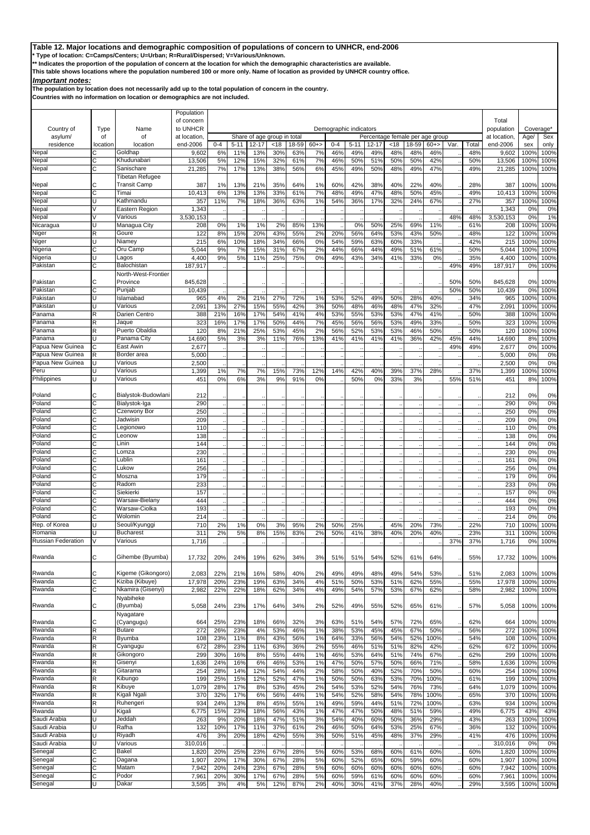**\* Type of location: C=Camps/Centers; U=Urban; R=Rural/Dispersed; V=Various/Unknown.**

**\*\* Indicates the proportion of the population of concern at the location for which the demographic characteristics are available.** 

**This table shows locations where the population numbered 100 or more only. Name of location as provided by UNHCR country office.**

## *Important notes:*

**The population by location does not necessarily add up to the total population of concern in the country.**

| Country of                 | Type     | Name                            | Population<br>of concern<br>to UNHCR |            |            |            |                             |            |          |            | Demographic indicators |                                 |            |                   |             |            |            | Total<br>population | Coverage*                        |              |
|----------------------------|----------|---------------------------------|--------------------------------------|------------|------------|------------|-----------------------------|------------|----------|------------|------------------------|---------------------------------|------------|-------------------|-------------|------------|------------|---------------------|----------------------------------|--------------|
| asylum/                    | of       | of                              | at location                          |            |            |            | Share of age group in total |            |          |            |                        | Percentage female per age group |            |                   |             |            |            | at location         | Age/                             | Sex          |
| residence                  | location | location                        | end-2006                             | $0 - 4$    | $5 - 11$   | $12 - 17$  | <18                         | 18-59      | $60+$    | $0 - 4$    | $5 - 11$               | 12-17                           | <18        | 18-59             | $60+$       | Var.       | Total      | end-2006            | sex                              | only         |
| Nepal                      | С        | Goldhap                         | 9,602                                | 6%         | 11%        | 13%        | 30%                         | 63%        | 7%       | 46%        | 49%                    | 49%                             | 48%        | 48%               | 46%         |            | 48%        | 9,602               | 100%                             | 100%         |
| Nepal<br>Nepal             | C<br>Ć   | Khudunabari<br>Sanischare       | 13,506<br>21,285                     | 5%<br>7%   | 12%<br>17% | 15%<br>13% | 32%<br>38%                  | 61%<br>56% | 7%<br>6% | 46%<br>45% | 50%<br>49%             | 51%<br>50%                      | 50%<br>48% | 50%<br>49%        | 42%<br>47%  |            | 50%<br>49% | 13,506<br>21,285    | 100 <sup>°</sup><br>100%         | 100%<br>100% |
|                            |          | <b>Tibetan Refugee</b>          |                                      |            |            |            |                             |            |          |            |                        |                                 |            |                   |             |            |            |                     |                                  |              |
| Nepal                      |          | <b>Transit Camp</b>             | 387                                  | 1%         | 13%        | 21%        | 35%                         | 64%        | 1%       | 60%        | 42%                    | 38%                             | 40%        | 22%               | 40%         |            | 28%        | 387                 | 100%                             | 100%         |
| Nepal                      | C        | Timai                           | 10,413                               | 6%         | 13%        | 13%        | 33%                         | 61%        | 7%       | 48%        | 49%                    | 47%                             | 48%        | 50%               | 45%         |            | 49%        | 10,413              | 100 <sup>°</sup>                 | 100%         |
| Nepal                      | U        | Kathmandu                       | 357                                  | 11%        | 7%         | 18%        | 36%                         | 63%        | 1%       | 54%        | 36%                    | 17%                             | 32%        | 24%               | 67%         |            | 27%        | 357                 | 100%                             | 100%         |
| Nepal<br>Nepal             |          | Eastern Region<br>Various       | 1,343<br>3,530,153                   |            |            |            |                             |            |          |            |                        |                                 |            |                   |             | 48%        | 48%        | 1,343<br>3,530,153  | 0 <sup>9</sup><br>0 <sup>9</sup> | 0%<br>1%     |
| Nicaragua                  | U        | Managua City                    | 208                                  | 0%         | 1%         | 1%         | 2%                          | 85%        | 13%      |            | 0%                     | 50%                             | 25%        | 69%               | 11%         |            | 61%        | 208                 | 100%                             | 100%         |
| Niger                      | R        | Goure                           | 122                                  | 8%         | 15%        | 20%        | 43%                         | 55%        | 2%       | 20%        | 56%                    | 64%                             | 53%        | 43%               | 50%         |            | 48%        | 122                 | 100%                             | 100%         |
| Niger                      |          | Niamey                          | 215                                  | 6%         | 10%        | 18%        | 34%                         | 66%        | 0%       | 54%        | 59%                    | 63%                             | 60%        | 33%               |             |            | 42%        | 215                 | 100%                             | 100%         |
| Nigeria                    |          | Oru Camp                        | 5,044                                | 9%         | 7%         | 15%        | 31%                         | 67%        | 2%       | 44%        | 66%                    | 44%                             | 49%        | 51%               | 61%         |            | 50%        | 5,044               | 100 <sup>°</sup>                 | 100%         |
| Nigeria                    | U        | Lagos                           | 4,400                                | 9%         | 5%         | 11%        | 25%                         | 75%        | 0%       | 49%        | 43%                    | 34%                             | 41%        | 33%               | 0%          |            | 35%        | 4,400               | 100%                             | 100%         |
| Pakistan                   | С        | Balochistan                     | 187,917                              |            |            |            |                             |            |          |            |                        |                                 |            |                   |             | 49%        | 49%        | 187,917             | 0%                               | 100%         |
| Pakistan                   | r.       | North-West-Frontier<br>Province | 845,628                              |            |            |            |                             |            |          |            |                        |                                 |            |                   |             | 50%        | 50%        | 845,628             | 0%                               | 100%         |
| Pakistan                   | C        | Punjab                          | 10.439                               |            |            |            |                             |            |          |            |                        |                                 |            |                   |             | 50%        | 50%        | 10,439              | 0 <sup>9</sup>                   | 100%         |
| Pakistan                   | U        | Islamabad                       | 965                                  | 4%         | 2%         | 21%        | 27%                         | <b>72%</b> | 1%       | 53%        | 52%                    | 49%                             | 50%        | 28%               | 40%         |            | 34%        | 965                 | 100%                             | 100%         |
| Pakistan                   |          | Various                         | 2,091                                | 13%        | 27%        | 15%        | 55%                         | 42%        | 3%       | 50%        | 48%                    | 46%                             | 48%        | 47%               | 32%         |            | 47%        | 2,091               | 100 <sup>°</sup>                 | 100%         |
| Panama                     | R        | Darien Centro                   | 388                                  | 21%        | 16%        | 17%        | 54%                         | 41%        | 4%       | 53%        | 55%                    | 53%                             | 53%        | 47%               | 41%         |            | 50%        | 388                 | 100%                             | 100%         |
| Panama                     | R        | Jaque                           | 323                                  | 16%        | 17%        | 17%        | 50%                         | 44%        | 7%       | 45%        | 56%                    | 56%                             | 53%        | 49%               | 33%         |            | 50%        | 323                 | 100 <sup>°</sup>                 | 100%         |
| Panama                     | R        | Puerto Obaldia                  | 12C                                  | 8%         | 21%        | 25%        | 53%                         | 45%        | 2%       | 56%        | 52%                    | 53%                             | 53%        | 46%               | 50%         |            | 50%        | 120                 | 100%                             | 100%         |
| Panama<br>Papua New Guinea | C        | Panama City<br>East Awin        | 14,690<br>2,677                      | 5%         | 3%         | 3%         | 11%                         | 76%        | 13%      | 41%        | 41%                    | 41%                             | 41%        | 36%               | 42%         | 45%<br>49% | 44%<br>49% | 14,690<br>2,677     | 8%<br>0 <sup>9</sup>             | 100%<br>100% |
| Papua New Guinea           | R        | Border area                     | 5,000                                |            |            |            |                             |            |          |            |                        |                                 |            |                   |             |            |            | 5,000               | 0%                               | 0%           |
| Papua New Guinea           |          | Various                         | 2,500                                |            |            |            |                             |            |          |            |                        |                                 |            |                   |             |            |            | 2,500               | 0%                               | 0%           |
| Peru                       |          | Various                         | 1,399                                | 1%         | 7%         | 7%         | 15%                         | 73%        | 12%      | 14%        | 42%                    | 40%                             | 39%        | 37%               | 28%         |            | 37%        | 1,399               | 100%                             | 100%         |
| Philippines                |          | Various                         | 451                                  | 0%         | 6%         | 3%         | 9%                          | 91%        | 0%       |            | 50%                    | 0%                              | 33%        | 3%                |             | 55%        | 51%        | 451                 | 8%                               | 100%         |
|                            |          |                                 |                                      |            |            |            |                             |            |          |            |                        |                                 |            |                   |             |            |            |                     |                                  |              |
| Poland                     |          | Bialystok-Budowlani             | 212                                  |            |            |            |                             |            |          |            |                        |                                 |            |                   |             |            |            | 212                 | 0%                               | 0%           |
| Poland                     | Ċ        | Bialystok-Iga                   | 290                                  |            |            |            |                             |            |          |            |                        |                                 |            |                   |             |            |            | 290                 | 0%                               | 0%           |
| Poland<br>Poland           | С<br>C   | Czerwony Bor<br>Jadwisin        | 250<br>209                           |            |            |            |                             |            |          |            |                        |                                 |            |                   |             |            |            | 250<br>209          | 0%<br>0%                         | 0%<br>0%     |
| Poland                     | С        | Legionowo                       | 110                                  |            |            |            |                             |            |          |            |                        |                                 |            |                   |             |            |            | 110                 | 0%                               | 0%           |
| Poland                     | Ć        | Leonow                          | 138                                  |            |            |            |                             |            |          |            |                        |                                 |            |                   |             |            |            | 138                 | 0%                               | 0%           |
| Poland                     | C        | Linin                           | 144                                  |            |            |            |                             |            |          |            |                        |                                 |            |                   |             |            |            | 144                 | 0%                               | 0%           |
| Poland                     | Ć        | Lomza                           | 230                                  |            |            |            |                             |            |          |            |                        |                                 |            |                   |             |            |            | 230                 | 0%                               | 0%           |
| Poland                     | Ċ        | Lublin                          | 161                                  |            |            |            |                             |            |          |            |                        |                                 |            |                   |             |            |            | 161                 | 0%                               | 0%           |
| Poland                     | C        | Lukow                           | 256                                  |            |            |            |                             |            |          |            |                        |                                 |            |                   |             |            |            | 256                 | 0%                               | 0%           |
| Poland<br>Poland           | Ć<br>C   | Moszna<br>Radom                 | 179<br>233                           |            |            |            |                             |            |          |            |                        |                                 |            |                   |             |            |            | 179<br>233          | 0%<br>0%                         | 0%<br>0%     |
| Poland                     | C        | Siekierki                       | 157                                  |            |            |            |                             |            |          |            |                        |                                 |            |                   |             |            |            | 157                 | 0%                               | 0%           |
| Poland                     | C        | Warsaw-Bielany                  | 444                                  |            |            |            |                             |            |          |            |                        |                                 |            |                   |             |            |            | 444                 | 0%                               | 0%           |
| Poland                     | C        | Warsaw-Ciolka                   | 193                                  |            |            |            |                             |            |          |            |                        |                                 |            |                   |             |            |            | 193                 | 0%                               | 0%           |
| Poland                     | r.       | Wolomin                         | 214                                  |            |            |            |                             |            |          |            |                        |                                 |            |                   |             |            |            | 214                 | 0%                               | 0%           |
| Rep. of Korea              |          | Seoul/Kyunggi                   | <b>710</b>                           | 2%         | 1%         | 0%         | 3%                          | 95%        | 2%       | 50%        | 25%                    |                                 | 45%        | 20%               | 73%         |            | 22%        | 710                 | 100%                             | 100%         |
| Romania                    |          | Bucharest                       | 311                                  | 2%         | 5%         | 8%         | 15%                         | 83%        | 2%       | 50%        | 41%                    | 38%                             | 40%        | 20%               | 40%         |            | 23%        | 311                 | 100%                             | 100%         |
| <b>Russian Federation</b>  |          | Various                         | 1,716                                |            |            |            |                             |            |          |            |                        |                                 |            |                   |             | 37%        | 37%        | 1,716               | 0%                               | 100%         |
| Rwanda                     | С        | Gihembe (Byumba)                | 17,732                               | 20%        | 24%        | 19%        | 62%                         | 34%        | 3%       | 51%        | 51%                    | 54%                             | 52%        | 61%               | 64%         |            | 55%        | 17,732              | 100%                             | 100%         |
| Rwanda                     | C        | Kigeme (Gikongoro)              | 2,083                                | 22%        | 21%        | 16%        | 58%                         | 40%        | 2%       | 49%        | 49%                    | 48%                             | 49%        | 54%               | 53%         |            | 51%        | 2,083               | 100%                             | 100%         |
| Rwanda                     | Ċ        | Kiziba (Kibuye)                 | 17,978                               | 20%        | 23%        | 19%        | 63%                         | 34%        | 4%       | 51%        | 50%                    | 53%                             | 51%        | 62%               | 55%         |            | 55%        | 17,978              | 100%                             | 100%         |
| Rwanda                     | С        | Nkamira (Gisenyi)               | 2,982                                | 22%        | 22%        | 18%        | 62%                         | 34%        | 4%       | 49%        | 54%                    | 57%                             | 53%        | 67%               | 62%         |            | 58%        | 2,982               | 100%                             | 100%         |
| Rwanda                     | С        | Nyabiheke<br>(Byumba)           | 5,058                                | 24%        | 23%        | 17%        | 64%                         | 34%        | 2%       | 52%        | 49%                    | 55%                             | 52%        | 65%               | 61%         |            | 57%        | 5,058               | 100%                             | 100%         |
|                            |          | Nyagatare                       |                                      |            |            |            |                             |            |          |            |                        |                                 |            |                   |             |            |            |                     |                                  |              |
| Rwanda<br>Rwanda           | C<br>R   | (Cyangugu)<br><b>Butare</b>     | 664<br>272                           | 25%<br>26% | 23%<br>23% | 18%<br>4%  | 66%<br>53%                  | 32%<br>46% | 3%<br>1% | 63%<br>38% | 51%<br>53%             | 54%<br>45%                      | 57%<br>45% | <b>72%</b><br>67% | 65%<br>50%  |            | 62%<br>56% | 664<br>272          | 100%<br>100%                     | 100%<br>100% |
| Rwanda                     | R        | Byumba                          | 108                                  | 23%        | 11%        | 8%         | 43%                         | 56%        | 1%       | 64%        | 33%                    | 56%                             | 54%        | 52%               | 100%        |            | 54%        | 108                 | 100%                             | 100%         |
| Rwanda                     | R        | Cyangugu                        | 672                                  | 28%        | 23%        | 11%        | 63%                         | 36%        | 2%       | 55%        | 46%                    | 51%                             | 51%        | 82%               | 42%         |            | 62%        | 672                 | 100%                             | 100%         |
| Rwanda                     | R        | Gikongoro                       | 299                                  | 30%        | 16%        | 8%         | 55%                         | 44%        | 1%       | 46%        | 53%                    | 64%                             | 51%        | 74%               | 67%         |            | 62%        | 299                 | 100%                             | 100%         |
| Rwanda                     | R        | Gisenyi                         | 1,636                                | 24%        | 16%        | 6%         | 46%                         | 53%        | 1%       | 47%        | 50%                    | 57%                             | 50%        | 66%               | 71%         |            | 58%        | 1,636               | 100%                             | 100%         |
| Rwanda                     | R        | Gitarama                        | 254                                  | 28%        | 14%        | 12%        | 54%                         | 44%        | 2%       | 58%        | 50%                    | 40%                             | 52%        | 70%               | 50%         |            | 60%        | 254                 | 100%                             | 100%         |
| Rwanda                     | R        | Kibungo                         | 199                                  | 25%        | 15%        | 12%        | 52%                         | 47%        | 1%       | 50%        | 50%                    | 63%                             | 53%        | 70%               | 100%        |            | 61%        | 199                 | 100%                             | 100%         |
| Rwanda<br>Rwanda           | R<br>R   | Kibuye<br>Kigali Ngali          | 1,079<br>370                         | 28%<br>32% | 17%<br>17% | 8%<br>6%   | 53%<br>56%                  | 45%<br>44% | 2%<br>1% | 54%<br>54% | 53%<br>52%             | 52%<br>58%                      | 54%<br>54% | 76%<br>78%        | 73%<br>100% |            | 64%<br>65% | 1,079<br>370        | 100 <sup>°</sup><br>100%         | 100%<br>100% |
| Rwanda                     | R        | Ruhengeri                       | 934                                  | 24%        | 13%        | 8%         | 45%                         | 55%        | 1%       | 49%        | 59%                    | 44%                             | 51%        | 72%               | 100%        |            | 63%        | 934                 | 100%                             | 100%         |
| Rwanda                     | Ū        | Kigali                          | 6,775                                | 15%        | 23%        | 18%        | 56%                         | 43%        | 1%       | 47%        | 47%                    | 50%                             | 48%        | 51%               | 59%         |            | 49%        | 6,775               | 43%                              | 43%          |
| Saudi Arabia               | п        | Jeddah                          | 263                                  | 9%         | 20%        | 18%        | 47%                         | 51%        | 3%       | 54%        | 40%                    | 60%                             | 50%        | 36%               | 29%         |            | 43%        | 263                 | 100%                             | 100%         |
| Saudi Arabia               | Ū        | Rafha                           | 132                                  | 10%        | 17%        | 11%        | 37%                         | 61%        | 2%       | 46%        | 50%                    | 64%                             | 53%        | 25%               | 67%         |            | 36%        | 132                 | 100%                             | 100%         |
| Saudi Arabia               | Ū        | Riyadh                          | 476                                  | 3%         | 20%        | 18%        | 42%                         | 55%        | 3%       | 50%        | 51%                    | 45%                             | 48%        | 37%               | 29%         |            | 41%        | 476                 | 100%                             | 100%         |
| Saudi Arabia               | Ū        | Various                         | 310,016                              |            |            |            |                             |            |          |            |                        |                                 |            |                   |             |            |            | 310,016             | 0%                               | 0%           |
| Senegal                    | C<br>С   | Bakel<br>Dagana                 | 1,820                                | 20%        | 25%        | 23%        | 67%<br>67%                  | 28%        | 5%<br>5% | 60%        | 53%                    | 68%                             | 60%<br>60% | 61%               | 60%         |            | 60%        | 1,820               | 100%                             | 100%         |
| Senegal<br>Senegal         | C        | Matam                           | 1,907<br>7,942                       | 20%<br>20% | 17%<br>24% | 30%<br>23% | 67%                         | 28%<br>28% | 5%       | 60%<br>60% | 52%<br>60%             | 65%<br>60%                      | 60%        | 59%<br>60%        | 60%<br>60%  |            | 60%<br>60% | 1,907<br>7,942      | 100%<br>100%                     | 100%<br>100% |
| Senegal                    | С        | Podor                           | 7,961                                | 20%        | 30%        | 17%        | 67%                         | 28%        | 5%       | 60%        | 59%                    | 61%                             | 60%        | 60%               | 60%         |            | 60%        | 7,961               | 100%                             | 100%         |
| Senegal                    | U        | Dakar                           | 3,595                                | 3%         | 4%         | 5%         | 12%                         | 87%        | 2%       | 40%        | 30%                    | 41%                             | 37%        | 28%               | 40%         |            | 29%        | 3,595               | 100%                             | 100%         |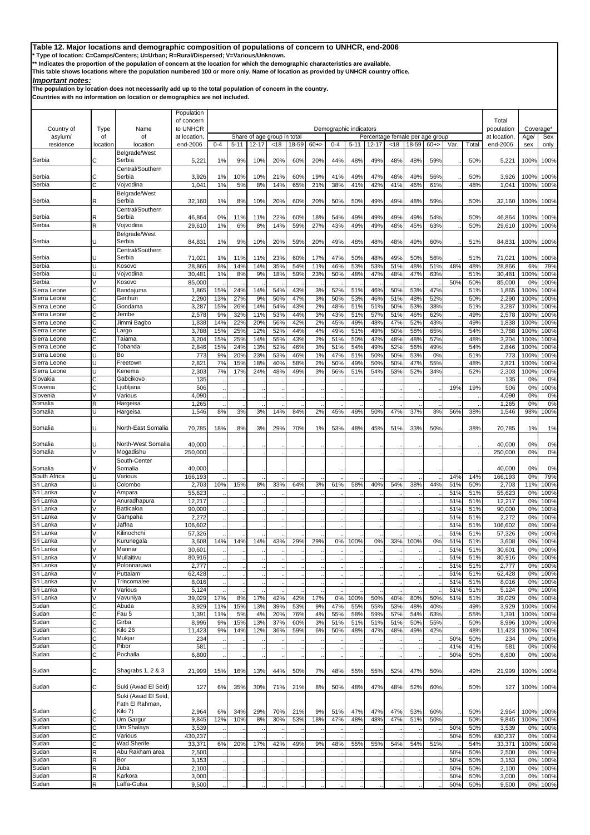**\* Type of location: C=Camps/Centers; U=Urban; R=Rural/Dispersed; V=Various/Unknown.**

**\*\* Indicates the proportion of the population of concern at the location for which the demographic characteristics are available.** 

**This table shows locations where the population numbered 100 or more only. Name of location as provided by UNHCR country office.**

# *Important notes:*

**The population by location does not necessarily add up to the total population of concern in the country.**

|                        |          |                            | Population      |         |          |           |                             |       |       |         |                        |                                 |     |       |       |            |            |                 |                       |              |
|------------------------|----------|----------------------------|-----------------|---------|----------|-----------|-----------------------------|-------|-------|---------|------------------------|---------------------------------|-----|-------|-------|------------|------------|-----------------|-----------------------|--------------|
|                        |          |                            | of concern      |         |          |           |                             |       |       |         |                        |                                 |     |       |       |            |            | Total           |                       |              |
| Country of             | Type     | Name                       | to UNHCR        |         |          |           |                             |       |       |         | Demographic indicators |                                 |     |       |       |            |            | population      | Coverage <sup>*</sup> |              |
| asylum/                | οf       | of                         | at location     |         |          |           | Share of age group in total |       |       |         |                        | Percentage female per age group |     |       |       |            |            | at location     | Age/                  | Sex          |
| residence              | location | location                   | end-2006        | $0 - 4$ | $5 - 11$ | $12 - 17$ | < 18                        | 18-59 | $60+$ | $0 - 4$ | $5 - 11$               | 12-17                           | <18 | 18-59 | $60+$ | Var.       | Total      | end-2006        | sex                   | only         |
|                        |          | Belgrade/West              |                 |         |          |           |                             |       |       |         |                        |                                 |     |       |       |            |            |                 |                       |              |
| Serbia                 | С        | Serbia                     | 5,221           | 1%      | 9%       | 10%       | 20%                         | 60%   | 20%   | 44%     | 48%                    | 49%                             | 48% | 48%   | 59%   |            | 50%        | 5,221           | 100%                  | 100%         |
|                        |          | Central/Southern           |                 |         |          |           |                             |       |       |         |                        |                                 |     |       |       |            |            |                 |                       |              |
| Serbia                 | С        | Serbia                     | 3,926           | 1%      | 10%      | 10%       | 21%                         | 60%   | 19%   | 41%     | 49%                    | 47%                             | 48% | 49%   | 56%   |            | 50%        | 3,926           | 100%                  | 100%         |
| Serbia                 | C        | Vojvodina                  | 1,041           | 1%      | 5%       | 8%        | 14%                         | 65%   | 21%   | 38%     | 41%                    | 42%                             | 41% | 46%   | 61%   |            | 48%        | 1,041           | 100%                  | 100%         |
|                        |          | Belgrade/West              |                 |         |          |           |                             |       |       |         |                        |                                 |     |       |       |            |            |                 |                       |              |
| Serbia                 | R        | Serbia                     | 32,160          | 1%      | 8%       | 10%       | 20%                         | 60%   | 20%   | 50%     | 50%                    | 49%                             | 49% | 48%   | 59%   |            | 50%        | 32,160          | 100%                  | 100%         |
|                        |          | Central/Southern           |                 |         |          |           |                             |       |       |         |                        |                                 |     |       |       |            |            |                 |                       |              |
| Serbia                 | R        | Serbia                     | 46,864          | 0%      | 11%      | 11%       | 22%                         | 60%   | 18%   | 54%     | 49%                    | 49%                             | 49% | 49%   | 54%   |            | 50%        | 46,864          | 100%                  | 100%         |
| Serbia                 | R        | Vojvodina                  | 29,610          | 1%      | 6%       | 8%        | 14%                         | 59%   | 27%   | 43%     | 49%                    | 49%                             | 48% | 45%   | 63%   |            | 50%        | 29,610          | 100%                  | 100%         |
| Serbia                 |          | Belgrade/West<br>Serbia    |                 |         |          |           |                             |       |       |         |                        |                                 |     |       |       |            |            |                 |                       |              |
|                        |          |                            | 84,831          | 1%      | 9%       | 10%       | 20%                         | 59%   | 20%   | 49%     | 48%                    | 48%                             | 48% | 49%   | 60%   |            | 51%        | 84,831          | 100%                  | 100%         |
| Serbia                 |          | Central/Southern<br>Serbia | 71,021          | 1%      | 11%      | 11%       | 23%                         | 60%   | 17%   | 47%     | 50%                    | 48%                             | 49% | 50%   | 56%   |            | 51%        | 71,021          | 100%                  | 100%         |
| Serbia                 | U        | Kosovo                     | 28,866          | 8%      | 14%      | 14%       | 35%                         | 54%   | 11%   | 46%     | 53%                    | 53%                             | 51% | 48%   | 51%   | 48%        | 48%        | 28,866          | 6%                    | 79%          |
| Serbia                 |          | Vojvodina                  | 30,481          | 1%      | 8%       | 9%        | 18%                         | 59%   | 23%   | 50%     | 48%                    | 47%                             | 48% | 47%   | 63%   |            | 51%        | 30,481          | 100%                  | 100%         |
| Serbia                 |          | Kosovo                     | 85,000          |         |          |           |                             |       |       |         |                        |                                 |     |       |       | 50%        | 50%        | 85,000          | 0 <sup>9</sup>        | 100%         |
| Sierra Leone           | C        | Bandajuma                  | 1,865           | 15%     | 24%      | 14%       | 54%                         | 43%   | 3%    | 52%     | 51%                    | 46%                             | 50% | 53%   | 47%   |            | 51%        | 1,865           | 100%                  | 100%         |
| Sierra Leone           | Ć        | Gerihun                    | 2,290           | 13%     | 27%      | 9%        | 50%                         | 47%   | 3%    | 50%     | 53%                    | 46%                             | 51% | 48%   | 52%   |            | 50%        | 2,290           | 100%                  | 100%         |
| Sierra Leone           |          | Gondama                    | 3,287           | 15%     | 26%      | 14%       | 54%                         | 43%   | 2%    | 48%     | 51%                    | 51%                             | 50% | 53%   | 38%   |            | 51%        | 3,287           | 100%                  | 100%         |
| Sierra Leone           | C        | Jembe                      | 2,578           | 9%      | 32%      | 11%       | 53%                         | 44%   | 3%    | 43%     | 51%                    | 57%                             | 51% | 46%   | 62%   |            | 49%        | 2,578           | 100%                  | 100%         |
| Sierra Leone           | С        | Jimmi Bagbo                | 1,838           | 14%     | 22%      | 20%       | 56%                         | 42%   | 2%    | 45%     | 49%                    | 48%                             | 47% | 52%   | 43%   |            | 49%        | 1,838           | 100%                  | 100%         |
| Sierra Leone           | C        | Largo                      | 3,788           | 15%     | 25%      | 12%       | 52%                         | 44%   | 4%    | 49%     | 51%                    | 49%                             | 50% | 58%   | 65%   |            | 54%        | 3,788           | 100%                  | 100%         |
| Sierra Leone           | C        | Taiama                     | 3,204           | 15%     | 25%      | 14%       | 55%                         | 43%   | 2%    | 51%     | 50%                    | 42%                             | 48% | 48%   | 57%   |            | 48%        | 3,204           | 100%                  | 100%         |
| Sierra Leone           | C        | Tobanda                    | 2,846           | 15%     | 24%      | 13%       | 52%                         | 46%   | 3%    | 51%     | 54%                    | 49%                             | 52% | 56%   | 49%   |            | 54%        | 2,846           | 100%                  | 100%         |
| Sierra Leone           | п        | Bo                         | 773             | 9%      | 20%      | 23%       | 53%                         | 46%   | 1%    | 47%     | 51%                    | 50%                             | 50% | 53%   | 0%    |            | 51%        | 773             | 100%                  | 100%         |
| Sierra Leone           |          | Freetown                   | 2,821           | 7%      | 15%      | 18%       | 40%                         | 58%   | 2%    | 50%     | 49%                    | 50%                             | 50% | 47%   | 55%   |            | 48%        | 2,821           | 100%                  | 100%         |
| Sierra Leone           | п        | Kenema                     | 2,303           | 7%      | 17%      | 24%       | 48%                         | 49%   | 3%    | 56%     | 51%                    | 54%                             | 53% | 52%   | 34%   |            | 52%        | 2,303           | 100%                  | 100%         |
| Slovakia               | Ć        | Gabcikovo                  | 135             |         |          |           |                             |       |       |         |                        |                                 |     |       |       |            |            | 135             | 0%                    | 0%           |
| Slovenia               | Ć        | Ljubljana                  | 506             |         |          |           |                             |       |       |         |                        |                                 |     |       |       | 19%        | 19%        | 506             | 0%                    | 100%         |
| Slovenia               |          | Various                    | 4,090           |         |          |           |                             |       |       |         |                        |                                 |     |       |       |            |            | 4,090           | 0%                    | 0%           |
| Somalia                | R        | Hargeisa                   | 1,265           |         |          |           |                             |       |       |         |                        |                                 |     |       |       |            |            | 1,265           | 0%                    | 0%           |
| Somalia                | H        | Hargeisa                   | 1,546           | 8%      | 3%       | 3%        | 14%                         | 84%   | 2%    | 45%     | 49%                    | 50%                             | 47% | 37%   | 8%    | 56%        | 38%        | 1,546           | 98%                   | 100%         |
|                        |          |                            |                 |         |          |           |                             |       |       |         |                        |                                 |     |       |       |            |            |                 |                       |              |
| Somalia                | U        | North-East Somalia         | 70,785          | 18%     | 8%       | 3%        | 29%                         | 70%   | 1%    | 53%     | 48%                    | 45%                             | 51% | 33%   | 50%   |            | 38%        | 70,785          | 1%                    | 1%           |
|                        |          |                            |                 |         |          |           |                             |       |       |         |                        |                                 |     |       |       |            |            |                 |                       |              |
| Somalia                |          | North-West Somalia         | 40,000          |         |          |           |                             |       |       |         |                        |                                 |     |       |       |            |            | 40,000          | 0%                    | 0%           |
| Somalia                |          | Mogadishu                  | 250,000         |         |          |           |                             |       |       |         |                        |                                 |     |       |       |            |            | 250,000         | 0%                    | 0%           |
|                        |          | South-Center               |                 |         |          |           |                             |       |       |         |                        |                                 |     |       |       |            |            |                 |                       |              |
| Somalia                |          | Somalia                    | 40,000          |         |          |           |                             |       |       |         |                        |                                 |     |       |       |            |            | 40,000          | 0%                    | 0%           |
| South Africa           | U        | Various                    | 166,193         |         |          |           |                             |       |       |         |                        |                                 |     |       |       | 14%        | 14%        | 166,193         | 0%                    | 79%          |
| Sri Lanka              |          | Colombo                    | 2,703           | 10%     | 15%      | 8%        | 33%                         | 64%   | 3%    | 61%     | 58%                    | 40%                             | 54% | 38%   | 44%   | 51%        | 50%        | 2,703           | 11%                   | 100%         |
| Sri Lanka              | V        | Ampara                     | 55,623          |         |          |           |                             |       |       |         |                        |                                 |     |       |       | 51%        | 51%        | 55,623          | 0%                    | 100%         |
| Sri Lanka<br>Sri Lanka |          | Anuradhapura               | 12,217          |         |          |           |                             |       |       |         |                        |                                 |     |       |       | 51%        | 51%        | 12,217          | 0%                    | 100%         |
|                        |          | Batticaloa                 | 90,000          |         |          |           |                             |       |       |         |                        |                                 |     |       |       | 51%        | 51%        | 90,000          | 0%                    | 100%         |
| Sri Lanka<br>Sri Lanka |          | Gampaha<br>Jaffna          | 2,272           |         |          |           |                             |       |       |         |                        |                                 |     |       |       | 51%        | 51%        | 2,272           | 0%                    | 100%         |
| Sri Lanka              |          |                            | 106,602         |         |          |           |                             |       |       |         |                        |                                 |     |       |       | 51%        | 51%        | 106,602         | 0%                    | 100%         |
| Sri Lanka              |          | Kilinochchi<br>Kurunegala  | 57,326          |         |          |           |                             |       |       |         |                        |                                 |     |       |       | 51%        | 51%        | 57,326          | 0%                    | 100%<br>100% |
| Sri Lanka              |          | Mannar                     | 3,608<br>30,601 | 14%     | 14%      | 14%       | 43%                         | 29%   | 29%   | 0%      | 100%                   | 0%                              | 33% | 100%  | 0%    | 51%<br>51% | 51%<br>51% | 3,608<br>30,601 | 0%<br>0%              | 100%         |
| Sri Lanka              | V        | Mullaitivu                 | 80,916          |         |          |           |                             |       |       |         |                        |                                 |     |       |       | 51%        | 51%        | 80,916          | 0%                    | 100%         |
| Sri Lanka              |          | Polonnaruwa                | 2,777           |         |          |           |                             |       |       |         |                        |                                 |     |       |       | 51%        | 51%        | 2,777           | 0%                    | 100%         |
| Sri Lanka              | V        | Puttalam                   | 62,428          |         |          |           |                             |       |       |         |                        |                                 |     |       |       | 51%        | 51%        | 62,428          | 0%                    | 100%         |
| Sri Lanka              | V        | Trincomalee                | 8,016           |         |          |           |                             |       |       |         |                        |                                 |     |       |       | 51%        | 51%        | 8,016           | 0%                    | 100%         |
| Sri Lanka              |          | Various                    | 5,124           |         |          |           |                             |       |       |         |                        |                                 |     |       |       | 51%        | 51%        | 5,124           | 0%                    | 100%         |
| Sri Lanka              | V        | Vavuniya                   | 39,029          | 17%     | 8%       | 17%       | 42%                         | 42%   | 17%   | 0%      | 100%                   | 50%                             | 40% | 80%   | 50%   | 51%        | 51%        | 39,029          | 0%                    | 100%         |
| Sudan                  | С        | Abuda                      | 3,929           | 11%     | 15%      | 13%       | 39%                         | 53%   | 9%    | 47%     | 55%                    | 55%                             | 53% | 48%   | 40%   |            | 49%        | 3,929           | 100%                  | 100%         |
| Sudan                  | С        | Fau 5                      | 1,391           | 11%     | 5%       | 4%        | 20%                         | 76%   | 4%    | 55%     | 58%                    | 59%                             | 57% | 54%   | 63%   |            | 55%        | 1,391           | 100%                  | 100%         |
| Sudan                  | С        | Girba                      | 8,996           | 9%      | 15%      | 13%       | 37%                         | 60%   | 3%    | 51%     | 51%                    | 51%                             | 51% | 50%   | 55%   |            | 50%        | 8,996           | 100%                  | 100%         |
| Sudan                  | С        | Kilo 26                    | 11,423          | 9%      | 14%      | 12%       | 36%                         | 59%   | 6%    | 50%     | 48%                    | 47%                             | 48% | 49%   | 42%   |            | 48%        | 11,423          | 100%                  | 100%         |
| Sudan                  | C        | Mukjar                     | 234             |         |          |           |                             |       |       |         |                        |                                 |     |       |       | 50%        | 50%        | 234             | 0%                    | 100%         |
| Sudan                  | C        | Pibor                      | 581             |         |          |           |                             |       |       |         |                        |                                 |     |       |       | 41%        | 41%        | 581             | 0%                    | 100%         |
| Sudan                  | С        | Pochalla                   | 6,800           |         |          |           |                             |       |       |         |                        |                                 |     |       |       | 50%        | 50%        | 6,800           | 0%                    | 100%         |
|                        |          |                            |                 |         |          |           |                             |       |       |         |                        |                                 |     |       |       |            |            |                 |                       |              |
| Sudan                  | С        | Shagrabs 1, 2 & 3          | 21,999          | 15%     | 16%      | 13%       | 44%                         | 50%   | 7%    | 48%     | 55%                    | 55%                             | 52% | 47%   | 50%   |            | 49%        | 21,999          | 100%                  | 100%         |
|                        |          |                            |                 |         |          |           |                             |       |       |         |                        |                                 |     |       |       |            |            |                 |                       |              |
| Sudan                  | С        | Suki (Awad El Seid)        | 127             | 6%      | 35%      | 30%       | 71%                         | 21%   | 8%    | 50%     | 48%                    | 47%                             | 48% | 52%   | 60%   |            | 50%        | 127             | 100%                  | 100%         |
|                        |          | Suki (Awad El Seid,        |                 |         |          |           |                             |       |       |         |                        |                                 |     |       |       |            |            |                 |                       |              |
|                        |          | Fath El Rahman,            |                 |         |          |           |                             |       |       |         |                        |                                 |     |       |       |            |            |                 |                       |              |
| Sudan                  | C        | Kilo 7)                    | 2,964           | 6%      | 34%      | 29%       | 70%                         | 21%   | 9%    | 51%     | 47%                    | 47%                             | 47% | 53%   | 60%   |            | 50%        | 2,964           | 100%                  | 100%         |
| Sudan                  | C        | Um Gargur                  | 9,845           | 12%     | 10%      | 8%        | 30%                         | 53%   | 18%   | 47%     | 48%                    | 48%                             | 47% | 51%   | 50%   |            | 50%        | 9,845           | 100%                  | 100%         |
| Sudan                  | C        | Um Shalaya                 | 3,539           |         |          |           |                             |       |       |         |                        |                                 |     |       |       | 50%        | 50%        | 3,539           | 0%                    | 100%         |
| Sudan                  | C        | Various                    | 430,237         |         |          |           |                             |       |       |         |                        |                                 |     |       |       | 50%        | 50%        | 430,237         | 0%                    | 100%         |
| Sudan                  | С        | Wad Sherife                | 33,371          | 6%      | 20%      | 17%       | 42%                         | 49%   | 9%    | 48%     | 55%                    | 55%                             | 54% | 54%   | 51%   |            | 54%        | 33,371          | 100%                  | 100%         |
| Sudan                  | R        | Abu Rakham area            | 2,500           |         |          |           |                             |       |       |         |                        |                                 |     |       |       | 50%        | 50%        | 2,500           | 0%                    | 100%         |
| Sudan                  | R        | Bor                        | 3,153           |         |          |           |                             |       |       |         |                        |                                 |     |       |       | 50%        | 50%        | 3,153           | 0%                    | 100%         |
| Sudan                  | R        | Juba                       | 2,100           |         |          |           |                             |       |       |         |                        |                                 |     |       |       | 50%        | 50%        | 2,100           | 0%                    | 100%         |
| Sudan                  | R        | Karkora                    | 3,000           |         |          |           |                             |       |       |         |                        |                                 |     |       |       | 50%        | 50%        | 3,000           | 0%                    | 100%         |
| Sudan                  | R        | ∟affa-Gulsa                | 9,500           |         |          |           |                             |       |       |         |                        |                                 |     |       |       | 50%        | 50%        | 9,500           | 0%                    | 100%         |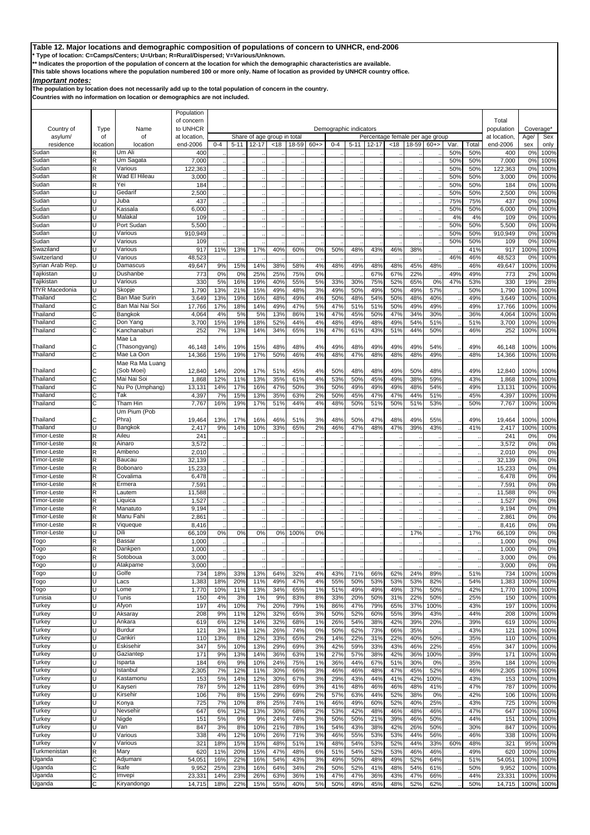**\* Type of location: C=Camps/Centers; U=Urban; R=Rural/Dispersed; V=Various/Unknown.**

**\*\* Indicates the proportion of the population of concern at the location for which the demographic characteristics are available.** 

**This table shows locations where the population numbered 100 or more only. Name of location as provided by UNHCR country office.**

## *Important notes:*

**The population by location does not necessarily add up to the total population of concern in the country.**

|                                |               |                            | Population               |            |            |            |                             |                   |          |            |                        |                                 |            |            |             |             |              |                  |                          |              |
|--------------------------------|---------------|----------------------------|--------------------------|------------|------------|------------|-----------------------------|-------------------|----------|------------|------------------------|---------------------------------|------------|------------|-------------|-------------|--------------|------------------|--------------------------|--------------|
|                                |               |                            | of concern               |            |            |            |                             |                   |          |            |                        |                                 |            |            |             |             |              | Total            |                          |              |
| Country of                     | Type          | Name                       | to UNHCR                 |            |            |            |                             |                   |          |            | Demographic indicators |                                 |            |            |             |             |              | population       | Coverage*                |              |
| asylum/                        | of            | of                         | at location.             |            |            |            | Share of age group in total |                   |          |            |                        | Percentage female per age group |            |            |             |             |              | at location.     | Age/                     | Sex          |
| residence<br>Sudan             | location<br>R | location<br>Jm Ali         | end-2006<br>400          | $0 - 4$    | $5 - 11$   | $12 - 17$  | < 18                        | 18-59             | $60+$    | $0 - 4$    | $5 - 11$               | $12 - 17$                       | <18        | 18-59      | $60+$       | Var.<br>50% | Total<br>50% | end-2006<br>400  | sex<br>0%                | only<br>100% |
| Sudan                          | R             | Um Sagata                  | 7,000                    |            |            |            |                             |                   |          |            |                        |                                 |            |            |             | 50%         | 50%          | 7,000            | 0%                       | 100%         |
| Sudan                          |               | Various                    | 122,363                  |            |            |            |                             |                   |          |            |                        |                                 |            |            |             | 50%         | 50%          | 122,363          | 0 <sup>9</sup>           | 100%         |
| Sudan                          | R             | Wad El Hileau              | 3,000                    |            |            |            |                             |                   |          |            |                        |                                 |            |            |             | 50%         | 50%          | 3,000            | 0%                       | 100%         |
| Sudan                          | R             | Yei                        | 184                      |            |            |            |                             |                   |          |            |                        |                                 |            |            |             | 50%         | 50%          | 184              | 0%                       | 100%         |
| Sudan<br>Sudan                 | п<br>п        | Gedarif<br>Juba            | 2,500<br>437             |            |            |            |                             |                   |          |            |                        |                                 |            |            |             | 50%<br>75%  | 50%<br>75%   | 2,500<br>437     | 0%<br>0 <sup>9</sup>     | 100%<br>100% |
| Sudan                          | п             | Kassala                    | 6,000                    |            |            |            |                             |                   |          |            |                        |                                 |            |            |             | 50%         | 50%          | 6,000            | 0 <sup>9</sup>           | 100%         |
| Sudan                          | п             | Malakal                    | 109                      |            |            |            |                             |                   |          |            |                        |                                 |            |            |             | 4%          | 4%           | 109              | 0%                       | 100%         |
| Sudan                          |               | Port Sudan                 | 5,500                    |            |            |            |                             |                   |          |            |                        |                                 |            |            |             | 50%         | 50%          | 5,500            | 0%                       | 100%         |
| Sudan                          | п             | Various                    | 910,949                  |            |            |            |                             |                   |          |            |                        |                                 |            |            |             | 50%         | 50%          | 910,949          | 0 <sup>9</sup>           | 100%         |
| Sudan                          |               | Various                    | 109                      |            |            |            |                             |                   |          |            |                        |                                 |            |            |             | 50%         | 50%          | 109              | 0 <sup>9</sup>           | 100%         |
| Swaziland<br>Switzerland       |               | Various<br>Various         | 917<br>48,523            | 11%        | 13%        | 17%        | 40%                         | 60%               | 0%       | 50%        | 48%                    | 43%                             | 46%        | 38%        |             | 46%         | 41%<br>46%   | 917<br>48,523    | 100%<br>0%               | 100%<br>100% |
| Syrian Arab Rep.               | U             | Damascus                   | 49,647                   | 9%         | 15%        | 14%        | 38%                         | 58%               | 4%       | 48%        | 49%                    | 48%                             | 48%        | 45%        | 48%         |             | 46%          | 49,647           | 100%                     | 100%         |
| Tajikistan                     |               | Dushanbe                   | 773                      | 0%         | 0%         | 25%        | 25%                         | 75%               | 0%       |            |                        | 67%                             | 67%        | 22%        |             | 49%         | 49%          | 773              | 2%                       | 100%         |
| Tajikistan                     |               | Various                    | 33C                      | 5%         | 16%        | 19%        | 40%                         | 55%               | 5%       | 33%        | 30%                    | 75%                             | 52%        | 65%        | 0%          | 47%         | 53%          | 330              | 19%                      | 28%          |
| <b>TfYR Macedonia</b>          | U             | Skopje                     | 1,790                    | 13%        | 21%        | 15%        | 49%                         | 48%               | 3%       | 49%        | 50%                    | 49%                             | 50%        | 49%        | 57%         |             | 50%          | 1,790            | 100%                     | 100%         |
| Thailand                       | Ć             | Ban Mae Surin              | 3,649                    | 13%        | 19%        | 16%        | 48%                         | 49%               | 4%       | 50%        | 48%                    | 54%                             | 50%        | 48%        | 40%         |             | 49%          | 3,649            | 100%                     | 100%         |
| Thailand<br>Thailand           | Ć             | Ban Mai Nai Soi<br>Bangkok | 17,766                   | 17%        | 18%        | 14%        | 49%                         | 47%               | 5%       | 47%        | 51%                    | 51%                             | 50%        | 49%        | 49%         |             | 49%          | 17,766           | 100%                     | 100%         |
| Thailand                       | C<br>C        | Don Yang                   | 4,064<br>3,700           | 4%<br>15%  | 5%<br>19%  | 5%<br>18%  | 13%<br>52%                  | 86%<br>44%        | 1%<br>4% | 47%<br>48% | 45%<br>49%             | 50%<br>48%                      | 47%<br>49% | 34%<br>54% | 30%<br>51%  |             | 36%<br>51%   | 4,064<br>3,700   | 100 <sup>°</sup><br>100% | 100%<br>100% |
| Thailand                       | С             | Kanchanaburi               | 252                      | 7%         | 13%        | 14%        | 34%                         | 65%               | 1%       | 47%        | 61%                    | 43%                             | 51%        | 44%        | 50%         |             | 46%          | 252              | 100%                     | 100%         |
|                                |               | Mae La                     |                          |            |            |            |                             |                   |          |            |                        |                                 |            |            |             |             |              |                  |                          |              |
| Thailand                       | С             | (Thasongyang)              | 46,148                   | 14%        | 19%        | 15%        | 48%                         | 48%               | 4%       | 49%        | 48%                    | 49%                             | 49%        | 49%        | 54%         |             | 49%          | 46,148           | 100%                     | 100%         |
| Thailand                       | C             | Mae La Oon                 | 14,366                   | 15%        | 19%        | 17%        | 50%                         | 46%               | 4%       | 48%        | 47%                    | 48%                             | 48%        | 48%        | 49%         |             | 48%          | 14,366           | 100%                     | 100%         |
|                                |               | Mae Ra Ma Luang            |                          |            |            |            |                             |                   |          |            |                        |                                 |            |            |             |             |              |                  |                          |              |
| Thailand<br>Thailand           | C             | (Sob Moei)<br>Mai Nai Soi  | 12,840<br>1,868          | 14%<br>12% | 20%<br>11% | 17%<br>13% | 51%<br>35%                  | 45%<br>61%        | 4%<br>4% | 50%<br>53% | 48%<br>50%             | 48%<br>45%                      | 49%<br>49% | 50%<br>38% | 48%<br>59%  |             | 49%<br>43%   | 12,840<br>1,868  | 100%<br>100%             | 100%<br>100% |
| Thailand                       | C             | Nu Po (Umphang)            | 13,131                   | 14%        | 17%        | 16%        | 47%                         | 50%               | 3%       | 50%        | 49%                    | 49%                             | 49%        | 48%        | 54%         |             | 49%          | 13,131           | 100%                     | 100%         |
| Thailand                       | Ć             | Tak                        | 4,397                    | 7%         | 15%        | 13%        | 35%                         | 63%               | 2%       | 50%        | 45%                    | 47%                             | 47%        | 44%        | 51%         |             | 45%          | 4,397            | 100%                     | 100%         |
| Thailand                       | С             | Tham Hin                   | 7,767                    | 16%        | 19%        | 17%        | 51%                         | 44%               | 4%       | 48%        | 50%                    | 51%                             | 50%        | 51%        | 53%         |             | 50%          | 7,767            | 100%                     | 100%         |
|                                |               | Um Pium (Pob               |                          |            |            |            |                             |                   |          |            |                        |                                 |            |            |             |             |              |                  |                          |              |
| Thailand                       | C             | Phra)                      | 19,464                   | 13%        | 17%        | 16%        | 46%                         | 51%               | 3%       | 48%        | 50%                    | 47%                             | 48%        | 49%        | 55%         |             | 49%          | 19,464           | 100%                     | 100%         |
| Thailand<br><b>Timor-Leste</b> | п<br>R        | Bangkok<br>Aileu           | 2,417<br>24 <sup>′</sup> | 9%         | 14%        | 10%        | 33%                         | 65%               | 2%       | 46%        | 47%                    | 48%                             | 47%        | 39%        | 43%         |             | 41%          | 2,417<br>241     | 100%<br>0 <sup>9</sup>   | 100%         |
| <b>Timor-Leste</b>             | R             | Ainaro                     | 3,572                    |            |            |            |                             |                   |          |            |                        |                                 |            |            |             |             |              | 3,572            | 0%                       | 0%<br>0%     |
| <b>Timor-Leste</b>             | R             | Ambeno                     | 2,010                    |            |            |            |                             |                   |          |            |                        |                                 |            |            |             |             |              | 2,010            | 0%                       | 0%           |
| Timor-Leste                    | R             | Baucau                     | 32,139                   |            |            |            |                             |                   |          |            |                        |                                 |            |            |             |             |              | 32,139           | 0%                       | 0%           |
| Timor-Leste                    | R             | Bobonaro                   | 15,233                   |            |            |            |                             |                   |          |            |                        |                                 |            |            |             |             |              | 15,233           | 0%                       | 0%           |
| Timor-Leste                    | R             | Covalima                   | 6,478                    |            |            |            |                             |                   |          |            |                        |                                 |            |            |             |             |              | 6,478            | 0%                       | 0%           |
| Timor-Leste<br>Timor-Leste     | R<br>R        | Ermera<br>Lautem           | 7,591<br>11,588          |            |            |            |                             |                   |          |            |                        |                                 |            |            |             |             |              | 7,591<br>11,588  | 0%<br>0%                 | 0%<br>0%     |
| Timor-Leste                    | R             | Liquica                    | 1,527                    |            |            |            |                             |                   |          |            |                        |                                 |            |            |             |             |              | 1,527            | 0%                       | 0%           |
| Timor-Leste                    | R             | Manatuto                   | 9,194                    |            |            |            |                             |                   |          |            |                        |                                 |            |            |             |             |              | 9,194            | 0%                       | 0%           |
| Timor-Leste                    | R             | Manu Fahi                  | 2,861                    |            |            |            |                             |                   |          |            |                        |                                 |            |            |             |             |              | 2,861            | 0%                       | 0%           |
| Timor-Leste                    | R             | Viaueaue                   | 8,416                    |            |            |            |                             |                   |          |            |                        |                                 |            |            |             |             |              | 8,416            | 0%                       | 0%           |
| <b>Timor-Leste</b>             |               | Dili                       | 66,109                   | 0%         | 0%         | 0%         | 0%                          | 100%              | 0%       |            |                        |                                 |            | 17%        |             |             | 17%          | 66,109           | 0%                       | 0%           |
| Togo                           | R<br>R        | Bassar<br>Dankpen          | 1,000<br>1,000           |            |            |            |                             |                   |          |            |                        |                                 |            |            |             |             |              | 1,000<br>1,000   | 0%<br>0%                 | 0%<br>0%     |
| Гоgo<br>Togo                   | R             | Sotoboua                   | 3,000                    |            |            |            |                             |                   |          |            |                        |                                 |            |            |             |             |              | 3,000            | 0%                       | 0%           |
| Togo                           | Ū             | Atakpame                   | 3,000                    |            |            |            |                             |                   |          |            |                        |                                 |            |            |             |             |              | 3,000            | 0%                       | 0%           |
| Togo                           | Ū             | Golfe                      | 734                      | 18%        | 33%        | 13%        | 64%                         | 32%               | 4%       | 43%        | 71%                    | 66%                             | 62%        | 24%        | 89%         |             | 51%          | 734              | 100%                     | 100%         |
| Togo                           | U             | Lacs                       | 1,383                    | 18%        | 20%        | 11%        | 49%                         | 47%               | 4%       | 55%        | 50%                    | 53%                             | 53%        | 53%        | 82%         |             | 54%          | 1,383            | 100%                     | 100%         |
| Togo                           | Ū             | Lome                       | 1,770                    | 10%        | 11%        | 13%        | 34%                         | 65%               | 1%       | 51%        | 49%                    | 49%                             | 49%        | 37%        | 50%         |             | 42%          | 1,770            | 100%                     | 100%         |
| Tunisia<br>Turkey              | п<br>п        | Tunis<br>Afyon             | 150<br>197               | 4%<br>4%   | 3%<br>10%  | 1%<br>7%   | 9%<br>20%                   | 83%<br>79%        | 8%<br>1% | 33%<br>86% | 20%<br>47%             | 50%<br>79%                      | 31%<br>65% | 22%<br>37% | 50%<br>100% |             | 25%<br>43%   | 150<br>197       | 100%<br>100%             | 100%<br>100% |
| Turkey                         | U             | Aksaray                    | 208                      | 9%         | 11%        | 12%        | 32%                         | 65%               | 3%       | 50%        | 52%                    | 60%                             | 55%        | 39%        | 43%         |             | 44%          | 208              | 100%                     | 100%         |
| Turkey                         | Ū             | Ankara                     | 619                      | 6%         | 12%        | 14%        | 32%                         | 68%               | 1%       | 26%        | 54%                    | 38%                             | 42%        | 39%        | 20%         |             | 39%          | 619              | 100%                     | 100%         |
| Turkey                         | Ū             | Burdur                     | 121                      | 3%         | 11%        | 12%        | 26%                         | <b>74%</b>        | 0%       | 50%        | 62%                    | 73%                             | 66%        | 35%        |             |             | 43%          | 121              | 100%                     | 100%         |
| Turkey                         | п             | Cankiri                    | 110                      | 13%        | 8%         | 12%        | 33%                         | 65%               | 2%       | 14%        | 22%                    | 31%                             | 22%        | 40%        | 50%         |             | 35%          | 110              | 100%                     | 100%         |
| Turkey                         | Ū             | Eskisehir                  | 347                      | 5%         | 10%        | 13%        | 29%                         | 69%               | 3%       | 42%        | 59%                    | 33%                             | 43%        | 46%        | 22%         |             | 45%          | 347              | 100%                     | 100%         |
| Turkey<br>Turkey               | п             | Gaziantep                  | 171<br>184               | 9%<br>6%   | 13%<br>9%  | 14%        | 36%<br>24%                  | 63%               | 1%<br>1% | 27%        | 57%<br>44%             | 38%<br>67%                      | 42%        | 36%        | 100%        |             | 39%          | 171<br>184       | 100%                     | 100%<br>100% |
| Turkey                         | Ū             | Isparta<br>Istanbul        | 2,305                    | 7%         | 12%        | 10%<br>11% | 30%                         | 75%<br>66%        | 3%       | 36%<br>46% | 46%                    | 48%                             | 51%<br>47% | 30%<br>45% | 0%<br>52%   |             | 35%<br>46%   | 2,305            | 100%<br>100%             | 100%         |
| Turkey                         |               | Kastamonu                  | 153                      | 5%         | 14%        | 12%        | 30%                         | 67%               | 3%       | 29%        | 43%                    | 44%                             | 41%        | 42%        | 100%        |             | 43%          | 153              | 100%                     | 100%         |
| Turkey                         | Ū             | Kayseri                    | 787                      | 5%         | 12%        | 11%        | 28%                         | 69%               | 3%       | 41%        | 48%                    | 46%                             | 46%        | 48%        | 41%         |             | 47%          | 787              | 100%                     | 100%         |
| Turkey                         | Ū             | Kirsehir                   | 106                      | 7%         | 8%         | 15%        | 29%                         | 69%               | 2%       | 57%        | 63%                    | 44%                             | 52%        | 38%        | 0%          |             | 42%          | 106              | 100%                     | 100%         |
| Turkey                         | Ū             | Konya                      | 725                      | 7%         | 10%        | 8%         | 25%                         | 74%               | 1%       | 46%        | 49%                    | 60%                             | 52%        | 40%        | 25%         |             | 43%          | 725              | 100%                     | 100%         |
| Turkey                         | U<br>Ū        | Nevsehir                   | 647                      | 6%         | 12%        | 13%        | 30%                         | 68%               | 2%       | 53%        | 42%                    | 48%                             | 46%        | 48%        | 46%         |             | 47%          | 647              | 100%                     | 100%         |
| Turkey<br>Turkey               | п             | Nigde<br>Van               | 151<br>847               | 5%<br>3%   | 9%<br>8%   | 9%<br>10%  | 24%<br>21%                  | <b>74%</b><br>78% | 3%<br>1% | 50%<br>54% | 50%<br>43%             | 21%<br>38%                      | 39%<br>42% | 46%<br>26% | 50%<br>50%  |             | 44%<br>30%   | 151<br>847       | 100%<br>100%             | 100%<br>100% |
| Turkey                         | Ū             | Various                    | 338                      | 4%         | 12%        | 10%        | 26%                         | 71%               | 3%       | 46%        | 55%                    | 53%                             | 53%        | 44%        | 56%         |             | 46%          | 338              | 100%                     | 100%         |
| Turkey                         | V             | Various                    | 321                      | 18%        | 15%        | 15%        | 48%                         | 51%               | 1%       | 48%        | 54%                    | 53%                             | 52%        | 44%        | 33%         | 60%         | 48%          | 321              | 95%                      | 100%         |
| Turkmenistan                   | R             | Mary                       | 620                      | 11%        | 20%        | 15%        | 47%                         | 48%               | 6%       | 51%        | 54%                    | 52%                             | 53%        | 46%        | 46%         |             | 49%          | 620              | 100%                     | 100%         |
| Jganda                         | C             | Adjumani                   | 54,051                   | 16%        | 22%        | 16%        | 54%                         | 43%               | 3%       | 49%        | 50%                    | 48%                             | 49%        | 52%        | 64%         |             | 51%          | 54,051           | 100%                     | 100%         |
| Jganda                         | C             | Ikafe                      | 9,952                    | 25%        | 23%        | 16%        | 64%                         | 34%               | 2%       | 50%        | 52%                    | 41%                             | 48%        | 54%        | 61%         |             | 50%          | 9,952            | 100%                     | 100%         |
| Jganda<br>Uganda               | С<br>C        | Imvepi<br>Kiryandongo      | 23,331<br>14,715         | 14%<br>18% | 23%<br>22% | 26%<br>15% | 63%<br>55%                  | 36%<br>40%        | 1%<br>5% | 47%<br>50% | 47%<br>49%             | 36%<br>45%                      | 43%<br>48% | 47%<br>52% | 66%<br>62%  |             | 44%<br>50%   | 23,331<br>14,715 | 100%<br>100%             | 100%         |
|                                |               |                            |                          |            |            |            |                             |                   |          |            |                        |                                 |            |            |             |             |              |                  |                          | 100%         |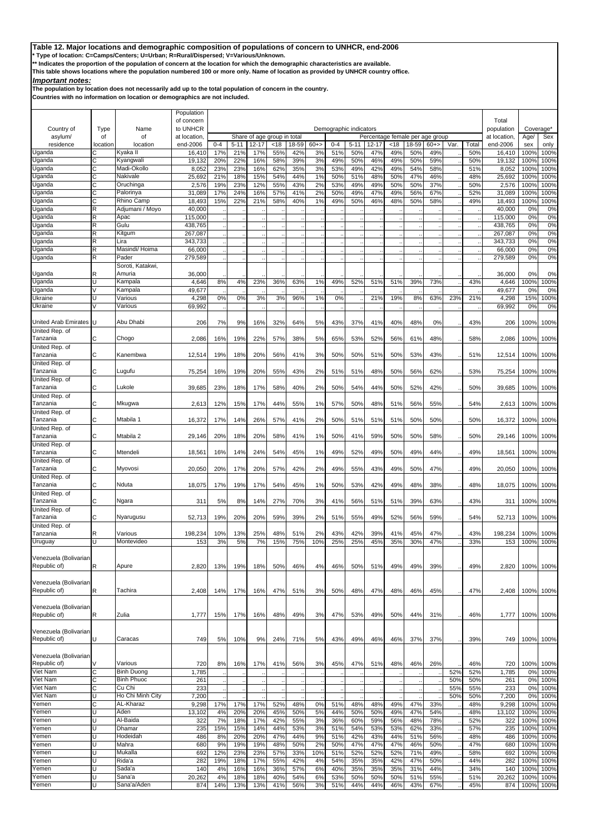**\* Type of location: C=Camps/Centers; U=Urban; R=Rural/Dispersed; V=Various/Unknown.**

**\*\* Indicates the proportion of the population of concern at the location for which the demographic characteristics are available.** 

**This table shows locations where the population numbered 100 or more only. Name of location as provided by UNHCR country office.**

## *Important notes:*

**The population by location does not necessarily add up to the total population of concern in the country.**

|                            |            |                               | Population             |            |            |            |                             |            |          |            |                        |                                 |                      |            |            |      |            |                           |                          |              |
|----------------------------|------------|-------------------------------|------------------------|------------|------------|------------|-----------------------------|------------|----------|------------|------------------------|---------------------------------|----------------------|------------|------------|------|------------|---------------------------|--------------------------|--------------|
| Country of                 |            | Name                          | of concern<br>to UNHCR |            |            |            |                             |            |          |            |                        |                                 |                      |            |            |      |            | Total                     |                          |              |
| asylum/                    | Type<br>οf | of                            | at location            |            |            |            | Share of age group in total |            |          |            | Demographic indicators | Percentage female per age group |                      |            |            |      |            | population<br>at location | Coverage*<br>Age/        | Sex          |
| residence                  | location   | location                      | end-2006               | $0 - 4$    | $5 - 11$   | $12 - 17$  | < 18                        | 18-59      | $60+$    | $0 - 4$    | $5 - 11$               | $12 - 17$                       | <18                  | 18-59      | $60+$      | Var. | Total      | end-2006                  | sex                      | only         |
| Uganda                     | С          | Kyaka II                      | 16,410                 | 17%        | 21%        | 17%        | 55%                         | 42%        | 3%       | 51%        | 50%                    | 47%                             | 49%                  | 50%        | 49%        |      | 50%        | 16,410                    | 100%                     | 100%         |
| Jganda<br>Jganda           | С<br>C     | Kyangwali<br>Madi-Okollo      | 19,132<br>8,052        | 20%<br>23% | 22%<br>23% | 16%<br>16% | 58%<br>62%                  | 39%<br>35% | 3%<br>3% | 49%<br>53% | 50%<br>49%             | 46%<br>42%                      | 49%<br>49%           | 50%<br>54% | 59%<br>58% |      | 50%<br>51% | 19,132<br>8,052           | 100%<br>100 <sup>°</sup> | 100%<br>100% |
| Uganda                     | C          | Nakivale                      | 25,692                 | 21%        | 18%        | 15%        | 54%                         | 44%        | 1%       | 50%        | 51%                    | 48%                             | 50%                  | 47%        | 46%        |      | 48%        | 25,692                    | 100 <sup>°</sup>         | 100%         |
| Jganda                     | C          | Oruchinga                     | 2,576                  | 19%        | 23%        | 12%        | 55%                         | 43%        | 2%       | 53%        | 49%                    | 49%                             | 50%                  | 50%        | 37%        |      | 50%        | 2,576                     | 100%                     | 100%         |
| Jganda                     | С          | Palorinya                     | 31,089                 | 17%        | 24%        | 16%        | 57%                         | 41%        | 2%       | 50%        | 49%                    | 47%                             | 49%                  | 56%        | 67%        |      | 52%        | 31,089                    | 100%                     | 100%         |
| Jganda<br>Jganda           | Ć<br>R     | Rhino Camp<br>Adjumani / Moyo | 18,493<br>40,000       | 15%        | 22%        | 21%        | 58%                         | 40%        | 1%       | 49%        | 50%                    | 46%                             | 48%                  | 50%        | 58%        |      | 49%        | 18,493<br>40,000          | 100%<br>0 <sup>9</sup>   | 100%<br>0%   |
| Jganda                     | R          | Apac                          | 115.000                |            |            |            |                             |            |          |            |                        |                                 | $\ddot{\phantom{0}}$ |            |            |      |            | 115,000                   | 0%                       | 0%           |
| Jganda                     | R          | Gulu                          | 438,765                |            |            |            |                             |            |          |            |                        |                                 |                      |            |            |      |            | 438,765                   | 0%                       | 0%           |
| Uganda                     | R          | Kitgum                        | 267,087                |            |            |            |                             |            |          |            |                        |                                 |                      |            |            |      |            | 267,087                   | 0%                       | 0%           |
| Jganda<br>Jganda           | R<br>R     | Lira<br>Masindi/ Hoima        | 343,733<br>66,000      |            |            |            |                             |            |          |            |                        |                                 |                      |            |            |      |            | 343,733<br>66,000         | 0%<br>0%                 | 0%<br>0%     |
| Jganda                     | R          | Pader                         | 279,589                |            |            |            |                             |            |          |            |                        |                                 |                      |            |            |      |            | 279,589                   | 0%                       | 0%           |
|                            |            | Soroti, Katakwi,              |                        |            |            |            |                             |            |          |            |                        |                                 |                      |            |            |      |            |                           |                          |              |
| Uganda                     | R          | Amuria                        | 36,000                 |            |            |            |                             |            |          |            |                        |                                 |                      |            |            |      |            | 36,000                    | 0%                       | 0%           |
| Uganda                     |            | Kampala                       | 4,646                  | 8%         | 4%         | 23%        | 36%                         | 63%        | 1%       | 49%        | 52%                    | 51%                             | 51%                  | 39%        | 73%        |      | 43%        | 4,646                     | 100%                     | 100%         |
| Jganda<br>Ukraine          | U          | Kampala<br>Various            | 49,677<br>4,298        | 0%         | 0%         | 3%         | 3%                          | 96%        | 1%       | 0%         |                        | 21%                             | 19%                  | 8%         | 63%        | 23%  | 21%        | 49,677<br>4,298           | 0 <sup>9</sup><br>15%    | 0%<br>100%   |
| Ukraine                    |            | Various                       | 69,992                 |            |            |            |                             |            |          |            |                        |                                 |                      |            |            |      |            | 69,992                    | 0%                       | 0%           |
|                            |            |                               |                        |            |            |            |                             |            |          |            |                        |                                 |                      |            |            |      |            |                           |                          |              |
| United Arab Emirates       | U          | Abu Dhabi                     | 206                    | 7%         | 9%         | 16%        | 32%                         | 64%        | 5%       | 43%        | 37%                    | 41%                             | 40%                  | 48%        | 0%         |      | 43%        | 206                       | 100%                     | 100%         |
| United Rep. of<br>Tanzania |            |                               |                        |            |            | 22%        |                             |            |          |            |                        |                                 |                      |            |            |      |            |                           |                          |              |
| United Rep. of             | С          | Chogo                         | 2,086                  | 16%        | 19%        |            | 57%                         | 38%        | 5%       | 65%        | 53%                    | 52%                             | 56%                  | 61%        | 48%        |      | 58%        | 2,086                     | 100%                     | 100%         |
| Tanzania                   | C          | Kanembwa                      | 12,514                 | 19%        | 18%        | 20%        | 56%                         | 41%        | 3%       | 50%        | 50%                    | 51%                             | 50%                  | 53%        | 43%        |      | 51%        | 12,514                    | 100%                     | 100%         |
| United Rep. of             |            |                               |                        |            |            |            |                             |            |          |            |                        |                                 |                      |            |            |      |            |                           |                          |              |
| Tanzania                   | r.         | Lugufu                        | 75,254                 | 16%        | 19%        | 20%        | 55%                         | 43%        | 2%       | 51%        | 51%                    | 48%                             | 50%                  | 56%        | 62%        |      | 53%        | 75,254                    | 100%                     | 100%         |
| United Rep. of<br>Tanzania | С          | Lukole                        | 39,685                 | 23%        | 18%        | 17%        | 58%                         | 40%        | 2%       | 50%        | 54%                    | 44%                             | 50%                  | 52%        | 42%        |      | 50%        | 39,685                    | 100%                     | 100%         |
| United Rep. of             |            |                               |                        |            |            |            |                             |            |          |            |                        |                                 |                      |            |            |      |            |                           |                          |              |
| Tanzania                   |            | Mkugwa                        | 2,613                  | 12%        | 15%        | 17%        | 44%                         | 55%        | 1%       | 57%        | 50%                    | 48%                             | 51%                  | 56%        | 55%        |      | 54%        | 2,613                     | 100%                     | 100%         |
| United Rep. of             |            |                               |                        |            |            |            |                             |            |          |            |                        |                                 |                      |            |            |      |            |                           |                          |              |
| Tanzania<br>United Rep. of | C          | Mtabila 1                     | 16,372                 | 17%        | 14%        | 26%        | 57%                         | 41%        | 2%       | 50%        | 51%                    | 51%                             | 51%                  | 50%        | 50%        |      | 50%        | 16,372                    | 100%                     | 100%         |
| Tanzania                   | C          | Mtabila 2                     | 29,146                 | 20%        | 18%        | 20%        | 58%                         | 41%        | 1%       | 50%        | 41%                    | 59%                             | 50%                  | 50%        | 58%        |      | 50%        | 29,146                    | 100%                     | 100%         |
| United Rep. of             |            |                               |                        |            |            |            |                             |            |          |            |                        |                                 |                      |            |            |      |            |                           |                          |              |
| Tanzania                   | C          | Mtendeli                      | 18,561                 | 16%        | 14%        | 24%        | 54%                         | 45%        | 1%       | 49%        | 52%                    | 49%                             | 50%                  | 49%        | 44%        |      | 49%        | 18,561                    | 100%                     | 100%         |
| United Rep. of<br>Tanzania | Ċ          | Myovosi                       | 20,050                 | 20%        | 17%        | 20%        | 57%                         | 42%        | 2%       | 49%        | 55%                    | 43%                             | 49%                  | 50%        | 47%        |      | 49%        | 20,050                    | 100%                     | 100%         |
| United Rep. of             |            |                               |                        |            |            |            |                             |            |          |            |                        |                                 |                      |            |            |      |            |                           |                          |              |
| Tanzania                   | C          | Nduta                         | 18,075                 | 17%        | 19%        | 17%        | 54%                         | 45%        | 1%       | 50%        | 53%                    | 42%                             | 49%                  | 48%        | 38%        |      | 48%        | 18,075                    | 100%                     | 100%         |
| United Rep. of             |            |                               |                        |            |            |            |                             |            |          |            |                        |                                 |                      |            |            |      |            |                           |                          |              |
| Tanzania<br>United Rep. of | r.         | Ngara                         | 31'                    | 5%         | 8%         | 14%        | 27%                         | 70%        | 3%       | 41%        | 56%                    | 51%                             | 51%                  | 39%        | 63%        |      | 43%        | 311                       | 100%                     | 100%         |
| Tanzania                   | С          | Nyarugusu                     | 52,713                 | 19%        | 20%        | 20%        | 59%                         | 39%        | 2%       | 51%        | 55%                    | 49%                             | 52%                  | 56%        | 59%        |      | 54%        | 52,713                    | 100%                     | 100%         |
| United Rep. of             |            |                               |                        |            |            |            |                             |            |          |            |                        |                                 |                      |            |            |      |            |                           |                          |              |
| Tanzania                   | R          | Various                       | 198,234                | 10%        | 13%        | 25%        | 48%                         | 51%        | 2%       | 43%        | 42%                    | 39%                             | 41%                  | 45%        | 47%        |      | 43%        | 198,234                   | 100%                     | 100%         |
| Uruguay                    | U          | Montevideo                    | 153                    | 3%         | 5%         | 7%         | 15%                         | 75%        | 10%      | 25%        | 25%                    | 45%                             | 35%                  | 30%        | 47%        |      | 33%        | 153                       | 100%                     | 100%         |
| Venezuela (Bolivarian      |            |                               |                        |            |            |            |                             |            |          |            |                        |                                 |                      |            |            |      |            |                           |                          |              |
| Republic of)               | R          | Apure                         | 2,820                  | 13%        | 19%        | 18%        | 50%                         | 46%        | 4%       | 46%        | 50%                    | 51%                             | 49%                  | 49%        | 39%        |      | 49%        | 2,820                     | 100%                     | 100%         |
|                            |            |                               |                        |            |            |            |                             |            |          |            |                        |                                 |                      |            |            |      |            |                           |                          |              |
| Venezuela (Bolivarian      |            |                               |                        |            |            |            |                             |            |          |            |                        |                                 |                      |            |            |      |            |                           |                          |              |
| Republic of)               | R          | Tachira                       | 2,408                  | 14%        | 17%        | 16%        | 47%                         | 51%        | 3%       | 50%        | 48%                    | 47%                             | 48%                  | 46%        | 45%        |      | 47%        | 2,408                     | 100%                     | 100%         |
| Venezuela (Bolivarian      |            |                               |                        |            |            |            |                             |            |          |            |                        |                                 |                      |            |            |      |            |                           |                          |              |
| Republic of)               | R          | Zulia                         | 1,777                  | 15%        | 17%        | 16%        | 48%                         | 49%        | 3%       | 47%        | 53%                    | 49%                             | 50%                  | 44%        | 31%        |      | 46%        | 1,777                     | 100%                     | 100%         |
|                            |            |                               |                        |            |            |            |                             |            |          |            |                        |                                 |                      |            |            |      |            |                           |                          |              |
| Venezuela (Bolivarian      |            |                               |                        |            |            |            |                             |            |          |            |                        |                                 |                      |            |            |      |            |                           |                          |              |
| Republic of)               | U          | Caracas                       | 749                    | 5%         | 10%        | 9%         | 24%                         | 71%        | 5%       | 43%        | 49%                    | 46%                             | 46%                  | 37%        | 37%        |      | 39%        | 749                       | 100%                     | 100%         |
| Venezuela (Bolivarian      |            |                               |                        |            |            |            |                             |            |          |            |                        |                                 |                      |            |            |      |            |                           |                          |              |
| Republic of)               |            | Various                       | 720                    | 8%         | 16%        | 17%        | 41%                         | 56%        | 3%       | 45%        | 47%                    | 51%                             | 48%                  | 46%        | 26%        |      | 46%        | 720                       | 100%                     | 100%         |
| Viet Nam                   | С          | <b>Binh Duong</b>             | 1,785                  |            |            |            |                             |            |          |            |                        |                                 |                      |            |            | 52%  | 52%        | 1,785                     | 0%                       | 100%         |
| Viet Nam                   | С          | <b>Binh Phuoc</b>             | 261                    |            |            |            |                             |            |          |            |                        |                                 |                      |            |            | 50%  | 50%        | 261                       | 0%                       | 100%         |
| Viet Nam                   | C          | Cu Chi                        | 233                    |            |            |            |                             |            |          |            |                        |                                 |                      |            |            | 55%  | 55%        | 233                       | 0%                       | 100%         |
| Viet Nam<br>Yemen          | U<br>Ć     | Ho Chi Minh City<br>AL-Kharaz | 7,200<br>9,298         | 17%        | 17%        | 17%        | 52%                         | 48%        | 0%       | 51%        | 48%                    | 48%                             | 49%                  | 47%        | 33%        | 50%  | 50%<br>48% | 7,200<br>9,298            | 0%<br>100%               | 100%<br>100% |
| Yemen                      | U          | Aden                          | 13,102                 | 4%         | 20%        | 20%        | 45%                         | 50%        | 5%       | 44%        | 50%                    | 50%                             | 49%                  | 47%        | 54%        |      | 48%        | 13,102                    | 100%                     | 100%         |
| remen                      | Ū          | Al-Baida                      | 322                    | 7%         | 18%        | 17%        | 42%                         | 55%        | 3%       | 36%        | 60%                    | 59%                             | 56%                  | 48%        | 78%        |      | 52%        | 322                       | 100%                     | 100%         |
| remen                      |            | Dhamar                        | 235                    | 15%        | 15%        | 14%        | 44%                         | 53%        | 3%       | 51%        | 54%                    | 53%                             | 53%                  | 62%        | 33%        |      | 57%        | 235                       | 100%                     | 100%         |
| Yemen                      |            | Hodeidah                      | 486                    | 8%         | 20%        | 20%        | 47%                         | 44%        | 9%       | 51%        | 42%                    | 43%                             | 44%                  | 51%        | 56%        |      | 48%        | 486                       | 100%                     | 100%         |
| remen                      | п          | Mahra                         | 680                    | 9%         | 19%        | 19%        | 48%                         | 50%        | 2%       | 50%        | 47%                    | 47%                             | 47%                  | 46%        | 50%        |      | 47%        | 680                       | 100%                     | 100%         |
| remen                      |            | Mukalla                       | 692                    | 12%        | 23%        | 23%        | 57%                         | 33%        | 10%      | 51%        | 52%                    | 52%                             | 52%                  | 71%        | 49%        |      | 58%        | 692                       | 100%                     | 100%         |
| remen<br>Yemen             |            | Rida'a<br>Sada'a              | 282<br>140             | 19%<br>4%  | 18%<br>16% | 17%        | 55%<br>36%                  | 42%<br>57% | 4%<br>6% | 54%<br>40% | 35%<br>35%             | 35%<br>35%                      | 42%<br>35%           | 47%<br>31% | 50%<br>44% |      | 44%<br>34% | 282<br>140                | 100%<br>100%             | 100%<br>100% |
| Yemen                      | U          | Sana'a                        | 20,262                 | 4%         | 18%        | 16%<br>18% | 40%                         | 54%        | 6%       | 53%        | 50%                    | 50%                             | 50%                  | 51%        | 55%        |      | 51%        | 20,262                    | 100%                     | 100%         |
| Yemen                      | Ū          | Sana'a/Aden                   | 874                    | 14%        | 13%        | 13%        | 41%                         | 56%        | 3%       | 51%        | 44%                    | 44%                             | 46%                  | 43%        | 67%        |      | 45%        | 874                       | 100%                     | 100%         |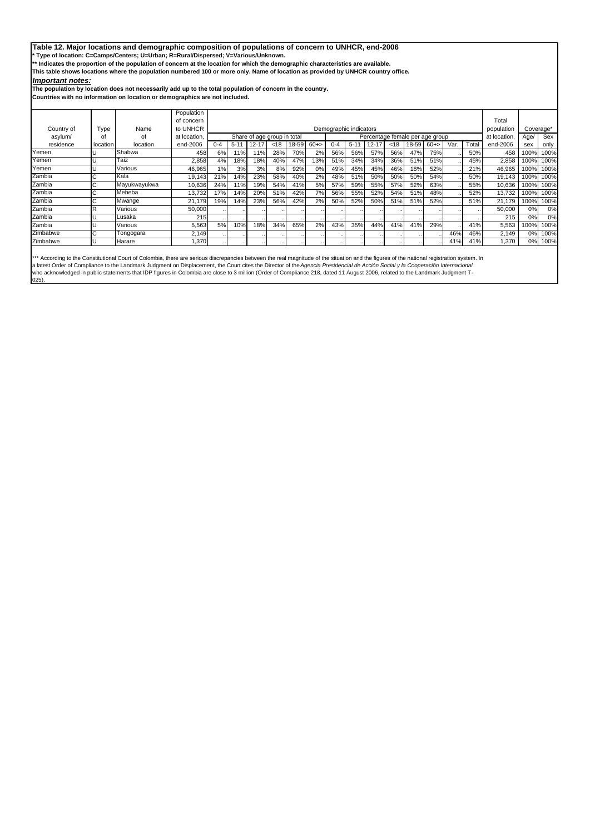### **Table 12. Major locations and demographic composition of populations of concern to UNHCR, end-2006**

**\* Type of location: C=Camps/Centers; U=Urban; R=Rural/Dispersed; V=Various/Unknown.**

**\*\* Indicates the proportion of the population of concern at the location for which the demographic characteristics are available.** 

**This table shows locations where the population numbered 100 or more only. Name of location as provided by UNHCR country office.**

### *Important notes:*

**The population by location does not necessarily add up to the total population of concern in the country.**

**Countries with no information on location or demographics are not included.**

|            |          |              | Population   |         |                                                                |           |      |       |              |         |                        |           |      |       |       |      |       |            |      |           |
|------------|----------|--------------|--------------|---------|----------------------------------------------------------------|-----------|------|-------|--------------|---------|------------------------|-----------|------|-------|-------|------|-------|------------|------|-----------|
|            |          |              | of concern   |         |                                                                |           |      |       |              |         |                        |           |      |       |       |      |       | Total      |      |           |
| Country of | Type     | Name         | to UNHCR     |         |                                                                |           |      |       |              |         | Demographic indicators |           |      |       |       |      |       | population |      | Coverage* |
| asylum/    | οf       | Ωf           | at location. |         | Share of age group in total<br>Percentage female per age group |           |      |       | at location, | Age/    | Sex                    |           |      |       |       |      |       |            |      |           |
| residence  | location | location     | end-2006     | $0 - 4$ | $5 - 11$                                                       | $12 - 17$ | < 18 | 18-59 | $60+>$       | $0 - 4$ | $5 - 11$               | $12 - 17$ | < 18 | 18-59 | $60+$ | Var. | Total | end-2006   | sex  | only      |
| Yemen      |          | Shabwa       | 458          | 6%      | 11%                                                            | 11%       | 28%  | 70%   | 2%           | 56%     | 56%                    | 57%       | 56%  | 47%   | 75%   |      | 50%   | 458        | 100% | 100%      |
| Yemen      |          | Taiz         | 2,858        | 4%      | 18%                                                            | 18%       | 40%  | 47%   | 13%          | 51%     | 34%                    | 34%       | 36%  | 51%   | 51%   |      | 45%   | 2,858      | 100% | 100%      |
| Yemen      |          | Various      | 46,965       | 1%      | 3%                                                             | 3%        | 8%   | 92%   | 0%           | 49%     | 45%                    | 45%       | 46%  | 18%   | 52%   |      | 21%   | 46,965     | 100% | 100%      |
| Zambia     |          | Kala         | 19,143       | 21%     | 14%                                                            | 23%       | 58%  | 40%   | 2%           | 48%     | 51%                    | 50%       | 50%  | 50%   | 54%   |      | 50%   | 19,143     | 100% | 100%      |
| Zambia     | ı,       | Mayukwayukwa | 10,636       | 24%     | 11%                                                            | 19%       | 54%  | 41%   | 5%           | 57%     | 59%                    | 55%       | 57%  | 52%   | 63%   |      | 55%   | 10,636     | 100% | 100%      |
| Zambia     | U        | Meheba       | 13,732       | 17%     | 14%                                                            | 20%       | 51%  | 42%   | 7%           | 56%     | 55%                    | 52%       | 54%  | 51%   | 48%   |      | 52%   | 13.732     | 100% | 100%      |
| Zambia     |          | Mwange       | 21,179       | 19%     | 14%                                                            | 23%       | 56%  | 42%   | 2%           | 50%     | 52%                    | 50%       | 51%  | 51%   | 52%   |      | 51%   | 21,179     | 100% | 100%      |
| Zambia     |          | Various      | 50,000       |         |                                                                |           |      |       |              |         |                        |           |      |       |       |      |       | 50,000     | 0%   | 0%        |
| Zambia     |          | Lusaka       | 215          |         |                                                                |           |      |       |              |         |                        |           |      |       |       |      |       | 215        | 0%   | 0%        |
| Zambia     |          | Various      | 5,563        | 5%      | 10%                                                            | 18%       | 34%  | 65%   | 2%           | 43%     | 35%                    | 44%       | 41%  | 41%   | 29%   |      | 41%   | 5,563      | 100% | 100%      |
| Zimbabwe   |          | Tongogara    | 2,149        |         |                                                                |           |      |       |              |         |                        |           |      |       |       | 46%  | 46%   | 2,149      | 0%   | 100%      |
| Zimbabwe   |          | Harare       | 1,370        |         |                                                                |           |      |       |              |         |                        |           |      |       |       | 41%  | 41%   | 1,370      | 0%   | 100%      |

\*\*\* According to the Constitutional Court of Colombia, there are serious discrepancies between the real magnitude of the situation and the figures of the national registration system. In<br>a latest Order of Compliance to the 025).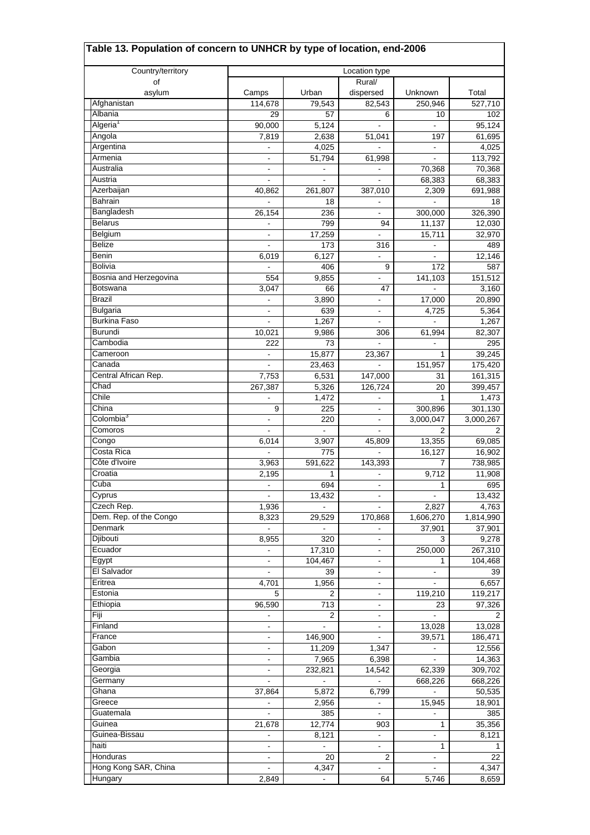| Table 13. Population of concern to UNHCR by type of location, end-2006 |                                            |                   |                                            |                      |                      |
|------------------------------------------------------------------------|--------------------------------------------|-------------------|--------------------------------------------|----------------------|----------------------|
| Country/territory                                                      |                                            |                   | Location type                              |                      |                      |
| of                                                                     |                                            |                   | Rural/                                     |                      |                      |
| asylum                                                                 | Camps                                      | Urban             | dispersed                                  | Unknown              | Total                |
| Afghanistan<br>Albania                                                 | 114,678                                    | 79,543<br>57      | 82,543<br>6                                | 250,946              | $\overline{527,710}$ |
| Algeria <sup>1</sup>                                                   | 29<br>90,000                               | 5,124             |                                            | 10                   | 102<br>95,124        |
| Angola                                                                 | 7,819                                      | 2,638             | 51,041                                     | 197                  | 61,695               |
| Argentina                                                              | $\mathbf{r}$                               | 4,025             | $\overline{a}$                             | $\blacksquare$       | 4,025                |
| Armenia                                                                | $\blacksquare$                             | 51,794            | 61,998                                     | $\blacksquare$       | 113,792              |
| Australia                                                              | $\qquad \qquad \blacksquare$               |                   |                                            | 70,368               | 70,368               |
| Austria                                                                |                                            | $\sim$            | $\blacksquare$                             | 68,383               | 68,383               |
| Azerbaijan                                                             | 40,862                                     | 261,807           | 387,010                                    | 2,309                | 691,988              |
| <b>Bahrain</b>                                                         |                                            | 18                |                                            |                      | 18                   |
| Bangladesh                                                             | 26,154                                     | 236               | ä,                                         | 300,000              | 326,390              |
| <b>Belarus</b>                                                         |                                            | 799               | 94                                         | 11,137               | 12,030               |
| Belgium<br><b>Belize</b>                                               |                                            | 17,259            | $\frac{1}{2}$                              | 15,711               | 32,970               |
| Benin                                                                  | $\blacksquare$<br>6,019                    | 173<br>6,127      | 316<br>$\overline{\phantom{a}}$            | $\blacksquare$       | 489<br>12,146        |
| Bolivia                                                                |                                            | 406               | 9                                          | 172                  | 587                  |
| Bosnia and Herzegovina                                                 | 554                                        | 9,855             | ÷,                                         | 141,103              | 151,512              |
| Botswana                                                               | 3.047                                      | 66                | 47                                         |                      | 3,160                |
| <b>Brazil</b>                                                          |                                            | 3,890             | $\frac{1}{2}$                              | 17,000               | 20,890               |
| <b>Bulgaria</b>                                                        | $\blacksquare$                             | 639               | $\frac{1}{2}$                              | 4,725                | 5,364                |
| <b>Burkina Faso</b>                                                    |                                            | 1,267             |                                            |                      | 1,267                |
| <b>Burundi</b>                                                         | 10,021                                     | 9,986             | 306                                        | 61,994               | 82,307               |
| Cambodia                                                               | 222                                        | 73                |                                            | L.                   | 295                  |
| Cameroon                                                               | $\blacksquare$                             | 15,877            | 23,367                                     | 1                    | 39,245               |
| Canada                                                                 |                                            | 23,463            |                                            | 151,957              | 175,420              |
| Central African Rep.                                                   | 7,753                                      | 6,531             | 147,000                                    | 31                   | 161,315              |
| Chad                                                                   | 267,387                                    | 5,326             | 126,724                                    | 20                   | 399,457              |
| Chile<br>China                                                         | 9                                          | 1,472<br>225      |                                            |                      | 1,473                |
| Colombia <sup>3</sup>                                                  | $\blacksquare$                             | 220               | $\blacksquare$<br>$\blacksquare$           | 300,896<br>3,000,047 | 301,130<br>3,000,267 |
| Comoros                                                                |                                            |                   |                                            | 2                    | 2                    |
| Congo                                                                  | 6,014                                      | 3,907             | 45,809                                     | 13,355               | 69,085               |
| Costa Rica                                                             |                                            | 775               |                                            | 16,127               | 16,902               |
| Côte d'Ivoire                                                          | 3,963                                      | 591,622           | 143,393                                    | 7                    | 738,985              |
| Croatia                                                                | 2,195                                      | 1                 | $\frac{1}{2}$                              | 9,712                | 11,908               |
| Cuba                                                                   |                                            | 694               |                                            | 1                    | 695                  |
| Cyprus                                                                 | $\blacksquare$                             | 13,432            | $\frac{1}{2}$                              | $\blacksquare$       | 13,432               |
| Czech Rep.                                                             | 1,936                                      |                   |                                            | 2,827                | 4,763                |
| Dem. Rep. of the Congo                                                 | 8,323                                      | 29,529            | 170,868                                    | 1,606,270            | 1,814,990            |
| Denmark                                                                | $\blacksquare$                             |                   |                                            | 37,901               | 37,901               |
| Djibouti<br>Ecuador                                                    | 8,955                                      | 320               | $\blacksquare$                             | 3<br>250,000         | 9,278<br>267,310     |
| Egypt                                                                  | $\overline{\phantom{a}}$<br>$\blacksquare$ | 17,310<br>104,467 | $\blacksquare$<br>$\overline{\phantom{a}}$ | 1                    | 104,468              |
| El Salvador                                                            | $\blacksquare$                             | 39                | $\blacksquare$                             | $\blacksquare$       | 39                   |
| Eritrea                                                                | 4,701                                      | 1,956             | $\frac{1}{2}$                              |                      | 6,657                |
| Estonia                                                                | 5                                          | 2                 | $\blacksquare$                             | 119,210              | 119,217              |
| Ethiopia                                                               | 96,590                                     | 713               | $\blacksquare$                             | 23                   | 97,326               |
| Fiji                                                                   |                                            | 2                 | ۰                                          |                      | 2                    |
| Finland                                                                | $\qquad \qquad \blacksquare$               |                   | $\overline{\phantom{0}}$                   | 13,028               | 13,028               |
| France                                                                 | $\blacksquare$                             | 146,900           | $\blacksquare$                             | 39,571               | 186,471              |
| Gabon                                                                  |                                            | 11,209            | 1,347                                      |                      | 12,556               |
| Gambia                                                                 | $\blacksquare$                             | 7,965             | 6,398                                      | $\blacksquare$       | 14,363               |
| Georgia                                                                | $\blacksquare$                             | 232,821           | 14,542                                     | 62,339               | 309,702              |
| Germany                                                                | ۰                                          | $\blacksquare$    |                                            | 668,226              | 668,226              |
| Ghana                                                                  | 37,864                                     | 5,872             | 6,799                                      | $\blacksquare$       | 50,535               |
| Greece<br>Guatemala                                                    | $\blacksquare$                             | 2,956<br>385      | $\qquad \qquad \blacksquare$               | 15,945               | 18,901<br>385        |
| Guinea                                                                 | 21,678                                     | 12,774            | 903                                        | 1                    | 35,356               |
| Guinea-Bissau                                                          | $\blacksquare$                             | 8,121             | $\blacksquare$                             | $\frac{1}{2}$        | 8,121                |
| haiti                                                                  | $\blacksquare$                             |                   | ۰                                          | 1                    | 1                    |
| Honduras                                                               | $\blacksquare$                             | 20                | $\overline{c}$                             | $\frac{1}{2}$        | 22                   |
| Hong Kong SAR, China                                                   |                                            | 4,347             |                                            |                      | 4,347                |
| Hungary                                                                | 2,849                                      |                   | 64                                         | 5,746                | 8,659                |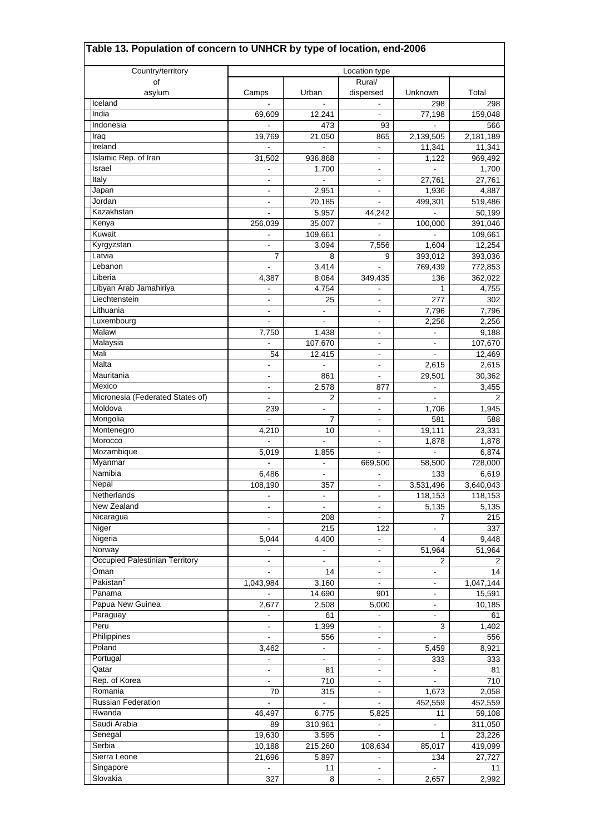| Table 13. Population of concern to UNHCR by type of location, end-2006 |                                            |                              |                                            |                     |                    |
|------------------------------------------------------------------------|--------------------------------------------|------------------------------|--------------------------------------------|---------------------|--------------------|
| Country/territory                                                      |                                            |                              | Location type                              |                     |                    |
| οf                                                                     |                                            |                              | Rural/                                     |                     |                    |
| asylum                                                                 | Camps                                      | Urban                        | dispersed                                  | Unknown             | Total              |
| Iceland                                                                |                                            |                              |                                            | 298                 | 298                |
| India                                                                  | 69,609                                     | 12,241                       | $\blacksquare$                             | 77,198              | 159,048            |
| Indonesia                                                              |                                            | 473                          | 93                                         |                     | 566                |
| Iraq<br>Ireland                                                        | 19,769                                     | 21,050                       | 865<br>$\blacksquare$                      | 2,139,505<br>11,341 | 2,181,189          |
| Islamic Rep. of Iran                                                   | 31,502                                     | 936,868                      | $\blacksquare$                             | 1,122               | 11,341<br>969,492  |
| Israel                                                                 |                                            | 1,700                        | $\frac{1}{2}$                              |                     | 1,700              |
| Italy                                                                  | $\blacksquare$                             | $\blacksquare$               | -                                          | 27,761              | 27,761             |
| Japan                                                                  |                                            | 2,951                        |                                            | 1,936               | 4,887              |
| Jordan                                                                 |                                            | 20,185                       | $\overline{\phantom{0}}$                   | 499,301             | 519,486            |
| Kazakhstan                                                             | $\blacksquare$                             | 5,957                        | 44,242                                     | $\blacksquare$      | 50,199             |
| Kenya                                                                  | 256,039                                    | 35,007                       | $\overline{\phantom{0}}$                   | 100,000             | 391,046            |
| Kuwait                                                                 |                                            | 109,661                      | $\blacksquare$                             |                     | 109,661            |
| Kyrgyzstan                                                             | $\blacksquare$                             | 3,094                        | 7,556                                      | 1,604               | 12,254             |
| Latvia                                                                 | $\overline{7}$                             | 8                            | 9                                          | 393,012             | 393,036            |
| Lebanon                                                                |                                            | 3,414                        |                                            | 769,439             | 772,853            |
| Liberia                                                                | 4,387                                      | 8,064                        | 349,435                                    | 136                 | 362,022            |
| Libyan Arab Jamahiriya<br>Liechtenstein                                |                                            | 4,754                        | $\frac{1}{2}$                              | 1                   | 4,755              |
| Lithuania                                                              | $\overline{\phantom{a}}$<br>$\blacksquare$ | 25<br>$\blacksquare$         | $\blacksquare$<br>$\overline{\phantom{0}}$ | 277<br>7,796        | 302<br>7,796       |
| Luxembourg                                                             |                                            |                              | $\overline{\phantom{a}}$                   | 2,256               | 2,256              |
| Malawi                                                                 | 7,750                                      | 1,438                        | $\blacksquare$                             |                     | 9,188              |
| Malaysia                                                               |                                            | 107,670                      | $\blacksquare$                             | $\blacksquare$      | 107,670            |
| Mali                                                                   | 54                                         | 12,415                       | -                                          | $\frac{1}{2}$       | 12,469             |
| Malta                                                                  | $\blacksquare$                             | $\blacksquare$               | $\frac{1}{2}$                              | 2,615               | 2,615              |
| Mauritania                                                             | $\blacksquare$                             | 861                          | $\blacksquare$                             | 29,501              | 30,362             |
| Mexico                                                                 |                                            | 2,578                        | 877                                        |                     | 3,455              |
| Micronesia (Federated States of)                                       | $\blacksquare$                             | 2                            | ÷,                                         | $\overline{a}$      | 2                  |
| Moldova                                                                | 239                                        | $\blacksquare$               | $\blacksquare$                             | 1,706               | 1,945              |
| Mongolia                                                               |                                            | 7                            | ۰                                          | 581                 | 588                |
| Montenegro                                                             | 4,210                                      | 10                           | $\blacksquare$                             | 19,111              | 23,331             |
| Morocco                                                                |                                            |                              | $\overline{\phantom{0}}$                   | 1,878               | 1,878              |
| Mozambique                                                             | 5,019                                      | 1,855                        |                                            |                     | 6,874              |
| Myanmar<br>Namibia                                                     |                                            | $\blacksquare$               | 669,500                                    | 58,500              | 728,000            |
| Nepal                                                                  | 6,486<br>108,190                           | $\blacksquare$<br>357        | $\frac{1}{2}$                              | 133<br>3,531,496    | 6,619<br>3,640,043 |
| Netherlands                                                            | $\overline{a}$                             | $\blacksquare$               | $\overline{\phantom{0}}$                   | 118,153             | 118,153            |
| New Zealand                                                            | $\overline{\phantom{a}}$                   | $\blacksquare$               |                                            | 5,135               | 5,135              |
| Nicaragua                                                              |                                            | 208                          |                                            | 7                   | 215                |
| Niger                                                                  | $\blacksquare$                             | 215                          | 122                                        | $\blacksquare$      | 337                |
| Nigeria                                                                | 5,044                                      | 4.400                        | $\blacksquare$                             | 4                   | 9,448              |
| Norway                                                                 |                                            | $\qquad \qquad \blacksquare$ | -                                          | 51,964              | 51,964             |
| Occupied Palestinian Territory                                         | $\blacksquare$                             | $\blacksquare$               | $\frac{1}{2}$                              | 2                   | 2                  |
| Oman                                                                   |                                            | 14                           | $\frac{1}{2}$                              | $\blacksquare$      | 14                 |
| Pakistan <sup>2</sup>                                                  | 1,043,984                                  | 3,160                        |                                            |                     | 1,047,144          |
| Panama                                                                 |                                            | 14,690                       | 901                                        | $\blacksquare$      | 15,591             |
| Papua New Guinea                                                       | 2,677                                      | 2,508                        | 5,000                                      | $\blacksquare$      | 10,185             |
| Paraguay                                                               |                                            | 61                           | -                                          | $\blacksquare$      | 61                 |
| Peru<br>Philippines                                                    | $\qquad \qquad \blacksquare$               | 1,399                        | $\frac{1}{2}$                              | 3                   | 1,402              |
| Poland                                                                 |                                            | 556                          | $\frac{1}{2}$                              |                     | 556                |
| Portugal                                                               | 3,462<br>$\blacksquare$                    | $\blacksquare$               | $\frac{1}{2}$<br>$\frac{1}{2}$             | 5,459<br>333        | 8,921<br>333       |
| Qatar                                                                  | $\blacksquare$                             | 81                           | -                                          | $\blacksquare$      | 81                 |
| Rep. of Korea                                                          | $\qquad \qquad \blacksquare$               | 710                          | $\overline{\phantom{0}}$                   | $\frac{1}{2}$       | 710                |
| Romania                                                                | 70                                         | 315                          | -                                          | 1,673               | 2,058              |
| <b>Russian Federation</b>                                              |                                            |                              |                                            | 452,559             | 452,559            |
| Rwanda                                                                 | 46,497                                     | 6,775                        | 5,825                                      | 11                  | 59,108             |
| Saudi Arabia                                                           | 89                                         | 310,961                      | $\overline{\phantom{0}}$                   | $\blacksquare$      | 311,050            |
| Senegal                                                                | 19,630                                     | 3,595                        | ÷,                                         | 1                   | 23,226             |
| Serbia                                                                 | 10,188                                     | 215,260                      | 108,634                                    | 85,017              | 419,099            |
| Sierra Leone                                                           | 21,696                                     | 5,897                        | -                                          | 134                 | 27,727             |
| Singapore                                                              |                                            | 11                           |                                            |                     | 11                 |
| Slovakia                                                               | 327                                        | 8                            |                                            | 2,657               | 2,992              |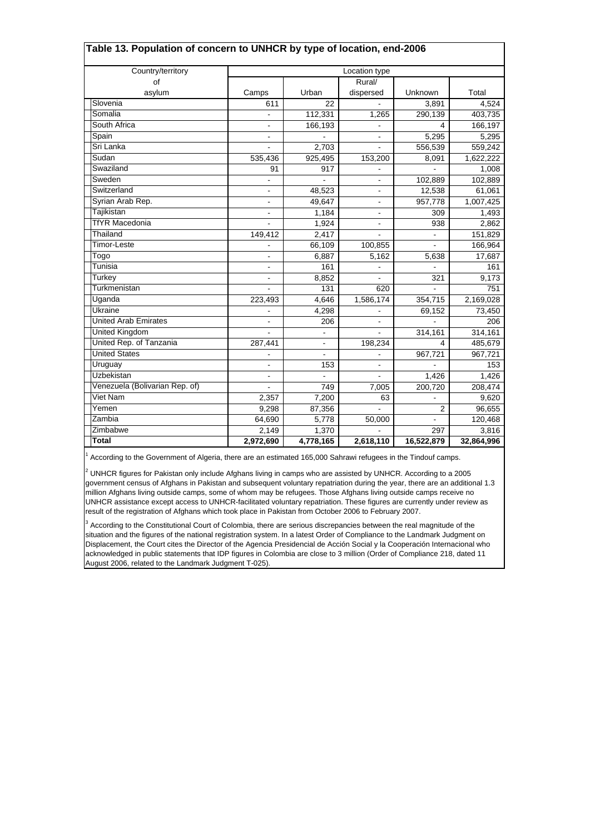| Table 13. Population of concern to UNHCR by type of location, end-2006 |                |           |                          |                |            |
|------------------------------------------------------------------------|----------------|-----------|--------------------------|----------------|------------|
| Country/territory                                                      |                |           | Location type            |                |            |
| οf                                                                     |                |           | Rural/                   |                |            |
| asylum                                                                 | Camps          | Urban     | dispersed                | Unknown        | Total      |
| Slovenia                                                               | 611            | 22        |                          | 3,891          | 4,524      |
| Somalia                                                                |                | 112,331   | 1,265                    | 290,139        | 403,735    |
| South Africa                                                           | $\blacksquare$ | 166,193   |                          |                | 166,197    |
| Spain                                                                  | $\blacksquare$ |           | $\overline{\phantom{a}}$ | 5,295          | 5,295      |
| Sri Lanka                                                              |                | 2,703     | $\blacksquare$           | 556,539        | 559,242    |
| Sudan                                                                  | 535,436        | 925,495   | 153,200                  | 8,091          | 1,622,222  |
| Swaziland                                                              | 91             | 917       |                          |                | 1,008      |
| Sweden                                                                 | $\blacksquare$ |           | $\overline{\phantom{a}}$ | 102,889        | 102,889    |
| Switzerland                                                            | $\blacksquare$ | 48,523    | $\overline{\phantom{a}}$ | 12,538         | 61,061     |
| Syrian Arab Rep.                                                       | $\blacksquare$ | 49,647    | $\overline{\phantom{a}}$ | 957,778        | 1,007,425  |
| Tajikistan                                                             | $\blacksquare$ | 1,184     | $\overline{\phantom{a}}$ | 309            | 1,493      |
| <b>TfYR Macedonia</b>                                                  |                | 1,924     | $\blacksquare$           | 938            | 2,862      |
| Thailand                                                               | 149,412        | 2,417     |                          | ä,             | 151,829    |
| <b>Timor-Leste</b>                                                     |                | 66,109    | 100,855                  |                | 166,964    |
| Togo                                                                   | $\blacksquare$ | 6,887     | 5,162                    | 5,638          | 17,687     |
| Tunisia                                                                | $\blacksquare$ | 161       |                          |                | 161        |
| Turkey                                                                 | $\blacksquare$ | 8,852     | ÷                        | 321            | 9,173      |
| Turkmenistan                                                           |                | 131       | 620                      |                | 751        |
| Uganda                                                                 | 223,493        | 4,646     | 1,586,174                | 354,715        | 2,169,028  |
| Ukraine                                                                |                | 4,298     |                          | 69,152         | 73,450     |
| <b>United Arab Emirates</b>                                            |                | 206       |                          |                | 206        |
| <b>United Kingdom</b>                                                  |                |           |                          | 314,161        | 314,161    |
| United Rep. of Tanzania                                                | 287,441        |           | 198,234                  |                | 485,679    |
| <b>United States</b>                                                   |                | ÷.        |                          | 967,721        | 967,721    |
| Uruguay                                                                |                | 153       |                          |                | 153        |
| <b>Uzbekistan</b>                                                      |                |           |                          | 1,426          | 1,426      |
| Venezuela (Bolivarian Rep. of)                                         |                | 749       | 7,005                    | 200,720        | 208,474    |
| Viet Nam                                                               | 2,357          | 7,200     | 63                       |                | 9,620      |
| Yemen                                                                  | 9,298          | 87,356    |                          | $\overline{2}$ | 96,655     |
| Zambia                                                                 | 64,690         | 5,778     | 50,000                   |                | 120,468    |
| Zimbabwe                                                               | 2,149          | 1,370     |                          | 297            | 3,816      |
| Total                                                                  | 2,972,690      | 4,778,165 | 2,618,110                | 16,522,879     | 32,864,996 |

1 According to the Government of Algeria, there are an estimated 165,000 Sahrawi refugees in the Tindouf camps.

 $^2$  UNHCR figures for Pakistan only include Afghans living in camps who are assisted by UNHCR. According to a 2005 government census of Afghans in Pakistan and subsequent voluntary repatriation during the year, there are an additional 1.3 million Afghans living outside camps, some of whom may be refugees. Those Afghans living outside camps receive no UNHCR assistance except access to UNHCR-facilitated voluntary repatriation. These figures are currently under review as result of the registration of Afghans which took place in Pakistan from October 2006 to February 2007.

<sup>3</sup> According to the Constitutional Court of Colombia, there are serious discrepancies between the real magnitude of the situation and the figures of the national registration system. In a latest Order of Compliance to the Landmark Judgment on Displacement, the Court cites the Director of the Agencia Presidencial de Acción Social y la Cooperación Internacional who acknowledged in public statements that IDP figures in Colombia are close to 3 million (Order of Compliance 218, dated 11 August 2006, related to the Landmark Judgment T-025).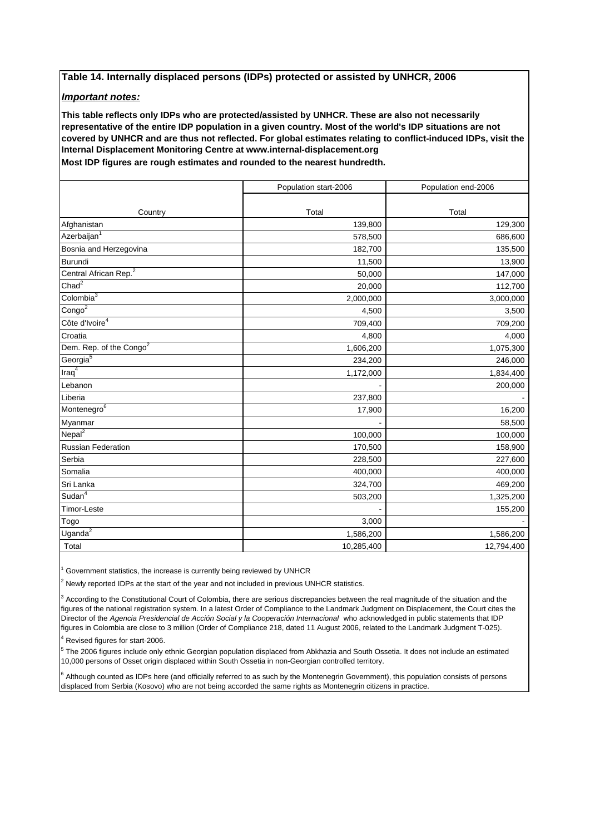# **Table 14. Internally displaced persons (IDPs) protected or assisted by UNHCR, 2006**

### *Important notes:*

**Most IDP figures are rough estimates and rounded to the nearest hundredth. This table reflects only IDPs who are protected/assisted by UNHCR. These are also not necessarily representative of the entire IDP population in a given country. Most of the world's IDP situations are not covered by UNHCR and are thus not reflected. For global estimates relating to conflict-induced IDPs, visit the Internal Displacement Monitoring Centre at www.internal-displacement.org**

|                                     | Population start-2006 | Population end-2006 |
|-------------------------------------|-----------------------|---------------------|
|                                     |                       |                     |
| Country                             | Total                 | Total               |
| Afghanistan                         | 139,800               | 129,300             |
| Azerbaijan <sup>1</sup>             | 578,500               | 686,600             |
| Bosnia and Herzegovina              | 182,700               | 135,500             |
| <b>Burundi</b>                      | 11,500                | 13,900              |
| Central African Rep. <sup>2</sup>   | 50,000                | 147,000             |
| Chad <sup>2</sup>                   | 20,000                | 112,700             |
| Colombia $3$                        | 2,000,000             | 3,000,000           |
| Congo <sup>2</sup>                  | 4,500                 | 3,500               |
| Côte d'Ivoire <sup>4</sup>          | 709,400               | 709,200             |
| Croatia                             | 4,800                 | 4,000               |
| Dem. Rep. of the Congo <sup>2</sup> | 1,606,200             | 1,075,300           |
| Georgia <sup>5</sup>                | 234,200               | 246,000             |
| Iraq <sup>4</sup>                   | 1,172,000             | 1,834,400           |
| Lebanon                             |                       | 200,000             |
| Liberia                             | 237,800               |                     |
| Montenegro <sup>6</sup>             | 17,900                | 16,200              |
| Myanmar                             |                       | 58,500              |
| Nepal <sup>2</sup>                  | 100,000               | 100,000             |
| <b>Russian Federation</b>           | 170,500               | 158,900             |
| Serbia                              | 228,500               | 227,600             |
| Somalia                             | 400,000               | 400,000             |
| Sri Lanka                           | 324,700               | 469,200             |
| Sudan <sup>4</sup>                  | 503,200               | 1,325,200           |
| Timor-Leste                         |                       | 155,200             |
| Togo                                | 3,000                 |                     |
| Uganda <sup>2</sup>                 | 1,586,200             | 1,586,200           |
| Total                               | 10,285,400            | 12,794,400          |

1 Government statistics, the increase is currently being reviewed by UNHCR

 $2$  Newly reported IDPs at the start of the year and not included in previous UNHCR statistics.

3 According to the Constitutional Court of Colombia, there are serious discrepancies between the real magnitude of the situation and the figures of the national registration system. In a latest Order of Compliance to the Landmark Judgment on Displacement, the Court cites the Director of the *Agencia Presidencial de Acción Social y la Cooperación Internacional* who acknowledged in public statements that IDP figures in Colombia are close to 3 million (Order of Compliance 218, dated 11 August 2006, related to the Landmark Judgment T-025).

4 Revised figures for start-2006.

5 The 2006 figures include only ethnic Georgian population displaced from Abkhazia and South Ossetia. It does not include an estimated 10,000 persons of Osset origin displaced within South Ossetia in non-Georgian controlled territory.

6 Although counted as IDPs here (and officially referred to as such by the Montenegrin Government), this population consists of persons displaced from Serbia (Kosovo) who are not being accorded the same rights as Montenegrin citizens in practice.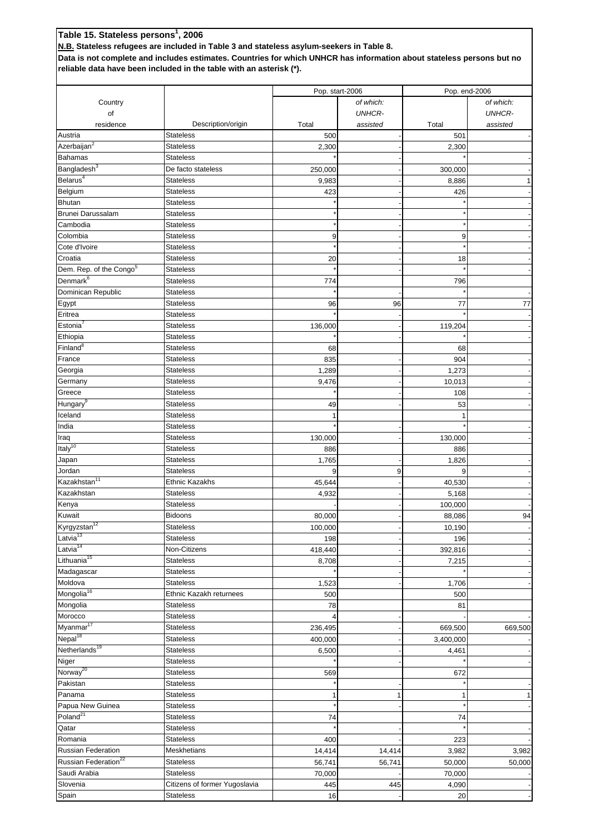### **Table 15. Stateless persons1 , 2006 N.B. Stateless refugees are included in Table 3 and stateless asylum-seekers in Table 8.**

**Data is not complete and includes estimates. Countries for which UNHCR has information about stateless persons but no reliable data have been included in the table with an asterisk (\*).**

|                                     |                               |         | Pop. start-2006 | Pop. end-2006 |               |  |
|-------------------------------------|-------------------------------|---------|-----------------|---------------|---------------|--|
| Country                             |                               |         | of which:       |               | of which:     |  |
| of                                  |                               |         | <b>UNHCR-</b>   |               | <b>UNHCR-</b> |  |
|                                     | Description/origin            | Total   |                 | Total         |               |  |
| residence                           | <b>Stateless</b>              |         | assisted        |               | assisted      |  |
| Austria                             |                               | 500     |                 | 501           |               |  |
| Azerbaijan $\overline{a^2}$         | <b>Stateless</b>              | 2,300   |                 | 2,300         |               |  |
| <b>Bahamas</b>                      | <b>Stateless</b>              |         |                 |               |               |  |
| Bangladesh <sup>3</sup>             | De facto stateless            | 250,000 |                 | 300,000       |               |  |
| Belarus <sup>4</sup>                | <b>Stateless</b>              | 9,983   |                 | 8,886         | $\mathbf{1}$  |  |
| Belgium                             | <b>Stateless</b>              | 423     |                 | 426           |               |  |
| <b>Bhutan</b>                       | <b>Stateless</b>              |         |                 |               |               |  |
| Brunei Darussalam                   | <b>Stateless</b>              |         |                 |               |               |  |
| Cambodia                            | <b>Stateless</b>              |         |                 |               |               |  |
| Colombia                            | <b>Stateless</b>              | 9       |                 | 9             |               |  |
| Cote d'Ivoire                       | <b>Stateless</b>              |         |                 |               |               |  |
| Croatia                             | <b>Stateless</b>              | 20      |                 | 18            |               |  |
| Dem. Rep. of the Congo <sup>5</sup> | <b>Stateless</b>              |         |                 |               |               |  |
| Denmark <sup>6</sup>                | <b>Stateless</b>              | 774     |                 | 796           |               |  |
| Dominican Republic                  | <b>Stateless</b>              |         |                 |               |               |  |
|                                     | <b>Stateless</b>              |         |                 |               |               |  |
| Egypt                               |                               | 96      | 96              | 77            | 77            |  |
| Eritrea                             | <b>Stateless</b>              |         |                 |               |               |  |
| Estonia <sup>7</sup>                | <b>Stateless</b>              | 136,000 |                 | 119,204       |               |  |
| Ethiopia                            | <b>Stateless</b>              |         |                 |               |               |  |
| Finland <sup>8</sup>                | <b>Stateless</b>              | 68      |                 | 68            |               |  |
| France                              | <b>Stateless</b>              | 835     |                 | 904           |               |  |
| Georgia                             | <b>Stateless</b>              | 1,289   |                 | 1,273         |               |  |
| Germany                             | <b>Stateless</b>              | 9,476   |                 | 10,013        |               |  |
| Greece                              | <b>Stateless</b>              |         |                 | 108           |               |  |
| Hungary <sup>9</sup>                | <b>Stateless</b>              | 49      |                 | 53            |               |  |
| Iceland                             | <b>Stateless</b>              |         |                 |               |               |  |
| India                               | <b>Stateless</b>              |         |                 |               |               |  |
| Iraq                                | <b>Stateless</b>              | 130,000 |                 | 130,000       |               |  |
| Italy <sup>10</sup>                 | <b>Stateless</b>              | 886     |                 | 886           |               |  |
| Japan                               | <b>Stateless</b>              | 1,765   |                 | 1,826         |               |  |
| Jordan                              | <b>Stateless</b>              | 9       | 9               | 9             |               |  |
| Kazakhstan <sup>11</sup>            | <b>Ethnic Kazakhs</b>         | 45,644  |                 | 40,530        |               |  |
| Kazakhstan                          | <b>Stateless</b>              | 4,932   |                 | 5,168         |               |  |
|                                     | <b>Stateless</b>              |         |                 |               |               |  |
| Kenya                               |                               |         |                 | 100,000       |               |  |
| Kuwait                              | <b>Bidoons</b>                | 80,000  |                 | 88,086        | 94            |  |
| Kyrgyzstan <sup>12</sup>            | Stateless                     | 100,000 |                 | 10,190        |               |  |
| Latvia <sup>13</sup>                | <b>Stateless</b>              | 198     |                 | 196           |               |  |
| Latvia <sup>14</sup>                | Non-Citizens                  | 418,440 |                 | 392,816       |               |  |
| Lithuania <sup>15</sup>             | <b>Stateless</b>              | 8,708   |                 | 7,215         |               |  |
| Madagascar                          | <b>Stateless</b>              |         |                 |               |               |  |
| Moldova                             | <b>Stateless</b>              | 1,523   |                 | 1,706         |               |  |
| Mongolia <sup>16</sup>              | Ethnic Kazakh returnees       | 500     |                 | 500           |               |  |
| Mongolia                            | <b>Stateless</b>              | 78      |                 | 81            |               |  |
| Morocco                             | <b>Stateless</b>              |         |                 |               |               |  |
| Myanmar <sup>17</sup>               | <b>Stateless</b>              | 236,495 |                 | 669,500       | 669,500       |  |
| Nepal <sup>18</sup>                 | <b>Stateless</b>              | 400,000 |                 | 3,400,000     |               |  |
| Netherlands <sup>19</sup>           | <b>Stateless</b>              | 6,500   |                 | 4,461         |               |  |
| Niger                               | <b>Stateless</b>              |         |                 |               |               |  |
| Norway <sup>20</sup>                | <b>Stateless</b>              | 569     |                 | 672           |               |  |
| Pakistan                            |                               |         |                 |               |               |  |
|                                     | <b>Stateless</b>              |         |                 |               |               |  |
| Panama                              | <b>Stateless</b>              |         |                 |               | $\mathbf{1}$  |  |
| Papua New Guinea                    | <b>Stateless</b>              |         |                 |               |               |  |
| Poland <sup>21</sup>                | <b>Stateless</b>              | 74      |                 | 74            |               |  |
| Qatar                               | Stateless                     |         |                 |               |               |  |
| Romania                             | <b>Stateless</b>              | 400     |                 | 223           |               |  |
| Russian Federation                  | Meskhetians                   | 14,414  | 14,414          | 3,982         | 3,982         |  |
| Russian Federation <sup>22</sup>    | <b>Stateless</b>              | 56,741  | 56,741          | 50,000        | 50,000        |  |
| Saudi Arabia                        | <b>Stateless</b>              | 70,000  |                 | 70,000        |               |  |
| Slovenia                            | Citizens of former Yugoslavia | 445     | 445             | 4,090         |               |  |
| Spain                               | <b>Stateless</b>              | 16      |                 | 20            |               |  |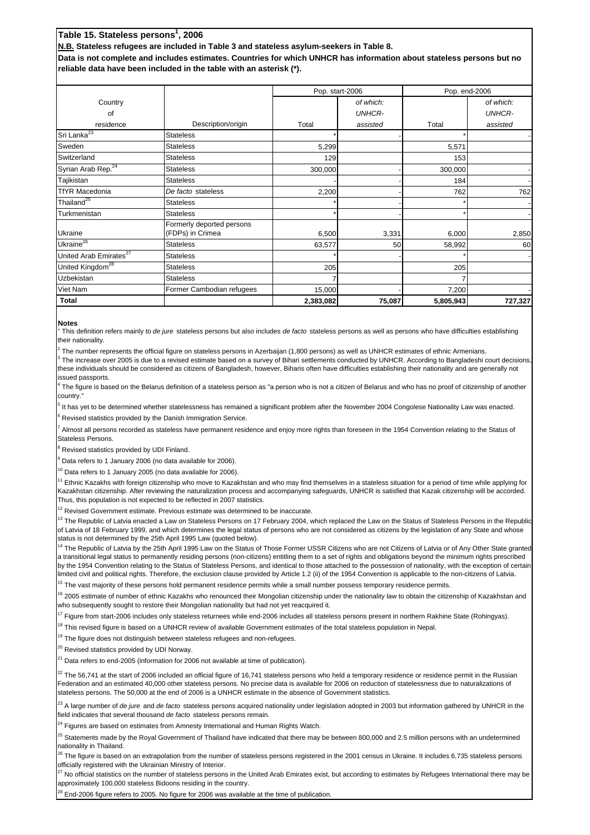# **Table 15. Stateless persons1 , 2006**

**N.B. Stateless refugees are included in Table 3 and stateless asylum-seekers in Table 8.**

**Data is not complete and includes estimates. Countries for which UNHCR has information about stateless persons but no reliable data have been included in the table with an asterisk (\*).**

|                                    |                                               | Pop. start-2006 |               |           | Pop. end-2006 |
|------------------------------------|-----------------------------------------------|-----------------|---------------|-----------|---------------|
| Country                            |                                               |                 | of which:     |           | of which:     |
| 0f                                 |                                               |                 | <b>UNHCR-</b> |           | <b>UNHCR-</b> |
| residence                          | Description/origin                            | Total           | assisted      | Total     | assisted      |
| Sri Lanka <sup>23</sup>            | <b>Stateless</b>                              |                 |               |           |               |
| Sweden                             | <b>Stateless</b>                              | 5,299           |               | 5,571     |               |
| Switzerland                        | <b>Stateless</b>                              | 129             |               | 153       |               |
| Syrian Arab Rep. <sup>24</sup>     | <b>Stateless</b>                              | 300,000         |               | 300,000   |               |
| Tajikistan                         | <b>Stateless</b>                              |                 |               | 184       |               |
| <b>TfYR Macedonia</b>              | De facto stateless                            | 2,200           |               | 762       | 762           |
| Thailand <sup>25</sup>             | <b>Stateless</b>                              |                 |               |           |               |
| Turkmenistan                       | <b>Stateless</b>                              |                 |               |           |               |
| Ukraine                            | Formerly deported persons<br>(FDPs) in Crimea | 6,500           | 3,331         | 6,000     | 2,850         |
| Ukraine $\overline{e^{26}}$        | <b>Stateless</b>                              | 63,577          | 50            | 58,992    | 60            |
| United Arab Emirates <sup>27</sup> | <b>Stateless</b>                              |                 |               |           |               |
| United Kingdom <sup>28</sup>       | <b>Stateless</b>                              | 205             |               | 205       |               |
| <b>Uzbekistan</b>                  | <b>Stateless</b>                              |                 |               |           |               |
| Viet Nam                           | Former Cambodian refugees                     | 15,000          |               | 7,200     |               |
| Total                              |                                               | 2,383,082       | 75,087        | 5,805,943 | 727,327       |

### **Notes**

1 This definition refers mainly to *de jure* stateless persons but also includes *de facto* stateless persons as well as persons who have difficulties establishing their nationality.

2 The number represents the official figure on stateless persons in Azerbaijan (1,800 persons) as well as UNHCR estimates of ethnic Armenians.

3 The increase over 2005 is due to a revised estimate based on a survey of Bihari settlements conducted by UNHCR. According to Bangladeshi court decisions, these individuals should be considered as citizens of Bangladesh, however, Biharis often have difficulties establishing their nationality and are generally not issued passports.

4 The figure is based on the Belarus definition of a stateless person as "a person who is not a citizen of Belarus and who has no proof of citizenship of another country.

5 It has yet to be determined whether statelessness has remained a significant problem after the November 2004 Congolese Nationality Law was enacted. 6 Revised statistics provided by the Danish Immigration Service.

7 Almost all persons recorded as stateless have permanent residence and enjoy more rights than foreseen in the 1954 Convention relating to the Status of Stateless Persons.

<sup>8</sup> Revised statistics provided by UDI Finland.

<sup>9</sup> Data refers to 1 January 2006 (no data available for 2006).

 $10$  Data refers to 1 January 2005 (no data available for 2006).

 $11$  Ethnic Kazakhs with foreign citizenship who move to Kazakhstan and who may find themselves in a stateless situation for a period of time while applying for Kazakhstan citizenship. After reviewing the naturalization process and accompanying safeguards, UNHCR is satisfied that Kazak citizenship will be accorded. Thus, this population is not expected to be reflected in 2007 statistics.

 $12$  Revised Government estimate. Previous estimate was determined to be inaccurate.

<sup>13</sup> The Republic of Latvia enacted a Law on Stateless Persons on 17 February 2004, which replaced the Law on the Status of Stateless Persons in the Republi of Latvia of 18 February 1999, and which determines the legal status of persons who are not considered as citizens by the legislation of any State and whose status is not determined by the 25th April 1995 Law (quoted below).

<sup>14</sup> The Republic of Latvia by the 25th April 1995 Law on the Status of Those Former USSR Citizens who are not Citizens of Latvia or of Any Other State granted a transitional legal status to permanently residing persons (non-citizens) entitling them to a set of rights and obligations beyond the minimum rights prescribed by the 1954 Convention relating to the Status of Stateless Persons, and identical to those attached to the possession of nationality, with the exception of certain limited civil and political rights. Therefore, the exclusion clause provided by Article 1.2 (ii) of the 1954 Convention is applicable to the non-citizens of Latvia.

<sup>15</sup> The vast maiority of these persons hold permanent residence permits while a small number possess temporary residence permits.

<sup>16</sup> 2005 estimate of number of ethnic Kazakhs who renounced their Mongolian citizenship under the nationality law to obtain the citizenship of Kazakhstan and who subsequently sought to restore their Mongolian nationality but had not yet reacquired it.

 $17$  Figure from start-2006 includes only stateless returnees while end-2006 includes all stateless persons present in northern Rakhine State (Rohingyas).

<sup>18</sup> This revised figure is based on a UNHCR review of available Government estimates of the total stateless population in Nepal.

<sup>19</sup> The figure does not distinguish between stateless refugees and non-refugees.

<sup>20</sup> Revised statistics provided by UDI Norway.

 $21$  Data refers to end-2005 (information for 2006 not available at time of publication).

 $^{22}$  The 56,741 at the start of 2006 included an official figure of 16,741 stateless persons who held a temporary residence or residence permit in the Russian Federation and an estimated 40,000 other stateless persons. No precise data is available for 2006 on reduction of statelessness due to naturalizations of stateless persons. The 50,000 at the end of 2006 is a UNHCR estimate in the absence of Government statistics.

<sup>23</sup> A large number of *de jure* and *de facto* stateless persons acquired nationality under legislation adopted in 2003 but information gathered by UNHCR in the field indicates that several thousand *de facto* stateless persons remain.

<sup>24</sup> Figures are based on estimates from Amnesty International and Human Rights Watch.

<sup>25</sup> Statements made by the Royal Government of Thailand have indicated that there may be between 800,000 and 2.5 million persons with an undetermined nationality in Thailand.

<sup>26</sup> The figure is based on an extrapolation from the number of stateless persons registered in the 2001 census in Ukraine. It includes 6,735 stateless persons officially registered with the Ukrainian Ministry of Interior.

27 No official statistics on the number of stateless persons in the United Arab Emirates exist, but according to estimates by Refugees International there may be approximately 100,000 stateless Bidoons residing in the country.

End-2006 figure refers to 2005. No figure for 2006 was available at the time of publication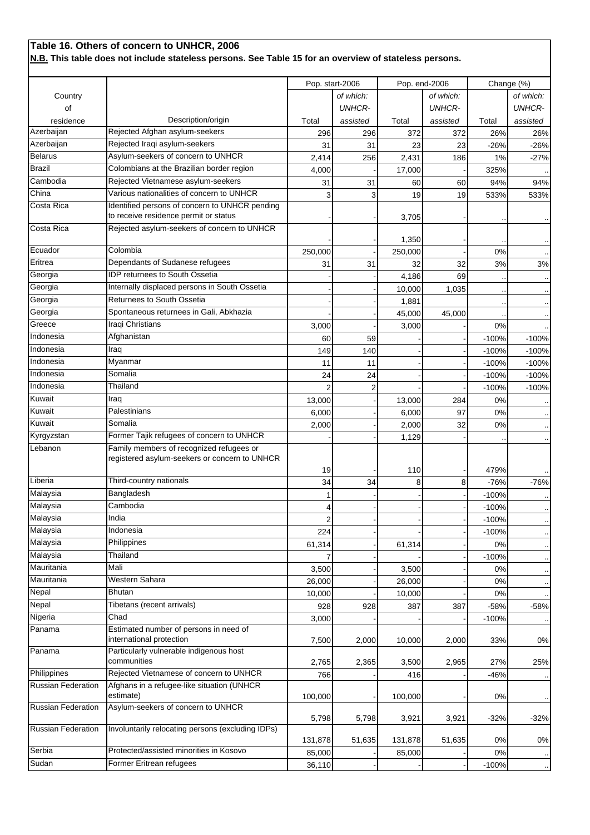# **Table 16. Others of concern to UNHCR, 2006**

**N.B. This table does not include stateless persons. See Table 15 for an overview of stateless persons.**

|                           |                                                                                           | Pop. start-2006 |                | Pop. end-2006 |               | Change (%) |               |
|---------------------------|-------------------------------------------------------------------------------------------|-----------------|----------------|---------------|---------------|------------|---------------|
| Country                   |                                                                                           |                 | of which:      |               | of which:     |            | of which:     |
| of                        |                                                                                           |                 | <b>UNHCR-</b>  |               | <b>UNHCR-</b> |            | <b>UNHCR-</b> |
|                           |                                                                                           |                 |                |               |               |            |               |
| residence<br>Azerbaijan   | Description/origin<br>Rejected Afghan asylum-seekers                                      | Total           | assisted       | Total         | assisted      | Total      | assisted      |
| Azerbaijan                | Rejected Iraqi asylum-seekers                                                             | 296             | 296            | 372           | 372           | 26%        | 26%           |
|                           |                                                                                           | 31              | 31             | 23            | 23            | $-26%$     | $-26%$        |
| <b>Belarus</b>            | Asylum-seekers of concern to UNHCR                                                        | 2,414           | 256            | 2,431         | 186           | 1%         | -27%          |
| <b>Brazil</b>             | Colombians at the Brazilian border region                                                 | 4,000           |                | 17,000        |               | 325%       |               |
| Cambodia                  | Rejected Vietnamese asylum-seekers                                                        | 31              | 31             | 60            | 60            | 94%        | 94%           |
| China                     | Various nationalities of concern to UNHCR                                                 | 3               | 3              | 19            | 19            | 533%       | 533%          |
| Costa Rica                | Identified persons of concern to UNHCR pending                                            |                 |                |               |               |            |               |
|                           | to receive residence permit or status                                                     |                 |                | 3,705         |               |            |               |
| Costa Rica                | Rejected asylum-seekers of concern to UNHCR                                               |                 |                | 1,350         |               |            |               |
| Ecuador                   | Colombia                                                                                  | 250,000         |                | 250,000       |               | 0%         |               |
| Eritrea                   | Dependants of Sudanese refugees                                                           | 31              | 31             | 32            | 32            | 3%         | 3%            |
| Georgia                   | <b>IDP</b> returnees to South Ossetia                                                     |                 |                | 4,186         | 69            |            |               |
| Georgia                   | Internally displaced persons in South Ossetia                                             |                 |                | 10,000        | 1,035         |            |               |
| Georgia                   | Returnees to South Ossetia                                                                |                 |                | 1,881         |               |            |               |
| Georgia                   | Spontaneous returnees in Gali, Abkhazia                                                   |                 |                | 45,000        | 45,000        |            |               |
| Greece                    | Iraqi Christians                                                                          | 3,000           |                | 3,000         |               | 0%         |               |
| Indonesia                 | Afghanistan                                                                               | 60              | 59             |               |               | $-100%$    | $-100%$       |
| Indonesia                 | Iraq                                                                                      | 149             | 140            |               |               | $-100%$    | $-100%$       |
| Indonesia                 | Myanmar                                                                                   | 11              | 11             |               |               | $-100%$    | $-100%$       |
| Indonesia                 | Somalia                                                                                   |                 | 24             |               |               | $-100%$    | $-100%$       |
| Indonesia                 | Thailand                                                                                  | 24              |                |               |               |            |               |
| Kuwait                    | Iraq                                                                                      | $\overline{2}$  | $\overline{2}$ |               |               | $-100%$    | $-100%$       |
| Kuwait                    | Palestinians                                                                              | 13,000          |                | 13,000        | 284           | 0%         |               |
|                           |                                                                                           | 6,000           |                | 6,000         | 97            | 0%         |               |
| Kuwait                    | Somalia                                                                                   | 2,000           |                | 2,000         | 32            | 0%         |               |
| Kyrgyzstan                | Former Tajik refugees of concern to UNHCR                                                 |                 |                | 1,129         |               |            |               |
| Lebanon                   | Family members of recognized refugees or<br>registered asylum-seekers or concern to UNHCR |                 |                |               |               |            |               |
|                           |                                                                                           | 19              |                | 110           |               | 479%       |               |
| Liberia                   | Third-country nationals                                                                   | 34              | 34             | 8             | 8             | $-76%$     | $-76%$        |
| Malaysia                  | Bangladesh                                                                                |                 |                |               |               | $-100%$    |               |
| Malaysia                  | Cambodia                                                                                  | 4               |                |               |               | $-100%$    |               |
| Malaysia                  | India                                                                                     | 2               |                |               |               | $-100%$    |               |
| Malaysia                  | Indonesia                                                                                 | 224             |                |               |               | $-100%$    |               |
| Malaysia                  | Philippines                                                                               | 61,314          |                | 61,314        |               | 0%         |               |
| Malaysia                  | Thailand                                                                                  |                 |                |               |               | $-100%$    |               |
| Mauritania                | Mali                                                                                      | 3,500           |                | 3,500         |               | 0%         | $\cdot$ .     |
| Mauritania                | Western Sahara                                                                            | 26,000          |                | 26,000        |               | 0%         |               |
| Nepal                     | Bhutan                                                                                    | 10,000          |                | 10,000        |               | 0%         |               |
| Nepal                     | Tibetans (recent arrivals)                                                                | 928             | 928            | 387           | 387           | $-58%$     | $-58%$        |
| Nigeria                   | Chad                                                                                      | 3,000           |                |               |               | $-100%$    |               |
| Panama                    | Estimated number of persons in need of<br>international protection                        | 7,500           | 2,000          | 10,000        | 2,000         | 33%        | 0%            |
| Panama                    | Particularly vulnerable indigenous host                                                   |                 |                |               |               |            |               |
|                           | communities                                                                               | 2,765           | 2,365          | 3,500         | 2,965         | 27%        | 25%           |
| Philippines               | Rejected Vietnamese of concern to UNHCR                                                   | 766             |                | 416           |               | $-46%$     |               |
| Russian Federation        | Afghans in a refugee-like situation (UNHCR<br>estimate)                                   | 100,000         |                | 100,000       |               | 0%         |               |
| Russian Federation        | Asylum-seekers of concern to UNHCR                                                        | 5,798           | 5,798          | 3,921         | 3,921         | $-32%$     | $-32%$        |
| <b>Russian Federation</b> | Involuntarily relocating persons (excluding IDPs)                                         | 131,878         | 51,635         | 131,878       | 51,635        | 0%         | $0\%$         |
| Serbia                    | Protected/assisted minorities in Kosovo                                                   | 85,000          |                | 85,000        |               | 0%         |               |
| Sudan                     | Former Eritrean refugees                                                                  | 36,110          |                |               |               | $-100%$    |               |
|                           |                                                                                           |                 |                |               |               |            |               |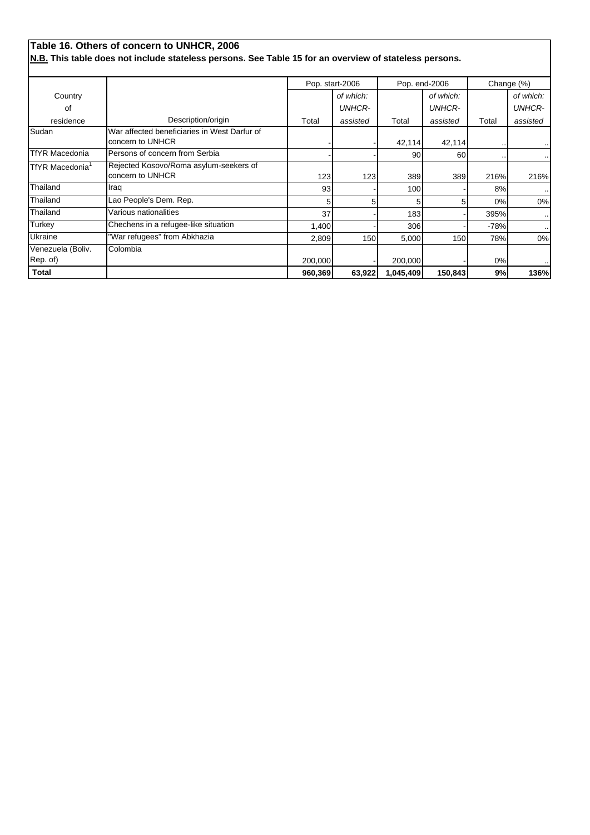|                               | Table 16. Others of concern to UNHCR, 2006                                                             |         |                 |               |               |        |               |
|-------------------------------|--------------------------------------------------------------------------------------------------------|---------|-----------------|---------------|---------------|--------|---------------|
|                               | N.B. This table does not include stateless persons. See Table 15 for an overview of stateless persons. |         |                 |               |               |        |               |
|                               |                                                                                                        |         | Pop. start-2006 | Pop. end-2006 |               |        | Change (%)    |
| Country                       |                                                                                                        |         | of which:       |               | of which:     |        | of which:     |
| 0f                            |                                                                                                        |         | <b>UNHCR-</b>   |               | <b>UNHCR-</b> |        | <b>UNHCR-</b> |
| residence                     | Description/origin                                                                                     | Total   | assisted        | Total         | assisted      | Total  | assisted      |
| Sudan                         | War affected beneficiaries in West Darfur of<br>concern to UNHCR                                       |         |                 | 42,114        | 42,114        |        |               |
| <b>TfYR Macedonia</b>         | Persons of concern from Serbia                                                                         |         |                 | 90            | 60            |        | $\cdot$ .     |
| TfYR Macedonia <sup>1</sup>   | Rejected Kosovo/Roma asylum-seekers of<br>concern to UNHCR                                             | 123     | 123             | 389           | 389           | 216%   | 216%          |
| Thailand                      | Iraq                                                                                                   | 93      |                 | 100           |               | 8%     |               |
| Thailand                      | Lao People's Dem. Rep.                                                                                 | 5       | 5               | 5             | 51            | 0%     | 0%            |
| Thailand                      | Various nationalities                                                                                  | 37      |                 | 183           |               | 395%   | $\cdot$ .     |
| Turkey                        | Chechens in a refugee-like situation                                                                   | 1,400   |                 | 306           |               | $-78%$ | $\cdot$ .     |
| Ukraine                       | 'War refugees" from Abkhazia                                                                           | 2,809   | 150             | 5,000         | 150           | 78%    | 0%            |
| Venezuela (Boliv.<br>Rep. of) | Colombia                                                                                               | 200,000 |                 | 200,000       |               | 0%     |               |
| <b>Total</b>                  |                                                                                                        | 960,369 | 63,922          | 1,045,409     | 150,843       | 9%     | 136%          |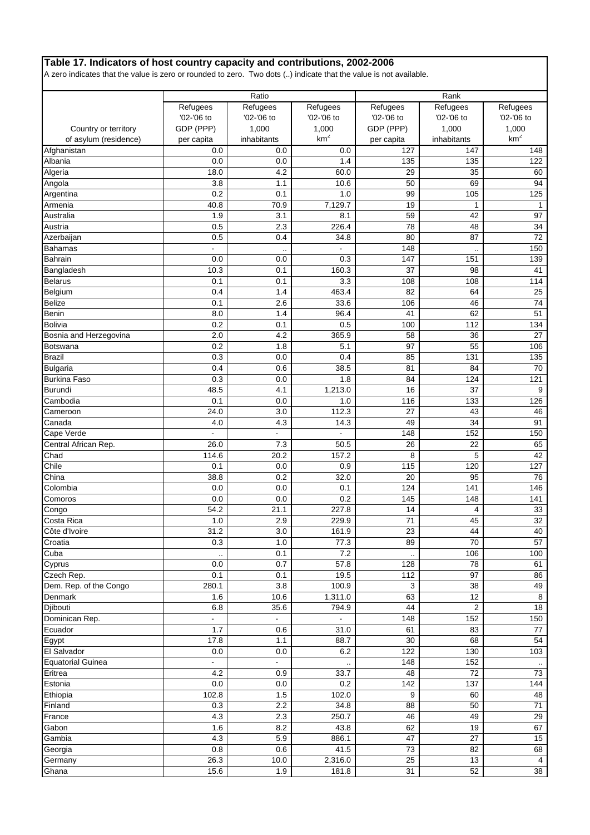### **Table 17. Indicators of host country capacity and contributions, 2002-2006**

A zero indicates that the value is zero or rounded to zero. Two dots (..) indicate that the value is not available.

|                          |                | Ratio                |                          |            | Rank                 |                          |
|--------------------------|----------------|----------------------|--------------------------|------------|----------------------|--------------------------|
|                          | Refugees       | Refugees             | Refugees                 | Refugees   | Refugees             | Refugees                 |
|                          | '02-'06 to     | '02-'06 to           | '02-'06 to               | '02-'06 to | '02-'06 to           | '02-'06 to               |
|                          |                |                      |                          |            |                      |                          |
| Country or territory     | GDP (PPP)      | 1,000                | 1,000<br>km <sup>2</sup> | GDP (PPP)  | 1,000                | 1,000<br>km <sup>2</sup> |
| of asylum (residence)    | per capita     | inhabitants          |                          | per capita | inhabitants          |                          |
| Afghanistan              | 0.0            | 0.0                  | 0.0                      | 127        | 147                  | 148                      |
| Albania                  | 0.0            | 0.0                  | 1.4                      | 135        | 135                  | 122                      |
| Algeria                  | 18.0           | 4.2                  | 60.0                     | 29         | 35                   | 60                       |
| Angola                   | 3.8            | 1.1                  | 10.6                     | 50         | 69                   | 94                       |
| Argentina                | 0.2            | 0.1                  | 1.0                      | 99         | 105                  | 125                      |
| Armenia                  | 40.8           | 70.9                 | 7,129.7                  | 19         | $\mathbf{1}$         | $\mathbf{1}$             |
| Australia                | 1.9            | 3.1                  | 8.1                      | 59         | 42                   | 97                       |
| Austria                  | 0.5            | 2.3                  | 226.4                    | 78         | 48                   | 34                       |
| Azerbaijan               | 0.5            | 0.4                  | 34.8                     | 80         | 87                   | 72                       |
| <b>Bahamas</b>           |                | $\ddot{\phantom{a}}$ |                          | 148        | $\ddot{\phantom{a}}$ | 150                      |
| <b>Bahrain</b>           | 0.0            | 0.0                  | 0.3                      | 147        | 151                  | 139                      |
| Bangladesh               | 10.3           | 0.1                  | 160.3                    | 37         | 98                   | 41                       |
| <b>Belarus</b>           | 0.1            | 0.1                  | 3.3                      | 108        | 108                  | 114                      |
| Belgium                  | 0.4            | 1.4                  | 463.4                    | 82         | 64                   | 25                       |
| <b>Belize</b>            | 0.1            | 2.6                  | 33.6                     | 106        | 46                   | 74                       |
| Benin                    | 8.0            | 1.4                  | 96.4                     | 41         | 62                   | 51                       |
| <b>Bolivia</b>           | 0.2            | 0.1                  | 0.5                      | 100        | 112                  | 134                      |
| Bosnia and Herzegovina   | 2.0            | 4.2                  | 365.9                    | 58         | 36                   | 27                       |
| <b>Botswana</b>          | 0.2            | 1.8                  | 5.1                      | 97         | 55                   | 106                      |
| <b>Brazil</b>            | 0.3            | 0.0                  | 0.4                      | 85         | 131                  | 135                      |
| <b>Bulgaria</b>          | 0.4            | 0.6                  | 38.5                     | 81         | 84                   | 70                       |
| <b>Burkina Faso</b>      | 0.3            | 0.0                  | 1.8                      | 84         | 124                  | 121                      |
| <b>Burundi</b>           | 48.5           | 4.1                  | 1,213.0                  | 16         | 37                   | 9                        |
| Cambodia                 | 0.1            | 0.0                  | 1.0                      | 116        | 133                  | 126                      |
| Cameroon                 | 24.0           | 3.0                  | 112.3                    | 27         | 43                   | 46                       |
| Canada                   | 4.0            | 4.3                  | 14.3                     | 49         | 34                   | 91                       |
| Cape Verde               | $\overline{a}$ | $\blacksquare$       | ä,                       | 148        | 152                  | 150                      |
|                          | 26.0           |                      |                          |            | 22                   | 65                       |
| Central African Rep.     |                | 7.3                  | 50.5                     | 26         |                      |                          |
| Chad                     | 114.6          | 20.2                 | 157.2                    | 8          | 5                    | 42                       |
| Chile                    | 0.1            | 0.0                  | 0.9                      | 115        | 120                  | 127                      |
| China                    | 38.8           | 0.2                  | 32.0                     | 20         | 95                   | 76                       |
| Colombia                 | 0.0            | 0.0                  | 0.1                      | 124        | 141                  | 146                      |
| Comoros                  | 0.0            | 0.0                  | 0.2                      | 145        | 148                  | 141                      |
| Congo                    | 54.2           | 21.1                 | 227.8                    | 14         | 4                    | 33                       |
| Costa Rica               | 1.0            | 2.9                  | 229.9                    | 71         | 45                   | 32                       |
| Côte d'Ivoire            | 31.2           | 3.0                  | 161.9                    | 23         | 44                   | 40                       |
| Croatia                  | 0.3            | 1.0                  | 77.3                     | 89         | 70                   | 57                       |
| Cuba                     |                | 0.1                  | 7.2                      |            | 106                  | 100                      |
| Cyprus                   | 0.0            | 0.7                  | 57.8                     | 128        | 78                   | 61                       |
| Czech Rep.               | 0.1            | 0.1                  | 19.5                     | 112        | 97                   | 86                       |
| Dem. Rep. of the Congo   | 280.1          | 3.8                  | 100.9                    | 3          | 38                   | 49                       |
| Denmark                  | 1.6            | 10.6                 | 1,311.0                  | 63         | 12                   | $\,8\,$                  |
| Djibouti                 | 6.8            | 35.6                 | 794.9                    | 44         | $\overline{2}$       | 18                       |
| Dominican Rep.           | $\blacksquare$ | $\blacksquare$       |                          | 148        | 152                  | 150                      |
| Ecuador                  | 1.7            | 0.6                  | 31.0                     | 61         | 83                   | 77                       |
| Egypt                    | 17.8           | 1.1                  | 88.7                     | 30         | 68                   | 54                       |
| El Salvador              | 0.0            | $0.0\,$              | 6.2                      | 122        | 130                  | 103                      |
| <b>Equatorial Guinea</b> |                |                      |                          | 148        | 152                  |                          |
| Eritrea                  | 4.2            | 0.9                  | 33.7                     | 48         | 72                   | 73                       |
| Estonia                  | 0.0            | 0.0                  | 0.2                      | 142        | 137                  | 144                      |
| Ethiopia                 | 102.8          | 1.5                  | 102.0                    | 9          | 60                   | 48                       |
| Finland                  | 0.3            | 2.2                  | 34.8                     | 88         | 50                   | 71                       |
| France                   | 4.3            | 2.3                  | 250.7                    | 46         | 49                   | 29                       |
| Gabon                    | 1.6            | 8.2                  | 43.8                     | 62         | 19                   | 67                       |
| Gambia                   | 4.3            | 5.9                  | 886.1                    | 47         | 27                   | 15                       |
| Georgia                  | 0.8            | 0.6                  | 41.5                     | 73         | 82                   | 68                       |
| Germany                  | 26.3           | 10.0                 | 2,316.0                  | 25         | 13                   | 4                        |
| Ghana                    | 15.6           | 1.9                  | 181.8                    | 31         | 52                   | 38                       |
|                          |                |                      |                          |            |                      |                          |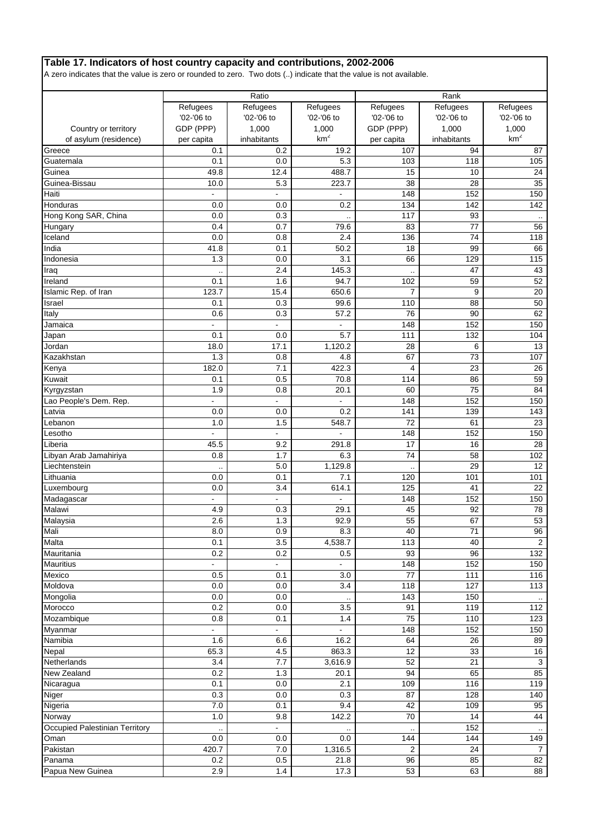# **Table 17. Indicators of host country capacity and contributions, 2002-2006**

A zero indicates that the value is zero or rounded to zero. Two dots (..) indicate that the value is not available.

|                                               |                         | Ratio                    |                             |                         | Rank                   |                          |
|-----------------------------------------------|-------------------------|--------------------------|-----------------------------|-------------------------|------------------------|--------------------------|
|                                               | Refugees                | Refugees                 | Refugees                    | Refugees                | Refugees<br>'02-'06 to | Refugees                 |
|                                               | '02-'06 to              | '02-'06 to               | '02-'06 to                  | '02-'06 to              |                        | '02-'06 to               |
| Country or territory<br>of asylum (residence) | GDP (PPP)<br>per capita | 1,000<br>inhabitants     | 1,000<br>km <sup>2</sup>    | GDP (PPP)<br>per capita | 1,000<br>inhabitants   | 1,000<br>km <sup>2</sup> |
| Greece                                        | 0.1                     | 0.2                      | 19.2                        | 107                     | 94                     | 87                       |
| Guatemala                                     | 0.1                     | 0.0                      | 5.3                         | 103                     | 118                    | 105                      |
| Guinea                                        | 49.8                    | 12.4                     | 488.7                       | 15                      | 10                     | 24                       |
| Guinea-Bissau                                 | 10.0                    | 5.3                      | 223.7                       | 38                      | 28                     | 35                       |
| Haiti                                         | $\overline{a}$          | $\overline{a}$           |                             | 148                     | 152                    | 150                      |
| Honduras                                      | 0.0                     | 0.0                      | 0.2                         | 134                     | 142                    | 142                      |
| Hong Kong SAR, China                          | 0.0                     | 0.3                      |                             | 117                     | 93                     |                          |
| Hungary                                       | 0.4                     | 0.7                      | 79.6                        | 83                      | 77                     | 56                       |
| Iceland                                       | 0.0                     | 0.8                      | 2.4                         | 136                     | 74                     | 118                      |
| India                                         | 41.8                    | 0.1                      | 50.2                        | 18                      | 99                     | 66                       |
| Indonesia                                     | 1.3                     | 0.0                      | 3.1                         | 66                      | 129                    | 115                      |
| Iraq                                          |                         | 2.4                      | 145.3                       |                         | 47                     | 43                       |
| Ireland                                       | $0.\overline{1}$        | 1.6                      | 94.7                        | 102                     | 59                     | 52                       |
| Islamic Rep. of Iran                          | 123.7                   | 15.4                     | 650.6                       | 7                       | 9                      | 20                       |
| Israel                                        | 0.1                     | 0.3                      | 99.6                        | 110                     | 88                     | 50                       |
| Italy                                         | 0.6                     | 0.3                      | 57.2                        | 76                      | 90                     | 62                       |
| Jamaica                                       | $\overline{a}$          | $\overline{a}$           | $\overline{a}$              | 148                     | 152                    | 150                      |
| Japan                                         | 0.1                     | 0.0                      | 5.7                         | 111                     | 132                    | 104                      |
| Jordan                                        | 18.0                    | 17.1                     | 1,120.2                     | 28                      | 6                      | 13                       |
| Kazakhstan                                    | 1.3                     | 0.8                      | 4.8                         | 67                      | 73                     | 107                      |
| Kenya<br>Kuwait                               | 182.0<br>0.1            | 7.1<br>0.5               | 422.3<br>70.8               | 4<br>114                | 23<br>86               | 26<br>59                 |
|                                               | 1.9                     | 0.8                      | 20.1                        | 60                      | 75                     | 84                       |
| Kyrgyzstan<br>Lao People's Dem. Rep.          |                         |                          |                             | 148                     | 152                    | 150                      |
| Latvia                                        | 0.0                     | 0.0                      | 0.2                         | 141                     | 139                    | 143                      |
| Lebanon                                       | 1.0                     | 1.5                      | 548.7                       | 72                      | 61                     | 23                       |
| Lesotho                                       |                         |                          |                             | 148                     | 152                    | 150                      |
| Liberia                                       | 45.5                    | 9.2                      | 291.8                       | 17                      | 16                     | 28                       |
| Libyan Arab Jamahiriya                        | 0.8                     | 1.7                      | 6.3                         | 74                      | 58                     | 102                      |
| Liechtenstein                                 |                         | 5.0                      | 1,129.8                     |                         | 29                     | 12                       |
| Lithuania                                     | 0.0                     | 0.1                      | 7.1                         | 120                     | 101                    | 101                      |
| Luxembourg                                    | 0.0                     | 3.4                      | 614.1                       | 125                     | 41                     | 22                       |
| Madagascar                                    |                         |                          |                             | 148                     | 152                    | 150                      |
| Malawi                                        | 4.9                     | 0.3                      | 29.1                        | 45                      | 92                     | 78                       |
| Malaysia                                      | 2.6                     | 1.3                      | 92.9                        | 55                      | 67                     | 53                       |
| Mali                                          | 8.0                     | 0.9                      | 8.3                         | 40                      | 71                     | 96                       |
| Malta                                         | 0.1                     | 3.5                      | 4,538.7                     | 113                     | 40                     | $\overline{2}$           |
| Mauritania<br><b>Mauritius</b>                | 0.2<br>ä,               | 0.2<br>$\blacksquare$    | 0.5<br>L.                   | 93                      | 96<br>152              | 132                      |
| Mexico                                        | 0.5                     | 0.1                      | 3.0                         | 148<br>77               | 111                    | 150<br>116               |
| Moldova                                       | 0.0                     | 0.0                      | 3.4                         | 118                     | 127                    | 113                      |
| Mongolia                                      | 0.0                     | 0.0                      |                             | 143                     | 150                    |                          |
| Morocco                                       | 0.2                     | 0.0                      | $\ddot{\phantom{a}}$<br>3.5 | 91                      | 119                    | 112                      |
| Mozambique                                    | 0.8                     | 0.1                      | 1.4                         | 75                      | 110                    | 123                      |
| Myanmar                                       |                         | $\overline{\phantom{a}}$ |                             | 148                     | 152                    | 150                      |
| Namibia                                       | 1.6                     | 6.6                      | 16.2                        | 64                      | 26                     | 89                       |
| Nepal                                         | 65.3                    | 4.5                      | 863.3                       | 12                      | 33                     | 16                       |
| Netherlands                                   | 3.4                     | 7.7                      | 3,616.9                     | 52                      | $\overline{21}$        | 3                        |
| New Zealand                                   | 0.2                     | 1.3                      | 20.1                        | 94                      | 65                     | 85                       |
| Nicaragua                                     | 0.1                     | 0.0                      | 2.1                         | 109                     | 116                    | 119                      |
| Niger                                         | 0.3                     | 0.0                      | 0.3                         | 87                      | 128                    | 140                      |
| Nigeria                                       | $7.0\,$                 | 0.1                      | 9.4                         | 42                      | 109                    | 95                       |
| Norway                                        | 1.0                     | 9.8                      | 142.2                       | 70                      | 14                     | 44                       |
| Occupied Palestinian Territory                | $\ddot{\phantom{a}}$    | $\blacksquare$           |                             |                         | 152                    |                          |
| Oman                                          | 0.0                     | 0.0                      | 0.0                         | 144                     | 144                    | 149                      |
| Pakistan                                      | 420.7                   | $7.0$                    | 1,316.5                     | 2                       | 24                     | 7                        |
| Panama                                        | 0.2                     | 0.5                      | 21.8                        | 96                      | 85                     | 82                       |
| Papua New Guinea                              | 2.9                     | 1.4                      | 17.3                        | 53                      | 63                     | 88                       |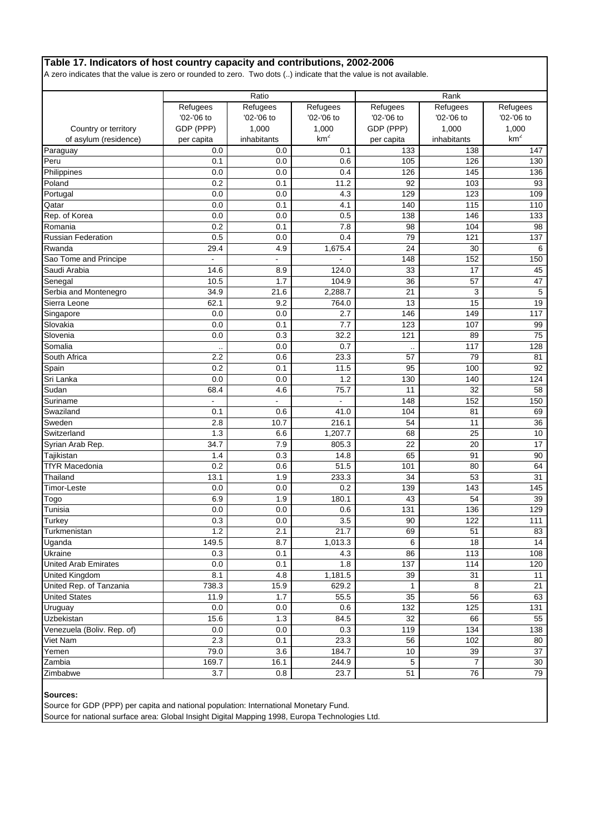# **Table 17. Indicators of host country capacity and contributions, 2002-2006**

A zero indicates that the value is zero or rounded to zero. Two dots (..) indicate that the value is not available.

|                                               |                | Ratio       |                  |                  | Rank                 |                 |
|-----------------------------------------------|----------------|-------------|------------------|------------------|----------------------|-----------------|
|                                               | Refugees       | Refugees    | Refugees         | Refugees         | Refugees             | Refugees        |
|                                               | '02-'06 to     | '02-'06 to  | '02-'06 to       | '02-'06 to       | '02-'06 to           | '02-'06 to      |
| Country or territory                          | GDP (PPP)      | 1,000       | 1,000            | GDP (PPP)        | 1,000                | 1,000           |
| of asylum (residence)                         | per capita     | inhabitants | km <sup>2</sup>  | per capita       | inhabitants          | km <sup>2</sup> |
| Paraguay                                      | 0.0            | 0.0         | 0.1              | 133              | 138                  | 147             |
| Peru                                          | 0.1            | 0.0         | 0.6              | 105              | 126                  | 130             |
| Philippines                                   | 0.0            | 0.0         | 0.4              | 126              | 145                  | 136             |
| Poland                                        | 0.2            | 0.1         | 11.2             | 92               | 103                  | 93              |
| Portugal                                      | 0.0            | 0.0         | 4.3              | 129              | 123                  | 109             |
| Qatar                                         | 0.0            | 0.1         | 4.1              | 140              | 115                  | 110             |
| Rep. of Korea                                 | 0.0            | 0.0         | 0.5              | 138              | 146                  | 133             |
| Romania                                       | 0.2            | 0.1         | 7.8              | 98               | 104                  | 98              |
| <b>Russian Federation</b>                     | 0.5            | 0.0         | 0.4              | 79               | 121                  | 137             |
| Rwanda                                        | 29.4           | 4.9         | 1,675.4          | 24               | 30                   | 6               |
| Sao Tome and Principe                         | ä,             |             |                  | 148              | 152                  | 150             |
| Saudi Arabia                                  | 14.6           | 8.9         | 124.0            | 33               | 17                   | 45              |
| Senegal                                       | 10.5           | 1.7         | 104.9            | 36               | 57                   | 47              |
| Serbia and Montenegro                         | 34.9           | 21.6        | 2,288.7          | $\overline{21}$  | 3                    | 5               |
| Sierra Leone                                  | 62.1           | 9.2         | 764.0            | 13               | 15                   | 19              |
| Singapore                                     | 0.0            | 0.0         | 2.7              | 146              | 149                  | 117             |
| Slovakia                                      | 0.0            | 0.1         | 7.7              | 123              | 107                  | 99              |
| Slovenia                                      | 0.0            | 0.3         | 32.2             | 121              | 89                   | 75              |
| Somalia                                       |                | 0.0         | 0.7              |                  | 117                  | 128             |
| South Africa                                  | 2.2            | 0.6         | 23.3             | 57               | 79                   | 81              |
| Spain                                         | 0.2            | 0.1         | 11.5             | 95               | 100                  | 92              |
| Sri Lanka                                     | 0.0            | 0.0         | 1.2              | 130              | 140                  | 124             |
| Sudan                                         | 68.4           | 4.6         | 75.7             | 11               | 32                   | 58              |
| Suriname                                      | $\overline{a}$ | ÷.          | ä,               | 148              | 152                  | 150             |
| Swaziland                                     | 0.1            | 0.6         | 41.0             | 104              | 81                   | 69              |
| Sweden                                        | 2.8            | 10.7        | 216.1            | 54               | 11                   | 36              |
| Switzerland                                   | 1.3            | 6.6         | 1,207.7          | 68               | 25                   | 10              |
| Syrian Arab Rep.                              | 34.7           | 7.9         | 805.3            | 22               | 20                   | 17              |
| Tajikistan                                    | 1.4            | 0.3         | 14.8             | 65               | 91                   | 90              |
| <b>TfYR Macedonia</b>                         | 0.2            | 0.6         | 51.5             | 101              | 80                   | 64              |
| Thailand                                      | 13.1           | 1.9         | 233.3            | 34               | 53                   | 31              |
| <b>Timor-Leste</b>                            | 0.0            | 0.0         | $0.\overline{2}$ | 139              | 143                  | 145             |
| Togo                                          | 6.9            | 1.9         | 180.1            | 43               | 54                   | 39              |
| Tunisia                                       | 0.0            | 0.0         | 0.6              | 131              | 136                  | 129             |
| <b>Turkey</b>                                 | 0.3            | 0.0         | 3.5              | 90               | 122                  | 111             |
| Turkmenistan                                  | $1.2$          | 2.1         | 21.7             | 69               | 51                   | 83              |
| Uganda                                        | 149.5          | 8.7         | 1,013.3          | 6                | 18                   | 14              |
| <b>Ukraine</b><br><b>United Arab Emirates</b> | 0.3            | 0.1         | 4.3              | 86               | 113                  | 108             |
|                                               | $0.0\,$        | 0.1         | 1.8              | 137              | 114                  | 120             |
| United Kingdom                                | 8.1            | 4.8         | 1,181.5          | 39               | 31                   | 11              |
| United Rep. of Tanzania                       | 738.3          | 15.9        | 629.2            | 1                | 8                    | 21              |
| <b>United States</b>                          | 11.9<br>0.0    | 1.7         | 55.5<br>0.6      | 35<br>132        | 56<br>125            | 63              |
| Uruguay                                       |                | 0.0         |                  |                  |                      | 131             |
| <b>Uzbekistan</b>                             | 15.6           | 1.3         | 84.5             | 32               | 66                   | 55              |
| Venezuela (Boliv. Rep. of)                    | 0.0            | 0.0         | 0.3              | 119              | 134                  | 138             |
| Viet Nam                                      | 2.3            | 0.1         | 23.3             | 56               | 102                  | 80              |
| Yemen                                         | 79.0           | 3.6         | 184.7            | 10<br>$\sqrt{5}$ | 39<br>$\overline{7}$ | 37<br>30        |
| Zambia                                        | 169.7          | 16.1        | 244.9            | 51               | 76                   |                 |
| Zimbabwe                                      | 3.7            | 0.8         | 23.7             |                  |                      | 79              |

**Sources:**

Source for GDP (PPP) per capita and national population: International Monetary Fund.

Source for national surface area: Global Insight Digital Mapping 1998, Europa Technologies Ltd.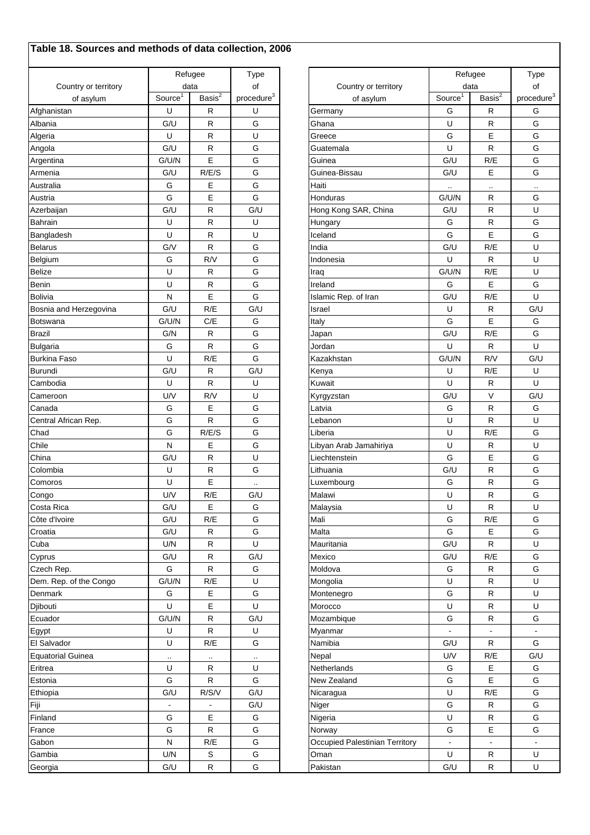# **Table 18. Sources and methods of data collection, 2006**

|                          |                     | Refugee              | Type                   |                                | Refugee             | Type               |                |
|--------------------------|---------------------|----------------------|------------------------|--------------------------------|---------------------|--------------------|----------------|
| Country or territory     |                     | data                 | of                     | Country or territory           |                     | data               | of             |
| of asylum                | Source <sup>1</sup> | Basis $\overline{S}$ | procedure <sup>3</sup> | of asylum                      | Source <sup>1</sup> | Basis <sup>2</sup> | proced         |
| Afghanistan              | U                   | R                    | U                      | Germany                        | G                   | $\mathsf{R}$       | G              |
| Albania                  | G/U                 | R                    | G                      | Ghana                          | U                   | $\mathsf{R}$       | G              |
| Algeria                  | U                   | R                    | U                      | Greece                         | G                   | E                  | G              |
| Angola                   | G/U                 | R                    | G                      | Guatemala                      | U                   | ${\sf R}$          | G              |
| Argentina                | G/U/N               | E                    | G                      | Guinea                         | G/U                 | R/E                | G              |
| Armenia                  | G/U                 | R/E/S                | G                      | Guinea-Bissau                  | G/U                 | E                  | G              |
| Australia                | G                   | Е                    | G                      | Haiti                          |                     |                    | $\cdot$ .      |
| Austria                  | G                   | E                    | G                      | Honduras                       | G/U/N               | $\mathsf{R}$       | G              |
| Azerbaijan               | G/U                 | R                    | G/U                    | Hong Kong SAR, China           | G/U                 | $\mathsf{R}$       | $\mathsf U$    |
| <b>Bahrain</b>           | U                   | R                    | U                      | Hungary                        | G                   | $\mathsf{R}$       | G              |
| Bangladesh               | U                   | R                    | U                      | Iceland                        | G                   | E                  | G              |
| <b>Belarus</b>           | G/V                 | R                    | G                      | India                          | G/U                 | R/E                | $\sf U$        |
| Belgium                  | G                   | R/V                  | G                      | Indonesia                      | U                   | $\mathsf{R}$       | U              |
| <b>Belize</b>            | U                   | R                    | G                      | Iraq                           | G/UN                | R/E                | U              |
| Benin                    | U                   | R                    | G                      | Ireland                        | G                   | E                  | G              |
| <b>Bolivia</b>           | N                   | E                    | G                      | Islamic Rep. of Iran           | G/U                 | R/E                | U              |
| Bosnia and Herzegovina   | G/U                 | R/E                  | G/U                    | Israel                         | U                   | $\mathsf{R}$       | G/U            |
| <b>Botswana</b>          | G/U/N               | C/E                  | G                      | Italy                          | G                   | E                  | G              |
| <b>Brazil</b>            | G/N                 | R                    | G                      | Japan                          | G/U                 | R/E                | G              |
| <b>Bulgaria</b>          | G                   | R                    | G                      | Jordan                         | U                   | $\mathsf{R}$       | U              |
| <b>Burkina Faso</b>      | U                   | R/E                  | G                      | Kazakhstan                     | G/U/N               | R/V                | G/U            |
| <b>Burundi</b>           | G/U                 | R                    | G/U                    | Kenya                          | U                   | R/E                | U              |
| Cambodia                 | U                   | R                    | U                      | Kuwait                         | U                   | $\mathsf{R}$       | U              |
| Cameroon                 | U/V                 | R/V                  | U                      | Kyrgyzstan                     | G/U                 | V                  | G/U            |
| Canada                   | G                   | Е                    | G                      | Latvia                         | G                   | R                  | G              |
| Central African Rep.     | G                   | R                    | G                      | Lebanon                        | U                   | $\mathsf{R}$       | U              |
| Chad                     | G                   | R/E/S                | G                      | Liberia                        | U                   | R/E                | G              |
| Chile                    | N                   | Е                    | G                      | Libyan Arab Jamahiriya         | U                   | $\mathsf{R}$       | $\mathsf U$    |
| China                    | G/U                 | R                    | U                      | Liechtenstein                  | G                   | Ε                  | G              |
| Colombia                 | U                   | R                    | G                      | Lithuania                      | G/U                 | ${\sf R}$          | G              |
| Comoros                  | U                   | E                    |                        | Luxembourg                     | G                   | $\mathsf{R}$       | G              |
| Congo                    | U/V                 | R/E                  | G/U                    | Malawi                         | U                   | $\mathsf{R}$       | ${\mathsf G}$  |
| Costa Rica               | G/U                 | E                    | G                      | Malaysia                       | U                   | $\mathsf{R}$       | $\cup$         |
| Côte d'Ivoire            | G/U                 | R/E                  | G                      | Mali                           | G                   | R/E                | G              |
| Croatia                  | G/U                 | R                    | G                      | Malta                          | G                   | E                  | G              |
| Cuba                     | U/N                 | R                    | U                      | Mauritania                     | G/U                 | ${\sf R}$          | U              |
| Cyprus                   | G/U                 | R                    | G/U                    | Mexico                         | G/U                 | R/E                | G              |
| Czech Rep.               | G                   | $\mathsf R$          | G                      | Moldova                        | G                   | $\mathsf R$        | G              |
| Dem. Rep. of the Congo   | G/UN                | R/E                  | U                      | Mongolia                       | U                   | $\mathsf R$        | U              |
| Denmark                  | G                   | Е                    | G                      | Montenegro                     | G                   | $\mathsf R$        | U              |
| Djibouti                 | U                   | Ε                    | U                      | Morocco                        | U                   | $\mathsf R$        | U              |
| Ecuador                  | G/UN                | R                    | G/U                    | Mozambique                     | G                   | ${\sf R}$          | G              |
| Egypt                    | U                   | ${\sf R}$            | U                      | Myanmar                        |                     |                    | $\sim$         |
| El Salvador              | U                   | R/E                  | G                      | Namibia                        | G/U                 | ${\sf R}$          | G              |
| <b>Equatorial Guinea</b> |                     | $\cdot$ .            |                        | Nepal                          | U/V                 | R/E                | G/U            |
| Eritrea                  | U                   | $\mathsf R$          | U                      | Netherlands                    | G                   | $\mathsf E$        | G              |
| Estonia                  | G                   | $\mathsf R$          | G                      | New Zealand                    | G                   | E                  | G              |
| Ethiopia                 | G/U                 | R/S/V                | G/U                    | Nicaragua                      | U                   | R/E                | G              |
| Fiji                     | $\blacksquare$      | $\frac{1}{2}$        | G/U                    | Niger                          | G                   | $\mathsf R$        | G              |
| Finland                  | G                   | Е                    | G                      | Nigeria                        | U                   | $\mathsf R$        | G              |
| France                   | G                   | R                    | G                      | Norway                         | G                   | Ε                  | G              |
| Gabon                    | ${\sf N}$           | R/E                  | G                      | Occupied Palestinian Territory | $\blacksquare$      | $\overline{a}$     | $\blacksquare$ |
| Gambia                   | U/N                 | $\mathbb S$          | G                      | Oman                           | U                   | $\mathsf R$        | U              |
| Georgia                  | G/U                 | R                    | G                      | Pakistan                       | G/U                 | $\mathsf R$        | U              |
|                          |                     |                      |                        |                                |                     |                    |                |

|                      |                       | Refugee              | <b>Type</b>            |                                | Refugee             |                      | Type                   |
|----------------------|-----------------------|----------------------|------------------------|--------------------------------|---------------------|----------------------|------------------------|
| Country or territory | data                  |                      | of                     | Country or territory           | data                |                      | of                     |
| of asylum            | Source $\overline{1}$ | Basis $\overline{S}$ | procedure <sup>3</sup> | of asylum                      | Source <sup>1</sup> | Basis <sup>2</sup>   | procedure <sup>3</sup> |
| istan                | U                     | $\mathsf{R}$         | U                      | Germany                        | G                   | R                    | G                      |
|                      | G/U                   | $\mathsf{R}$         | G                      | Ghana                          | U                   | R                    | G                      |
|                      | U                     | $\mathsf{R}$         | U                      | Greece                         | G                   | Е                    | G                      |
|                      | G/U                   | $\mathsf{R}$         | G                      | Guatemala                      | U                   | R                    | G                      |
| na                   | G/U/N                 | E                    | G                      | Guinea                         | G/U                 | R/E                  | G                      |
| a                    | G/U                   | R/E/S                | G                      | Guinea-Bissau                  | G/U                 | Е                    | G                      |
| a                    | G                     | Ε                    | G                      | Haiti                          | $\sim$              | $\ddot{\phantom{0}}$ |                        |
|                      | G                     | E                    | G                      | Honduras                       | G/U/N               | R                    | G                      |
| ijan                 | G/U                   | $\mathsf{R}$         | G/U                    | Hong Kong SAR, China           | G/U                 | R                    | U                      |
|                      | U                     | $\mathsf{R}$         | U                      | Hungary                        | G                   | R                    | G                      |
| desh                 | U                     | $\mathsf{R}$         | U                      | Iceland                        | G                   | E                    | G                      |
|                      | G/V                   | $\mathsf{R}$         | G                      | India                          | G/U                 | R/E                  | U                      |
|                      | G                     | R/V                  | G                      | Indonesia                      | U                   | R                    | U                      |
|                      | U                     | $\mathsf{R}$         | G                      | Iraq                           | G/U/N               | R/E                  | U                      |
|                      | U                     | $\mathsf{R}$         | G                      | Ireland                        | G                   | Е                    | G                      |
|                      | N                     | E                    | G                      | Islamic Rep. of Iran           | G/U                 | R/E                  | U                      |
| and Herzegovina      | G/U                   | R/E                  | G/U                    | Israel                         | U                   | $\mathsf R$          | G/U                    |
| na                   | G/U/N                 | C/E                  | G                      | Italy                          | G                   | E                    | G                      |
|                      | G/N                   | R                    | G                      | Japan                          | G/U                 | R/E                  | G                      |
| E                    | G                     | $\mathsf{R}$         | G                      | Jordan                         | U                   | $\mathsf R$          | U                      |
| Faso                 | U                     | R/E                  | G                      | Kazakhstan                     | G/U/N               | R/V                  | G/U                    |
|                      | G/U                   | $\mathsf{R}$         | G/U                    | Kenya                          | U                   | R/E                  | U                      |
| dia                  | U                     | R                    | U                      | Kuwait                         | U                   | $\mathsf{R}$         | U                      |
| oon                  | U/V                   | R/V                  | U                      | Kyrgyzstan                     | G/U                 | $\vee$               | G/U                    |
|                      | G                     | Е                    | G                      | Latvia                         | G                   | R                    | G                      |
| African Rep.         | G                     | ${\sf R}$            | G                      | Lebanon                        | U                   | R                    | U                      |
|                      | G                     | R/E/S                | G                      | Liberia                        | U                   | R/E                  | G                      |
|                      | N                     | Е                    | G                      | Libyan Arab Jamahiriya         | U                   | R                    | U                      |
|                      | G/U                   | ${\sf R}$            | U                      | Liechtenstein                  | G                   | Е                    | G                      |
| iа                   | U                     | R                    | G                      | Lithuania                      | G/U                 | R                    | G                      |
| ΟS                   | U                     | E                    | $\cdot$ .              | Luxembourg                     | G                   | R                    | G                      |
|                      | U/V                   | R/E                  | G/U                    | Malawi                         | U                   | $\mathsf R$          | G                      |
| रेica                | G/U                   | Е                    | G                      | Malaysia                       | U                   | R                    | U                      |
| <b>lvoire</b>        | G/U                   | R/E                  | G                      | Mali                           | G                   | R/E                  | G                      |
|                      | G/U                   | R                    | G                      | Malta                          | G                   | Е                    | G                      |
|                      | U/N                   | ${\sf R}$            | U                      | Mauritania                     | G/U                 | R                    | U                      |
|                      | G/U                   | ${\sf R}$            | G/U                    | Mexico                         | G/U                 | R/E                  | G                      |
| Rep.                 | G                     | ${\sf R}$            | G                      | Moldova                        | G                   | R                    | G                      |
| ep. of the Congo     | G/U/N                 | R/E                  | U                      | Mongolia                       | U                   | R                    | U                      |
| rk                   | G                     | E                    | G                      | Montenegro                     | G                   | R                    | U                      |
|                      | U                     | E                    | $\sf U$                | Morocco                        | U                   | R                    | U                      |
| $\mathsf{r}$         | G/U/N                 | ${\sf R}$            | G/U                    | Mozambique                     | G                   | R                    | G                      |
|                      | U                     | ${\sf R}$            | U                      | Myanmar                        |                     | $\blacksquare$       | $\blacksquare$         |
| ador                 | U                     | R/E                  | G                      | Namibia                        | G/U                 | R                    | G                      |
| rial Guinea          | $\cdot$               | $\cdot$ .            | $\cdot$ .              | Nepal                          | U/V                 | R/E                  | G/U                    |
|                      | U                     | R                    | U                      | Netherlands                    | G                   | Е                    | G                      |
|                      | G                     | R                    | G                      | New Zealand                    | G                   | Е                    | G                      |
|                      | G/U                   | R/S/V                | G/U                    | Nicaragua                      | U                   | R/E                  | G                      |
|                      | $\blacksquare$        |                      | G/U                    | Niger                          | G                   | $\mathsf R$          | G                      |
|                      | G                     | Е                    | G                      | Nigeria                        | U                   | R                    | ${\mathsf G}$          |
|                      | G                     | $\mathsf{R}$         | G                      | Norway                         | G                   | Ε                    | ${\mathsf G}$          |
|                      | N                     | R/E                  | G                      | Occupied Palestinian Territory | $\overline{a}$      | $\blacksquare$       | $\overline{a}$         |
|                      | U/N                   | S                    | G                      | Oman                           | U                   | R                    | U                      |
|                      | G/U                   | ${\sf R}$            | G                      | Pakistan                       | G/U                 | $\mathsf R$          | $\mathsf U$            |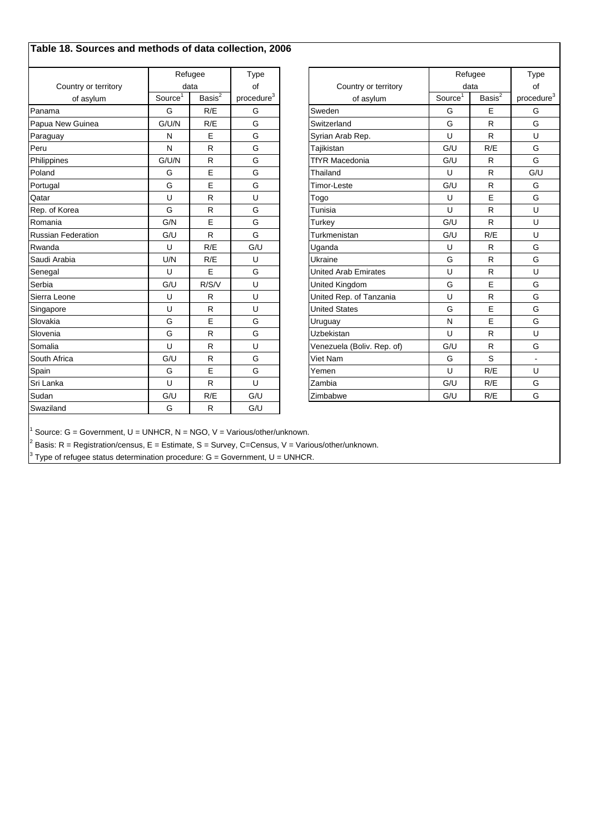# **Table 18. Sources and methods of data collection, 2006**

|                           |                     | Refugee            | Type                   |                             |                       | Refugee                | Type                   |
|---------------------------|---------------------|--------------------|------------------------|-----------------------------|-----------------------|------------------------|------------------------|
| Country or territory      |                     | data               | of                     | Country or territory        | data                  |                        | of                     |
| of asylum                 | Source <sup>1</sup> | Basis <sup>2</sup> | procedure <sup>3</sup> | of asylum                   | Source $\overline{1}$ | Basis $\overline{s^2}$ | procedure <sup>3</sup> |
| Panama                    | G                   | R/E                | G                      | Sweden                      | G                     | E                      | G                      |
| Papua New Guinea          | G/UN                | R/E                | G                      | Switzerland                 | G                     | R                      | G                      |
| Paraguay                  | N                   | E                  | G                      | Syrian Arab Rep.            | U                     | R                      | U                      |
| Peru                      | N                   | R                  | G                      | Tajikistan                  | G/U                   | R/E                    | G                      |
| Philippines               | G/UN                | R                  | G                      | <b>TfYR Macedonia</b>       | G/U                   | R                      | G                      |
| Poland                    | G                   | E                  | G                      | Thailand                    | U                     | R                      | G/U                    |
| Portugal                  | G                   | E                  | G                      | <b>Timor-Leste</b>          | G/U                   | $\mathsf{R}$           | G                      |
| Qatar                     | U                   | R                  | U                      | Togo                        | U                     | E                      | G                      |
| Rep. of Korea             | G                   | R                  | G                      | Tunisia                     | U                     | R                      | U                      |
| Romania                   | G/N                 | E                  | G                      | Turkey                      | G/U                   | R                      | U                      |
| <b>Russian Federation</b> | G/U                 | R                  | G                      | Turkmenistan                | G/U                   | R/E                    | U                      |
| Rwanda                    | U                   | R/E                | G/U                    | Uganda                      | U                     | R                      | G                      |
| Saudi Arabia              | U/N                 | R/E                | U                      | Ukraine                     | G                     | $\mathsf{R}$           | G                      |
| Senegal                   | U                   | E                  | G                      | <b>United Arab Emirates</b> | U                     | R                      | U                      |
| Serbia                    | G/U                 | R/S/V              | U                      | United Kingdom              | G                     | E                      | G                      |
| Sierra Leone              | U                   | R                  | U                      | United Rep. of Tanzania     | U                     | R                      | G                      |
| Singapore                 | U                   | $\mathsf{R}$       | U                      | <b>United States</b>        | G                     | E                      | G                      |
| Slovakia                  | G                   | E                  | G                      | Uruguay                     | N                     | E                      | G                      |
| Slovenia                  | G                   | $\mathsf{R}$       | G                      | Uzbekistan                  | U                     | R                      | U                      |
| Somalia                   | U                   | R                  | U                      | Venezuela (Boliv. Rep. of)  | G/U                   | R                      | G                      |
| South Africa              | G/U                 | R                  | G                      | Viet Nam                    | G                     | S                      | $\blacksquare$         |
| Spain                     | G                   | E                  | G                      | Yemen                       | U                     | R/E                    | U                      |
| Sri Lanka                 | U                   | $\mathsf{R}$       | U                      | Zambia                      | G/U                   | R/E                    | G                      |
| Sudan                     | G/U                 | R/E                | G/U                    | Zimbabwe                    | G/U                   | R/E                    | G                      |
| Swaziland                 | G                   | R                  | G/U                    |                             |                       |                        |                        |

1 Source: G = Government, U = UNHCR, N = NGO, V = Various/other/unknown.

 $^2$  Basis: R = Registration/census, E = Estimate, S = Survey, C=Census, V = Various/other/unknown.

 $3$  Type of refugee status determination procedure: G = Government, U = UNHCR.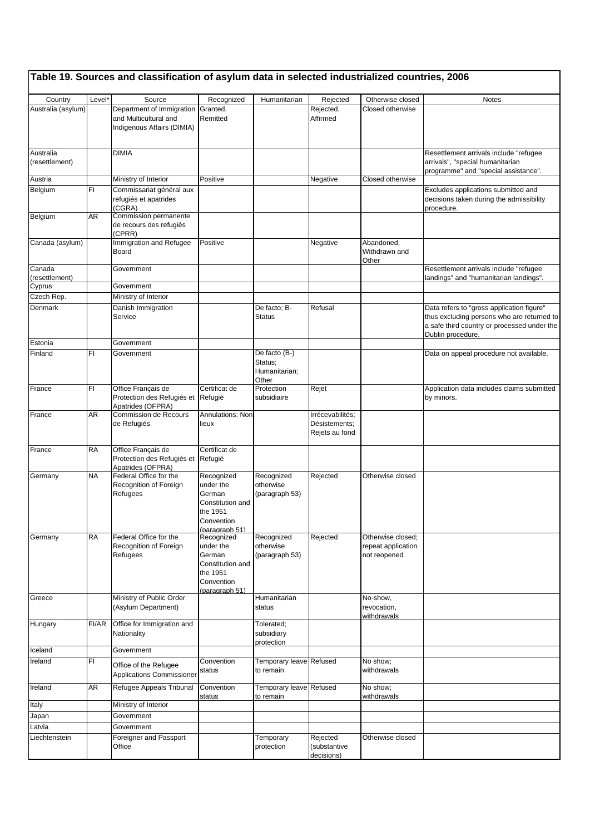|                             |                    | Table 19. Sources and classification of asylum data in selected industrialized countries, 2006 |                                                                                                   |                                                    |                                                     |                                                         |                                                                                                                                                             |
|-----------------------------|--------------------|------------------------------------------------------------------------------------------------|---------------------------------------------------------------------------------------------------|----------------------------------------------------|-----------------------------------------------------|---------------------------------------------------------|-------------------------------------------------------------------------------------------------------------------------------------------------------------|
| Country                     | Level <sup>*</sup> | Source                                                                                         | Recognized                                                                                        | Humanitarian                                       | Rejected                                            | Otherwise closed                                        | <b>Notes</b>                                                                                                                                                |
| Australia (asylum)          |                    | Department of Immigration<br>and Multicultural and<br>Indigenous Affairs (DIMIA)               | Granted,<br>Remitted                                                                              |                                                    | Rejected,<br>Affirmed                               | Closed otherwise                                        |                                                                                                                                                             |
| Australia<br>(resettlement) |                    | <b>DIMIA</b>                                                                                   |                                                                                                   |                                                    |                                                     |                                                         | Resettlement arrivals include "refugee<br>arrivals", "special humanitarian<br>programme" and "special assistance".                                          |
| Austria                     |                    | Ministry of Interior                                                                           | Positive                                                                                          |                                                    | Negative                                            | Closed otherwise                                        |                                                                                                                                                             |
| Belgium                     | FI.                | Commissariat général aux<br>refugiés et apatrides<br>(CGRA)                                    |                                                                                                   |                                                    |                                                     |                                                         | Excludes applications submitted and<br>decisions taken during the admissibility<br>procedure.                                                               |
| Belgium                     | AR                 | Commission permanente<br>de recours des refugiés<br>(CPRR)                                     |                                                                                                   |                                                    |                                                     |                                                         |                                                                                                                                                             |
| Canada (asylum)             |                    | Immigration and Refugee<br>Board                                                               | Positive                                                                                          |                                                    | Negative                                            | Abandoned;<br>Withdrawn and<br>Other                    |                                                                                                                                                             |
| Canada<br>(resettlement)    |                    | Government                                                                                     |                                                                                                   |                                                    |                                                     |                                                         | Resettlement arrivals include "refugee<br>landings" and "humanitarian landings".                                                                            |
| Cyprus                      |                    | Government                                                                                     |                                                                                                   |                                                    |                                                     |                                                         |                                                                                                                                                             |
| Czech Rep.                  |                    | Ministry of Interior                                                                           |                                                                                                   |                                                    |                                                     |                                                         |                                                                                                                                                             |
| Denmark                     |                    | Danish Immigration<br>Service                                                                  |                                                                                                   | De facto; B-<br>Status                             | Refusal                                             |                                                         | Data refers to "gross application figure"<br>thus excluding persons who are returned to<br>a safe third country or processed under the<br>Dublin procedure. |
| Estonia                     |                    | Government                                                                                     |                                                                                                   |                                                    |                                                     |                                                         |                                                                                                                                                             |
| Finland                     | FI                 | Government                                                                                     |                                                                                                   | De facto (B-)<br>Status;<br>Humanitarian;<br>Other |                                                     |                                                         | Data on appeal procedure not available.                                                                                                                     |
| France                      | FI                 | Office Français de<br>Protection des Refugiés et Refugié<br>Apatrides (OFPRA)                  | Certificat de                                                                                     | Protection<br>subsidiaire                          | Rejet                                               |                                                         | Application data includes claims submitted<br>by minors.                                                                                                    |
| France                      | AR                 | Commission de Recours<br>de Refugiés                                                           | Annulations; Non<br>lieux                                                                         |                                                    | Irrécevabilités;<br>Désistements;<br>Rejets au fond |                                                         |                                                                                                                                                             |
| France                      | RA                 | Office Français de<br>Protection des Refugiés et Refugié<br>Apatrides (OFPRA)                  | Certificat de                                                                                     |                                                    |                                                     |                                                         |                                                                                                                                                             |
| Germany                     | NA                 | Federal Office for the<br>Recognition of Foreign<br>Refugees                                   | Recognized<br>under the<br>German<br>Constitution and<br>the 1951<br>Convention<br>(paragraph 51) | Recognized<br>otherwise<br>(paragraph 53)          | Rejected                                            | Otherwise closed                                        |                                                                                                                                                             |
| Germany                     | RA                 | Federal Office for the<br>Recognition of Foreign<br>Refugees                                   | Recognized<br>under the<br>German<br>Constitution and<br>the 1951<br>Convention<br>(paragraph 51) | Recognized<br>otherwise<br>(paragraph 53)          | Rejected                                            | Otherwise closed;<br>repeat application<br>not reopened |                                                                                                                                                             |
| Greece                      |                    | Ministry of Public Order<br>(Asylum Department)                                                |                                                                                                   | Humanitarian<br>status                             |                                                     | No-show.<br>revocation,<br>withdrawals                  |                                                                                                                                                             |
| Hungary                     | FI/AR              | Office for Immigration and<br>Nationality                                                      |                                                                                                   | Tolerated;<br>subsidiary<br>protection             |                                                     |                                                         |                                                                                                                                                             |
| Iceland                     |                    | Government                                                                                     |                                                                                                   |                                                    |                                                     |                                                         |                                                                                                                                                             |
| Ireland                     | FI                 | Office of the Refugee<br>Applications Commissioner                                             | Convention<br>status                                                                              | Temporary leave Refused<br>to remain               |                                                     | No show;<br>withdrawals                                 |                                                                                                                                                             |
| Ireland                     | AR                 | Refugee Appeals Tribunal                                                                       | Convention<br>status                                                                              | Temporary leave Refused<br>to remain               |                                                     | No show;<br>withdrawals                                 |                                                                                                                                                             |
| Italy                       |                    | Ministry of Interior                                                                           |                                                                                                   |                                                    |                                                     |                                                         |                                                                                                                                                             |
| Japan                       |                    | Government                                                                                     |                                                                                                   |                                                    |                                                     |                                                         |                                                                                                                                                             |
| .atvia<br>Liechtenstein     |                    | Government<br>Foreigner and Passport<br>Office                                                 |                                                                                                   | Temporary<br>protection                            | Rejected<br>(substantive<br>decisions)              | Otherwise closed                                        |                                                                                                                                                             |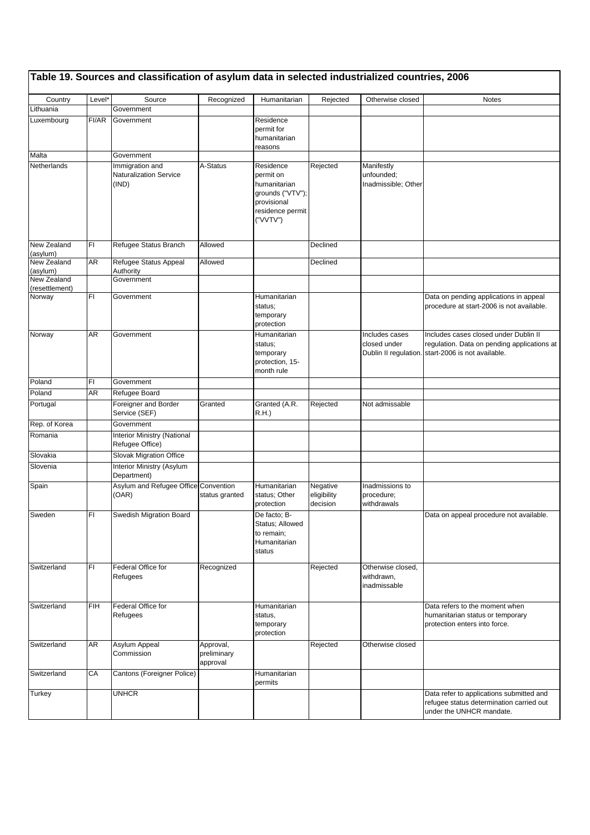|                         |            | Table 19. Sources and classification of asylum data in selected industrialized countries, 2006 |                                      |                                                                                                           |                                     |                                                 |                                                                                                                                            |
|-------------------------|------------|------------------------------------------------------------------------------------------------|--------------------------------------|-----------------------------------------------------------------------------------------------------------|-------------------------------------|-------------------------------------------------|--------------------------------------------------------------------------------------------------------------------------------------------|
| Country                 | Level*     | Source                                                                                         | Recognized                           | Humanitarian                                                                                              | Rejected                            | Otherwise closed                                | <b>Notes</b>                                                                                                                               |
| Lithuania               |            | Government                                                                                     |                                      |                                                                                                           |                                     |                                                 |                                                                                                                                            |
| Luxembourg              | FI/AR      | Government                                                                                     |                                      | Residence<br>permit for<br>humanitarian<br>reasons                                                        |                                     |                                                 |                                                                                                                                            |
| Malta                   |            | Government                                                                                     |                                      |                                                                                                           |                                     |                                                 |                                                                                                                                            |
| Netherlands             |            | Immigration and<br><b>Naturalization Service</b><br>(IND)                                      | A-Status                             | Residence<br>permit on<br>humanitarian<br>grounds ("VTV");<br>provisional<br>residence permit<br>("VVTV") | Rejected                            | Manifestly<br>unfounded:<br>Inadmissible; Other |                                                                                                                                            |
| New Zealand<br>(asylum) | FI         | Refugee Status Branch                                                                          | Allowed                              |                                                                                                           | Declined                            |                                                 |                                                                                                                                            |
| New Zealand<br>(asylum) | AR         | Refugee Status Appeal<br>Authority                                                             | Allowed                              |                                                                                                           | Declined                            |                                                 |                                                                                                                                            |
| New Zealand             |            | Government                                                                                     |                                      |                                                                                                           |                                     |                                                 |                                                                                                                                            |
| (resettlement)          |            |                                                                                                |                                      |                                                                                                           |                                     |                                                 |                                                                                                                                            |
| Norway                  | FI         | Government                                                                                     |                                      | Humanitarian<br>status;<br>temporary<br>protection                                                        |                                     |                                                 | Data on pending applications in appeal<br>procedure at start-2006 is not available.                                                        |
| Norway                  | AR         | Government                                                                                     |                                      | Humanitarian<br>status;<br>temporary<br>protection, 15-<br>month rule                                     |                                     | Includes cases<br>closed under                  | Includes cases closed under Dublin II<br>regulation. Data on pending applications at<br>Dublin II regulation. start-2006 is not available. |
| Poland                  | FI         | Government                                                                                     |                                      |                                                                                                           |                                     |                                                 |                                                                                                                                            |
| Poland                  | AR         | Refugee Board                                                                                  |                                      |                                                                                                           |                                     |                                                 |                                                                                                                                            |
| Portugal                |            | Foreigner and Border<br>Service (SEF)                                                          | Granted                              | Granted (A.R.<br>R.H.                                                                                     | Rejected                            | Not admissable                                  |                                                                                                                                            |
| Rep. of Korea           |            | Government                                                                                     |                                      |                                                                                                           |                                     |                                                 |                                                                                                                                            |
| Romania                 |            | <b>Interior Ministry (National</b><br>Refugee Office)                                          |                                      |                                                                                                           |                                     |                                                 |                                                                                                                                            |
| Slovakia                |            | Slovak Migration Office                                                                        |                                      |                                                                                                           |                                     |                                                 |                                                                                                                                            |
| Slovenia                |            | Interior Ministry (Asylum<br>Department)                                                       |                                      |                                                                                                           |                                     |                                                 |                                                                                                                                            |
| Spain                   |            | Asylum and Refugee Office Convention<br>(OAR)                                                  | status granted                       | Humanitarian<br>status; Other<br>protection                                                               | Negative<br>eligibility<br>decision | Inadmissions to<br>procedure;<br>withdrawals    |                                                                                                                                            |
| Sweden                  | ΙH         | Swedish Migration Board                                                                        |                                      | De facto; B-<br>Status; Allowed<br>to remain;<br>Humanitarian<br>status                                   |                                     |                                                 | Data on appeal procedure not available.                                                                                                    |
| Switzerland             | FI         | Federal Office for<br>Refugees                                                                 | Recognized                           |                                                                                                           | Rejected                            | Otherwise closed,<br>withdrawn,<br>inadmissable |                                                                                                                                            |
| Switzerland             | <b>FIH</b> | Federal Office for<br>Refugees                                                                 |                                      | Humanitarian<br>status,<br>temporary<br>protection                                                        |                                     |                                                 | Data refers to the moment when<br>humanitarian status or temporary<br>protection enters into force.                                        |
| Switzerland             | AR         | Asylum Appeal<br>Commission                                                                    | Approval,<br>preliminary<br>approval |                                                                                                           | Rejected                            | Otherwise closed                                |                                                                                                                                            |
| Switzerland             | CA         | Cantons (Foreigner Police)                                                                     |                                      | Humanitarian<br>permits                                                                                   |                                     |                                                 |                                                                                                                                            |
| Turkey                  |            | UNHCR                                                                                          |                                      |                                                                                                           |                                     |                                                 | Data refer to applications submitted and<br>refugee status determination carried out<br>under the UNHCR mandate.                           |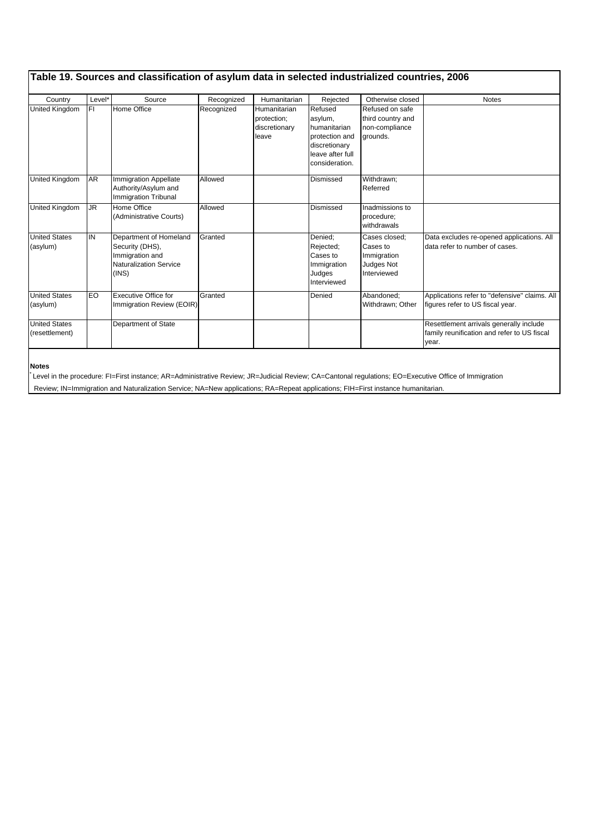|                                        |                    | Table 19. Sources and classification of asylum data in selected industrialized countries, 2006         |            |                                                       |                                                                                                             |                                                                       |                                                                                                 |
|----------------------------------------|--------------------|--------------------------------------------------------------------------------------------------------|------------|-------------------------------------------------------|-------------------------------------------------------------------------------------------------------------|-----------------------------------------------------------------------|-------------------------------------------------------------------------------------------------|
| Country                                | Level <sup>*</sup> | Source                                                                                                 | Recognized | Humanitarian                                          | Rejected                                                                                                    | Otherwise closed                                                      | <b>Notes</b>                                                                                    |
| United Kingdom                         | FI.                | Home Office                                                                                            | Recognized | Humanitarian<br>protection;<br>discretionary<br>leave | Refused<br>asylum,<br>humanitarian<br>protection and<br>discretionary<br>leave after full<br>consideration. | Refused on safe<br>third country and<br>non-compliance<br>grounds.    |                                                                                                 |
| United Kingdom                         | <b>AR</b>          | <b>Immigration Appellate</b><br>Authority/Asylum and<br><b>Immigration Tribunal</b>                    | Allowed    |                                                       | Dismissed                                                                                                   | Withdrawn:<br>Referred                                                |                                                                                                 |
| United Kingdom                         | <b>JR</b>          | Home Office<br>(Administrative Courts)                                                                 | Allowed    |                                                       | Dismissed                                                                                                   | Inadmissions to<br>procedure;<br>withdrawals                          |                                                                                                 |
| <b>United States</b><br>(asylum)       | IN                 | Department of Homeland<br>Security (DHS),<br>Immigration and<br><b>Naturalization Service</b><br>(INS) | Granted    |                                                       | Denied:<br>Rejected;<br>Cases to<br>Immigration<br>Judges<br>Interviewed                                    | Cases closed:<br>Cases to<br>Immigration<br>Judges Not<br>Interviewed | Data excludes re-opened applications. All<br>data refer to number of cases.                     |
| <b>United States</b><br>(asylum)       | EO                 | <b>Executive Office for</b><br>Immigration Review (EOIR)                                               | Granted    |                                                       | Denied                                                                                                      | Abandoned:<br>Withdrawn; Other                                        | Applications refer to "defensive" claims. All<br>figures refer to US fiscal year.               |
| <b>United States</b><br>(resettlement) |                    | Department of State                                                                                    |            |                                                       |                                                                                                             |                                                                       | Resettlement arrivals generally include<br>family reunification and refer to US fiscal<br>year. |

**Notes**

\* Level in the procedure: FI=First instance; AR=Administrative Review; JR=Judicial Review; CA=Cantonal regulations; EO=Executive Office of Immigration Review; IN=Immigration and Naturalization Service; NA=New applications; RA=Repeat applications; FIH=First instance humanitarian.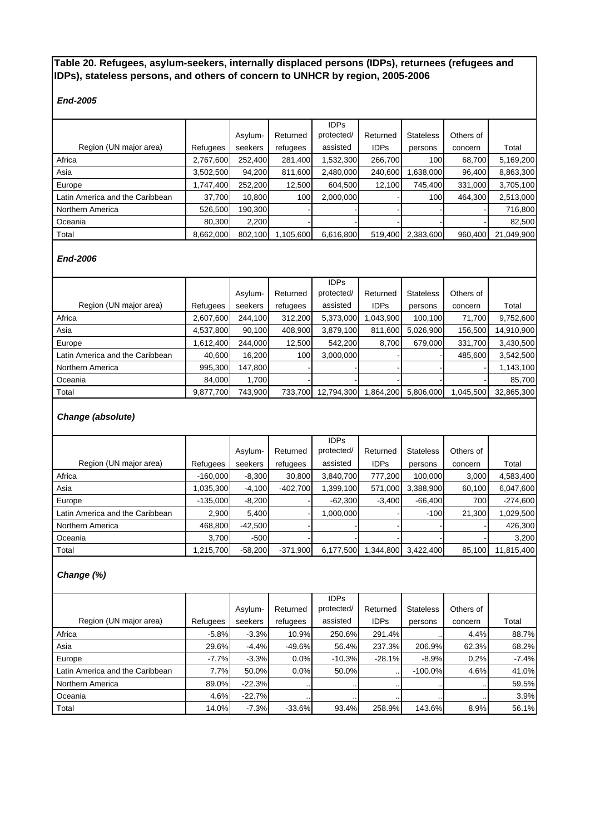# **Table 20. Refugees, asylum-seekers, internally displaced persons (IDPs), returnees (refugees and IDPs), stateless persons, and others of concern to UNHCR by region, 2005-2006**

# *End-2005*

|                                 |           |         |           | <b>IDPs</b> |             |                  |           |            |
|---------------------------------|-----------|---------|-----------|-------------|-------------|------------------|-----------|------------|
|                                 |           | Asylum- | Returned  | protected/  | Returned    | <b>Stateless</b> | Others of |            |
| Region (UN major area)          | Refugees  | seekers | refugees  | assisted    | <b>IDPs</b> | persons          | concern   | Total      |
| Africa                          | 2,767,600 | 252.400 | 281,400   | 1,532,300   | 266,700     | 100              | 68,700    | 5,169,200  |
| Asia                            | 3,502,500 | 94,200  | 811,600   | 2,480,000   | 240,600     | 1,638,000        | 96,400    | 8,863,300  |
| Europe                          | .747.400  | 252.200 | 12,500    | 604.500     | 12.100      | 745.400          | 331.000   | 3,705,100  |
| Latin America and the Caribbean | 37,700    | 10,800  | 100       | 2,000,000   |             | 100              | 464.300   | 2,513,000  |
| Northern America                | 526.500   | 190.300 |           |             |             |                  |           | 716,800    |
| Oceania                         | 80.300    | 2.200   |           |             |             |                  |           | 82,500     |
| Total                           | 8,662,000 | 802.100 | 1,105,600 | 6,616,800   | 519,400     | 2,383,600        | 960.400   | 21,049,900 |

# *End-2006*

|                                 |           |         |          | <b>IDPs</b> |             |                  |           |            |
|---------------------------------|-----------|---------|----------|-------------|-------------|------------------|-----------|------------|
|                                 |           | Asylum- | Returned | protected/  | Returned    | <b>Stateless</b> | Others of |            |
| Region (UN major area)          | Refugees  | seekers | refugees | assisted    | <b>IDPs</b> | persons          | concern   | Total      |
| Africa                          | 2,607,600 | 244.100 | 312,200  | 5,373,000   | 043,900     | 100,100          | 71,700    | 9,752,600  |
| Asia                            | 4,537,800 | 90,100  | 408,900  | 3,879,100   | 811,600     | 5,026,900        | 156,500   | 14,910,900 |
| Europe                          | 1.612.400 | 244.000 | 12.500   | 542.200     | 8.700       | 679,000          | 331.700   | 3,430,500  |
| Latin America and the Caribbean | 40.600    | 16.200  | 100      | 3,000,000   |             |                  | 485,600   | 3,542,500  |
| Northern America                | 995.300   | 147.800 |          |             |             |                  |           | 1,143,100  |
| Oceania                         | 84.000    | 1,700   |          |             |             |                  |           | 85,700     |
| Total                           | 9,877,700 | 743.900 | 733.700  | 12,794,300  | .864,200    | 5,806,000        | 045,500   | 32,865,300 |

# *Change (absolute)*

|                                 |            |           |            | <b>IDPs</b> |             |                  |           |            |
|---------------------------------|------------|-----------|------------|-------------|-------------|------------------|-----------|------------|
|                                 |            | Asylum-   | Returned   | protected/  | Returned    | <b>Stateless</b> | Others of |            |
| Region (UN major area)          | Refugees   | seekers   | refugees   | assisted    | <b>IDPs</b> | persons          | concern   | Total      |
| Africa                          | $-160.000$ | $-8,300$  | 30,800     | 3,840,700   | 777.200     | 100.000          | 3,000     | 4,583,400  |
| Asia                            | 035,300    | $-4,100$  | $-402,700$ | 1,399,100   | 571,000     | 3,388,900        | 60,100    | 6,047,600  |
| Europe                          | $-135.000$ | $-8,200$  |            | $-62,300$   | $-3.400$    | $-66.400$        | 700       | $-274,600$ |
| Latin America and the Caribbean | 2,900      | 5.400     |            | 1,000,000   |             | $-100$           | 21,300    | 1,029,500  |
| Northern America                | 468.800    | $-42.500$ |            |             |             |                  |           | 426,300    |
| Oceania                         | 3.700      | $-500$    |            |             |             |                  |           | 3,200      |
| Total                           | 1,215,700  | $-58,200$ | $-371,900$ | 6,177,500   | 1,344,800   | 3,422,400        | 85.100    | 11,815,400 |

# *Change (%)*

|                                 |          |          |          | <b>IDPs</b> |             |                  |           |         |
|---------------------------------|----------|----------|----------|-------------|-------------|------------------|-----------|---------|
|                                 |          | Asylum-  | Returned | protected/  | Returned    | <b>Stateless</b> | Others of |         |
| Region (UN major area)          | Refugees | seekers  | refugees | assisted    | <b>IDPs</b> | persons          | concern   | Total   |
| Africa                          | $-5.8%$  | $-3.3%$  | 10.9%    | 250.6%      | 291.4%      |                  | 4.4%      | 88.7%   |
| Asia                            | 29.6%    | $-4.4%$  | $-49.6%$ | 56.4%       | 237.3%      | 206.9%           | 62.3%     | 68.2%   |
| Europe                          | $-7.7%$  | $-3.3%$  | 0.0%     | $-10.3%$    | $-28.1%$    | $-8.9%$          | 0.2%      | $-7.4%$ |
| Latin America and the Caribbean | 7.7%     | 50.0%    | 0.0%     | 50.0%       |             | $-100.0%$        | 4.6%      | 41.0%   |
| Northern America                | 89.0%    | $-22.3%$ |          | $\cdot$ .   |             |                  |           | 59.5%   |
| Oceania                         | 4.6%     | $-22.7%$ |          |             |             |                  |           | 3.9%    |
| Total                           | 14.0%    | $-7.3%$  | $-33.6%$ | 93.4%       | 258.9%      | 143.6%           | 8.9%      | 56.1%   |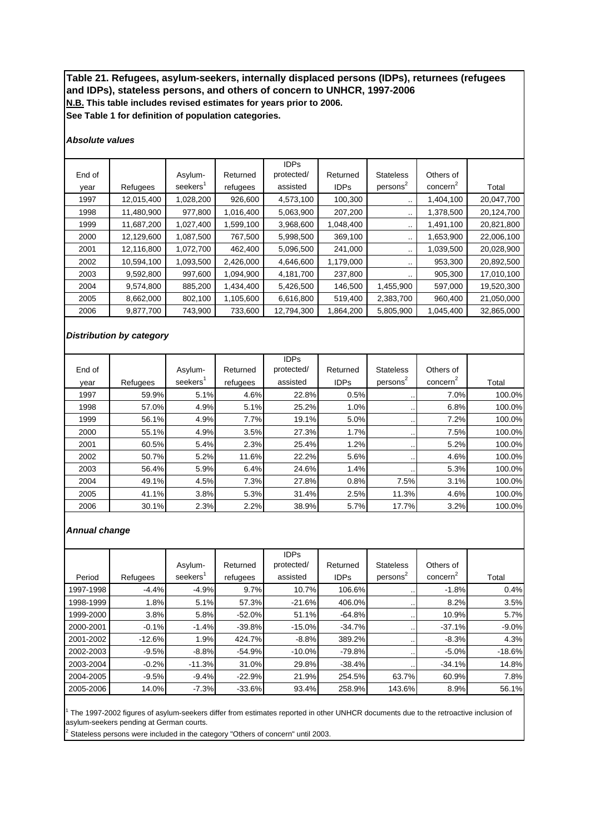# **N.B. This table includes revised estimates for years prior to 2006. See Table 1 for definition of population categories. Table 21. Refugees, asylum-seekers, internally displaced persons (IDPs), returnees (refugees and IDPs), stateless persons, and others of concern to UNHCR, 1997-2006**

### *Absolute values*

|        |            |                      |           | <b>IDPs</b> |             |                      |                      |            |
|--------|------------|----------------------|-----------|-------------|-------------|----------------------|----------------------|------------|
| End of |            | Asylum-              | Returned  | protected/  | Returned    | <b>Stateless</b>     | Others of            |            |
| vear   | Refugees   | seekers <sup>1</sup> | refugees  | assisted    | <b>IDPs</b> | persons <sup>2</sup> | concern <sup>2</sup> | Total      |
| 1997   | 12,015,400 | 1,028,200            | 926,600   | 4,573,100   | 100,300     |                      | 1,404,100            | 20,047,700 |
| 1998   | 11,480,900 | 977,800              | 1,016,400 | 5,063,900   | 207,200     | $\sim$ $\sim$        | 1,378,500            | 20,124,700 |
| 1999   | 11,687,200 | 1,027,400            | 1,599,100 | 3,968,600   | 1,048,400   | $\sim$ $\sim$        | 1,491,100            | 20,821,800 |
| 2000   | 12,129,600 | 1,087,500            | 767,500   | 5,998,500   | 369,100     |                      | 1,653,900            | 22,006,100 |
| 2001   | 12,116,800 | 1,072,700            | 462,400   | 5,096,500   | 241,000     |                      | 1,039,500            | 20,028,900 |
| 2002   | 10,594,100 | 1,093,500            | 2,426,000 | 4,646,600   | 1,179,000   | $\sim$               | 953,300              | 20,892,500 |
| 2003   | 9,592,800  | 997,600              | 1,094,900 | 4,181,700   | 237,800     | $\cdot$              | 905,300              | 17,010,100 |
| 2004   | 9,574,800  | 885,200              | 1,434,400 | 5,426,500   | 146,500     | 1,455,900            | 597,000              | 19,520,300 |
| 2005   | 8,662,000  | 802,100              | 1,105,600 | 6,616,800   | 519,400     | 2,383,700            | 960,400              | 21,050,000 |
| 2006   | 9,877,700  | 743,900              | 733,600   | 12,794,300  | 1,864,200   | 5,805,900            | 1,045,400            | 32,865,000 |

## *Distribution by category*

|        |          |                      |          | <b>IDPs</b> |             |                      |                      |        |
|--------|----------|----------------------|----------|-------------|-------------|----------------------|----------------------|--------|
| End of |          | Asylum-              | Returned | protected/  | Returned    | <b>Stateless</b>     | Others of            |        |
| year   | Refugees | seekers <sup>1</sup> | refugees | assisted    | <b>IDPs</b> | persons <sup>2</sup> | concern <sup>2</sup> | Total  |
| 1997   | 59.9%    | 5.1%                 | 4.6%     | 22.8%       | 0.5%        |                      | 7.0%                 | 100.0% |
| 1998   | 57.0%    | 4.9%                 | 5.1%     | 25.2%       | 1.0%        |                      | 6.8%                 | 100.0% |
| 1999   | 56.1%    | 4.9%                 | 7.7%     | 19.1%       | 5.0%        |                      | 7.2%                 | 100.0% |
| 2000   | 55.1%    | 4.9%                 | 3.5%     | 27.3%       | 1.7%        |                      | 7.5%                 | 100.0% |
| 2001   | 60.5%    | 5.4%                 | 2.3%     | 25.4%       | 1.2%        |                      | 5.2%                 | 100.0% |
| 2002   | 50.7%    | 5.2%                 | 11.6%    | 22.2%       | 5.6%        |                      | 4.6%                 | 100.0% |
| 2003   | 56.4%    | 5.9%                 | 6.4%     | 24.6%       | 1.4%        |                      | 5.3%                 | 100.0% |
| 2004   | 49.1%    | 4.5%                 | 7.3%     | 27.8%       | 0.8%        | 7.5%                 | 3.1%                 | 100.0% |
| 2005   | 41.1%    | 3.8%                 | 5.3%     | 31.4%       | 2.5%        | 11.3%                | 4.6%                 | 100.0% |
| 2006   | 30.1%    | 2.3%                 | 2.2%     | 38.9%       | 5.7%        | 17.7%                | 3.2%                 | 100.0% |

### *Annual change*

|           |          |                      |          | <b>IDPs</b> |             |                      |                      |          |
|-----------|----------|----------------------|----------|-------------|-------------|----------------------|----------------------|----------|
|           |          | Asylum-              | Returned | protected/  | Returned    | <b>Stateless</b>     | Others of            |          |
| Period    | Refugees | seekers <sup>1</sup> | refugees | assisted    | <b>IDPs</b> | persons <sup>2</sup> | concern <sup>2</sup> | Total    |
| 1997-1998 | $-4.4%$  | $-4.9%$              | 9.7%     | 10.7%       | 106.6%      | $\cdot$ .            | $-1.8%$              | 0.4%     |
| 1998-1999 | 1.8%     | 5.1%                 | 57.3%    | $-21.6%$    | 406.0%      | $\cdot$              | 8.2%                 | 3.5%     |
| 1999-2000 | 3.8%     | 5.8%                 | $-52.0%$ | 51.1%       | $-64.8%$    | $\cdot$              | 10.9%                | 5.7%     |
| 2000-2001 | $-0.1%$  | $-1.4%$              | $-39.8%$ | $-15.0%$    | $-34.7%$    | $\cdot$              | $-37.1%$             | $-9.0%$  |
| 2001-2002 | $-12.6%$ | 1.9%                 | 424.7%   | $-8.8%$     | 389.2%      |                      | $-8.3%$              | 4.3%     |
| 2002-2003 | $-9.5%$  | $-8.8%$              | $-54.9%$ | $-10.0%$    | $-79.8%$    | $\cdot$ .            | $-5.0%$              | $-18.6%$ |
| 2003-2004 | $-0.2%$  | $-11.3%$             | 31.0%    | 29.8%       | $-38.4%$    |                      | $-34.1%$             | 14.8%    |
| 2004-2005 | $-9.5%$  | $-9.4%$              | $-22.9%$ | 21.9%       | 254.5%      | 63.7%                | 60.9%                | 7.8%     |
| 2005-2006 | 14.0%    | $-7.3%$              | $-33.6%$ | 93.4%       | 258.9%      | 143.6%               | 8.9%                 | 56.1%    |

<sup>1</sup> The 1997-2002 figures of asylum-seekers differ from estimates reported in other UNHCR documents due to the retroactive inclusion of asylum-seekers pending at German courts.

 $2$  Stateless persons were included in the category "Others of concern" until 2003.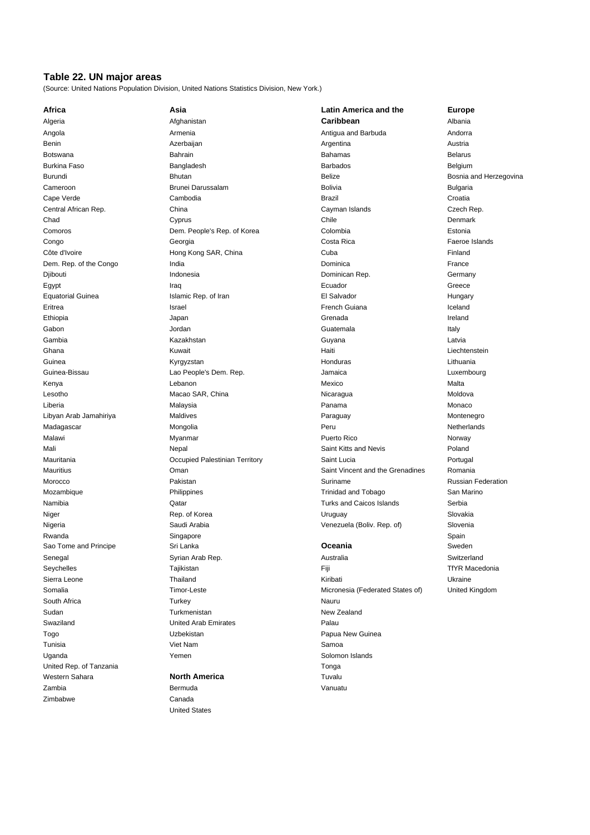# **Table 22. UN major areas**

(Source: United Nations Population Division, United Nations Statistics Division, New York.)

| Africa                   | Asia                           | Latin A   |
|--------------------------|--------------------------------|-----------|
| Algeria                  | Afghanistan                    | Caribb    |
| Angola                   | Armenia                        | Antigua   |
| Benin                    | Azerbaijan                     | Argentin  |
| <b>Botswana</b>          | Bahrain                        | Bahama    |
| <b>Burkina Faso</b>      | Bangladesh                     | Barbado   |
| Burundi                  | <b>Bhutan</b>                  | Belize    |
| Cameroon                 | Brunei Darussalam              | Bolivia   |
| Cape Verde               | Cambodia                       | Brazil    |
| Central African Rep.     | China                          | Cayman    |
| Chad                     | Cyprus                         | Chile     |
| Comoros                  | Dem. People's Rep. of Korea    | Colombi   |
| Congo                    | Georgia                        | Costa R   |
| Côte d'Ivoire            | Hong Kong SAR, China           | Cuba      |
| Dem. Rep. of the Congo   | India                          | Dominic   |
| Djibouti                 | Indonesia                      | Dominic   |
| Egypt                    | Iraq                           | Ecuador   |
| <b>Equatorial Guinea</b> | Islamic Rep. of Iran           | El Salva  |
| Eritrea                  | Israel                         | French (  |
| Ethiopia                 | Japan                          | Grenada   |
| Gabon                    | Jordan                         | Guatem    |
| Gambia                   | Kazakhstan                     | Guyana    |
| Ghana                    | Kuwait                         | Haiti     |
| Guinea                   | Kyrgyzstan                     | Hondura   |
| Guinea-Bissau            | Lao People's Dem. Rep.         | Jamaica   |
| Kenya                    | Lebanon                        | Mexico    |
| Lesotho                  | Macao SAR, China               | Nicaragu  |
| Liberia                  | Malaysia                       | Panama    |
| Libyan Arab Jamahiriya   | Maldives                       | Paragua   |
| Madagascar               | Mongolia                       | Peru      |
| Malawi                   | Myanmar                        | Puerto F  |
| Mali                     | Nepal                          | Saint Kit |
| Mauritania               | Occupied Palestinian Territory | Saint Lu  |
| <b>Mauritius</b>         | Oman                           | Saint Vir |
| Morocco                  | Pakistan                       | Surinam   |
| Mozambique               | Philippines                    | Trinidad  |
| Namibia                  | Qatar                          | Turks ar  |
| Niger                    | Rep. of Korea                  | Uruguay   |
| Nigeria                  | Saudi Arabia                   | Venezue   |
| Rwanda                   | Singapore                      |           |
| Sao Tome and Principe    | Sri Lanka                      | Ocean     |
| Senegal                  | Syrian Arab Rep.               | Australia |
| Seychelles               | Tajikistan                     | Fiji      |
| Sierra Leone             | Thailand                       | Kiribati  |
| Somalia                  | Timor-Leste                    | Microne   |
| South Africa             | Turkey                         | Nauru     |
| Sudan                    | Turkmenistan                   | New Zea   |
| Swaziland                | United Arab Emirates           | Palau     |
| Togo                     | Uzbekistan                     | Papua N   |
| Tunisia                  | Viet Nam                       | Samoa     |
| Uganda                   | Yemen                          | Solomor   |
| United Rep. of Tanzania  |                                | Tonga     |
| Western Sahara           | <b>North America</b>           | Tuvalu    |
| Zambia                   | Bermuda                        | Vanuatu   |
| Zimbabwe                 | Canada                         |           |
|                          | <b>United States</b>           |           |

Rwanda Singapore Spain Sao Tome and Principe Sri Lanka **Oceania** Sweden Svrian Arab Rep. **Australia** Syrian Arab Switzerland South Africa **National Community Contract Community** Turkey Nauru Nauru Nauru Turkmenistan New Zealand United Arab Emirates **Palau** Uzbekistan **Papua New Guinea** Tunisia Viet Nam Samoa Yemen Solomon Islands United Rep. of Tanzania Tonga

Canada United States

Asia **Africa America and the Europe** Latin America and the Europe Algeria Afghanistan **Caribbean** Albania Armenia **Armenia Andorra Antigua and Barbuda** Andorra Andorra Benin Azerbaijan Argentina Austria Botswana Bahrain Bahamas Belarus Burkina Faso Bangladesh Barbados Belgium Bhutan **Brandhaff** Belize Belize Bosnia and Herzegovina Brunei Darussalam and Bolivia Bolivia Bulgaria Bulgaria Cape Verde Cambodia Brazil Croatia China China Cayman Islands Cayman Islands Czech Rep. Chad Chamber Cyprus Chile Chile Denmark Denmark Chile Chile Denmark Dem. People's Rep. of Korea Colombia Colombia Georgia Costa Rica Faeroe Islands Costa Rica Faeroe Islands Hong Kong SAR, China **Finland** Cuba **Cuba** Finland Dem. Rep. of the Congo **India Community Community Community** Dominica **Community Community Community Community** France Indonesia **Dominican Rep.** Cermany Egypt Iraq Ecuador Greece Islamic Rep. of Iran **Internal Communist Communist Communist Communist Communist Communist Communist Communist Communist Communist Communist Communist Communist Communist Communist Communist Communist Communist Communist C Israel Israel Israel French Guiana** Iceland Iceland Iceland Interventional Iceland Iceland Iceland Iceland Iceland Ethiopia Japan Grenada Ireland Gabon Jordan Guatemala Italy Gambia Kazakhstan Guyana Latvia Ghana Kuwait Haiti Liechtenstein Guinea Kyrgyzstan Honduras Lithuania Lao People's Dem. Rep. **Guinea** Camaica Luxembourg **Luxembourg** Kenya Lebanon Mexico Malta Macao SAR, China **Nicaragua** Nicaragua **Nicaragua** Moldova Liberia Malaysia Panama Monaco Libyan Arab Jamahiriya Maldives Paraguay Montenegro Madagascar Mongolia Peru Netherlands Malawi Myanmar Puerto Rico Norway Nepal Nepal Saint Kitts and Nevis Poland Occupied Palestinian Territory **Saint Lucia** Saint Lucia Portugal Oman **Mauritius Community** Caint Vincent and the Grenadines Romania Pakistan **Morocco Pakistan Suriname** Suriname **Russian Federation** Philippines **No. 2. Inc. 2. Inc. 2. Inc. 2. Inc. 2. Inc. 2. Inc. 2. Inc. 2. Inc. 2. Inc. 2. Inc. 2. Inc. 2. Inc. 2. Inc. 2. Inc. 2. Inc. 2. Inc. 2. Inc. 2. Inc. 2. Inc. 2. Inc. 2. Inc. 2. Inc. 2. Inc. 2. Inc. 2. Inc. 2. In** Qatar **Namibia Caicos Islands** Caicos Islands **Serbia** Rep. of Korea **Niger Rep. of Korea Rep. of Korea** Williams and Uruguay Niger Slovakia Saudi Arabia **Nigeria Saudi Arabia** Venezuela (Boliv. Rep. of) Slovenia

Tajikistan **Seychelles Tajikistan TfyR Macedonia** Sierra Leone Thailand Kiribati Ukraine Timor-Leste **Micronesia** (Federated States of) United Kingdom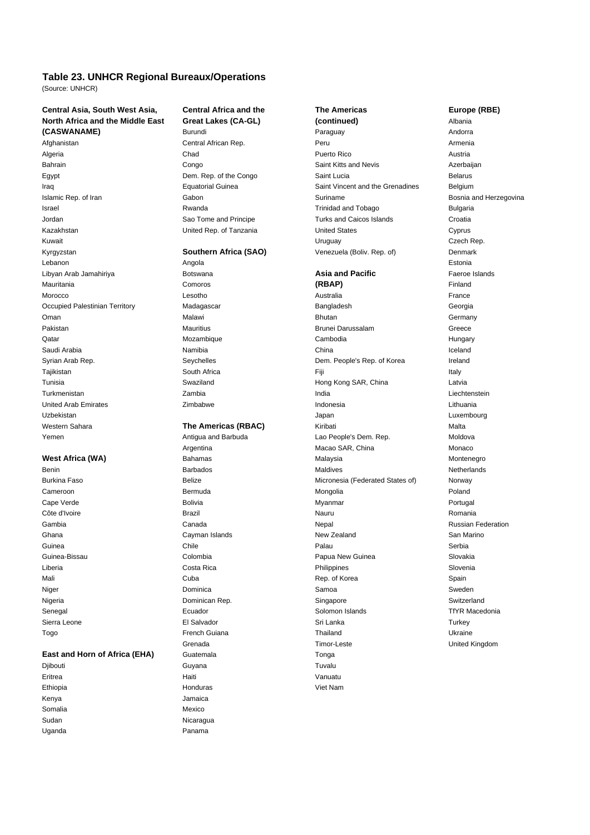# **Table 23. UNHCR Regional Bureaux/Operations**

(Source: UNHCR)

### **Central Asia, South West Asia, Central Africa and the The Americas Europe (RBE) North Africa and the Middle East Great Lakes (CA-GL) (continued)** Albania **(CASWANAME)** Burundi Burundi Paraguay **Baraguay** Andorra

Kyrgyzstan **Southern Africa (SAO)** Venezuela (Boliv. Rep. of) Denmark Lebanon Angola Estonia Libyan Arab Jamahiriya Botswana **Asia and Pacific** Faeroe Islands

### **East and Horn of Africa (EHA)** Guatemala Contact Conga

Kenya Jamaica Somalia Mexico Sudan Nicaragua Uganda **Panama** 

Djibouti Guyana Tuvalu Eritrea Haiti Vanuatu Ethiopia Honduras Viet Nam

# Afghanistan Central African Rep. Peru Armenia Algeria Chad Puerto Rico Austria Bahrain **Saint Kitts and Nevis** Congo Congo Congo Saint Kitts and Nevis **Saint Kitts and Nevis** Azerbaijan Egypt **Egypt** Belarus Dem. Rep. of the Congo Saint Lucia Saint Lucia Belarus Belarus Iraq Equatorial Guinea Saint Vincent and the Grenadines Belgium Islamic Rep. of Iran **Internal Cabon** Gabon Gabon Suriname Suriname **Suriname** Bosnia and Herzegovina Israel **Israel Communist Communist Communist Communist Communist Communist Communist Communist Communist Communist Communist Communist Communist Communist Communist Communist Communist Communist Communist Communist Communi** Jordan **Sao Tome and Principe** Turks and Caicos Islands Croatia Kazakhstan **Narawigian Cyprus** United Rep. of Tanzania United States Cyprus Cyprus Kuwait Uruguay Czech Rep.

Mauritania Comoros **(RBAP)** Finland Morocco Lesotho Australia France Occupied Palestinian Territory **Madagascar** Madagascar **Bangladesh Georgia** Oman Malawi Bhutan Germany Pakistan **Mauritius** Brunei Darussalam Greece Qatar Mozambique Cambodia Hungary Saudi Arabia Namibia China Iceland Syrian Arab Rep. Seychelles Seychelles Dem. People's Rep. of Korea Ireland Tajikistan South Africa Fiji Italy Tunisia **Swaziland** Swaziland Hong Kong SAR, China Latvia Latvia Turkmenistan Zambia India Liechtenstein United Arab Emirates Zimbabwe Indonesia Lithuania Uzbekistan Japan Luxembourg Western Sahara **The Americas (RBAC)** Malta Kiribati Malta Yemen **Antigua and Barbuda** Lao People's Dem. Rep. Moldova Moldova Antigua and Barbuda Argentina **Macao SAR**, China **Macao SAR**, China Monaco **West Africa (WA)** Bahamas Bahamas Malaysia Montenegro Montenegro Benin Barbados Maldives Netherlands Burkina Faso **Belize** Belize **Belize** Micronesia (Federated States of) Norway Cameroon Bermuda Mongolia Poland Cape Verde Bolivia Myanmar Portugal Côte d'Ivoire **Romania aux commercies de la commercialiste de la commercialiste de la commercialiste de la commercialiste de la commercialiste de la commercialiste de la commercialiste de la commercialiste de la commercial** Gambia Canada Nepal Russian Federation Ghana **Cayman Islands** Cayman Islands New Zealand San Marino Guinea Chile Palau Serbia Guinea-Bissau Colombia Papua New Guinea Slovakia Liberia Costa Rica Philippines Slovenia Mali **Mali** Cuba Cuba Rep. of Korea Spain Niger and the Samoa Sweden Samoa Sweden Samoa Sweden Sweden Sweden Sweden Sweden Sweden Sweden Sweden Sweden S Nigeria **Nigeria Nigeria Dominican Rep.** Switzerland Switzerland Switzerland Senegal **Ecuador** Ecuador **Ecuador** Solomon Islands TfYR Macedonia Sierra Leone El Salvador Sri Lanka Turkey Togo French Guiana Thailand Ukraine Grenada Timor-Leste United Kingdom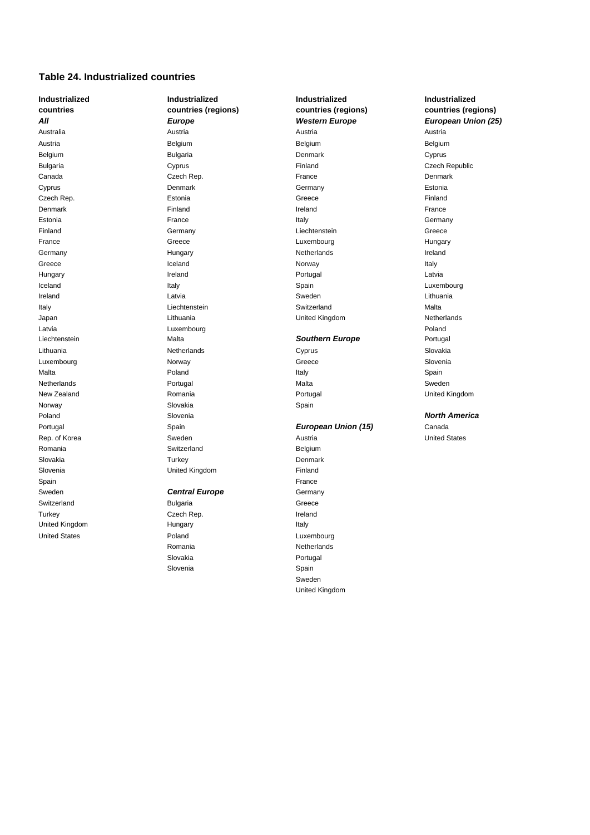### **Table 24. Industrialized countries**

Sweden **Central Europe** Germany Switzerland **Bulgaria** Bulgaria **Greece** Turkey **Czech Rep.** Czech Rep. **In the United States** Czech Rep. United Kingdom **Italy Hungary Italy Italy** United States **Contract Contract Contract Poland** Poland **Luxembourg** 

Norway Slovakia Spain Romania **Belgium** Switzerland **Belgium** Belgium Slovakia **National Turkey Community** Turkey **Denmark** Slovenia **Slovenia** United Kingdom **Finland** Spain France (1999), Spain France (1999), Spain France (1999), Spain France (1999), Spain France (1999), Spain

# Romania **Netherlands** Slovakia **Portugal** Slovenia **Spain** Spain

**Industrialized Industrialized Industrialized Industrialized** Australia Austria Austria Austria Austria Belgium Belgium Belgium Belgium Bulgaria Denmark Cyprus Bulgaria **Cyprus** Cyprus **Finland** Cyprus **Finland** Czech Republic Canada Czech Rep. France Denmark Cyprus Denmark Germany Estonia Czech Rep. Estonia Greece Finland Denmark Finland Finland Ireland Ireland France Estonia **Italy Community Community Community Community** France Community Community Community Community Community Finland Germany Communication Communication Creece France Greece Luxembourg Hungary Germany **Ireland Communist Communist Communist Communist Communist Communist Communist Communist Communist Communist Communist Communist Communist Communist Communist Communist Communist Communist Communist Communist Commu** Greece **Internal Community Community Community** Italy Norway Norway Italy Hungary **International Communist Communist Communist Communist Communist Communist Communist Communist Communist Communist Communist Communist Communist Communist Communist Communist Communist Communist Communist Communist** Iceland Italy Spain Luxembourg Ireland Latvia Sweden Lithuania Italy **Communist Communist Communist Communist Communist Communist Communist Communist Communist Communist Communist Communist Communist Communist Communist Communist Communist Communist Communist Communist Communist Commu** Japan Lithuania United Kingdom Netherlands Latvia Luxembourg Poland Liechtenstein Malta *Southern Europe* Portugal Lithuania Netherlands Cyprus Slovakia Luxembourg Norway Greece Slovenia Malta Poland Italy Spain Netherlands **Example 20 Sweden Controller Sweden** Portugal Malta Malta Sweden Sweden Sweden Sweden Sweden Sweden New Zealand **Romania Romania** Romania **Romania** Portugal Portugal Portugal Dirited Kingdom Poland Slovenia *North America* Portugal Spain *European Union (15)* Canada Rep. of Korea **Sweden** Sweden **Austria Austria** Austria View Austria United States

> Sweden United Kingdom

**countries countries (regions) countries (regions) countries (regions)** *All Europe Western Europe European Union (25)*